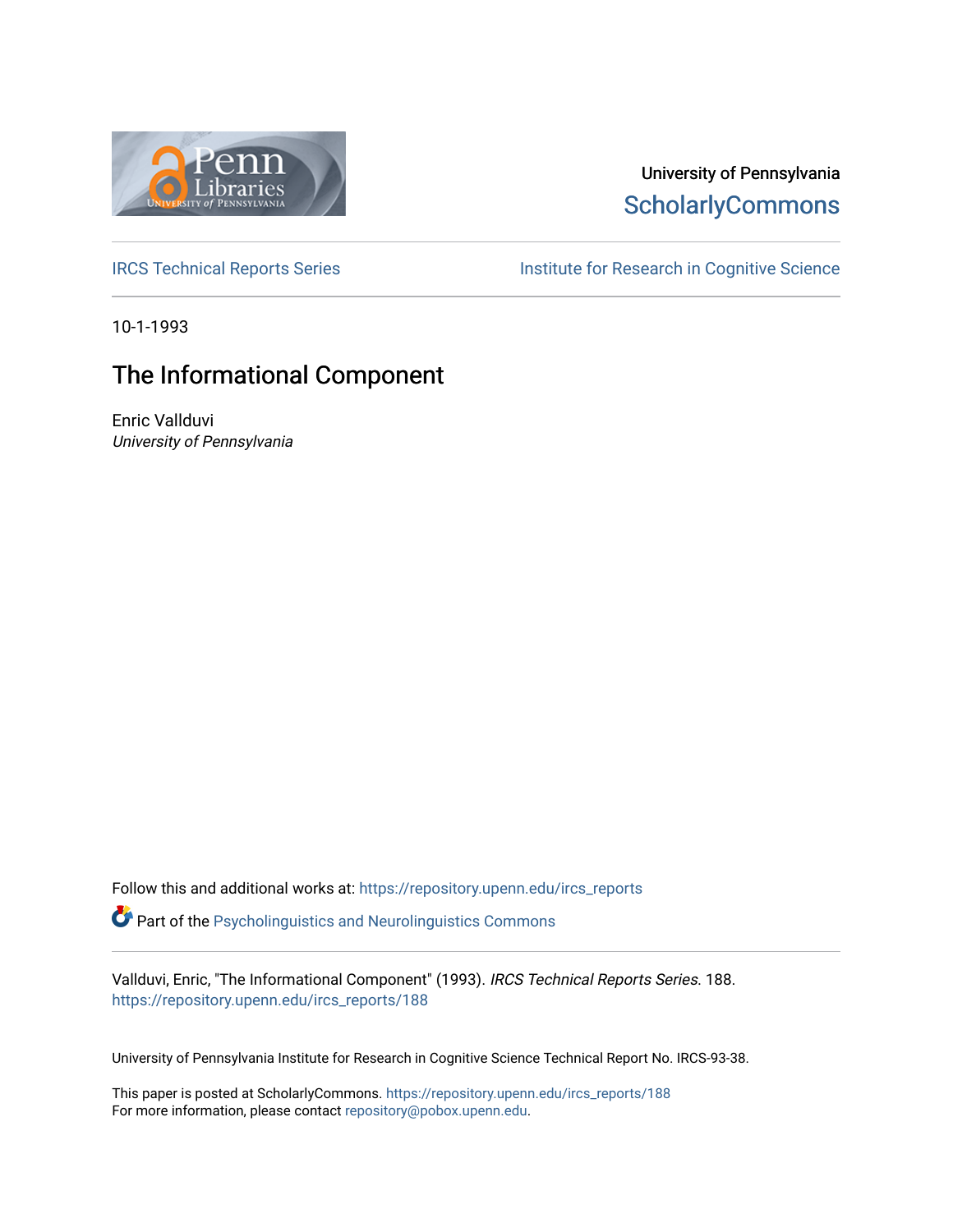

## University of Pennsylvania **ScholarlyCommons**

[IRCS Technical Reports Series](https://repository.upenn.edu/ircs_reports) **Institute for Research in Cognitive Science** 

10-1-1993

## The Informational Component

Enric Vallduvi University of Pennsylvania

Follow this and additional works at: [https://repository.upenn.edu/ircs\\_reports](https://repository.upenn.edu/ircs_reports?utm_source=repository.upenn.edu%2Fircs_reports%2F188&utm_medium=PDF&utm_campaign=PDFCoverPages)

**P** Part of the [Psycholinguistics and Neurolinguistics Commons](http://network.bepress.com/hgg/discipline/382?utm_source=repository.upenn.edu%2Fircs_reports%2F188&utm_medium=PDF&utm_campaign=PDFCoverPages)

Vallduvi, Enric, "The Informational Component" (1993). IRCS Technical Reports Series. 188. [https://repository.upenn.edu/ircs\\_reports/188](https://repository.upenn.edu/ircs_reports/188?utm_source=repository.upenn.edu%2Fircs_reports%2F188&utm_medium=PDF&utm_campaign=PDFCoverPages)

University of Pennsylvania Institute for Research in Cognitive Science Technical Report No. IRCS-93-38.

This paper is posted at ScholarlyCommons. [https://repository.upenn.edu/ircs\\_reports/188](https://repository.upenn.edu/ircs_reports/188) For more information, please contact [repository@pobox.upenn.edu.](mailto:repository@pobox.upenn.edu)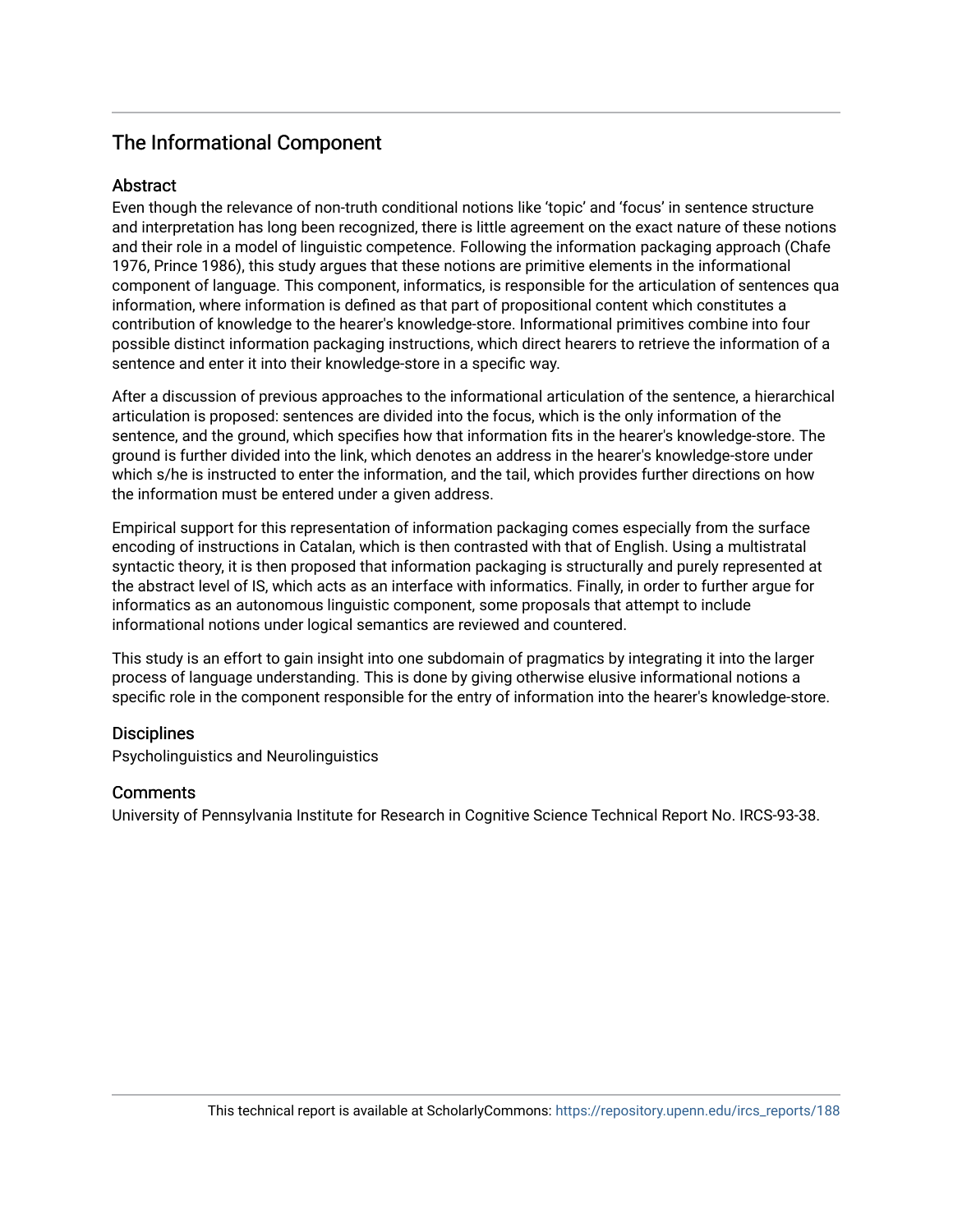### The Informational Component

### Abstract

Even though the relevance of non-truth conditional notions like 'topic' and 'focus' in sentence structure and interpretation has long been recognized, there is little agreement on the exact nature of these notions and their role in a model of linguistic competence. Following the information packaging approach (Chafe 1976, Prince 1986), this study argues that these notions are primitive elements in the informational component of language. This component, informatics, is responsible for the articulation of sentences qua information, where information is defined as that part of propositional content which constitutes a contribution of knowledge to the hearer's knowledge-store. Informational primitives combine into four possible distinct information packaging instructions, which direct hearers to retrieve the information of a sentence and enter it into their knowledge-store in a specific way.

After a discussion of previous approaches to the informational articulation of the sentence, a hierarchical articulation is proposed: sentences are divided into the focus, which is the only information of the sentence, and the ground, which specifies how that information fits in the hearer's knowledge-store. The ground is further divided into the link, which denotes an address in the hearer's knowledge-store under which s/he is instructed to enter the information, and the tail, which provides further directions on how the information must be entered under a given address.

Empirical support for this representation of information packaging comes especially from the surface encoding of instructions in Catalan, which is then contrasted with that of English. Using a multistratal syntactic theory, it is then proposed that information packaging is structurally and purely represented at the abstract level of IS, which acts as an interface with informatics. Finally, in order to further argue for informatics as an autonomous linguistic component, some proposals that attempt to include informational notions under logical semantics are reviewed and countered.

This study is an effort to gain insight into one subdomain of pragmatics by integrating it into the larger process of language understanding. This is done by giving otherwise elusive informational notions a specific role in the component responsible for the entry of information into the hearer's knowledge-store.

### **Disciplines**

Psycholinguistics and Neurolinguistics

### **Comments**

University of Pennsylvania Institute for Research in Cognitive Science Technical Report No. IRCS-93-38.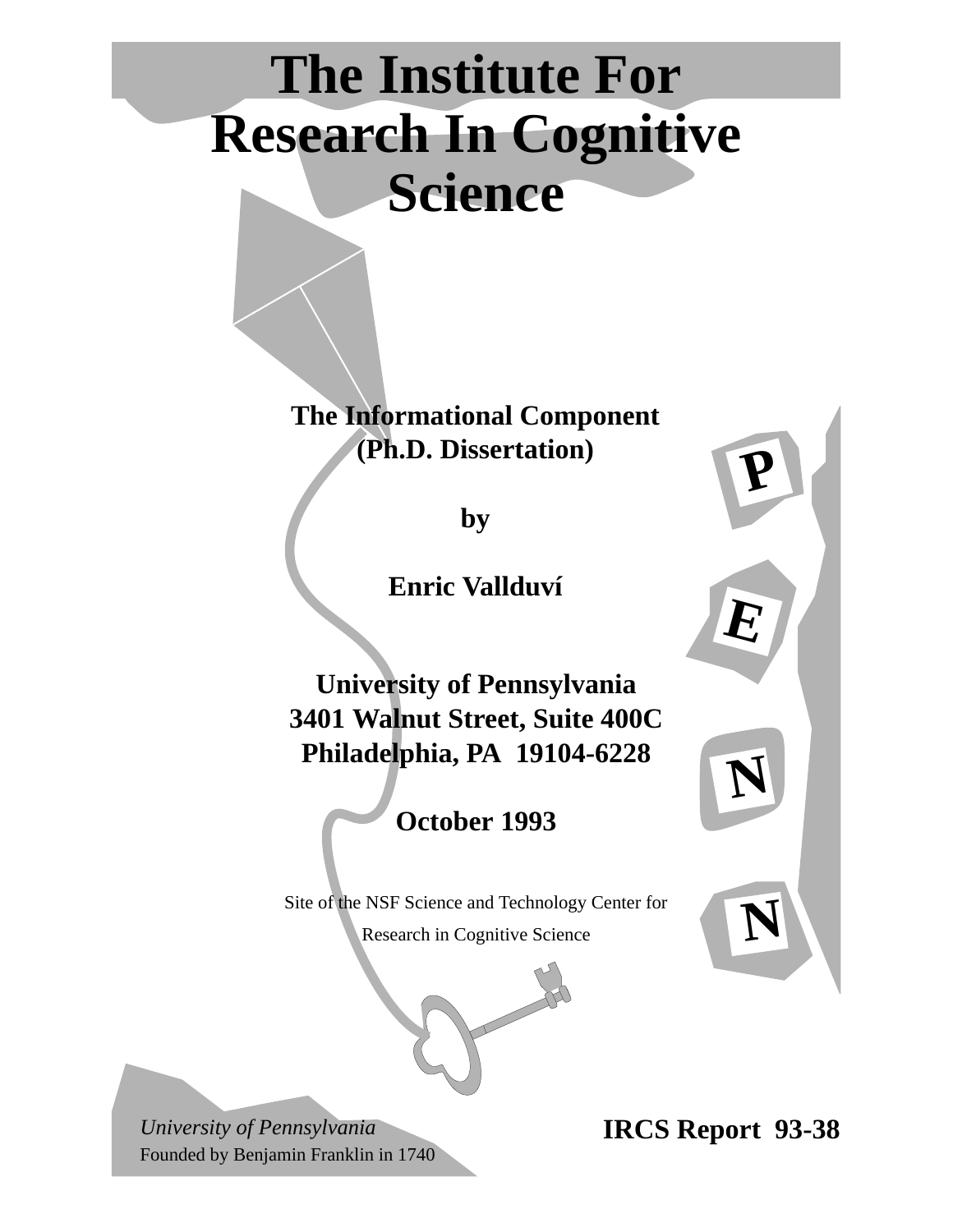# **The Institute For Research In Cognitive Science**

**The Informational Component (Ph.D. Dissertation)**

**by**

**Enric Vallduví**

**University of Pennsylvania 3401 Walnut Street, Suite 400C Philadelphia, PA 19104-6228**

**October 1993**

Site of the NSF Science and Technology Center for

Research in Cognitive Science



*University of Pennsylvania* Founded by Benjamin Franklin in 1740 **IRCS Report 93-38**

**P**

**E**

**N**

**N**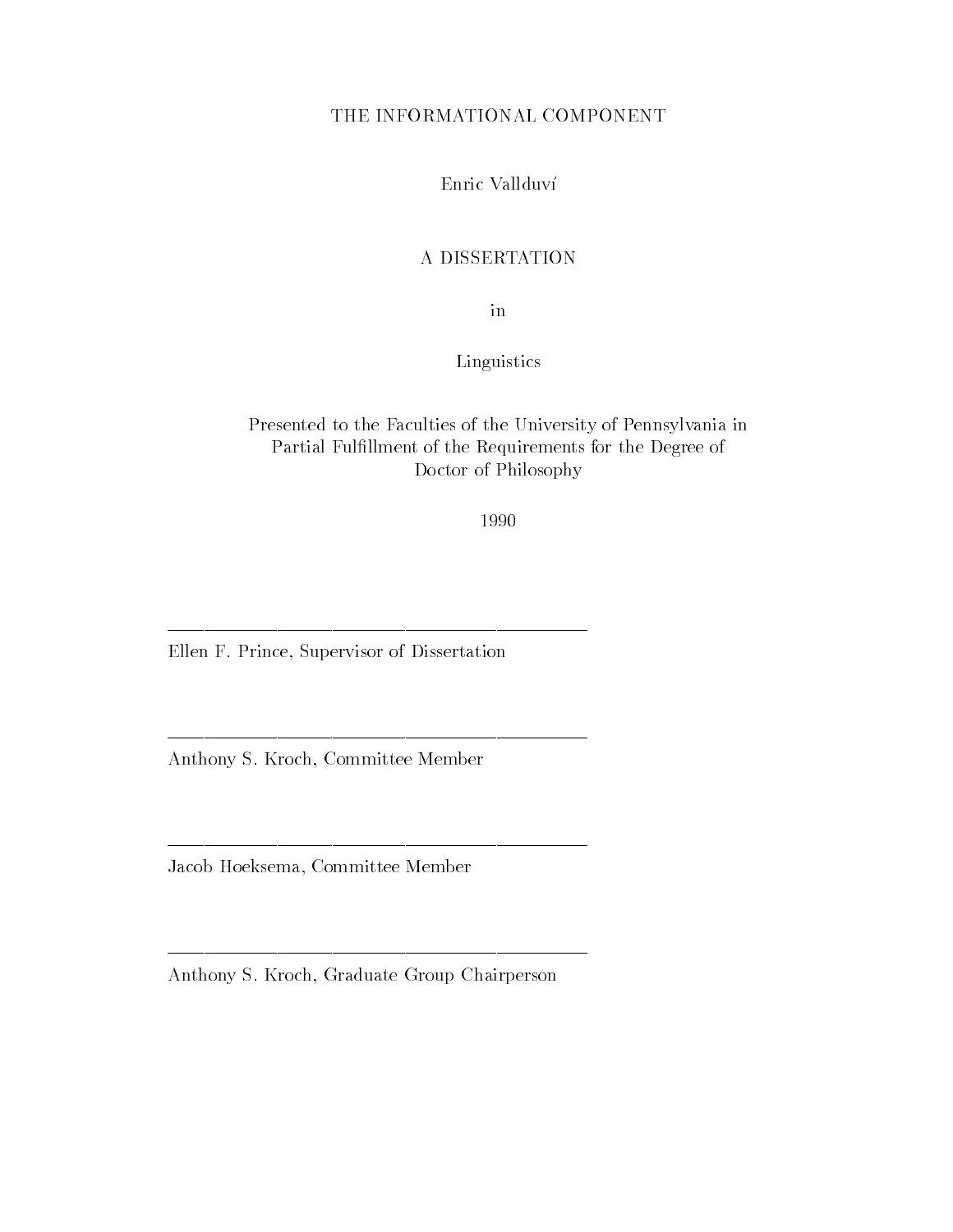### THE INFORMATIONAL COMPONENT

Enric Vallduv

### A DISSERTATION

in

### Linguistics

### Presented to the Faculties of the University of Pennsylvania in Partial Ful-llment of the Requirements for the Degree of Doctor of Philosophy

1990

Ellen F. Prince, Supervisor of Dissertation

Anthony S. Kroch, Committee Member

Jacob Hoeksema, Committee Member

Anthony S. Kroch, Graduate Group Chairperson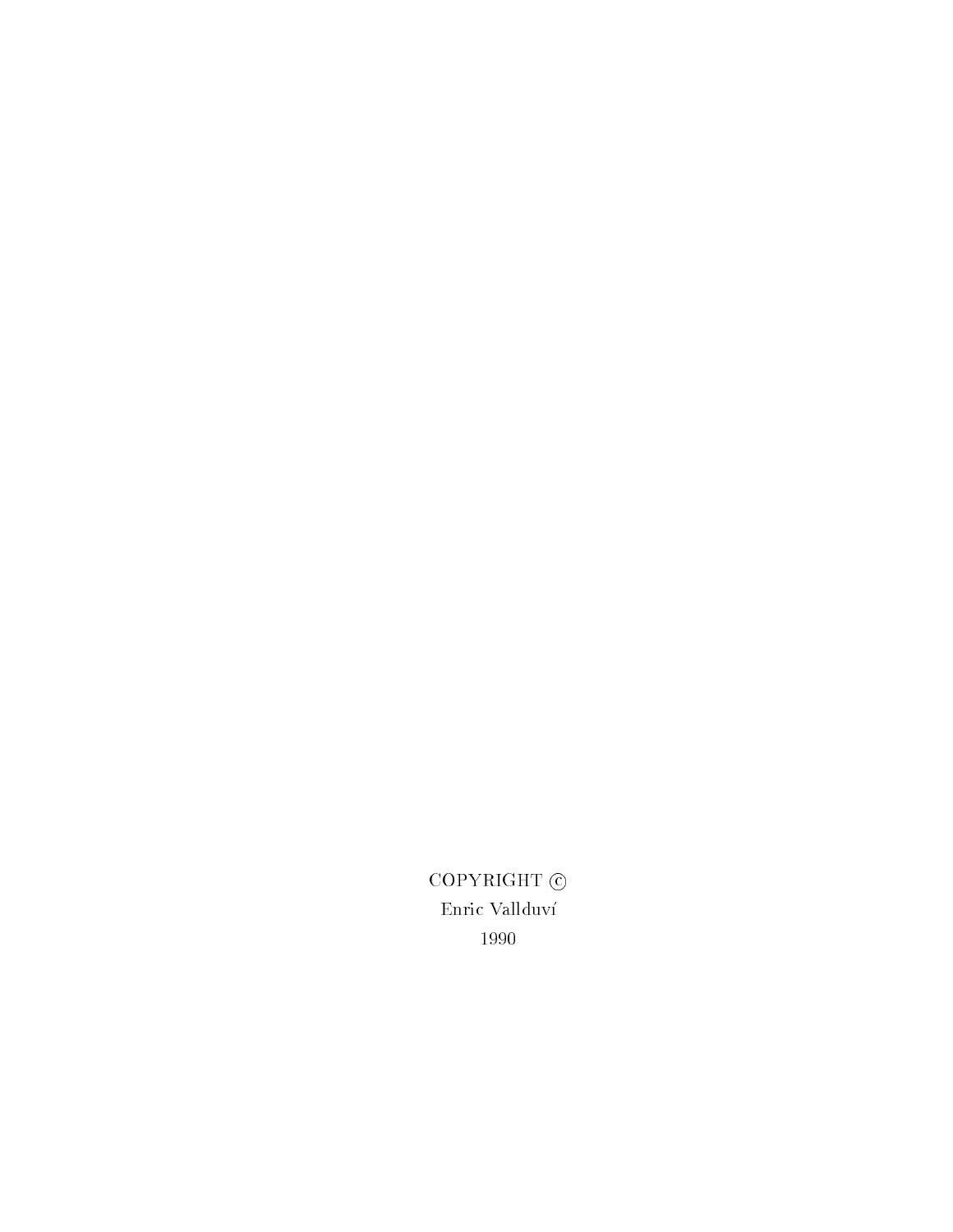COPYRIGHT  $\odot$ Enric Vallduv 1990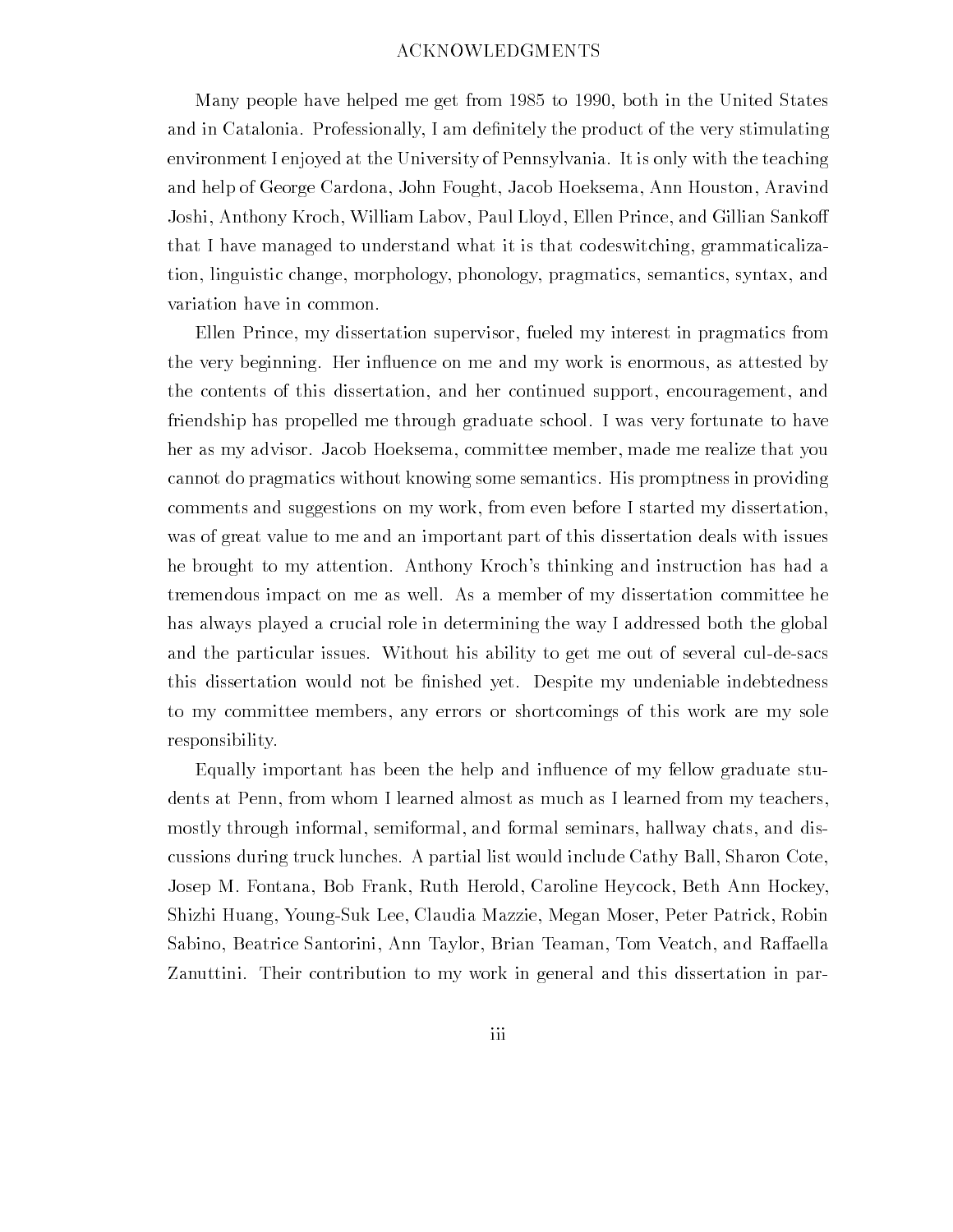### ACKNOWLEDGMENTS

many people me to both in the get from an one of the United States of the United States of the United States o and in Catalonia Professionally I am de-mailed and product of the very stimulating  $\sim$ environment I enjoyed at the University of Pennsylvania It is only with the teaching and help of George Cardona, John Fought, Jacob Hoeksema, Ann Houston, Aravind Joshi, Anthony Kroch, William Labov, Paul Lloyd, Ellen Prince, and Gillian Sankoff that I have managed to understand what it is that codeswitching, grammaticalization, linguistic change, morphology, phonology, pragmatics, semantics, syntax, and variation have in common

Ellen Prince, my dissertation supervisor, fueled my interest in pragmatics from the very beginning. Her influence on me and my work is enormous, as attested by the contents of this dissertation, and her continued support, encouragement, and friendship has propelled me through graduate school I was very fortunate to have her as my advisor. Jacob Hoeksema, committee member, made me realize that you cannot do pragmatics without knowing some semantics His promptness in providing comments and suggestions on my work from even before I started my dissertation was of great value to me and an important part of this dissertation deals with issues he brought to my attention. Anthony Kroch's thinking and instruction has had a tremendous impact on me as well As a member of my dissertation committee he has always played a crucial role in determining the way I addressed both the global and the particular issues. Without his ability to get me out of several cul-de-sacs this dissertation would not be -nished yet Despite my undeniable indebtedness to my committee members any errors or shortcomings of this work are my sole responsibility

Equally important has been the help and influence of my fellow graduate students at Penn, from whom I learned almost as much as I learned from my teachers, mostly through informal, semiformal, and formal seminars, hallway chats, and discussions during truck lunches A partial list would include Cathy Ball Sharon Cote Josep M. Fontana, Bob Frank, Ruth Herold, Caroline Heycock, Beth Ann Hockey, Shizhi Huang, Young-Suk Lee, Claudia Mazzie, Megan Moser, Peter Patrick, Robin Sabino, Beatrice Santorini, Ann Taylor, Brian Teaman, Tom Veatch, and Raffaella Zanuttini Their contribution to my work in general and this dissertation in par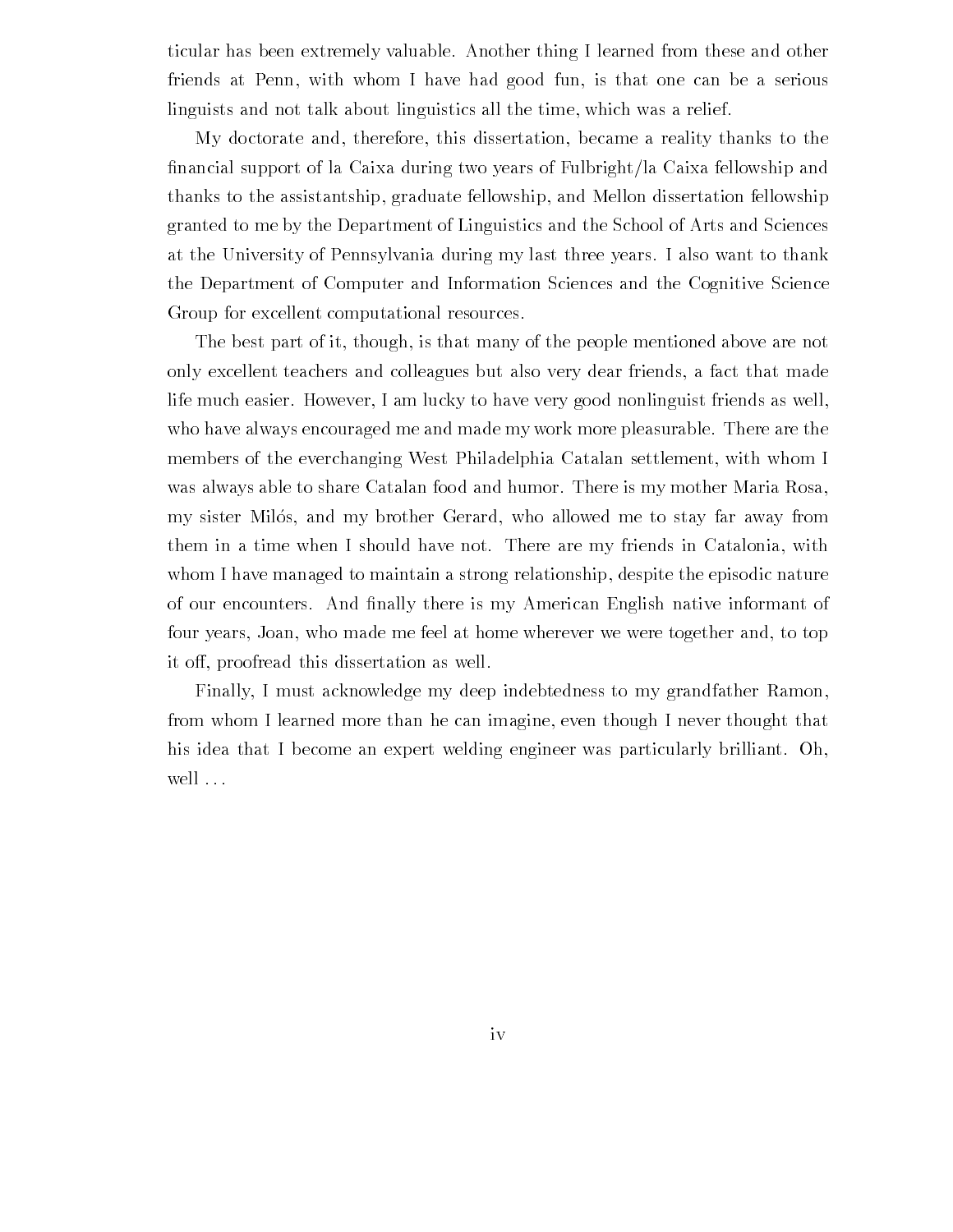ticular has been extremely valuable Another thing I learned from these and other friends at Penn, with whom I have had good fun, is that one can be a serious linguists and not talk about linguistics all the time, which was a relief.

My doctorate and, therefore, this dissertation, became a reality thanks to the -nancial support of la Caixa during two years of Fulbrightla Caixa fellowship and thanks to the assistantship, graduate fellowship, and Mellon dissertation fellowship granted to me by the Department of Linguistics and the School of Arts and Sciences at the University of Pennsylvania during my last three years I also want to thank the Department of Computer and Information Sciences and the Cognitive Science Group for excellent computational resources

The best part of it, though, is that many of the people mentioned above are not only excellent teachers and colleagues but also very dear friends, a fact that made life much easier. However, I am lucky to have very good nonlinguist friends as well, who have always encouraged me and made my work more pleasurable. There are the members of the everchanging West Philadelphia Catalan settlement, with whom I was always able to share Catalan food and humor. There is my mother Maria Rosa, my sister Milós, and my brother Gerard, who allowed me to stay far away from them in a time when I should have not. There are my friends in Catalonia, with whom I have managed to maintain a strong relationship, despite the episodic nature of our encounters And -nally there is my American English native informant of four years, Joan, who made me feel at home wherever we were together and, to top it off, proofread this dissertation as well.

Finally, I must acknowledge my deep indebtedness to my grandfather Ramon, from whom I learned more than he can imagine, even though I never thought that his idea that I become an expert welding engineer was particularly brilliant. Oh, well ...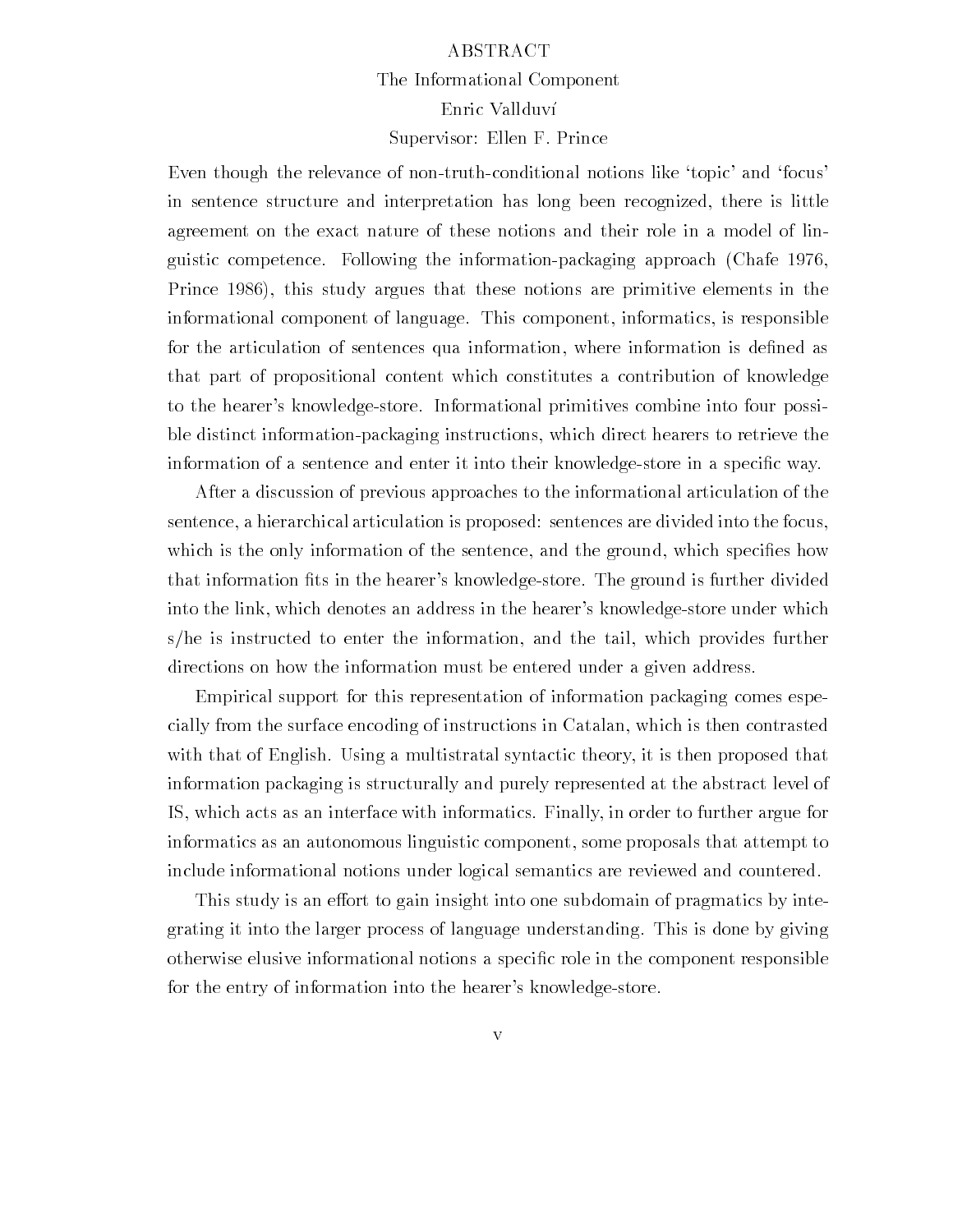### ABSTRACT The Informational Component Enric Vallduv Supervisor: Ellen F. Prince

Even though the relevance of non-truth-conditional notions like 'topic' and 'focus' in sentence structure and interpretation has long been recognized, there is little agreement on the exact nature of these notions and their role in a model of lin guistic competence. Following the information-packaging approach (Chafe 1976, Prince 1986), this study argues that these notions are primitive elements in the informational component of language. This component, informatics, is responsible for the articulation of sentences qua information where information is de-ned as that part of propositional content which constitutes a contribution of knowledge to the hearer's knowledge-store. Informational primitives combine into four possible distinct informationpackaging instructions which direct hearers to retrieve the information of a sentence and enter it into their knowledgestore in a speci-c way

After a discussion of previous approaches to the informational articulation of the sentence, a hierarchical articulation is proposed: sentences are divided into the focus, which is the only information of the sentence and the ground which species and the ground which species  $\mathbf{e}$ that information  $\mathcal{U}$ into the link, which denotes an address in the hearer's knowledge-store under which  $s/he$  is instructed to enter the information, and the tail, which provides further directions on how the information must be entered under a given address.

Empirical support for this representation of information packaging comes espe cially from the surface encoding of instructions in Catalan, which is then contrasted with that of English. Using a multistratal syntactic theory, it is then proposed that information packaging is structurally and purely represented at the abstract level of IS which acts as an interface with informatics Finally in order to further argue for informatics as an autonomous linguistic component some proposals that attempt to include informational notions under logical semantics are reviewed and countered

This study is an effort to gain insight into one subdomain of pragmatics by integrating it into the larger process of language understanding This is done by giving otherwise elusive informational notions a speci-c role in the component responsible for the entry of information into the hearer's knowledge-store.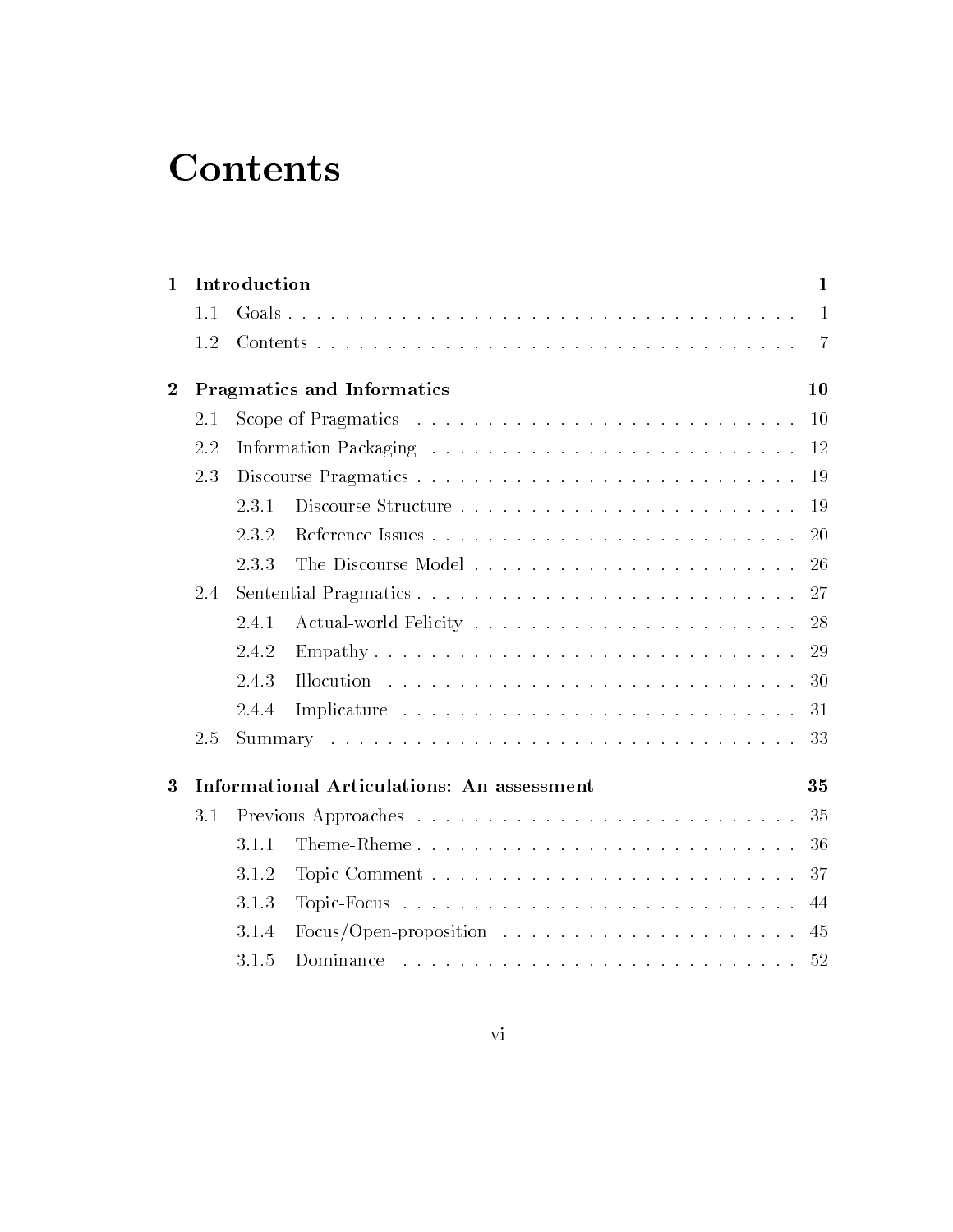## **Contents**

| $\mathbf{1}$   | Introduction |                                                                                      |                                            |                |  |  |  |  |
|----------------|--------------|--------------------------------------------------------------------------------------|--------------------------------------------|----------------|--|--|--|--|
|                | 1.1          |                                                                                      |                                            | $\overline{1}$ |  |  |  |  |
|                | 1.2          |                                                                                      |                                            | -7             |  |  |  |  |
| $\overline{2}$ |              | Pragmatics and Informatics                                                           |                                            |                |  |  |  |  |
|                | 2.1          | Scope of Pragmatics $\ldots \ldots \ldots \ldots \ldots \ldots \ldots \ldots \ldots$ |                                            |                |  |  |  |  |
|                | 2.2          |                                                                                      |                                            |                |  |  |  |  |
|                | 2.3          |                                                                                      |                                            |                |  |  |  |  |
|                |              | 2.3.1                                                                                |                                            |                |  |  |  |  |
|                |              | 2.3.2                                                                                |                                            |                |  |  |  |  |
|                |              | 2.3.3                                                                                |                                            |                |  |  |  |  |
|                | 2.4          |                                                                                      |                                            |                |  |  |  |  |
|                |              | 2.4.1                                                                                |                                            |                |  |  |  |  |
|                |              | 2.4.2                                                                                |                                            | 29             |  |  |  |  |
|                |              | 2.4.3                                                                                |                                            | 30             |  |  |  |  |
|                |              | 2.4.4                                                                                |                                            | 31             |  |  |  |  |
|                | 2.5          |                                                                                      |                                            |                |  |  |  |  |
| 3              |              |                                                                                      | Informational Articulations: An assessment | 35             |  |  |  |  |
|                | 3.1          |                                                                                      |                                            |                |  |  |  |  |
|                |              | 3.1.1                                                                                | Theme-Rheme                                | 36             |  |  |  |  |
|                |              | 3.1.2                                                                                |                                            | 37             |  |  |  |  |
|                |              | 3.1.3                                                                                |                                            | 44             |  |  |  |  |
|                |              | 3.1.4                                                                                |                                            | 45             |  |  |  |  |
|                |              | 3.1.5                                                                                |                                            | 52             |  |  |  |  |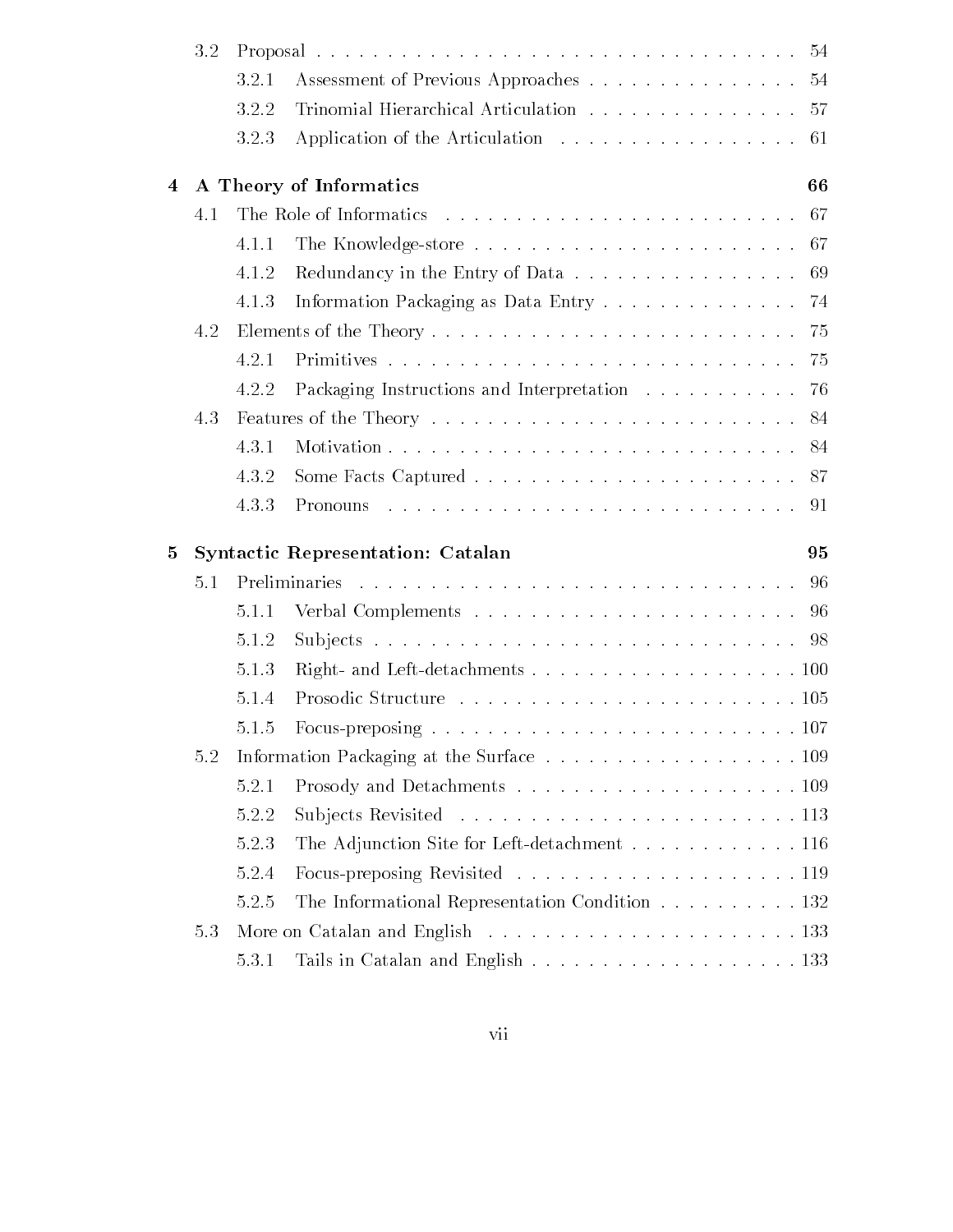|   | 3.2 |       |                                                                                  |    |  |  |
|---|-----|-------|----------------------------------------------------------------------------------|----|--|--|
|   |     | 3.2.1 | Assessment of Previous Approaches 54                                             |    |  |  |
|   |     | 3.2.2 | Trinomial Hierarchical Articulation 57                                           |    |  |  |
|   |     | 3.2.3 | Application of the Articulation 61                                               |    |  |  |
| 4 |     |       | A Theory of Informatics                                                          | 66 |  |  |
|   | 4.1 |       |                                                                                  |    |  |  |
|   |     | 4.1.1 | The Knowledge-store $\ldots \ldots \ldots \ldots \ldots \ldots \ldots \ldots$ 67 |    |  |  |
|   |     | 4.1.2 | Redundancy in the Entry of Data 69                                               |    |  |  |
|   |     | 4.1.3 | Information Packaging as Data Entry 74                                           |    |  |  |
|   | 4.2 |       |                                                                                  |    |  |  |
|   |     | 4.2.1 |                                                                                  |    |  |  |
|   |     | 4.2.2 | Packaging Instructions and Interpretation 76                                     |    |  |  |
|   | 4.3 |       |                                                                                  |    |  |  |
|   |     | 4.3.1 |                                                                                  |    |  |  |
|   |     | 4.3.2 |                                                                                  |    |  |  |
|   |     | 4.3.3 | Pronouns                                                                         |    |  |  |
| 5 |     |       | <b>Syntactic Representation: Catalan</b>                                         | 95 |  |  |
|   | 5.1 |       |                                                                                  |    |  |  |
|   |     | 5.1.1 |                                                                                  |    |  |  |
|   |     | 5.1.2 |                                                                                  |    |  |  |
|   |     | 5.1.3 |                                                                                  |    |  |  |
|   |     | 5.1.4 |                                                                                  |    |  |  |
|   |     | 5.1.5 |                                                                                  |    |  |  |
|   | 5.2 |       |                                                                                  |    |  |  |
|   |     | 5.2.1 |                                                                                  |    |  |  |
|   |     | 5.2.2 |                                                                                  |    |  |  |
|   |     | 5.2.3 | The Adjunction Site for Left-detachment 116                                      |    |  |  |
|   |     | 5.2.4 |                                                                                  |    |  |  |
|   |     | 5.2.5 | The Informational Representation Condition 132                                   |    |  |  |
|   | 5.3 |       |                                                                                  |    |  |  |
|   |     | 5.3.1 |                                                                                  |    |  |  |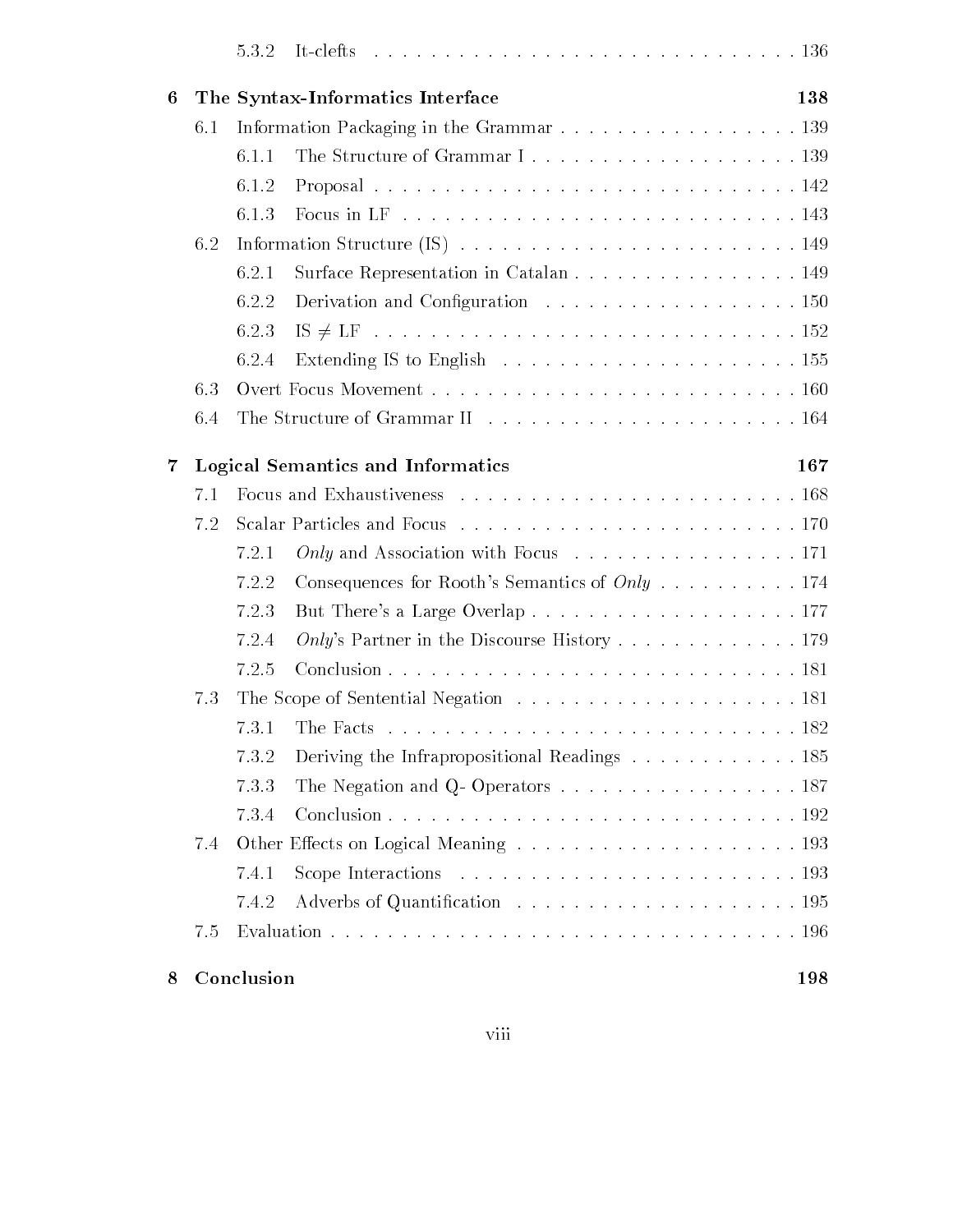| 6   |                                                                                          | The Syntax-Informatics Interface                                                        | 138 |  |  |
|-----|------------------------------------------------------------------------------------------|-----------------------------------------------------------------------------------------|-----|--|--|
| 6.1 |                                                                                          |                                                                                         |     |  |  |
|     | 6.1.1                                                                                    |                                                                                         |     |  |  |
|     | 6.1.2                                                                                    |                                                                                         |     |  |  |
|     | 6.1.3                                                                                    |                                                                                         |     |  |  |
| 6.2 | Information Structure (IS) $\ldots \ldots \ldots \ldots \ldots \ldots \ldots \ldots 149$ |                                                                                         |     |  |  |
|     | 6.2.1                                                                                    | Surface Representation in Catalan 149                                                   |     |  |  |
|     | 6.2.2                                                                                    | Derivation and Configuration 150                                                        |     |  |  |
|     | 6.2.3                                                                                    |                                                                                         |     |  |  |
|     | 6.2.4                                                                                    |                                                                                         |     |  |  |
| 6.3 |                                                                                          |                                                                                         |     |  |  |
| 6.4 |                                                                                          |                                                                                         |     |  |  |
| 7   | Logical Semantics and Informatics                                                        |                                                                                         |     |  |  |
| 7.1 |                                                                                          |                                                                                         |     |  |  |
| 7.2 |                                                                                          |                                                                                         |     |  |  |
|     | 7.2.1                                                                                    | Only and Association with Focus 171                                                     |     |  |  |
|     | 7.2.2                                                                                    | Consequences for Rooth's Semantics of $Only \dots \dots \dots 174$                      |     |  |  |
|     | 7.2.3                                                                                    |                                                                                         |     |  |  |
|     | 7.2.4                                                                                    | Only's Partner in the Discourse History 179                                             |     |  |  |
|     | 7.2.5                                                                                    |                                                                                         |     |  |  |
| 7.3 |                                                                                          |                                                                                         |     |  |  |
|     | 7.3.1                                                                                    |                                                                                         |     |  |  |
|     | 7.3.2                                                                                    | Deriving the Infrapropositional Readings 185                                            |     |  |  |
|     | 7.3.3                                                                                    | The Negation and Q-Operators $\dots \dots \dots \dots \dots \dots \dots \dots 187$      |     |  |  |
|     | 7.3.4                                                                                    |                                                                                         |     |  |  |
| 7.4 |                                                                                          |                                                                                         |     |  |  |
|     | 7.4.1                                                                                    | Scope Interactions $\ldots \ldots \ldots \ldots \ldots \ldots \ldots \ldots \ldots 193$ |     |  |  |
|     | 7.4.2                                                                                    |                                                                                         |     |  |  |
| 7.5 |                                                                                          |                                                                                         |     |  |  |
|     |                                                                                          |                                                                                         |     |  |  |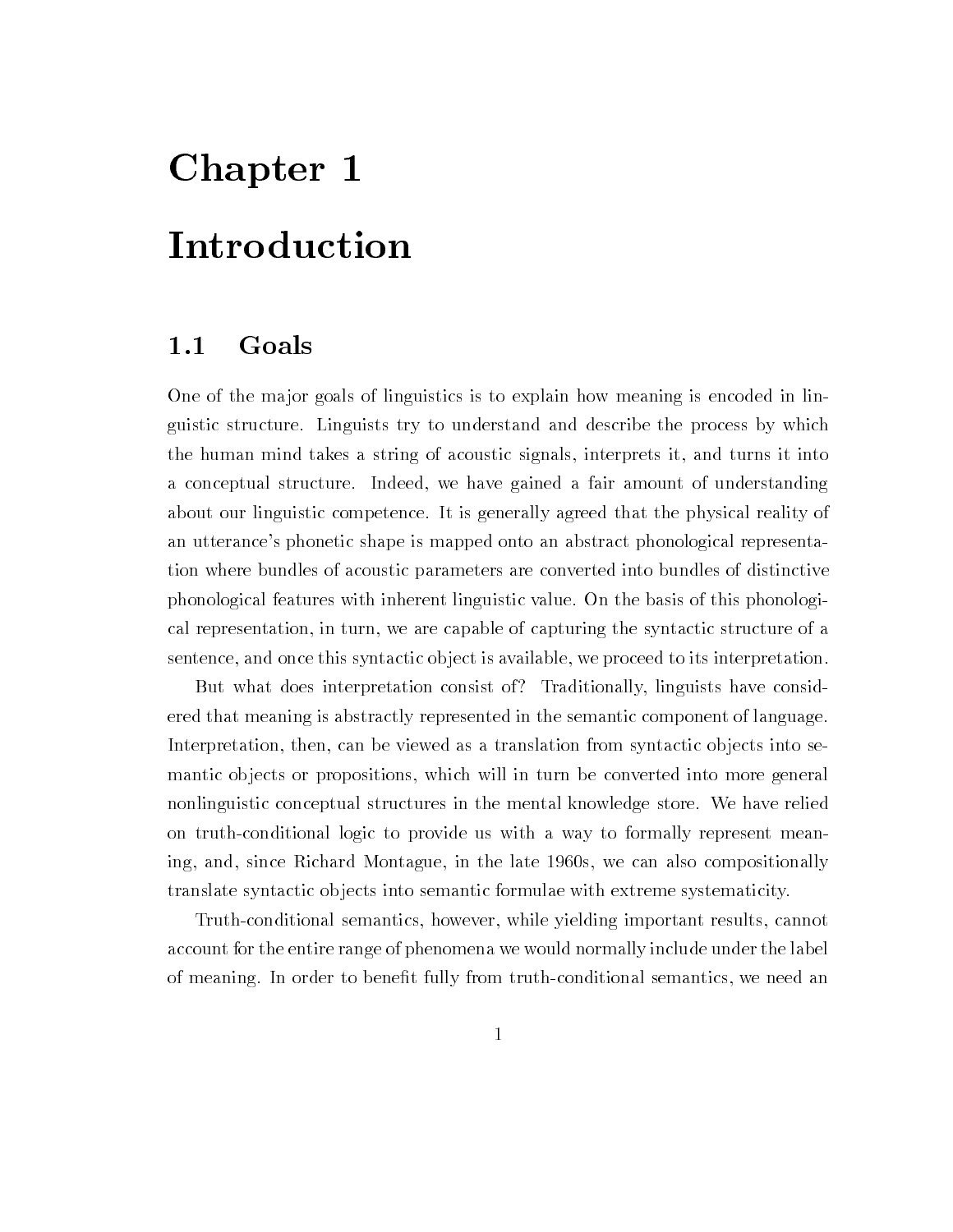## Chapter 1

## Introduction

### 1.1 Goals

One of the major goals of linguistics is to explain how meaning is encoded in linguistic structure Linguists try to understand and describe the process by which the human mind takes a string of acoustic signals interprets it and turns it into a conceptual structure. Indeed, we have gained a fair amount of understanding about our linguistic competence It is generally agreed that the physical reality of an utterance's phonetic shape is mapped onto an abstract phonological representation where bundles of acoustic parameters are converted into bundles of distinctive phonological features with inherent linguistic value On the basis of this phonologi cal representation, in turn, we are capable of capturing the syntactic structure of a sentence, and once this syntactic object is available, we proceed to its interpretation.

But what does interpretation consist of? Traditionally, linguists have considered that meaning is abstractly represented in the semantic component of language Interpretation, then, can be viewed as a translation from syntactic objects into semantic objects or propositions, which will in turn be converted into more general nonlinguistic conceptual structures in the mental knowledge store. We have relied on truth-conditional logic to provide us with a way to formally represent meaning, and, since Richard Montague, in the late 1960s, we can also compositionally translate syntactic ob jects into semantic formulae with extreme systematicity

Truth-conditional semantics, however, while yielding important results, cannot account for the entire range of phenomena we would normally include under the label to <del>constructing In order the benefit the semantics we need and conditions we need the series were computed and</del>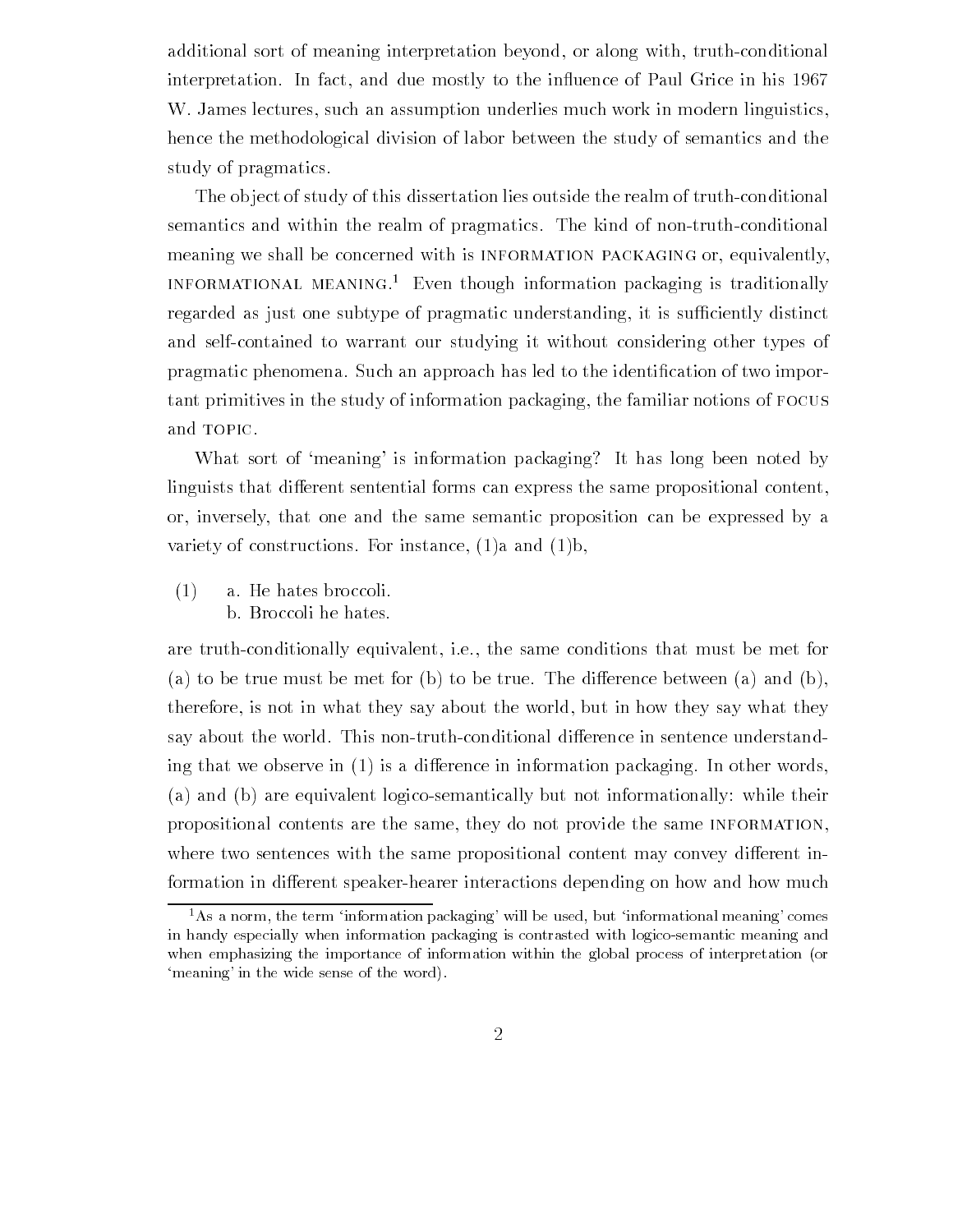additional sort of meaning interpretation beyond, or along with, truth-conditional interpretation. In fact, and due mostly to the influence of Paul Grice in his 1967 W. James lectures, such an assumption underlies much work in modern linguistics, hence the methodological division of labor between the study of semantics and the study of pragmatics

The object of study of this dissertation lies outside the realm of truth-conditional semantics and within the realm of pragmatics. The kind of non-truth-conditional meaning we shall be concerned with is INFORMATION PACKAGING or, equivalently, INFORMATIONAL MEANING.<sup>1</sup> Even though information packaging is traditionally regarded as just one subtype of pragmatic understanding, it is sufficiently distinct and self-contained to warrant our studying it without considering other types of promotive phenomena Such an approach has led to the international category and international category and inter tant primitives in the study of information packaging the familiar notions of focus and TOPIC.

What sort of 'meaning' is information packaging? It has long been noted by linguists that different sentential forms can express the same propositional content, or inversely that one and the same semantic proposition can be expressed by a variety of constructions. For instance,  $(1)a$  and  $(1)b$ ,

 $(1)$  a. He hates broccoli. b. Broccoli he hates.

are truth-conditionally equivalent, i.e., the same conditions that must be met for (a) to be true must be met for (b) to be true. The difference between (a) and (b), therefore, is not in what they say about the world, but in how they say what they say about the world. This non-truth-conditional difference in sentence understanding that we observe in  $(1)$  is a difference in information packaging. In other words,  $(a)$  and  $(b)$  are equivalent logico-semantically but not informationally: while their propositional contents are the same, they do not provide the same INFORMATION. where two sentences with the same propositional content may convey different information in different speaker-hearer interactions depending on how and how much

<sup>&</sup>quot;As a norm, the term information packaging-will be used, but informational meaning-comesin handy especially when information packaging is contrasted with logico-semantic meaning and when emphasizing the importance of information within the global process of interpretation (or meaning- in the wide sense of the wide sense  $\mathcal{C}$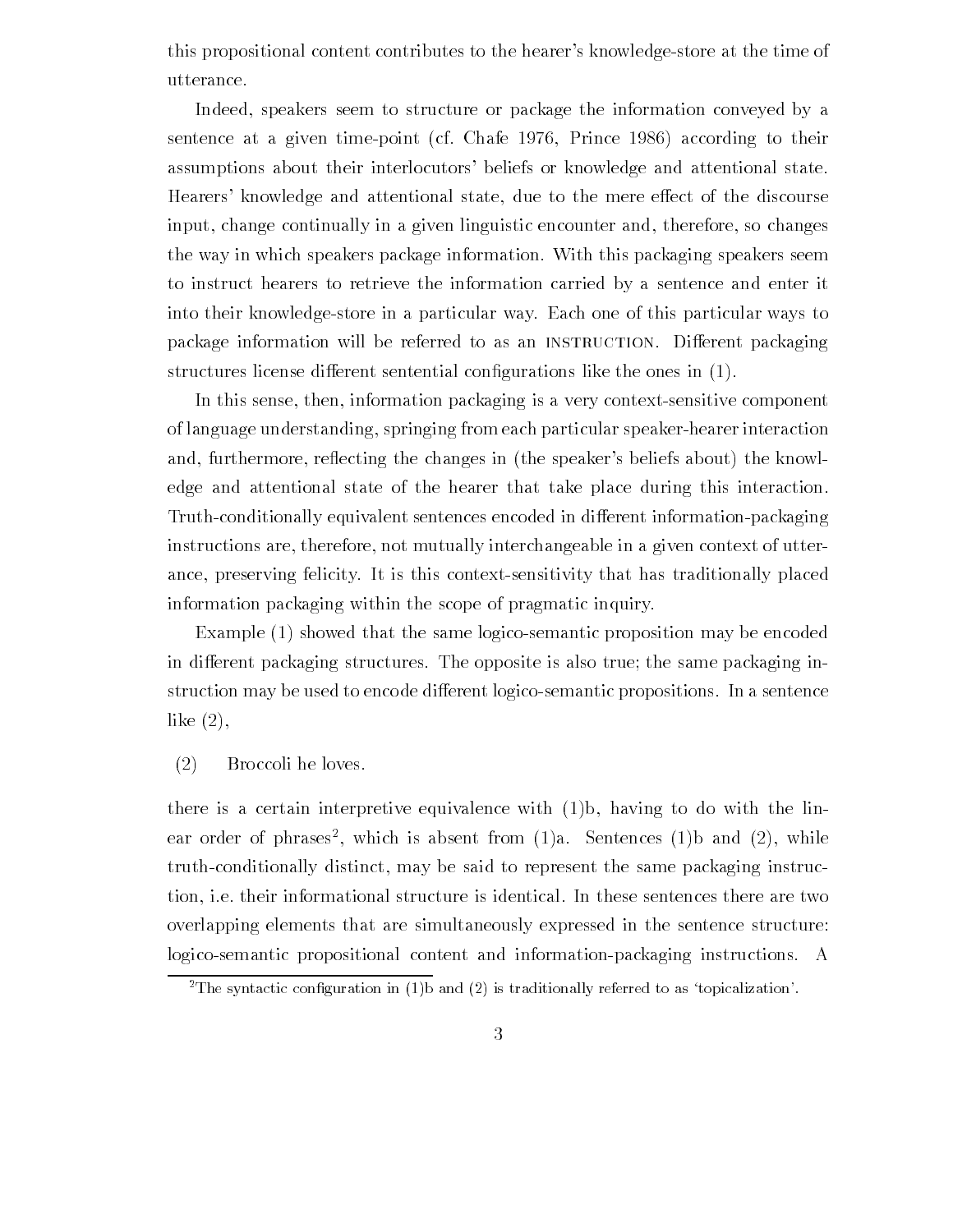this propositional content contributes to the hearer's knowledge-store at the time of utterance

Indeed, speakers seem to structure or package the information conveyed by a sentence at a given time-point (cf. Chafe  $1976$ , Prince  $1986$ ) according to their assumptions about their interlocutors' beliefs or knowledge and attentional state. Hearers' knowledge and attentional state, due to the mere effect of the discourse input, change continually in a given linguistic encounter and, therefore, so changes the way in which speakers package information With this packaging speakers seem to instruct hearers to retrieve the information carried by a sentence and enter it into their knowledgestore in a particular way Each one of this particular ways to package information will be referred to as an INSTRUCTION. Different packaging structures license diese die rent sentential con-license diese the sentential con-

In this sense, then, information packaging is a very context-sensitive component of language understanding, springing from each particular speaker-hearer interaction and, furthermore, reflecting the changes in (the speaker's beliefs about) the knowledge and attentional state of the hearer that take place during this interaction Truth-conditionally equivalent sentences encoded in different information-packaging instructions are, therefore, not mutually interchangeable in a given context of utterance, preserving felicity. It is this context-sensitivity that has traditionally placed information packaging within the scope of pragmatic inquiry

Example  $(1)$  showed that the same logico-semantic proposition may be encoded in different packaging structures. The opposite is also true; the same packaging instruction may be used to encode different logico-semantic propositions. In a sentence like  $(2)$ ,

### Broccoli he loves

there is a certain interpretive equivalence with  $(1)b$ , having to do with the linear order of phrases , which is absent from (1)a. Sentences (1)b and (2), while truth-conditionally distinct, may be said to represent the same packaging instruction, i.e. their informational structure is identical. In these sentences there are two overlapping elements that are simultaneously expressed in the sentence structure logico-semantic propositional content and information-packaging instructions. A

 $\overline{\ }$  fine syntactic configuration in (1)D and (2) is traditionally referred to as topicalization-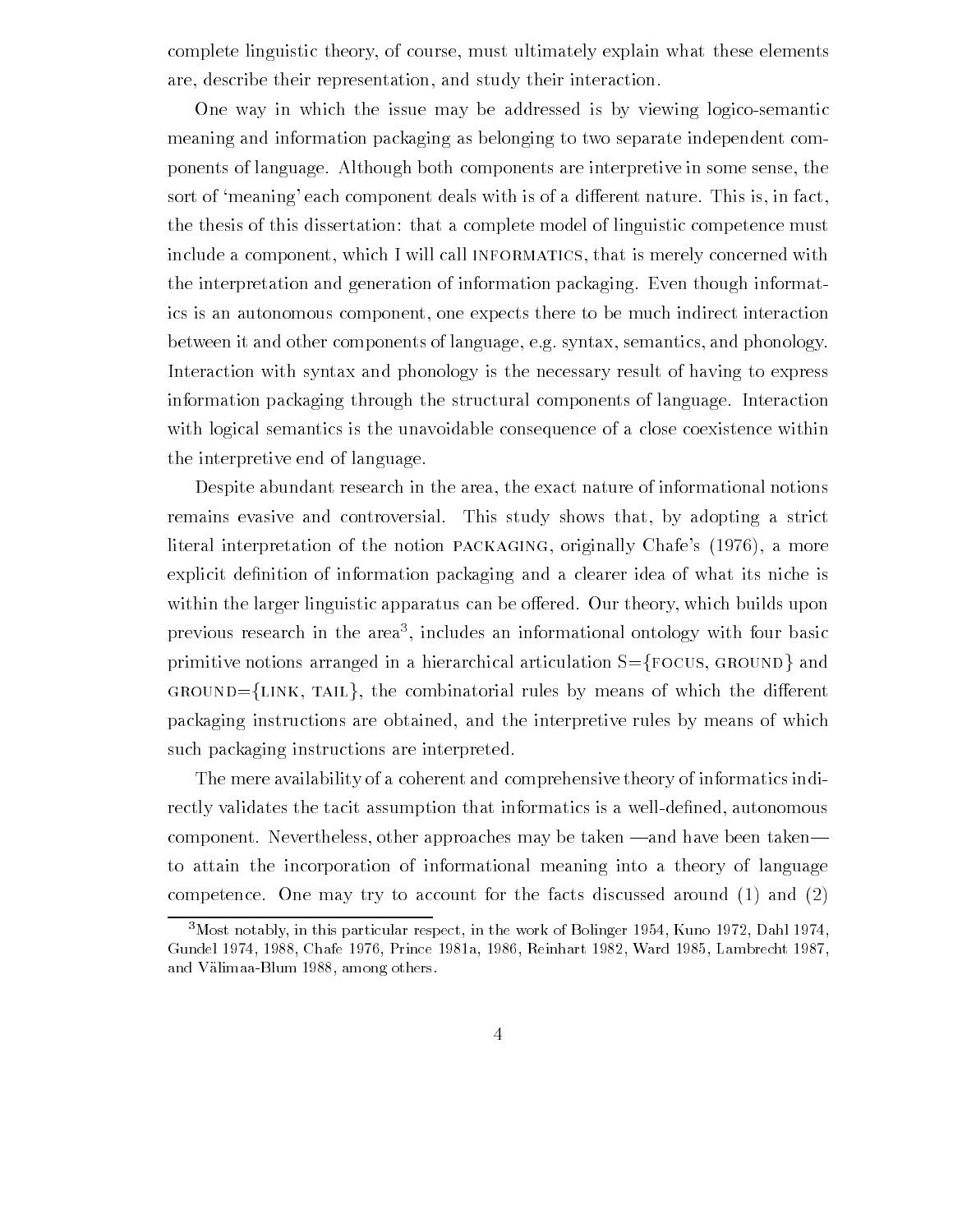complete linguistic theory, of course, must ultimately explain what these elements are, describe their representation, and study their interaction.

One way in which the issue may be addressed is by viewing logicosemantic meaning and information packaging as belonging to two separate independent com ponents of language Although both components are interpretive in some sense the sort of 'meaning' each component deals with is of a different nature. This is, in fact, the thesis of this dissertation: that a complete model of linguistic competence must include a component, which I will call INFORMATICS, that is merely concerned with the interpretation and generation of information packaging Even though informat ics is an autonomous component, one expects there to be much indirect interaction between it and other components of language, e.g. syntax, semantics, and phonology. Interaction with syntax and phonology is the necessary result of having to express information packaging through the structural components of language Interaction with logical semantics is the unavoidable consequence of a close coexistence within the interpretive end of language

Despite abundant research in the area, the exact nature of informational notions remains evasive and controversial. This study shows that, by adopting a strict literal interpretation of the notion PACKAGING, originally Chafe's  $(1976)$ , a more explicit de-nition of information packaging and a clearer idea of what its niche is within the larger linguistic apparatus can be offered. Our theory, which builds upon previous research in the area- includes an informational ontology with four basic primitive notions arranged in a hierarchical articulation  $S = \{FOCUS, GROUND\}$  and  $GROUND = \{LINK, TAIL\}$ , the combinatorial rules by means of which the different packaging instructions are obtained, and the interpretive rules by means of which such packaging instructions are interpreted

The mere availability of a coherent and comprehensive theory of informatics indi rectly validates the tacity with the tacity in the second contract is a well-contracted that we have a well-contracted the component. Nevertheless, other approaches may be taken —and have been taken to attain the incorporation of informational meaning into a theory of language competence. One may try to account for the facts discussed around  $(1)$  and  $(2)$ 

<sup>-</sup>Most notably, in this particular respect, in the work of Domiger 1994, Kuno 1972, Dahl 1974, a chafe and the contract of the contract of the contract of the contract of the contract of the contract of th and Valimaa Blum aanda Valimaa Blum aanda Valimaa Blum aanda Valimaa Blum aanda Valimaa Blum aanda Valimaa Blu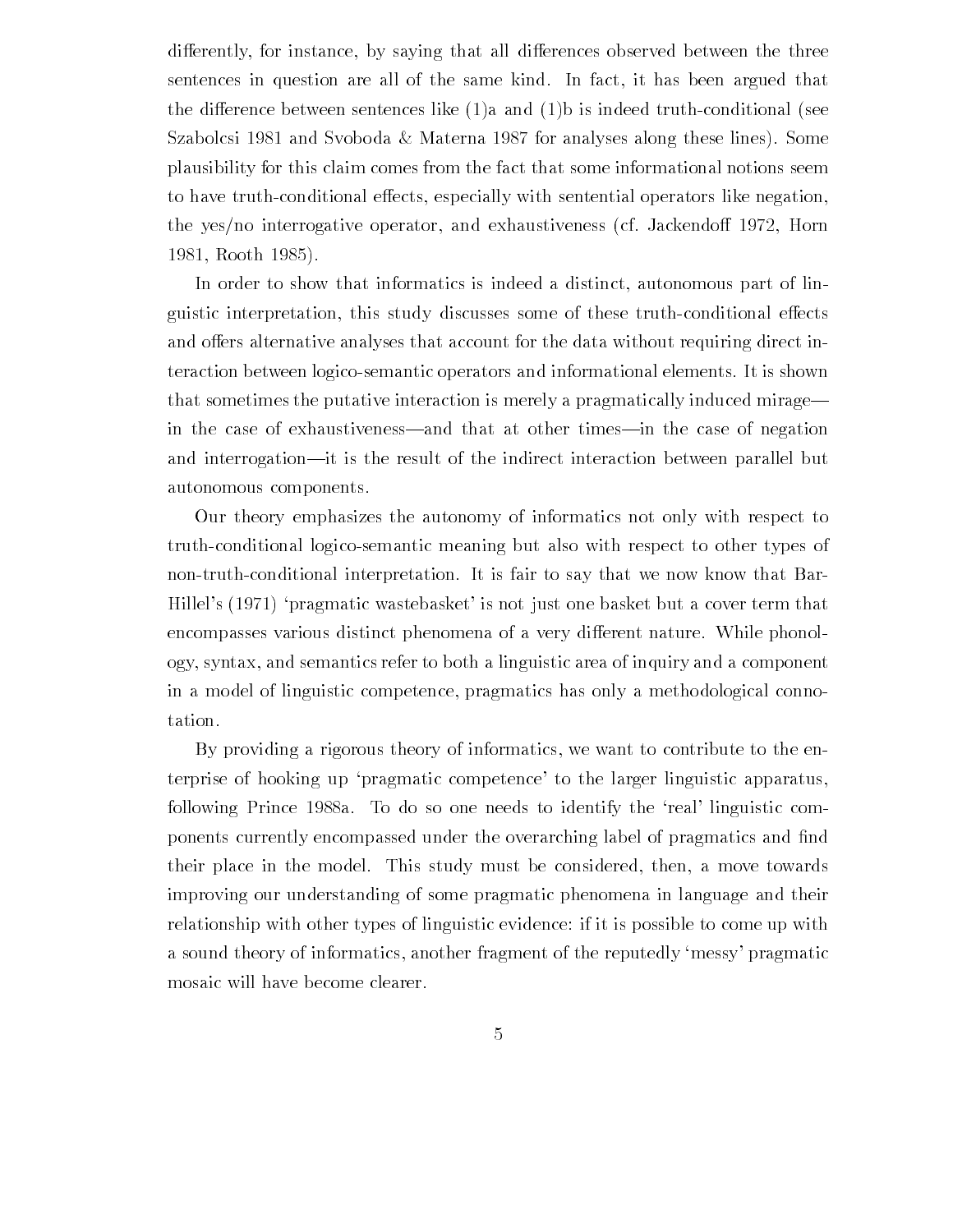differently, for instance, by saying that all differences observed between the three sentences in question are all of the same kind. In fact, it has been argued that the difference between sentences like  $(1)a$  and  $(1)b$  is indeed truth-conditional (see Szabolcsi 1981 and Svoboda & Materna 1987 for analyses along these lines). Some plausibility for this claim comes from the fact that some informational notions seem to have truth-conditional effects, especially with sentential operators like negation, the yes/no interrogative operator, and exhaustiveness (cf. Jackendoff 1972, Horn Rooth 

In order to show that informatics is indeed a distinct, autonomous part of linguistic interpretation, this study discusses some of these truth-conditional effects and offers alternative analyses that account for the data without requiring direct interaction between logicosemantic operators and informational elements It is shown that sometimes the putative interaction is merely a pragmatically induced mirage in the case of exhaustiveness—and that at other times—in the case of negation and interrogation—it is the result of the indirect interaction between parallel but autonomous components

Our theory emphasizes the autonomy of informatics not only with respect to truth-conditional logico-semantic meaning but also with respect to other types of non-truth-conditional interpretation. It is fair to say that we now know that Bar-Hillel's (1971) 'pragmatic wastebasket' is not just one basket but a cover term that encompasses various distinct phenomena of a very different nature. While phonology syntax and semantics refer to both a linguistic area of inquiry and a component in a model of linguistic competence, pragmatics has only a methodological connotation

By providing a rigorous theory of informatics, we want to contribute to the enterprise of hooking up 'pragmatic competence' to the larger linguistic apparatus, following Prince 1988a. To do so one needs to identify the 'real' linguistic components currently encompassed under the overarching label of pragmatics and -nd their place in the model. This study must be considered, then, a move towards improving our understanding of some pragmatic phenomena in language and their relationship with other types of linguistic evidence if it is possible to come up with a sound theory of informatics, another fragment of the reputedly 'messy' pragmatic mosaic will have become clearer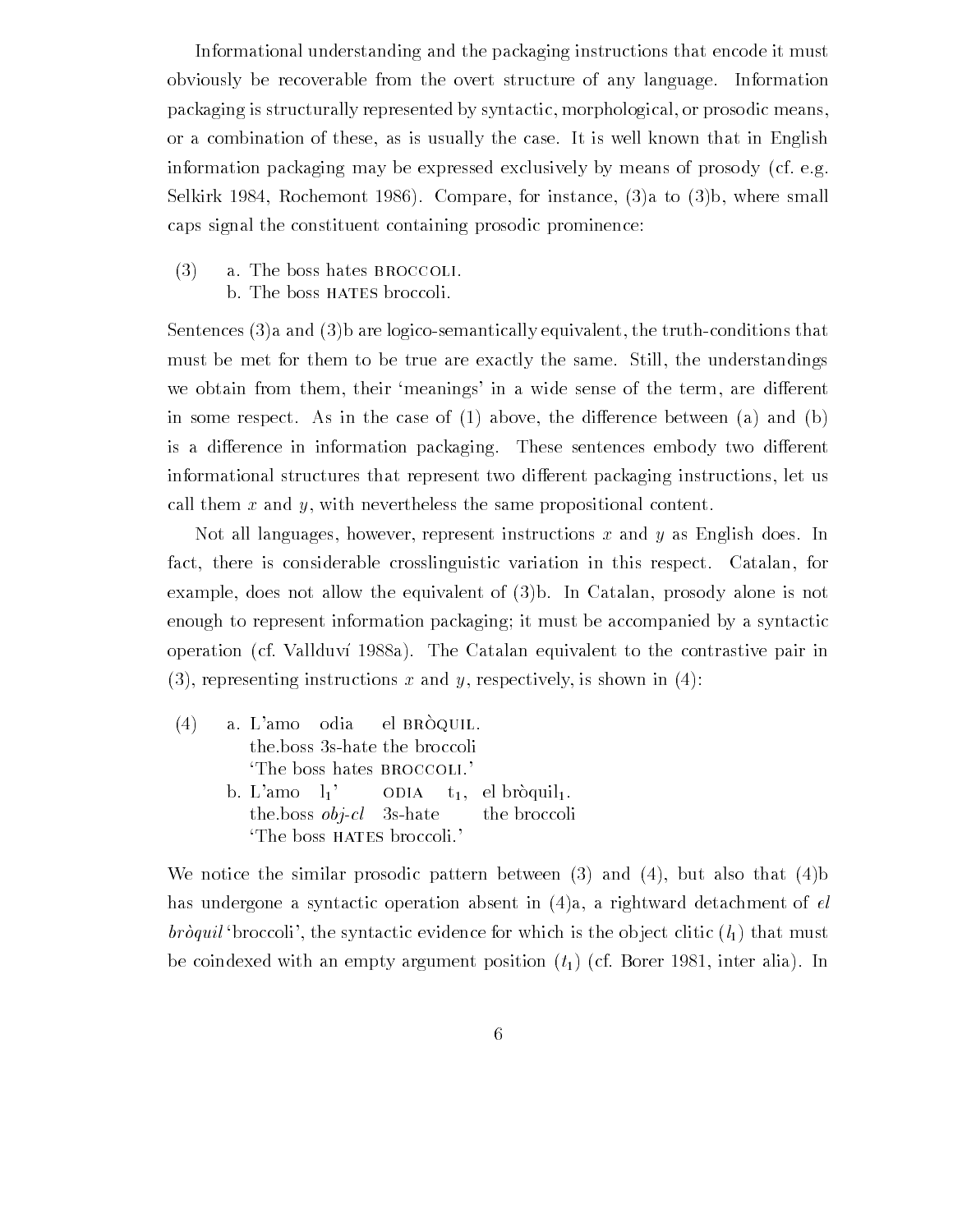Informational understanding and the packaging instructions that encode it must obviously be recoverable from the overt structure of any language Information packaging is structurally represented by syntactic, morphological, or prosodic means, or a combination of these, as is usually the case. It is well known that in English information packaging may be expressed exclusively by means of prosody (cf. e.g. Selkirk 1984, Rochemont 1986). Compare, for instance,  $(3)a$  to  $(3)b$ , where small caps signal the constituent containing prosodic prominence

 $(3)$  a. The boss hates BROCCOLI. b. The boss HATES broccoli.

Sentences  $(3)$  a and  $(3)$  are logico-semantically equivalent, the truth-conditions that must be met for them to be true are exactly the same. Still, the understandings we obtain from them, their 'meanings' in a wide sense of the term, are different in some respect. As in the case of  $(1)$  above, the difference between  $(a)$  and  $(b)$ is a difference in information packaging. These sentences embody two different informational structures that represent two different packaging instructions, let us call them  $x$  and  $y$ , with nevertheless the same propositional content.

Not all languages, however, represent instructions x and y as English does. In fact, there is considerable crosslinguistic variation in this respect. Catalan, for example, does not allow the equivalent of  $(3)$ b. In Catalan, prosody alone is not enough to represent information packaging; it must be accompanied by a syntactic operation (cf. Vallduví 1988a). The Catalan equivalent to the contrastive pair in (3), representing instructions x and y, respectively, is shown in (4):

|                           | $(4)$ a. L'amo odia el BRÒQUIL. |  |  |  |                                                         |
|---------------------------|---------------------------------|--|--|--|---------------------------------------------------------|
|                           | the boss 3s-hate the broccoli   |  |  |  |                                                         |
|                           | The boss hates BROCCOLI.'       |  |  |  |                                                         |
|                           |                                 |  |  |  | b. L'amo $l_1$ ' ODIA $t_1$ , el bròquil <sub>1</sub> . |
|                           |                                 |  |  |  | the boss <i>obj-cl</i> 3s-hate the broccoli             |
| The boss HATES broccoli.' |                                 |  |  |  |                                                         |

We notice the similar prosodic pattern between  $(3)$  and  $(4)$ , but also that  $(4)$ has undergone a syntactic operation absent in  $(4)$ a, a rightward detachment of el bròquil 'broccoli', the syntactic evidence for which is the object clitic  $(l_1)$  that must be coindexed with an empty argument position  $(t_1)$  (cf. Borer 1981, inter alia). In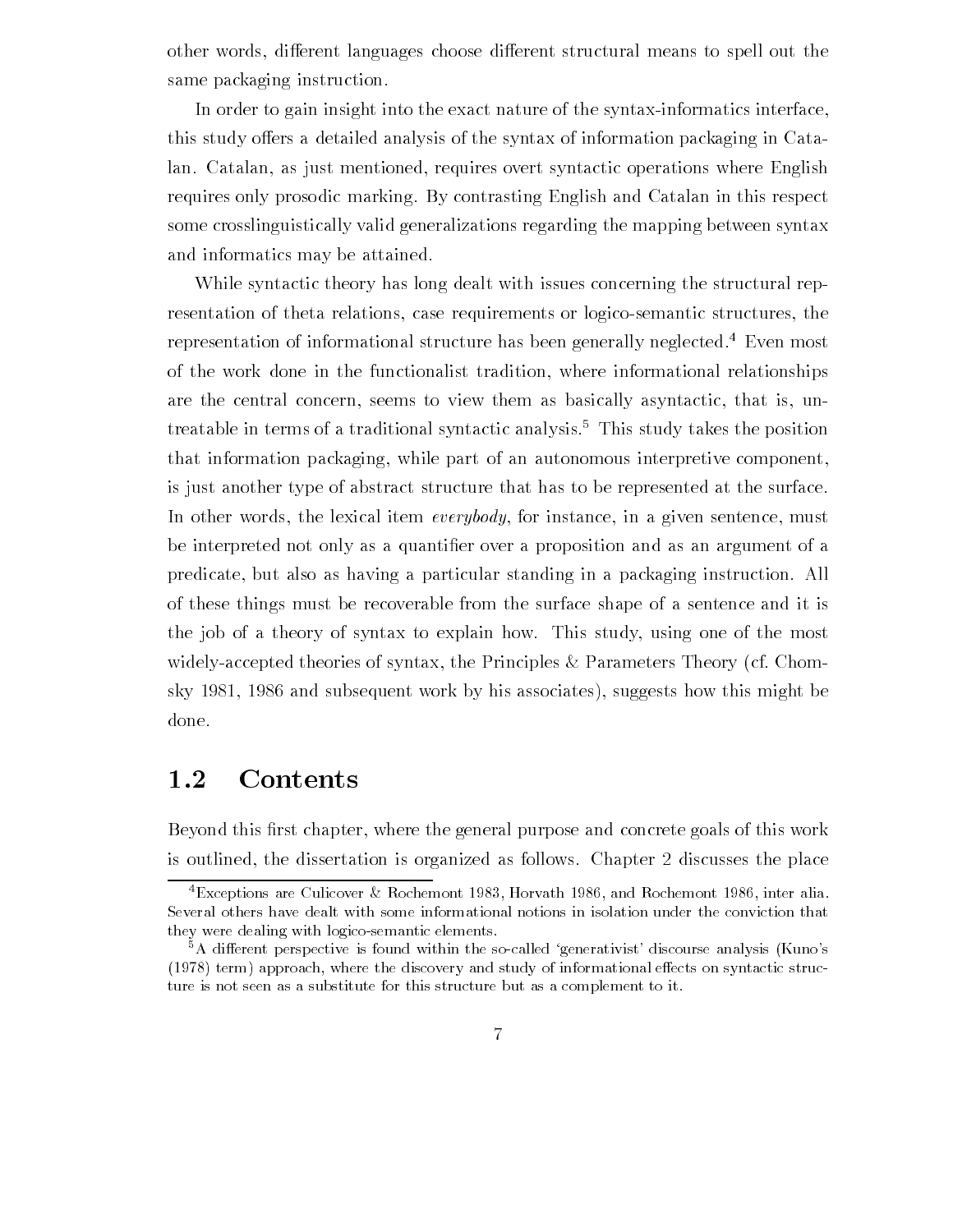other words, different languages choose different structural means to spell out the same packaging instruction

In order to gain insight into the exact nature of the syntax-informatics interface, this study offers a detailed analysis of the syntax of information packaging in Catalan. Catalan, as just mentioned, requires overt syntactic operations where English requires only prosodic marking. By contrasting English and Catalan in this respect some crosslinguistically valid generalizations regarding the mapping between syntax and informatics may be attained

While syntactic theory has long dealt with issues concerning the structural rep resentation of theta relations, case requirements or logico-semantic structures, the representation of informational structure has been generally neglected.<sup>4</sup> Even most of the work done in the functionalist tradition where informational relationships are the central concern, seems to view them as basically asyntactic, that is, untreatable in terms of a traditional syntactic analysis This study takes the position that information packaging, while part of an autonomous interpretive component, is just another type of abstract structure that has to be represented at the surface In other words, the lexical item everybody, for instance, in a given sentence, must be interpreted not only as a quanti-er over a proposition and as an argument of a predicate but also as having a particular standing in a packaging instruction All of these things must be recoverable from the surface shape of a sentence and it is the job of a theory of syntax to explain how. This study, using one of the most widely-accepted theories of syntax, the Principles  $\&$  Parameters Theory (cf. Chomsky 1981, 1986 and subsequent work by his associates), suggests how this might be done

### 1.2

Beyond this -rst chapter where the general purpose and concrete goals of this work is outlined, the dissertation is organized as follows. Chapter 2 discusses the place

 $\tau$ Exceptions are Cuncover  $\alpha$  Rochemont 1985, Horvath 1980, and Rochemont 1980, inter analy Several others have dealt with some informational notions in isolation under the conviction that they were dealing with logico-semantic elements.

<sup>-</sup>A different perspective is found within the so-called generativist-discourse analysis (Kuno-s term approach where the discovery and study of information of information  $\boldsymbol{u}$ ture is not seen as a substitute for this structure but as a complement to it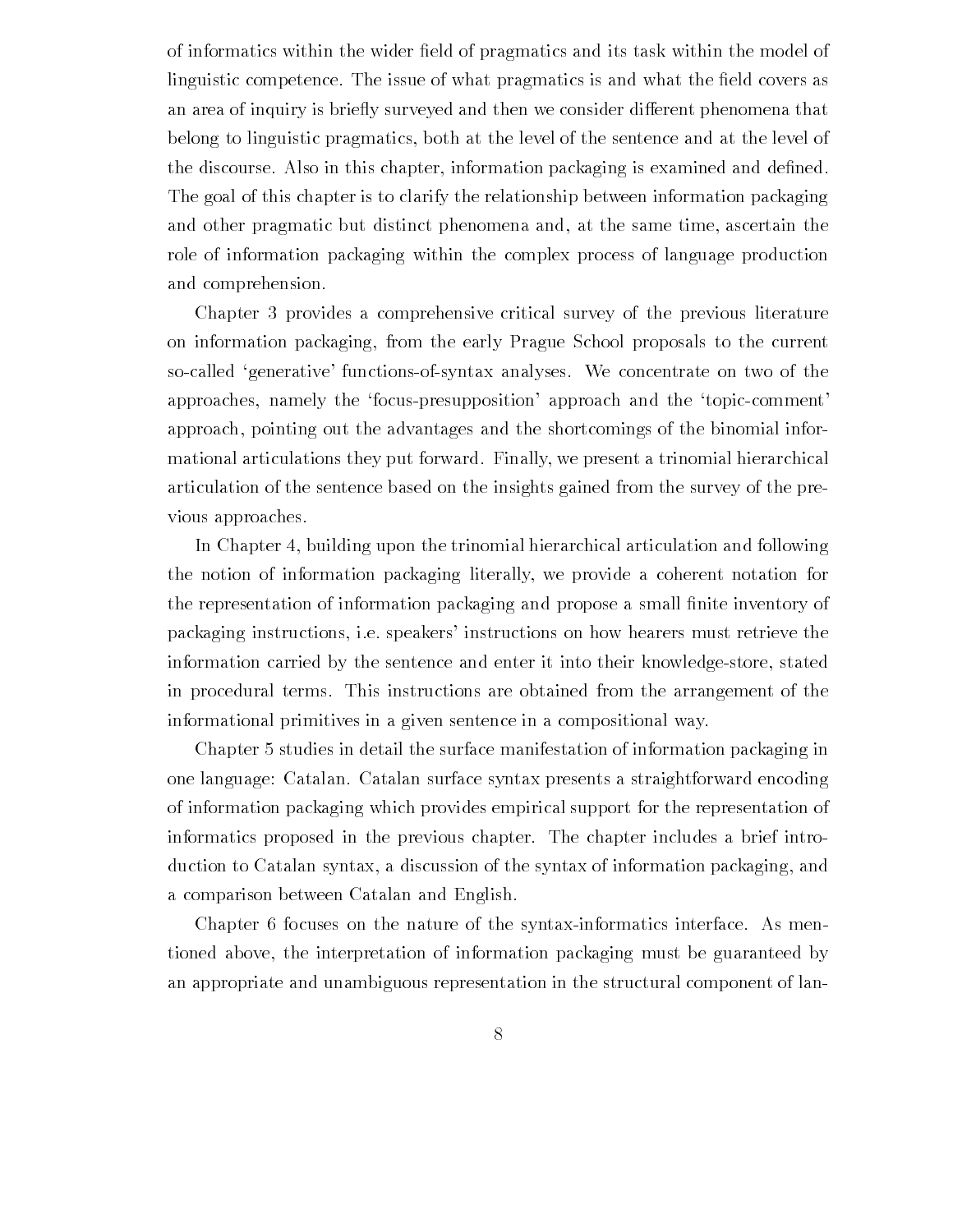of information  $\mathbf{r}$  information  $\mathbf{r}$  and its task within the model of pragmatics and its task within the model of products and its task within the model of  $\mathbf{r}$ linguistic competence The issue of what pragmatics is and what the -eld covers as an area of inquiry is briefly surveyed and then we consider different phenomena that belong to linguistic pragmatics both at the level of the sentence and at the level of the discourse Also in this chapter information packaging is examined and de-ned The goal of this chapter is to clarify the relationship between information packaging and other pragmatic but distinct phenomena and, at the same time, ascertain the role of information packaging within the complex process of language production and comprehension

Chapter 3 provides a comprehensive critical survey of the previous literature on information packaging, from the early Prague School proposals to the current so-called 'generative' functions-of-syntax analyses. We concentrate on two of the approaches, namely the 'focus-presupposition' approach and the 'topic-comment' approach pointing out the advantages and the shortcomings of the binomial infor mational articulations they put forward. Finally, we present a trinomial hierarchical articulation of the sentence based on the insights gained from the survey of the pre vious approaches

In Chapter 4, building upon the trinomial hierarchical articulation and following the notion of information packaging literally we provide a coherent notation for the representation of information packaging and propose a small -nite inventory of packaging instructions, i.e. speakers' instructions on how hearers must retrieve the information carried by the sentence and enter it into their knowledge-store, stated in procedural terms. This instructions are obtained from the arrangement of the informational primitives in a given sentence in a compositional way

Chapter studies in detail the surface manifestation of information packaging in one language: Catalan. Catalan surface syntax presents a straightforward encoding of information packaging which provides empirical support for the representation of informatics proposed in the previous chapter The chapter includes a brief intro duction to Catalan syntax a discussion of the syntax of information packaging and a comparison between Catalan and English

Chapter 6 focuses on the nature of the syntax-informatics interface. As mentioned above the interpretation of information packaging must be guaranteed by an appropriate and unambiguous representation in the structural component of lan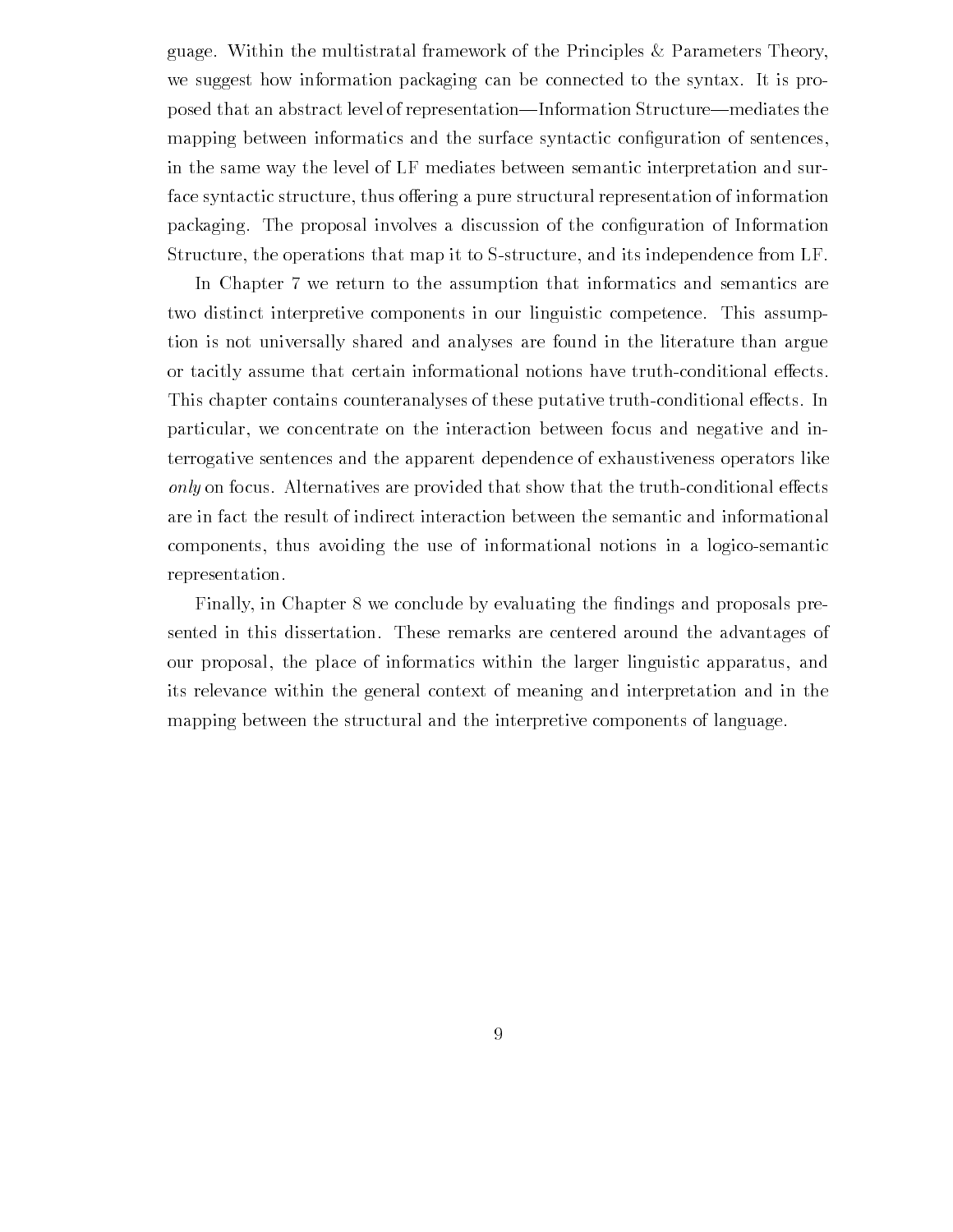guage. Within the multistratal framework of the Principles  $\&$  Parameters Theory, we suggest how information packaging can be connected to the syntax It is pro posed that an abstract level of representation—Information Structure—mediates the mapping between informatics and the surface syntactic con-guration of sentences in the same way the level of LF mediates between semantic interpretation and sur face syntactic structure, thus offering a pure structural representation of information packaging The proposal involves a discussion of the con-guration of Information Structure, the operations that map it to S-structure, and its independence from LF.

In Chapter 7 we return to the assumption that informatics and semantics are two distinct interpretive components in our linguistic competence This assump tion is not universally shared and analyses are found in the literature than argue or tacitly assume that certain informational notions have truth-conditional effects. This chapter contains counteranalyses of these putative truth-conditional effects. In particular, we concentrate on the interaction between focus and negative and interrogative sentences and the apparent dependence of exhaustiveness operators like only on focus. Alternatives are provided that show that the truth-conditional effects are in fact the result of indirect interaction between the semantic and informational components thus avoiding the use of informational notions in a logicosemantic representation

Finally in Chapter we conclude by evaluating the -ndings and proposals pre sented in this dissertation. These remarks are centered around the advantages of our proposal, the place of informatics within the larger linguistic apparatus, and its relevance within the general context of meaning and interpretation and in the mapping between the structural and the interpretive components of language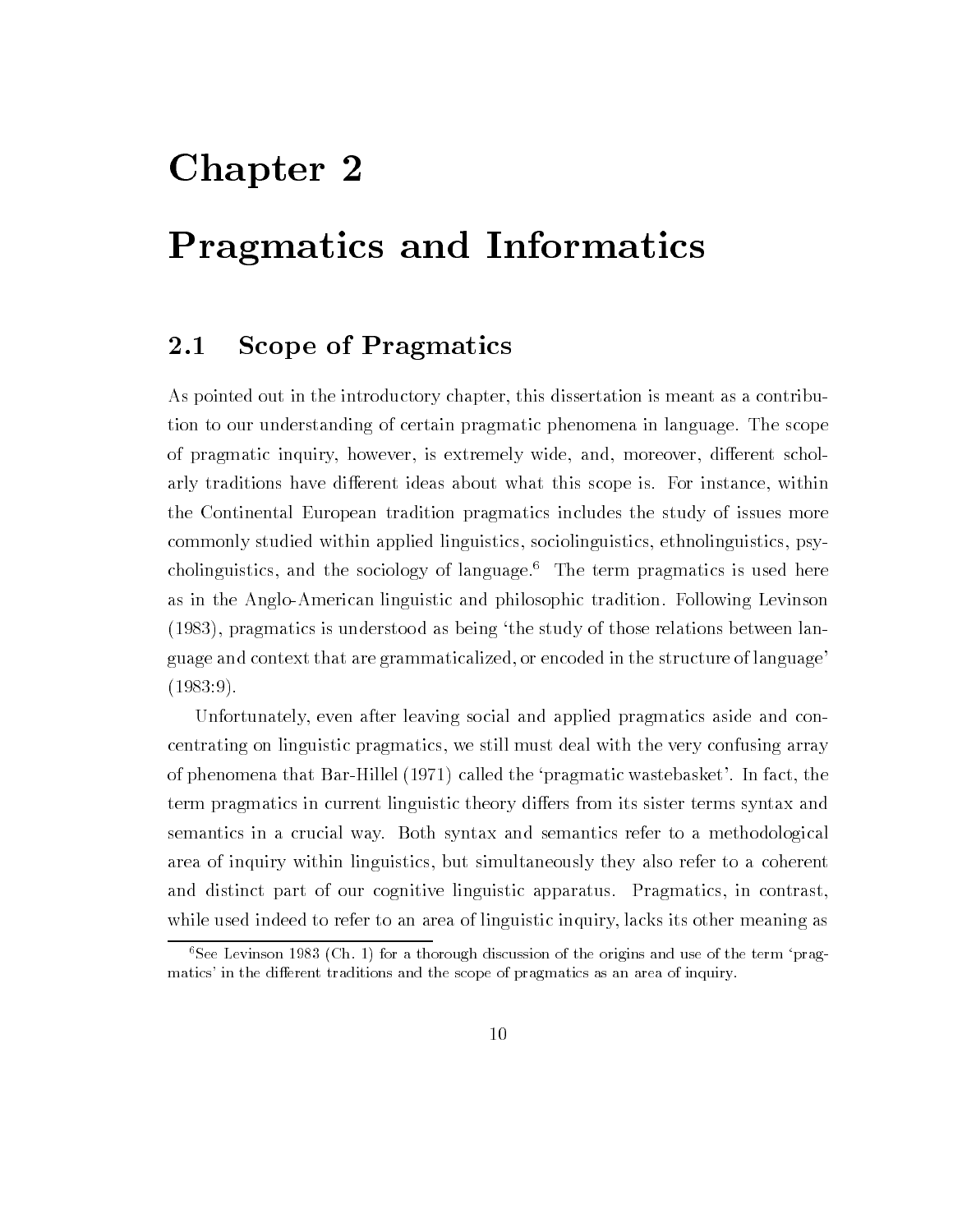## Chapter 2

## Pragmatics and Informatics

#### 2.1 Scope of Pragmatics

As pointed out in the introductory chapter, this dissertation is meant as a contribution to our understanding of certain pragmatic phenomena in language The scope of pragmatic inquiry, however, is extremely wide, and, moreover, different scholarly traditions have different ideas about what this scope is. For instance, within the Continental European tradition pragmatics includes the study of issues more commonly studied within applied linguistics, sociolinguistics, ethnolinguistics, psycholinguistics, and the sociology of language.<sup>6</sup> The term pragmatics is used here as in the AngloAmerican linguistic and philosophic tradition Following Levinson  $(1983)$ , pragmatics is understood as being 'the study of those relations between language and context that are grammaticalized, or encoded in the structure of language'  $(1983:9).$ 

Unfortunately even after leaving social and applied pragmatics aside and con centrating on linguistic pragmatics we still must deal with the very confusing array of phenomena that Bar-Hillel  $(1971)$  called the 'pragmatic wastebasket'. In fact, the term pragmatics in current linguistic theory differs from its sister terms syntax and semantics in a crucial way Both syntax and semantics refer to a methodological area of inquiry within linguistics but simultaneously they also refer to a coherent and distinct part of our cognitive linguistic apparatus. Pragmatics, in contrast, while used indeed to refer to an area of linguistic inquiry, lacks its other meaning as

 $\sim$  See Levinson 1909 (Cn, 1) for a thorough discussion of the origins and use of the term  $\rm ~prag$  – matics- in the dierent traditions and the scope of pragmatics as an area of inquiry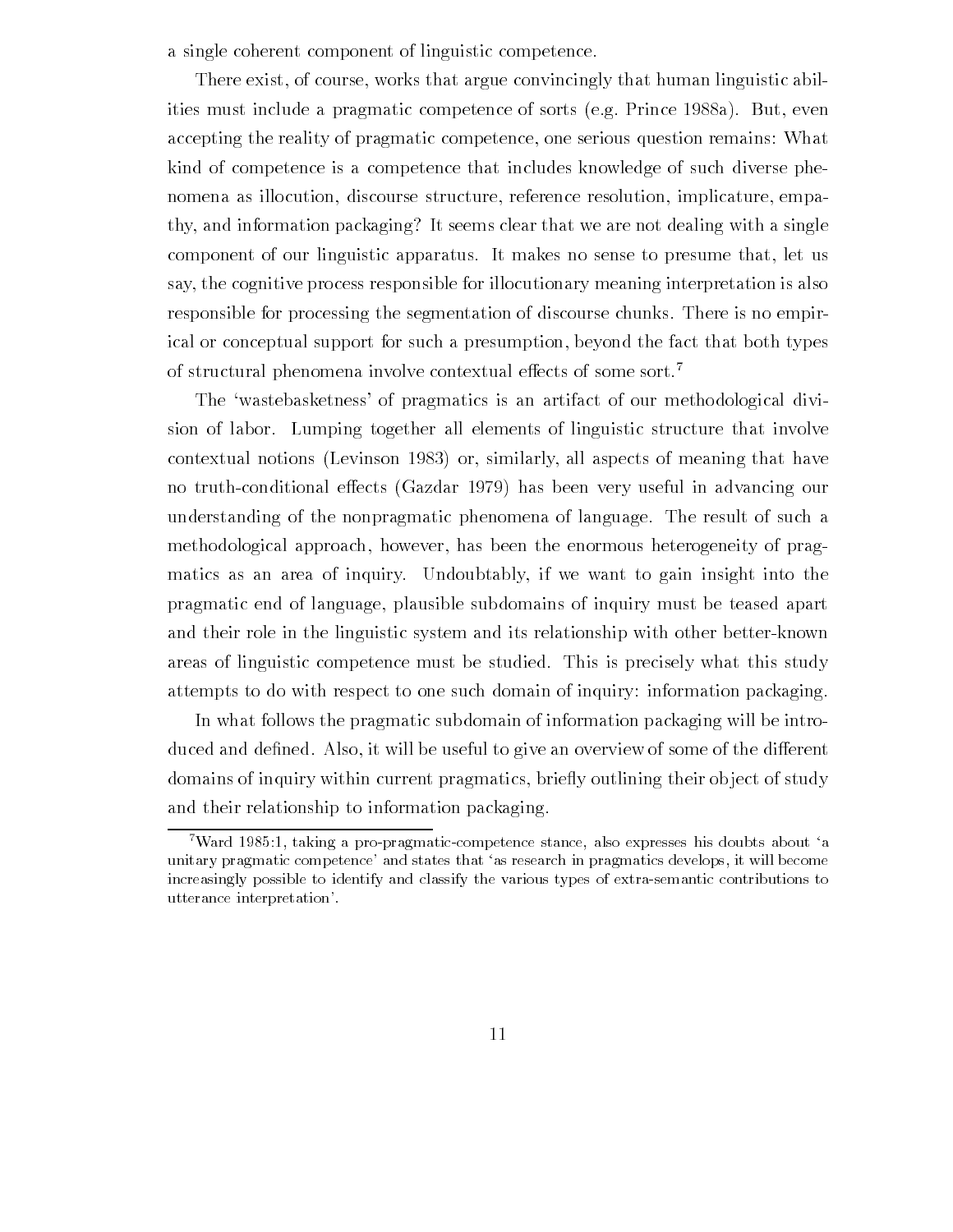a single coherent component of linguistic competence

There exist, of course, works that argue convincingly that human linguistic abilities must include a pragmatic competence of sorts (e.g. Prince 1988a). But, even accepting the reality of pragmatic competence, one serious question remains: What kind of competence is a competence that includes knowledge of such diverse phe nomena as illocution, discourse structure, reference resolution, implicature, empathy, and information packaging? It seems clear that we are not dealing with a single component of our linguistic apparatus. It makes no sense to presume that, let us say the cognitive process responsible for illocutionary meaning interpretation is also responsible for processing the segmentation of discourse chunks There is no empir ical or conceptual support for such a presumption, beyond the fact that both types of structural phenomena involve contextual effects of some sort.<sup>7</sup>

The 'wastebasketness' of pragmatics is an artifact of our methodological division of labor. Lumping together all elements of linguistic structure that involve contextual notions (Levinson 1983) or, similarly, all aspects of meaning that have no truth-conditional effects (Gazdar 1979) has been very useful in advancing our understanding of the nonpragmatic phenomena of language. The result of such a methodological approach, however, has been the enormous heterogeneity of pragmatics as an area of inquiry Undoubtably if we want to gain insight into the pragmatic end of language plausible subdomains of inquiry must be teased apart and their role in the linguistic system and its relationship with other better-known areas of linguistic competence must be studied. This is precisely what this study attempts to do with respect to one such domain of inquiry: information packaging.

In what follows the pragmatic subdomain of information packaging will be intro duced and de-medicing the useful to give and  $\alpha$  and  $\alpha$  and  $\alpha$  and  $\alpha$  the distribution of the distribution of the distribution of the distribution of the distribution of the distribution of the distribution of the d domains of inquiry within current pragmatics, briefly outlining their object of study and their relationship to information packaging

<sup>.</sup> Ward 1989:1, taking a pro-pragmatic-competence stance, also expresses his doubts about a unitary pragmatic competence- and states that as research in pragmatics develops it will become increasingly possible to identify and classify the various types of extra-semantic contributions to utterance interaction-interpretation-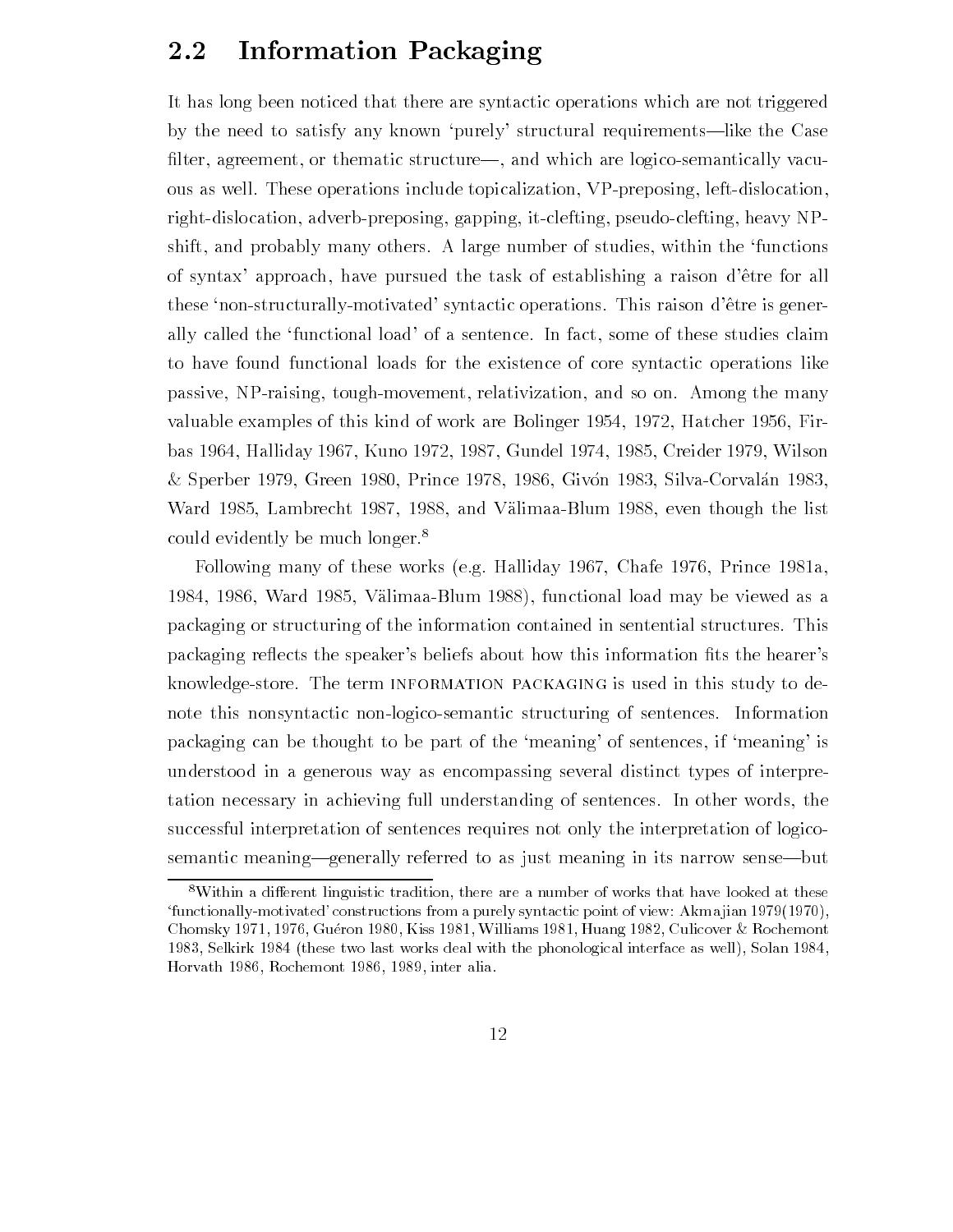#### $2.2$ Information Packaging

It has long been noticed that there are syntactic operations which are not triggered by the need to satisfy any known 'purely' structural requirements—like the Case -lter agreement or thematic structure and which are logicosemantically vacu ous as well. These operations include topicalization, VP-preposing, left-dislocation, right-dislocation, adverb-preposing, gapping, it-clefting, pseudo-clefting, heavy NPshift, and probably many others. A large number of studies, within the 'functions of syntax' approach, have pursued the task of establishing a raison d'être for all these 'non-structurally-motivated' syntactic operations. This raison d'être is generally called the 'functional load' of a sentence. In fact, some of these studies claim to have found functional loads for the existence of core syntactic operations like passive, NP-raising, tough-movement, relativization, and so on. Among the many valuable examples of this kinds of work are bolinger for all the second of the second  $\mathbf{r}$ bas and by present way and it receives an exchange of the second of the second and the product of the second o & Sperber 1979, Green 1980, Prince 1978, 1986, Givón 1983, Silva-Corvalán 1983, ward allen and the list of the list of the list of the list of the list of the list of the list. could evidently be much longer.<sup>8</sup>

Following many of these works (e.g. Halliday 1967, Chafe  $1976$ , Prince 1981a, where  $\mathcal{V}$  allows the viewed as a set of the viewed as a set of the viewed as a set of the viewed as a set of the viewed as a set of the viewed as a set of the viewed as a set of the viewed as a set of the viewed as a packaging or structuring of the information contained in sentential structures This packaging re
ects the speakers beliefs about how this information -ts the hearers knowledge-store. The term INFORMATION PACKAGING is used in this study to denote this nonsyntactic non-logico-semantic structuring of sentences. Information packaging can be thought to be part of the 'meaning' of sentences, if 'meaning' is understood in a generous way as encompassing several distinct types of interpre tation necessary in achieving full understanding of sentences. In other words, the successful interpretation of sentences requires not only the interpretation of logico semantic meaning—generally referred to as just meaning in its narrow sense—but

 ${}^8$ Within a different linguistic tradition, there are a number of works that have looked at these functionallymotivated- constructions from a purely syntactic point of view Akmajian e die staatse gebeur is. Dit will in die staatse koning van die staatse koning van die staatse koning van die Selkirk  these two last works deal with the phonological interface as well Solan  Horvath Rochemont inter alia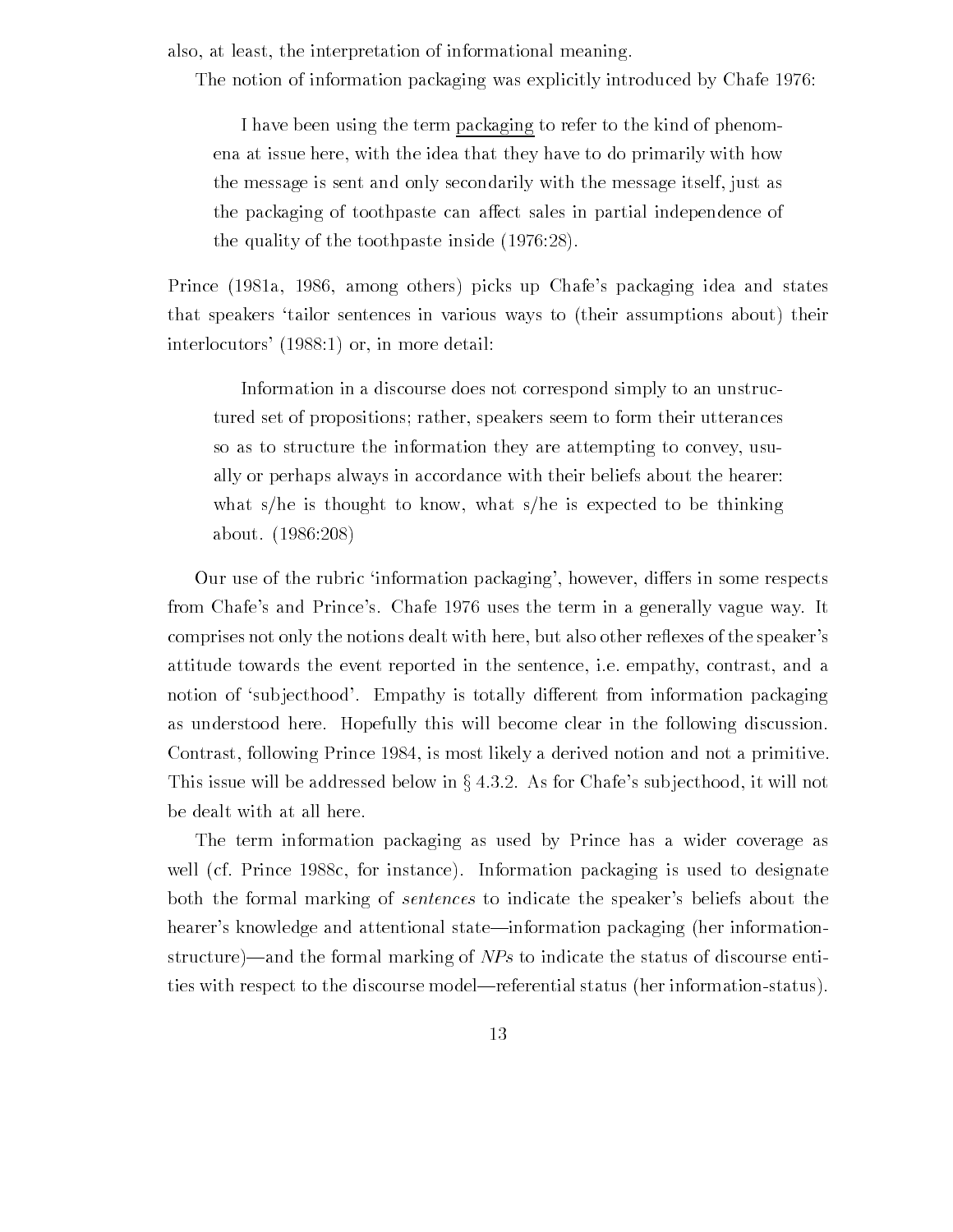also, at least, the interpretation of informational meaning.

The notion of information packaging was explicitly introduced by Chafe 1976:

I have been using the term packaging to refer to the kind of phenom ena at issue here, with the idea that they have to do primarily with how the message is sent and only secondarily with the message itself just as the packaging of toothpaste can affect sales in partial independence of the quality of the toothpaste inside (1976:28).

Prince (1981a, 1986, among others) picks up Chafe's packaging idea and states that speakers 'tailor sentences in various ways to (their assumptions about) their  $interlocators'$  (1988:1) or, in more detail:

Information in a discourse does not correspond simply to an unstruc tured set of propositions; rather, speakers seem to form their utterances so as to structure the information they are attempting to convey usu ally or perhaps always in accordance with their beliefs about the hearer what s/he is thought to know, what s/he is expected to be thinking about. (1986:208)

Our use of the rubric information packaging', however, differs in some respects from Chafe's and Prince's. Chafe 1976 uses the term in a generally vague way. It comprises not only the notions dealt with here, but also other reflexes of the speaker's attitude towards the event reported in the sentence, i.e. empathy, contrast, and a notion of 'subjecthood'. Empathy is totally different from information packaging as understood here. Hopefully this will become clear in the following discussion. Contrast, following Prince 1984, is most likely a derived notion and not a primitive. This issue will be addressed below in  $\S 4.3.2$ . As for Chafe's subjecthood, it will not be dealt with at all here

The term information packaging as used by Prince has a wider coverage as well (cf. Prince 1988c, for instance). Information packaging is used to designate both the formal marking of *sentences* to indicate the speaker's beliefs about the hearer's knowledge and attentional state—information packaging (her informationstructure)—and the formal marking of  $NPs$  to indicate the status of discourse entities with respect to the discourse model—referential status (her information-status).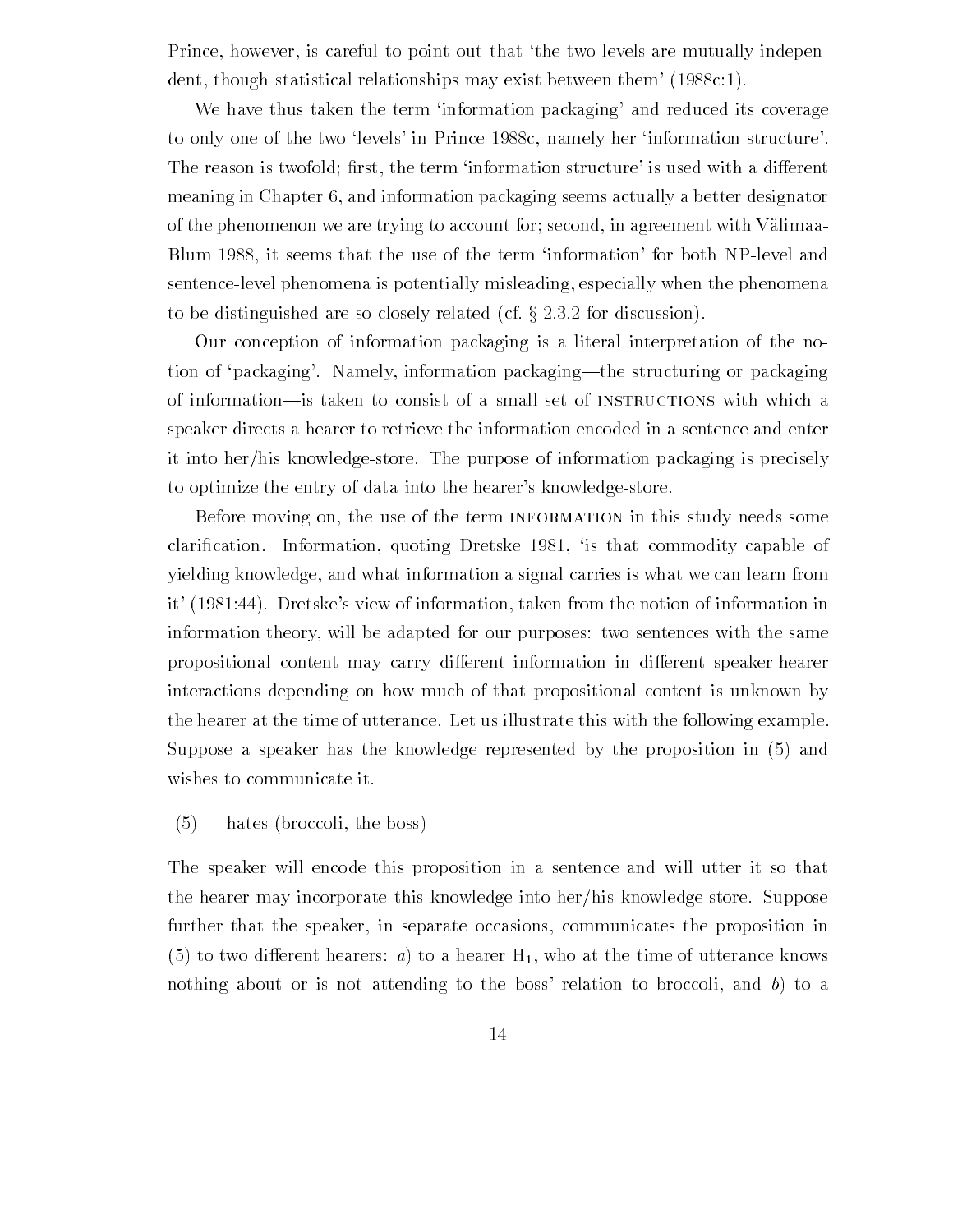Prince, however, is careful to point out that 'the two levels are mutually independent, though statistical relationships may exist between them  $(1988c:1)$ .

We have thus taken the term 'information packaging' and reduced its coverage to only one of the two 'levels' in Prince 1988c, namely her 'information-structure'. The reason is twofold -rst the term information structure is used with a dierent meaning in Chapter 6, and information packaging seems actually a better designator of the phenomenon we are trying to account for; second, in agreement with Välimaa-Blum 1988, it seems that the use of the term 'information' for both NP-level and sentence-level phenomena is potentially misleading, especially when the phenomena to be distinguished are so closely related (cf.  $\S 2.3.2$  for discussion).

Our conception of information packaging is a literal interpretation of the no tion of 'packaging'. Namely, information packaging—the structuring or packaging of information—is taken to consist of a small set of INSTRUCTIONS with which a speaker directs a hearer to retrieve the information encoded in a sentence and enter it into her/his knowledge-store. The purpose of information packaging is precisely to optimize the entry of data into the hearer's knowledge-store.

Before moving on, the use of the term INFORMATION in this study needs some claric Information Information Information Information Information Information Information Information Information Information Information Information Information Information Information Information Information Information yielding knowledge and what information a signal carries is what we can learn from it' (1981:44). Dretske's view of information, taken from the notion of information in information theory, will be adapted for our purposes: two sentences with the same propositional content may carry different information in different speaker-hearer interactions depending on how much of that propositional content is unknown by the hearer at the time of utterance. Let us illustrate this with the following example. Suppose a speaker has the knowledge represented by the proposition in and wishes to communicate it

 $(5)$ hates (broccoli, the boss)

The speaker will encode this proposition in a sentence and will utter it so that the hearer may incorporate this knowledge into her/his knowledge-store. Suppose further that the speaker, in separate occasions, communicates the proposition in to two dierent hearers a to a hearer H who at the time of utterance knows nothing about or is not attending to the boss' relation to broccoli, and  $b$ ) to a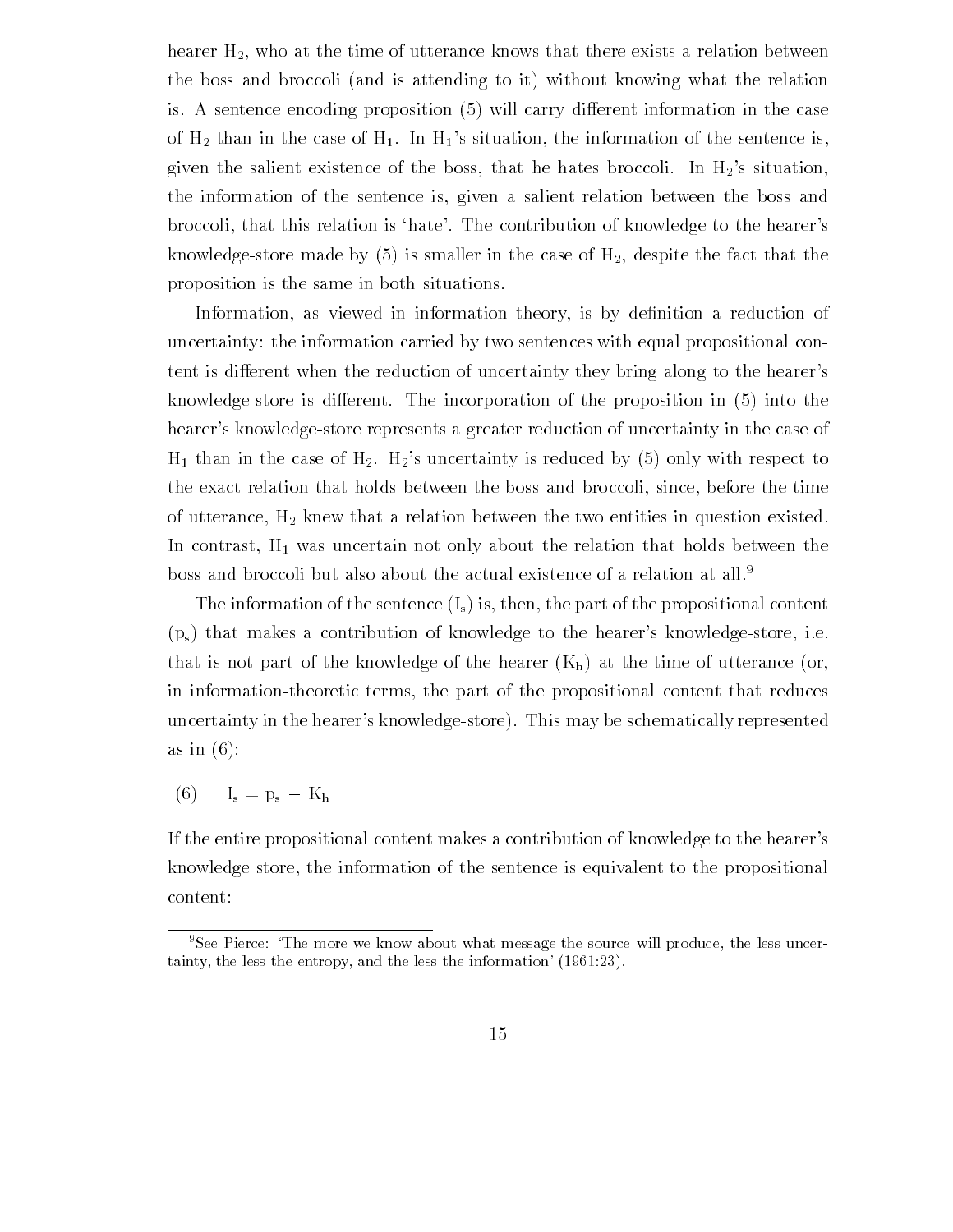hearer  $H_2$ , who at the time of utterance knows that there exists a relation between the boss and broccoli (and is attending to it) without knowing what the relation is A sentence encoding proposition will carry dierent information in the case of  $H_2$  than in the case of  $H_1$ . In  $H_1$ 's situation, the information of the sentence is, given the salient existence of the boss, that he hates broccoli. In  $H_2$ 's situation, the information of the sentence is given a salient relation between the boss and broccoli, that this relation is 'hate'. The contribution of knowledge to the hearer's knowledge store made by  $\{x\}$  in the case of the fact the fact the fact that the fact the fact that proposition is the same in both situations

Information as viewed in information theory is by de-nition a reduction of uncertainty: the information carried by two sentences with equal propositional content is different when the reduction of uncertainty they bring along to the hearer's  $k$ nowledgestore is dierent The incorporation in the proposition in the proposition in the proposition in the proposition in the proposition in the proposition in the proposition in the proposition in the proposition in t hearer's knowledge-store represents a greater reduction of uncertainty in the case of H than in the case of Hs uncertainty is reduced by  $\{A\}$  ,  $\{A\}$  ,  $\{A\}$  ,  $\{A\}$  ,  $\{A\}$  ,  $\{A\}$  ,  $\{A\}$  ,  $\{A\}$  ,  $\{A\}$  ,  $\{A\}$  ,  $\{A\}$  ,  $\{A\}$  ,  $\{A\}$  ,  $\{A\}$  ,  $\{A\}$  ,  $\{A\}$  ,  $\{A\}$  , the exact relation that holds between the boss and broccoli, since, before the time of utterance,  $H_2$  knew that a relation between the two entities in question existed. In contrast,  $H_1$  was uncertain not only about the relation that holds between the boss and broccoli but also about the actual existence of a relation at all

The information of the sentence  $(I_s)$  is, then, the part of the propositional content  $(p_s)$  that makes a contribution of knowledge to the hearer's knowledge-store, i.e. that is not part of the knowledge of the hearer  $(K_h)$  at the time of utterance (or, in information-theoretic terms, the part of the propositional content that reduces uncertainty in the hearer's knowledge-store). This may be schematically represented as in  $(6)$ :

 $I_s = p_s - K_h$ 

If the entire propositional content makes a contribution of knowledge to the hearer's knowledge store, the information of the sentence is equivalent to the propositional content

<sup>&</sup>lt;sup>9</sup>See Pierce: 'The more we know about what message the source will produce, the less uncertainty the less the entropy and the less the information-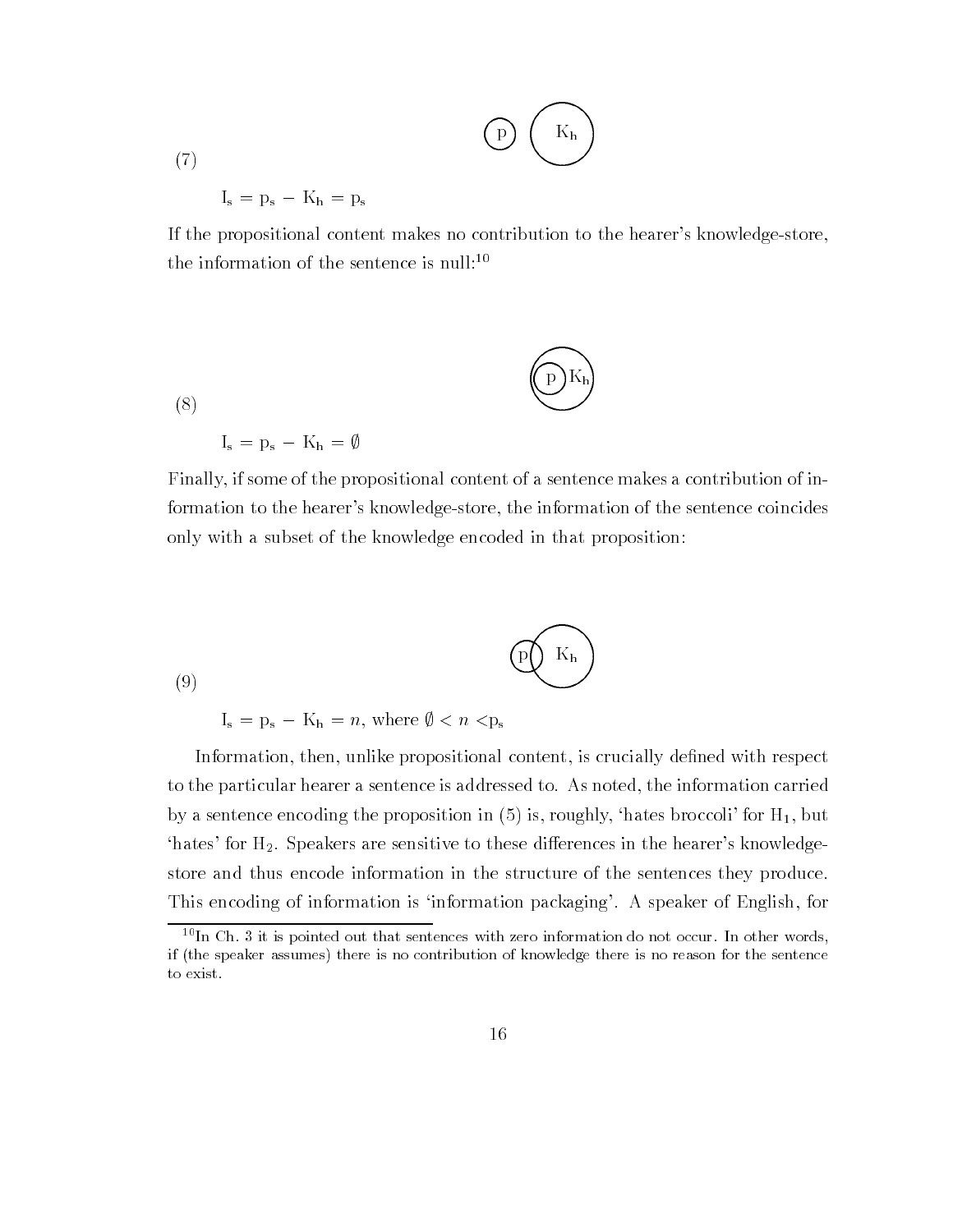$$
\displaystyle\bigodot\; \left(\begin{array}{c}\mathbf{K_h}\\ \mathbf{K_h}\end{array}\right)
$$

 $(7)$ 

 $I_s = p_s - K_h = p_s$ 

If the propositional content makes no contribution to the hearer's knowledge-store, the information of the sentence is null:<sup>10</sup>

$$
\left(\mathbf{D}\mathbf{K}_{\mathbf{h}}\right)
$$

 $(8)$ 

 $I_s = p_s - K_h = \emptyset$ 

Finally, if some of the propositional content of a sentence makes a contribution of information to the hearer's knowledge-store, the information of the sentence coincides only with a subset of the knowledge encoded in that proposition

$$
\left(9\right)
$$
 (9)

 $I_s = p_s - K_h = n$ , where  $\emptyset < n < p_s$ 

Information then unlike propositional content is crucially de-ned with respect to the particular hearer a sentence is addressed to. As noted, the information carried  $\alpha$  and the proposition in the proposition in  $\alpha$  is roughly district for the sentence  $\alpha$ 'hates' for  $H_2$ . Speakers are sensitive to these differences in the hearer's knowledgestore and thus encode information in the structure of the sentences they produce This encoding of information is 'information packaging'. A speaker of English, for

 $10$ In Ch. 3 it is pointed out that sentences with zero information do not occur. In other words, if (the speaker assumes) there is no contribution of knowledge there is no reason for the sentence to exist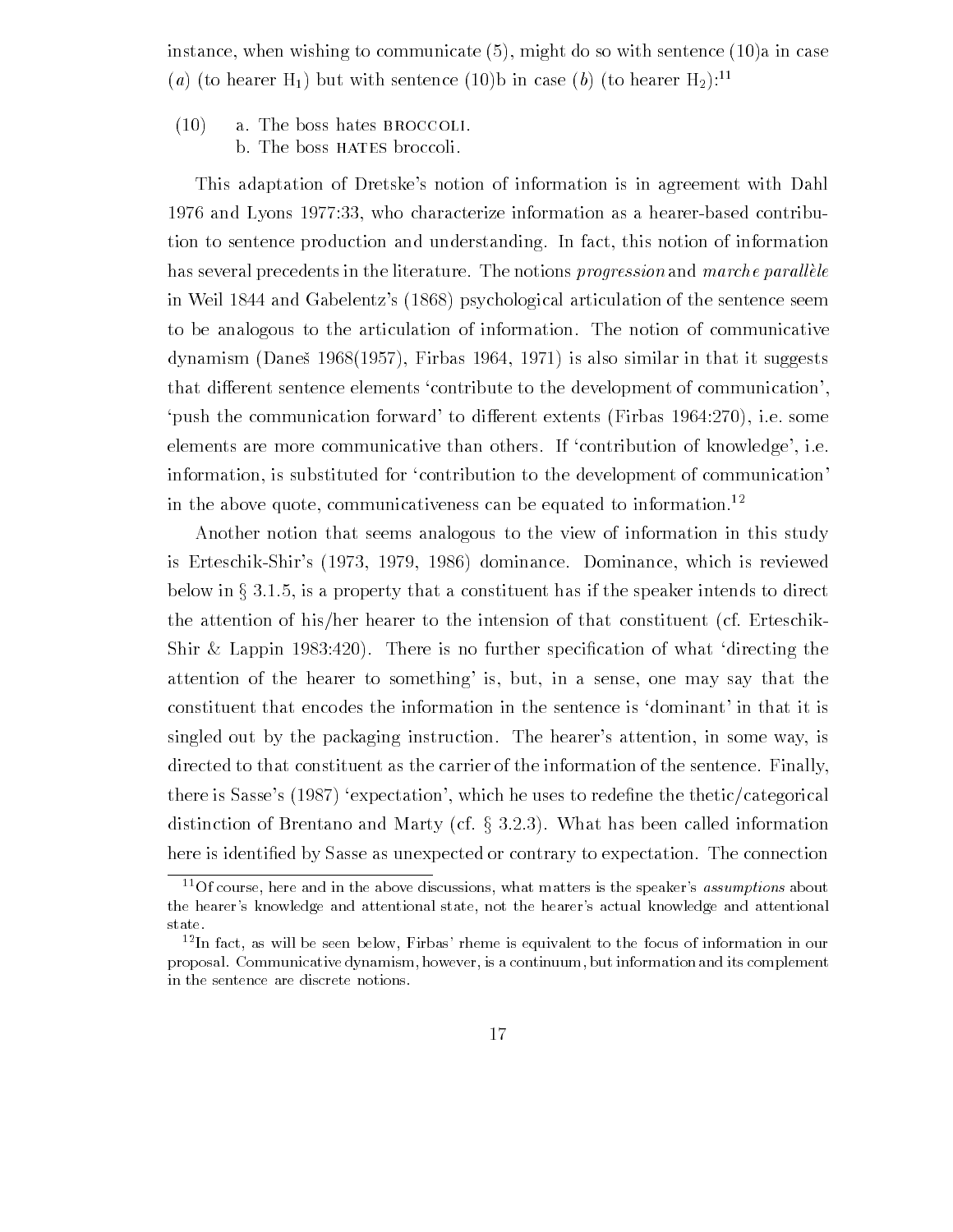instance when with do so with do so with sentence a in case  $\mathcal{N}$  and case  $\mathcal{N}$ (a) (to hearer H<sub>1</sub>) but with sentence (10)b in case (b) (to hearer H<sub>2</sub>):<sup>11</sup>

 $(10)$  a. The boss hates BROCCOLI. b. The boss HATES broccoli.

This adaptation of Dretske's notion of information is in agreement with Dahl 1976 and Lyons 1977:33, who characterize information as a hearer-based contribution to sentence production and understanding. In fact, this notion of information has several precedents in the literature. The notions progression and marche parallèle in Weil 1844 and Gabelentz's (1868) psychological articulation of the sentence seem to be analogous to the articulation of information The notion of communicative  $\alpha$  , also similar it such that it suggests in the interval  $\alpha$  is also similar it suggests in the interval  $\alpha$ that different sentence elements 'contribute to the development of communication'. push the communication forward to different extents (Firbas  $1964:270$ ), i.e. some elements are more communicative than others. If 'contribution of knowledge', i.e. information, is substituted for 'contribution to the development of communication' in the above quote, communicativeness can be equated to information.<sup>12</sup>

Another notion that seems analogous to the view of information in this study is Erteschik-Shir's (1973, 1979, 1986) dominance. Dominance, which is reviewed below in  $\S 3.1.5$ , is a property that a constituent has if the speaker intends to direct the attention of his/her hearer to the intension of that constituent (cf. Erteschik- $\mathcal{L}$  . There is no further specific there is no further specific the whole whole  $\mathcal{L}$ attention of the hearer to something' is, but, in a sense, one may say that the constituent that encodes the information in the sentence is 'dominant' in that it is singled out by the packaging instruction. The hearer's attention, in some way, is directed to that constituent as the carrier of the information of the sentence Finally there is satisfied a property which he uses the satisfied to rede-the the thetical control theorem is distinction of Brentano and Marty (cf.  $\S 3.2.3$ ). What has been called information here is identi-ed by Sasse as unexpected or contrary to expectation The connection

TUI course, here and in the above discussions, what matters is the speaker-s-*assumptions* about the hearer-s knowledge and attentional state not the hearer-s actual knowledge and attentional state.

The fact, as will be seen below, **Fir**bas-fieme is equivalent to the focus of information in ourproposal Communicative dynamism however is a continuum but information and its complement in the sentence are discrete notions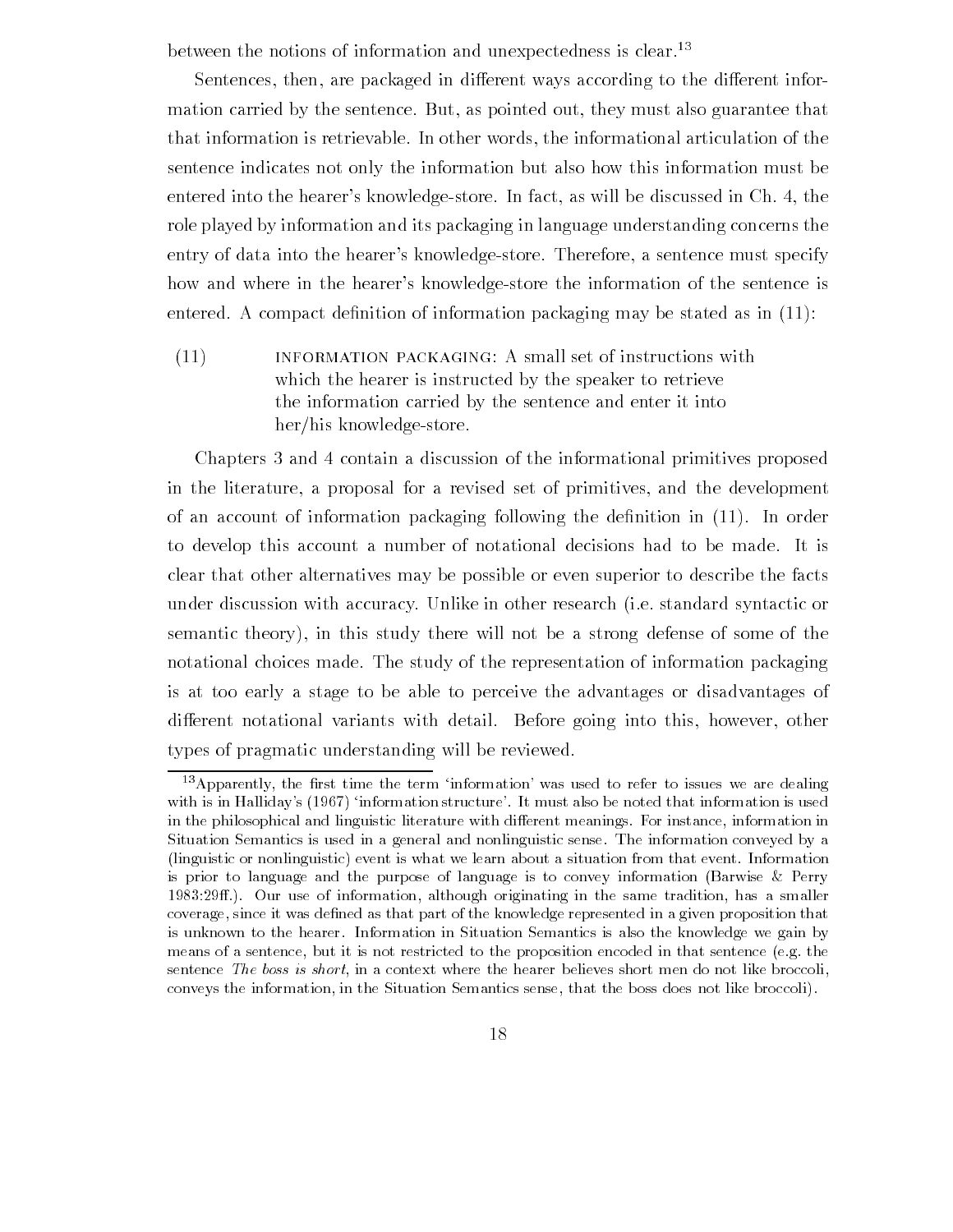between the notions of information and unexpectedness is clear.<sup>13</sup>

Sentences, then, are packaged in different ways according to the different information carried by the sentence. But, as pointed out, they must also guarantee that that information is retrievable In other words the informational articulation of the sentence indicates not only the information but also how this information must be entered into the hearer's knowledge-store. In fact, as will be discussed in Ch. 4, the role played by information and its packaging in language understanding concerns the entry of data into the hearer's knowledge-store. Therefore, a sentence must specify how and where in the hearer's knowledge-store the information of the sentence is entered a compact de-minister of information packaging many stated as in the proper

(11) INFORMATION PACKAGING: A small set of instructions with which the hearer is instructed by the speaker to retrieve the information carried by the sentence and enter it into  $her/his$  knowledge-store.

Chapters 3 and 4 contain a discussion of the informational primitives proposed in the literature a proposal for a revised set of primitives and the development of an account of information packaging following the de-nition in In order to develop this account a number of notational decisions had to be made. It is clear that other alternatives may be possible or even superior to describe the facts under discussion with accuracy. Unlike in other research (i.e. standard syntactic or semantic theory), in this study there will not be a strong defense of some of the notational choices made. The study of the representation of information packaging is at too early a stage to be able to perceive the advantages or disadvantages of different notational variants with detail. Before going into this, however, other types of pragmatic understanding will be reviewed

<sup>--</sup>Apparently, the lifst time the term information-was used to refer to issues we are dealing with is in Halliday-s  $\{1,2,3,4\}$  . It must also be noted that is used to the noted that information is used in the philosophical and linguistic literature with different meanings. For instance, information in Situation Semantics is used in a general and nonlinguistic sense The information conveyed by a linguistic or nonlinguistic) event is what we learn about a situation from that event. Information is prior to language and the purpose of language is to convey information (Barwise  $\&$  Perry Our use of information although originating in the same tradition has a smaller coverage, since it was defined as that part of the knowledge represented in a given proposition that is unknown to the hearer. Information in Situation Semantics is also the knowledge we gain by means of a sentence, but it is not restricted to the proposition encoded in that sentence (e.g. the sentence The boss is short, in a context where the hearer believes short men do not like broccoli, conveys the information, in the Situation Semantics sense, that the boss does not like broccoli).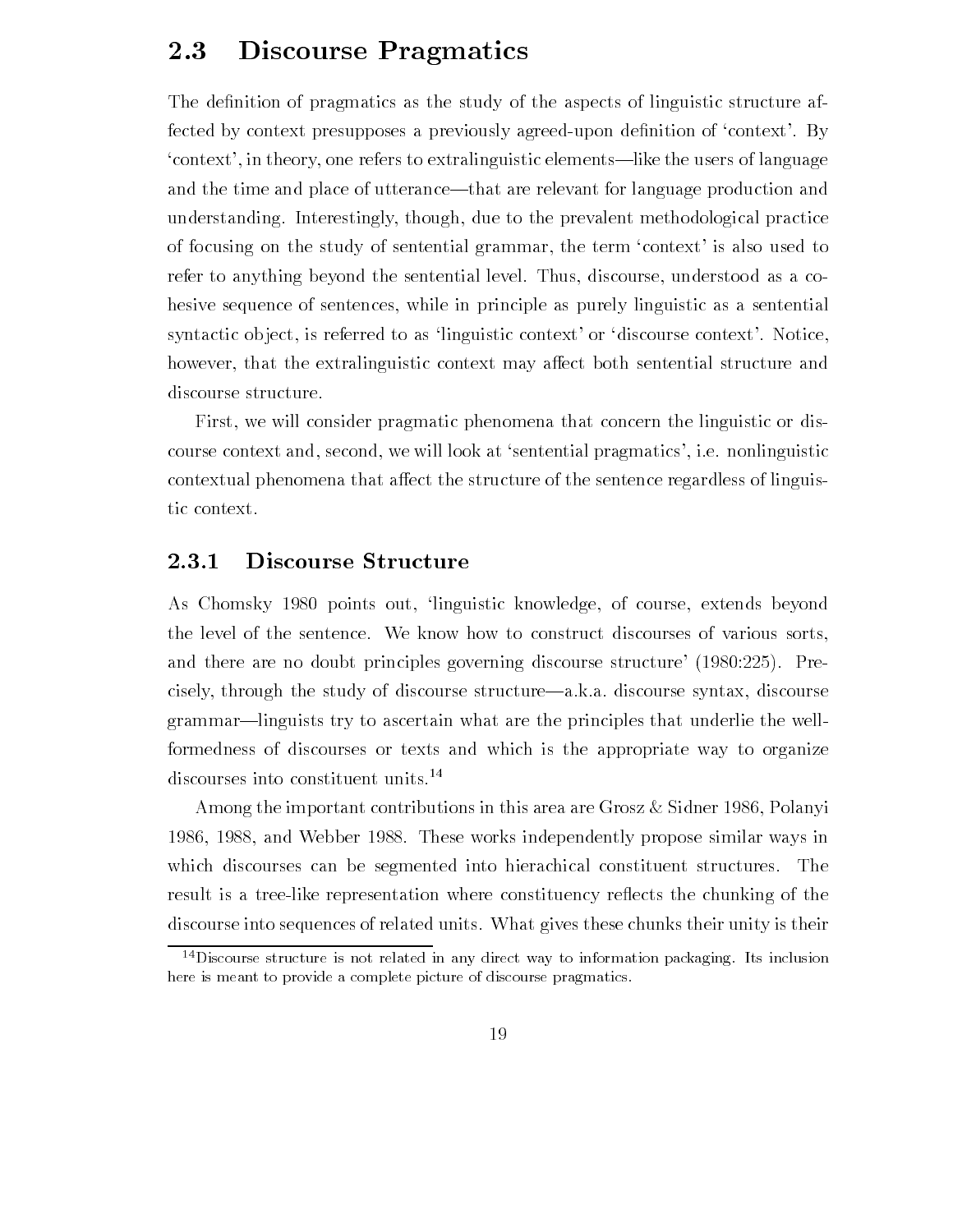#### 2.3 Discourse Pragmatics

The definition of pracmatics as the study of the study of linear structure after a spectrum  $\mathbf{A}$ fected by context presumption and  $\alpha$  agreed upon defined upon defined upon decontext', in theory, one refers to extralinguistic elements—like the users of language and the time and place of utterance—that are relevant for language production and understanding Interestingly though due to the prevalent methodological practice of focusing on the study of sentential grammar, the term 'context' is also used to refer to anything beyond the sentential level. Thus, discourse, understood as a cohesive sequence of sentences, while in principle as purely linguistic as a sentential syntactic object, is referred to as 'linguistic context' or 'discourse context'. Notice, however, that the extralinguistic context may affect both sentential structure and discourse structure

First, we will consider pragmatic phenomena that concern the linguistic or discourse context and, second, we will look at 'sentential pragmatics', i.e. nonlinguistic contextual phenomena that affect the structure of the sentence regardless of linguistic context

#### 2.3.1 Discourse Structure

As Chomsky 1980 points out, 'linguistic knowledge, of course, extends beyond the level of the sentence We know how to construct discourses of various sorts and there are no doubt principles governing discourse structure  $\mathcal{W}$ cisely, through the study of discourse structure—a.k.a. discourse syntax, discourse grammar—linguists try to ascertain what are the principles that underlie the wellformedness of discourses or texts and which is the appropriate way to organize discourses into constituent units.<sup>14</sup>

Among the important contributions in this area are Grosz & Sidner 1986, Polanyi 1986, 1988, and Webber 1988. These works independently propose similar ways in which discourses can be segmented into hierachical constituent structures. The result is a tree-like representation where constituency reflects the chunking of the discourse into sequences of related units. What gives these chunks their unity is their

 $14$  Discourse structure is not related in any direct way to information packaging. Its inclusion here is meant to provide a complete picture of discourse pragmatics.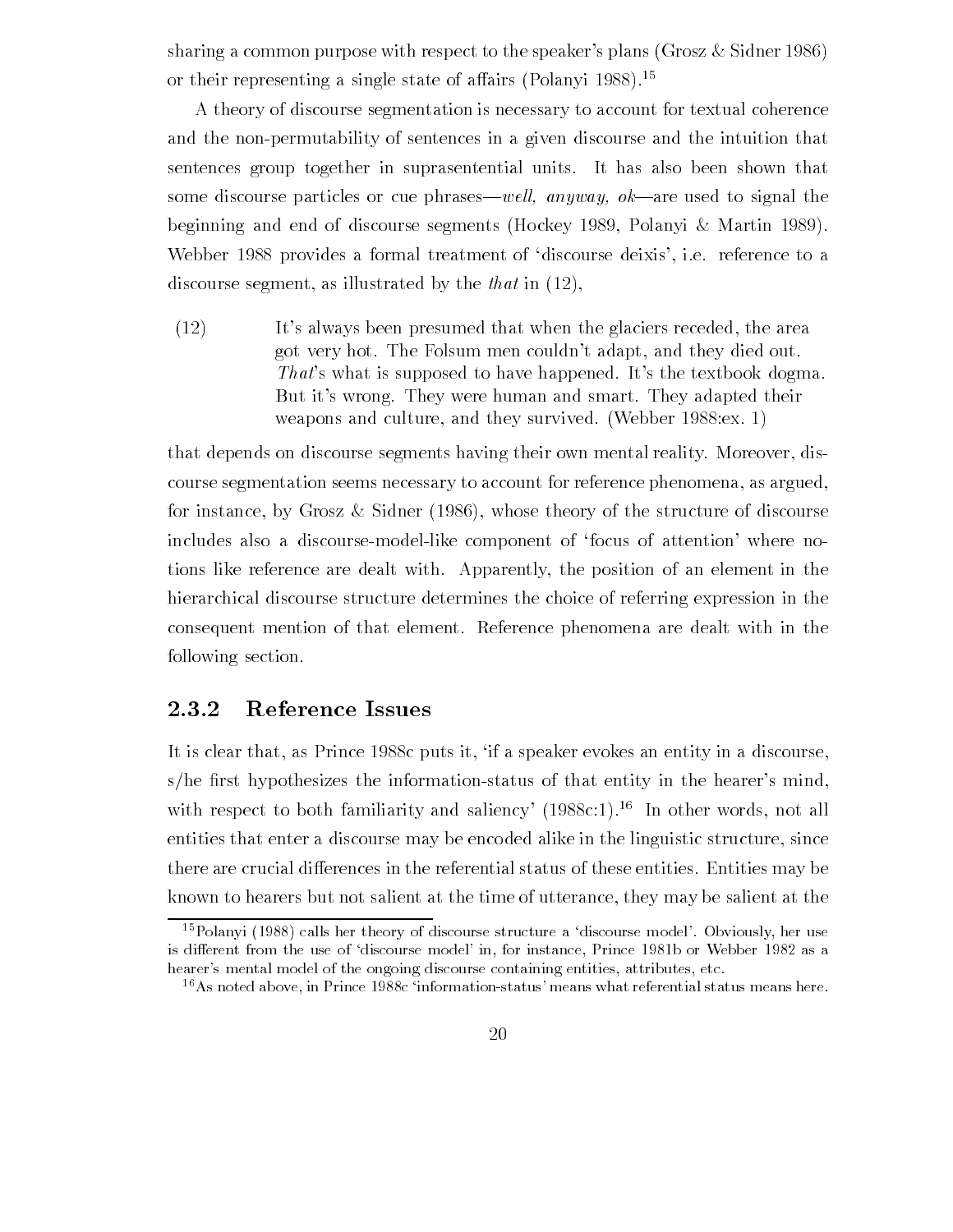sharing a common purpose with respect to the speaker's plans (Grosz  $\&$  Sidner 1986) or their representing a single state of affairs (Polanyi 1988).<sup>15</sup>

A theory of discourse segmentation is necessary to account for textual coherence and the nonpermutability of sentences in a given discourse and the intuition that sentences group together in suprasentential units It has also been shown that some discourse particles or cue phraseswel l- anyway- okare used to signal the beginning and end of discourse segments (Hockey 1989, Polanyi & Martin 1989). Webber 1988 provides a formal treatment of 'discourse deixis', i.e. reference to a discourse segment, as illustrated by the *that* in  $(12)$ .

 $I(12)$  It's always been presumed that when the glaciers receded, the area got very hot. The Folsum men couldn't adapt, and they died out. That's what is supposed to have happened. It's the textbook dogma. But it's wrong. They were human and smart. They adapted their weapons and culture, and they survived. (Webber  $1988 \text{.}$ ex. 1)

that depends on discourse segments having their own mental reality. Moreover, discourse segmentation seems necessary to account for reference phenomena, as argued, for instance, by Grosz & Sidner  $(1986)$ , whose theory of the structure of discourse includes also a discourse-model-like component of 'focus of attention' where notions like reference are dealt with Apparently the position of an element in the hierarchical discourse structure determines the choice of referring expression in the consequent mention of that element Reference phenomena are dealt with in the following section

#### 2.3.2 Reference Issues

It is clear that, as Prince 1988c puts it, 'if a speaker evokes an entity in a discourse, she -rst hypothesizes the informationstatus of that entity in the hearers mind with respect to both familiarity and saliency'  $(1988c:1).$ <sup>16</sup> In other words, not all entities that enter a discourse may be encoded alike in the linguistic structure, since there are crucial differences in the referential status of these entities. Entities may be known to hearers but not salient at the time of utterance, they may be salient at the

T-rolallyi (1966) calls her theory of discourse structure a -discourse model- Obviously, her use is dierent from the use of discourse model- in for instance Prince b or Webber as a hearer-s mental model of the ongoing discourse containing entities attributes etc

 $\sim$  As noted above, in Prince 1988c -information-status-means what referential status means nere.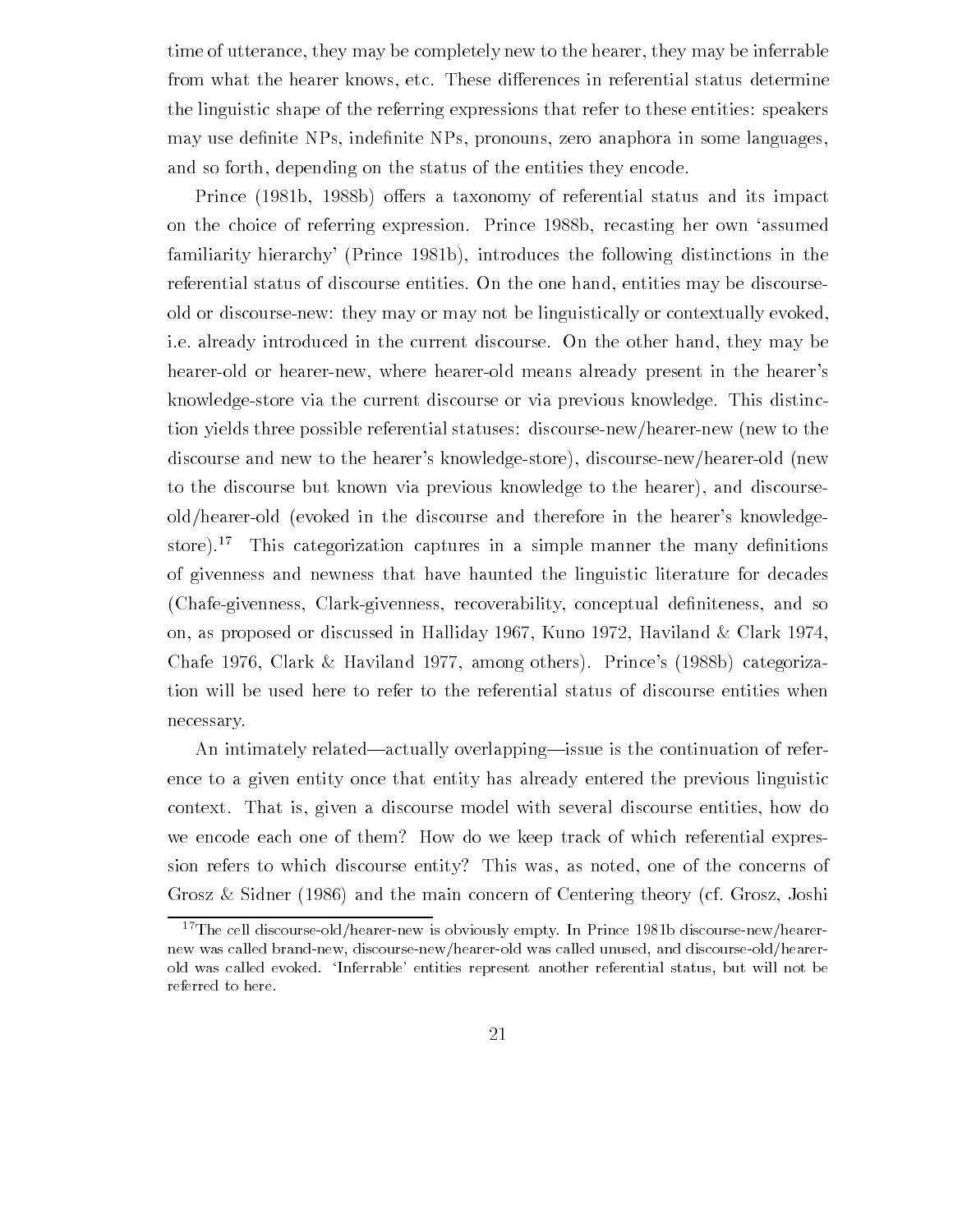time of utterance, they may be completely new to the hearer, they may be inferrable from what the hearer knows, etc. These differences in referential status determine the linguistic shape of the referring expressions that refer to these entities: speakers may use de-nite NPs inde-nite NPs pronouns zero anaphora in some languages and so forth, depending on the status of the entities they encode.

Prince (1981b, 1988b) offers a taxonomy of referential status and its impact on the choice of referring expression. Prince 1988b, recasting her own 'assumed familiarity hierarchy' (Prince 1981b), introduces the following distinctions in the referential status of discourse entities. On the one hand, entities may be discourseold or discourse-new: they may or may not be linguistically or contextually evoked, i.e. already introduced in the current discourse. On the other hand, they may be hearer-old or hearer-new, where hearer-old means already present in the hearer's knowledgestore via the current discourse or via previous knowledge This distinc tion yields three possible referential statuses: discourse-new/hearer-new (new to the discourse and new to the hearer's knowledge-store), discourse-new/hearer-old (new to the discourse but known via previous knowledge to the hearer), and discourseold/hearer-old (evoked in the discourse and therefore in the hearer's knowledgestore). This categorization captures in a simple manner the many definitions of givenness and newness that have haunted the linguistic literature for decades Chafegivenness Clarkgivenness recoverability conceptual de-niteness and so on, as proposed or discussed in Halliday 1967, Kuno 1972, Haviland & Clark 1974, Chafe 1976, Clark & Haviland 1977, among others). Prince's  $(1988b)$  categorization will be used here to refer to the referential status of discourse entities when necessary

An intimately related—actually overlapping—issue is the continuation of reference to a given entity once that entity has already entered the previous linguistic context. That is, given a discourse model with several discourse entities, how do we encode each one of them? How do we keep track of which referential expression refers to which discourse entity? This was, as noted, one of the concerns of Grosz & Sidner (1986) and the main concern of Centering theory (cf. Grosz, Joshi

 $\lnot$  The cell discourse-old/nearer-new is obviously empty. In Prince 1981b discourse-new/nearernew was called brand-new, discourse-new/hearer-old was called unused, and discourse-old/hearerold was called evoked Inferrable- entities represent another referential status but will not be referred to here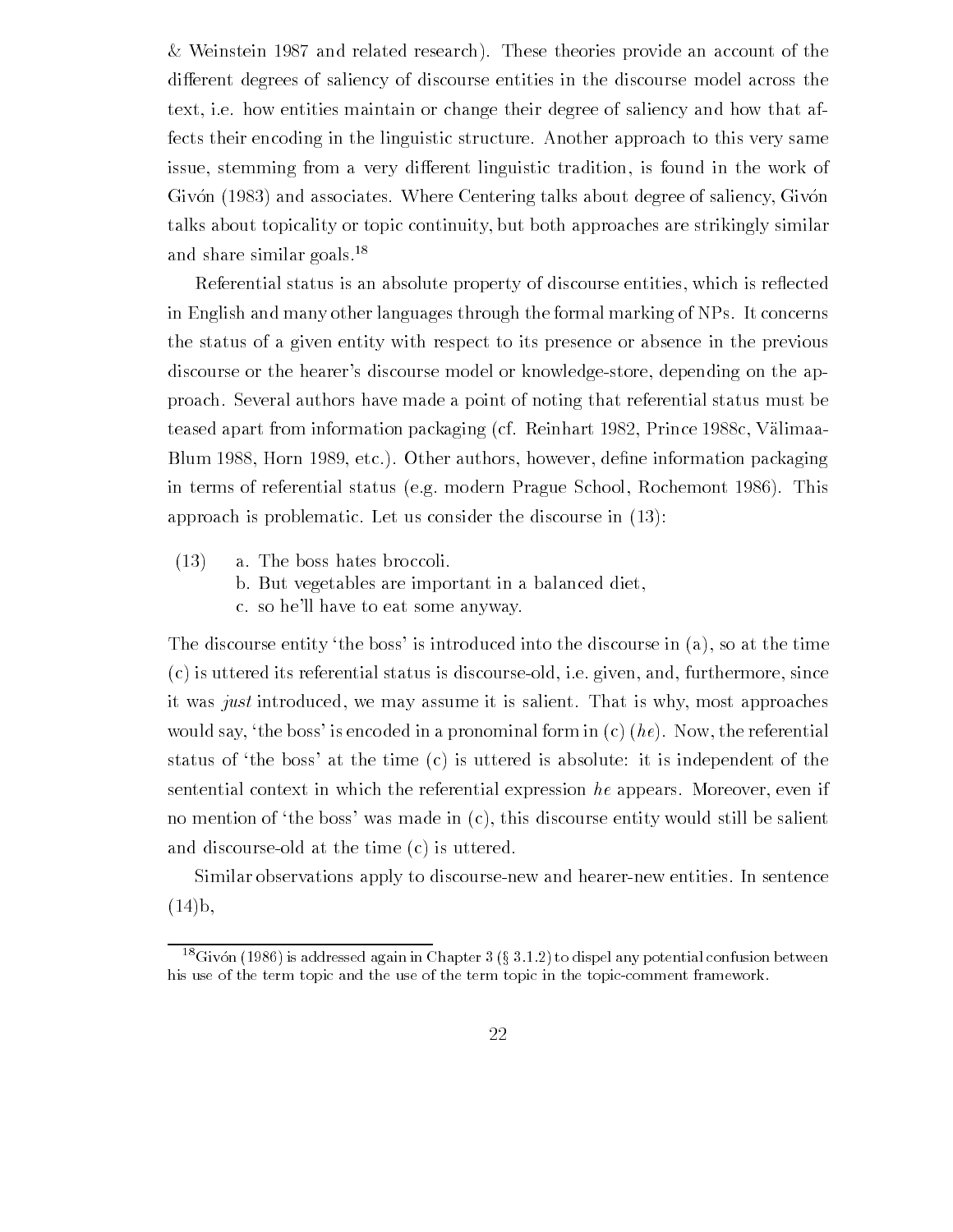$&$  Weinstein 1987 and related research). These theories provide an account of the different degrees of saliency of discourse entities in the discourse model across the text, i.e. how entities maintain or change their degree of saliency and how that affects their encoding in the linguistic structure Another approach to this very same issue, stemming from a very different linguistic tradition, is found in the work of Givón (1983) and associates. Where Centering talks about degree of saliency, Givón talks about topicality or topic continuity but both approaches are strikingly similar and share similar goals.<sup>18</sup>

Referential status is an absolute property of discourse entities, which is reflected in English and many other languages through the formal marking of NPs. It concerns the status of a given entity with respect to its presence or absence in the previous discourse or the hearer's discourse model or knowledge-store, depending on the approach Several authors have made a point of noting that referential status must be teased apart from information packaging (cf. Reinhart 1982, Prince 1988c, Välimaablum blue aleman blue information and information and information packaging and in terms of referential status (e.g. modern Prague School, Rochemont 1986). This approach is problematic. Let us consider the discourse in  $(13)$ :

- $(13)$  a. The boss hates broccoli.
	- b. But vegetables are important in a balanced diet.
	- c. so he'll have to eat some anyway.

The discourse entity 'the boss' is introduced into the discourse in  $(a)$ , so at the time  $(c)$  is uttered its referential status is discourse-old, i.e. given, and, furthermore, since it was just introduced, we may assume it is salient. That is why, most approaches would say, 'the boss' is encoded in a pronominal form in  $(c)$  (*he*). Now, the referential status of 'the boss' at the time  $(c)$  is uttered is absolute: it is independent of the sentential context in which the referential expression  $he$  appears. Moreover, even if no mention of 'the boss' was made in  $(c)$ , this discourse entity would still be salient and discourse-old at the time  $(c)$  is uttered.

Similar observations apply to discourse-new and hearer-new entities. In sentence  $(14)b,$ 

 $\sim$ Givon (1980) is addressed again in Chapter 5 (9-5.1.2) to dispel any potential confusion between  $\sim$ his use of the term topic and the use of the term topic in the topic-comment framework.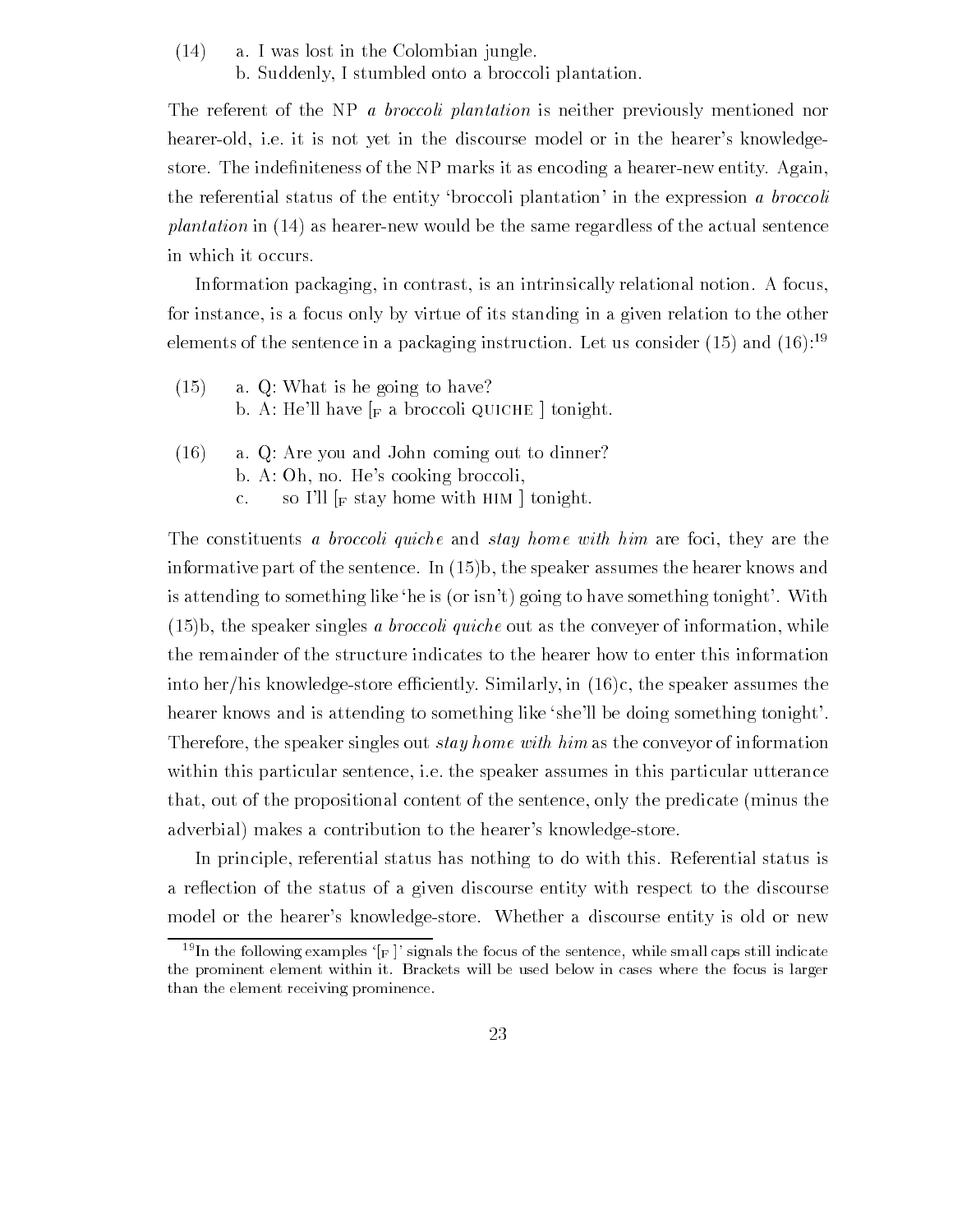$(14)$  a. I was lost in the Colombian jungle. b. Suddenly, I stumbled onto a broccoli plantation.

The referent of the NP *a broccoli plantation* is neither previously mentioned nor hearer-old, i.e. it is not yet in the discourse model or in the hearer's knowledgestore The inde-niteness of the NP marks it as encoding a hearernew entity Again the referential status of the entity 'broccoli plantation' in the expression a *broccoli plantation* in  $(14)$  as hearer-new would be the same regardless of the actual sentence in which it occurs

Information packaging, in contrast, is an intrinsically relational notion. A focus, for instance, is a focus only by virtue of its standing in a given relation to the other elements of the sentence in a packaging instruction. Let us consider (15) and (10):  $\,$ 

- $(15)$ a.  $Q$ : What is he going to have? b. A: He'll have  $\lceil_{\text{F}} \rceil$  a broccoli QUICHE  $\lceil$  tonight.
- $(16)$  a. Q: Are you and John coming out to dinner? b. A: Oh, no. He's cooking broccoli, c. so I'll  $\lbrack_F$  stay home with HIM  $\lbrack$  tonight.

The constituents a *broccoli quiche* and *stay home with him* are foci, they are the informative part of the sentence In b the speaker assumes the hearer knows and is attending to something like 'he is (or isn't) going to have something tonight'. With be speaker singles a brochure out as the convex of information while  $\mathcal{A}$ the remainder of the structure indicates to the hearer how to enter this information into her/his knowledge-store efficiently. Similarly, in  $(16)c$ , the speaker assumes the hearer knows and is attending to something like she'll be doing something tonight'. Therefore, the speaker singles out *stay home with him* as the conveyor of information within this particular sentence, i.e. the speaker assumes in this particular utterance that, out of the propositional content of the sentence, only the predicate (minus the adverbial) makes a contribution to the hearer's knowledge-store.

In principle, referential status has nothing to do with this. Referential status is a reflection of the status of a given discourse entity with respect to the discourse model or the hearer's knowledge-store. Whether a discourse entity is old or new

 $\sim$  in the following examples  $\parallel_{\rm F}$  - signals the focus of the sentence, while small caps still indicate the prominent element within it Brackets will be used below in cases where the focus is larger than the element receiving prominence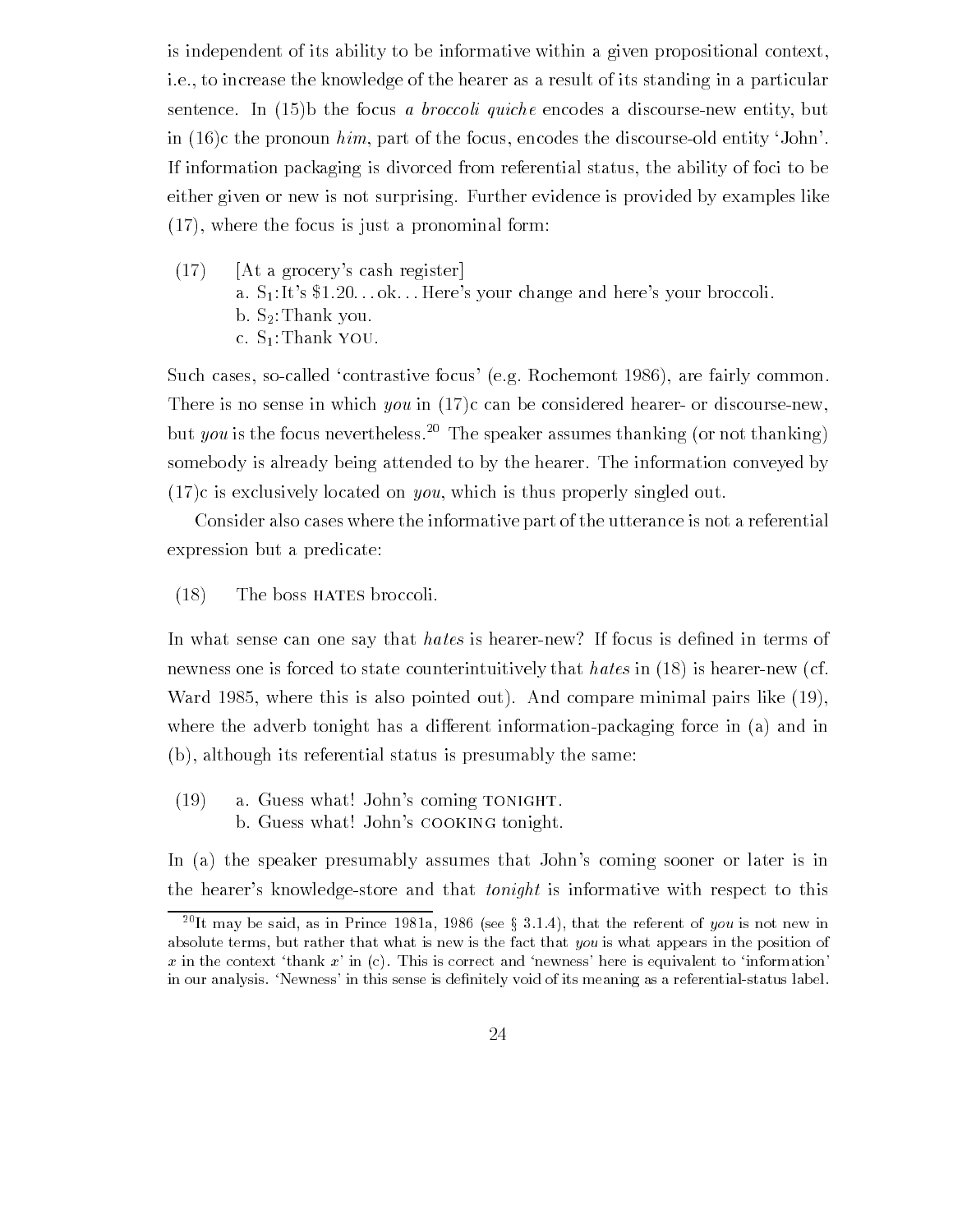is independent of its ability to be informative within a given propositional context i.e., to increase the knowledge of the hearer as a result of its standing in a particular sentence In b the focus a broccoli quiche encodes a discoursenew entity but in  $(16)$ c the pronoun him, part of the focus, encodes the discourse-old entity 'John'. If information packaging is divorced from referential status, the ability of foci to be either given or new is not surprising. Further evidence is provided by examples like  $(17)$ , where the focus is just a pronominal form:

 $(17)$  [At a grocery's cash register] a.  $S_1$ : It's \$1.20... ok... Here's your change and here's your broccoli. b.  $S_2$ : Thank you. c.  $S_1$ : Thank YOU.

Such cases, so-called 'contrastive focus' (e.g. Rochemont 1986), are fairly common. There is no sense in which you in  $(17)c$  can be considered hearer- or discourse-new, but you is the focus nevertheless.<sup>20</sup> The speaker assumes thanking (or not thanking) somebody is already being attended to by the hearer. The information conveyed by  $(17)c$  is exclusively located on *you*, which is thus properly singled out.

Consider also cases where the informative part of the utterance is not a referential expression but a predicate

 $(18)$  The boss HATES broccoli.

In what sense can one say that hates is hearernew If focus is de-ned in terms of newness one is forced to state counterintuitively that hates in  $(18)$  is hearer-new (cf. Ward where this is also pointed out And compare minimal pairs like where the adverb tonight has a different information-packaging force in  $(a)$  and in  $(b)$ , although its referential status is presumably the same:

 $(19)$  a. Guess what! John's coming TONIGHT. b. Guess what! John's COOKING tonight.

In (a) the speaker presumably assumes that John's coming sooner or later is in the hearer's knowledge-store and that *tonight* is informative with respect to this

The may be said, as in Prince 1981a, 1980 (see g 3.1.4), that the referent of you is not new in  $\sim$ absolute terms, but rather that what is new is the fact that you is what appears in the position of . In the context thanking a fight where is exceeded here is the same is equivalent to informationin this sense is denitely void of its meaning as a referential of its meaning as a referential that the contract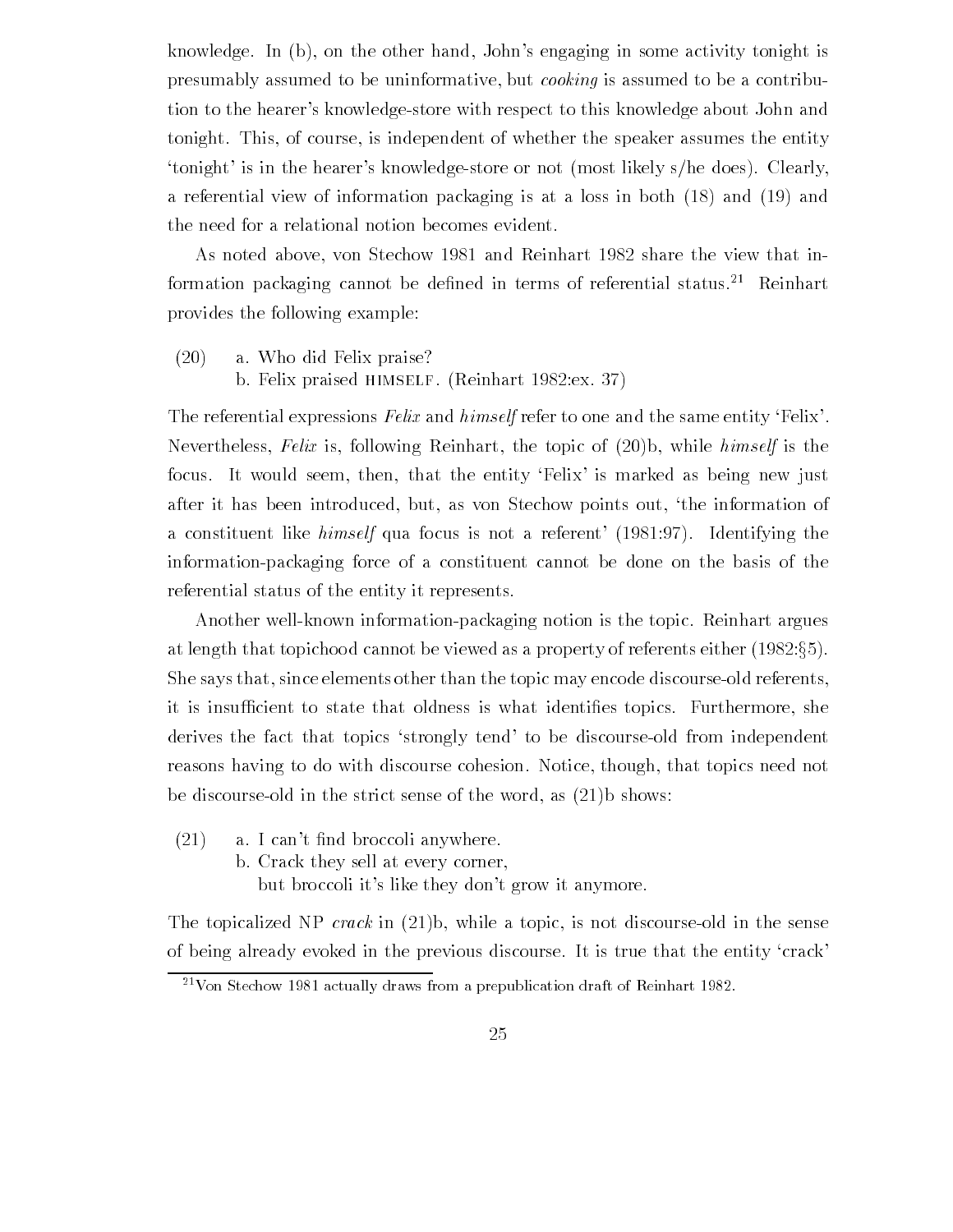knowledge. In  $(b)$ , on the other hand, John's engaging in some activity tonight is presumably assumed to be uninformative, but *cooking* is assumed to be a contribution to the hearer's knowledge-store with respect to this knowledge about John and tonight. This, of course, is independent of whether the speaker assumes the entity 'tonight' is in the hearer's knowledge-store or not (most likely  $s$ /he does). Clearly, a referential view of information packaging is at a loss in both  $(18)$  and  $(19)$  and the need for a relational notion becomes evident

As noted above, von Stechow 1981 and Reinhart 1982 share the view that information packaging cannot be defined in terms of referential status. — Reinhart provides the following example

 $(20)$  a. Who did Felix praise?

b. Felix praised HIMSELF. (Reinhart  $1982 \text{:} ex. 37$ )

The referential expressions Felix and himself refer to one and the same entity 'Felix'. Nevertheless, Felix is, following Reinhart, the topic of  $(20)$ b, while himself is the focus. It would seem, then, that the entity 'Felix' is marked as being new just after it has been introduced, but, as von Stechow points out, 'the information of a constituent like *himself* qua focus is not a referent  $(1981.97)$ . Identifying the information-packaging force of a constituent cannot be done on the basis of the referential status of the entity it represents

Another well-known information-packaging notion is the topic. Reinhart argues at length that topichood cannot be viewed as a property of referents either  $(1982:\S5)$ . She says that, since elements other than the topic may encode discourse-old referents, it is insucient to state that oldness is what identi-es topics Furthermore she derives the fact that topics 'strongly tend' to be discourse-old from independent reasons having to do with discourse cohesion. Notice, though, that topics need not be discourse-old in the strict sense of the word, as  $(21)$ b shows:

- $\mathbf{A}$  is a I cant nd broccoline broccoline broccoline broccoline broccoline broccoline broccoline broccoline broc
	- b. Crack they sell at every corner,

but broccoli it's like they don't grow it anymore.

The topicalized NP *crack* in  $(21)b$ , while a topic, is not discourse old in the sense of being already evoked in the previous discourse It is true that the entity crack

<sup>-</sup> von Stechow 1981 actually draws from a prepublication draft of Keinhart 1982.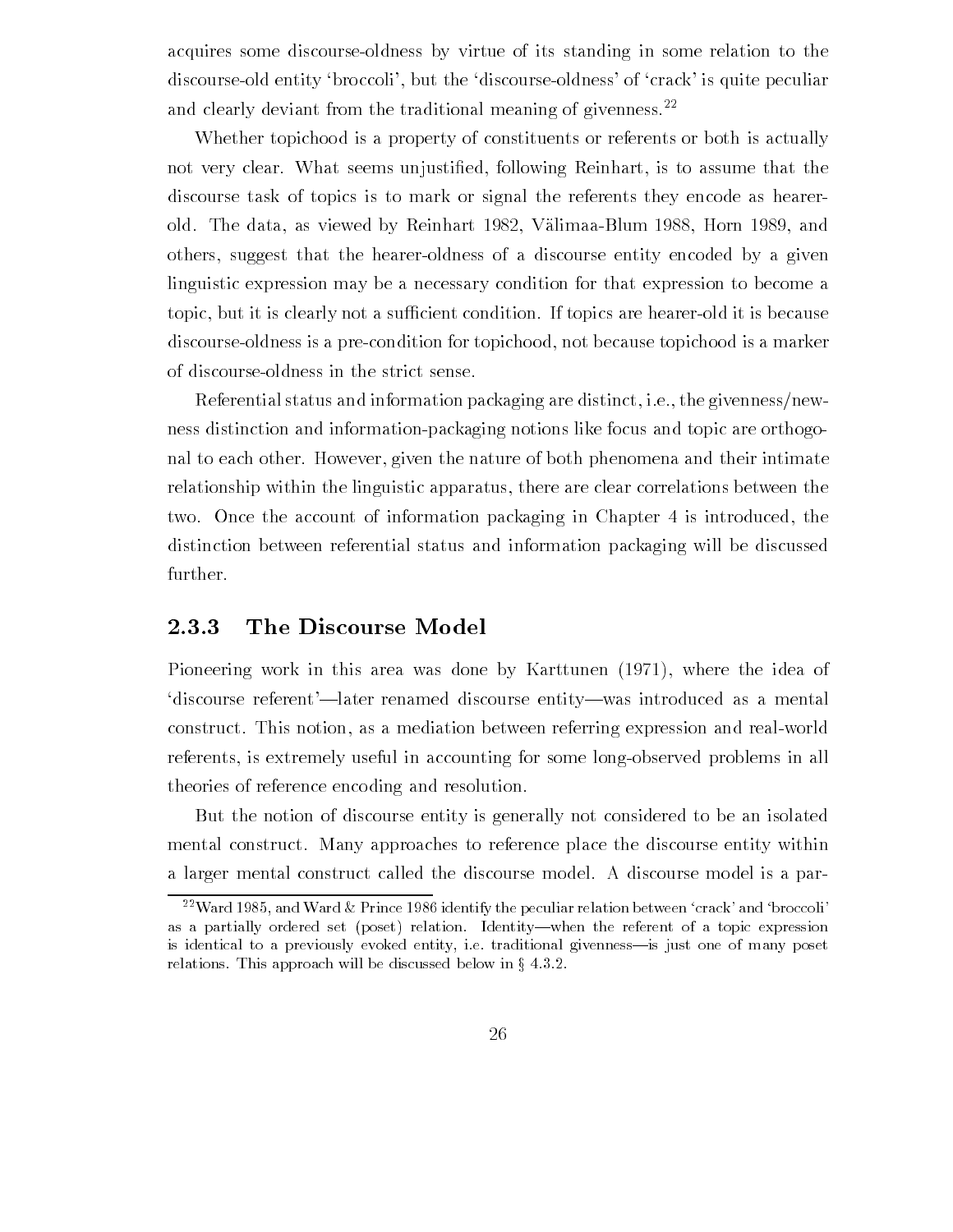acquires some discourse-oldness by virtue of its standing in some relation to the discourse-old entity 'broccoli', but the 'discourse-oldness' of 'crack' is quite peculiar and clearly deviant from the traditional meaning of givenness.<sup>22</sup>

Whether topichood is a property of constituents or referents or both is actually not very clear What seems unjusti-ed following Reinhart is to assume that the discourse task of topics is to mark or signal the referents they encode as hearer old. The data, as viewed by Reinhart 1982, Välimaa-Blum 1988, Horn 1989, and others, suggest that the hearer-oldness of a discourse entity encoded by a given linguistic expression may be a necessary condition for that expression to become a topic, but it is clearly not a sufficient condition. If topics are hearer-old it is because discourse-oldness is a pre-condition for topichood, not because topichood is a marker of discourseoldness in the strict sense

Referential status and information packaging are distinct, i.e., the givenness/newness distinction and information-packaging notions like focus and topic are orthogonal to each other. However, given the nature of both phenomena and their intimate relationship within the linguistic apparatus, there are clear correlations between the two. Once the account of information packaging in Chapter 4 is introduced, the distinction between referential status and information packaging will be discussed further

## The Discourse Model

Pioneering work in this area was done by Karttunen (1971), where the idea of 'discourse referent'—later renamed discourse entity—was introduced as a mental construct. This notion, as a mediation between referring expression and real-world referents, is extremely useful in accounting for some long-observed problems in all theories of reference encoding and resolution

But the notion of discourse entity is generally not considered to be an isolated mental construct. Many approaches to reference place the discourse entity within a larger mental construct called the discourse model A discourse model is a par

 $\lceil \cdot \rceil$  ward 1989, and ward  $\alpha$  prince 1980 identify the peculiar relation between  $\lceil \cdot \rceil$  crack-and-broccolias a partially ordered set (poset) relation. Identity—when the referent of a topic expression is identical to a previously evoked entity, i.e. traditional givenness—is just one of many poset relations. This approach will be discussed below in  $\S 4.3.2$ .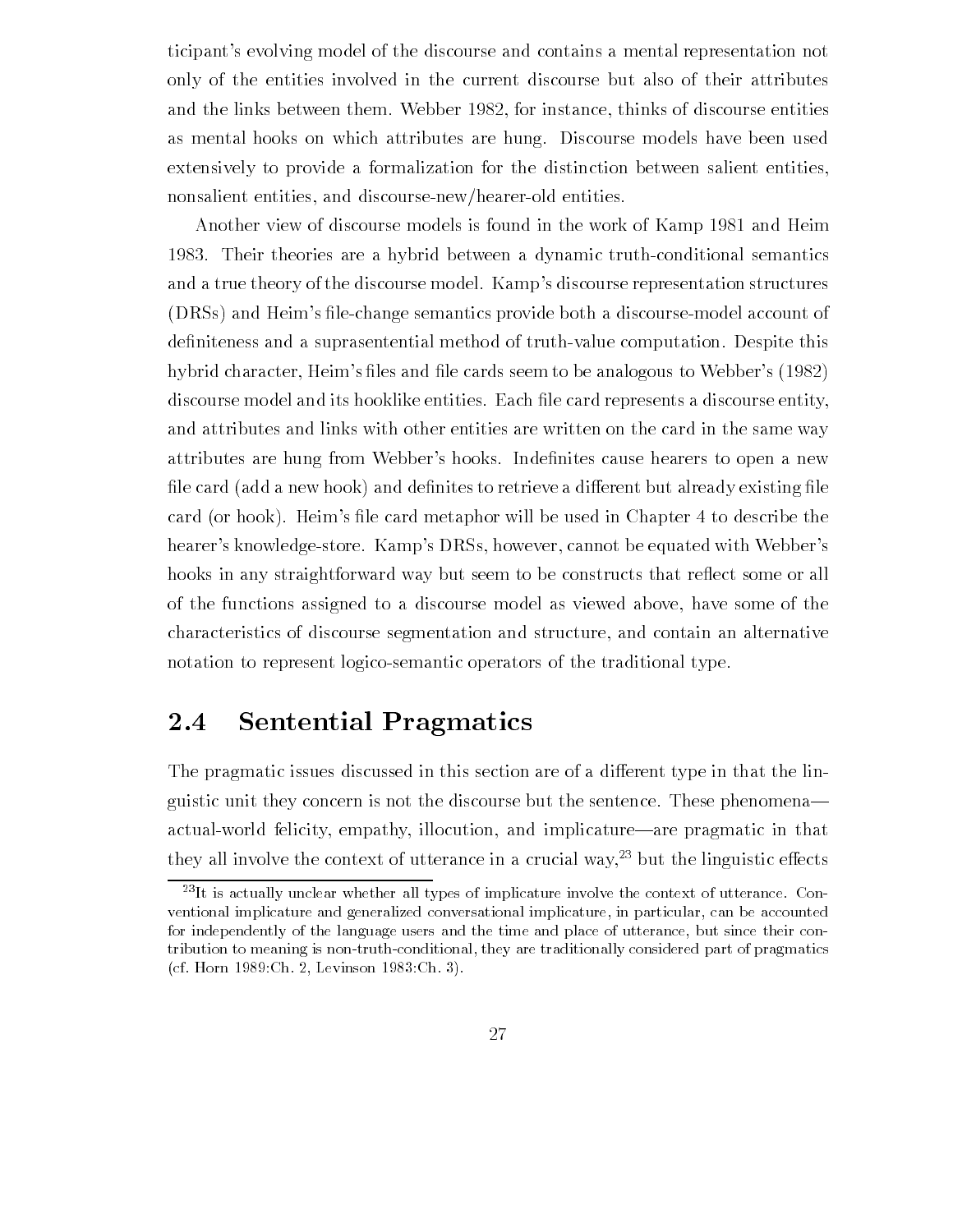ticipant's evolving model of the discourse and contains a mental representation not only of the entities involved in the current discourse but also of their attributes and the links between them. Webber 1982, for instance, thinks of discourse entities as mental hooks on which attributes are hung. Discourse models have been used extensively to provide a formalization for the distinction between salient entities nonsalient entities, and discourse-new/hearer-old entities.

Another view of discourse models is found in the work of Kamp 1981 and Heim 1983. Their theories are a hybrid between a dynamic truth-conditional semantics and a true theory of the discourse model. Kamp's discourse representation structures , a construction of the compact communities and discourse and discourse and discourse the compact of de-niteness and a suprasentential method of truthvalue computation Despite this hybrid character Heims -les and -le cards seem to be analogous to Webbers discourse model and its hooklike entities Each -le card represents a discourse entity and attributes and links with other entities are written on the card in the same way attributes are hung from Webbers hooks Inde-nites cause hearers to open a new -le card add a new hook and de-nites to retrieve a dierent but already existing -le card card metaphor will be used in Chapter and the used in Chapter of the used in Chapter the United States and hearer's knowledge-store. Kamp's DRSs, however, cannot be equated with Webber's hooks in any straightforward way but seem to be constructs that reflect some or all of the functions assigned to a discourse model as viewed above have some of the characteristics of discourse segmentation and structure and contain an alternative notation to represent logico-semantic operators of the traditional type.

#### 2.4 Sentential Pragmatics

The pragmatic issues discussed in this section are of a different type in that the linguistic unit they concern is not the discourse but the sentence These phenomena actual-world felicity, empathy, illocution, and implicature—are pragmatic in that they all involve the context of utterance in a crucial way," but the imguistic ellects  $\blacksquare$ 

<sup>-</sup>It is actually unclear whether all types of implicature involve the context of utterance Con ventional implicature and generalized conversational implicature, in particular, can be accounted for independently of the language users and the time and place of utterance, but since their contribution to meaning is non-truth-conditional, they are traditionally considered part of pragmatics  $\mathcal{L}$  –  $\mathcal{L}$  –  $\mathcal{L}$  –  $\mathcal{L}$  –  $\mathcal{L}$  –  $\mathcal{L}$  –  $\mathcal{L}$  –  $\mathcal{L}$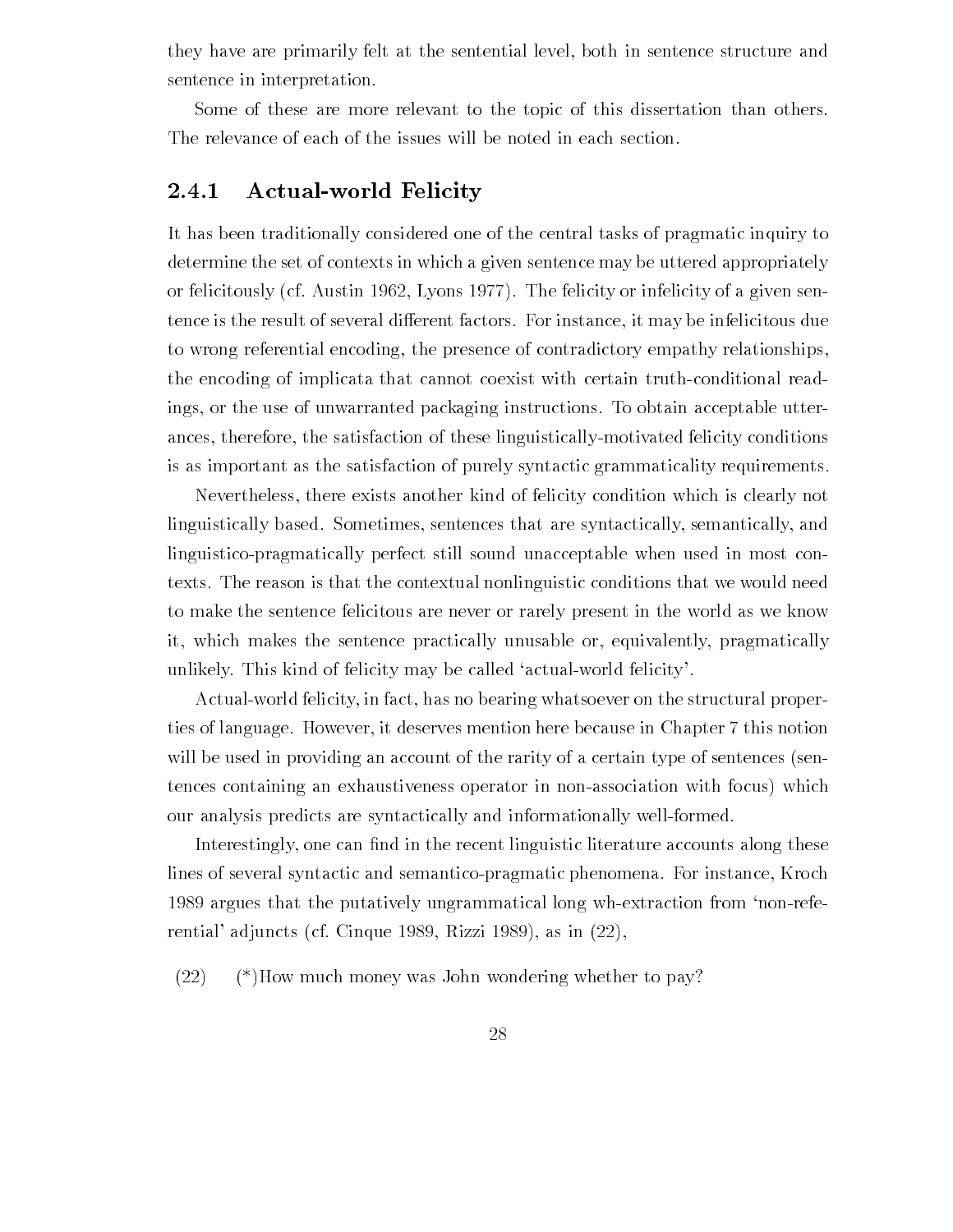they have are primarily felt at the sentential level, both in sentence structure and sentence in interpretation

Some of these are more relevant to the topic of this dissertation than others The relevance of each of the issues will be noted in each section

# 2.4.1 Actual-world Felicity

It has been traditionally considered one of the central tasks of pragmatic inquiry to determine the set of contexts in which a given sentence may be uttered appropriately or felicitously (cf. Austin 1962, Lyons 1977). The felicity or infelicity of a given sentence is the result of several different factors. For instance, it may be infelicitous due to wrong referential encoding, the presence of contradictory empathy relationships, the encoding of implicata that cannot coexist with certain truth-conditional readings, or the use of unwarranted packaging instructions. To obtain acceptable utterances, therefore, the satisfaction of these linguistically-motivated felicity conditions is as important as the satisfaction of purely syntactic grammaticality requirements

Nevertheless there exists another kind of felicity condition which is clearly not linguistically based. Sometimes, sentences that are syntactically, semantically, and linguisticopragmatically perfect still sound unacceptable when used in most con texts The reason is that the contextual nonlinguistic conditions that we would need to make the sentence felicitous are never or rarely present in the world as we know it, which makes the sentence practically unusable or, equivalently, pragmatically unlikely. This kind of felicity may be called 'actual-world felicity'.

Actual-world felicity, in fact, has no bearing whatsoever on the structural properties of language. However, it deserves mention here because in Chapter 7 this notion will be used in providing an account of the rarity of a certain type of sentences (sentences containing an exhaustiveness operator in non-association with focus) which our analysis predicts are syntactically and informationally well-formed.

Interestingly one can -define can -define  $\mathcal{L}$ lines of several syntactic and semantico-pragmatic phenomena. For instance, Kroch 1989 argues that the putatively ungrammatical long wh-extraction from 'non-referential' adjuncts (cf. Cinque 1989, Rizzi 1989), as in  $(22)$ ,

 $(22)$  (\*)How much money was John wondering whether to pay?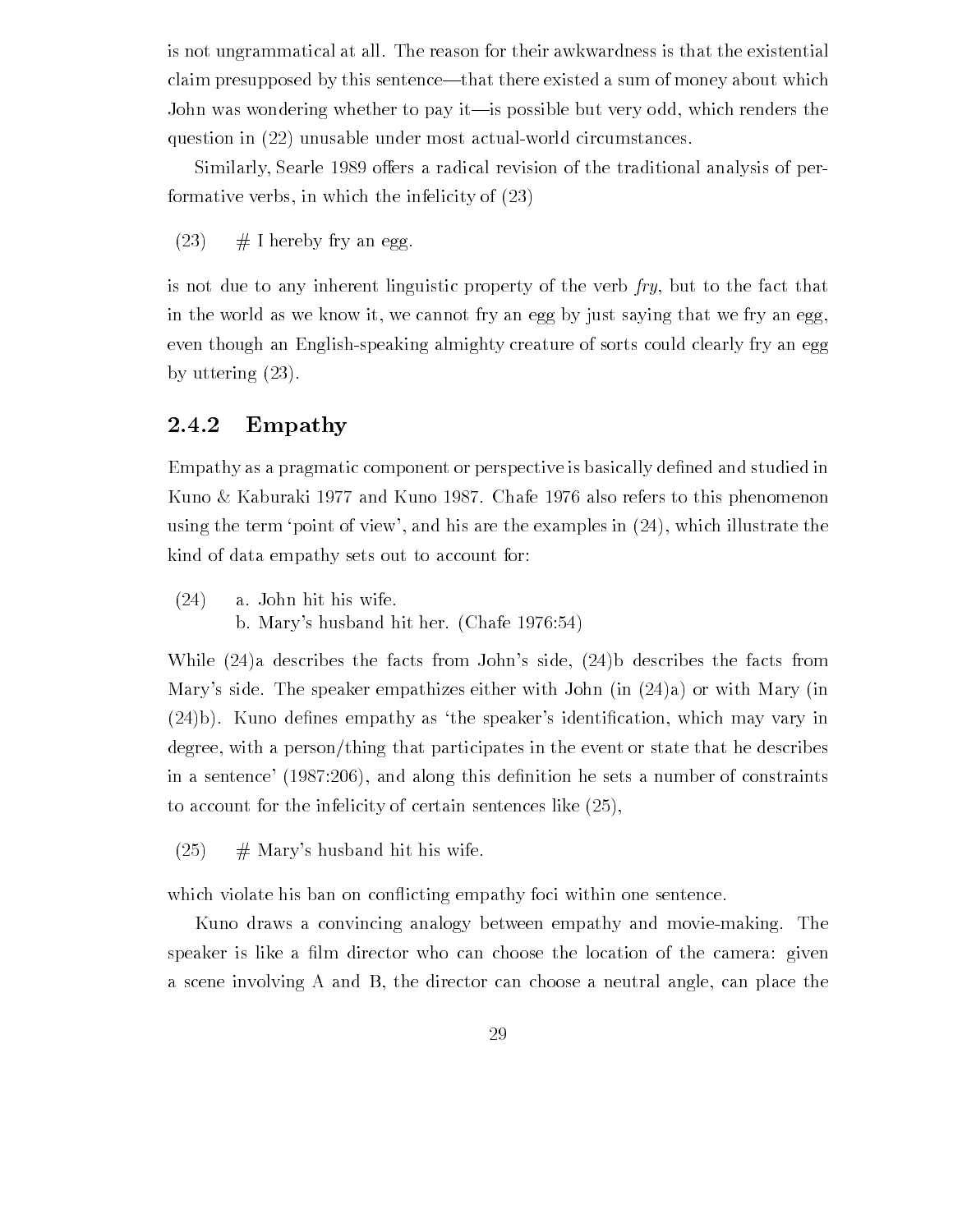is not ungrammatical at all The reason for their awkwardness is that the existential claim presupposed by this sentence—that there existed a sum of money about which John was wondering whether to pay it—is possible but very odd, which renders the question in  $(22)$  unusable under most actual-world circumstances.

Similarly, Searle 1989 offers a radical revision of the traditional analysis of performative verbs, in which the infelicity of  $(23)$ 

 $(23)$  # I hereby fry an egg.

is not due to any inherent linguistic property of the verb  $fry$ , but to the fact that in the world as we know it, we cannot fry an egg by just saying that we fry an egg, even though an Englishspeaking almighty creature of sorts could clearly fry an egg by uttering  $(23)$ .

# 2.4.2 Empathy

Empathy as a pragmatic component or perspective is basically de-ned and studied in Kuno & Kaburaki 1977 and Kuno 1987. Chafe 1976 also refers to this phenomenon using the term 'point of view', and his are the examples in  $(24)$ , which illustrate the kind of data empathy sets out to account for

 $(24)$  a. John hit his wife. b Marys husband hit her Chafe hit her Chafe hit her Chafe hit her Chafe hit her Chafe hit her Chafe hit her Ch

While  $(24)a$  describes the facts from John's side,  $(24)b$  describes the facts from Mary's side. The speaker empathizes either with John (in  $(24)a$ ) or with Mary (in t kunst as the speakers is the speakers in the speakers in the speakers in the speakers in the speakers in the degree, with a person/thing that participates in the event or state that he describes in a sentence  $\{x \cdot \tau \cdot \tau \cdot \tau\}$  this declare of constraints as no constraints as number of constraints to account for the infelicity of certain sentences like

 $(25)$  $#$  Mary's husband hit his wife.

which violate his ban on conflicting empathy foci within one sentence.

Kuno draws a convincing analogy between empathy and movie-making. The speakers is include a -choose the location of the location of the location of the camera given the camera give a scene involving A and B, the director can choose a neutral angle, can place the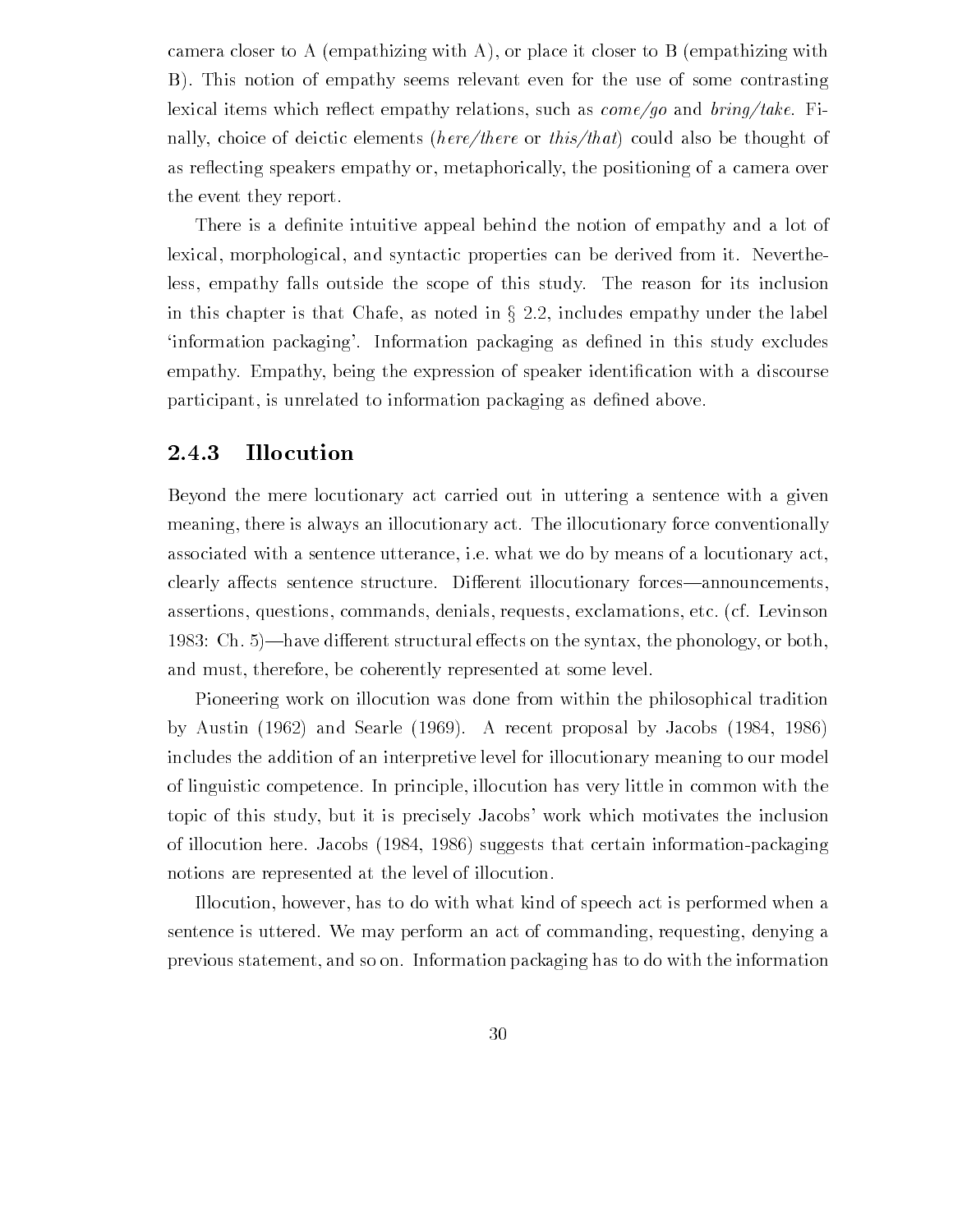camera closer to A (empathizing with A), or place it closer to B (empathizing with B). This notion of empathy seems relevant even for the use of some contrasting lexical items which reflect empathy relations, such as  $\text{com}e/\text{go}$  and  $\text{bring}/\text{take}$ . Finally, choice of deictic elements (here/there or this/that) could also be thought of as reflecting speakers empathy or, metaphorically, the positioning of a camera over the event they report

There is a de-nite intuitive appeal behind the notion of empathy and a lot of lexical, morphological, and syntactic properties can be derived from it. Nevertheless empathy falls outside the scope of this study The reason for its inclusion in this chapter is that Chafe, as noted in  $\S 2.2$ , includes empathy under the label information packaging Information packaging as de-ned in this study excludes empathy Empathy being the expression of speaker identi-cation with a discourse participant is unrelated to information packaging as de-ned above

#### 2.4.3 Illocution

Beyond the mere locutionary act carried out in uttering a sentence with a given meaning, there is always an illocutionary act. The illocutionary force conventionally associated with a sentence utterance, i.e. what we do by means of a locutionary act, clearly affects sentence structure. Different illocutionary forces—announcements. assertions, questions, commands, denials, requests, exclamations, etc. (cf. Levinson erent structural een structural een the synthesis the synthesis of the phonology or both synthesis and must, therefore, be coherently represented at some level.

Pioneering work on illocution was done from within the philosophical tradition by Austin  $(1962)$  and Searle  $(1969)$ . A recent proposal by Jacobs  $(1984, 1986)$ includes the addition of an interpretive level for illocutionary meaning to our model of linguistic competence In principle illocution has very little in common with the topic of this study but it is precisely Jacobs work which motivates the inclusion of illocution here. Jacobs  $(1984, 1986)$  suggests that certain information-packaging notions are represented at the level of illocution

Illocution, however, has to do with what kind of speech act is performed when a sentence is uttered. We may perform an act of commanding, requesting, denying a previous statement and so on Information packaging has to do with the information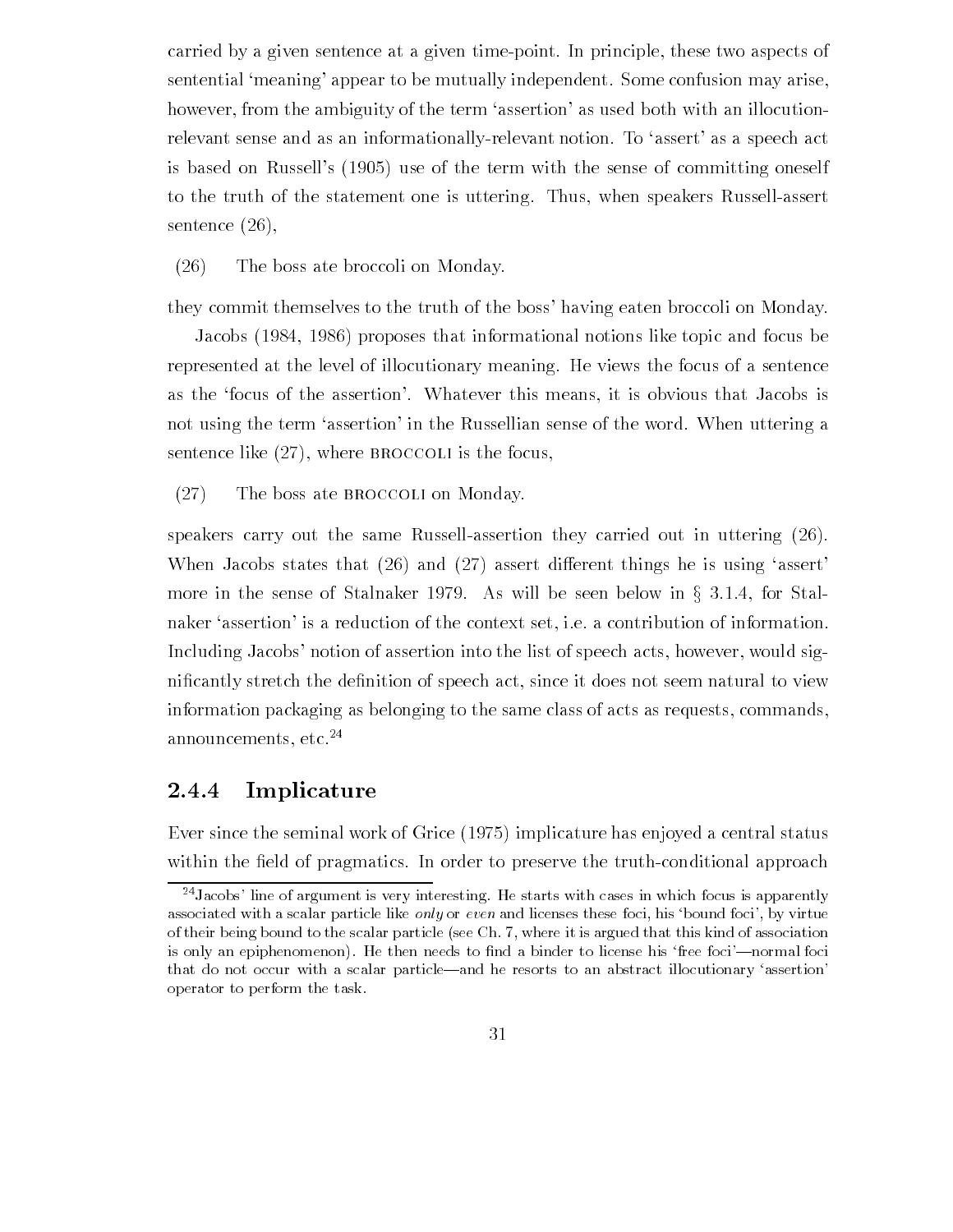carried by a given sentence at a given time-point. In principle, these two aspects of sentential 'meaning' appear to be mutually independent. Some confusion may arise, however, from the ambiguity of the term 'assertion' as used both with an illocutionrelevant sense and as an informationally-relevant notion. To 'assert' as a speech act is based on Russells the term with the term with the sense of  $\mathcal{U}$ to the truth of the statement one is uttering. Thus, when speakers Russell-assert sentence  $(26)$ ,

### $(26)$  The boss ate broccoli on Monday.

they commit themselves to the truth of the boss' having eaten broccoli on Monday.

Jacobs (1984, 1986) proposes that informational notions like topic and focus be represented at the level of illocutionary meaning He views the focus of a sentence as the focus of the assertion'. Whatever this means, it is obvious that Jacobs is not using the term 'assertion' in the Russellian sense of the word. When uttering a sentence like  $(27)$ , where BROCCOLI is the focus,

 $(27)$  The boss ate BROCCOLI on Monday.

speakers carry out the same Russell-assertion they carried out in uttering  $(26)$ . When Jacobs states that  $(26)$  and  $(27)$  assert different things he is using 'assert' more in the sense of Stalnaker 1979. As will be seen below in  $\S$  3.1.4, for Stalnaker 'assertion' is a reduction of the context set, i.e. a contribution of information. Including Jacobs' notion of assertion into the list of speech acts, however, would signi-cantly stretch the de-nition of speech act since it does not seem natural to view information packaging as belonging to the same class of acts as requests, commands, announcements,  $etc.<sup>24</sup>$ 

## 2.4.4 Implicature

 $\mathbb{R}$  since the seminal work of Grice and Status and Grice and Grice and Grice and Grice and Grice and Grice and with  $\mathcal{L}$  and  $\mathcal{L}$  order to probability in order to probability the truth conditional approach approach

t Jacobs-line of argument is very interesting. He starts with cases in which focus is apparently associated with a scalar particle like only or even and licenses these foci his bound foci- by virtue of their being bound to the scalar particle (see Ch. 7, where it is argued that this kind of association is only an epiphenomenon He then needs to nd a binder to license his free foci-normal foci that do not occur with a scalar particle—and he resorts to an abstract illocutionary 'assertion' operator to perform the task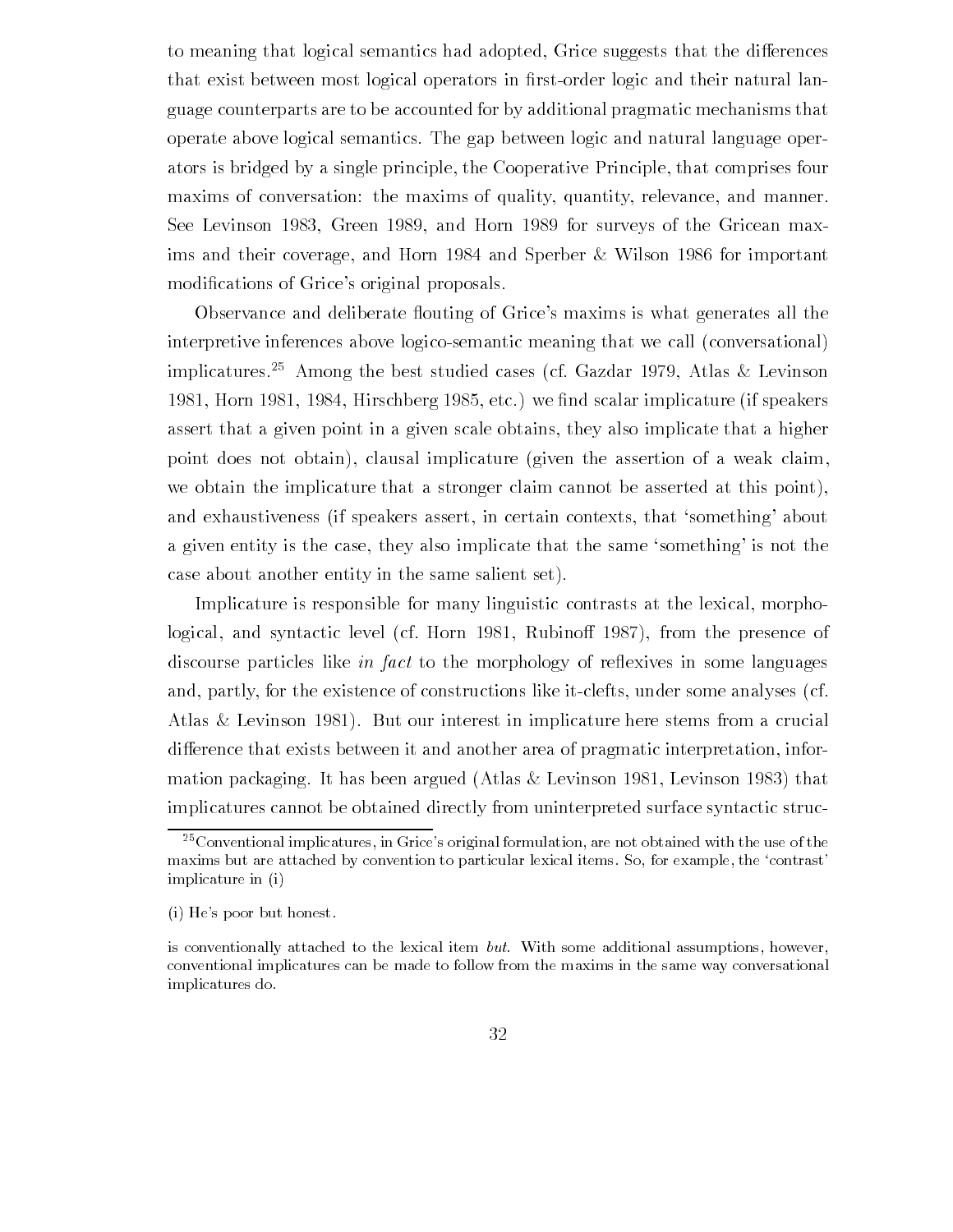to meaning that logical semantics had adopted, Grice suggests that the differences that exists between most logical operators in  $\mathbf{r}$ guage counterparts are to be accounted for by additional pragmatic mechanisms that operate above logical semantics The gap between logic and natural language oper ators is bridged by a single principle the Cooperative Principle that comprises four maxims of conversation: the maxims of quality, quantity, relevance, and manner. See Levinson 1983. Green 1989, and Horn 1989 for surveys of the Gricean maxims and their coverage, and Horn  $1984$  and Sperber & Wilson  $1986$  for important modifications of Grices original proposals original proposals original proposals of  $\mathcal{C}$ 

Observance and deliberate flouting of Grice's maxims is what generates all the interpretive inferences above logico-semantic meaning that we call (conversational) implicatures.<sup>25</sup> Among the best studied cases (cf. Gazdar 1979, Atlas & Levinson Horn  $\mathbf{A}$  if speakers if speakers in the set we fixed the speakers in the speakers in the speakers in the speakers in the speakers in the speakers in the speakers in the speakers in the speakers in the speakers in the assert that a given point in a given scale obtains they also implicate that a higher point does not obtain), clausal implicature (given the assertion of a weak claim, we obtain the implicature that a stronger claim cannot be asserted at this point), and exhaustiveness (if speakers assert, in certain contexts, that 'something' about a given entity is the case, they also implicate that the same 'something' is not the case about another entity in the same salient set

Implicature is responsible for many linguistic contrasts at the lexical, morphological, and syntactic level (cf. Horn 1981, Rubinoff 1987), from the presence of discourse particles like *in fact* to the morphology of reflexives in some languages and, partly, for the existence of constructions like it-clefts, under some analyses (cf. Atlas  $&$  Levinson 1981). But our interest in implicature here stems from a crucial difference that exists between it and another area of pragmatic interpretation, information packaging. It has been argued (Atlas  $&$  Levinson 1981, Levinson 1983) that implicatures cannot be obtained directly from uninterpreted surface syntactic struc

 $\lq\lq$  Conventional implicatures, in Grice-s original formulation, are not obtained with the use of the  $\lq$ maxims but are attached by convention to particular lexical items. So, for example, the 'contrast' implicature in (i)

i He-s poor but honest

is conventionally attached to the lexical item but. With some additional assumptions, however, conventional implicatures can be made to follow from the maxims in the same way conversational implicatures do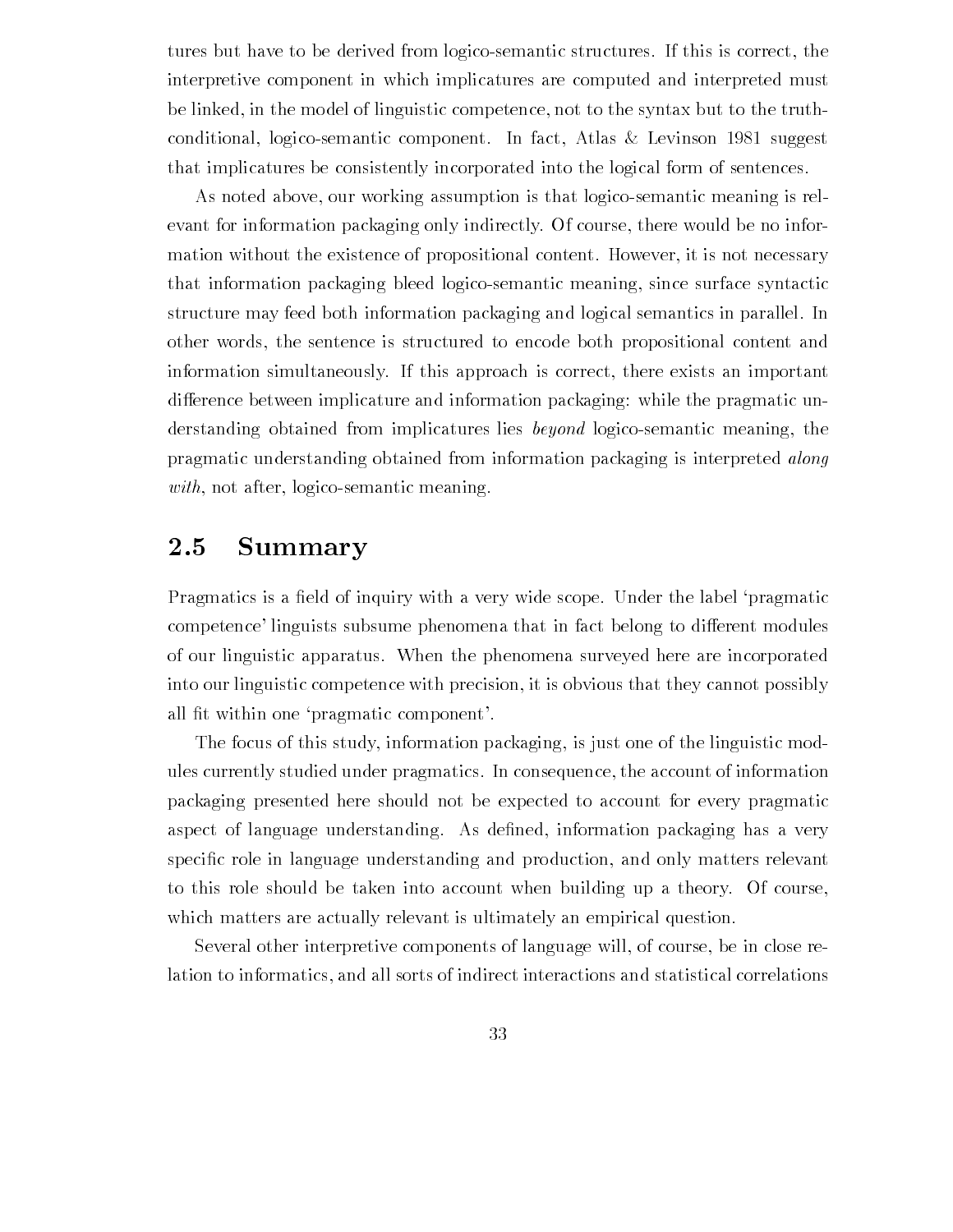tures but have to be derived from logico-semantic structures. If this is correct, the interpretive component in which implicatures are computed and interpreted must be linked, in the model of linguistic competence, not to the syntax but to the truthconditional, logico-semantic component. In fact, Atlas  $\&$  Levinson 1981 suggest that implicatures be consistently incorporated into the logical form of sentences

As noted above, our working assumption is that logico-semantic meaning is relevant for information packaging only indirectly. Of course, there would be no information without the existence of propositional content. However, it is not necessary that information packaging bleed logicosemantic meaning since surface syntactic structure may feed both information packaging and logical semantics in parallel In other words, the sentence is structured to encode both propositional content and information simultaneously If this approach is correct there exists an important difference between implicature and information packaging: while the pragmatic understanding obtained from implicatures lies *beyond* logico-semantic meaning, the pragmatic understanding obtained from information packaging is interpreted along  $with, not after, logico-semantic meaning.$ 

#### 2.5 Summary

Pragmatics is a -eld of inquiry with a very wide scope Under the label pragmatic competence' linguists subsume phenomena that in fact belong to different modules of our linguistic apparatus When the phenomena surveyed here are incorporated into our linguistic competence with precision, it is obvious that they cannot possibly all - t with one probability components of  $\mathbf{t}$  with one probability components of  $\mathbf{t}$ 

The focus of this study, information packaging, is just one of the linguistic modules currently studied under pragmatics In consequence the account of information packaging presented here should not be expected to account for every pragmatic aspect of language understanding As de-ned information packaging has a very speci-c role in language understanding and production and only matters relevant to this role should be taken into account when building up a theory Of course which matters are actually relevant is ultimately an empirical question.

Several other interpretive components of language will, of course, be in close relation to informatics and all sorts of indirect interactions and statistical correlations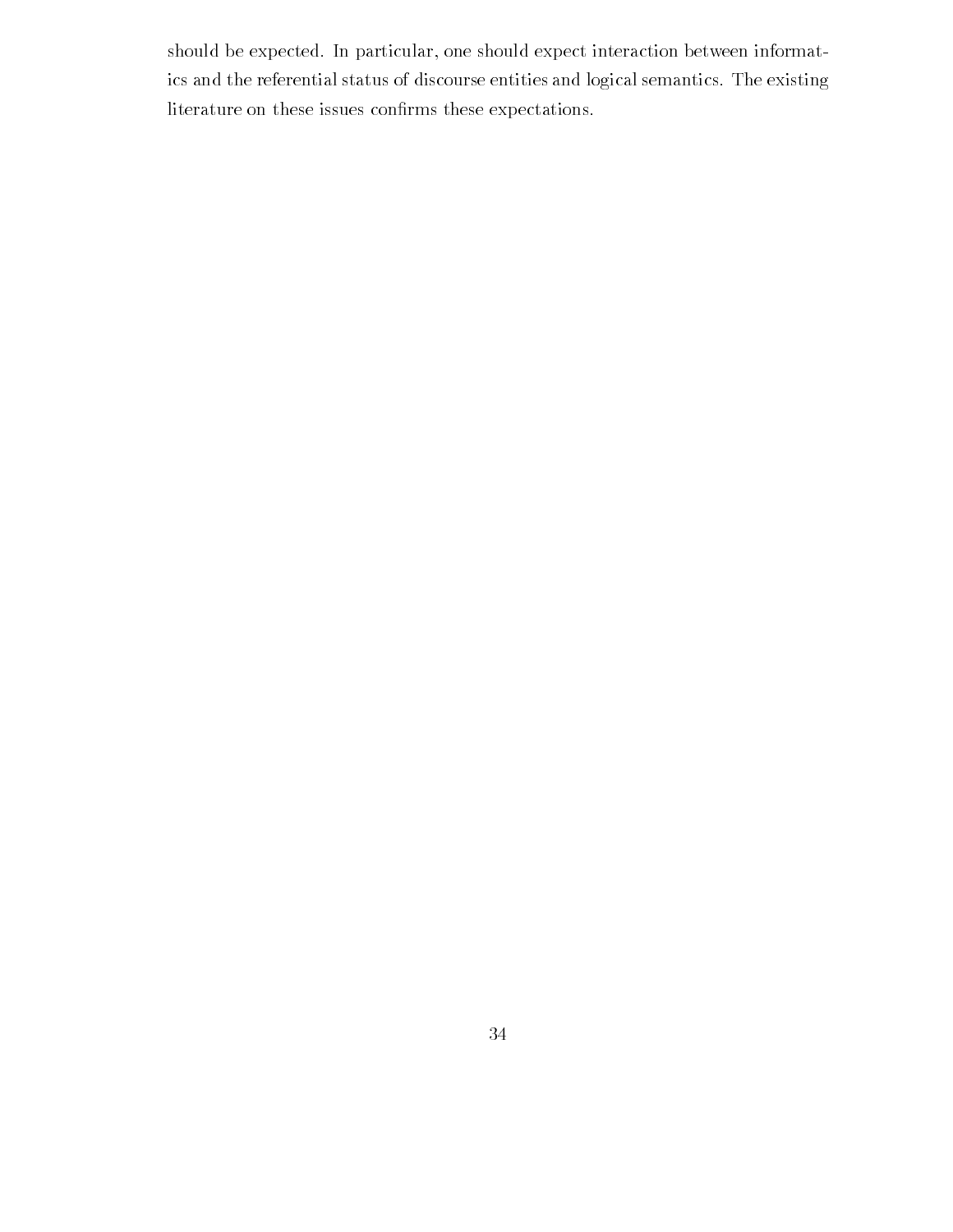should be expected. In particular, one should expect interaction between informatics and the referential status of discourse entities and logical semantics The existing literature on these issues con-rms these expectations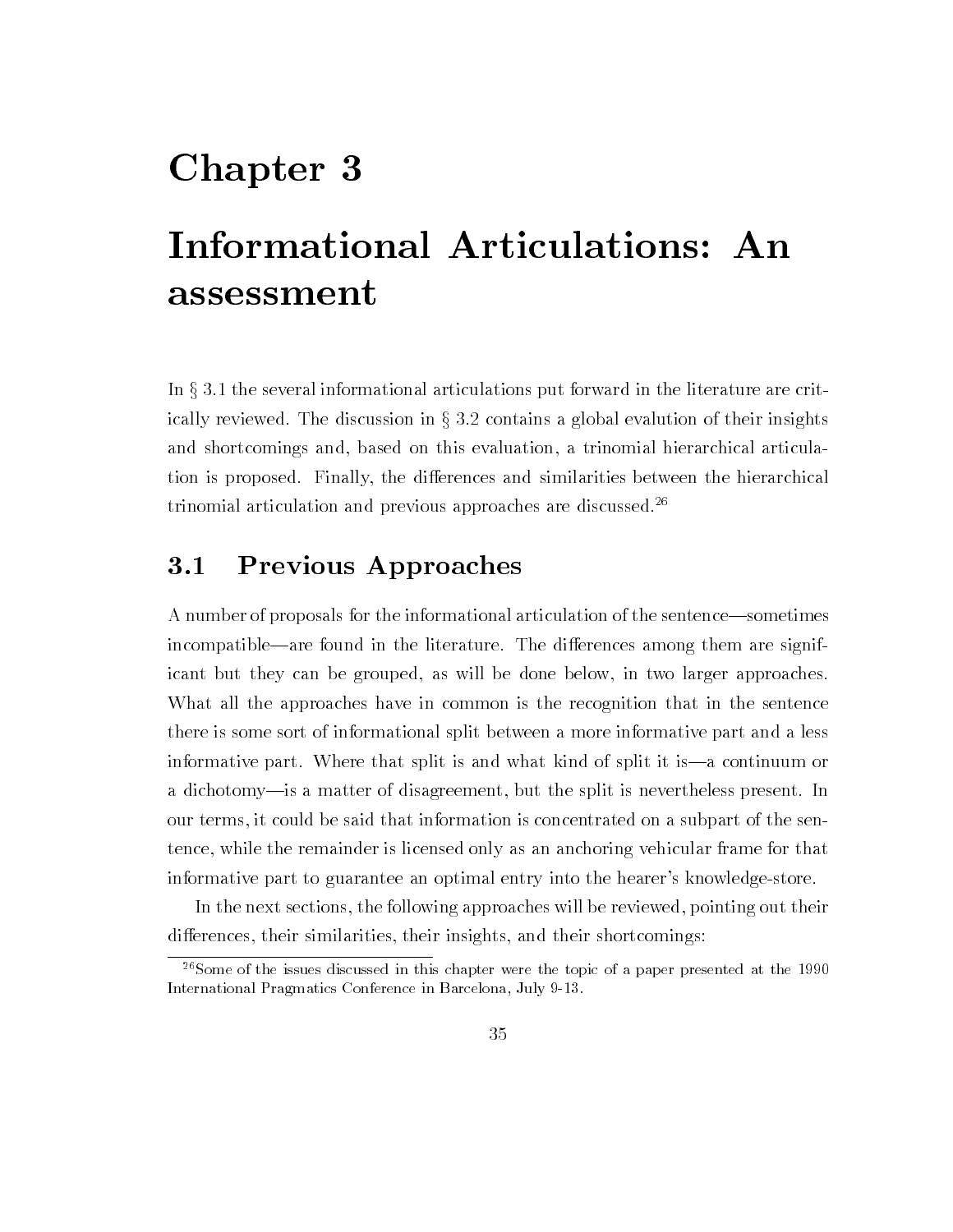# Chapter 3

# Informational Articulations: An assessment

In  $\S 3.1$  the several informational articulations put forward in the literature are critically reviewed. The discussion in  $\S 3.2$  contains a global evalution of their insights and shortcomings and, based on this evaluation, a trinomial hierarchical articulation is proposed. Finally, the differences and similarities between the hierarchical trinomial articulation and previous approaches are discussed

#### $3.1$ Previous Approaches

A number of proposals for the informational articulation of the sentence—sometimes incompatible—are found in the literature. The differences among them are significant but they can be grouped, as will be done below, in two larger approaches. What all the approaches have in common is the recognition that in the sentence there is some sort of informational split between a more informative part and a less informative part. Where that split is and what kind of split it is—a continuum or a dichotomy- is a matter of disagreement, but the split is nevertheless present. In our terms it could be said that information is concentrated on a subpart of the sen tence while the remainder is licensed only as an anchoring vehicular frame for that informative part to guarantee an optimal entry into the hearer's knowledge-store.

In the next sections, the following approaches will be reviewed, pointing out their differences, their similarities, their insights, and their shortcomings:

 $\sim$  Some of the issues discussed in this chapter were the topic of a paper presented at the 1990  $\sim$ International Pragmatics Conference in Barcelona July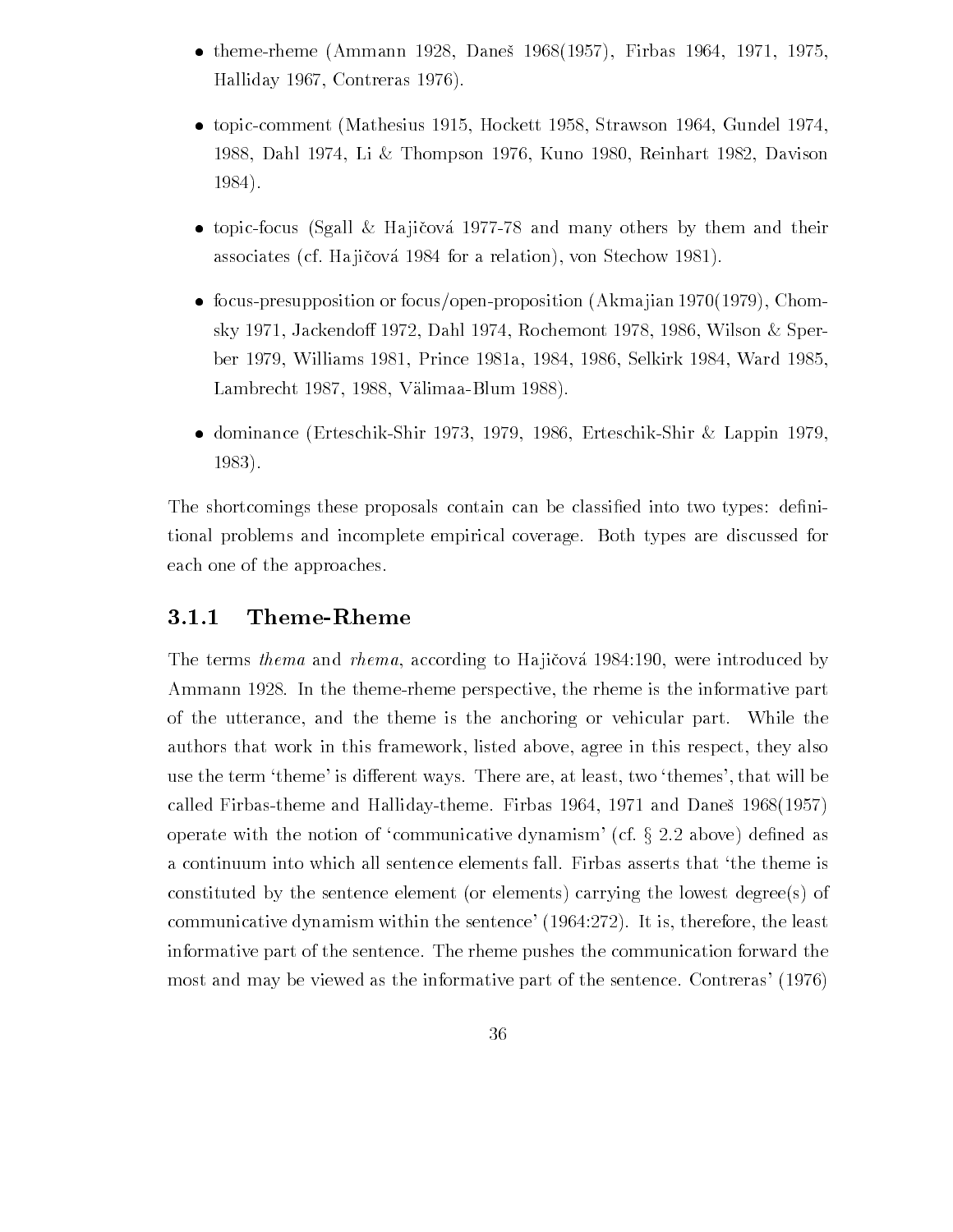- the contract of the contract of  $\mathcal{N}$  . An interact of the contract of the contract of the contract of the contract of the contract of the contract of the contract of the contract of the contract of the contract of the Halliday 1967, Contreras 1976).
- topics and Mathesius Mathesius (Strawson Mathesius Mathesius Mathesius Mathesius Mathesius Mathesius Mathesius 1988, Dahl 1974, Li & Thompson 1976, Kuno 1980, Reinhart 1982, Davison 1984).
- $\mathbf{H}$  is satisfactor  $\mathbf{H}$  and  $\mathbf{H}$  is the many others by the many others by the many others by the many others by the many others by the many others by the many others by the many others by the many others by t associates (cf. Hajičová 1984 for a relation), von Stechow 1981).
- focuspresupposition or focusopenproposition Akma jian Chom sky 1971, Jackendoff 1972, Dahl 1974, Rochemont 1978, 1986, Wilson & Sperber Williams Prince  $\mathbb R$  . We are the contract the contract of the contract of the contract of the contract of the contract of the contract of the contract of the contract of the contract of the contract of the contrac Lambrecht  $1987, 1988, V$ älimaa-Blum  $1988$ ).
- dominance (meter erte dominale television et electric meter de meter and plane television 1983).

The shortcomings these proposals contain can be classi-ed into two types de-ni tional problems and incomplete empirical coverage. Both types are discussed for each one of the approaches

#### 3.1.1  ${\bf Theme\text{-}R}$ heme

The terms thema and rhema, according to Hajicova  $1984:190$ , were introduced by Ammann 1928. In the theme-rheme perspective, the rheme is the informative part of the utterance and the theme is the anchoring or vehicular part While the authors that work in this framework, listed above, agree in this respect, they also use the term 'theme' is different ways. There are, at least, two 'themes', that will be called Firest Control and Halliday theme Firest Control of the Halliday of the Daniel States (1988) operate with the notion of 'communicative dynamism' (cf.  $\S 2.2$  above) defined as a continuum into which all sentence elements fall. Firbas asserts that 'the theme is constituted by the sentence element (or elements) carrying the lowest degree(s) of communicative dynamism within the sentence'  $(1964.272)$ . It is, therefore, the least informative part of the sentence The rheme pushes the communication forward the most and may be viewed as the informative part of the sentence. Contreras' (1976)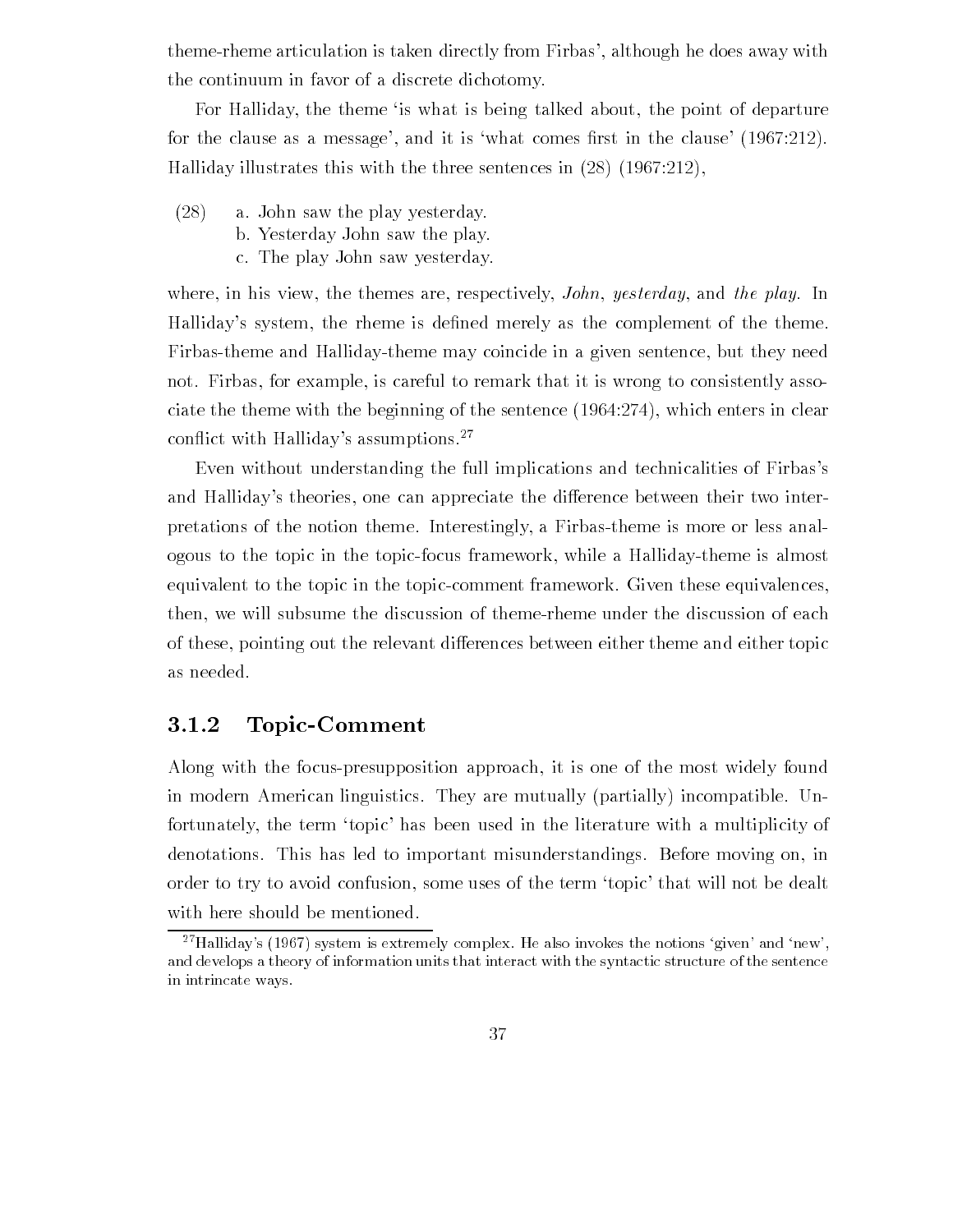theme-rheme articulation is taken directly from Firbas', although he does away with the continuum in favor of a discrete dichotomy

For Halliday, the theme is what is being talked about, the point of departure for the clause as a message as a message and it is what comes  $\mathbf{r}$ Halliday illustrates this with the three sentences in  $(28)$   $(1967:212)$ ,

- $(28)$  a. John saw the play yesterday.
	- b. Yesterday John saw the play.
	- c. The play John saw yesterday.

where, in his view, the themes are, respectively, *John, yesterday*, and the play. In Hallidays system the rheme is de-ned merely as the complement of the theme Firbas-theme and Halliday-theme may coincide in a given sentence, but they need not. Firbas, for example, is careful to remark that it is wrong to consistently associate the theme with the beginning of the sentence  $(1964:274)$ , which enters in clear conflict with Halliday's assumptions.<sup>27</sup>

Even without understanding the full implications and technicalities of Firbas's and Halliday's theories, one can appreciate the difference between their two interpretations of the notion theme Interestingly a Firbastheme is more or less anal ogous to the topic in the topic-focus framework, while a Halliday-theme is almost equivalent to the topic in the topic-comment framework. Given these equivalences, then, we will subsume the discussion of theme-rheme under the discussion of each of these, pointing out the relevant differences between either theme and either topic as needed

#### 3.1.2 Topic-Comment

Along with the focuspresupposition approach it is one of the most widely found in modern American linguistics. They are mutually (partially) incompatible. Unfortunately, the term 'topic' has been used in the literature with a multiplicity of denotations. This has led to important misunderstandings. Before moving on, in order to try to avoid confusion, some uses of the term 'topic' that will not be dealt with here should be mentioned.

<sup>-</sup> Halliday-s (1907) system is extremely complex. He also invokes the notions-given-and-new-, and develops a theory of information units that interact with the syntactic structure of the sentence in intrincate ways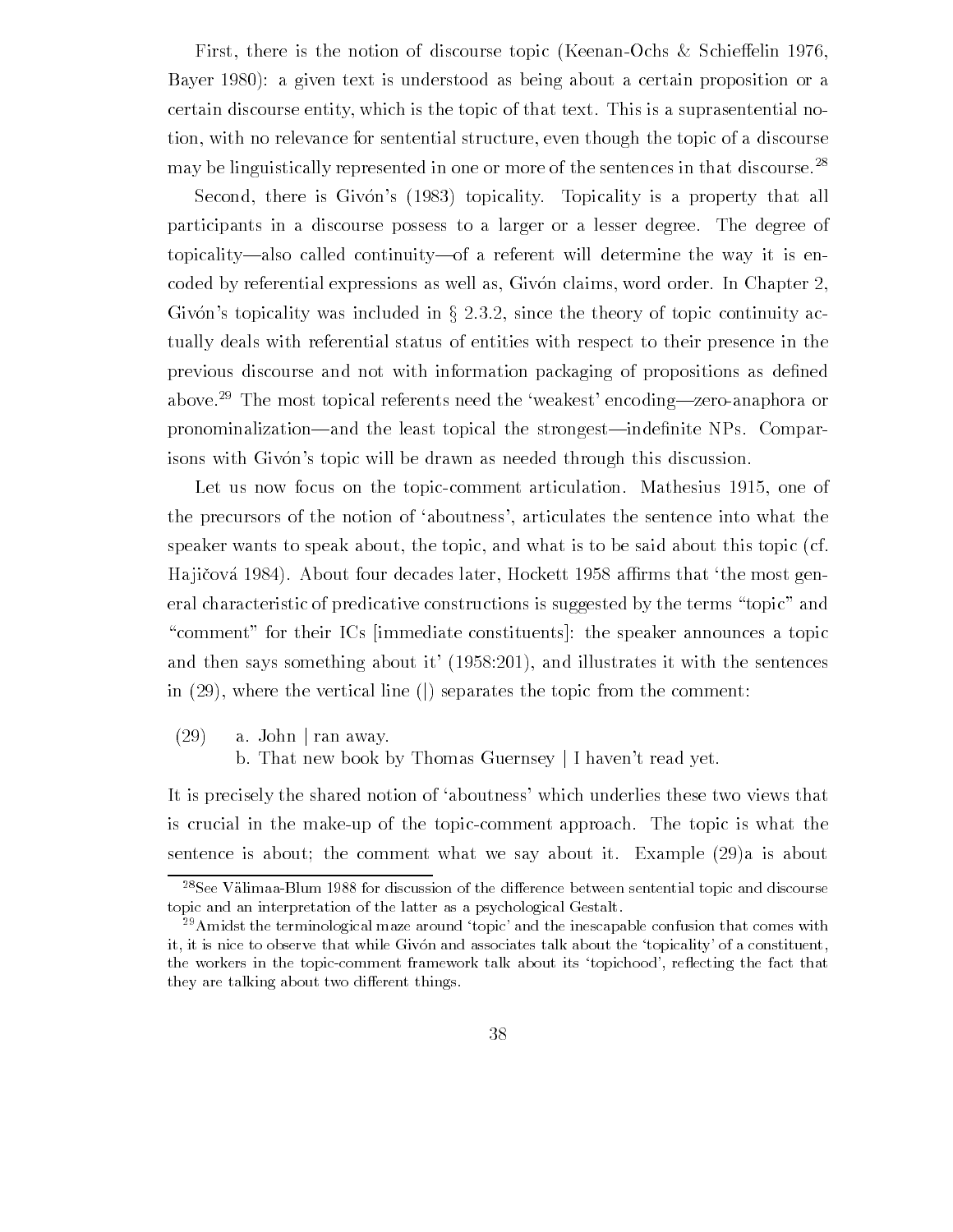First, there is the notion of discourse topic (Keenan-Ochs & Schieffelin 1976, Bayer 1980): a given text is understood as being about a certain proposition or a certain discourse entity, which is the topic of that text. This is a suprasentential notion, with no relevance for sentential structure, even though the topic of a discourse may be linguistically represented in one or more of the sentences in that discourse.<sup>28</sup>

Second, there is Givón's (1983) topicality. Topicality is a property that all participants in a discourse possess to a larger or a lesser degree The degree of topicality—also called continuity—of a referent will determine the way it is encoded by referential expressions as well as, Givón claims, word order. In Chapter 2, Givón's topicality was included in  $\S 2.3.2$ , since the theory of topic continuity actually deals with referential status of entities with respect to their presence in the previous discourse and not with information packaging of propositions as de-ned above.<sup>29</sup> The most topical referents need the 'weakest' encoding—zero-anaphora or pronominalizationand the least topical the strongestinde-nite NPs Compar isons with Givón's topic will be drawn as needed through this discussion.

Let us now focus on the topiccomment articulation Mathesius one of the precursors of the notion of 'aboutness', articulates the sentence into what the speaker wants to speak about, the topic, and what is to be said about this topic (cf. Ha ji cova  $\Lambda$ eral characteristic of predicative constructions is suggested by the terms "topic" and "comment" for their ICs (immediate constituents): the speaker announces a topic  $\mathbf{A}$ in  $(29)$ , where the vertical line () separates the topic from the comment:

 $(29)$  a. John | ran away.

b. That new book by Thomas Guernsey | I haven't read yet.

It is precisely the shared notion of 'aboutness' which underlies these two views that is crucial in the make-up of the topic-comment approach. The topic is what the sentence is about; the comment what we say about it. Example  $(29)a$  is about

tagee valimaa-Blum 1988 tor discussion of the difference between sentential topic and discourse to topic and an interpretation of the latter as a psychological Gestalt

 $\,$  - Amidst the terminological maze around  $\,$  topic- and the inescapable confusion that comes with  $\,$ it is not it is that while the while Given as society that while the the topicality- it is a constituent, the workers in the topiccomment framework talk about its topichood- reecting the fact that they are talking about two different things.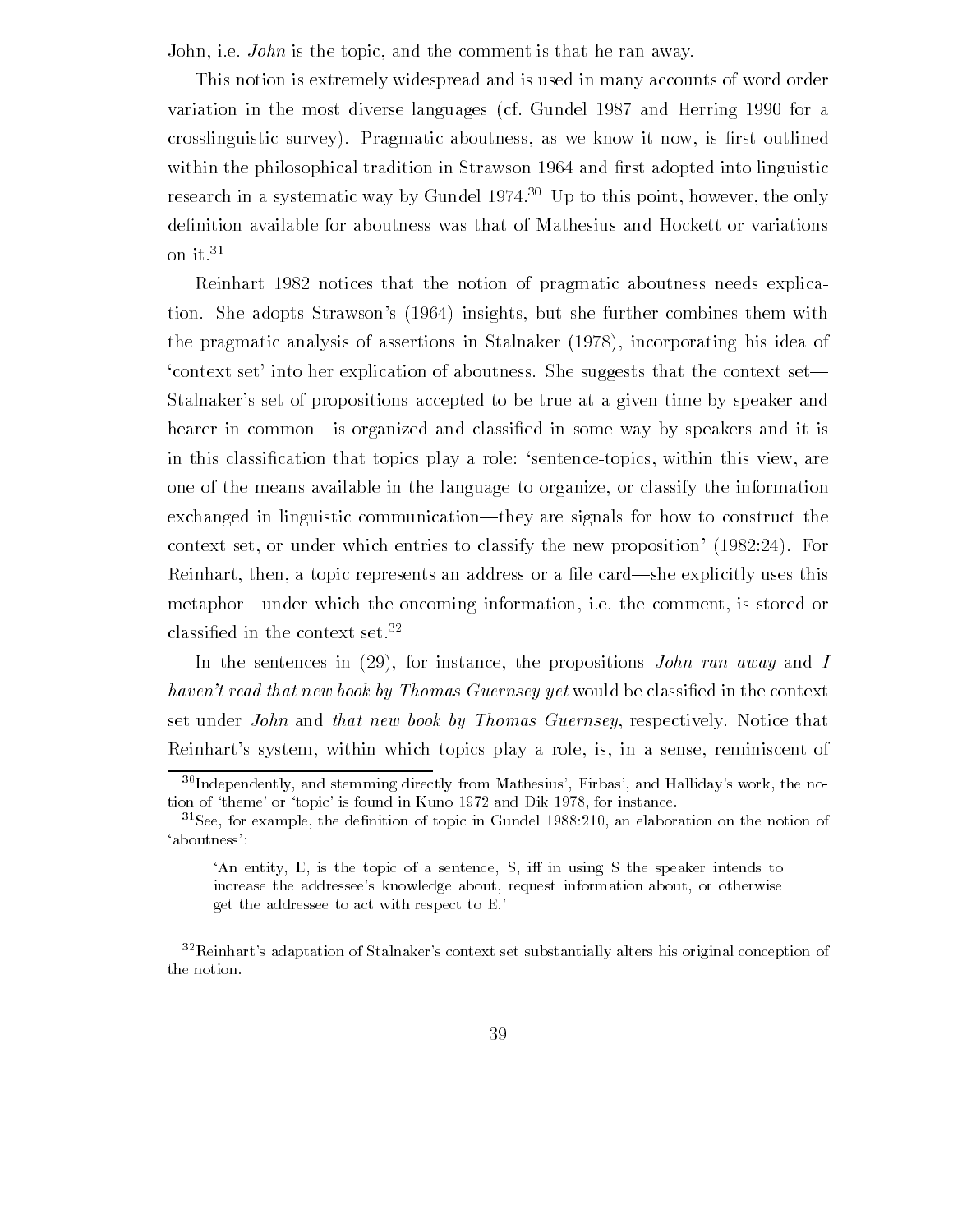John, i.e. *John* is the topic, and the comment is that he ran away.

This notion is extremely widespread and is used in many accounts of word order variation in the most diverse languages (cf. Gundel 1987 and Herring 1990 for a crosslinguistic survey Pragmatic aboutness as we know it now is -rst outlined with the philosophical tradition in Strawson in Strawson in Strawson in Strawson and - and - and - and - and research in a systematic way by Gundel 1974. $\cdot$  Up to this point, however, the only on it-

Reinhart 1982 notices that the notion of pragmatic aboutness needs explication. She adopts Strawson's (1964) insights, but she further combines them with the pragmatic analysis of assertions in Stalnaker  $(1978)$ , incorporating his idea of context set into her explication of aboutness. She suggests that the context set— Stalnaker's set of propositions accepted to be true at a given time by speaker and hearer in commonis organized and classi-ed in some way by speakers and it is in this classi-cation that topics play a role sentencetopics within this view are one of the means available in the language to organize, or classify the information exchanged in linguistic communication—they are signals for how to construct the context set, or under which entries to classify the new proposition  $(1982:24)$ . For Reinhart then a topic represents an address or a -le cardshe explicitly uses this metaphor—under which the oncoming information, i.e. the comment, is stored or ciassined in the context set.--

In the sentences in  $(29)$ , for instance, the propositions John ran away and I havent read that new book by Thomas Guernsey yet would be classi-ed in the context set under *John* and *that new book by Thomas Guernsey*, respectively. Notice that Reinhart's system, within which topics play a role, is, in a sense, reminiscent of

<sup>-</sup> Independently and stemming directly from Mathesius- Firbas- and Halliday-s work the no tion of theme- or topic- is found in Kuno and Dik for instance

<sup>--</sup>see, for example, the definition of topic in Gundel 1988.210, an elaboration on the notion of -

An entity,  $E$ , is the topic of a sentence,  $S$ , iff in using  $S$  the speaker intends to increase the addressee-s knowledge about request information about or otherwise get the addressee to act with respect to E-

 $\sim$ Keinnart-s adaptation of Stalnaker-s context set substantially alters his original conception of  $\sim$ the notion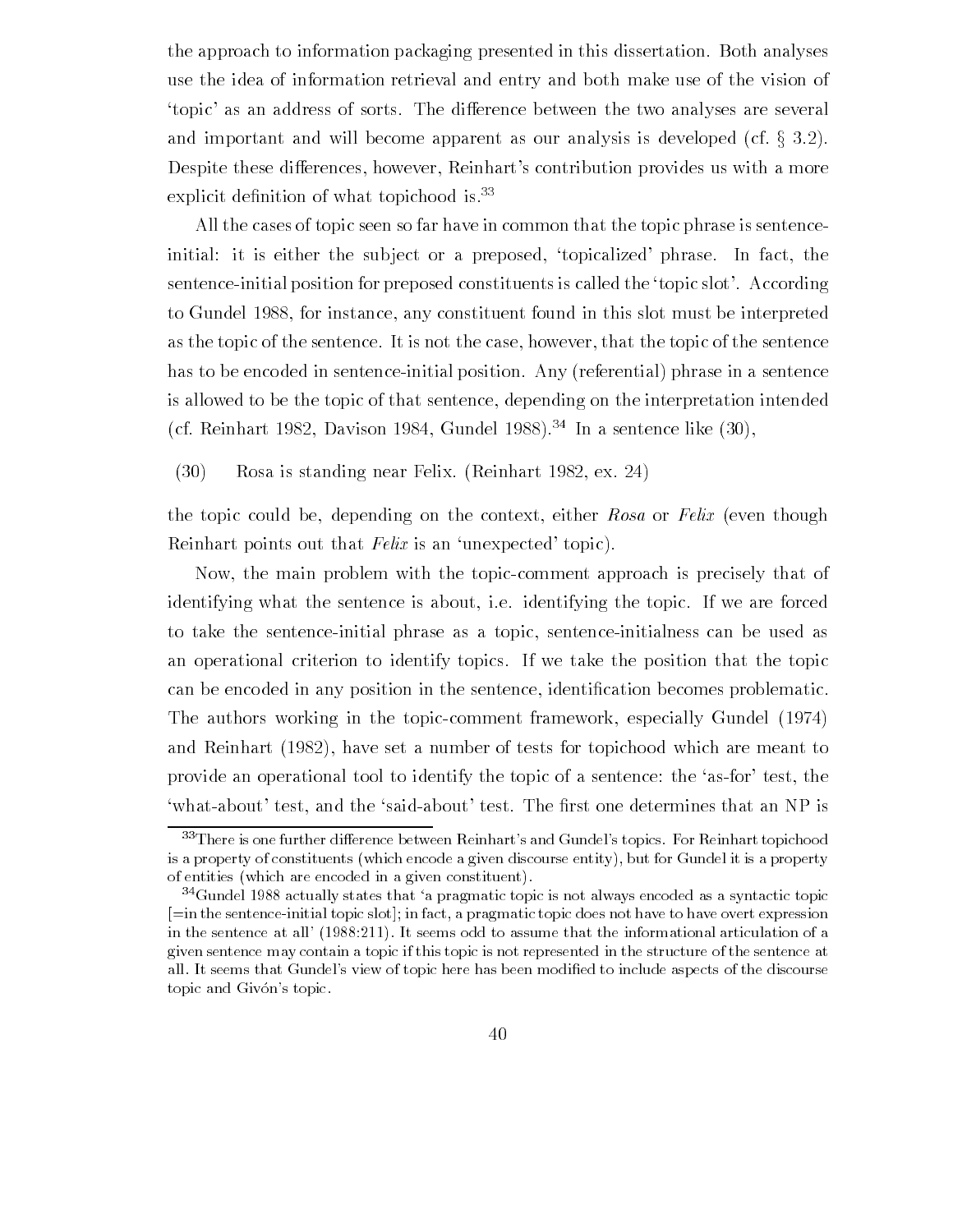the approach to information packaging presented in this dissertation. Both analyses use the idea of information retrieval and entry and both make use of the vision of topic' as an address of sorts. The difference between the two analyses are several and important and will become apparent as our analysis is developed (cf.  $\S 3.2$ ). Despite these differences, however, Reinhart's contribution provides us with a more explicit defilifition of what topichood is.<sup>--</sup>

All the cases of topic seen so far have in common that the topic phrase is sentence initial: it is either the subject or a preposed, 'topicalized' phrase. In fact, the sentence-initial position for preposed constituents is called the 'topic slot'. According to Gundel 1988, for instance, any constituent found in this slot must be interpreted as the topic of the sentence. It is not the case, however, that the topic of the sentence has to be encoded in sentence-initial position. Any (referential) phrase in a sentence is allowed to be the topic of that sentence, depending on the interpretation intended (ci. reinhart 1982, Davison 1984, Gundel 1988). — In a sentence like (50),

 $(30)$  Rosa is standing near Felix. (Reinhart 1982, ex. 24)

the topic could be, depending on the context, either Rosa or Felix (even though Reinhart points out that  $Felix$  is an 'unexpected' topic).

Now, the main problem with the topic-comment approach is precisely that of identifying what the sentence is about, i.e. identifying the topic. If we are forced to take the sentence-initial phrase as a topic, sentence-initialness can be used as an operational criterion to identify topics If we take the position that the topic cate in a cation for the sentence in the sentence is the sentence in the sentence problematic in The authors working in the topic-comment framework, especially Gundel (1974) and Reinhart (1982), have set a number of tests for topichood which are meant to provide an operational tool to identify the topic of a sentence: the 'as-for' test, the where the said test and the said the said test The said the said test the said the -

 $\,$  - There is one further difference-between Reinhart-s and Gundel-s topics. For Reinhart topichood  $\,$ is a property of constituents (which encode a given discourse entity), but for Gundel it is a property of entities (which are encoded in a given constituent).

 $^\circ$  Gundel 1988 actually states that 'a pragmatic topic is not always encoded as a syntactic topic  $^\circ$  $[i]$  in the sentence-initial topic slot]; in fact, a pragmatic topic does not have to have overt expression in the sentence at all-the sentence at all-the information of assume that the information of assume that the i given sentence may contain a topic if this topic is not represented in the structure of the sentence at all It seems that Gundel-Gundel-  $\blacksquare$  seems that  $\blacksquare$ topic and Givon-Givon-Givon-Givon-Givon-Givon-Givon-Givon-Givon-Givon-Givon-Givon-Givon-Givon-Givon-Givon-Givo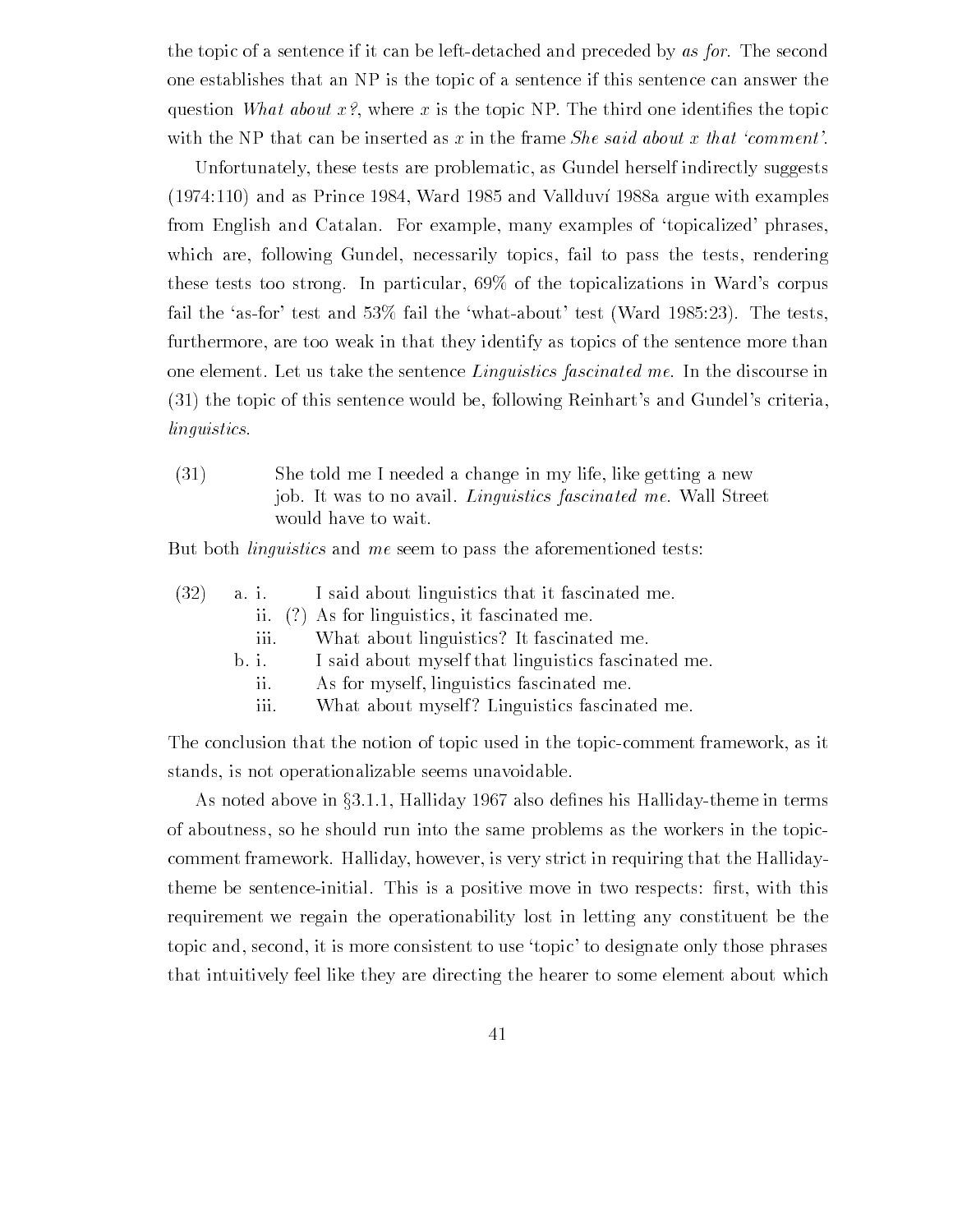the topic of a sentence if it can be left-detached and preceded by as for. The second one establishes that an NP is the topic of a sentence if this sentence can answer the question who who who who who to the topic topic the topic the the the topical control one is place with the NP that can be inserted as x in the frame *She said about x that 'comment'*.

Unfortunately these tests are problematic as Gundel herself indirectly suggests and as Prince  $\mathbb{R}$ from English and Catalan. For example, many examples of 'topicalized' phrases, which are, following Gundel, necessarily topics, fail to pass the tests, rendering these tests too strong. In particular,  $69\%$  of the topicalizations in Ward's corpus fair the first contracting the contraction of the whole tests and the tests of the tests of the tests of the t furthermore, are too weak in that they identify as topics of the sentence more than one element. Let us take the sentence  $Linguistics$  fascinated me. In the discourse in  $(31)$  the topic of this sentence would be, following Reinhart's and Gundel's criteria, linguistics

 $(31)$  She told me I needed a change in my life, like getting a new job. It was to no avail. *Linguistics fascinated me*. Wall Street would have to wait

But both *linguistics* and me seem to pass the aforementioned tests:

|  |      | $(32)$ a. i. I said about linguistics that it fascinated me. |
|--|------|--------------------------------------------------------------|
|  |      | ii. (?) As for linguistics, it fascinated me.                |
|  | 111. | What about linguistics? It fascinated me.                    |
|  |      |                                                              |

- b. i. I said about myself that linguistics fascinated me.
	- ii. As for myself, linguistics fascinated me.
	- iii. What about myself? Linguistics fascinated me.

The conclusion that the notion of topic used in the topic-comment framework, as it stands, is not operationalizable seems unavoidable.

As noted above in  $\S 3.1.1$ , Halliday 1967 also defines his Halliday-theme in terms of aboutness so he should run into the same problems as the workers in the topic comment framework. Halliday, however, is very strict in requiring that the Hallidaytheme be sentenceinitial This is a positive move in two respects -rst with this requirement we regain the operationability lost in letting any constituent be the topic and, second, it is more consistent to use 'topic' to designate only those phrases that intuitively feel like they are directing the hearer to some element about which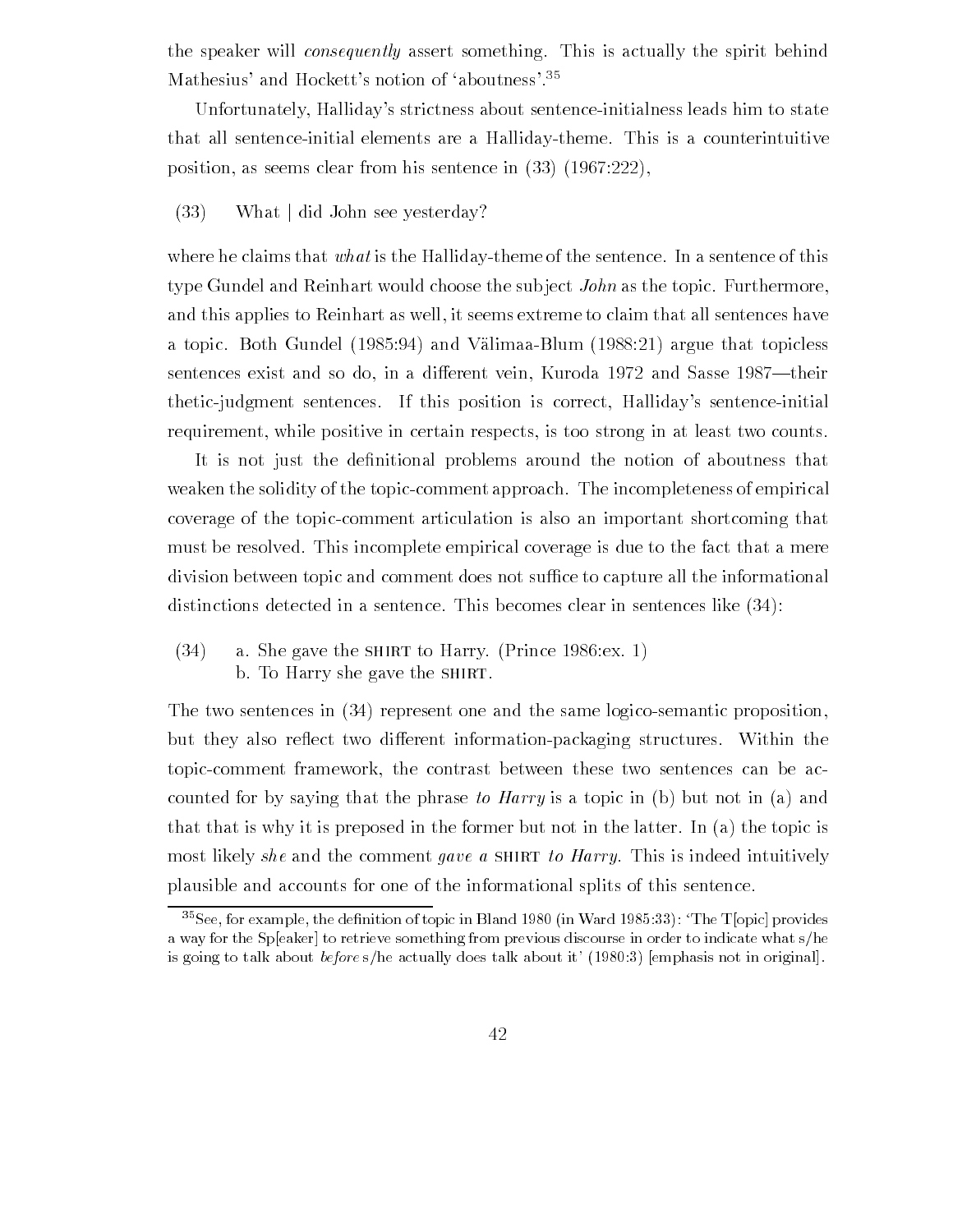the speaker will *consequently* assert something. This is actually the spirit behind Mathesius and Hocketts notion of aboutness-

Unfortunately, Halliday's strictness about sentence-initialness leads him to state that all sentenceinitial elements are a Hallidaytheme This is a counterintuitive position, as seems clear from his sentence in  $(33)$   $(1967.222)$ ,

### $(33)$  What did John see yesterday?

where he claims that what is the Halliday-theme of the sentence. In a sentence of this type Gundel and Reinhart would choose the subject  $John$  as the topic. Furthermore, and this applies to Reinhart as well, it seems extreme to claim that all sentences have a topic Both Gundel (Italy and Valimaa Blum Blum (Italy 1975) and the topical sentences exist and so do, in a different vein, Kuroda 1972 and Sasse 1987—their thetic-judgment sentences. If this position is correct, Halliday's sentence-initial requirement, while positive in certain respects, is too strong in at least two counts.

It is not just the de-nitional problems around the notion of aboutness that weaken the solidity of the topic-comment approach. The incompleteness of empirical coverage of the topiccomment articulation is also an important shortcoming that must be resolved. This incomplete empirical coverage is due to the fact that a mere division between topic and comment does not suffice to capture all the informational distinctions detected in a sentence. This becomes clear in sentences like  $(34)$ :

 $(34)$  a. She gave the SHIRT to Harry. (Prince 1986: ex. 1) b. To Harry she gave the SHIRT.

The two sentences in  $(34)$  represent one and the same logico-semantic proposition, but they also reflect two different information-packaging structures. Within the topic-comment framework, the contrast between these two sentences can be accounted for by saying that the phrase to Harry is a topic in (b) but not in (a) and that that is why it is preposed in the former but not in the latter. In (a) the topic is most likely she and the comment gave a SHIRT to Harry. This is indeed intuitively plausible and accounts for one of the informational splits of this sentence

The Topic provides the definition of topic in Bland 1980 (in Ward 1989.33). The Topic provides a way for the Speaker to retrieve something from previous discourse in order to indicate what s/he is going to their detections of the actually does the about it (about it-left called the congression).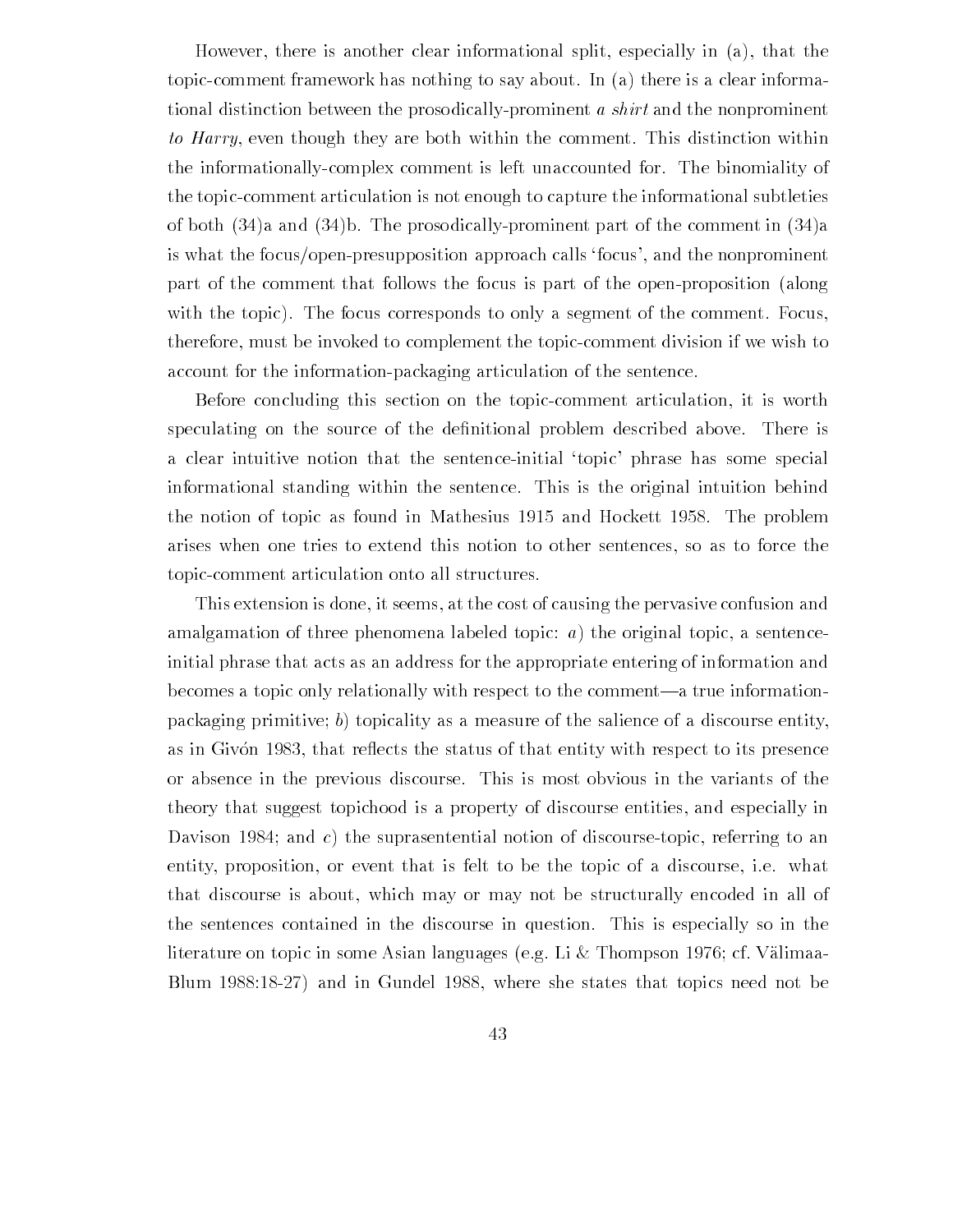However, there is another clear informational split, especially in  $(a)$ , that the topic-comment framework has nothing to say about. In  $(a)$  there is a clear informational distinction between the prosodically-prominent a *shirt* and the nonprominent to Harry, even though they are both within the comment. This distinction within the informationallycomplex comment is left unaccounted for The binomiality of the topic-comment articulation is not enough to capture the informational subtleties of both  $(34)$  and  $(34)$ b. The prosodically-prominent part of the comment in  $(34)$ a is what the focus/open-presupposition approach calls 'focus', and the nonprominent part of the comment that follows the focus is part of the open-proposition (along with the topic). The focus corresponds to only a segment of the comment. Focus, therefore, must be invoked to complement the topic-comment division if we wish to account for the information-packaging articulation of the sentence.

Before concluding this section on the topic-comment articulation, it is worth speculating on the source of the de-nitional problem described above There is a clear intuitive notion that the sentence-initial 'topic' phrase has some special informational standing within the sentence This is the original intuition behind the notion of topic as found in Mathesius and Hockett The problem arises when one tries to extend this notion to other sentences so as to force the topic-comment articulation onto all structures.

This extension is done, it seems, at the cost of causing the pervasive confusion and amalgamation of three phenomena labeled topic:  $a$ ) the original topic, a sentenceinitial phrase that acts as an address for the appropriate entering of information and becomes a topic only relationally with respect to the comment—a true informationpackaging primitive; b) topicality as a measure of the salience of a discourse entity, as in Givon 1983, that reflects the status of that entity with respect to its presence or absence in the previous discourse This is most obvious in the variants of the theory that suggest topichood is a property of discourse entities and especially in Davison 1984; and c) the suprasentential notion of discourse-topic, referring to an entity, proposition, or event that is felt to be the topic of a discourse, i.e. what that discourse is about, which may or may not be structurally encoded in all of the sentences contained in the discourse in question This is especially so in the literature on topic in some Asian languages (e.g. Li & Thompson 1976; cf. Välimaa-Blum 1988:18-27) and in Gundel 1988, where she states that topics need not be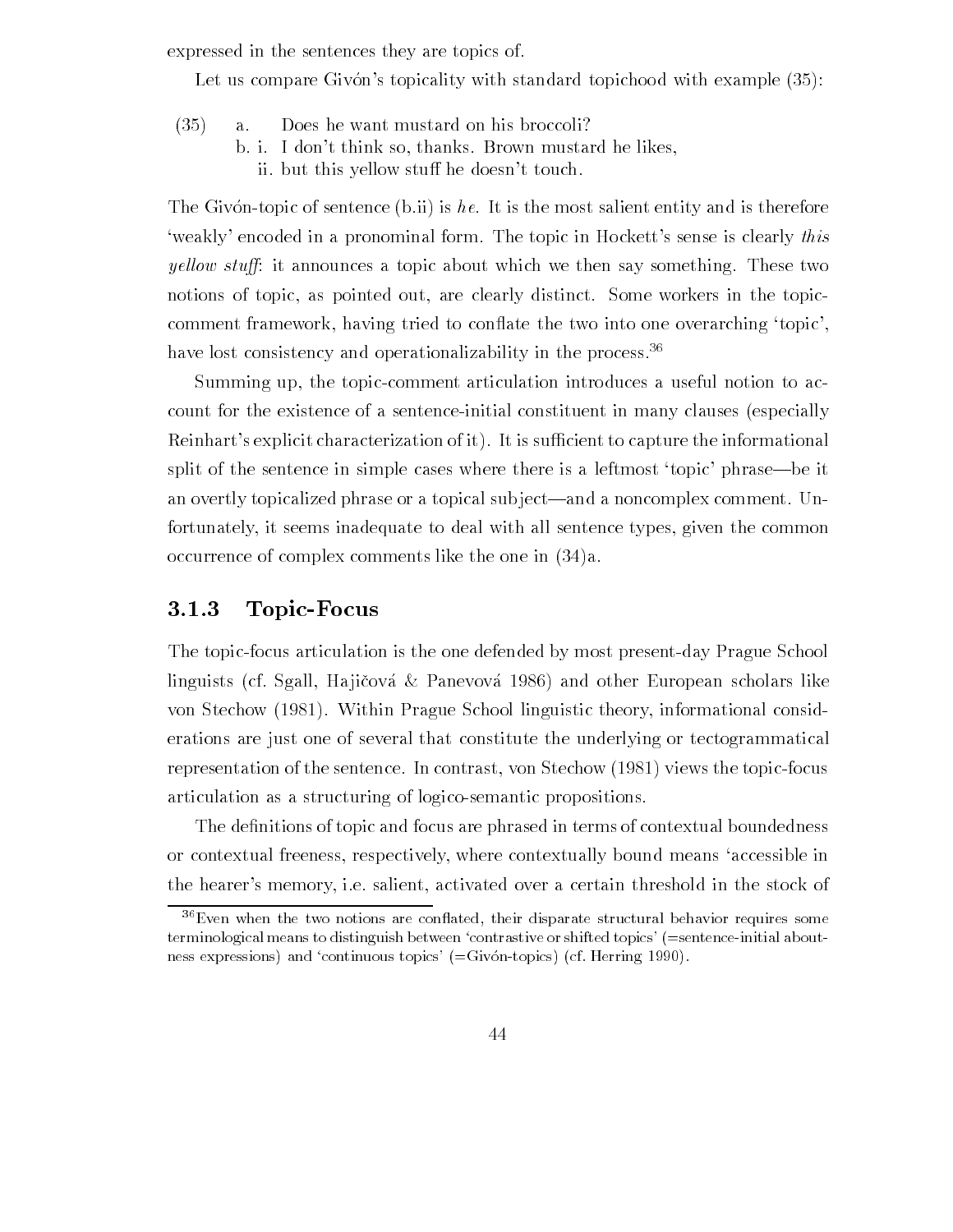expressed in the sentences they are topics of

Let us compare Givons topicality with standard topicality with standard topicality with standard topicality with example  $\mathcal{A}$ 

- $(35)$ Does he want mustard on his broccoli?  $\mathbf{a}$ .
	- b. i. I don't think so, thanks. Brown mustard he likes, ii. but this yellow stuff he doesn't touch.

The Givon-topic of sentence (b.ii) is he. It is the most salient entity and is therefore weakly encoded in a pronominal form. The topic in Hockett's sense is clearly this *yellow stuff*: it announces a topic about which we then say something. These two notions of topic, as pointed out, are clearly distinct. Some workers in the topiccomment framework, having tried to conflate the two into one overarching 'topic', have lost consistency and operationalizability in the process-

Summing up, the topic-comment articulation introduces a useful notion to account for the existence of a sentence-initial constituent in many clauses (especially Reinhart's explicit characterization of it). It is sufficient to capture the informational split of the sentence in simple cases where there is a leftmost 'topic' phrase—be it an overtly topicalized phrase or a topical subject—and a noncomplex comment. Unfortunately it seems inadequate to deal with all sentence types given the common occurrence of complex comments like the one in  $(34)a$ .

# Topic-Focus

The topic-focus articulation is the one defended by most present-day Prague School linguists (cf. Sgall, Hajičová & Panevová 1986) and other European scholars like von Stechow (1981). Within Prague School linguistic theory, informational considerations are just one of several that constitute the underlying or tectogrammatical representation of the sentence. In contrast, von Stechow  $(1981)$  views the topic-focus articulation as a structuring of logico-semantic propositions.

The de-nitions of topic and focus are phrased in terms of contextual boundedness or contextual freeness, respectively, where contextually bound means 'accessible in the hearer's memory, i.e. salient, activated over a certain threshold in the stock of

<sup>-</sup> Even when the two notions are connated, their disparate structural behavior requires some terminological means to distinguish between contrastive or shifted topics- sentenceinitial about ness expressions and continuous topics- Givontopics cf Herring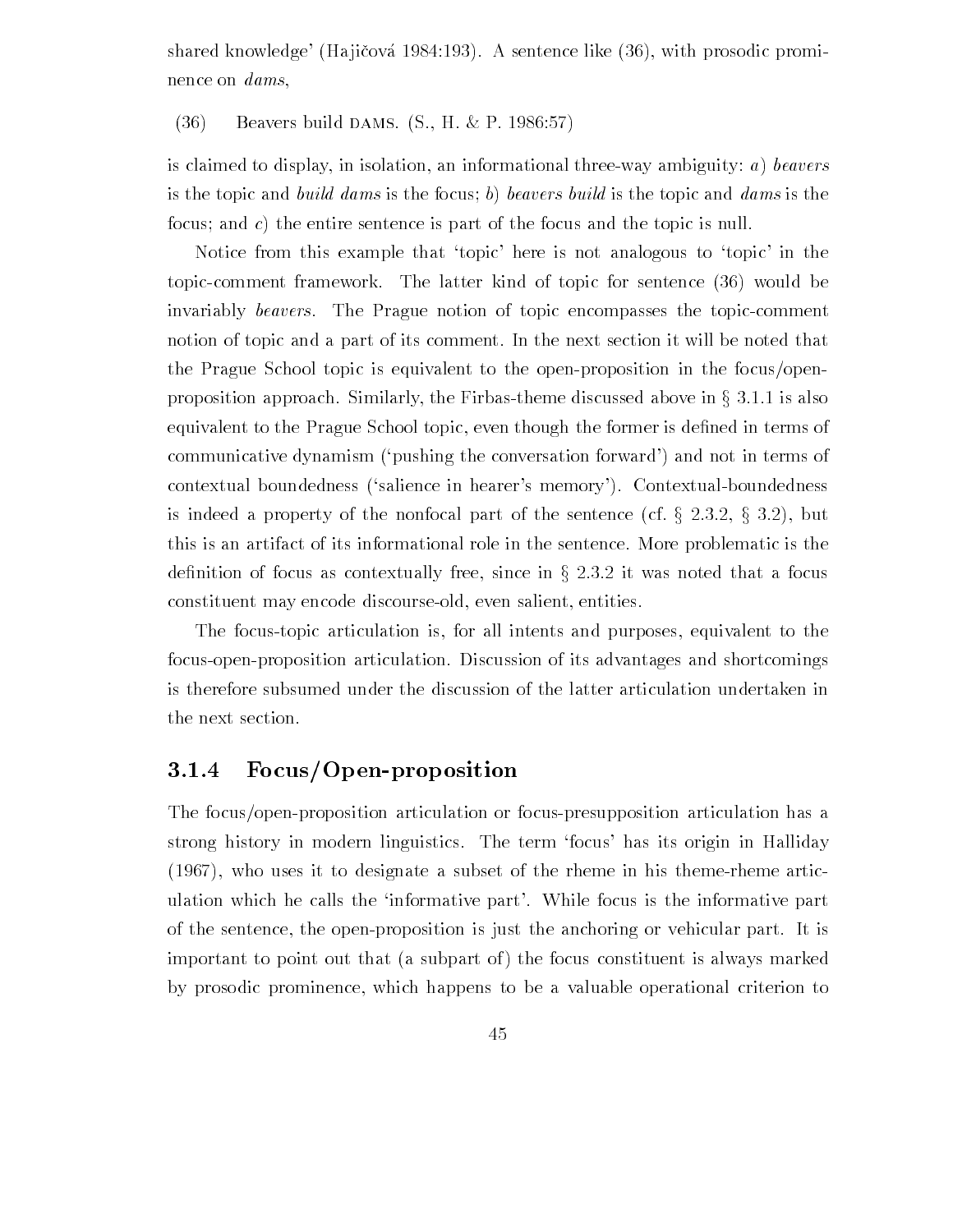shared knowledge' (Hajičová 1984:193). A sentence like  $(36)$ , with prosodic prominence on dams

 $\mathcal{B}$  beavers build diffinitions for  $\mathcal{B}$  in  $\infty$  is a second formula

is claimed to display, in isolation, an informational three-way ambiguity: a) beavers is the topic and build dams is the focus; b) beavers build is the topic and dams is the focus; and c) the entire sentence is part of the focus and the topic is null.

Notice from this example that 'topic' here is not analogous to 'topic' in the topic-comment framework. The latter kind of topic for sentence (36) would be invariably *beavers*. The Prague notion of topic encompasses the topic-comment notion of topic and a part of its comment In the next section it will be noted that the Prague School topic is equivalent to the open-proposition in the focus/openproposition approach. Similarly, the Firbas-theme discussed above in  $\S 3.1.1$  is also equivalent to the Prague School topic even though the former is de-ned in terms of communicative dynamism ('pushing the conversation forward') and not in terms of contextual boundedness ('salience in hearer's memory'). Contextual-boundedness is indeed a property of the nonfocal part of the sentence (cf.  $\S$  2.3.2,  $\S$  3.2), but this is an artifact of its informational role in the sentence More problematic is the definition of focus as contextually free, since in  $\S 2.3.2$  it was noted that a focus constituent may encode discourse-old, even salient, entities.

The focus-topic articulation is, for all intents and purposes, equivalent to the focus-open-proposition articulation. Discussion of its advantages and shortcomings is therefore subsumed under the discussion of the latter articulation undertaken in the next section

#### 3.1.4 Focus/Open-proposition

The focus/open-proposition articulation or focus-presupposition articulation has a strong history in modern linguistics. The term 'focus' has its origin in Halliday  $(1967)$ , who uses it to designate a subset of the rheme in his theme-rheme articulation which he calls the 'informative part'. While focus is the informative part of the sentence, the open-proposition is just the anchoring or vehicular part. It is important to point out that (a subpart of) the focus constituent is always marked by prosodic prominence which happens to be a valuable operational criterion to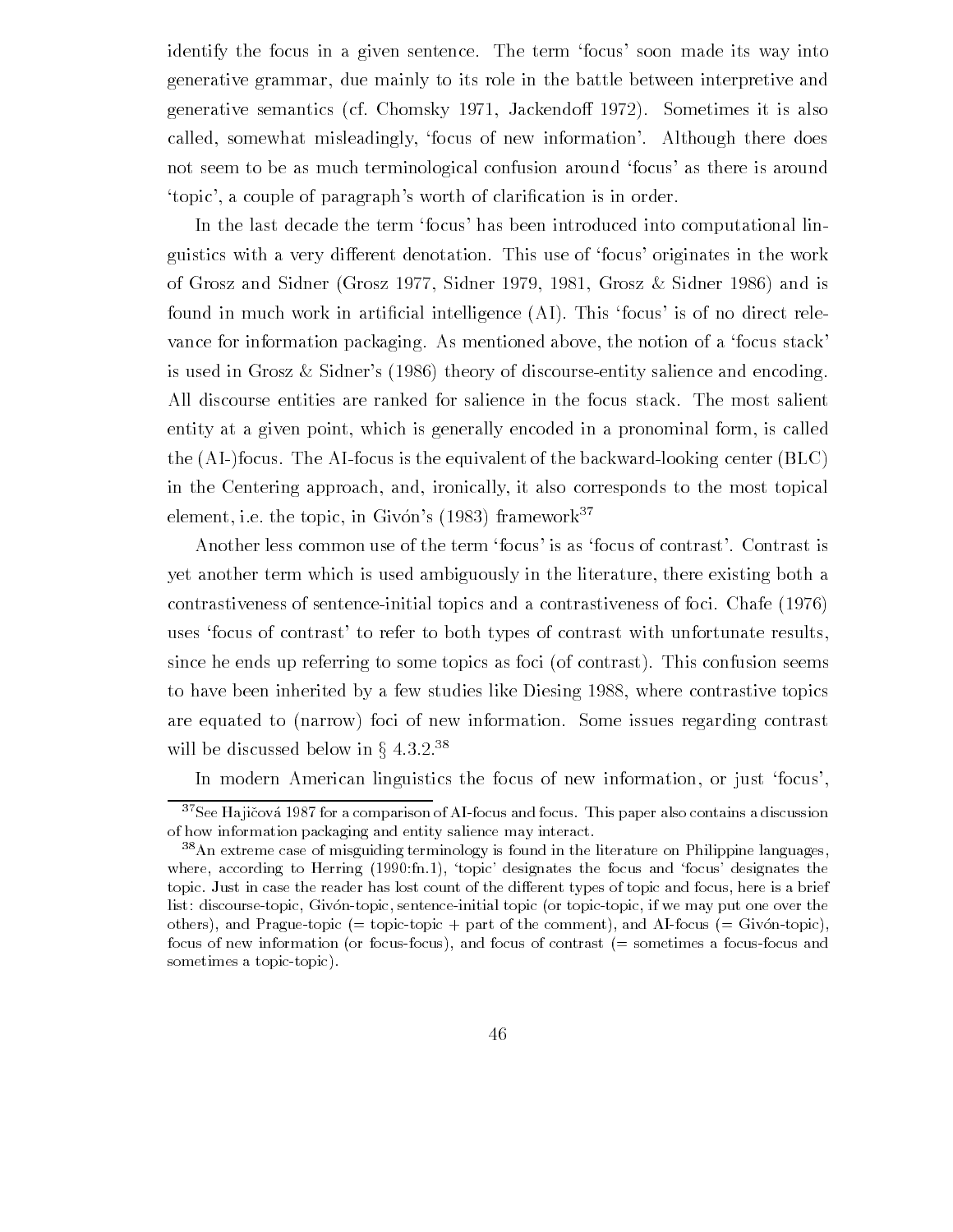identify the focus in a given sentence. The term 'focus' soon made its way into generative grammar, due mainly to its role in the battle between interpretive and generative semantics (cf. Chomsky 1971, Jackendoff 1972). Sometimes it is also called, somewhat misleadingly, 'focus of new information'. Although there does not seem to be as much terminological confusion around 'focus' as there is around topic a couple of paragraphs worth of clari-cation is in order

In the last decade the term focus' has been introduced into computational linguistics with a very different denotation. This use of 'focus' originates in the work of Grosz and Sidner (Grosz 1977, Sidner 1979, 1981, Grosz & Sidner 1986) and is found in much work in arti-cial intelligence AI This focus is of no direct rele vance for information packaging. As mentioned above, the notion of a 'focus stack' is used in Grosz & Sidner's  $(1986)$  theory of discourse-entity salience and encoding. All discourse entities are ranked for salience in the focus stack The most salient entity at a given point, which is generally encoded in a pronominal form, is called the  $(AI-)$ focus. The AI-focus is the equivalent of the backward-looking center  $(BLC)$ in the Centering approach, and, ironically, it also corresponds to the most topical element, i.e. the topic, in Givon's (1983) framework-

Another less common use of the term 'focus' is as 'focus of contrast'. Contrast is yet another term which is used ambiguously in the literature, there existing both a contrastiveness of sentence-initial topics and a contrastiveness of foci. Chafe (1976) uses 'focus of contrast' to refer to both types of contrast with unfortunate results, since he ends up referring to some topics as foci (of contrast). This confusion seems to have been inherited by a few studies like Diesing 1988, where contrastive topics are equated to (narrow) foci of new information. Some issues regarding contrast will be discussed below in  $\S~4.3.2.^{38}$ 

In modern American linguistics the focus of new information, or just 'focus',

 $\lnot$  see Hajicova 1987 for a comparison of A1-focus and focus. This paper also contains a discussion of how information packaging and entity salience may interact

<sup>-</sup>An extreme case of misguiding terminology is found in the literature on Philippine languages where according to Herring (Herring), representation and focus-the focus and focustopic. Just in case the reader has lost count of the different types of topic and focus, here is a brief list: discourse-topic, Givon-topic, sentence-initial topic (or topic-topic, if we may put one over the others), and Prague-topic  $(=$  topic-topic  $+$  part of the comment), and AI-focus  $(=$  Givon-topic), focus of new information (or focus-focus), and focus of contrast  $(=$  sometimes a focus-focus and sometimes a topic-topic).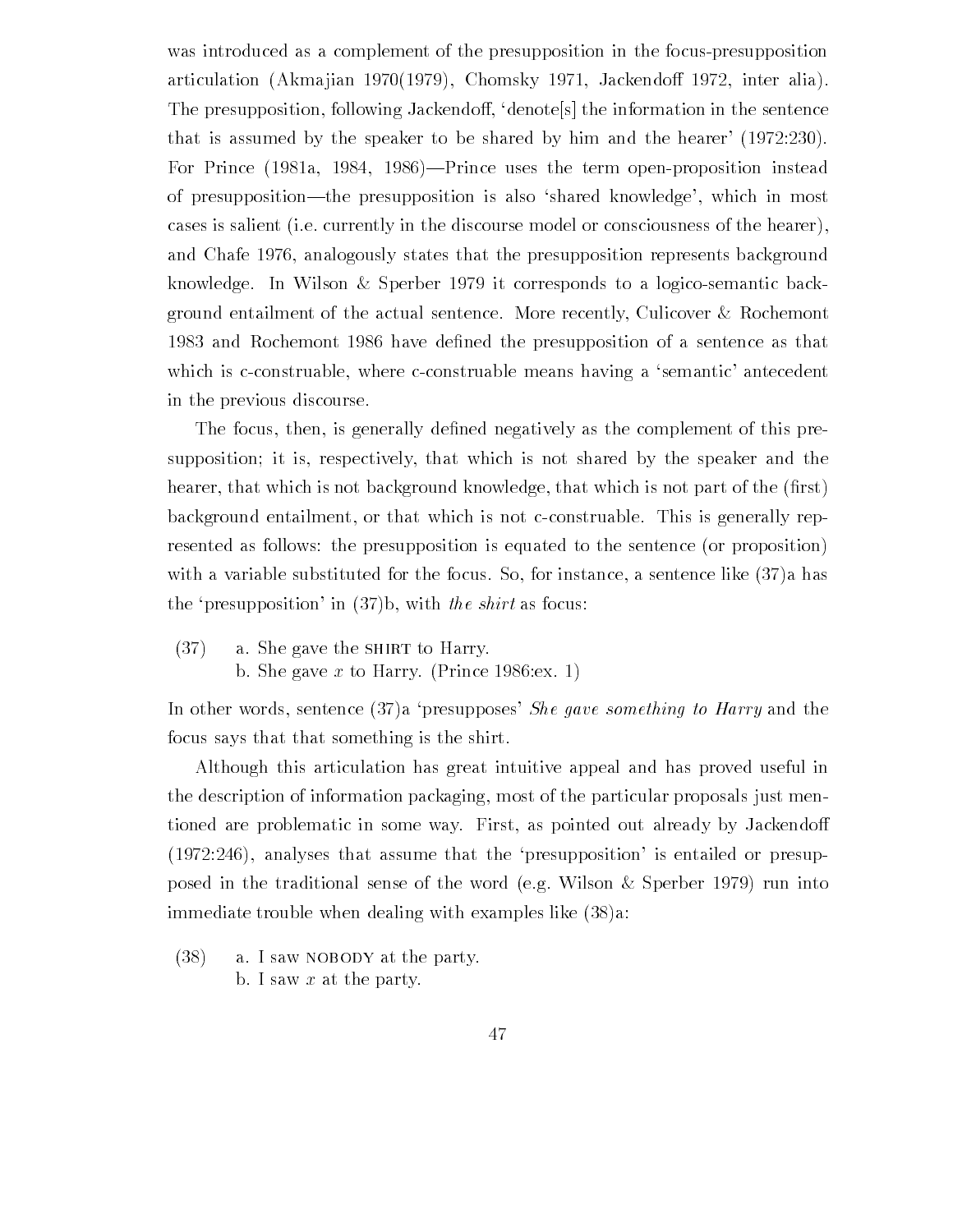was introduced as a complement of the presupposition in the focus-presupposition articulation (Akmajian 1970(1979), Chomsky 1971, Jackendoff 1972, inter alia). The presupposition, following Jackendoff, 'denote's the information in the sentence that is assumed by the speaker to be shared by him and the hearer' (1972:230). For Prince  $(1981a, 1984, 1986)$ -Prince uses the term open-proposition instead of presupposition—the presupposition is also 'shared knowledge', which in most cases is salient (i.e. currently in the discourse model or consciousness of the hearer). and Chafe 1976, analogously states that the presupposition represents background knowledge. In Wilson  $&$  Sperber 1979 it corresponds to a logico-semantic background entailment of the actual sentence. More recently, Culicover & Rochemont and rochemont and the presupposition of a sentence of a sentence as the sentence as the sentence of a sentence which is c-construable, where c-construable means having a 'semantic' antecedent in the previous discourse

The focus then is generally de-ned negatively as the complement of this pre supposition; it is, respectively, that which is not shared by the speaker and the hearer that which is not background knowledge that which is not part of the -rst background entailment, or that which is not c-construable. This is generally represented as follows: the presupposition is equated to the sentence (or proposition) with a variable substituted for the focus. So, for instance, a sentence like  $(37)a$  has the 'presupposition' in  $(37)$ b, with the shirt as focus:

 $(37)$  a. She gave the SHIRT to Harry. b. She gave x to Harry. (Prince  $1986$ : ex. 1)

In other words, sentence  $(37)a$  presupposes' She gave something to Harry and the focus says that that something is the shirt

Although this articulation has great intuitive appeal and has proved useful in the description of information packaging most of the particular proposals just men tioned are problematic in some way. First, as pointed out already by Jackendoff  $(1972:246)$ , analyses that assume that the 'presupposition' is entailed or presupposed in the traditional sense of the word (e.g. Wilson  $\&$  Sperber 1979) run into immediate trouble when dealing with examples like  $(38)a$ .

 $(38)$  a. I saw NOBODY at the party. b. I saw  $x$  at the party.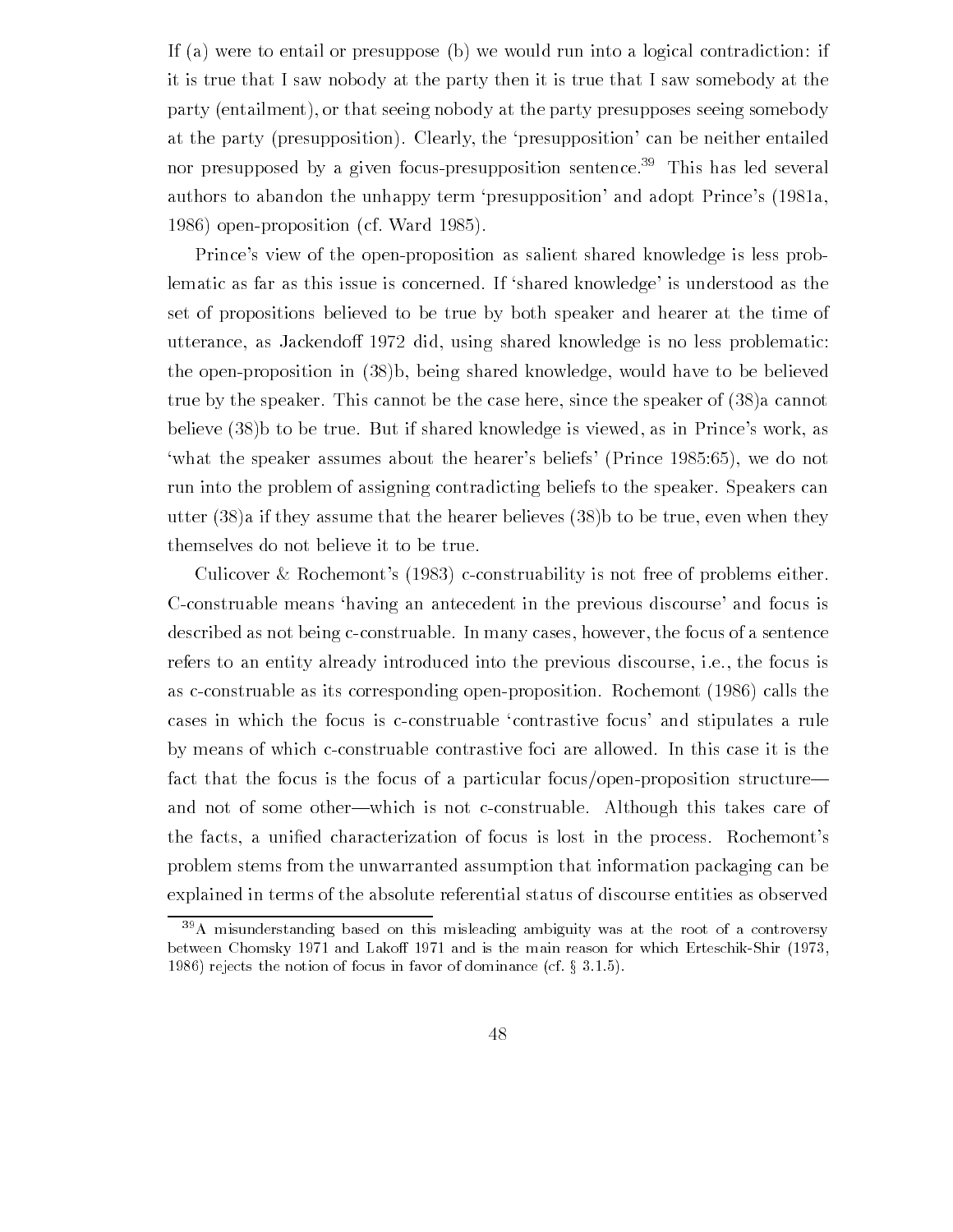If (a) were to entail or presuppose (b) we would run into a logical contradiction: if it is true that I saw nobody at the party then it is true that I saw somebody at the party (entailment), or that seeing nobody at the party presupposes seeing somebody at the party (presupposition). Clearly, the 'presupposition' can be neither entailed nor presupposed by a given focuspresupposition sentence- This has led several authors to abandon the unhappy term 'presupposition' and adopt Prince's (1981a, open proposition and the community of the Contract of the Material State of the Material State of the Material

Prince's view of the open-proposition as salient shared knowledge is less problematic as far as this issue is concerned. If 'shared knowledge' is understood as the set of propositions believed to be true by both speaker and hearer at the time of utterance, as Jackendoff 1972 did, using shared knowledge is no less problematic: the open-proposition in  $(38)$ b, being shared knowledge, would have to be believed true by the speaker. This cannot be the case here, since the speaker of  $(38)$  cannot believe  $(38)$  to be true. But if shared knowledge is viewed, as in Prince's work, as where the specific must belief the specific prime in the specific prince  $\mu$  above  $\mu$  , we do not the specific run into the problem of assigning contradicting beliefs to the speaker. Speakers can utter  $(38)$  if they assume that the hearer believes  $(38)$  to be true, even when they themselves do not believe it to be true

Culicover & Rochemont's (1983) c-construability is not free of problems either. C-construable means 'having an antecedent in the previous discourse' and focus is described as not being c-construable. In many cases, however, the focus of a sentence refers to an entity already introduced into the previous discourse, i.e., the focus is as c-construable as its corresponding open-proposition. Rochemont  $(1986)$  calls the cases in which the focus is c-construable 'contrastive focus' and stipulates a rule by means of which c-construable contrastive foci are allowed. In this case it is the fact that the focus is the focus of a particular focus/open-proposition structure and not of some other—which is not c-construable. Although this takes care of the facts a uni-ed characterization of focus is lost in the process Rochemonts problem stems from the unwarranted assumption that information packaging can be explained in terms of the absolute referential status of discourse entities as observed

<sup>-</sup>A misunderstanding based on this misleading ambiguity was at the root of a controversy between Chomsky and Lako is the main reason for which ErteschikShirikShirikShirikShirikShirikShirikShirikShirikShirikShirikShirikShirikShirikShirikShirikShirikShirikShirikShirikShirikShirikShirikShirikShirikShirikShirikShi referred the notion of focus in favor of dominance  $\{xx, y\}$  ,  $\{xx, y\}$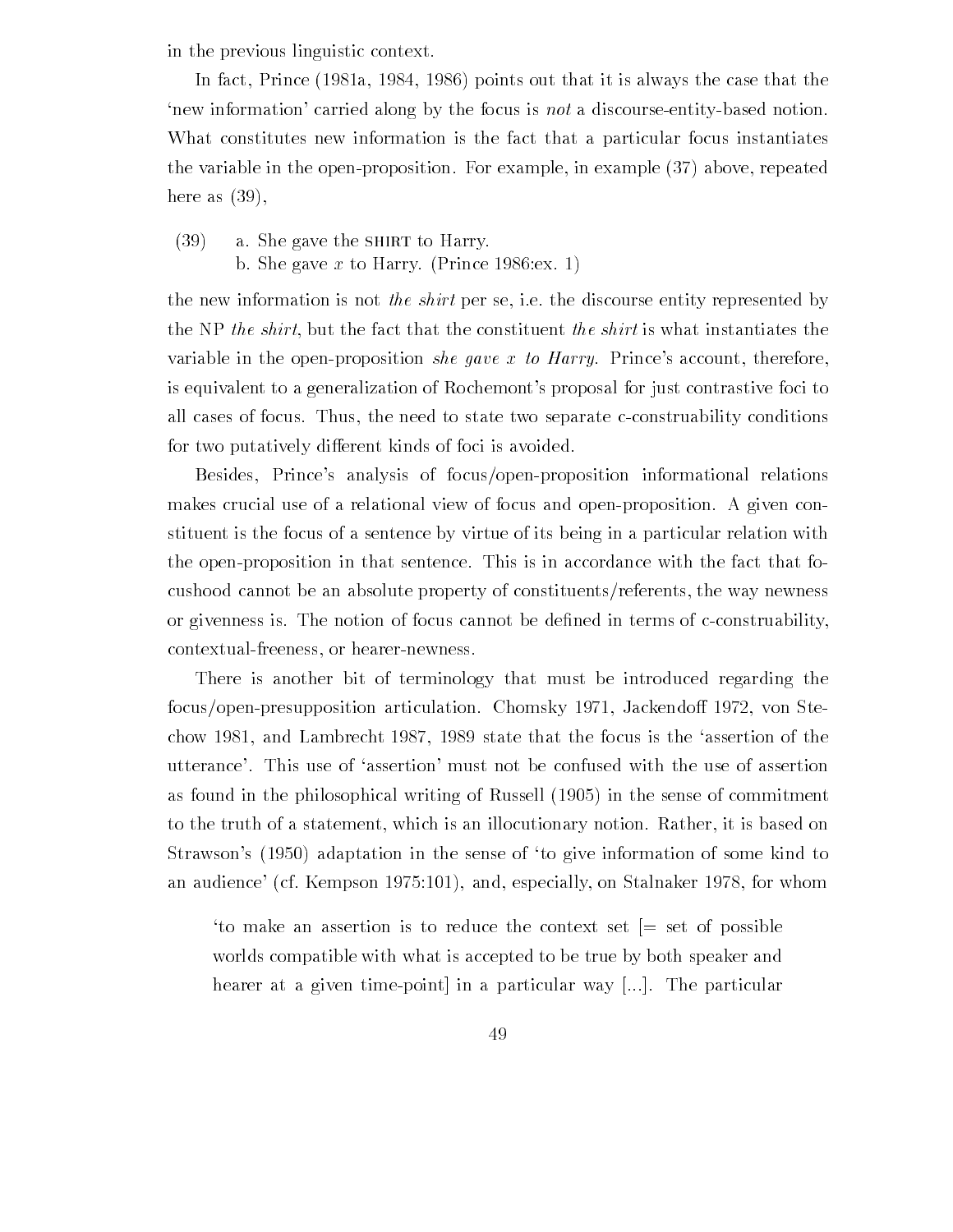in the previous linguistic context

In fact, Prince  $(1981a, 1984, 1986)$  points out that it is always the case that the 'new information' carried along by the focus is *not* a discourse-entity-based notion. What constitutes new information is the fact that a particular focus instantiates the variable in the open-proposition. For example, in example  $(37)$  above, repeated here as  $(39)$ ,

 $(39)$  a. She gave the SHIRT to Harry. b. She gave x to Harry. (Prince  $1986$ : ex. 1)

the new information is not the shirt per se, i.e. the discourse entity represented by the NP the shirt, but the fact that the constituent the shirt is what instantiates the variable in the open-proposition she gave x to Harry. Prince's account, therefore, is equivalent to a generalization of Rochemont's proposal for just contrastive foci to all cases of focus. Thus, the need to state two separate c-construability conditions for two putatively different kinds of foci is avoided.

Besides, Prince's analysis of focus/open-proposition informational relations makes crucial use of a relational view of focus and open-proposition. A given constituent is the focus of a sentence by virtue of its being in a particular relation with the open-proposition in that sentence. This is in accordance with the fact that focushood cannot be an absolute property of constituents/referents, the way newness or givenness is The notion of focus cannot be de-ned in terms of cconstruability contextual-freeness, or hearer-newness.

There is another bit of terminology that must be introduced regarding the focus/open-presupposition articulation. Chomsky 1971, Jackendoff 1972, von Stechow 1981, and Lambrecht 1987, 1989 state that the focus is the 'assertion of the utterance. This use of 'assertion' must not be confused with the use of assertion as found in the philosophical writing of Russell (2000) in the sense of Commitment. to the truth of a statement, which is an illocutionary notion. Rather, it is based on straws the sense in the sense of the sense of the sense in the sense of the some to the some to the some to th and audience can be the form of the California and the Stallah and the Stallah on Stallah and the stall on the

to make an assertion is to reduce the context set  $=$  set of possible worlds compatible with what is accepted to be true by both speaker and hearer at a given time-point in a particular way  $[...]$ . The particular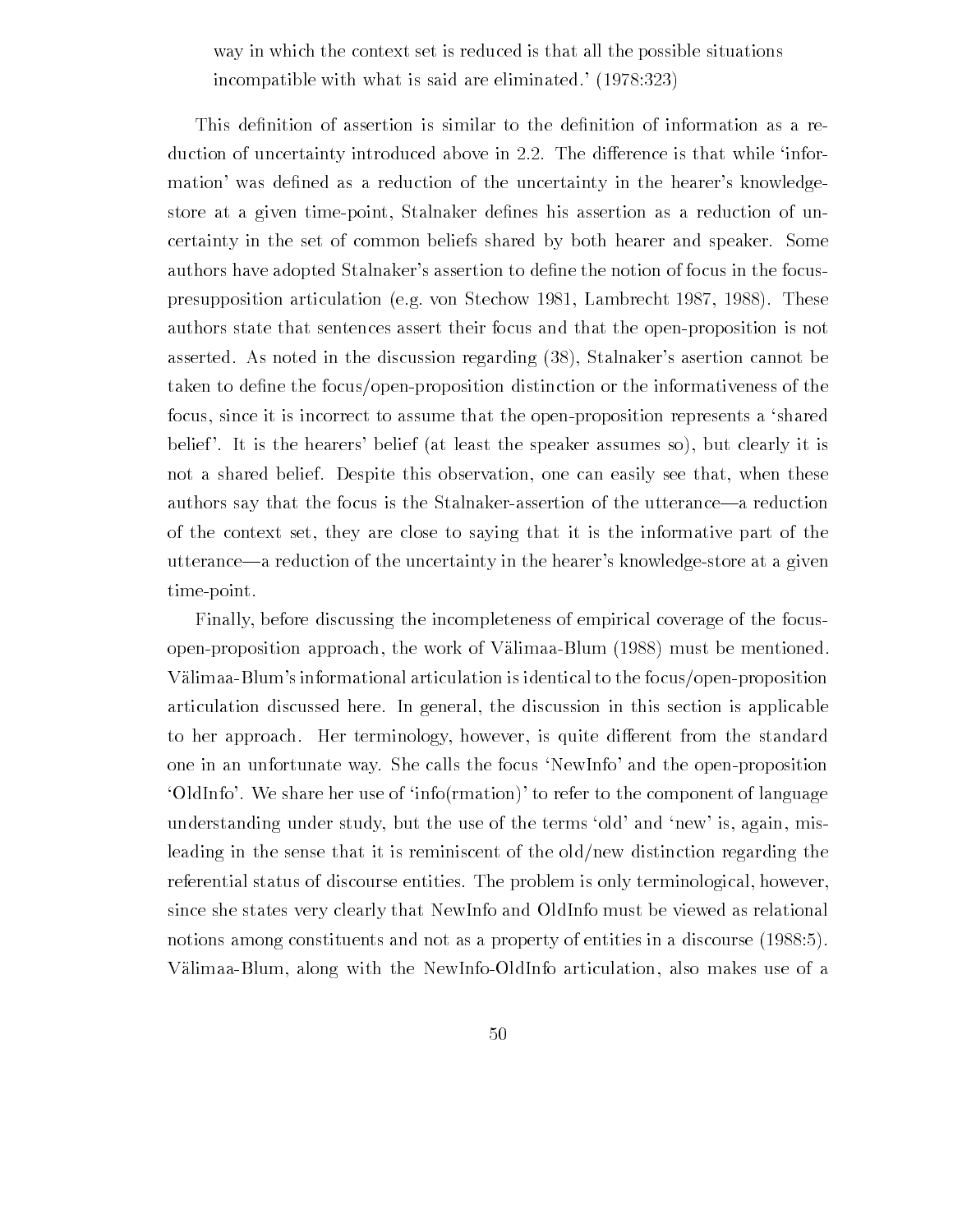way in which the context set is reduced is that all the possible situations incompatible with what is said are eliminated.' (1978:323)

duction of uncertainty introduced above in 2.2. The difference is that while 'information was de-ned as a reduction of the uncertainty in the hearers knowledge store at a given timepoint Stalnaker de-nes his assertion as a reduction of un certainty in the set of common beliefs shared by both hearer and speaker. Some authors have adopted Stalnakers assertion to de-ne the notion of focus in the focus presupposition articulation (e.g. von Stechow 1981, Lambrecht 1987, 1988). These authors state that sentences assert their focus and that the openproposition is not asserted. As noted in the discussion regarding (38), Stalnaker's asertion cannot be taken to de-ne the focusopenproposition distinction or the informativeness of the focus, since it is incorrect to assume that the open-proposition represents a 'shared belief'. It is the hearers' belief (at least the speaker assumes so), but clearly it is not a shared belief. Despite this observation, one can easily see that, when these authors say that the focus is the Stalnaker-assertion of the utterance-a reduction of the context set they are close to saying that it is the informative part of the utterance—a reduction of the uncertainty in the hearer's knowledge-store at a given time-point.

Finally before discussing the incompleteness of empirical coverage of the focus open-proposition approach, the work of Välimaa-Blum  $(1988)$  must be mentioned. Välimaa-Blum's informational articulation is identical to the focus/open-proposition articulation discussed here In general the discussion in this section is applicable to her approach. Her terminology, however, is quite different from the standard one in an unfortunate way. She calls the focus 'NewInfo' and the open-proposition 'OldInfo'. We share her use of 'info $(rmation)$ ' to refer to the component of language understanding under study, but the use of the terms 'old' and 'new' is, again, misleading in the sense that it is reminiscent of the old/new distinction regarding the referential status of discourse entities. The problem is only terminological, however, since she states very clearly that NewInfo and OldInfo must be viewed as relational notions among constituents and not as a property of entities in a discourse Välimaa-Blum, along with the NewInfo-OldInfo articulation, also makes use of a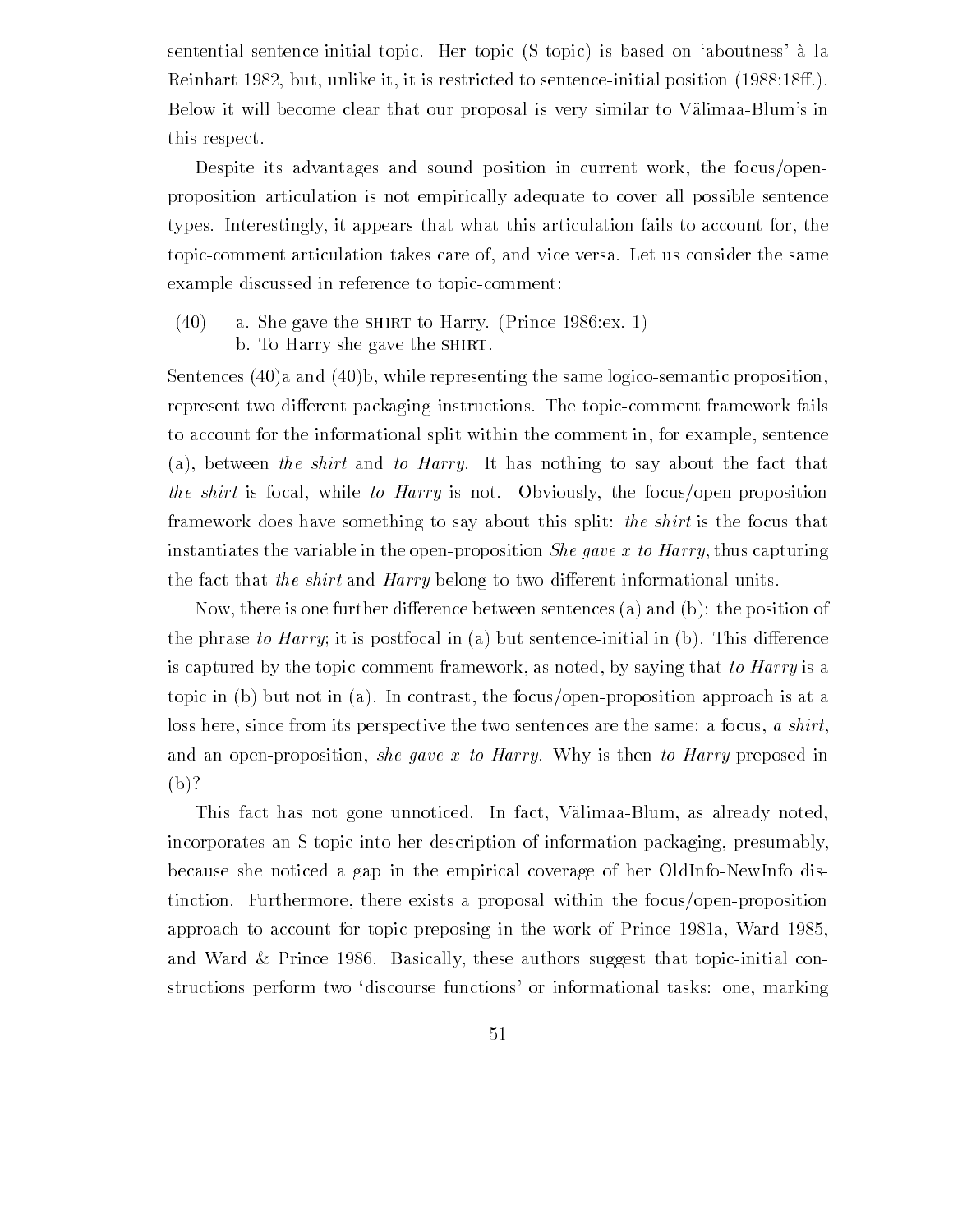sentential sentence-initial topic. Her topic (S-topic) is based on 'aboutness' à la Reinhart 1982, but, unlike it, it is restricted to sentence-initial position  $(1988.18ff.)$ . Below it will become clear that our proposal is very similar to Välimaa-Blum's in this respect

Despite its advantages and sound position in current work, the focus/openproposition articulation is not empirically adequate to cover all possible sentence types Interestingly it appears that what this articulation fails to account for the topic-comment articulation takes care of, and vice versa. Let us consider the same example discussed in reference to topic-comment:

 $(40)$  a. She gave the SHIRT to Harry. (Prince 1986:ex. 1) b. To Harry she gave the SHIRT.

Sentences  $(40)a$  and  $(40)b$ , while representing the same logico-semantic proposition, represent two different packaging instructions. The topic-comment framework fails to account for the informational split within the comment in for example sentence (a), between the shirt and to Harry. It has nothing to say about the fact that the shirt is focal, while to Harry is not. Obviously, the focus/open-proposition framework does have something to say about this split: the shirt is the focus that instantiates the variable in the open-proposition *She qave x to Harry*, thus capturing the fact that the shirt and Harry belong to two different informational units.

Now, there is one further difference between sentences (a) and (b): the position of the phrase to Harry; it is postfocal in (a) but sentence-initial in (b). This difference is captured by the topic-comment framework, as noted, by saying that to Harry is a topic in (b) but not in (a). In contrast, the focus/open-proposition approach is at a loss here, since from its perspective the two sentences are the same: a focus,  $\alpha$  shirt, and an open-proposition, she gave x to Harry. Why is then to Harry preposed in  $(b)?$ 

This fact has not gone unnoticed. In fact, Välimaa-Blum, as already noted, incorporates an S-topic into her description of information packaging, presumably, because she noticed a gap in the empirical coverage of her OldInfo-NewInfo distinction. Furthermore, there exists a proposal within the focus/open-proposition approach to account for the work of  $\mathcal{A}$  work of  $\mathcal{A}$  work of  $\mathcal{A}$  work of  $\mathcal{A}$  was  $\mathcal{A}$  where  $\mathcal{A}$ and Ward & Prince 1986. Basically, these authors suggest that topic-initial constructions perform two discourse functions' or informational tasks: one, marking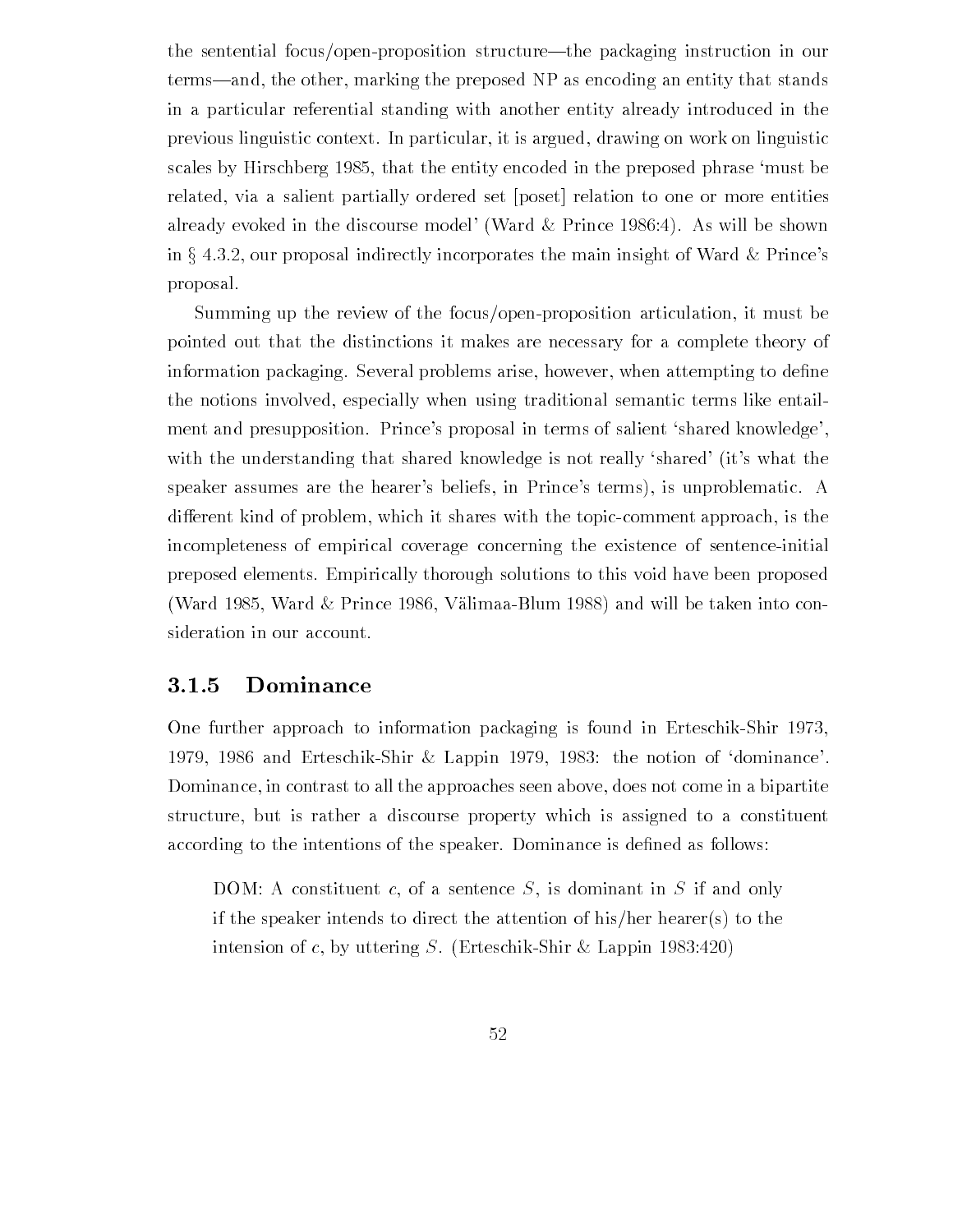the sentential focus/open-proposition structure—the packaging instruction in our terms—and, the other, marking the preposed NP as encoding an entity that stands in a particular referential standing with another entity already introduced in the previous linguistic context In particular it is argued drawing on work on linguistic scales by Hirschberg that the entity encoded in the preposed phrase must be related, via a salient partially ordered set [poset] relation to one or more entities already evoked in the discourse model' (Ward  $\&$  Prince 1986:4). As will be shown in  $\S 4.3.2$ , our proposal indirectly incorporates the main insight of Ward & Prince's proposal

Summing up the review of the focus/open-proposition articulation, it must be pointed out that the distinctions it makes are necessary for a complete theory of information packaging Several problems arise however when attempting to de-ne the notions involved, especially when using traditional semantic terms like entailment and presupposition. Prince's proposal in terms of salient 'shared knowledge', with the understanding that shared knowledge is not really 'shared' (it's what the speaker assumes are the hearer's beliefs, in Prince's terms), is unproblematic. A different kind of problem, which it shares with the topic-comment approach, is the incompleteness of empirical coverage concerning the existence of sentenceinitial preposed elements Empirically thorough solutions to this void have been proposed Was defined as  $\mathbb{N}$  and will be taken into connected into connected into connected into connected into connected into connected into connected into connected into connected into connected into connected into connected sideration in our account

#### 3.1.5 Dominance

One further approach to information packaging is found in Erteschik-Shir 1973, 1979, 1986 and Erteschik-Shir & Lappin 1979, 1983: the notion of 'dominance'. Dominance, in contrast to all the approaches seen above, does not come in a bipartite structure, but is rather a discourse property which is assigned to a constituent according to the intentions of the speaker Dominance is de-ned as follows

DOM: A constituent c, of a sentence S, is dominant in S if and only if the speaker intends to direct the attention of his/her hearer(s) to the intension of c, by uttering S. (Erteschik-Shir & Lappin 1983:420)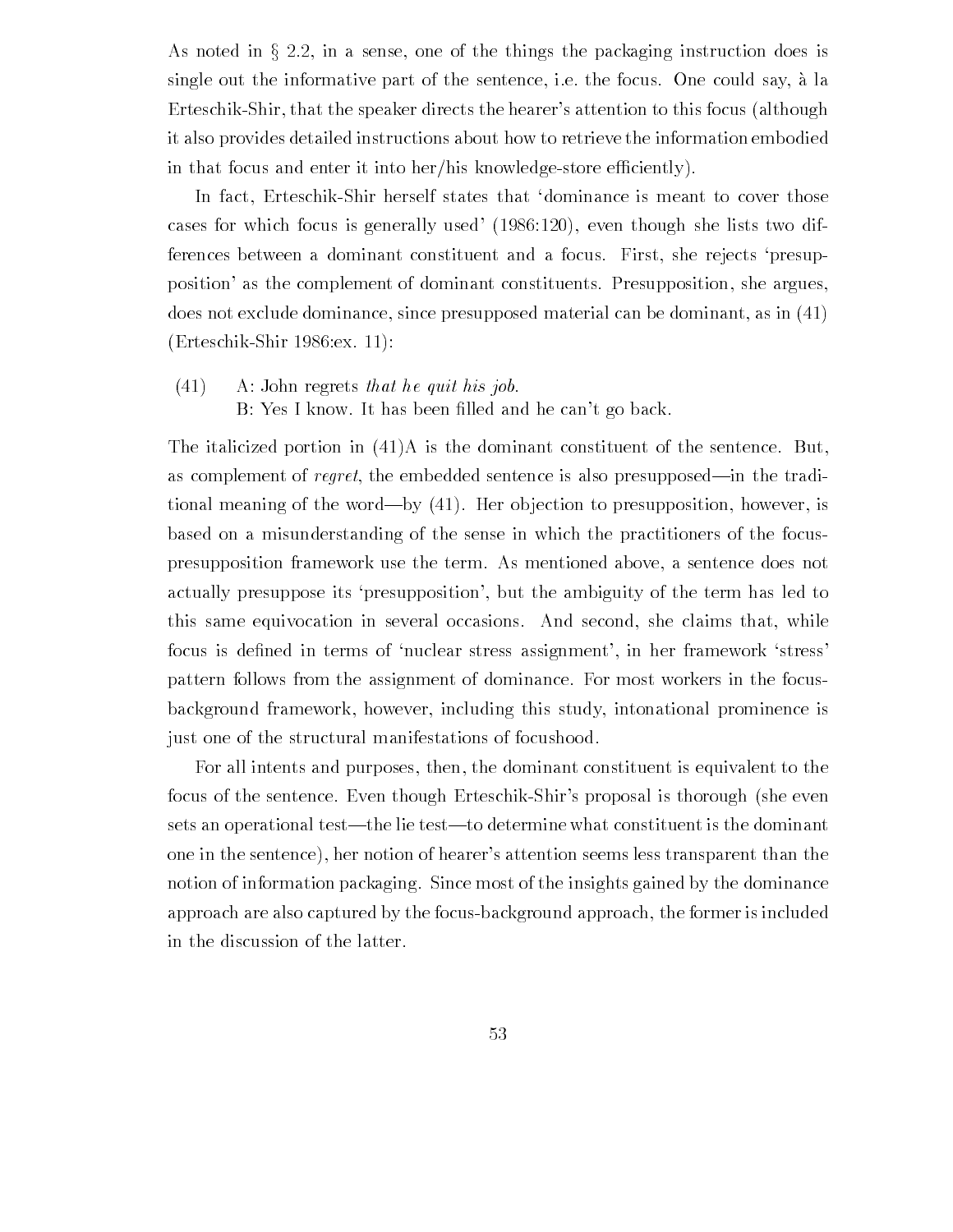As noted in  $\S 2.2$ , in a sense, one of the things the packaging instruction does is single out the informative part of the sentence, i.e. the focus. One could say, à la Erteschik-Shir, that the speaker directs the hearer's attention to this focus (although it also provides detailed instructions about how to retrieve the information embodied in that focus and enter it into her/his knowledge-store efficiently).

In fact, Erteschik-Shir herself states that 'dominance is meant to cover those cases for which focus is generally used  $(1986:120)$ , even though she lists two differences between a dominant constituent and a focus. First, she rejects 'presupposition' as the complement of dominant constituents. Presupposition, she argues, does not exclude dominance, since presupposed material can be dominant, as in  $(41)$  $(Erteschik-Shir 1986:ex. 11):$ 

 $(41)$  A: John regrets that he quit his job. B Yes I know It has been -lled and he cant go back

The italicized portion in  $(41)$ A is the dominant constituent of the sentence. But, as complement of regret, the embedded sentence is also presupposed—in the traditional meaning of the word—by  $(41)$ . Her objection to presupposition, however, is based on a misunderstanding of the sense in which the practitioners of the focus presupposition framework use the term. As mentioned above, a sentence does not actually presuppose its 'presupposition', but the ambiguity of the term has led to this same equivocation in several occasions. And second, she claims that, while focus is defined in terms of  $n$  is defined in terms of  $n$ pattern follows from the assignment of dominance For most workers in the focus background framework, however, including this study, intonational prominence is just one of the structural manifestations of focushood.

For all intents and purposes, then, the dominant constituent is equivalent to the focus of the sentence. Even though Erteschik-Shir's proposal is thorough (she even sets an operational test—the lie test—to determine what constituent is the dominant one in the sentence), her notion of hearer's attention seems less transparent than the notion of information packaging. Since most of the insights gained by the dominance approach are also captured by the focusbackground approach the former is included in the discussion of the latter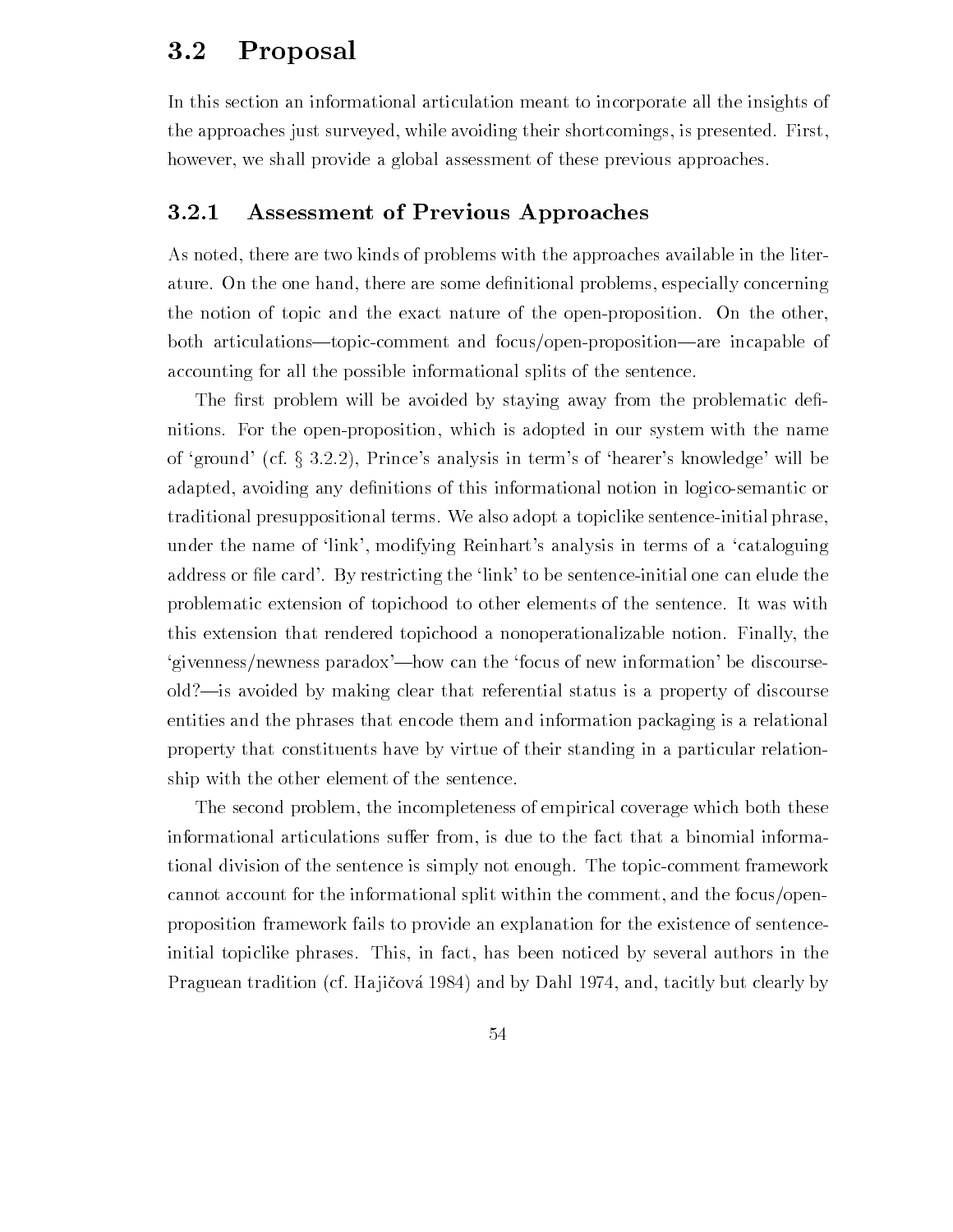#### Proposal  $3.2$

In this section an informational articulation meant to incorporate all the insights of the approaches just surveyed, while avoiding their shortcomings, is presented. First, however, we shall provide a global assessment of these previous approaches.

#### 3.2.1 Assessment of Previous Approaches

As noted, there are two kinds of problems with the approaches available in the literature On the one hand there are some de-nitional problems especially concerning the notion of topic and the exact nature of the open-proposition. On the other, both articulations—topic-comment and focus/open-proposition—are incapable of accounting for all the possible informational splits of the sentence

The - rst problem will be avoided by state and problem will be avoided by staying and problematic denitions. For the open-proposition, which is adopted in our system with the name of 'ground' (cf.  $\S 3.2.2$ ), Prince's analysis in term's of 'hearer's knowledge' will be adapted avoiding any de-nitions of this informational notion in logicosemantic or traditional presuppositional terms. We also adopt a topiclike sentence-initial phrase, under the name of 'link', modifying Reinhart's analysis in terms of a 'cataloguing address or -le card By restricting the link to be sentenceinitial one can elude the problematic extension of topichood to other elements of the sentence It was with this extension that rendered topichood a nonoperationalizable notion Finally the 'givenness/newness paradox'—how can the 'focus of new information' be discourseold?—is avoided by making clear that referential status is a property of discourse entities and the phrases that encode them and information packaging is a relational property that constituents have by virtue of their standing in a particular relation ship with the other element of the sentence

The second problem, the incompleteness of empirical coverage which both these informational articulations suffer from, is due to the fact that a binomial informational division of the sentence is simply not enough. The topic-comment framework cannot account for the informational split within the comment, and the focus/openproposition framework fails to provide an explanation for the existence of sentence initial topiclike phrases. This, in fact, has been noticed by several authors in the Praguean tradition (cf. Hajičová 1984) and by Dahl 1974, and, tacitly but clearly by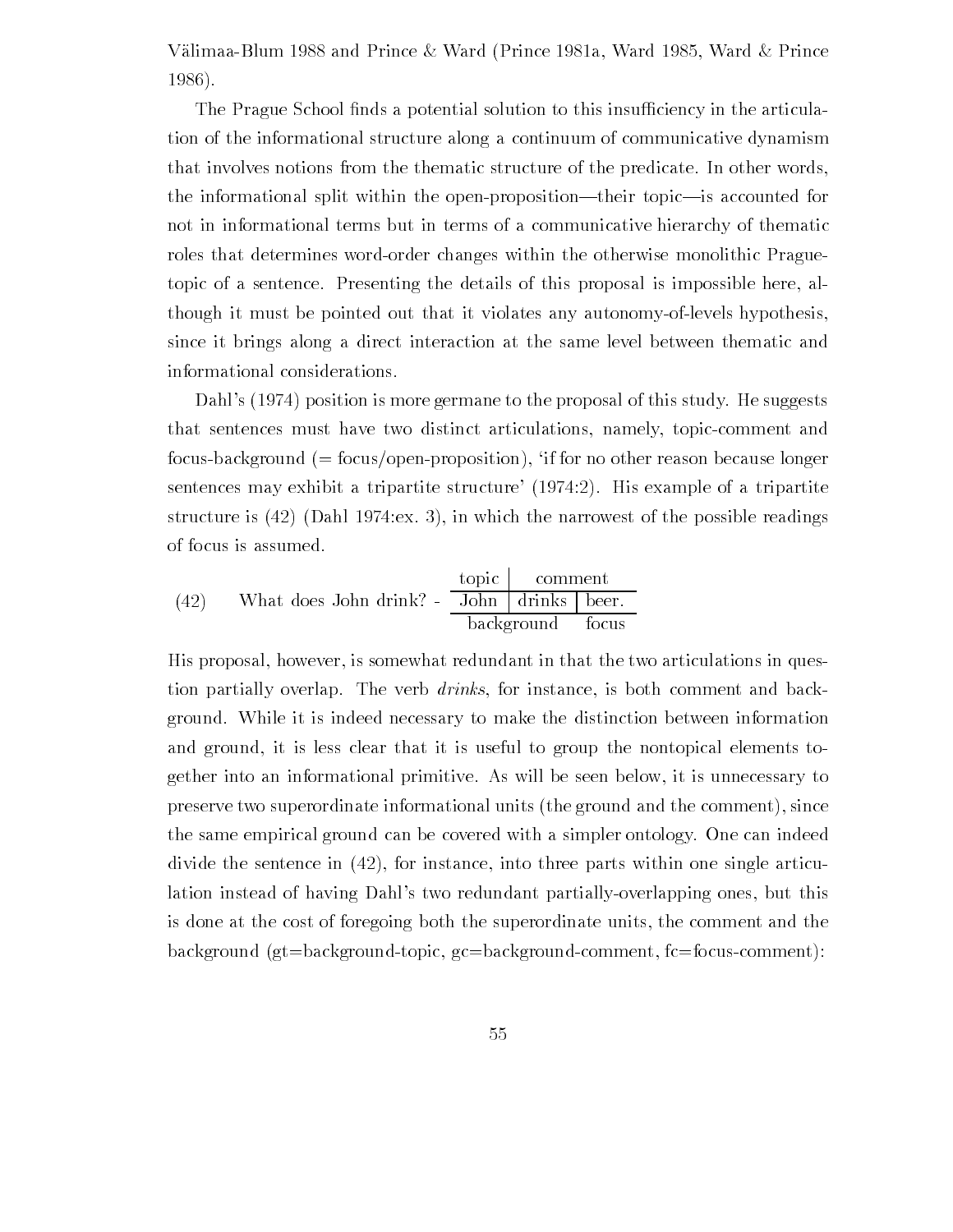$\Lambda$  and Prince  $\Lambda$  and Prince  $\Lambda$ 1986).

The Prague School - normal solution to this insulation to this insulation to this insulation to this insulation to the articular solution to the articular solution to the articular solution to the articular solution of  $\$ tion of the informational structure along a continuum of communicative dynamism that involves notions from the thematic structure of the predicate In other words the informational split within the open-proposition—their topic—is accounted for not in informational terms but in terms of a communicative hierarchy of thematic roles that determines word-order changes within the otherwise monolithic Praguetopic of a sentence. Presenting the details of this proposal is impossible here, although it must be pointed out that it violates any autonomy-of-levels hypothesis. since it brings along a direct interaction at the same level between thematic and informational considerations

Dahl's (1974) position is more germane to the proposal of this study. He suggests that sentences must have two distinct articulations, namely, topic-comment and focus-background  $(=$  focus/open-proposition), 'if for no other reason because longer sentences may exhibit a tripartite structure' (1974:2). His example of a tripartite structure is  $(42)$  (Dahl 1974:ex. 3), in which the narrowest of the possible readings of focus is assumed

(42) What does John drink? - 
$$
\frac{\text{topic}}{\text{John}} \cdot \frac{\text{comment}}{\text{brakground}} = \frac{\text{fopic}}{\text{background}}
$$

His proposal, however, is somewhat redundant in that the two articulations in question partially overlap. The verb *drinks*, for instance, is both comment and background While it is indeed necessary to make the distinction between information and ground, it is less clear that it is useful to group the nontopical elements together into an informational primitive As will be seen below it is unnecessary to preserve two superordinate informational units (the ground and the comment), since the same empirical ground can be covered with a simpler ontology. One can indeed divide the sentence in  $(42)$ , for instance, into three parts within one single articulation instead of having Dahl's two redundant partially-overlapping ones, but this is done at the cost of foregoing both the superordinate units the comment and the background (gt=background-topic, gc=background-comment,  $fc = f$ focus-comment):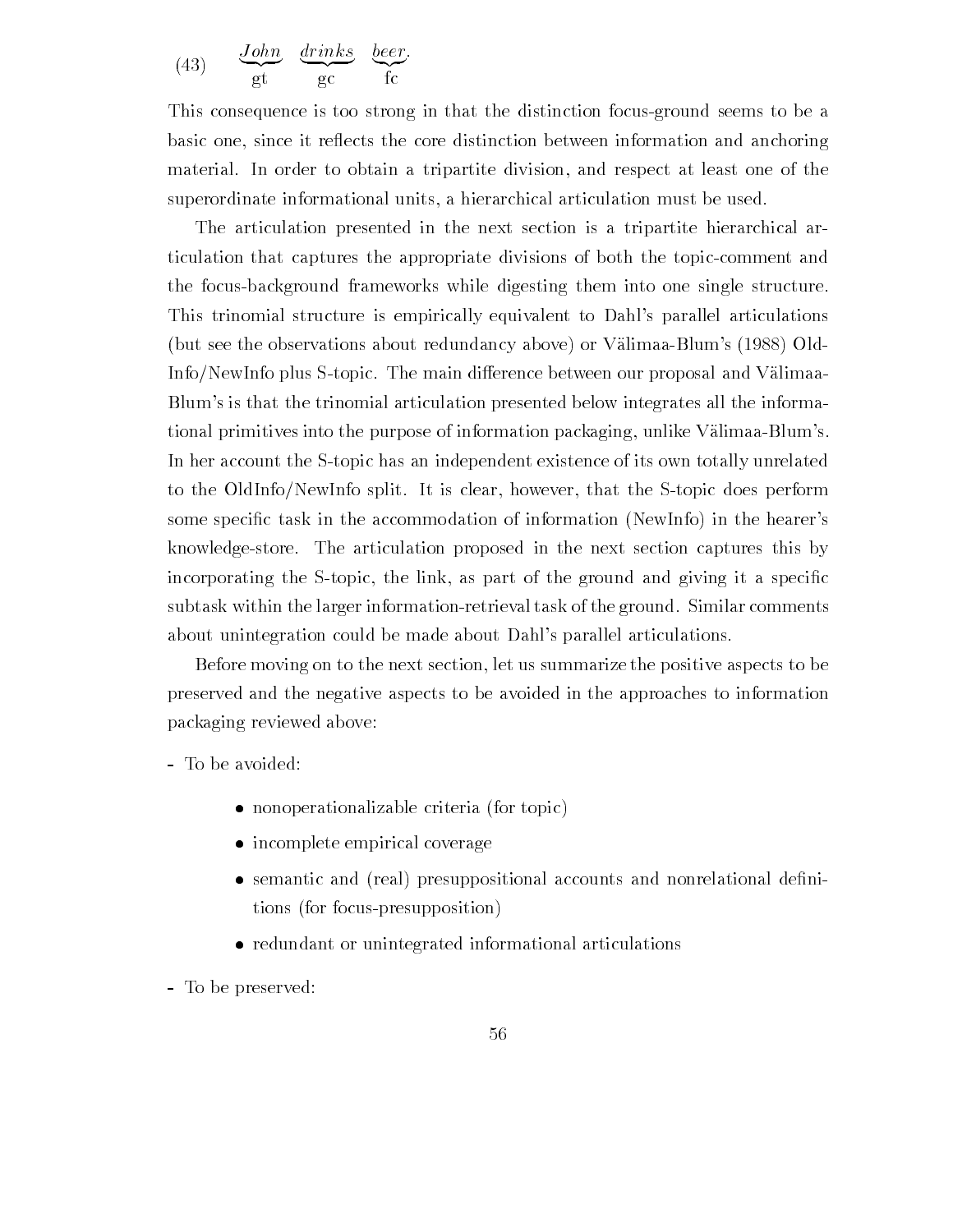(43) 
$$
\frac{\text{John}}{\text{gt}} \frac{\text{drinks}}{\text{gc}} \frac{\text{beer}}{\text{fc}}
$$

This consequence is too strong in that the distinction focus-ground seems to be a basic one, since it reflects the core distinction between information and anchoring material. In order to obtain a tripartite division, and respect at least one of the superordinate informational units, a hierarchical articulation must be used.

The articulation presented in the next section is a tripartite hierarchical ar ticulation that captures the appropriate divisions of both the topic-comment and the focus-background frameworks while digesting them into one single structure. This trinomial structure is empirically equivalent to Dahl's parallel articulations (but see the observations about redundancy above) or Välimaa-Blum's  $(1988)$  Old-Info/NewInfo plus S-topic. The main difference between our proposal and Välimaa-Blum's is that the trinomial articulation presented below integrates all the informational primitives into the purpose of information packaging, unlike Välimaa-Blum's. In her account the S-topic has an independent existence of its own totally unrelated to the OldInfo/NewInfo split. It is clear, however, that the S-topic does perform some speci-c task in the accommodation of information NewInfo in the hearers knowledgestore The articulation proposed in the next section captures this by incorporating the Stopic the link as part of the ground and giving it a speci-c subtask within the larger information-retrieval task of the ground. Similar comments about unintegration could be made about Dahl's parallel articulations.

Before moving on to the next section let us summarize the positive aspects to be preserved and the negative aspects to be avoided in the approaches to information packaging reviewed above

- nonoperationalizable criteria for the copies.
- incomplete empirical coverage
- semantic and real presuppositional accounts and nonrelational de-ni tions (for focus-presupposition)
- $\mathcal{L}$ redundant or unintegrated informations or unintegrated informations of  $\mathcal{L}$

- To be preserved: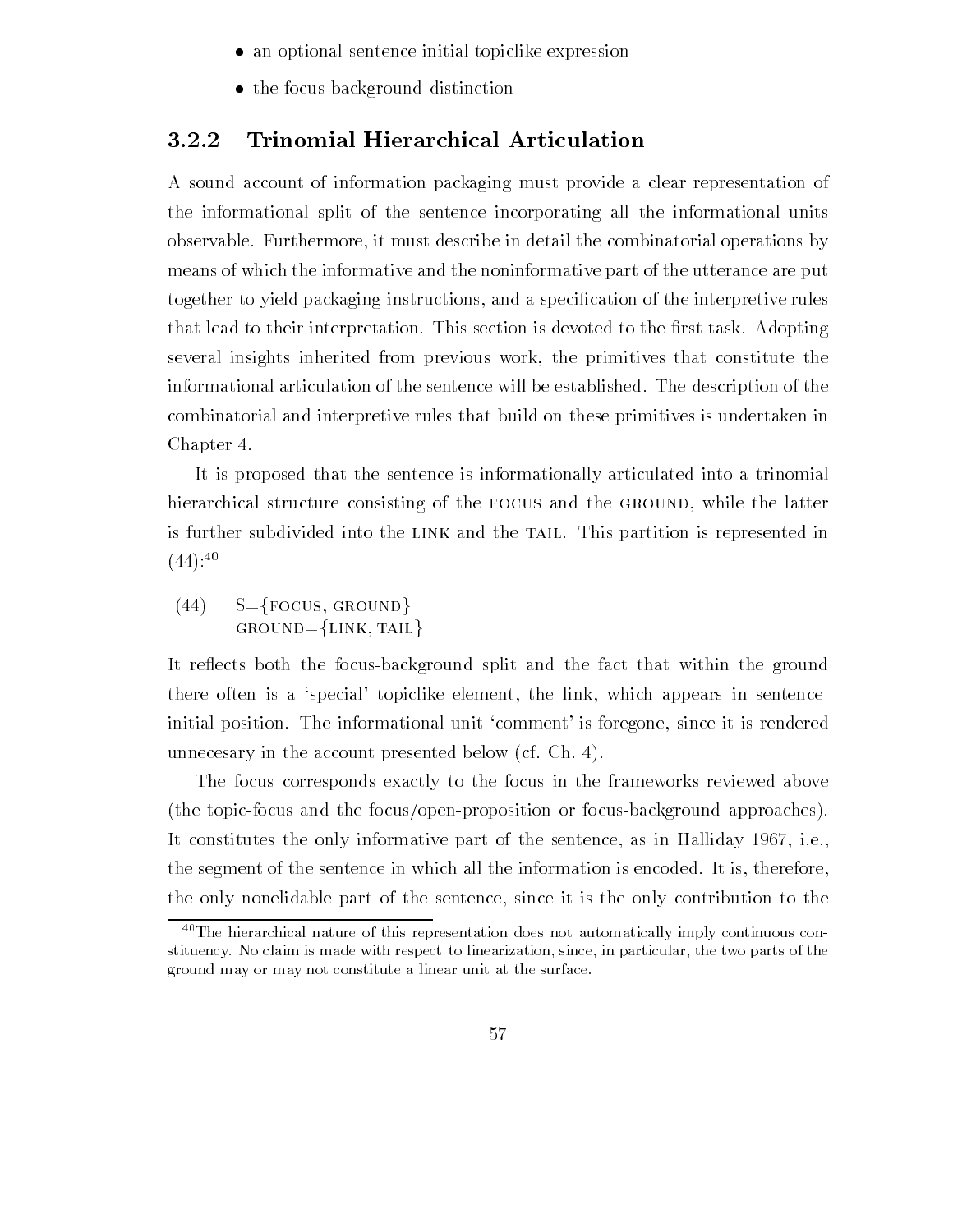- an optional sentence in the sentence in the sentence in the sentence in the sentence in the sentence in the se
- $t \sim t$  . For the focus of  $\Delta t$  is the focus of the focus of  $\Delta t$

#### **Trinomial Hierarchical Articulation**  $3.2.2$

A sound account of information packaging must provide a clear representation of the informational split of the sentence incorporating all the informational units observable Furthermore it must describe in detail the combinatorial operations by means of which the informative and the noninformative part of the utterance are put together to yield packaging instructions and a speci-cation of the interpretive rules that lead to their interpretation This section is devoted to the -rst task Adopting several insights inherited from previous work the primitives that constitute the informational articulation of the sentence will be established. The description of the combinatorial and interpretive rules that build on these primitives is undertaken in Chapter 4.

It is proposed that the sentence is informationally articulated into a trinomial hierarchical structure consisting of the FOCUS and the GROUND, while the latter is further subdivided into the LINK and the TAIL. This partition is represented in  $(44)$ :<sup>40</sup>

 $(44)$  S={FOCUS, GROUND}  $GROWD = \{LINK, TAIL\}$ 

It reflects both the focus-background split and the fact that within the ground there often is a 'special' topiclike element, the link, which appears in sentenceinitial position. The informational unit 'comment' is foregone, since it is rendered unnecesary in the account presented below (cf. Ch. 4).

The focus corresponds exactly to the focus in the frameworks reviewed above (the topic-focus and the focus/open-proposition or focus-background approaches). It constitutes the only informative part of the sentence, as in Halliday  $1967$ , i.e., the segment of the sentence in which all the information is encoded. It is, therefore, the only nonelidable part of the sentence since it is the only contribution to the

 $40$ The hierarchical nature of this representation does not automatically imply continuous constituency. No claim is made with respect to linearization, since, in particular, the two parts of the ground may or may not constitute a linear unit at the surface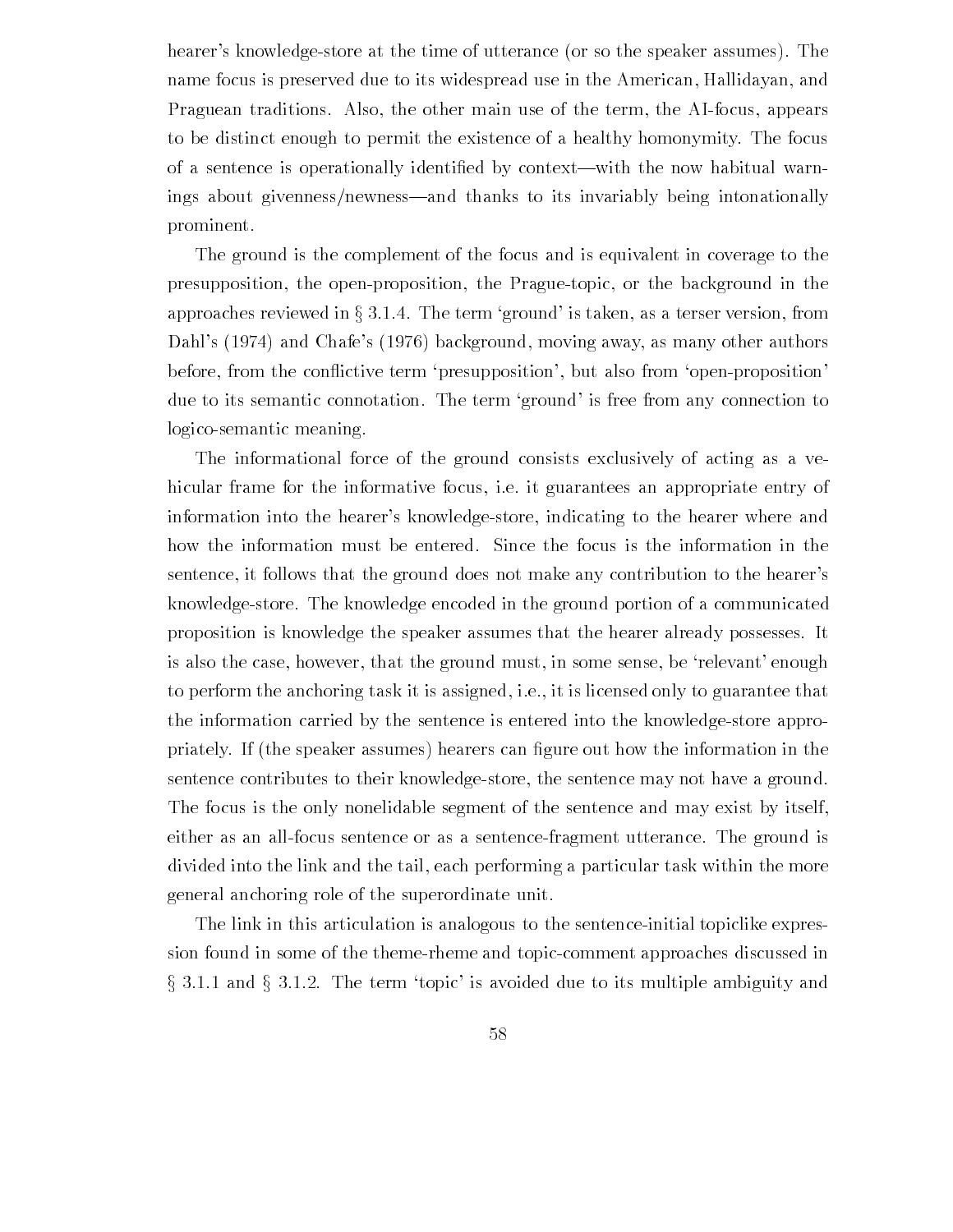hearer's knowledge-store at the time of utterance (or so the speaker assumes). The name focus is preserved due to its widespread use in the American, Hallidayan, and Praguean traditions. Also, the other main use of the term, the AI-focus, appears to be distinct enough to permit the existence of a healthy homonymity The focus of a sentence is operationally identi-ed by contextwith the now habitual warn ings about givenness/newness—and thanks to its invariably being intonationally prominent

The ground is the complement of the focus and is equivalent in coverage to the presupposition, the open-proposition, the Prague-topic, or the background in the approaches reviewed in  $\S 3.1.4$ . The term 'ground' is taken, as a terser version, from Dahl's (1974) and Chafe's (1976) background, moving away, as many other authors before, from the conflictive term 'presupposition', but also from 'open-proposition' due to its semantic connotation. The term 'ground' is free from any connection to logico-semantic meaning.

The informational force of the ground consists exclusively of acting as a ve hicular frame for the informative focus, i.e. it guarantees an appropriate entry of information into the hearer's knowledge-store, indicating to the hearer where and how the information must be entered. Since the focus is the information in the sentence, it follows that the ground does not make any contribution to the hearer's knowledgestore The knowledge encoded in the ground portion of a communicated proposition is knowledge the speaker assumes that the hearer already possesses It is also the case, however, that the ground must, in some sense, be 'relevant' enough to perform the anchoring task it is assigned, i.e., it is licensed only to guarantee that the information carried by the sentence is entered into the knowledge-store approprimately in the specific the information can - the information in the interest can - the interest of the inter sentence contributes to their knowledge-store, the sentence may not have a ground. The focus is the only nonelidable segment of the sentence and may exist by itself either as an all-focus sentence or as a sentence-fragment utterance. The ground is divided into the link and the tail, each performing a particular task within the more general anchoring role of the superordinate unit

The link in this articulation is analogous to the sentence-initial topiclike expression found in some of the theme-rheme and topic-comment approaches discussed in  $\S 3.1.1$  and  $\S 3.1.2$ . The term 'topic' is avoided due to its multiple ambiguity and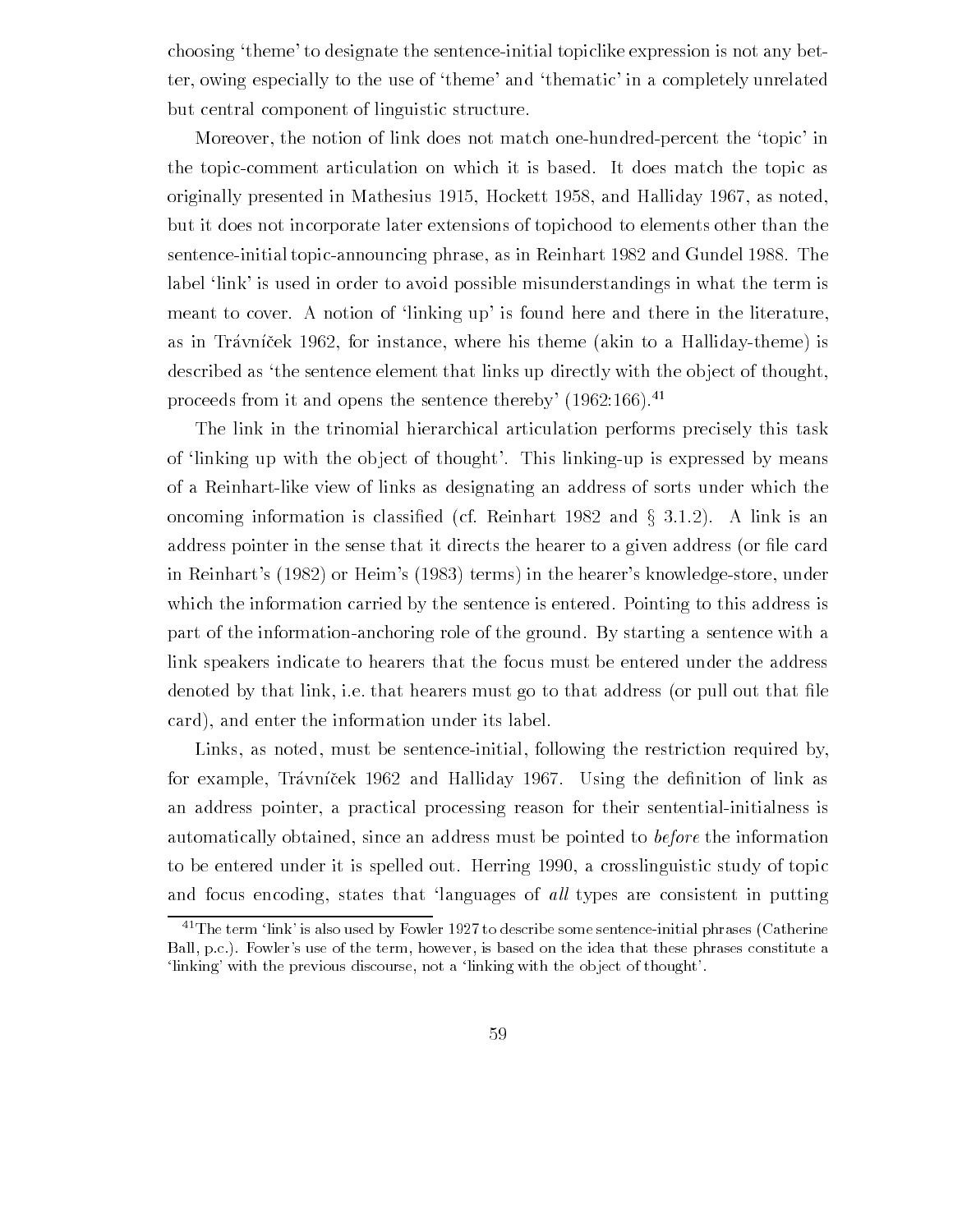choosing 'theme' to designate the sentence-initial topiclike expression is not any better, owing especially to the use of 'theme' and 'thematic' in a completely unrelated but central component of linguistic structure

Moreover, the notion of link does not match one-hundred-percent the 'topic' in the topic-comment articulation on which it is based. It does match the topic as originally presented in Mathesius and Halliday as noted in Mathesius and Halliday as noted in Mathesius and Ha but it does not incorporate later extensions of topichood to elements other than the sentence-initial topic-announcing phrase, as in Reinhart 1982 and Gundel 1988. The label 'link' is used in order to avoid possible misunderstandings in what the term is meant to cover. A notion of 'linking up' is found here and there in the literature, as in Trávníček 1962, for instance, where his theme (akin to a Halliday-theme) is described as 'the sentence element that links up directly with the object of thought. proceeds from it and opens the sentence thereby'  $(1962:166)$ <sup>41</sup>

The link in the trinomial hierarchical articulation performs precisely this task of linking up with the object of thought'. This linking-up is expressed by means of a Reinhartlike view of links as designating an address of sorts under which the oncoming information is classified (cf. Reinhart 1982 and  $\S 3.1.2$ ). A link is an address pointer in the sense that it directs the hearer to a given address or -le card in Reinhart's  $(1982)$  or Heim's  $(1983)$  terms) in the hearer's knowledge-store, under which the information carried by the sentence is entered. Pointing to this address is part of the information-anchoring role of the ground. By starting a sentence with a link speakers indicate to hearers that the focus must be entered under the address denoted by that link ie that hearers must go to that address or pull out that -le card), and enter the information under its label.

Links, as noted, must be sentence-initial, following the restriction required by, for example Travn!cek and Halliday Using the de-nition of link as an address pointer, a practical processing reason for their sentential-initialness is automatically obtained, since an address must be pointed to *before* the information to be entered under it is spelled out. Herring 1990, a crosslinguistic study of topic and focus encoding, states that 'languages of all types are consistent in putting

 $\sim$  The ferm -link- is also used by Fowler 1927 to describe some sentence-initial phrases (Catherine  $\sim$ Ball pc Fowler-s use of the term however is based on the idea that these phrases constitute a linking- with the previous discourse not a linking with the object of thought-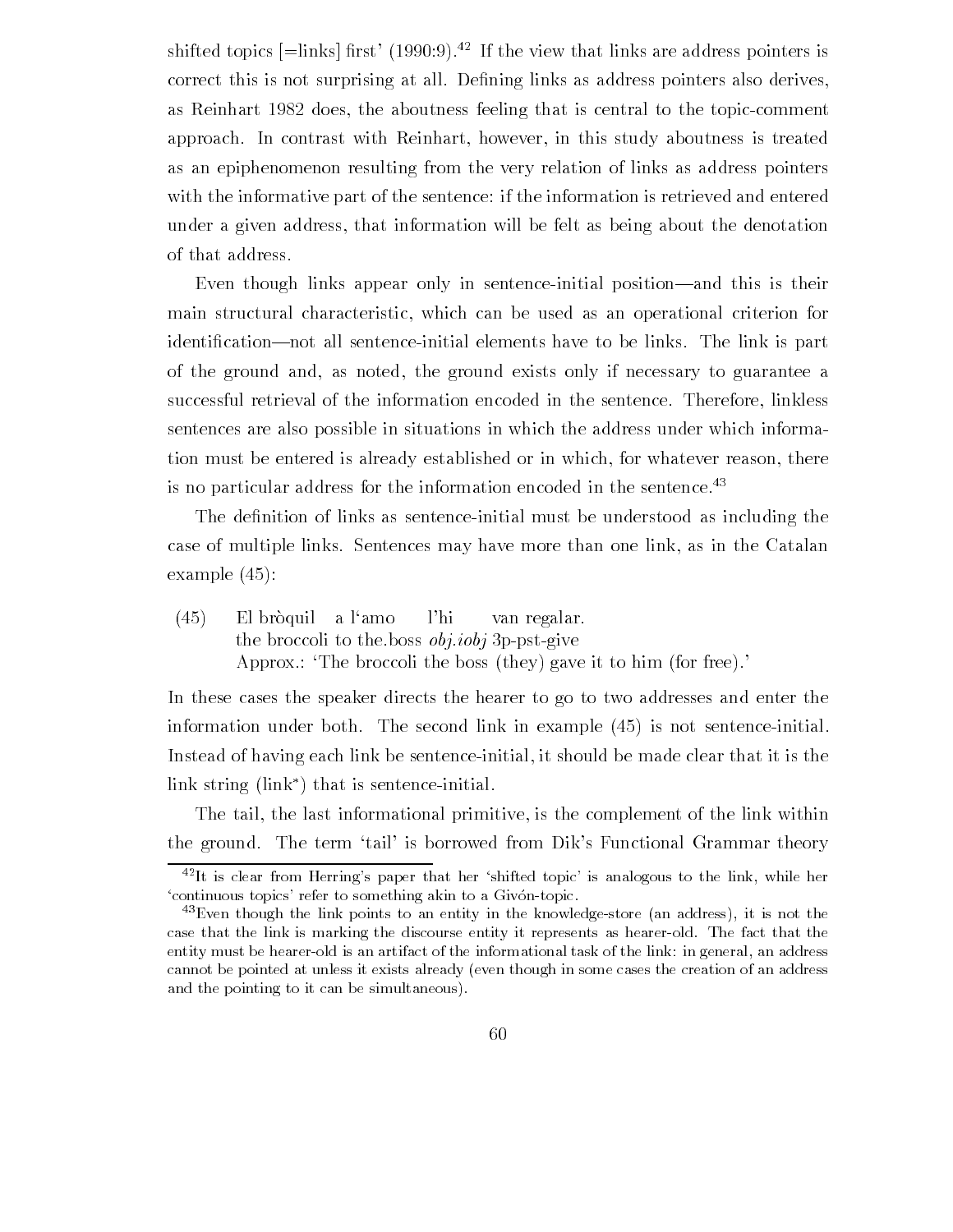shifted topics  $\mid$  =1111ks  $\mid$  111st  $\mid$  (1990.9). The view that links are address pointers is correct this is not surprising at all  $\alpha$  -rections as address pointers pointers pointers pointers also derive as Reinhart 1982 does, the aboutness feeling that is central to the topic-comment approach. In contrast with Reinhart, however, in this study aboutness is treated as an epiphenomenon resulting from the very relation of links as address pointers with the informative part of the sentence: if the information is retrieved and entered under a given address that information will be felt as being about the denotation of that address

Even though links appear only in sentence-initial position—and this is their main structural characteristic which can be used as an operational criterion for identi-cationnot all sentenceinitial elements have to be links The link is part of the ground and, as noted, the ground exists only if necessary to guarantee a successful retrieval of the information encoded in the sentence. Therefore, linkless sentences are also possible in situations in which the address under which informa tion must be entered is already established or in which, for whatever reason, there is no particular address for the information encoded in the sentence.<sup>43</sup>

The de-nition of links as sentenceinitial must be understood as including the case of multiple links. Sentences may have more than one link, as in the Catalan example to the contract of the contract of the contract of the contract of the contract of the contract of the

 $(45)$ el broquest a lamon la montre la montre del parte de la montre de la montre de la montre de la montre de la mo the broccoli to the boss  $obj.iobj$  3p-pst-give Approx : The broccoli the boss (they) gave it to him (for free).

In these cases the speaker directs the hearer to go to two addresses and enter the information under both The second link in example is not sentenceinitial Instead of having each link be sentence-initial, it should be made clear that it is the link string  $(\text{link}^*)$  that is sentence-initial.

The tail, the last informational primitive, is the complement of the link within the ground. The term 'tail' is borrowed from Dik's Functional Grammar theory

It is clear from Herring-s paper that her shifted topic- is analogous to the link while her continuous to pics- a trial activities and the something and something and something and

<sup>-</sup>Even though the link points to an entity in the knowledgestore an address it is not the case that the link is marking the discourse entity it represents as hearer-old. The fact that the entity must be hearer-old is an artifact of the informational task of the link: in general, an address cannot be pointed at unless it exists already even though in some cases the creation of an address and the pointing to it can be simultaneous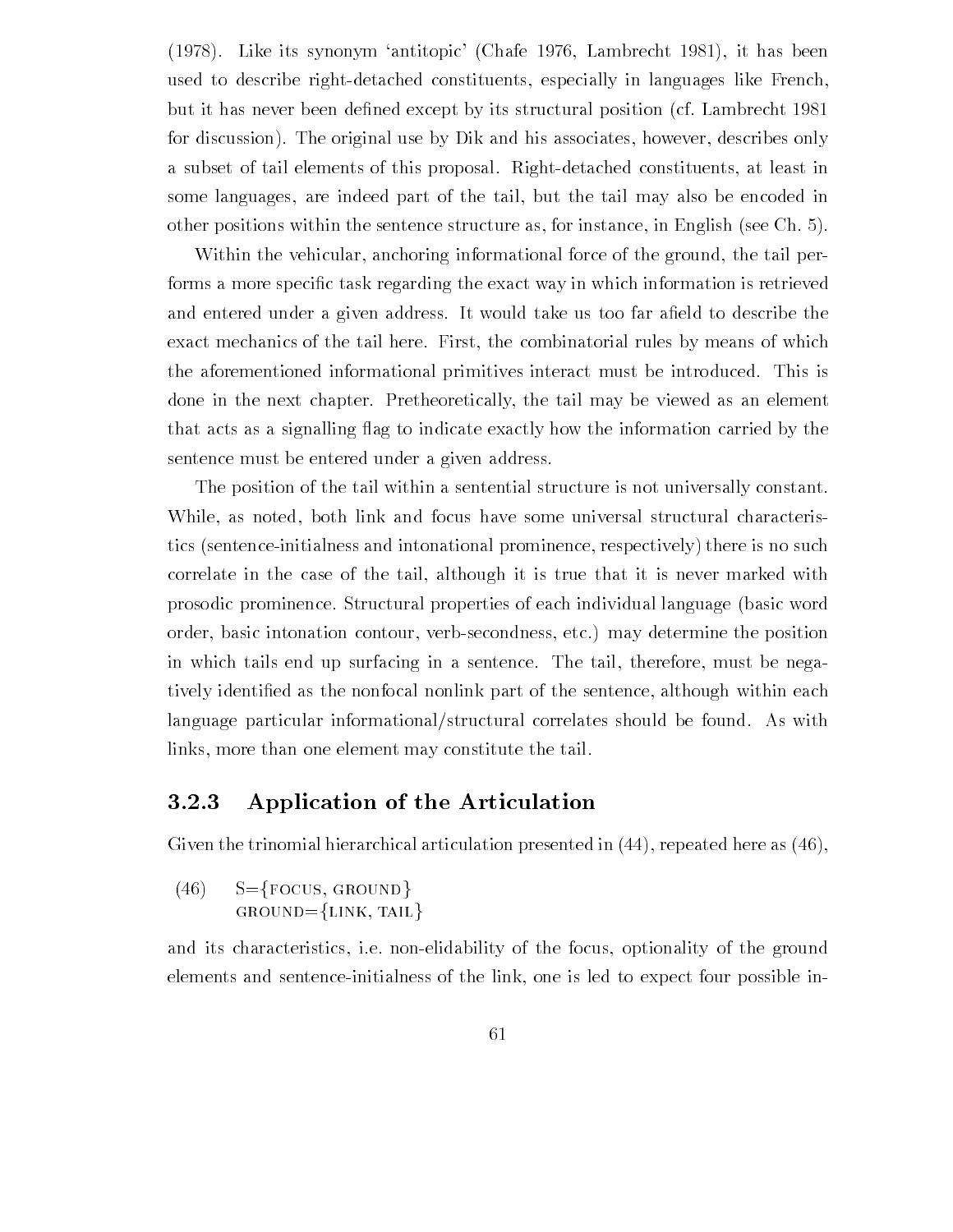(1978). Like its synonym 'antitopic' (Chafe 1976, Lambrecht 1981), it has been used to describe right-detached constituents, especially in languages like French, but it has never been de-de-dex except by its structural position cf Lambrecht by its structural position cf L for discussion). The original use by Dik and his associates, however, describes only a subset of tail elements of this proposal. Right-detached constituents, at least in some languages, are indeed part of the tail, but the tail may also be encoded in other positions within the sentence structure as for instance in English see Ch

Within the vehicular, anchoring informational force of the ground, the tail performs a more speci-c task regarding the exact way in which information is retrieved and the three districts in given address it would take use the top far a-three theories the theories exact mechanics of the tail here. First, the combinatorial rules by means of which the aforementioned informational primitives interact must be introduced This is done in the next chapter. Pretheoretically, the tail may be viewed as an element that acts as a signalling flag to indicate exactly how the information carried by the sentence must be entered under a given address

The position of the tail within a sentential structure is not universally constant. While, as noted, both link and focus have some universal structural characteristics (sentence-initialness and intonational prominence, respectively) there is no such correlate in the case of the tail, although it is true that it is never marked with prosodic prominence Structural properties of each individual language basic word order, basic intonation contour, verb-secondness, etc.) may determine the position in which tails end up surfacing in a sentence. The tail, therefore, must be negatively identified as the non-focal non-focal non-focal non-focal non-focal non-focal non-focal non-focal non-focal non-focal non-focal non-focal non-focal non-focal non-focal non-focal non-focal non-focal non-focal non-fo language particular informational/structural correlates should be found. As with links, more than one element may constitute the tail.

# Application of the Articulation

Given the trinomial hierarchical articulation presented in  $(44)$ , repeated here as  $(46)$ ,

 $(46)$  S={FOCUS, GROUND}  $GROWD = \{LINK, TAIL\}$ 

and its characteristics, i.e. non-elidability of the focus, optionality of the ground elements and sentence-initialness of the link, one is led to expect four possible in-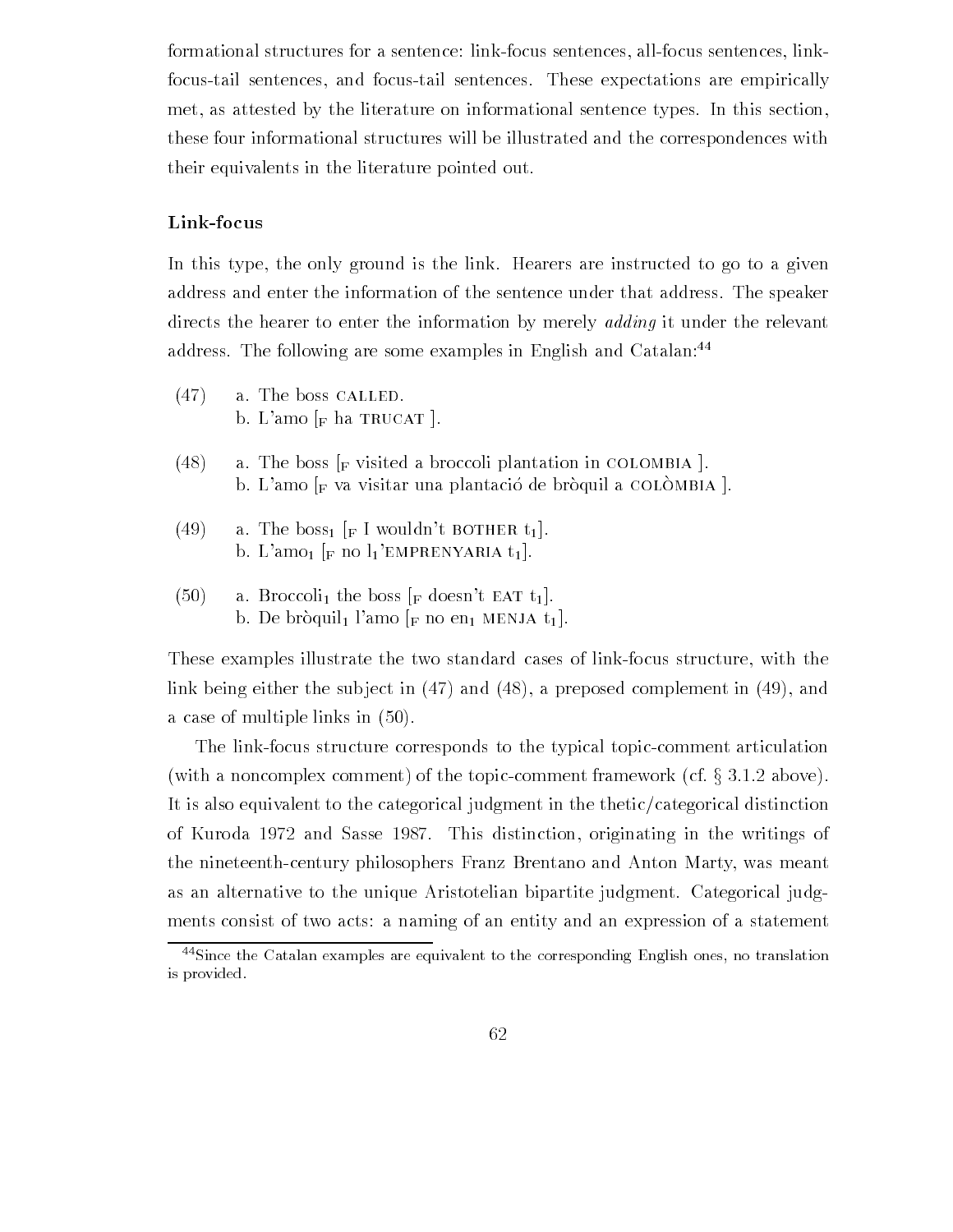formational structures for a sentence: link-focus sentences, all-focus sentences, linkfocus-tail sentences, and focus-tail sentences. These expectations are empirically met, as attested by the literature on informational sentence types. In this section, these four informational structures will be illustrated and the correspondences with their equivalents in the literature pointed out

#### Link-focus

In this type, the only ground is the link. Hearers are instructed to go to a given address and enter the information of the sentence under that address The speaker directs the hearer to enter the information by merely *adding* it under the relevant address. The following are some examples in English and Catalan:<sup>44</sup>

- $(47)$  a. The boss CALLED. b. L'amo  $_F$  ha TRUCAT  $\vert$ .
- (48) a. The boss  $_F$  visited a broccoli plantation in COLOMBIA  $\vert$ . b. L'amo  $_F$  va visitar una plantació de bròquil a COLÒMBIA  $\vert$ .
- (49) a. The boss<sub>1</sub> [F I wouldn't BOTHER t<sub>1</sub>]. b. L'amo<sub>1</sub> [F no  $l_1$ 'EMPRENYARIA  $t_1$ ].
- $(50)$ a. Broccoli<sub>1</sub> the boss  $\lbrack \text{F} \rbrack$  doesn't EAT t<sub>1</sub>. b. De bròquil<sub>1</sub> l'amo  $_{\rm F}$  no en<sub>1</sub> MENJA t<sub>1</sub>.

These examples illustrate the two standard cases of link-focus structure, with the link being either the subject in  $(47)$  and  $(48)$ , a preposed complement in  $(49)$ , and a case of multiple in the second in the second control of the second control of the second control of the second control of the second control of the second control of the second control of the second control of the second

The link-focus structure corresponds to the typical topic-comment articulation (with a noncomplex comment) of the topic-comment framework (cf.  $\S 3.1.2$  above). It is also equivalent to the categorical judgment in the thetic  $\ell$  categorical distinction of Kuroda  $1972$  and Sasse 1987. This distinction, originating in the writings of the nineteenth-century philosophers Franz Brentano and Anton Marty, was meant as an alternative to the unique Aristotelian bipartite judgment. Categorical judgments consist of two acts: a naming of an entity and an expression of a statement

<sup>&</sup>lt;sup>44</sup>Since the Catalan examples are equivalent to the corresponding English ones, no translation is provided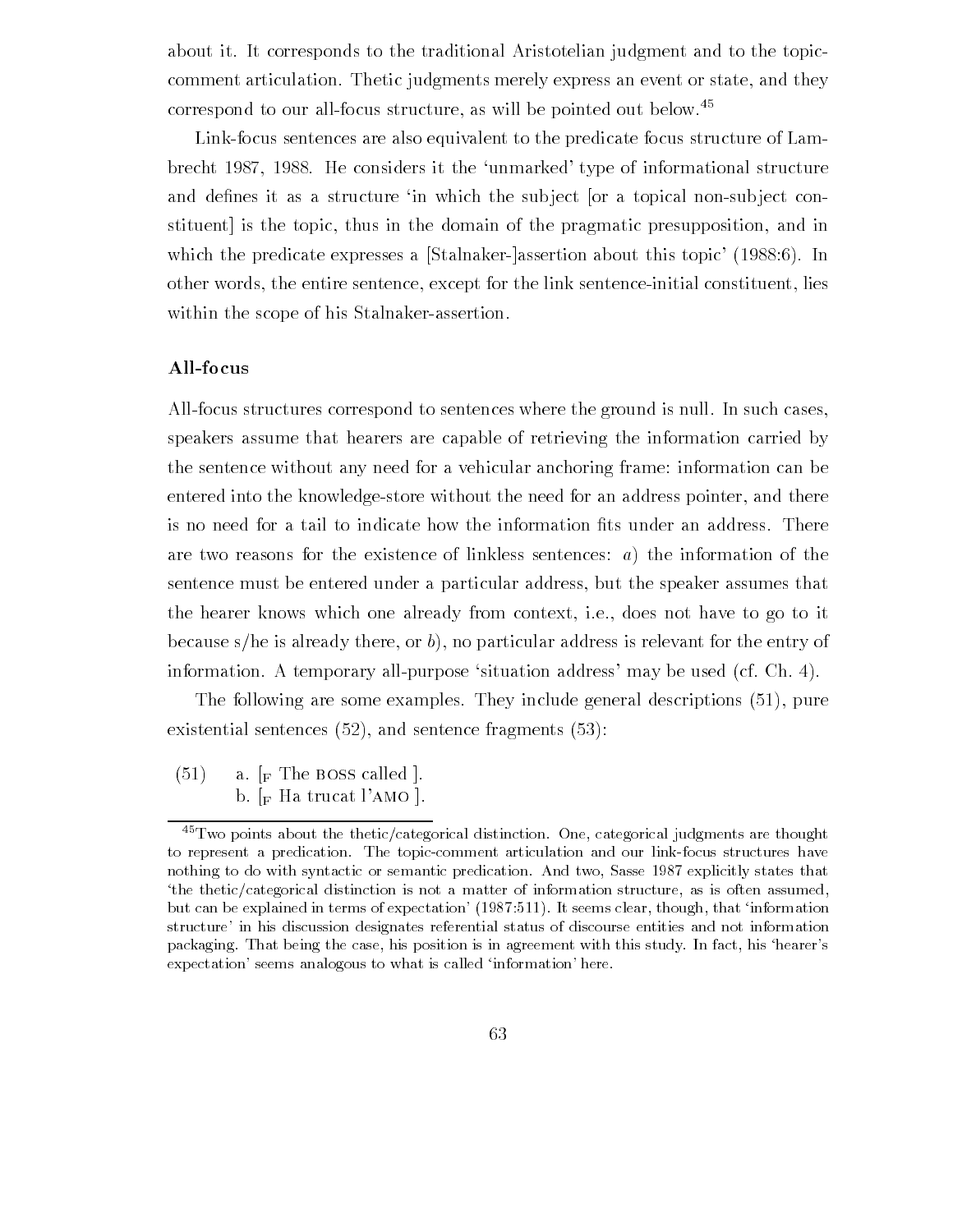about it It corresponds to the traditional Aristotelian judgment and to the topic comment articulation. Thetic judgments merely express an event or state, and they correspond to our all-focus structure, as will be pointed out below.<sup>45</sup>

Link-focus sentences are also equivalent to the predicate focus structure of Lambrecht 1987, 1988. He considers it the 'unmarked' type of informational structure and de-nes it as a structure in which the sub ject "or a topical nonsub ject con stituent is the topic, thus in the domain of the pragmatic presupposition, and in which the predicate expresses a [Stalnaker-]assertion about this topic'  $(1988:6)$ . In other words, the entire sentence, except for the link sentence-initial constituent, lies within the scope of his Stalnaker-assertion.

#### All-focus

All-focus structures correspond to sentences where the ground is null. In such cases, speakers assume that hearers are capable of retrieving the information carried by the sentence without any need for a vehicular anchoring frame: information can be entered into the knowledge-store without the need for an address pointer, and there are two reasons for the existence of linkless sentences:  $a$ ) the information of the sentence must be entered under a particular address but the speaker assumes that the hearer knows which one already from context, i.e., does not have to go to it because s/he is already there, or  $b$ ), no particular address is relevant for the entry of information. A temporary all-purpose 'situation address' may be used  $(cf. Ch. 4)$ .

The following are some examples They include general descriptions  $\mathcal{L}$  include general descriptions  $\mathcal{L}$ existential sentences and sentence fragments

 $\sim$   $(51)$  a.  $\lceil_F \text{The Boss called } \rceil$ . b.  $\lceil_{\text{F}}$  Ha trucat l'AMO  $\lceil$ .

 $^{45}$ Two points about the thetic/categorical distinction. One, categorical judgments are thought to represent a predication. The topic-comment articulation and our link-focus structures have nothing to do with syntactic or semantic predication And two Sasse explicitly states that the thetic/categorical distinction is not a matter of information structure, as is often assumed,  $\mathbf{r}$  can be explained in terms of expectation-  $\mathbf{r}$  , at section-  $\mathbf{r}$  that  $\mathbf{r}$  that is expected in structure- in his discussion designation referential status of discourse entities and not information of the s packaging. That being the case, his position is in agreement with this study. In fact, his 'hearer's expected and seems and information-to-construct the contribution-theory of the called information-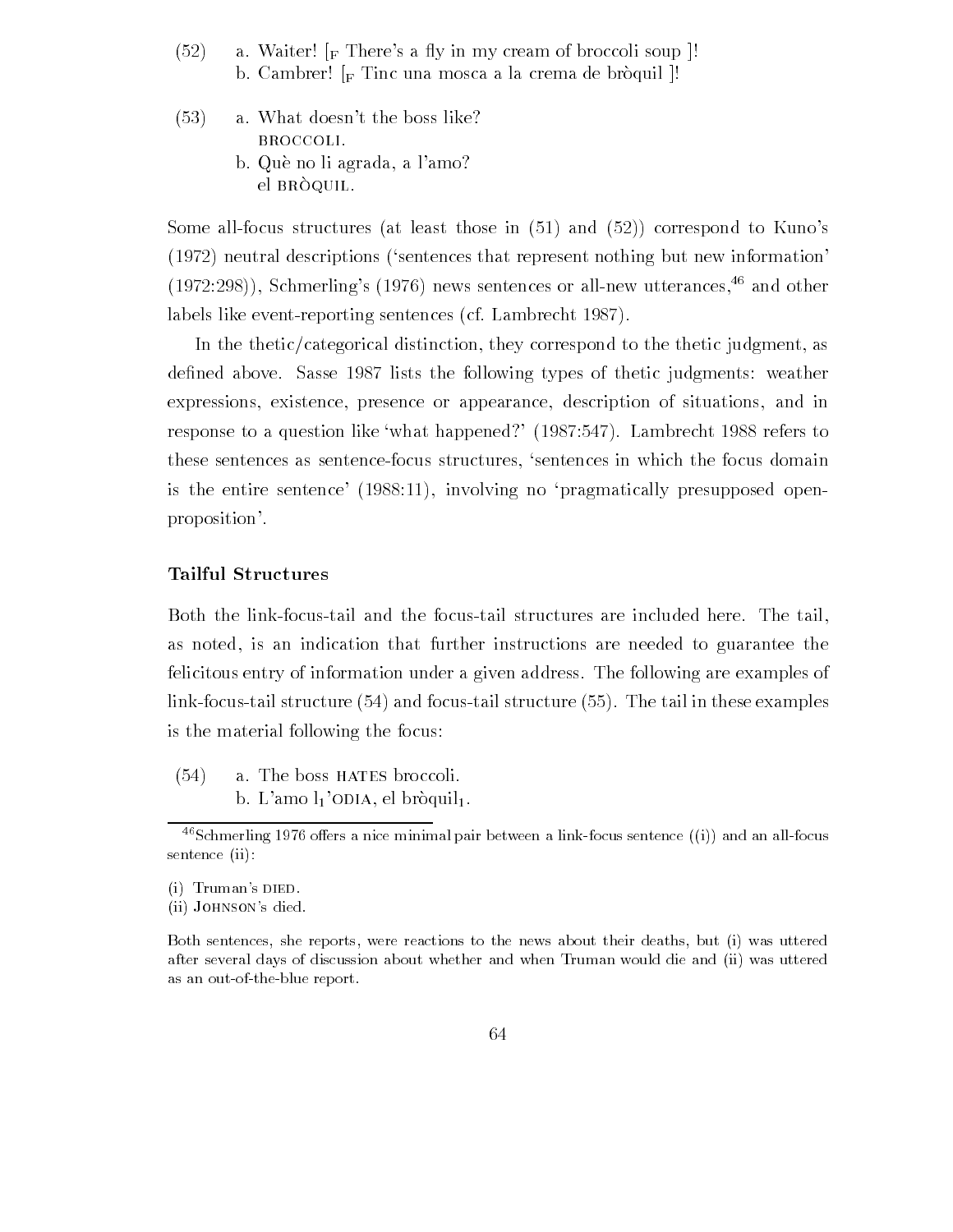- $(52)$ a. Waiter!  $\lceil_{\text{F}} \rceil$  There's a fly in my cream of broccoli soup  $\lceil$ ! b. Cambrer!  $\lbrack_{\text{F}}$  Tinc una mosca a la crema de bròquil  $\lbrack$ !
- $(53)$ a. What doesn't the boss like? broccoli b. Què no li agrada, a l'amo? el BRÒQUIL.

Some allfocus structures at least those in and correspond to Kunos  $(1972)$  neutral descriptions ('sentences that represent nothing but new information'  $(1972:298)$ , Schmerling's  $(1976)$  news sentences or all-new utterances,  $46$  and other labels like event-reporting sentences (cf. Lambrecht 1987).

In the thetic/categorical distinction, they correspond to the thetic judgment, as de-the sasses in the following the following types of the following weather weather the following the following  $\alpha$ expressions, existence, presence or appearance, description of situations, and in response to a question like what happened  $\mathcal{L}$  is to a control of the reference  $\mathcal{L}$ these sentences as sentence-focus structures, 'sentences in which the focus domain is the entire sentence  $(1988:11)$ , involving no 'pragmatically presupposed openproposition

#### Tailful Structures

Both the link-focus-tail and the focus-tail structures are included here. The tail, as noted, is an indication that further instructions are needed to guarantee the felicitous entry of information under a given address The following are examples of links and focus the tail in the tail structure in the tail in the tail in the tail in the tail in the structure is the material following the focus

 $(54)$ a. The boss HATES broccoli. b. L'amo  $l_1$ 'ODIA, el bròquil<sub>l</sub>.

 $\sim$  Schmerling 1970 offers a filte minimal pair between a link-locus sentence ((1)) and an all-locus  $\sim$ sentence (ii):

i Truman-s died

ii Johnson-s died

Both sentences, she reports, were reactions to the news about their deaths, but (i) was uttered after several days of discussion about whether and when Truman would die and (ii) was uttered as an out-of-the-blue report.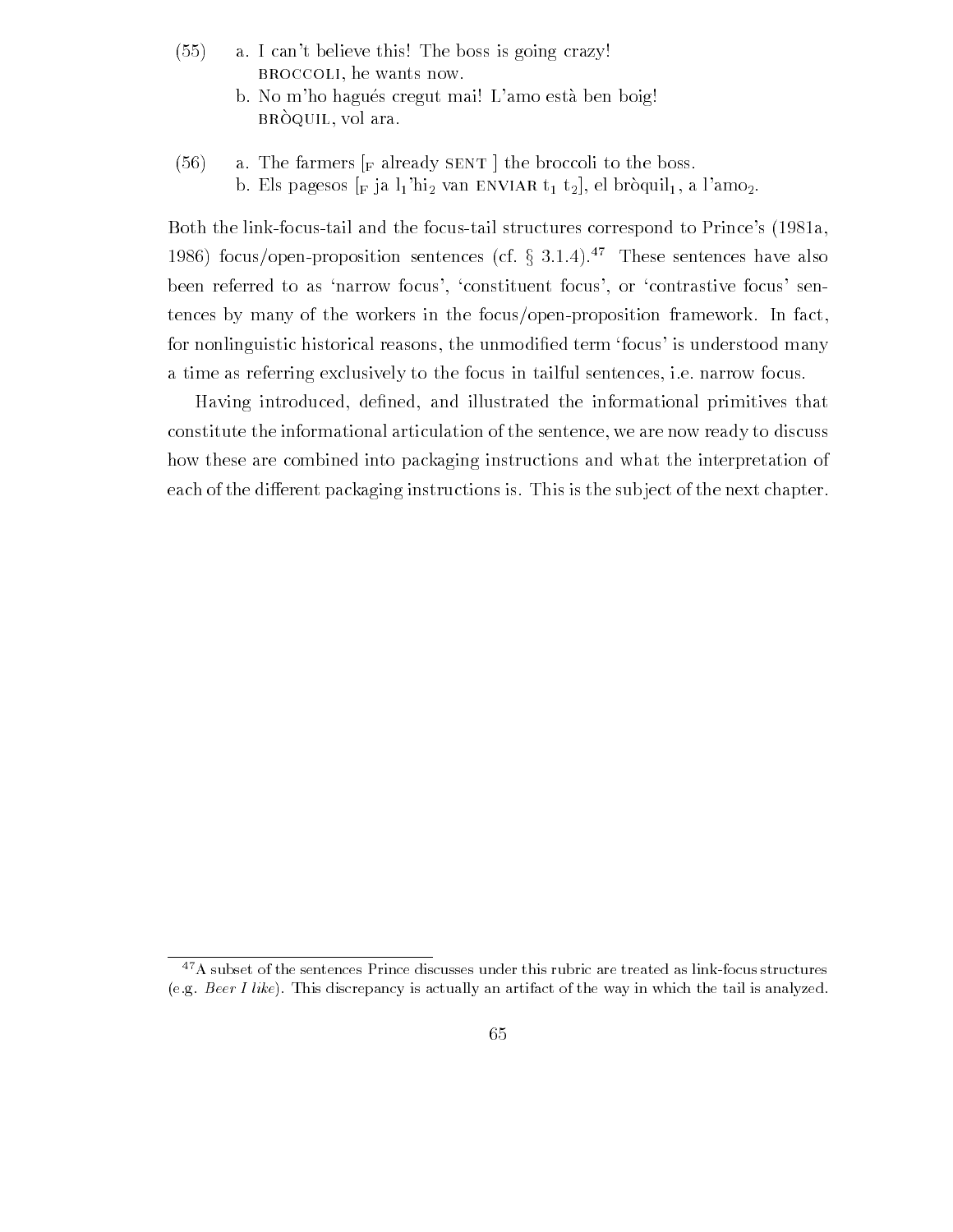- $\sim$   $$ a. I can't believe this! The boss is going crazy! BROCCOLI, he wants now.
	- b. No m'ho hagués cregut mai! L'amo està ben boig!  $\mathbf{b}$ it $\mathbf{c}$   $\mathbf{c}$   $\mathbf{c}$   $\mathbf{c}$   $\mathbf{c}$   $\mathbf{c}$   $\mathbf{c}$   $\mathbf{c}$   $\mathbf{c}$   $\mathbf{c}$   $\mathbf{c}$   $\mathbf{c}$   $\mathbf{c}$   $\mathbf{c}$   $\mathbf{c}$   $\mathbf{c}$   $\mathbf{c}$   $\mathbf{c}$   $\mathbf{c}$   $\mathbf{c}$   $\mathbf{c}$   $\mathbf{c}$   $\mathbf{c}$   $\mathbf$
- $(56)$ a. The farmers  $\lceil_{\text{F}}$  already SENT the broccoli to the boss. b. Els pagesos  $\lbrack$  F ja  $\lbrack$ <sub>1</sub> $\lbrack$   $\lbrack$   $\lbrack$  ENVIAR  $t_1$   $t_2$  $\lbrack$ , el bròquil<sub>1</sub>, a l'amo<sub>2</sub>.

Both the link-focus-tail and the focus-tail structures correspond to Prince's (1981a, 1986) focus/open-proposition sentences (cf.  $\S$  3.1.4).<sup>47</sup> These sentences have also been referred to as 'narrow focus', 'constituent focus', or 'contrastive focus' sentences by many of the workers in the focus/open-proposition framework. In fact, for nonlinguistic historical reasons the unmodi-ed term focus is understood many a time as referring exclusively to the focus in tailful sentences, i.e. narrow focus.

Having introduced de-ned and illustrated the informational primitives that constitute the informational articulation of the sentence we are now ready to discuss how these are combined into packaging instructions and what the interpretation of each of the different packaging instructions is. This is the subject of the next chapter.

<sup>&</sup>lt;sup>47</sup>A subset of the sentences Prince discusses under this rubric are treated as link-focus structures (e.g. Beer I like). This discrepancy is actually an artifact of the way in which the tail is analyzed.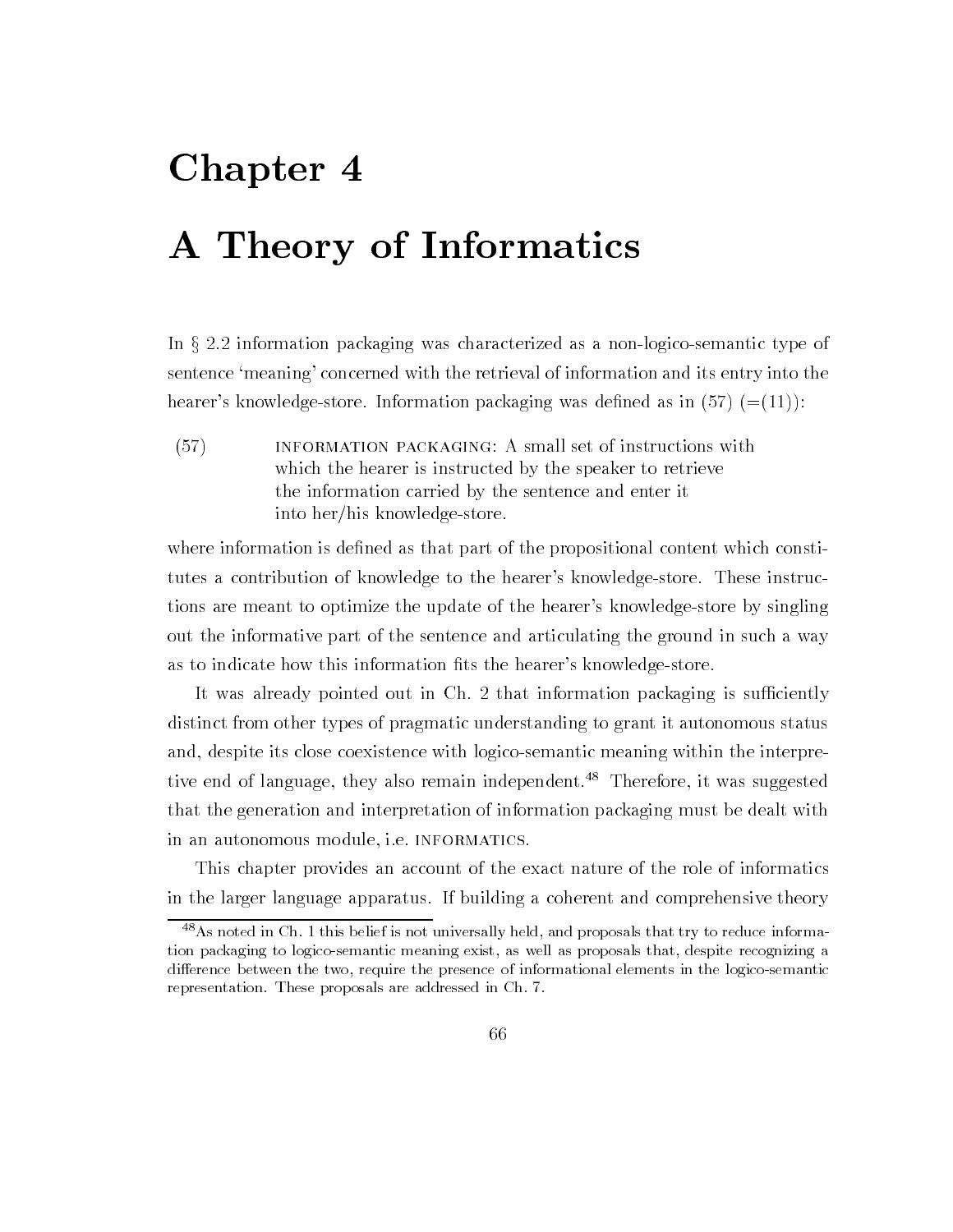# Chapter 4 A Theory of Informatics

In  $\S 2.2$  information packaging was characterized as a non-logico-semantic type of sentence 'meaning' concerned with the retrieval of information and its entry into the hearers knowledgestore Information packaging was de-ned as in

 $(57)$ INFORMATION PACKAGING: A small set of instructions with which the hearer is instructed by the speaker to retrieve the information carried by the sentence and enter it into her/his knowledge-store.

where information is defined in the proposition is detutes a contribution of knowledge to the hearer's knowledge-store. These instructions are meant to optimize the update of the hearer's knowledge-store by singling out the informative part of the sentence and articulating the ground in suchaway as to interest in the total information into the heart information  $\pi$  , and  $\pi$ 

It was already pointed out in  $Ch. 2$  that information packaging is sufficiently distinct from other types of pragmatic understanding to grant it autonomous status and, despite its close coexistence with logico-semantic meaning within the interpretive end of language, they also remain independent.<sup>48</sup> Therefore, it was suggested that the generation and interpretation of information packaging must be dealt with in an autonomous module, i.e. INFORMATICS.

This chapter provides an account of the exact nature of the role of informatics in the larger language apparatus. If building a coherent and comprehensive theory

<sup>&</sup>lt;sup>48</sup> As noted in Ch. 1 this belief is not universally held, and proposals that try to reduce information packaging to logico-semantic meaning exist, as well as proposals that, despite recognizing a difference between the two, require the presence of informational elements in the logico-semantic representation. These proposals are addressed in Ch. 7.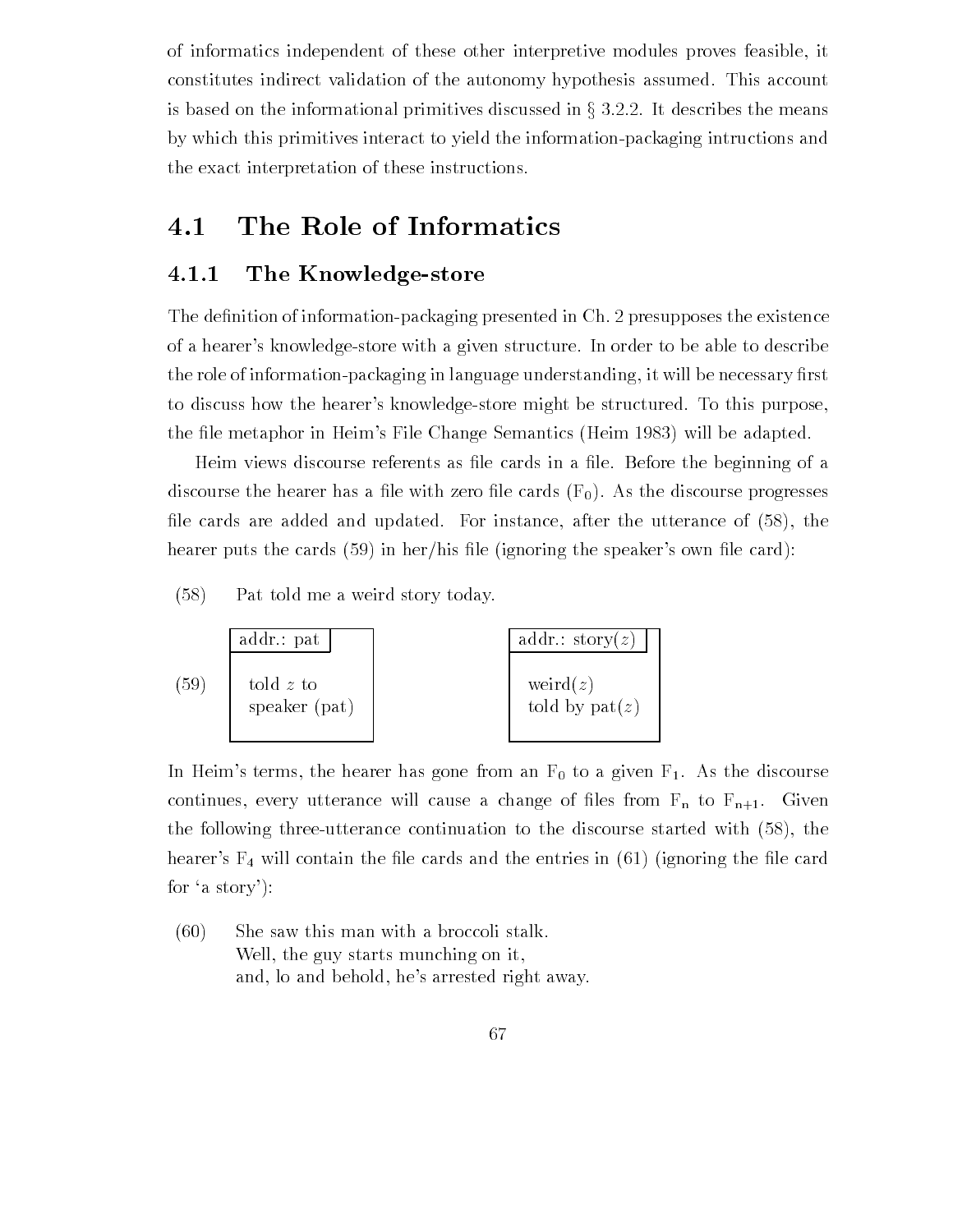of informatics independent of these other interpretive modules proves feasible it constitutes indirect validation of the autonomy hypothesis assumed. This account is based on the informational primitives discussed in  $\S 3.2.2$ . It describes the means by which this primitives interact to yield the information-packaging intructions and the exact interpretation of these instructions

## 4.1 The Role of Informatics

### 4.1.1 The Knowledge-store

The de-nition of informationpackaging presented in Ch presupposes the existence of a hearer's knowledge-store with a given structure. In order to be able to describe the role of informationpackaging in language understanding it will be necessary -rst to discuss how the hearer's knowledge-store might be structured. To this purpose, the distribution in Heims Change Semantics Heims (Heims Change Semantics Heims Change Change Change Change Cha

Heim views discourse referents as -le cards in a -le Before the beginning of a discourse the hearer has a -le with zero -le cards F As the discourse progresses -le cards are added and updated For instance after the utterance of the hearter puts the cards of the cards of the speakers of the speakers of the speakers of the speakers of the speakers of

 $(58)$  Pat told me a weird story today



In Heim's terms, the hearer has gone from an  $F_0$  to a given  $F_1$ . As the discourse continues a continues will cause a change of -  $\alpha$  -  $\alpha$  -  $\alpha$  -  $\alpha$  -  $\alpha$  -  $\alpha$  -  $\alpha$  -  $\alpha$ the following the started method continuation to the discourse started with the proprietion  $\mathcal{L}_\mathbf{t}$ hearers F will contain the -le cards and the entries in ignoring the -le card for 'a story'):

 $(60)$  She saw this man with a broccoli stalk. Well, the guy starts munching on it, and, lo and behold, he's arrested right away.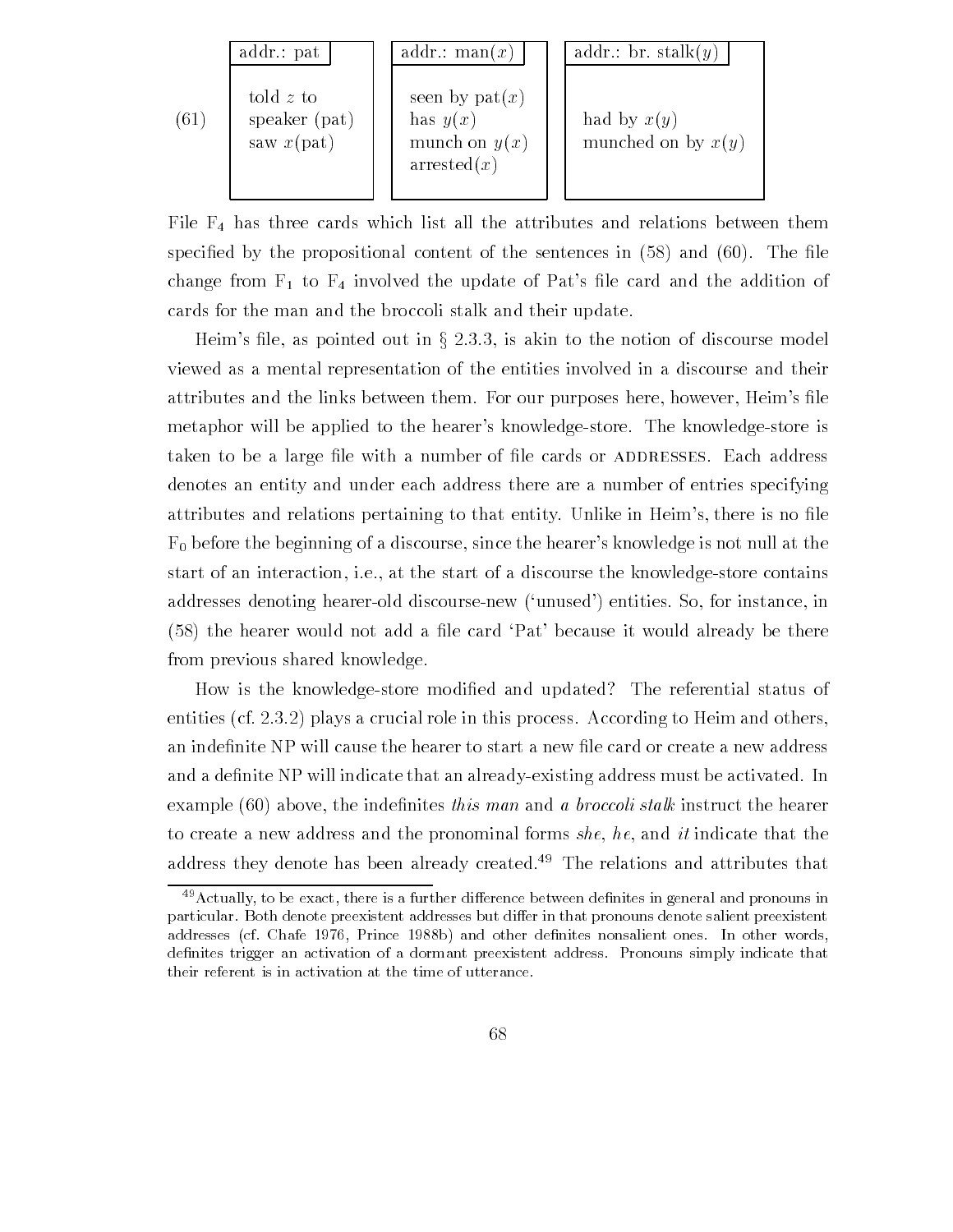|      | addr.: pat                                    | addr.: man(x)                                                       | addr.: br. stalk $(y)$                |
|------|-----------------------------------------------|---------------------------------------------------------------------|---------------------------------------|
| (61) | told $z$ to<br>speaker (pat)<br>saw $x$ (pat) | seen by $pat(x)$<br>has $y(x)$<br>munch on $y(x)$<br>$\arrested(x)$ | had by $x(y)$<br>munched on by $x(y)$ |

File  $F_4$  has three cards which list all the attributes and relations between them speci-ed by the propositional content of the sentences in and The -le change from F to F involved the update of Pats -le card and the addition of cards for the man and the broccoli stalk and their update

Heim's file, as pointed out in  $\S 2.3.3$ , is akin to the notion of discourse model viewed as a mental representation of the entities involved in a discourse and their attributes and the line between the links between the line purposes the second them in the complete here is a metaphor will be applied to the hearer's knowledge-store. The knowledge-store is vanch vo be a nuge hie with a humber of hie cards of HDDRESSES. Bach address denotes an entity and under each address there are a number of entries specifying attributes and relationship to the entity the that entity United the Heims the there is no - there is no - the  $F_0$  before the beginning of a discourse, since the hearer's knowledge is not null at the start of an interaction, i.e., at the start of a discourse the knowledge-store contains addresses denoting hearer-old discourse-new ('unused') entities. So, for instance, in  $\lambda$  -Fig. from previous shared knowledge

 $H$  is the knowledge store modified The reference modified The reference modified The reference model status of  $\mathbb{R}^n$ entities (cf. 2.3.2) plays a crucial role in this process. According to Heim and others, and a de-indicate that and already indicate that an already  $\mathcal{N}$ example above the inde-nites this man and a broccoli stalk instruct the hearer to create a new address and the pronominal forms she, he, and it indicate that the address they denote has been already created.<sup>49</sup> The relations and attributes that

 $49$  Actually, to be exact, there is a further difference between definites in general and pronouns in particular. Both denote preexistent addresses but differ in that pronouns denote salient preexistent addresses cf Chafe Prince b and other denites nonsalient ones In other words definites trigger an activation of a dormant preexistent address. Pronouns simply indicate that their referent is in activation at the time of utterance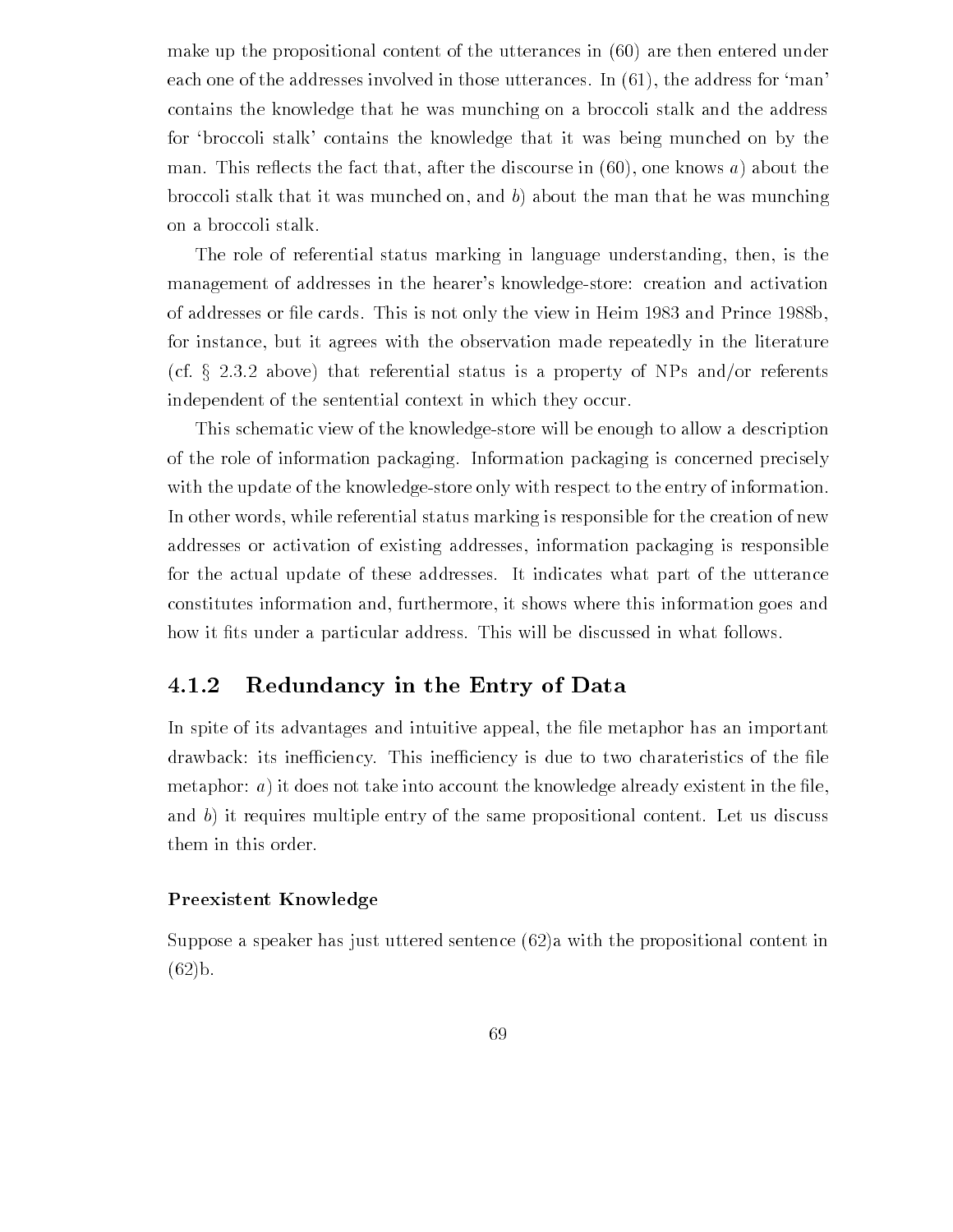make up the propositional content of the utterances in  $(60)$  are then entered under each one of the addresses involved in those utterances. In  $(61)$ , the address for 'man' contains the knowledge that he was munching on a broccoli stalk and the address for 'broccoli stalk' contains the knowledge that it was being munched on by the man. This reflects the fact that, after the discourse in  $(60)$ , one knows a) about the broccoli stalk that it was munched on, and  $b$ ) about the man that he was munching on a broccoli stalk

The role of referential status marking in language understanding, then, is the management of addresses in the hearer's knowledge-store: creation and activation of cards the cards This is not only the view in Heim  $\alpha$  and  $\alpha$  and  $\alpha$  and  $\alpha$  and  $\alpha$  and  $\alpha$  and  $\alpha$ for instance, but it agrees with the observation made repeatedly in the literature (cf.  $\S 2.3.2$  above) that referential status is a property of NPs and/or referents independent of the sentential context in which they occur

This schematic view of the knowledgestore will be enough to allow a description of the role of information packaging Information packaging is concerned precisely with the update of the knowledge-store only with respect to the entry of information. In other words while referential status marking is responsible for the creation of new addresses or activation of existing addresses information packaging is responsible for the actual update of these addresses It indicates what part of the utterance constitutes information and furthermore it shows where this information goes and how it -ts under a particular address This will be discussed in what follows

### 4.1.2 Redundancy in the Entry of Data

In spite of its advantages and intuitive appeal the -le metaphor has an important drawback its ineciency This ineciency is due to two charateristics of the -le metaphor and it does not the count the count the count the count  $\mathcal{A}$  is the count in the - and - and and b) it requires multiple entry of the same propositional content. Let us discuss them in this order

#### Preexistent Knowledge

Suppose a speaker has just uttered sentence  $(62)a$  with the propositional content in  $(62)$ <sub>b</sub>.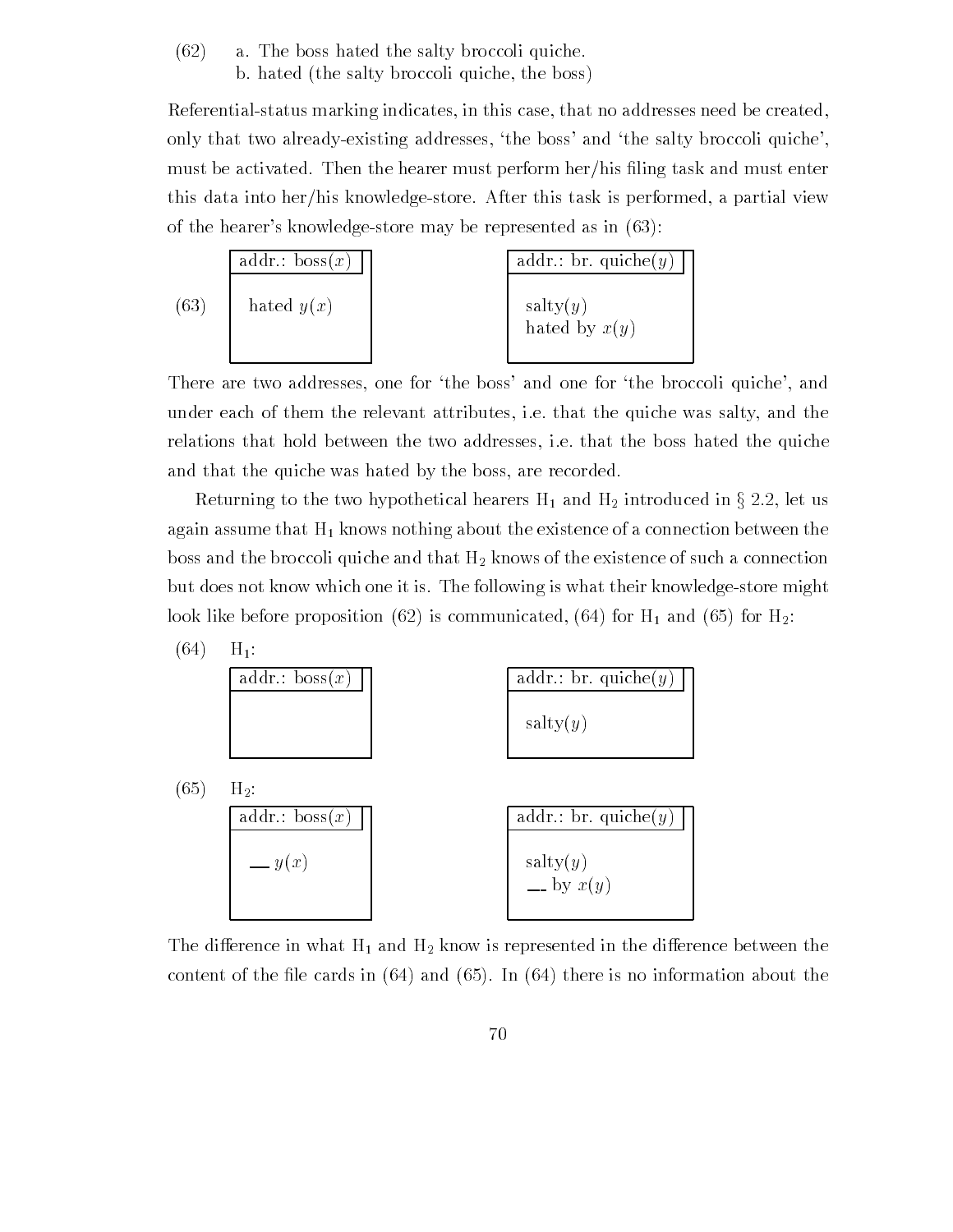$(62)$  a. The boss hated the salty broccoli quiche. b. hated (the salty broccoli quiche, the boss)

Referential-status marking indicates, in this case, that no addresses need be created, only that two already-existing addresses, 'the boss' and 'the salty broccoli quiche', must be activated Then the hearer must perform herhis -ling task and must enter this data into her/his knowledge-store. After this task is performed, a partial view of the hearer's knowledge-store may be represented as in  $(63)$ :

(63) 
$$
\begin{bmatrix} \frac{\text{addr.: } \text{bos}(x)}{\text{hated } y(x)} \\ \text{hated } y(x) \end{bmatrix}
$$
 
$$
\begin{bmatrix} \frac{\text{addr.: } \text{br. } \text{quiche}(y)}{\text{salty}(y)} \\ \text{hated by } x(y) \end{bmatrix}
$$

There are two addresses, one for 'the boss' and one for 'the broccoli quiche', and under each of them the relevant attributes, i.e. that the quiche was salty, and the relations that hold between the two addresses, i.e. that the boss hated the quiche and that the quiche was hated by the boss, are recorded.

Returning to the two hypothetical hearers  $H_1$  and  $H_2$  introduced in § 2.2, let us again assume that  $H_1$  knows nothing about the existence of a connection between the boss and the broccoli quiche and that  $H_2$  knows of the existence of such a connection but does not know which one it is. The following is what their knowledge-store might look like before proposition is communicated in  $\mathcal{A}$  and  $\mathcal{A}$  and  $\mathcal{A}$ 



The difference in what  $H_1$  and  $H_2$  know is represented in the difference between the  $\mathcal{N}$  and  $\mathcal{N}$  and  $\mathcal{N}$  and information about the information about the information about the information about the information about the information about the information about the information about the inform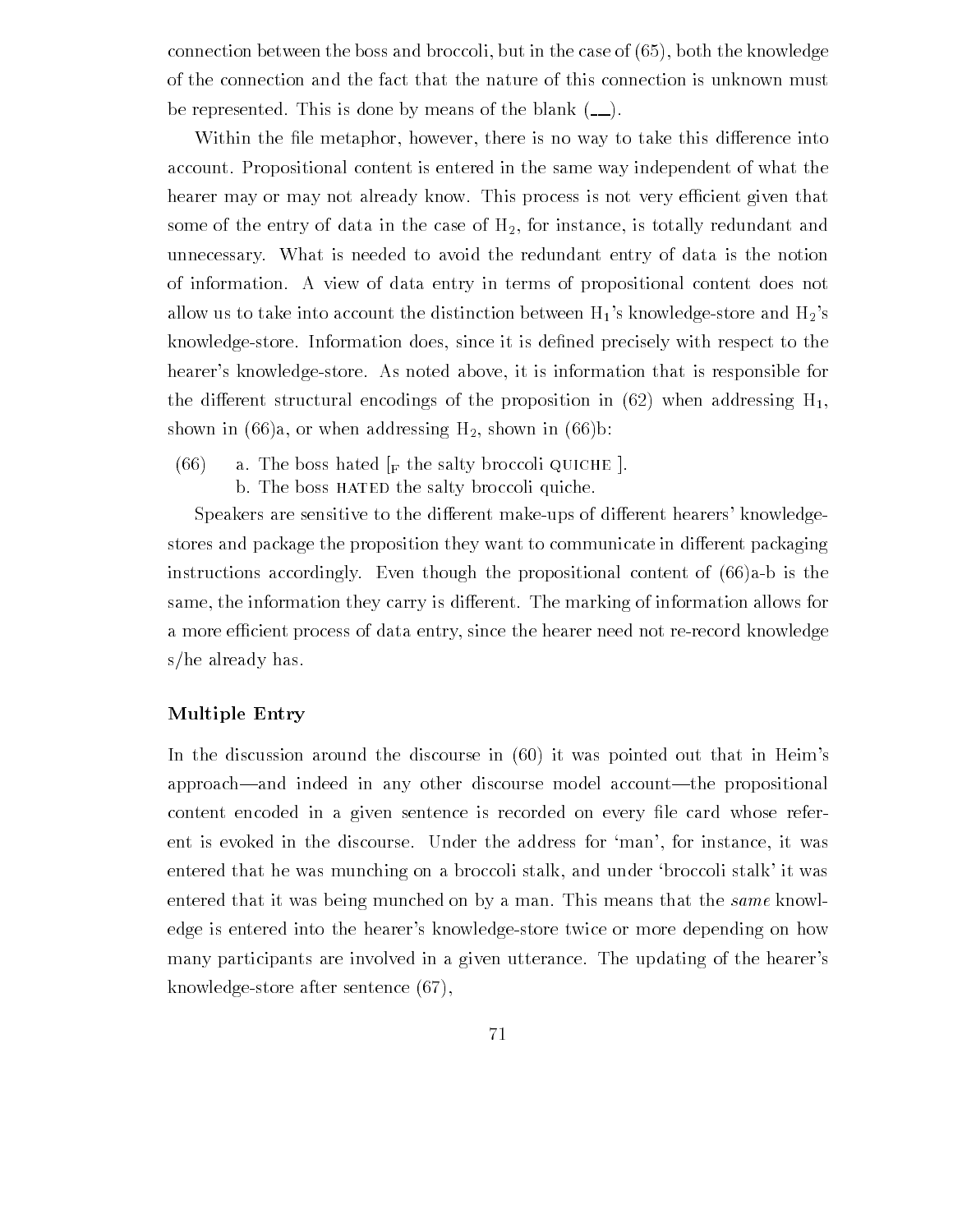connection between the boss and broccoli but in the case of the case of the case of the case of the case of th of the connection and the fact that the nature of this connection is unknown must be represented. This is done by means of the blank  $($ ...

Within the -le metaphor however there is no way to take this dierence into account. Propositional content is entered in the same way independent of what the hearer may or may not already know. This process is not very efficient given that some of the entry of data in the case of  $H_2$ , for instance, is totally redundant and unnecessary What is needed to avoid the redundant entry of data is the notion of information A view of data entry in terms of propositional content does not allow us to take into account the distinction between  $H_1$ 's knowledge-store and  $H_2$ 's knowledgestore Information does since it is de-ned precisely with respect to the hearer's knowledge-store. As noted above, it is information that is responsible for the different structural encodings of the proposition in  $(62)$  when addressing  $H_1$ , shown in  $(66)a$ , or when addressing  $H_2$ , shown in  $(66)b$ .

 $(66)$  a. The boss hated  $\lceil_{\text{F}}\rceil$  the salty broccoli QUICHE  $\lceil$ . b. The boss HATED the salty broccoli quiche.

Speakers are sensitive to the different make-ups of different hearers' knowledgestores and package the proposition they want to communicate in different packaging instructions accordingly. Even though the propositional content of  $(66)a-b$  is the same, the information they carry is different. The marking of information allows for a more efficient process of data entry, since the hearer need not re-record knowledge s/he already has.

#### Multiple Entry

In the discussion around the discourse in  $(60)$  it was pointed out that in Heim's approach—and indeed in any other discourse model account—the propositional content encoded in a given sentence is recorded on every -le card whose refer ent is evoked in the discourse. Under the address for 'man', for instance, it was entered that he was munching on a broccoli stalk, and under 'broccoli stalk' it was entered that it was being munched on by a man. This means that the *same* knowledge is entered into the hearer's knowledge-store twice or more depending on how many participants are involved in a given utterance. The updating of the hearer's knowledge-store after sentence (67),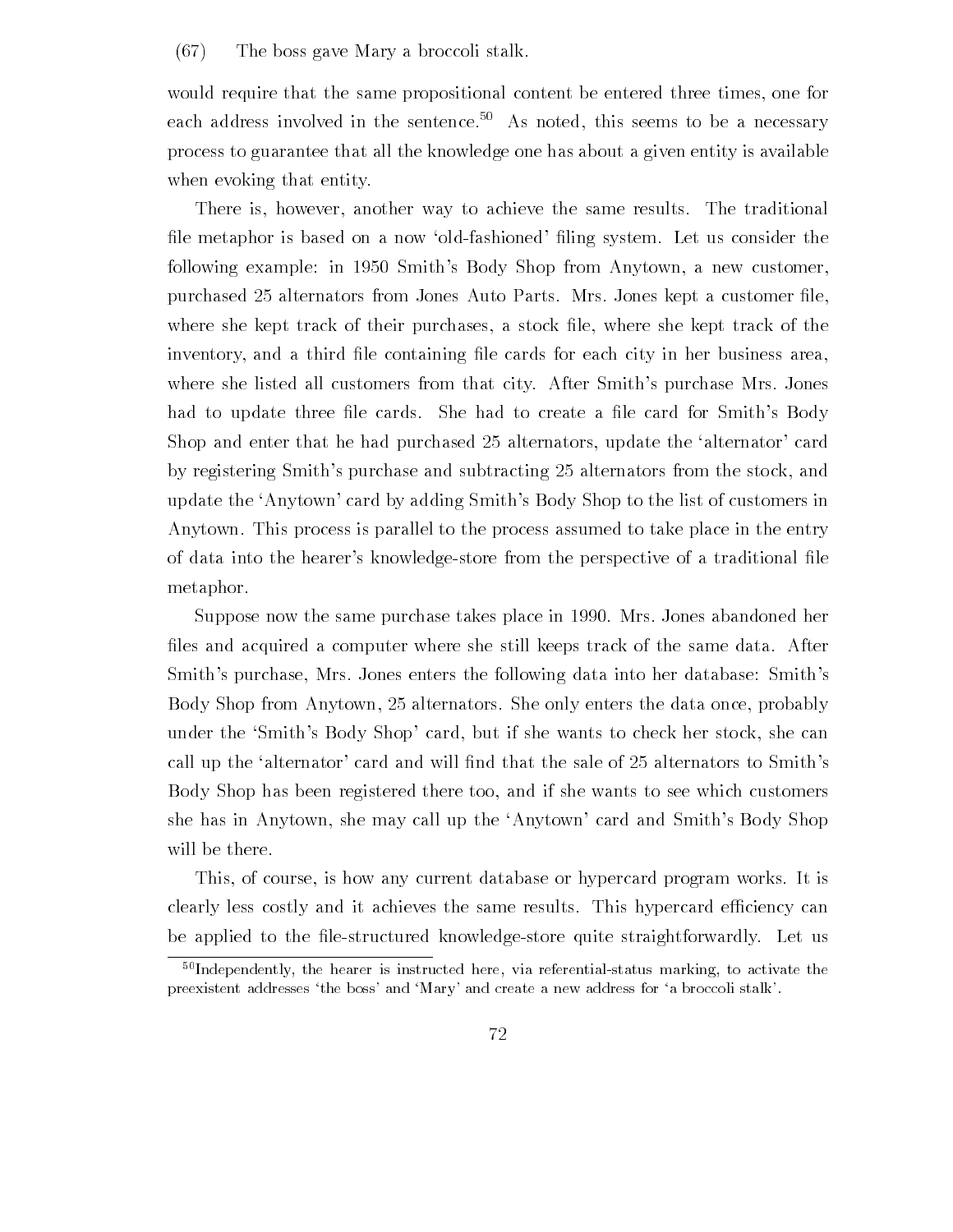#### $(67)$  The boss gave Mary a broccoli stalk.

would require that the same propositional content be entered three times, one for each address involved in the sentence.<sup>50</sup> As noted, this seems to be a necessary process to guarantee that all the knowledge one has about a given entity is available when evoking that entity.

There is, however, another way to achieve the same results. The traditional -le metaphor is based on a now oldfashioned -ling system Let us consider the following example in Smiths Body Shop from Anytown a new customer purchased alternators from Jones Auto Parts Mrs Jones kept a customer -le where she kept track of their purchases a stock in the sheet where she purchases as she inventory and a third -le containing -le cards for each city in her business area where she listed all customers from that city. After Smith's purchase Mrs. Jones had to update three -le cards She had to create a -le card for Smiths Body shop and that the distribution of the second alternative superiors in the alternative second the alternative by registering Smiths purchase and subtracting alternators from the stock and update the 'Anytown' card by adding Smith's Body Shop to the list of customers in Anytown This process is parallel to the process assumed to take place in the entry of data into the hearers knowledgestore from the perspective of a traditional -le metaphor

Suppose now the same purchase takes place in 1990. Mrs. Jones abandoned her -les and acquired a computer where she still keeps track of the same data After Smith's purchase, Mrs. Jones enters the following data into her database: Smith's alter, shop from Annytown, alternatively she only enters the data once probably under the 'Smith's Body Shop' card, but if she wants to check her stock, she can call up the sales and the sales will - the sales that the sales of the sales of the sales of the sales of the Body Shop has been registered there too and if she wants to see which customers she has in Anytown, she may call up the 'Anytown' card and Smith's Body Shop will be there.

This, of course, is how any current database or hypercard program works. It is clearly less costly and it achieves the same results. This hypercard efficiency can be applied to the -lestructured knowledgestore quite straightforwardly Let us

 $50$ Independently, the hearer is instructed here, via referential-status marking, to activate the preexistent addresses the boss- and Mary- and create a new address for a broccoli stalk-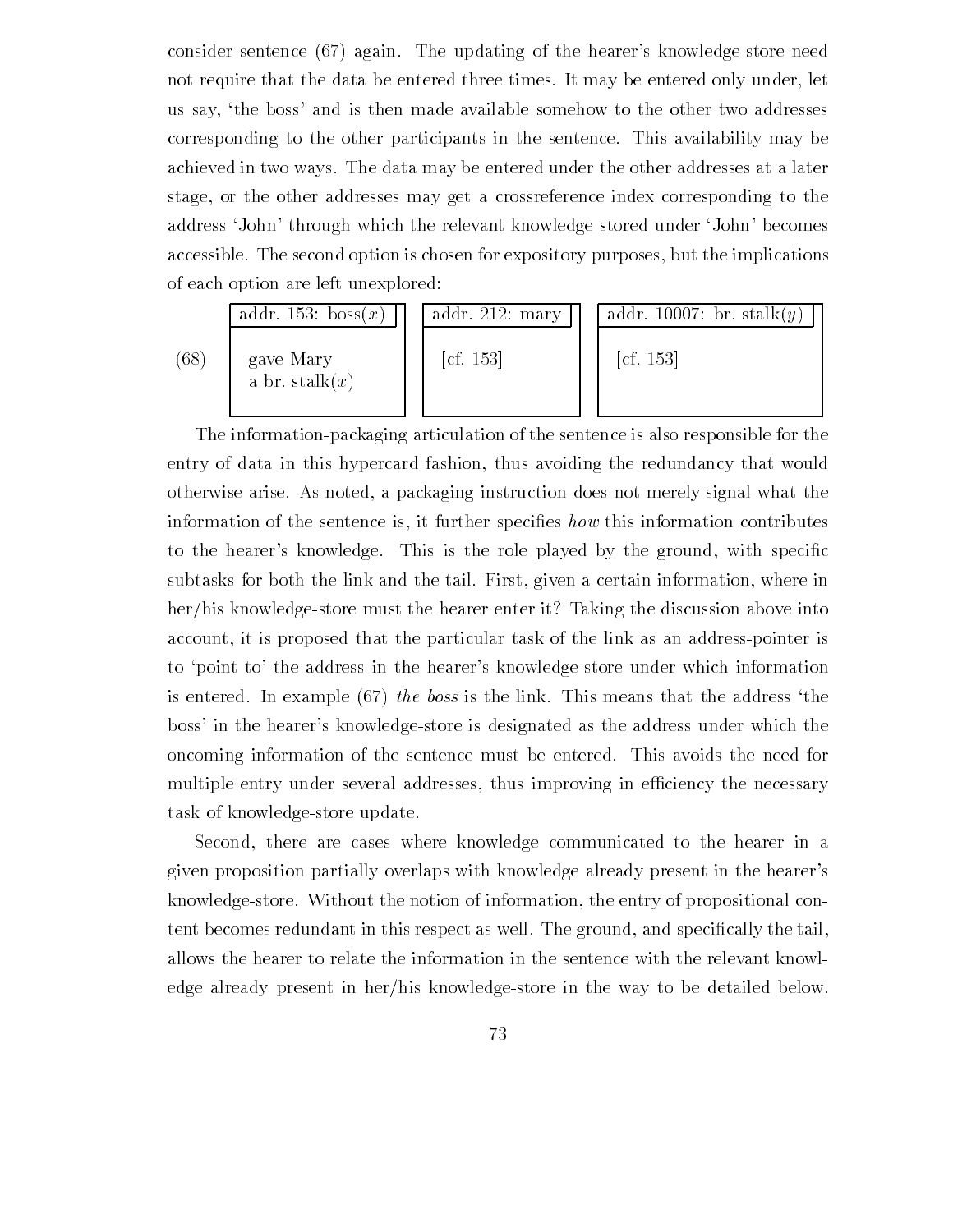consider sentence (67) again. The updating of the hearer's knowledge-store need not require that the data be entered three times. It may be entered only under, let us say, 'the boss' and is then made available somehow to the other two addresses corresponding to the other participants in the sentence This availability may be achieved in two ways The data may be entered under the other addresses at a later stage, or the other addresses may get a crossreference index corresponding to the address 'John' through which the relevant knowledge stored under 'John' becomes accessible. The second option is chosen for expository purposes, but the implications of each option are left unexplored

|      | addr. 153: boss $(x)$          | addr. 212: mary                  | addr. 10007: br. stalk $(y)$     |
|------|--------------------------------|----------------------------------|----------------------------------|
| (68) | gave Mary<br>a br. stalk $(x)$ | $\left[ \text{cf. } 153 \right]$ | $\left[ \text{cf. } 153 \right]$ |

The informationpackaging articulation of the sentence is also responsible for the entry of data in this hypercard fashion, thus avoiding the redundancy that would otherwise arise As noted a packaging instruction does not merely signal what the information of the sentence is it further speci-es how this information contributes to the the heartest the species through the role played by the ground with species  $\mathbf{r}$ subtasks for both the link and the tail. First, given a certain information, where in her/his knowledge-store must the hearer enter it? Taking the discussion above into account, it is proposed that the particular task of the link as an address-pointer is to 'point to' the address in the hearer's knowledge-store under which information is entered. In example  $(67)$  the boss is the link. This means that the address 'the boss' in the hearer's knowledge-store is designated as the address under which the oncoming information of the sentence must be entered. This avoids the need for multiple entry under several addresses, thus improving in efficiency the necessary task of knowledge-store update.

Second, there are cases where knowledge communicated to the hearer in a given proposition partially overlaps with knowledge already present in the hearer's knowledgestore Without the notion of information the entry of propositional con tent becomes redundant in this respect as well The ground and species  $\mathbf{r}$  and special  $\mathbf{r}$ allows the hearer to relate the information in the sentence with the relevant knowl edge already present in her/his knowledge-store in the way to be detailed below.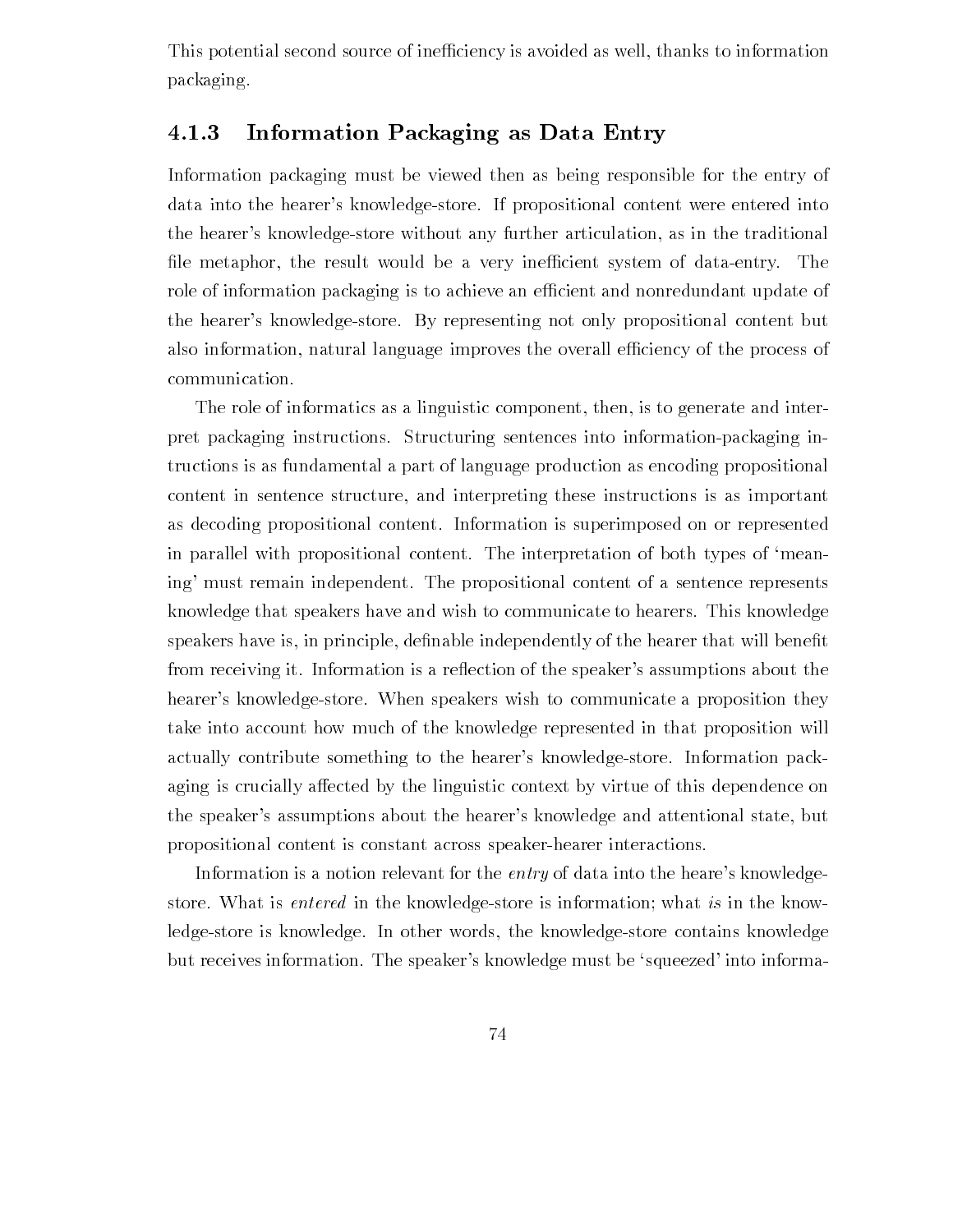This potential second source of inefficiency is avoided as well, thanks to information packaging

#### 4.1.3 Information Packaging as Data Entry

Information packaging must be viewed then as being responsible for the entry of data into the hearer's knowledge-store. If propositional content were entered into the hearer's knowledge-store without any further articulation, as in the traditional -le metaphor the result would be a very inecient system of dataentry The role of information packaging is to achieve an efficient and nonredundant update of the hearer's knowledge-store. By representing not only propositional content but also information, natural language improves the overall efficiency of the process of communication

The role of informatics as a linguistic component, then, is to generate and interpret packaging instructions. Structuring sentences into information-packaging intructions is as fundamental a part of language production as encoding propositional content in sentence structure, and interpreting these instructions is as important as decoding propositional content Information is superimposed on or represented in parallel with propositional content. The interpretation of both types of 'meaning' must remain independent. The propositional content of a sentence represents knowledge that speakers have and wish to communicate to hearers This knowledge speakers have is in the principle decomputer that will be define a computer that will be computed that will be from receiving it. Information is a reflection of the speaker's assumptions about the hearer's knowledge-store. When speakers wish to communicate a proposition they take into account how much of the knowledge represented in that proposition will actually contribute something to the hearer's knowledge-store. Information packaging is crucially affected by the linguistic context by virtue of this dependence on the speaker's assumptions about the hearer's knowledge and attentional state, but propositional content is constant across speaker hearer interactions.

Information is a notion relevant for the *entry* of data into the heare's knowledgestore. What is *entered* in the knowledge-store is information; what is in the knowledge-store is knowledge. In other words, the knowledge-store contains knowledge but receives information. The speaker's knowledge must be 'squeezed' into informa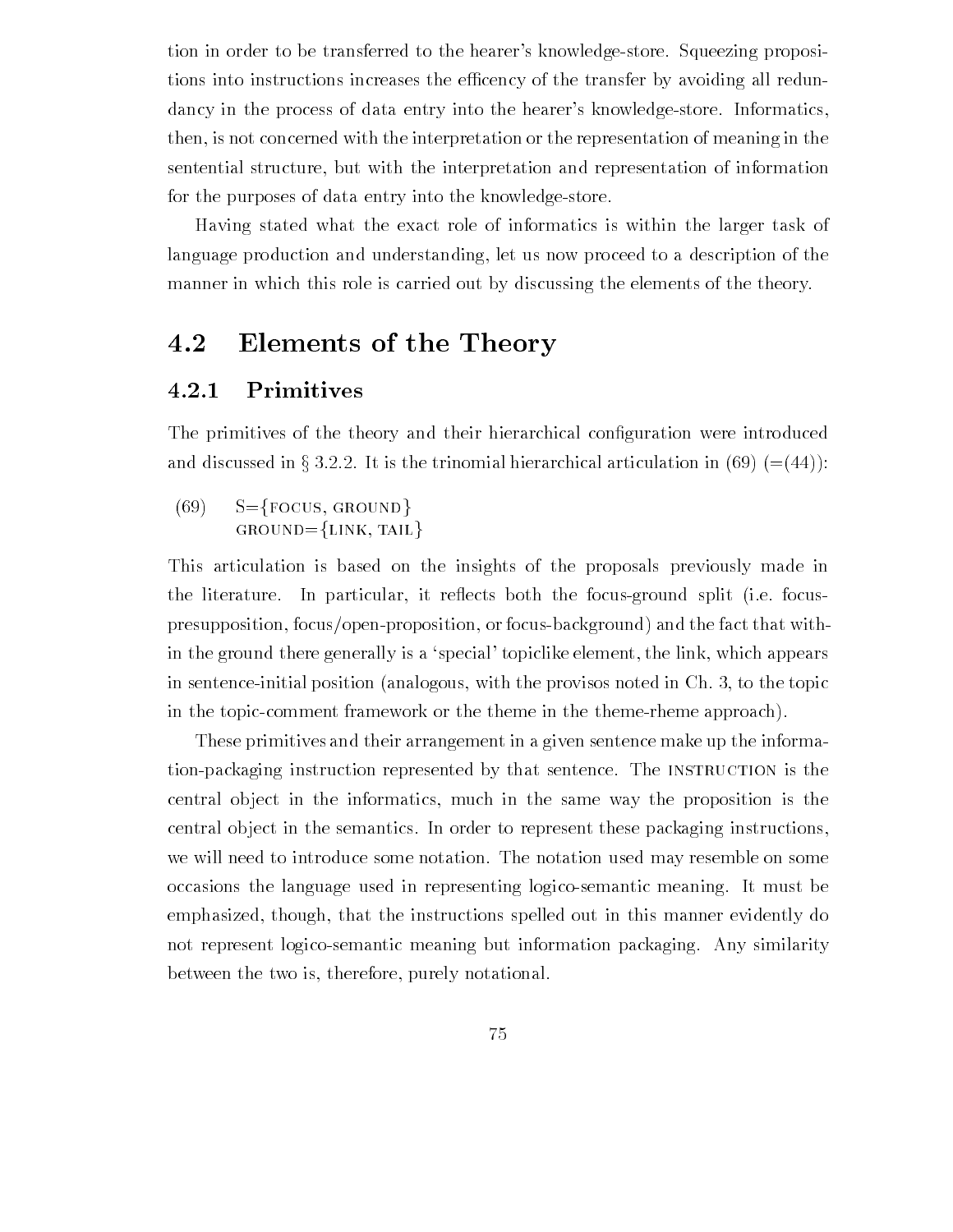tion in order to be transferred to the hearer's knowledge-store. Squeezing propositions into instructions increases the efficency of the transfer by avoiding all redundancy in the process of data entry into the hearer's knowledge-store. Informatics, then, is not concerned with the interpretation or the representation of meaning in the sentential structure, but with the interpretation and representation of information for the purposes of data entry into the knowledge-store.

Having stated what the exact role of informatics is within the larger task of language production and understanding let us now proceed to a description of the manner in which this role is carried out by discussing the elements of the theory.

#### 4.2 Elements of the Theory

#### 4.2.1 Primitives

The primitives of the theory and their hierarchical con-guration were introduced and discussed in § 3.2.2. It is the trinomial hierarchical articulation in (69)  $(=(44))$ :

 $(69)$  S={FOCUS, GROUND}  $GROUND = \{LINK, TAIL\}$ 

This articulation is based on the insights of the proposals previously made in the literature. In particular, it reflects both the focus-ground split (i.e. focuspresupposition, focus/open-proposition, or focus-background) and the fact that within the ground there generally is a 'special' topiclike element, the link, which appears in sentence-initial position (analogous, with the provisos noted in  $Ch. 3$ , to the topic in the topic-comment framework or the theme in the theme-rheme approach).

These primitives and their arrangement in a given sentence make up the informa tion-packaging instruction represented by that sentence. The INSTRUCTION is the central ob ject in the informatics much in the same way the proposition is the central ob ject in the semantics In order to represent these packaging instructions we will need to introduce some notation The notation used may resemble on some occasions the language used in representing logicosemantic meaning It must be emphasized, though, that the instructions spelled out in this manner evidently do not represent logicosemantic meaning but information packaging Any similarity between the two is, therefore, purely notational.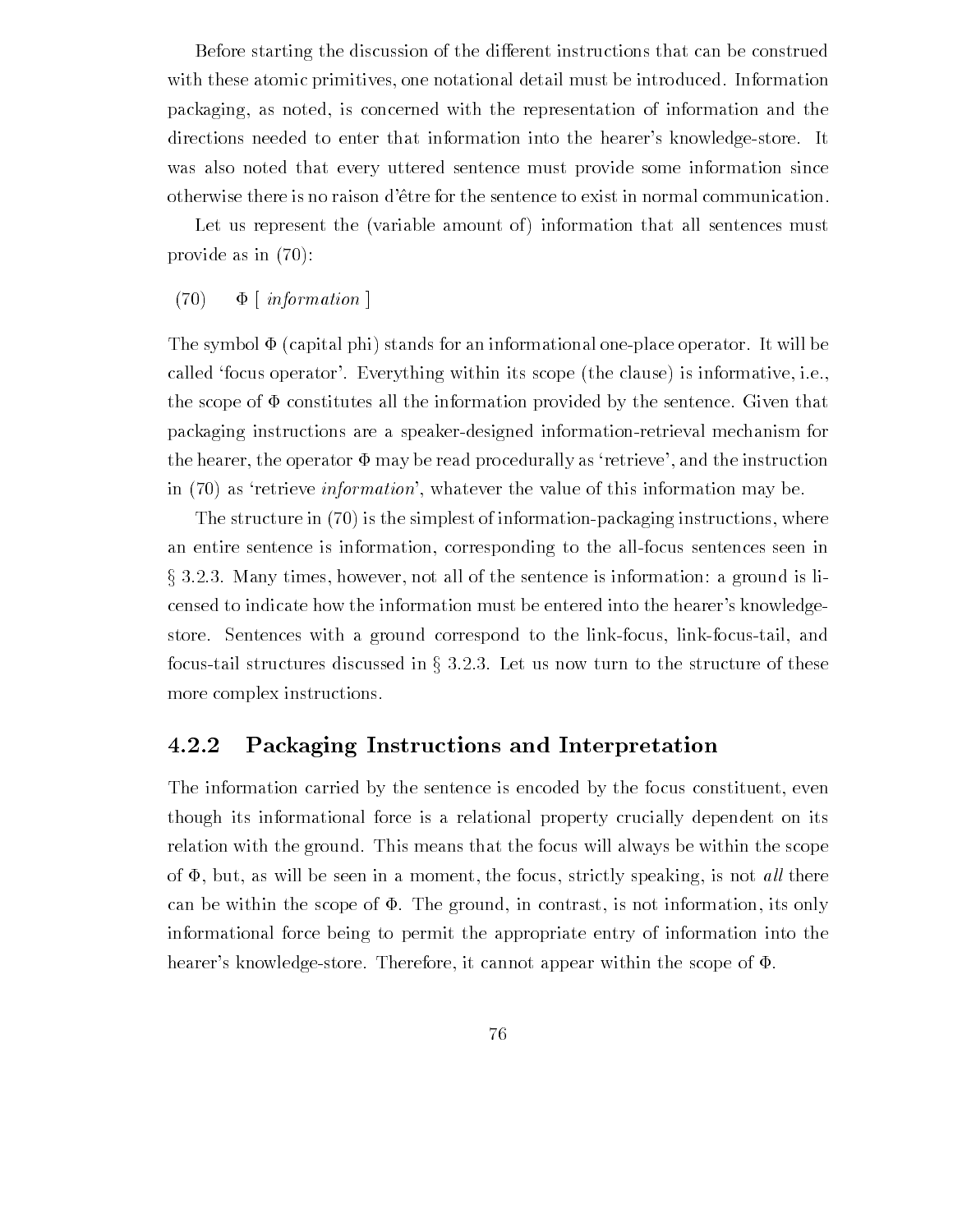Before starting the discussion of the different instructions that can be construed with these atomic primitives, one notational detail must be introduced. Information packaging, as noted, is concerned with the representation of information and the directions needed to enter that information into the hearer's knowledge-store. It was also noted that every uttered sentence must provide some information since otherwise there is no raison d'être for the sentence to exist in normal communication.

Let us represent the (variable amount of) information that all sentences must provide as in

#### $(70)$   $\Phi$  [*information* ]

The symbol  $\Phi$  (capital phi) stands for an informational one-place operator. It will be called 'focus operator'. Everything within its scope (the clause) is informative, i.e., the scope of  $\Phi$  constitutes all the information provided by the sentence. Given that packaging instructions are a speakerdesigned informationretrieval mechanism for the hearer, the operator  $\Phi$  may be read procedurally as 'retrieve', and the instruction in  $(70)$  as 'retrieve *information*', whatever the value of this information may be.

The structure in  $(70)$  is the simplest of information-packaging instructions, where an entire sentence is information, corresponding to the all-focus sentences seen in Many times however not all of the sentence is information a ground is li censed to indicate how the information must be entered into the hearer's knowledgestore. Sentences with a ground correspond to the link-focus, link-focus-tail, and focus-tail structures discussed in  $\S 3.2.3$ . Let us now turn to the structure of these more complex instructions

## Packaging Instructions and Interpretation

The information carried by the sentence is encoded by the focus constituent, even though its informational force is a relational property crucially dependent on its relation with the ground. This means that the focus will always be within the scope of  $\Phi$ , but, as will be seen in a moment, the focus, strictly speaking, is not *all* there can be within the scope of  $\Phi$ . The ground, in contrast, is not information, its only informational force being to permit the appropriate entry of information into the hearer's knowledge-store. Therefore, it cannot appear within the scope of  $\Phi$ .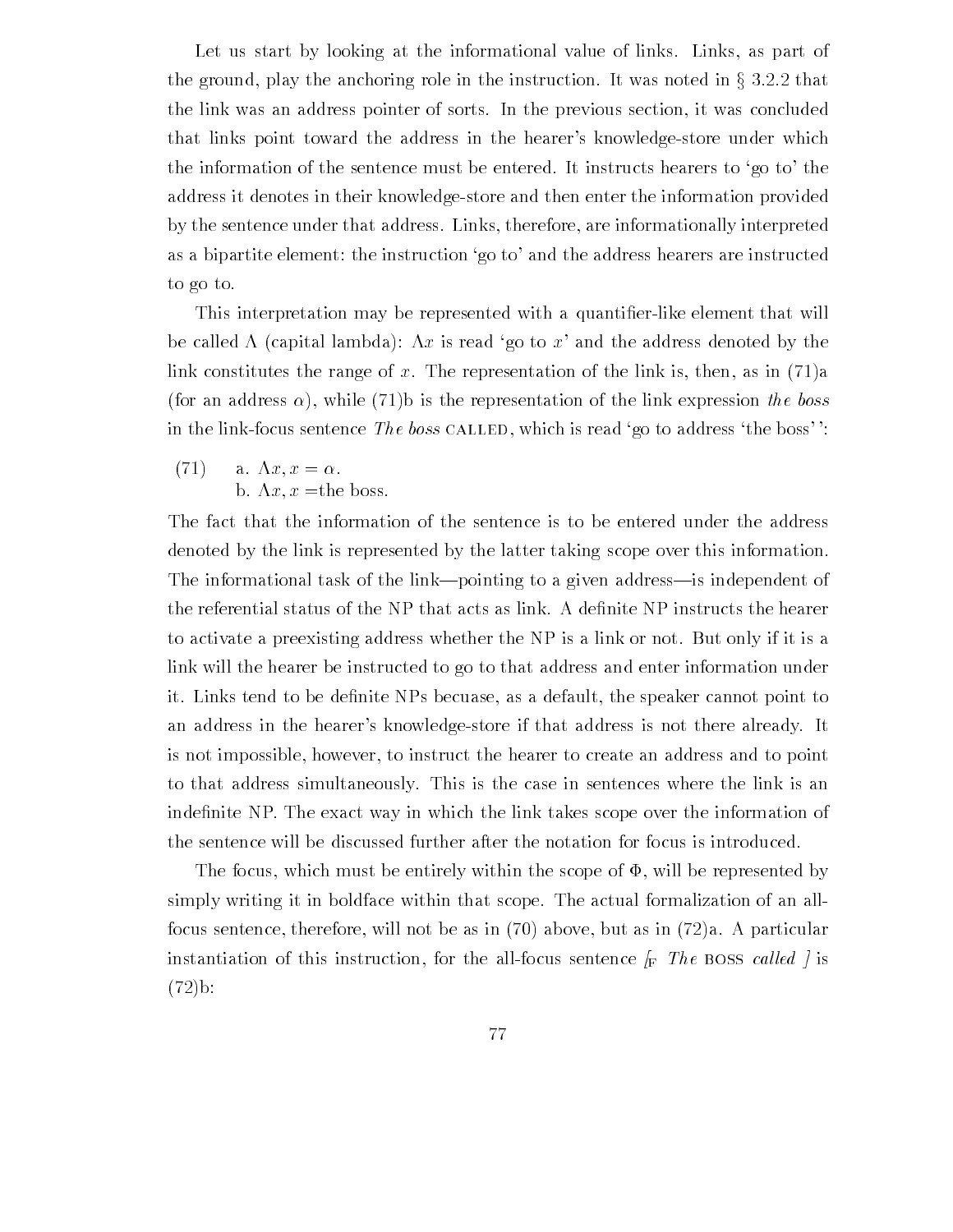Let us start by looking at the informational value of links. Links, as part of the ground, play the anchoring role in the instruction. It was noted in  $\S 3.2.2$  that the link was an address pointer of sorts. In the previous section, it was concluded that links point toward the address in the hearer's knowledge-store under which the information of the sentence must be entered. It instructs hearers to 'go to' the address it denotes in their knowledgestore and then enter the information provided by the sentence under that address Links therefore are informationally interpreted as a bipartite element: the instruction 'go to' and the address hearers are instructed to go to

This interpretation may be represented with a quanti-erlike element that will be called  $\Lambda$  (capital lambda):  $\Lambda x$  is read 'go to x' and the address denoted by the link constitutes the range of x. The representation of the link is, then, as in  $(71)a$ , is the commentation of the representation of the representation the link expression that the bosses of the bosses in the link-focus sentence The boss CALLED, which is read 'go to address 'the boss''.

 $(71)$  a.  $\Lambda x, x = \alpha$ . b.  $\Lambda x, x$  = the boss.

The fact that the information of the sentence is to be entered under the address denoted by the link is represented by the latter taking scope over this information The informational task of the link—pointing to a given address—is independent of to activate a preexisting address whether the NP is a link or not. But only if it is a link will the hearer be instructed to go to that address and enter information under it Links tend to be de-nite NPs becuase as a default the speaker cannot point to an address in the hearer's knowledge-store if that address is not there already. It is not impossible however to instruct the hearer to create an address and to point to that address simultaneously This is the case in sentences where the link is an inde-nite NP The exact way in which the link takes scope over the information of the sentence will be discussed further after the notation for focus is introduced

The focus, which must be entirely within the scope of  $\Phi$ , will be represented by simply writing it in boldface within that scope The actual formalization of an all focus sentence, therefore, will not be as in  $(70)$  above, but as in  $(72)a$ . A particular  $\frac{1}{2}$  instruction of this instruction, for the all focus sentence  $\int_{\Gamma}$  The boss called  $\int$  is  $(72)$ b: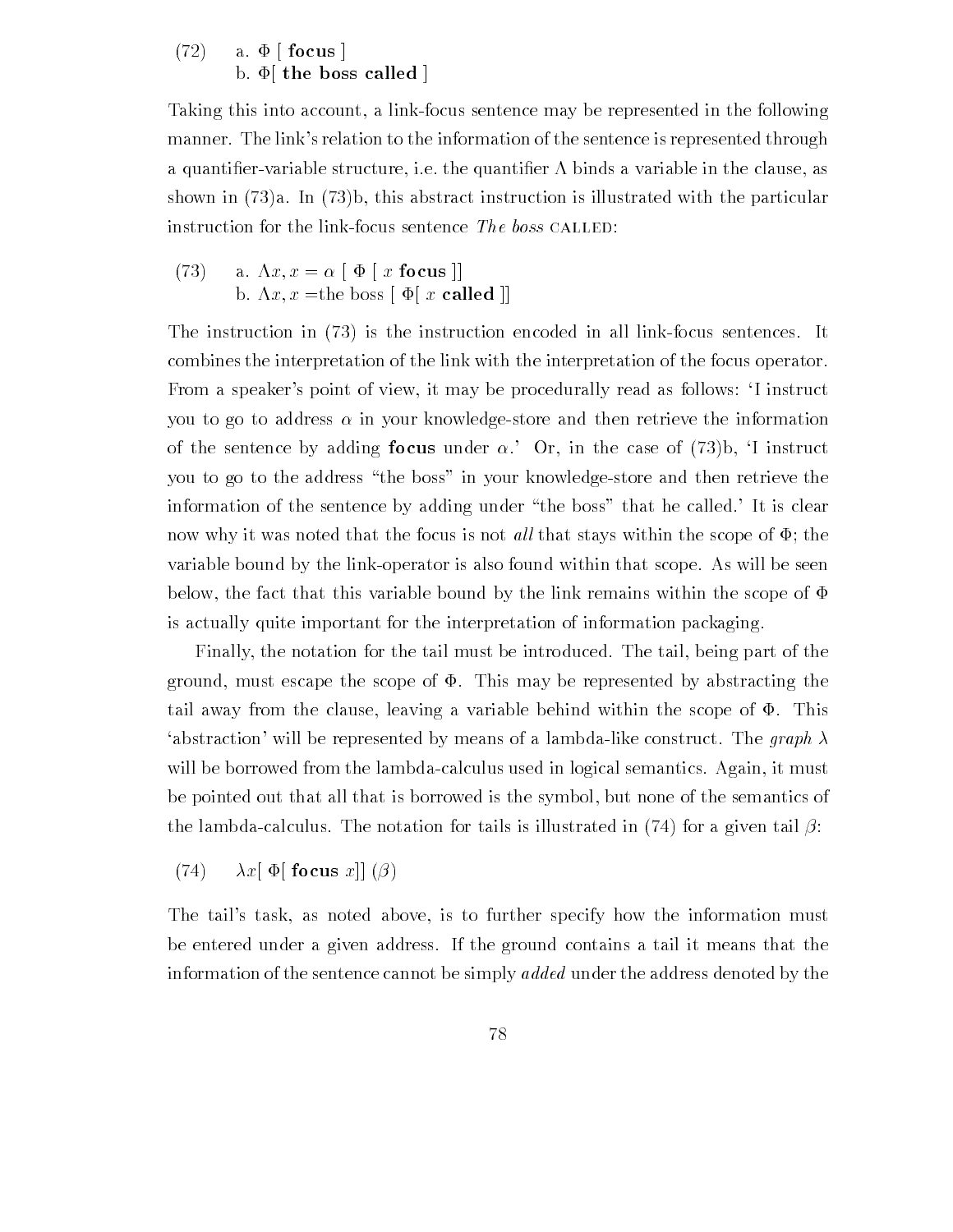## $(72)$  a.  $\Phi$  [focus] b.  $\Phi$  the boss called |

Taking this into account, a link-focus sentence may be represented in the following manner. The link's relation to the information of the sentence is represented through a quanti-ble structure ie the quanti-ble structure in the clause as variable in the clause as variable in the c shown in  $(73)a$ . In  $(73)b$ , this abstract instruction is illustrated with the particular instruction for the link-focus sentence  $The\, \, boss\, CALLED:$ 

 $\mathcal{L} \setminus \{0\}$  and  $\mathcal{L} \setminus \{0\}$  and  $\mathcal{L} \setminus \{0\}$  and  $\mathcal{L} \setminus \{0\}$ b.  $\Lambda x, x$  = the boss  $\left[ \Phi \right] x$  called  $\left[ \right]$ 

The instruction in  $(73)$  is the instruction encoded in all link-focus sentences. It combines the interpretation of the link with the interpretation of the focus operator From a speaker's point of view, it may be procedurally read as follows: 'I instruct  $\alpha$  to go to address - in the intervention retrieves the information the information  $\alpha$ of the sentence by adding focus under - or in the case of the political formula of  $\mathcal{C}$ you to go to the address "the boss" in your knowledge-store and then retrieve the information of the sentence by adding under "the boss" that he called. It is clear now why it was noted that the focus is not *all* that stays within the scope of  $\Phi$ ; the variable bound by the link-operator is also found within that scope. As will be seen below, the fact that this variable bound by the link remains within the scope of  $\Phi$ is actually quite important for the interpretation of information packaging

Finally, the notation for the tail must be introduced. The tail, being part of the ground, must escape the scope of  $\Phi$ . This may be represented by abstracting the tail away from the clause, leaving a variable behind within the scope of  $\Phi$ . This 'abstraction' will be represented by means of a lambda-like construct. The graph  $\lambda$ will be borrowed from the lambda-calculus used in logical semantics. Again, it must be pointed out that all that is borrowed is the symbol but none of the semantics of the lambda-calculus. The notation for tails is illustrated in  $(74)$  for a given tail  $\beta$ :

(74)  $\lambda x$ [  $\Phi$ [ focus x]] ( $\beta$ )

The tail's task, as noted above, is to further specify how the information must be entered under a given address If the ground contains a tail it means that the information of the sentence cannot be simply added under the address denoted by the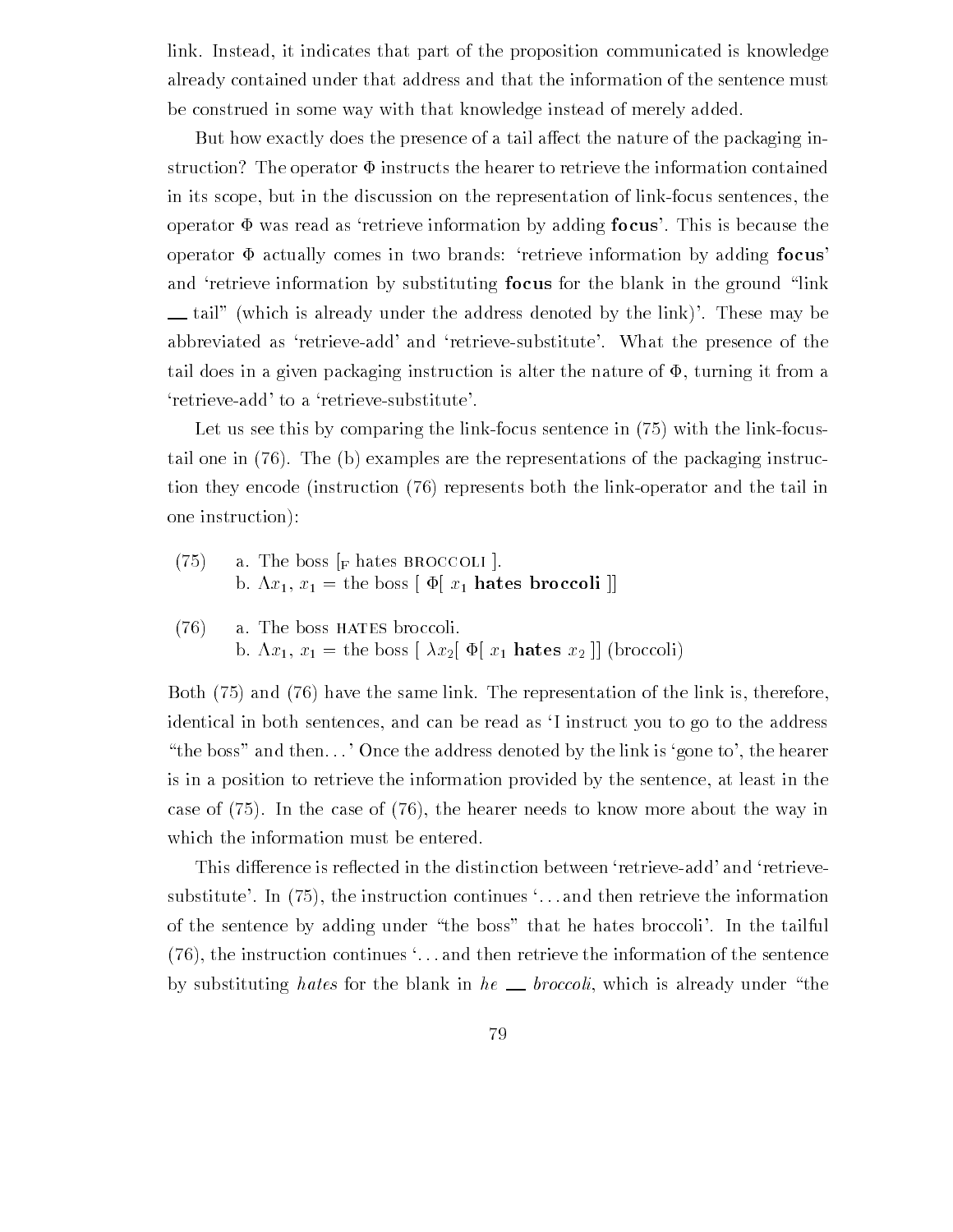link. Instead, it indicates that part of the proposition communicated is knowledge already contained under that address and that the information of the sentence must be construed in some way with that knowledge instead of merely added

But how exactly does the presence of a tail affect the nature of the packaging instruction? The operator  $\Phi$  instructs the hearer to retrieve the information contained in its scope, but in the discussion on the representation of link-focus sentences, the operator  $\Phi$  was read as 'retrieve information by adding focus'. This is because the operator  $\Phi$  actually comes in two brands: 'retrieve information by adding focus' and 'retrieve information by substituting **focus** for the blank in the ground "link  $\perp$  tail" (which is already under the address denoted by the link)'. These may be abbreviated as 'retrieve-add' and 'retrieve-substitute'. What the presence of the tail does in a given packaging instruction is alter the nature of  $\Phi$ , turning it from a 'retrieve-add' to a 'retrieve-substitute'.

Let us see this by comparing the linkfocus sentence in with the linkfocus tail one in  $(76)$ . The (b) examples are the representations of the packaging instruction they encode (instruction (76) represents both the link-operator and the tail in one instruction

- $(75)$ a. The boss  $\vert_F$  hates BROCCOLI  $\vert$ . b.  $\Lambda x_1, x_1 =$  the boss  $\phi[x_1]$  hates broccoli  $\phi$
- $(76)$  a. The boss HATES broccoli. b.  $\Lambda x_1, x_1 =$  the boss  $\left[ \lambda x_2 \right] \Phi[x_1]$  hates  $x_2$   $\left[ \right]$  (broccoli)

Both and the same link Theorem and the representation of the representation of the representation of the link is identical in both sentences, and can be read as 'I instruct you to go to the address "the boss" and then  $\ldots$  'Once the address denoted by the link is 'gone to', the hearer is in a position to retrieve the information provided by the sentence at least in the case of In the case of the hearer needs to know more about the way in which the information must be entered

This difference is reflected in the distinction between 'retrieve-add' and 'retrievesubstitute In the instruction continues in the information continues the interest the information of  $\mathcal{L}$ of the sentence by adding under "the boss" that he hates broccoli'. In the tailful  $(76)$ , the instruction continues  $\dots$  and then retrieve the information of the sentence by substituting hates for the blank in he  $\equiv$  broccoli, which is already under "the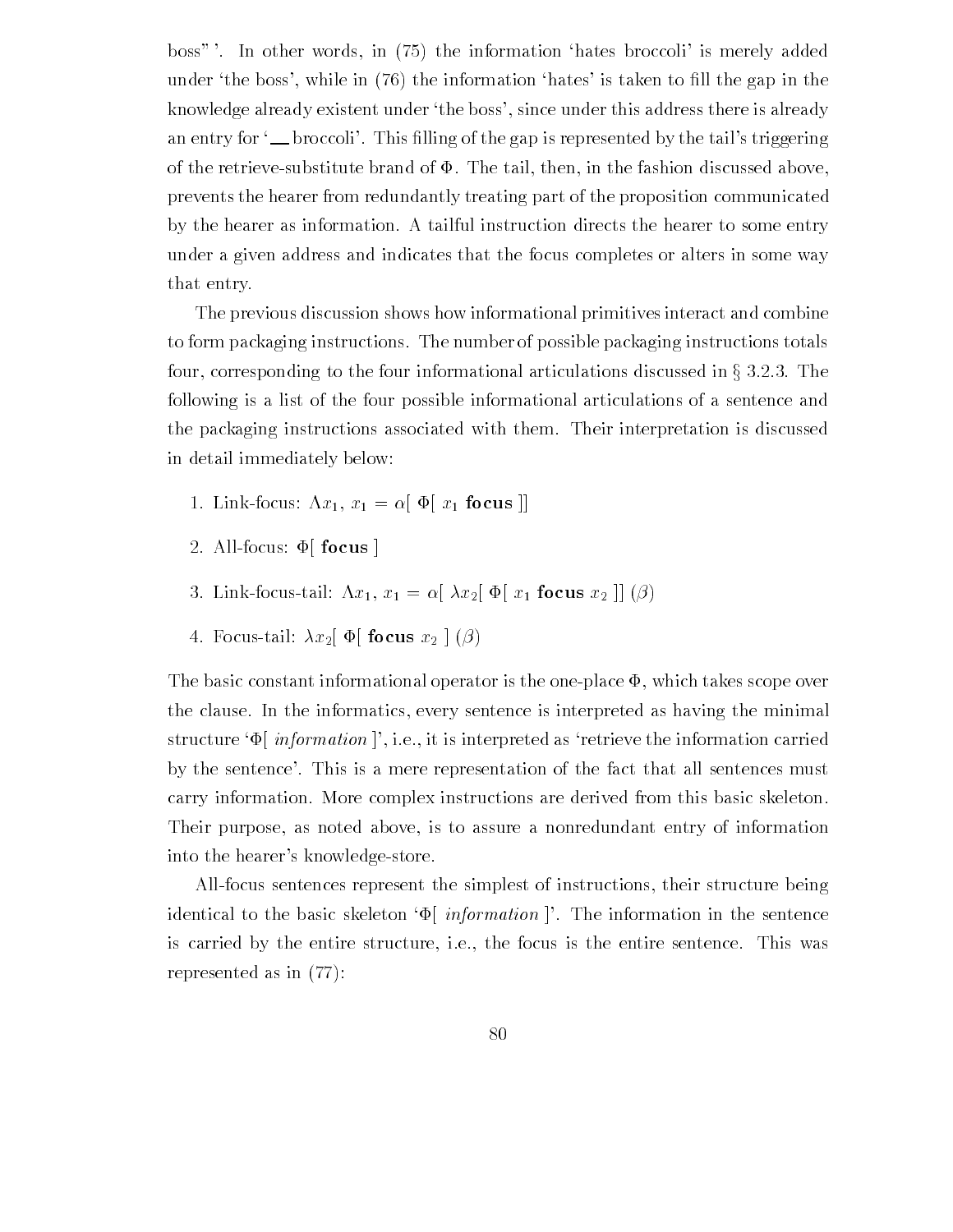boss) In other words in the information hates broccoli is merely added  $\mathbf{u}$  is taken to  $\mathbf{u}$  in the information hates is taken to -  $\mathbf{u}$ knowledge already existent under 'the boss', since under this address there is already an entry for broccoli This -lling of the gap is represented by the tails triggering of the retrieve-substitute brand of  $\Phi$ . The tail, then, in the fashion discussed above, prevents the hearer from redundantly treating part of the proposition communicated by the hearer as information A tailful instruction directs the hearer to some entry under a given address and indicates that the focus completes or alters in some way that entry

The previous discussion shows how informational primitives interact and combine to form packaging instructions The number of possible packaging instructions totals four, corresponding to the four informational articulations discussed in  $\S 3.2.3$ . The following is a list of the four possible informational articulations of a sentence and the packaging instructions associated with them Their interpretation is discussed in detail immediately below

- Link for the focus and the focus and the focus and the focus and the focus and the focus and the focus and the
- 2. All-focus:  $\Phi$  focus |
- Linkfocustail ,x x -" x" +" x focus x ##
- 4. Focus-tail:  $\lambda x_2$   $\Phi$  focus  $x_2$   $\phi$

The basic constant informational operator is the one-place  $\Phi$ , which takes scope over the clause In the informatics every sentence is interpreted as having the minimal structure  $\Psi$  *information*  $\vert$ , i.e., it is interpreted as 'retrieve the information carried by the sentence'. This is a mere representation of the fact that all sentences must carry information. More complex instructions are derived from this basic skeleton. Their purpose, as noted above, is to assure a nonredundant entry of information into the hearer's knowledge-store.

Allfocus sentences represent the simplest of instructions their structure being identical to the basic skeleton  $\Phi$  *information*  $\Phi$ . The information in the sentence is carried by the entire structure, i.e., the focus is the entire sentence. This was represented as in  $(77)$ :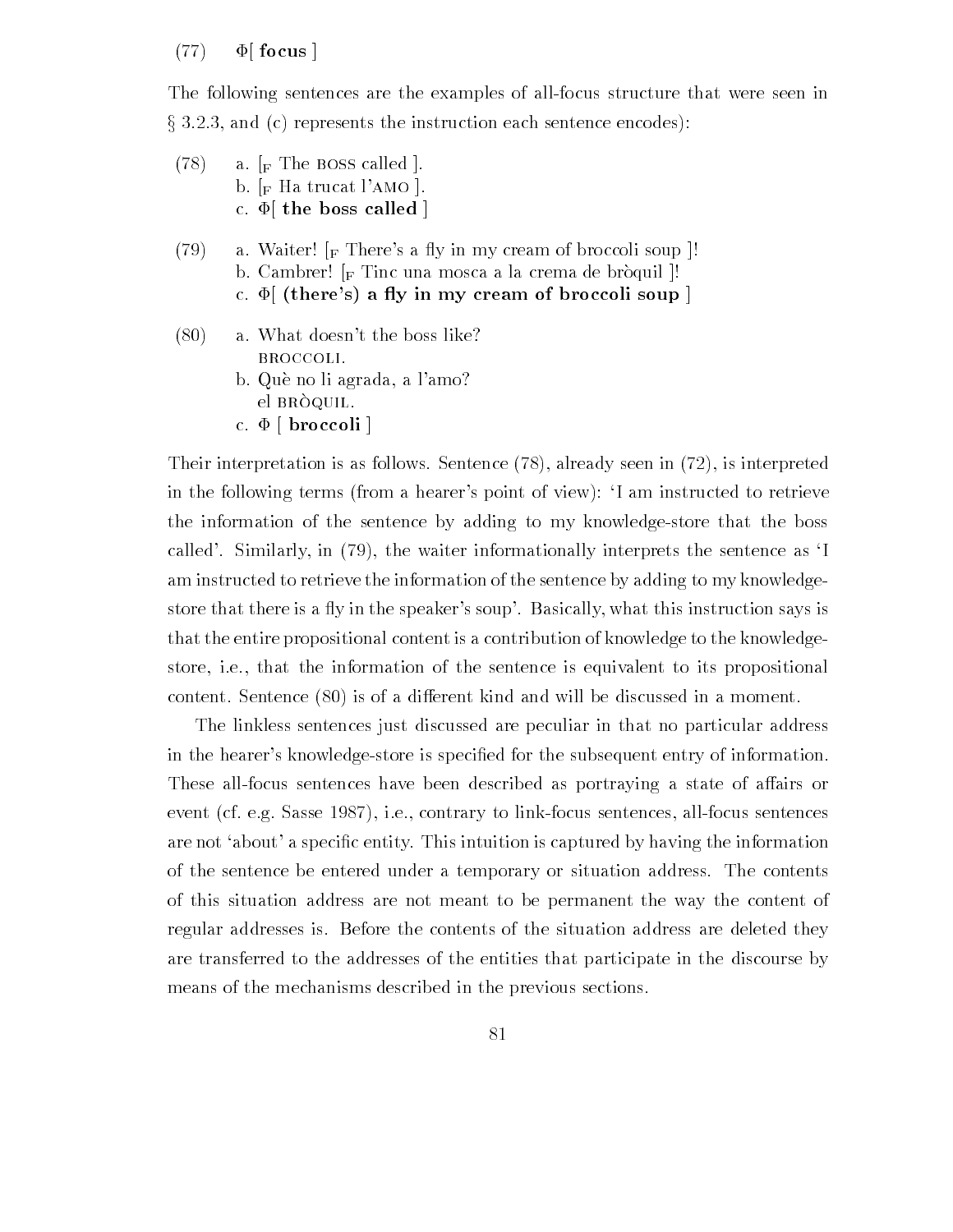#### $(77)$   $\Phi$  focus ]

The following sentences are the examples of all-focus structure that were seen in and control the instruction each sentence encode entrepresentation entrepresentation entrepresentation entrepr

- $(78)$  a.  $\lbrack_{\rm F}$  The BOSS called |. b.  $\lceil_{\rm F}$  Ha trucat l'AMO  $\lceil$ . c.  $\Phi$  the boss called |
- (79) a. Waiter!  $\lceil_F \text{There's a fly in my cream of broccoli soup} \rceil$ ! b. Cambrer!  $\lbrack_{\text{F}}$  Tinc una mosca a la crema de bròquil  $\lbrack$ ! c.  $\Phi$  (there's) a fly in my cream of broccoli soup ]
- $(80)$  a. What doesn't the boss like? broccoli
	- b. Què no li agrada, a l'amo? el BRÒQUIL. c.  $\Phi$  [ broccoli ]

Their interpretation is as follows. Sentence  $(78)$ , already seen in  $(72)$ , is interpreted in the following terms (from a hearer's point of view): 'I am instructed to retrieve the information of the sentence by adding to my knowledge-store that the boss called'. Similarly, in  $(79)$ , the waiter informationally interprets the sentence as 'I am instructed to retrieve the information of the sentence by adding to my knowledge store that there is a fly in the speaker's soup'. Basically, what this instruction says is that the entire propositional content is a contribution of knowledge to the knowledgestore, i.e., that the information of the sentence is equivalent to its propositional content. Sentence  $(80)$  is of a different kind and will be discussed in a moment.

The linkless sentences just discussed are peculiar in that no particular address in the hearers knowledgestore is speci-ed for the subsequent entry of information These all-focus sentences have been described as portraying a state of affairs or event (cf. e.g. Sasse  $1987$ ), i.e., contrary to link-focus sentences, all-focus sentences are not about a specific the interest of the interest  $\alpha$  interest  $\alpha$  into interest  $\alpha$  into the information in of the sentence be entered under a temporary or situation address. The contents of this situation address are not meant to be permanent the way the content of regular addresses is Before the contents of the situation address are deleted they are transferred to the addresses of the entities that participate in the discourse by means of the mechanisms described in the previous sections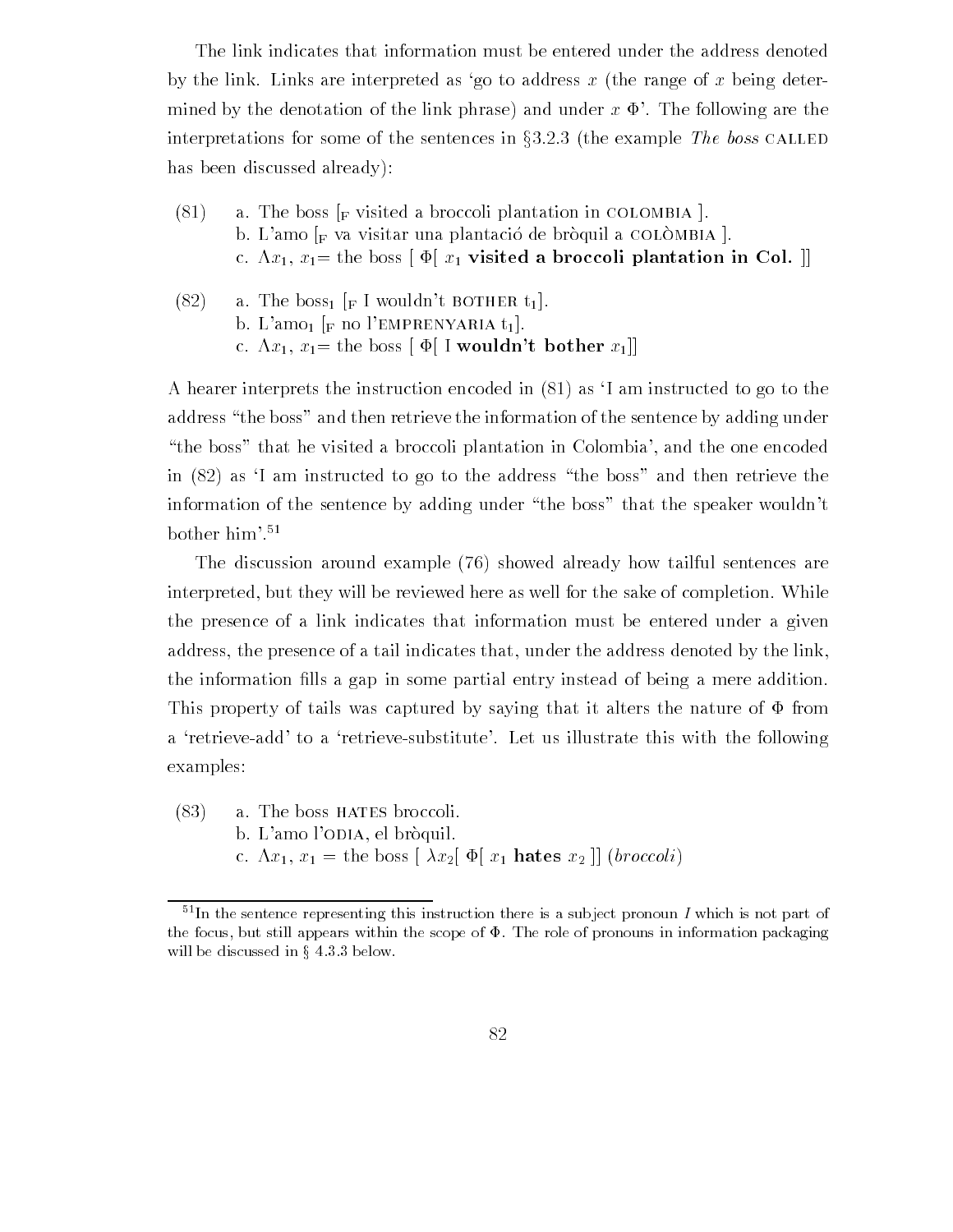The link indicates that information must be entered under the address denoted by the link. Links are interpreted as 'go to address x (the range of x being determined by the denotation of the link phrase) and under  $x \Phi'$ . The following are the interpretations for some of the sentences in  $\S 3.2.3$  (the example The boss CALLED has been discussed already):

- $(81)$  a. The boss  $\vert_F$  visited a broccoli plantation in COLOMBIA. b. L'amo  $\vert_F$  va visitar una plantació de bròquil a COLÒMBIA  $\vert$ . c.  $\Lambda x_1, x_1$  = the boss  $\left[ \Phi \right] x_1$  visited a broccoli plantation in Col.  $\left[ \right]$
- (82) a. The boss<sub>1</sub>  $\lbrack F \rbrack$  wouldn't bother t<sub>1</sub>. b. L'amo<sub>1</sub> [F no l'EMPRENYARIA  $t_1$ ]. c.  $\Lambda x_1, x_1$  the boss  $\phi$  I wouldn't bother  $x_1$ ]

A hearer interprets the instruction encoded in  $(81)$  as  $\dot{\rm I}$  am instructed to go to the address "the boss" and then retrieve the information of the sentence by adding under "the boss" that he visited a broccoli plantation in Colombia', and the one encoded in  $(82)$  as 'I am instructed to go to the address "the boss" and then retrieve the information of the sentence by adding under "the boss" that the speaker wouldn't bother him

The discussion around example  $(76)$  showed already how tailful sentences are interpreted, but they will be reviewed here as well for the sake of completion. While the presence of a link indicates that information must be entered under a given address, the presence of a tail indicates that, under the address denoted by the link, the information -lls a gap in some partial entry instead of being a mere addition This property of tails was captured by saying that it alters the nature of  $\Phi$  from a 'retrieve-add' to a 'retrieve-substitute'. Let us illustrate this with the following examples

 $(83)$  a. The boss HATES broccoli. b. L'amo l'ODIA, el bròquil. c.  $\Lambda x_1, x_1 =$  the boss  $\left[ \lambda x_2 \right] \Phi[x_1]$  hates  $x_2$   $\left[ \right]$  (*broccoli*)

 $51$ In the sentence representing this instruction there is a subject pronoun I which is not part of the focus, but still appears within the scope of  $\Phi$ . The role of pronouns in information packaging will be discussed in  $\S$  4.3.3 below.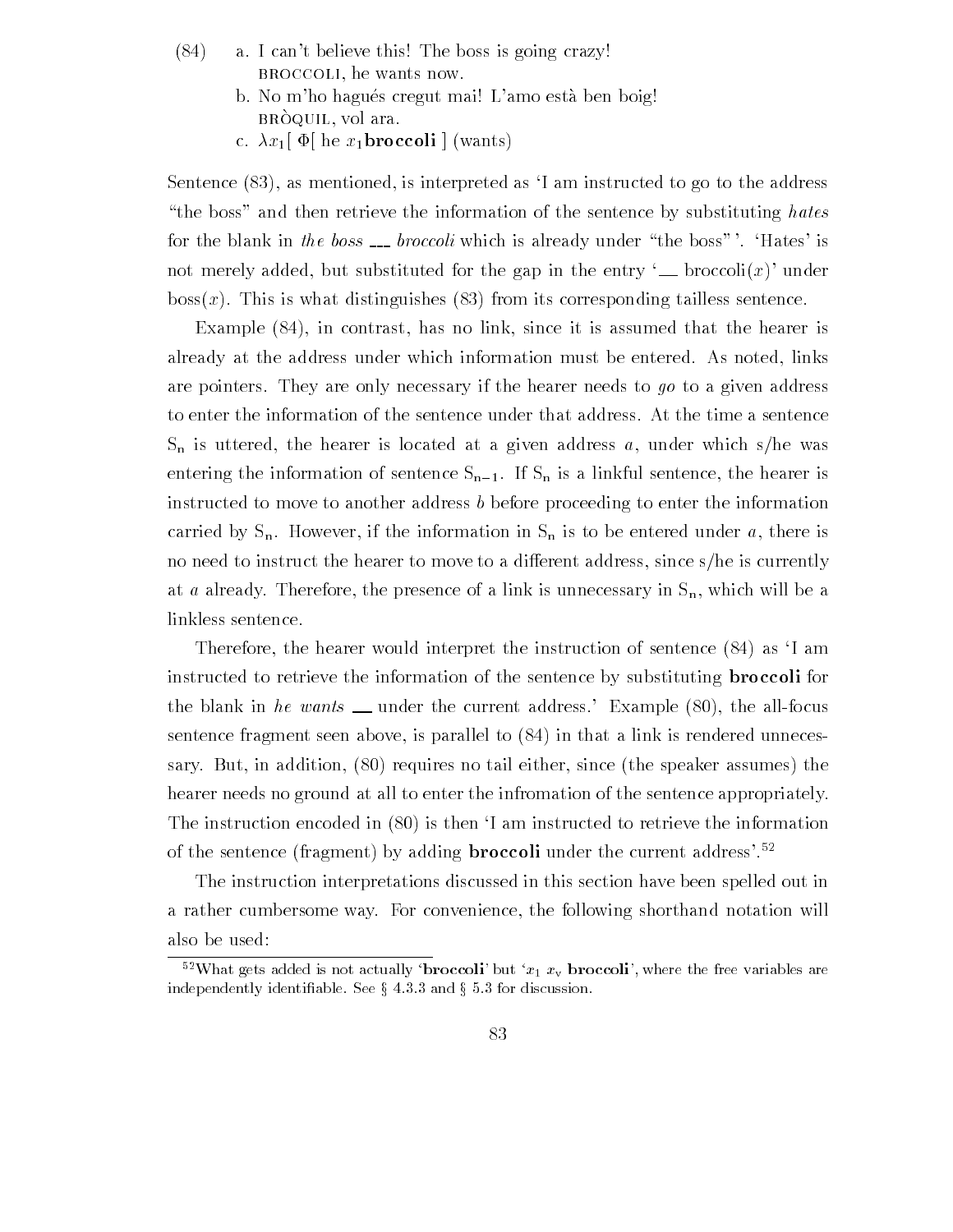- $(84)$  a. I can't believe this! The boss is going crazy! BROCCOLI, he wants now.
	- b. No m'ho hagués cregut mai! L'amo està ben boig!  $\mathbf{b}$ it $\mathbf{c}$   $\mathbf{c}$   $\mathbf{c}$   $\mathbf{c}$   $\mathbf{c}$   $\mathbf{c}$   $\mathbf{c}$   $\mathbf{c}$   $\mathbf{c}$   $\mathbf{c}$   $\mathbf{c}$   $\mathbf{c}$   $\mathbf{c}$   $\mathbf{c}$   $\mathbf{c}$   $\mathbf{c}$   $\mathbf{c}$   $\mathbf{c}$   $\mathbf{c}$   $\mathbf{c}$   $\mathbf{c}$   $\mathbf{c}$   $\mathbf{c}$   $\mathbf$
	- c.  $\lambda x_1$   $\Phi$  he  $x_1$ **broccoli**  $\phi$  (wants)

Sentence (83), as mentioned, is interpreted as 'I am instructed to go to the address "the boss" and then retrieve the information of the sentence by substituting hates for the blank in the boss  $\equiv$  broccoli which is already under "the boss". 'Hates' is not merely added, but substituted for the gap in the entry  $\Box$  broccoli $(x)$  under  $boss(x)$ . This is what distinguishes (83) from its corresponding tailless sentence.

Example  $(84)$ , in contrast, has no link, since it is assumed that the hearer is already at the address under which information must be entered. As noted, links are pointers. They are only necessary if the hearer needs to  $q\sigma$  to a given address to enter the information of the sentence under that address At the time a sentence  $S_n$  is uttered, the hearer is located at a given address a, under which s/he was entering the information of sentence  $S_{n-1}$ . If  $S_n$  is a linkful sentence, the hearer is instructed to move to another address <sup>b</sup> before proceeding to enter the information carried by  $S_n$ . However, if the information in  $S_n$  is to be entered under a, there is no need to instruct the hearer to move to a different address, since s/he is currently at a already. Therefore, the presence of a link is unnecessary in  $S_n$ , which will be a linkless sentence

Therefore, the hearer would interpret the instruction of sentence  $(84)$  as 'I am instructed to retrieve the information of the sentence by substituting broccoli for the blank in he wants  $\equiv$  under the current address. Example (80), the all-focus sentence fragment seen above, is parallel to  $(84)$  in that a link is rendered unnecessary. But, in addition,  $(80)$  requires no tail either, since (the speaker assumes) the hearer needs no ground at all to enter the infromation of the sentence appropriately. The instruction encoded in  $(80)$  is then I am instructed to retrieve the information of the sentence (fragment) by adding **broccoli** under the current address'.<sup>52</sup>

The instruction interpretations discussed in this section have been spelled out in a rather cumbersome way. For convenience, the following shorthand notation will also be used

 $\sim$  what gets added is not actually -broccoli-but  $x_1$   $x_{\rm v}$  broccoli-, where the free-variables are independently identifiable. See  $\S$  4.3.3 and  $\S$  5.3 for discussion.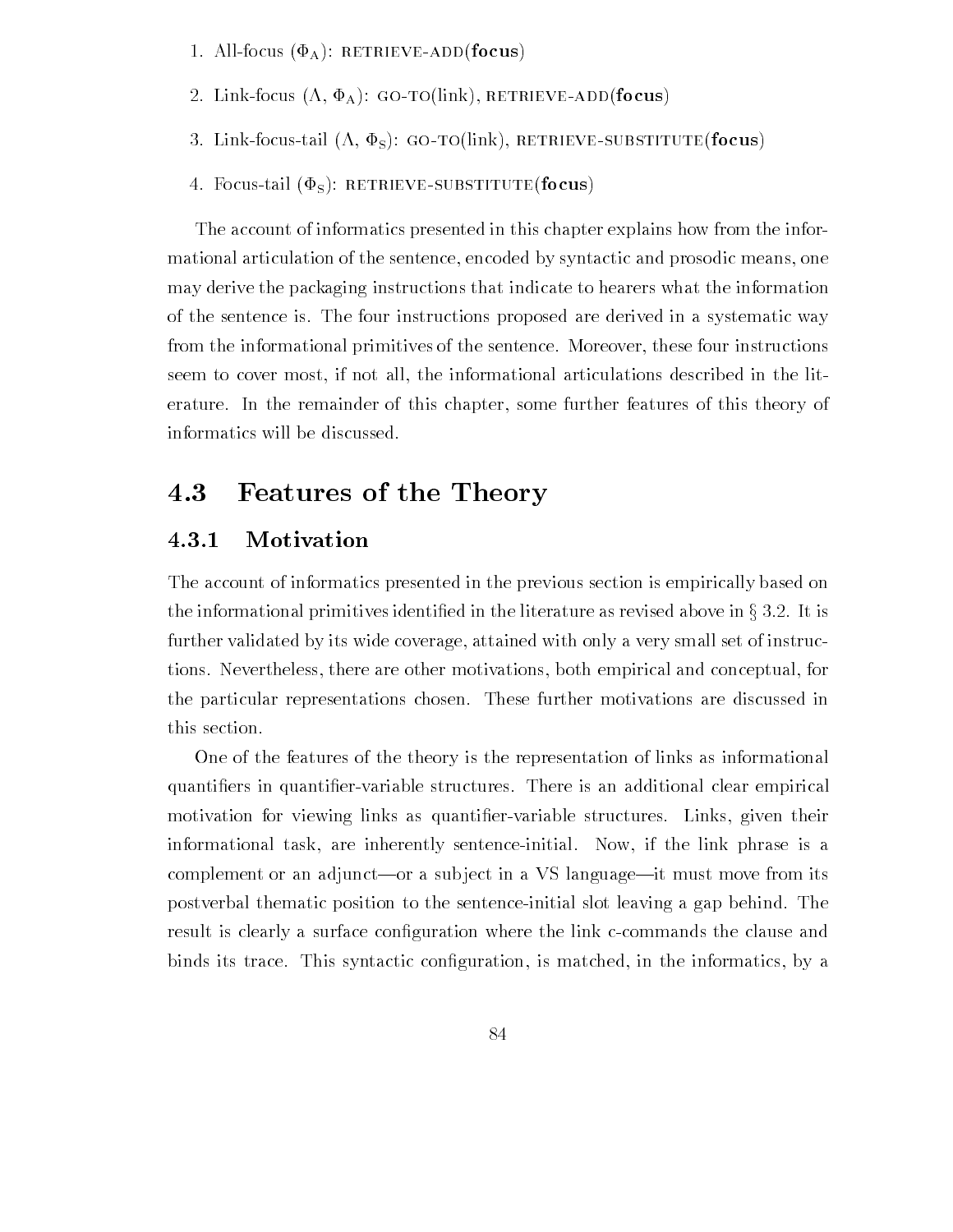- 1. All-focus  $(\Phi_A)$ : RETRIEVE-ADD(focus)
- 2. Link-focus  $(\Lambda, \Phi_A)$ : GO-TO(link), RETRIEVE-ADD(focus)
- 3. Link-focus-tail  $(\Lambda, \Phi_S)$ : GO-TO(link), RETRIEVE-SUBSTITUTE(focus)
- 4. Focus-tail ( $\Phi$ <sub>S</sub>): RETRIEVE-SUBSTITUTE(focus)

The account of informatics presented in this chapter explains how from the infor mational articulation of the sentence, encoded by syntactic and prosodic means, one may derive the packaging instructions that indicate to hearers what the information of the sentence is The four instructions proposed are derived in a systematic way from the informational primitives of the sentence. Moreover, these four instructions seem to cover most, if not all, the informational articulations described in the literature. In the remainder of this chapter, some further features of this theory of informatics will be discussed

## 4.3 Features of the Theory

#### 4.3.1 Motivation

The account of informatics presented in the previous section is empirically based on the informational primitives identified in the literature as revised above in  $\S 3.2$ . It is further validated by its wide coverage, attained with only a very small set of instructions Nevertheless there are other motivations both empirical and conceptual for the particular representations chosen These further motivations are discussed in this section

One of the features of the theory is the representation of links as informational ers in quanti-structures There is an additional clear empirical clear empirical clear empirical clear empirical motivation for viewing links as quanti-ervariable structures Links given their informational task, are inherently sentence-initial. Now, if the link phrase is a complement or an adjunct—or a subject in a VS language—it must move from its postverbal thematic position to the sentence-initial slot leaving a gap behind. The result is creamed, a surface controlled where the links continuous control can be an order the common binds its trace This symmetries is a simply more information in the interesting in the information  $\mu$  ,  $\mu$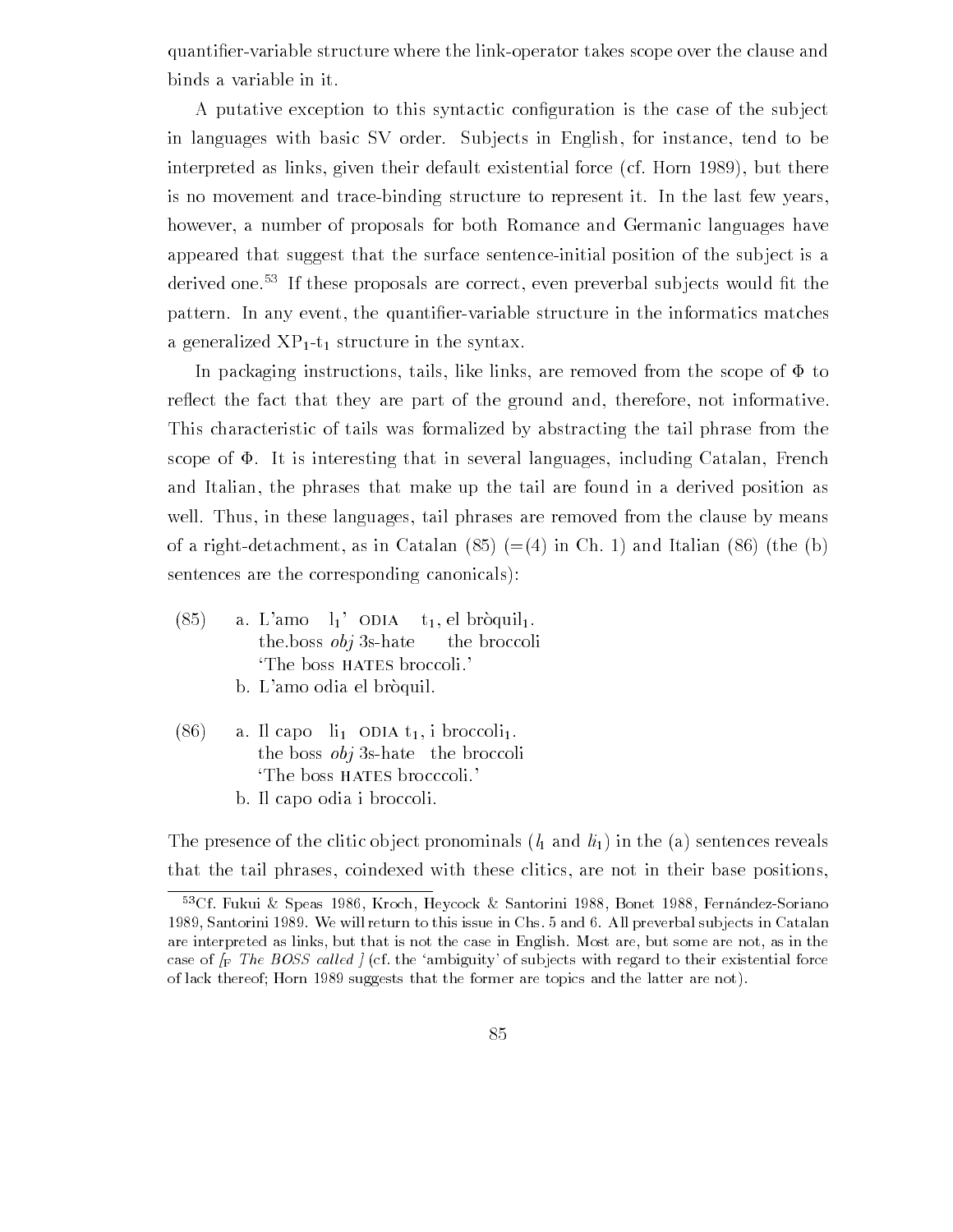quanti-ervariable structure where the linkoperator takes scope over the clause and binds a variable in it

A putative exception to this syntactic con-guration is the case of the sub ject in languages with basic SV order. Subjects in English, for instance, tend to be interpreted as links, given their default existential force (cf. Horn 1989), but there is no movement and trace-binding structure to represent it. In the last few years, however, a number of proposals for both Romance and Germanic languages have appeared that suggest that the surface sentence-initial position of the subject is a derived one. If these proposals are correct, even preverbal subjects would in the pattern In any event the quantizies informatic structure in the complete structure in the information a generalized  $XP_{1}$ -t<sub>1</sub> structure in the syntax.

In packaging instructions, tails, like links, are removed from the scope of  $\Phi$  to reflect the fact that they are part of the ground and, therefore, not informative. This characteristic of tails was formalized by abstracting the tail phrase from the scope of  $\Phi$ . It is interesting that in several languages, including Catalan, French and Italian, the phrases that make up the tail are found in a derived position as well. Thus, in these languages, tail phrases are removed from the clause by means  $\mathcal{L}$  right as in Catalan  $\mathcal{L}$  in Catalan  $\mathcal{L}$  in Catalan  $\mathcal{L}$ sentences are the corresponding canonicals

- $\sim$   $(85)$  a. L'amo  $l_1$ ' ODIA t<sub>1</sub>, el bròquil<sub>1</sub>. the boss  $obj$  3s-hate the broccoli The boss HATES broccoli.
	- b. L'amo odia el bròquil.
- $(86)$  a. Il capo  $\mathrm{li}_1$  ODIA  $t_1$ , i broccoli<sub>1</sub>. the boss  $obj$  3s-hate the broccoli The boss HATES brocccoli.
	- b. Il capo odia i broccoli.

The presence of the clitic object pronominals  $(l_1 \text{ and } l_{i_1})$  in the (a) sentences reveals that the tail phrases coindexed with these clitics are not in their base positions

 $\sim$ UI Fukui & Speas 1980, Kroch, Heycock & Santorini 1988, Bonet 1988, Fernandez-Soriano  $\sim$ santo in Medicine and this issue in Change in Chemical substitute in Chemical particles in Chemical substitute are interpreted as links, but that is not the case in English. Most are, but some are not, as in the case of F The BOSS called the ambiguity-called the ambiguity-called the ambiguity-called the changement forces of the there the form are topically the former are the form and the former are  $\alpha$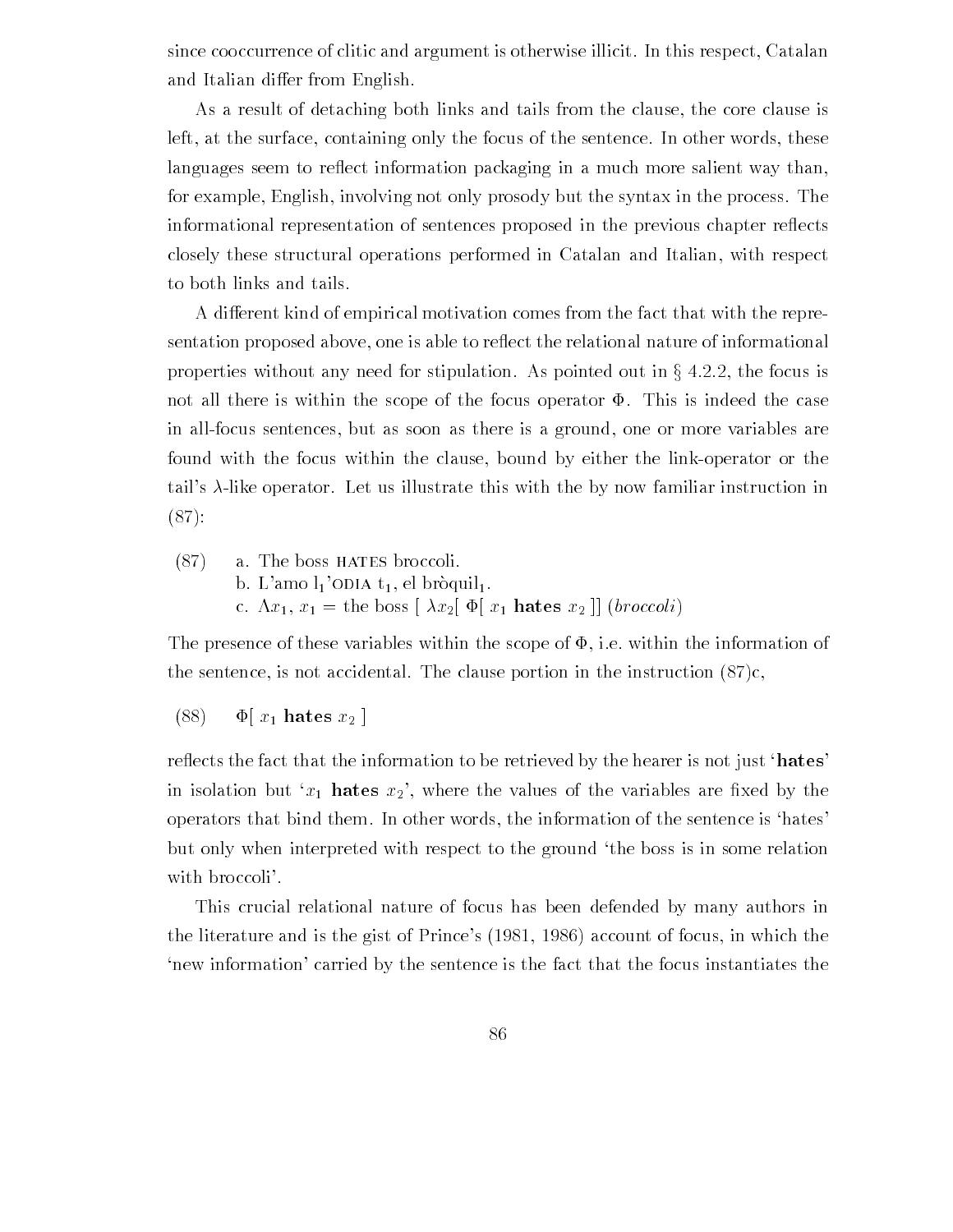since cooccurrence of clitic and argument is otherwise illicit. In this respect, Catalan and Italian differ from English.

As a result of detaching both links and tails from the clause, the core clause is left, at the surface, containing only the focus of the sentence. In other words, these languages seem to reflect information packaging in a much more salient way than, for example, English, involving not only prosody but the syntax in the process. The informational representation of sentences proposed in the previous chapter reflects closely these structural operations performed in Catalan and Italian with respect to both links and tails

A different kind of empirical motivation comes from the fact that with the representation proposed above, one is able to reflect the relational nature of informational properties without any need for stipulation. As pointed out in  $\S 4.2.2$ , the focus is not all there is within the scope of the focus operator  $\Phi$ . This is indeed the case in all-focus sentences, but as soon as there is a ground, one or more variables are found with the focus within the clause, bound by either the link-operator or the tail's  $\lambda$ -like operator. Let us illustrate this with the by now familiar instruction in  $(87):$ 

 $(87)$  a. The boss HATES broccoli. b. L'amo  $l_1$ 'ODIA  $t_1$ , el bròquil<sub>1</sub>. c.  $\Lambda x_1, x_1 =$  the boss  $\left[ \lambda x_2 \right] \Phi[x_1]$  hates  $x_2$   $\left[ \right]$  (*broccoli*)

The presence of these variables within the scope of  $\Phi$ , i.e. within the information of the sentence, is not accidental. The clause portion in the instruction  $(87)c$ ,

 $(88)$   $\Phi[x_1]$  hates  $x_2$  |

reflects the fact that the information to be retrieved by the hearer is not just 'hates' in is the value of the values of the values of the values of the values of the values are - the values of the v operators that bind them. In other words, the information of the sentence is 'hates' but only when interpreted with respect to the ground 'the boss is in some relation with broccoli'.

This crucial relational nature of focus has been defended by many authors in the literature and is the gist of Prince's  $(1981, 1986)$  account of focus, in which the new information' carried by the sentence is the fact that the focus instantiates the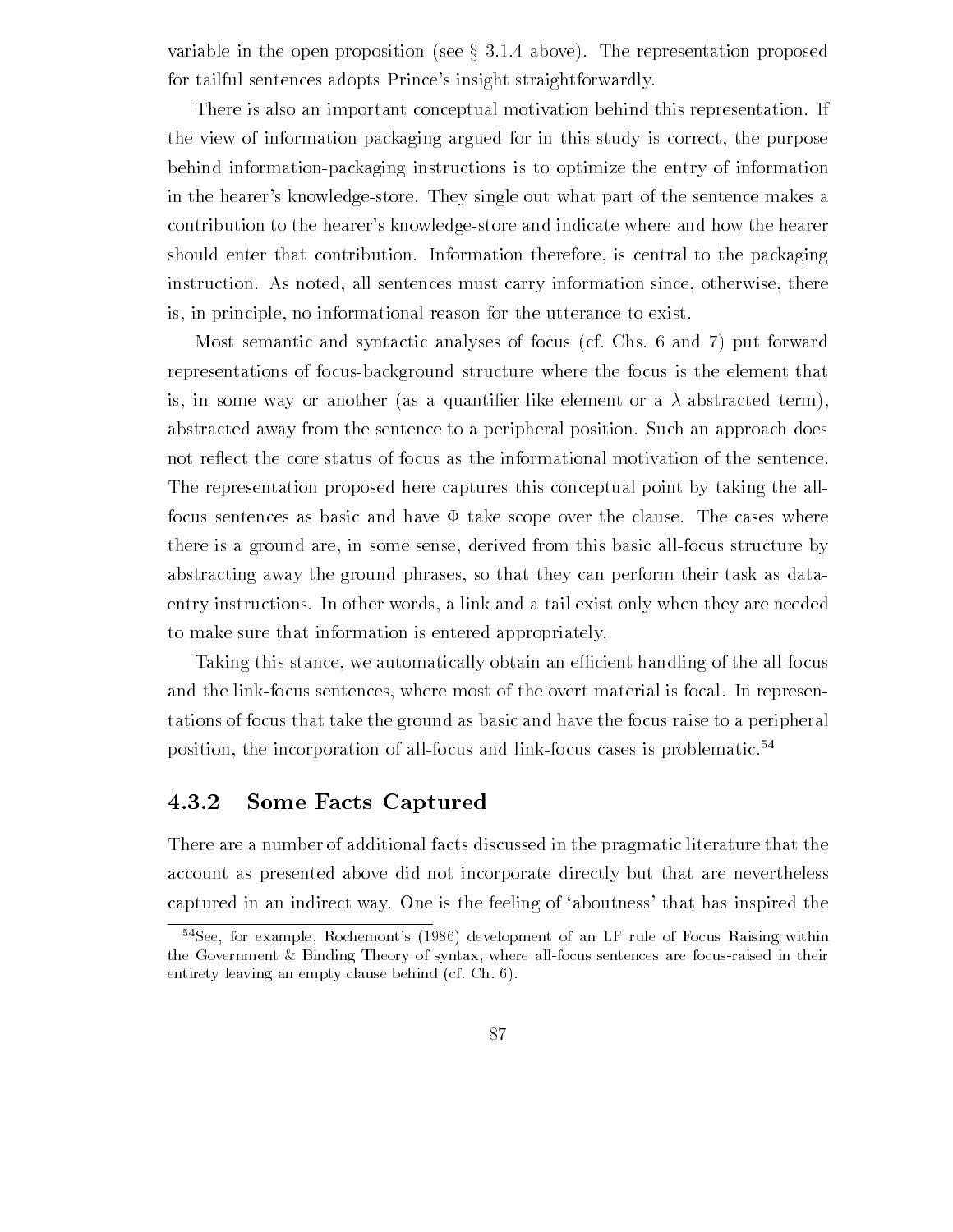variable in the open-proposition (see  $\S 3.1.4$  above). The representation proposed for tailful sentences adopts Prince's insight straightforwardly.

There is also an important conceptual motivation behind this representation If the view of information packaging argued for in this study is correct, the purpose behind information-packaging instructions is to optimize the entry of information in the hearer's knowledge-store. They single out what part of the sentence makes a contribution to the hearer's knowledge-store and indicate where and how the hearer should enter that contribution. Information therefore, is central to the packaging instruction. As noted, all sentences must carry information since, otherwise, there is, in principle, no informational reason for the utterance to exist.

Most semantic and syntactic analyses of focus (cf. Chs.  $6$  and  $7$ ) put forward representations of focusbackground structure where the focus is the element that is in some way or another as a quanti-erlike element or a abstracted term abstracted away from the sentence to a peripheral position. Such an approach does not reflect the core status of focus as the informational motivation of the sentence. The representation proposed here captures this conceptual point by taking the all focus sentences as basic and have  $\Phi$  take scope over the clause. The cases where there is a ground are, in some sense, derived from this basic all-focus structure by abstracting away the ground phrases so that they can perform their task as data entry instructions In other words a link and a tail exist only when they are needed to make sure that information is entered appropriately

Taking this stance, we automatically obtain an efficient handling of the all-focus and the link-focus sentences, where most of the overt material is focal. In representations of focus that take the ground as basic and have the focus raise to a peripheral position, the incorporation of all-focus and link-focus cases is problematic.<sup>54</sup>

#### $4.3.2$ Some Facts Captured

There are a number of additional facts discussed in the pragmatic literature that the account as presented above did not incorporate directly but that are nevertheless captured in an indirect way. One is the feeling of 'aboutness' that has inspired the

 $\lceil$  see, for example, Kochemont-s (1980) development of an LF rule of Focus Raising within  $\lceil$ the Government  $\&$  Binding Theory of syntax, where all-focus sentences are focus-raised in their entirety leaving an empty clause behind (cf. Ch.  $6$ ).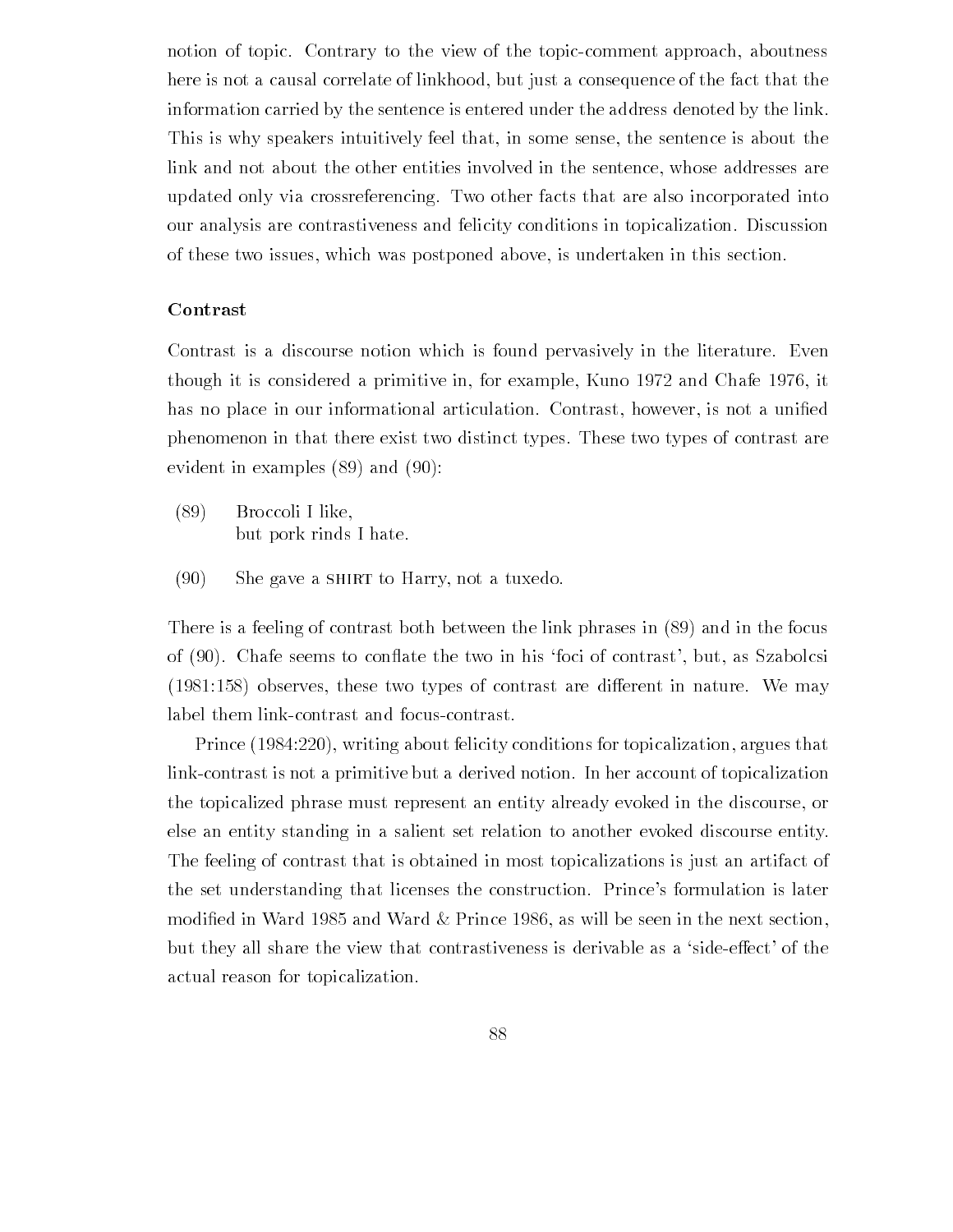notion of topic. Contrary to the view of the topic-comment approach, aboutness here is not a causal correlate of linkhood, but just a consequence of the fact that the information carried by the sentence is entered under the address denoted by the link This is why speakers intuitively feel that, in some sense, the sentence is about the link and not about the other entities involved in the sentence, whose addresses are updated only via crossreferencing. Two other facts that are also incorporated into our analysis are contrastiveness and felicity conditions in topicalization Discussion of these two issues which was postponed above is undertaken in this section

#### Contrast

Contrast is a discourse notion which is found pervasively in the literature. Even though it is considered a primitive in, for example, Kuno 1972 and Chafe 1976, it has no place in our informational articulation Contrast however is not a uni-ed phenomenon in that there exist two distinct types These two types of contrast are evident in examples  $(89)$  and  $(90)$ :

- Broccoli I like but pork rinds I hate
- $(90)$  She gave a SHIRT to Harry, not a tuxedo.

There is a feeling of contrast both between the link phrases in  $(89)$  and in the focus of (90). Chafe seems to conflate the two in his 'foci of contrast', but, as Szabolcsi observes these two types of contrast are dierent in nature We may label them link-contrast and focus-contrast.

Prince (1984:220), writing about felicity conditions for topicalization, argues that link-contrast is not a primitive but a derived notion. In her account of topicalization the topicalized phrase must represent an entity already evoked in the discourse or else an entity standing in a salient set relation to another evoked discourse entity The feeling of contrast that is obtained in most topicalizations is just an artifact of the set understanding that licenses the construction. Prince's formulation is later modi-ed in Ward Prince  $\|$ but they all share the view that contrastiveness is derivable as a 'side-effect' of the actual reason for topicalization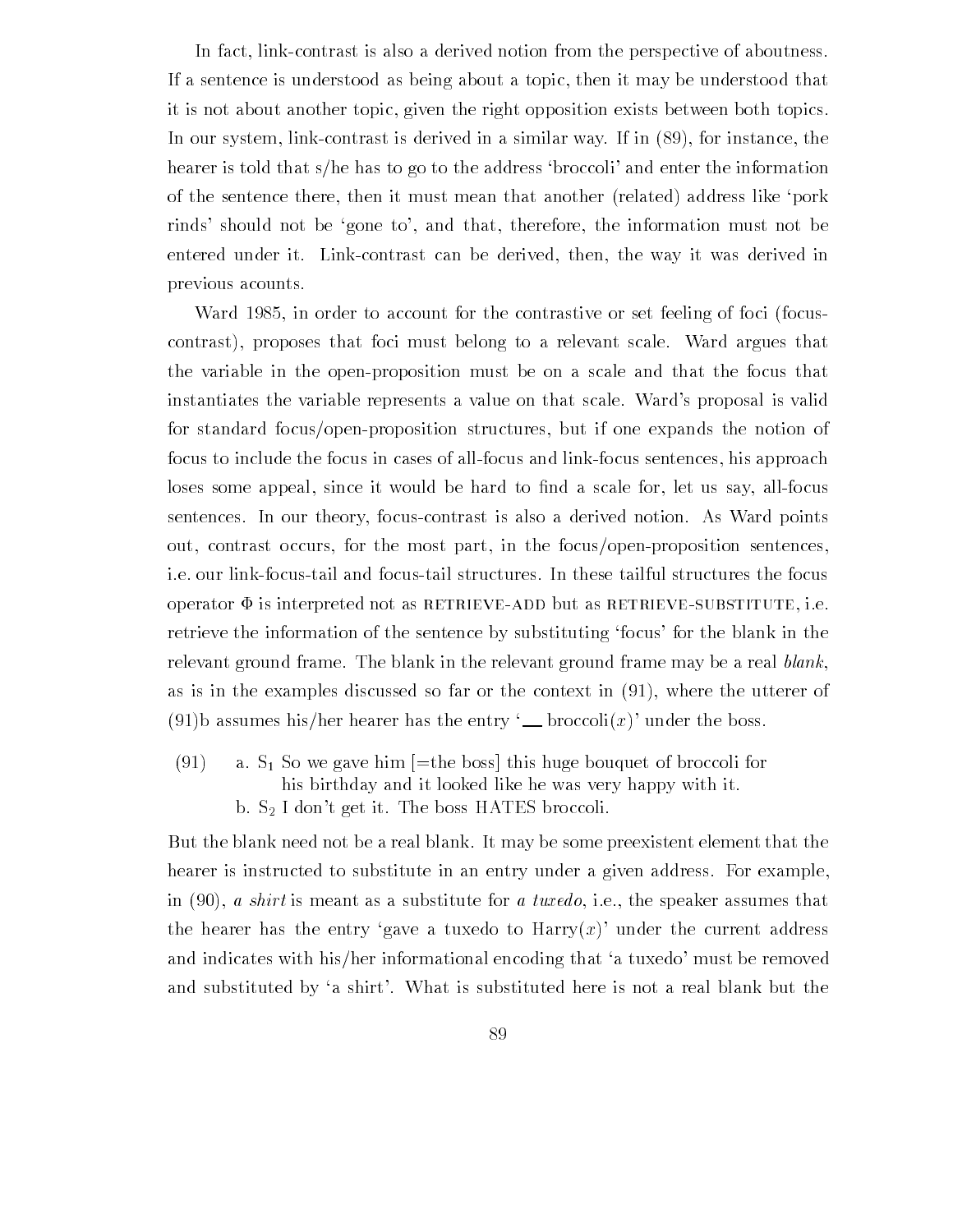In fact, link-contrast is also a derived notion from the perspective of aboutness. If a sentence is understood as being about a topic then it may be understood that it is not about another topic given the right opposition exists between both topics In our system, link-contrast is derived in a similar way. If in  $(89)$ , for instance, the hearer is told that s/he has to go to the address 'broccoli' and enter the information of the sentence there, then it must mean that another (related) address like 'pork rinds' should not be 'gone to', and that, therefore, the information must not be entered under it. Link-contrast can be derived, then, the way it was derived in previous acounts

ward ward in order to distribute the contrastive or set for the focus for the contrast  $\mathcal{L}_{\mathcal{A}}$ contrast), proposes that foci must belong to a relevant scale. Ward argues that the variable in the openproposition must be on a scale and that the focus that instantiates the variable represents a value on that scale. Ward's proposal is valid for standard focus/open-proposition structures, but if one expands the notion of focus to include the focus in cases of all-focus and link-focus sentences, his approach loses some appeal since it would be hard to -nd a scale for let us say allfocus sentences In our theory focuscontrast is also a derived notion As Ward points out, contrast occurs, for the most part, in the focus/open-proposition sentences, ie our linkfocustail and focustail structures In these tailful structures the focus operator  $\Phi$  is interpreted not as RETRIEVE-ADD but as RETRIEVE-SUBSTITUTE, i.e. retrieve the information of the sentence by substituting 'focus' for the blank in the relevant ground frame. The blank in the relevant ground frame may be a real blank, as is in the examples discussed so far or the context in  $(91)$ , where the utterer of (91)b assumes his/her hearer has the entry '\_\_ broccoli $(x)$ ' under the boss.

(91) a.  $S_1$  So we gave him  $[$ =the boss] this huge bouquet of broccoli for his birthday and it looked like he was very happy with it b.  $S_2$  I don't get it. The boss HATES broccoli.

But the blank need not be a real blank It may be some preexistent element that the hearer is instructed to substitute in an entry under a given address. For example, in  $(90)$ , a shirt is meant as a substitute for a tuxedo, i.e., the speaker assumes that the hearer has the entry 'gave a tuxedo to  $\text{Harry}(x)$ ' under the current address and indicates with his/her informational encoding that 'a tuxedo' must be removed and substituted by 'a shirt'. What is substituted here is not a real blank but the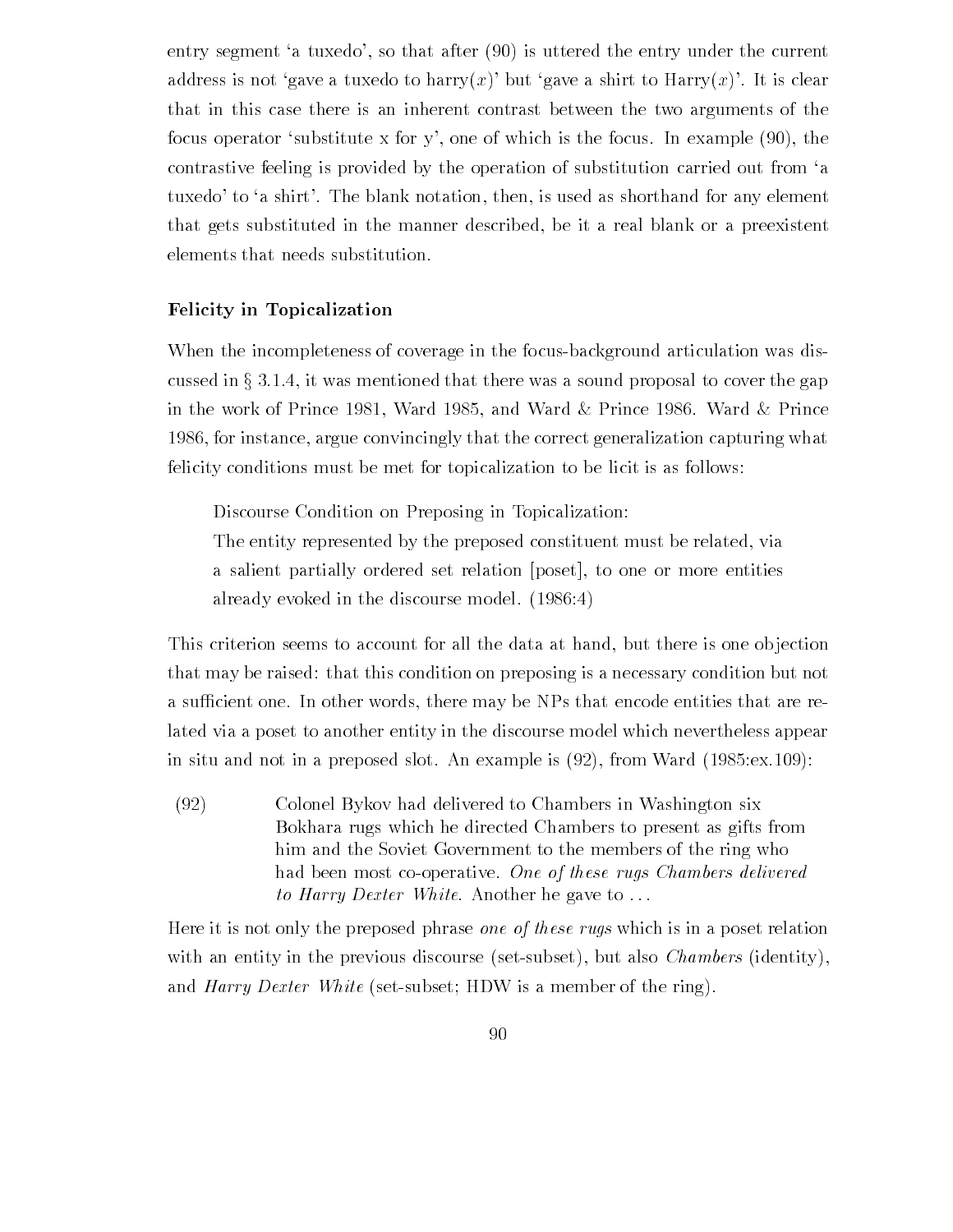entry segment 'a tuxedo', so that after  $(90)$  is uttered the entry under the current address is not 'gave a tuxedo to harry $(x)$ ' but 'gave a shirt to Harry $(x)$ '. It is clear that in this case there is an inherent contrast between the two arguments of the focus operator 'substitute x for y', one of which is the focus. In example  $(90)$ , the contrastive feeling is provided by the operation of substitution carried out from 'a tuxedo' to 'a shirt'. The blank notation, then, is used as shorthand for any element that gets substituted in the manner described, be it a real blank or a preexistent elements that needs substitution

#### Felicity in Topicalization

When the incompleteness of coverage in the focus-background articulation was discussed in  $\S 3.1.4$ , it was mentioned that there was a sound proposal to cover the gap in the work of Prince  $\mathbb{I}$  and Ward  $\mathbb{I}$  and Ward  $\mathbb{I}$  and Ward  $\mathbb{I}$  and Ward  $\mathbb{I}$ 1986, for instance, argue convincingly that the correct generalization capturing what felicity conditions must be met for topicalization to be licit is as follows

Discourse Condition on Preposing in Topicalization

The entity represented by the preposed constituent must be related, via a salient partially ordered set relation (poset), to one or more entities already evoked in the discourse model.  $(1986.4)$ 

This criterion seems to account for all the data at hand, but there is one objection that may be raised: that this condition on preposing is a necessary condition but not a sufficient one. In other words, there may be NPs that encode entities that are related via a poset to another entity in the discourse model which nevertheless appear in situ and not in a preposed slot Andrew Marshall  $\Lambda$ 

 Colonel Bykov had delivered to Chambers in Washington six Bokhara rugs which he directed Chambers to present as gifts from him and the Soviet Government to the members of the ring who had been most co-operative. One of these rugs Chambers delivered to Harry Dexter White. Another he gave to ...

Here it is not only the preposed phrase *one of these rugs* which is in a poset relation with an entity in the previous discourse (set-subset), but also *Chambers* (identity), and *Harry Dexter White* (set-subset; HDW is a member of the ring).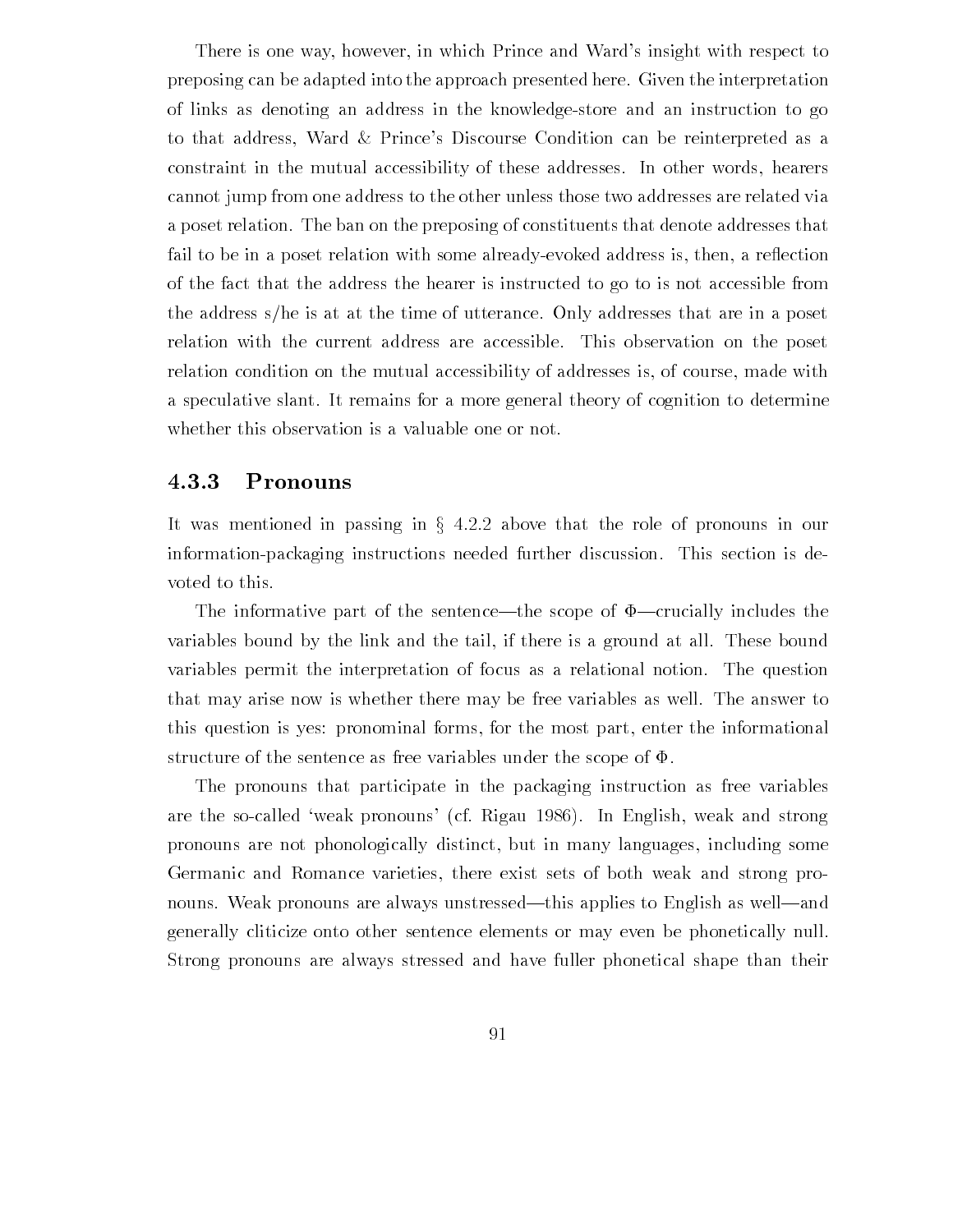There is one way, however, in which Prince and Ward's insight with respect to preposing can be adapted into the approach presented here Given the interpretation of links as denoting an address in the knowledgestore and an instruction to go to that address, Ward & Prince's Discourse Condition can be reinterpreted as a constraint in the mutual accessibility of these addresses. In other words, hearers cannot jump from one address to the other unless those two addresses are related via a poset relation. The ban on the preposing of constituents that denote addresses that fail to be in a poset relation with some already-evoked address is, then, a reflection of the fact that the address the hearer is instructed to go to is not accessible from the address s/he is at at the time of utterance. Only addresses that are in a poset relation with the current address are accessible This observation on the poset relation condition on the mutual accessibility of addresses is, of course, made with a speculative slant. It remains for a more general theory of cognition to determine whether this observation is a valuable one or not

### Pronouns

It was mentioned in passing in  $\S 4.2.2$  above that the role of pronouns in our information-packaging instructions needed further discussion. This section is devoted to this

The informative part of the sentence—the scope of  $\Phi$ —crucially includes the variables bound by the link and the tail, if there is a ground at all. These bound variables permit the interpretation of focus as a relational notion The question that may arise now is whether there may be free variables as well The answer to this question is yes: pronominal forms, for the most part, enter the informational structure of the sentence as free variables under the scope of  $\Phi$ .

The pronouns that participate in the packaging instruction as free variables are the so-called 'weak pronouns' (cf. Rigau 1986). In English, weak and strong pronouns are not phonologically distinct but in many languages including some Germanic and Romance varieties there exist sets of both weak and strong pro nouns. Weak pronouns are always unstressed—this applies to English as well—and generally cliticize onto other sentence elements or may even be phonetically null Strong pronouns are always stressed and have fuller phonetical shape than their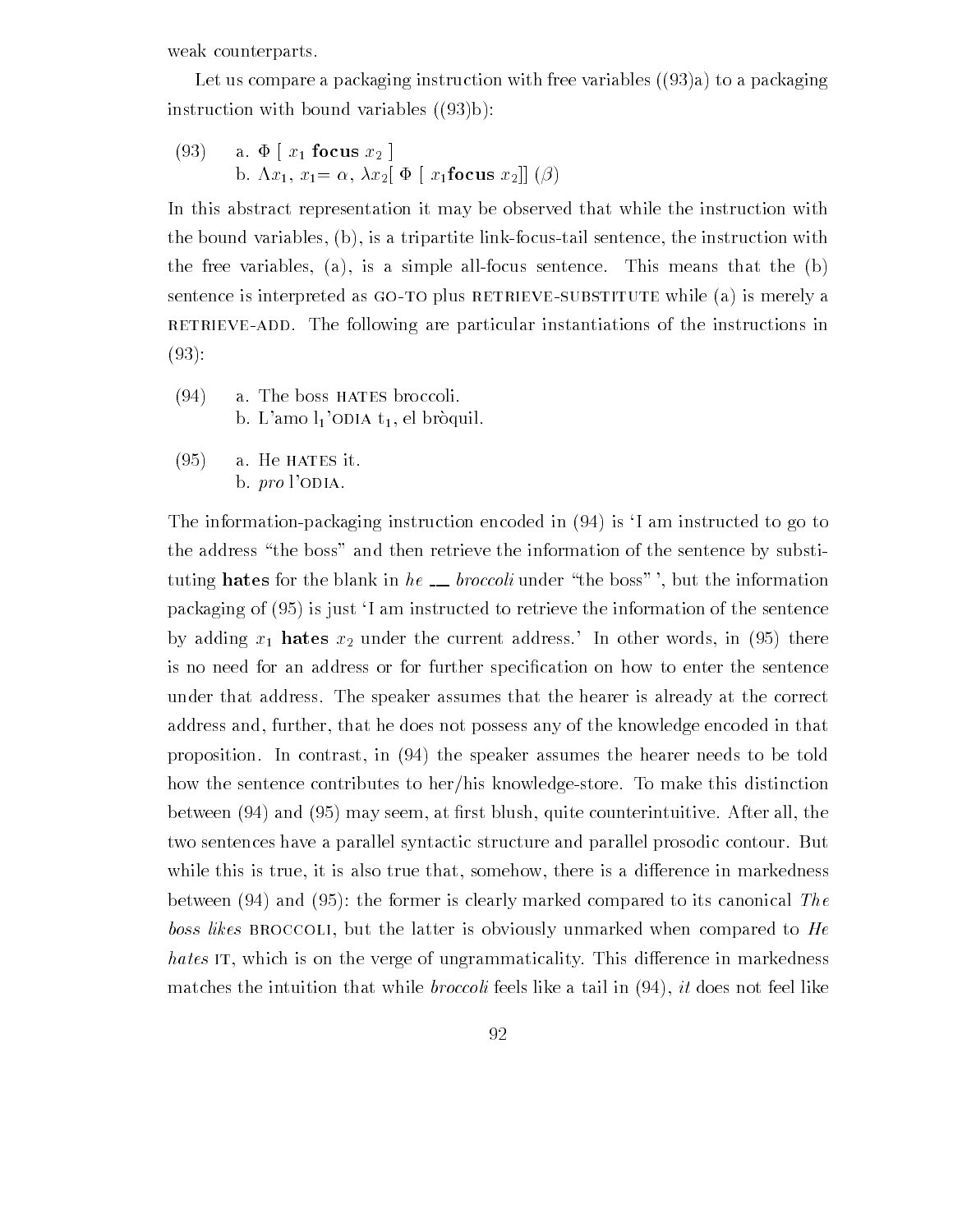weak counterparts

Let us compare a packaging instruction with free variables  $(93)a$  to a packaging instruction with bound variables  $((93)b)$ :

(93) a. 
$$
\Phi
$$
 [ $x_1$  focus  $x_2$ ]  
b.  $\Lambda x_1$ ,  $x_1 = \alpha$ ,  $\lambda x_2$  [ $\Phi$  [ $x_1$ focus  $x_2$ ][( $\beta$ )

In this abstract representation it may be observed that while the instruction with the bound variables,  $(b)$ , is a tripartite link-focus-tail sentence, the instruction with the free variables, (a), is a simple all-focus sentence. This means that the  $(b)$ sentence is interpreted as GO-TO plus RETRIEVE-SUBSTITUTE while (a) is merely a RETRIEVE-ADD. The following are particular instantiations of the instructions in  $(93):$ 

- $(94)$  a. The boss HATES broccoli. b. L'amo  $l_1$ 'ODIA  $t_1$ , el bròquil.
- $(95)$ a. He HATES it. b.  $pro$  l'ODIA.

The information-packaging instruction encoded in  $(94)$  is 'I am instructed to go to the address "the boss" and then retrieve the information of the sentence by substituting hates for the blank in he  $\ldots$  broccoli under "the boss", but the information  $p$  and is just instructed to retrieve the instructed to retrieve the information of the sentence the sentence the sentence the sentence the sentence the sentence of the sentence the sentence of the sentence of the senten  $\alpha$  , adding  $\alpha$  has a under the current address in  $\alpha$  and  $\alpha$  in  $\alpha$  and  $\alpha$ is no need for an address or for further speci-cation on how to enter the sentence under that address. The speaker assumes that the hearer is already at the correct address and, further, that he does not possess any of the knowledge encoded in that proposition. In contrast, in  $(94)$  the speaker assumes the hearer needs to be told how the sentence contributes to her/his knowledge-store. To make this distinction between to all these first blush arranged all the counterintuitive all the counterints are countered and the c two sentences have a parallel syntactic structure and parallel prosodic contour. But while this is true, it is also true that, somehow, there is a difference in markedness  $\mathbf{b}$  and  $\mathbf{c}$  and  $\mathbf{c}$  and  $\mathbf{c}$  and  $\mathbf{c}$  canonical Theorem is canonical Theorem is canonical Theorem is canonical Theorem is canonical Theorem is canonical Theorem is canonical Theorem is canonical The boss likes BROCCOLI, but the latter is obviously unmarked when compared to  $He$ hates IT, which is on the verge of ungrammaticality. This difference in markedness matches the intuition that while *broccoli* feels like a tail in  $(94)$ , it does not feel like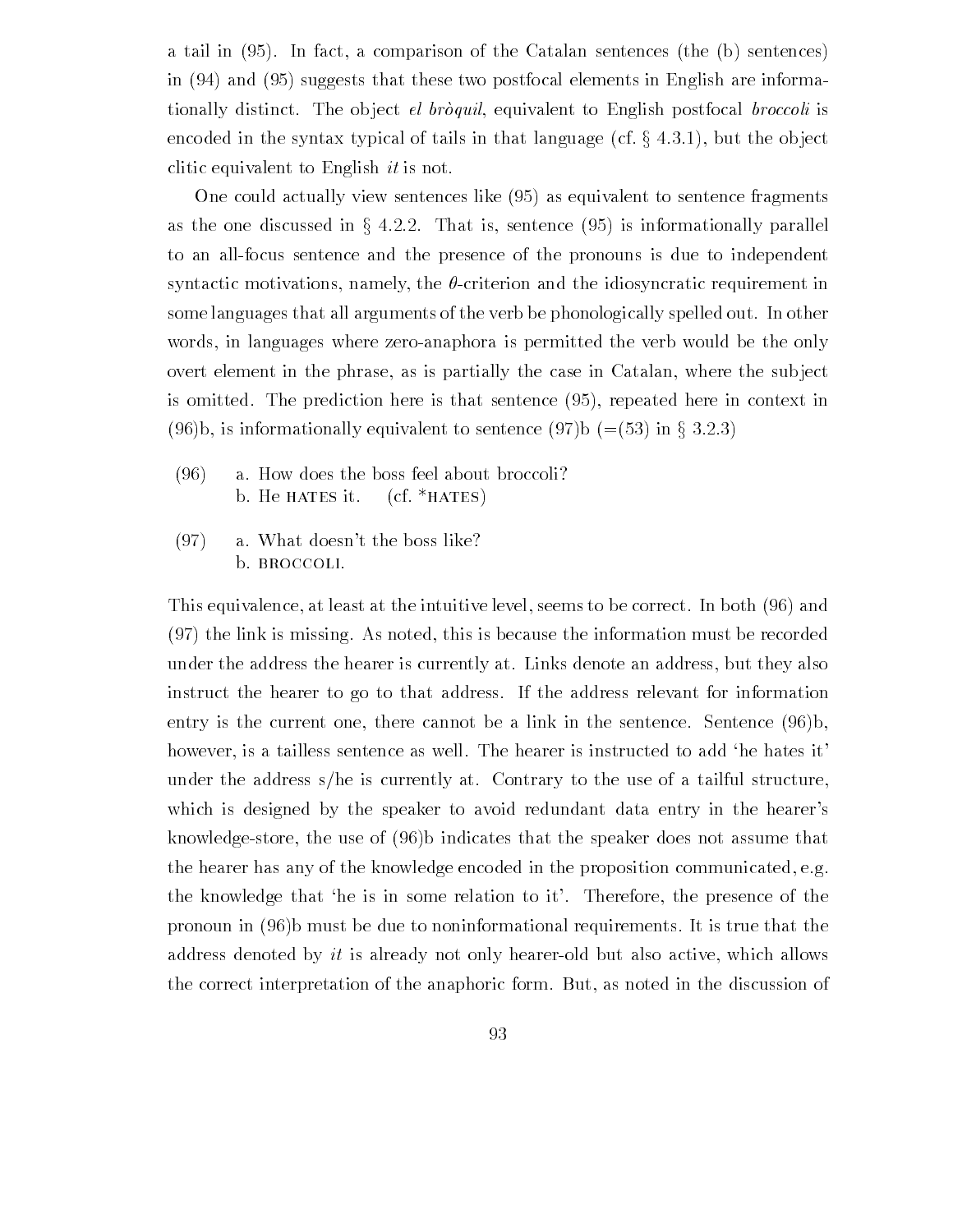a tail in fact a comparison of the Catalan sentences the b sentences the b sentences the b sentences the b sen in and  $i$  and the two postfocal elements in English are information  $i$ tionally distinct. The object  $el$  broquil, equivalent to English postfocal broccoli is encoded in the syntax typical of tails in that language (cf.  $\S$  4.3.1), but the object clitic equivalent to English *it* is not.

One could actually view sentences like as equivalent to sentence fragments as the one discussed in  $\S$  4.2.2. That is, sentence (95) is informationally parallel to an allfocus sentence and the presence of the pronouns is due to independent syntactic motivations, namely, the  $\theta$ -criterion and the idiosyncratic requirement in some languages that all arguments of the verb be phonologically spelled out. In other words, in languages where zero-anaphora is permitted the verb would be the only overt element in the phrase, as is partially the case in Catalan, where the subject is omitted Theorem is that sentence is that sentence is that sentence is that sentence in context in context in context in context in context in context in context in context in context in context in context in context in (96)b, is informationally equivalent to sentence (97)b (=(53) in § 3.2.3)

- $(96)$ a. How does the boss feel about broccoli? b. He HATES it.  $(cf. * HATES)$
- $(97)$  a. What doesn't the boss like? b. BROCCOLI.

This equivalence, at least at the intuitive level, seems to be correct. In both (96) and  $(97)$  the link is missing. As noted, this is because the information must be recorded under the address the hearer is currently at. Links denote an address, but they also instruct the hearer to go to that address. If the address relevant for information entry is the current one, there cannot be a link in the sentence. Sentence  $(96)$ b, however, is a tailless sentence as well. The hearer is instructed to add 'he hates it' under the address s/he is currently at. Contrary to the use of a tailful structure, which is designed by the speaker to avoid redundant data entry in the hearer's knowledge-store, the use of  $(96)$  indicates that the speaker does not assume that the hearer has any of the knowledge encoded in the proposition communicated, e.g. the knowledge that 'he is in some relation to it'. Therefore, the presence of the pronoun in  $(96)$ b must be due to noninformational requirements. It is true that the address denoted by  $it$  is already not only hearer-old but also active, which allows the correct interpretation of the anaphoric form. But, as noted in the discussion of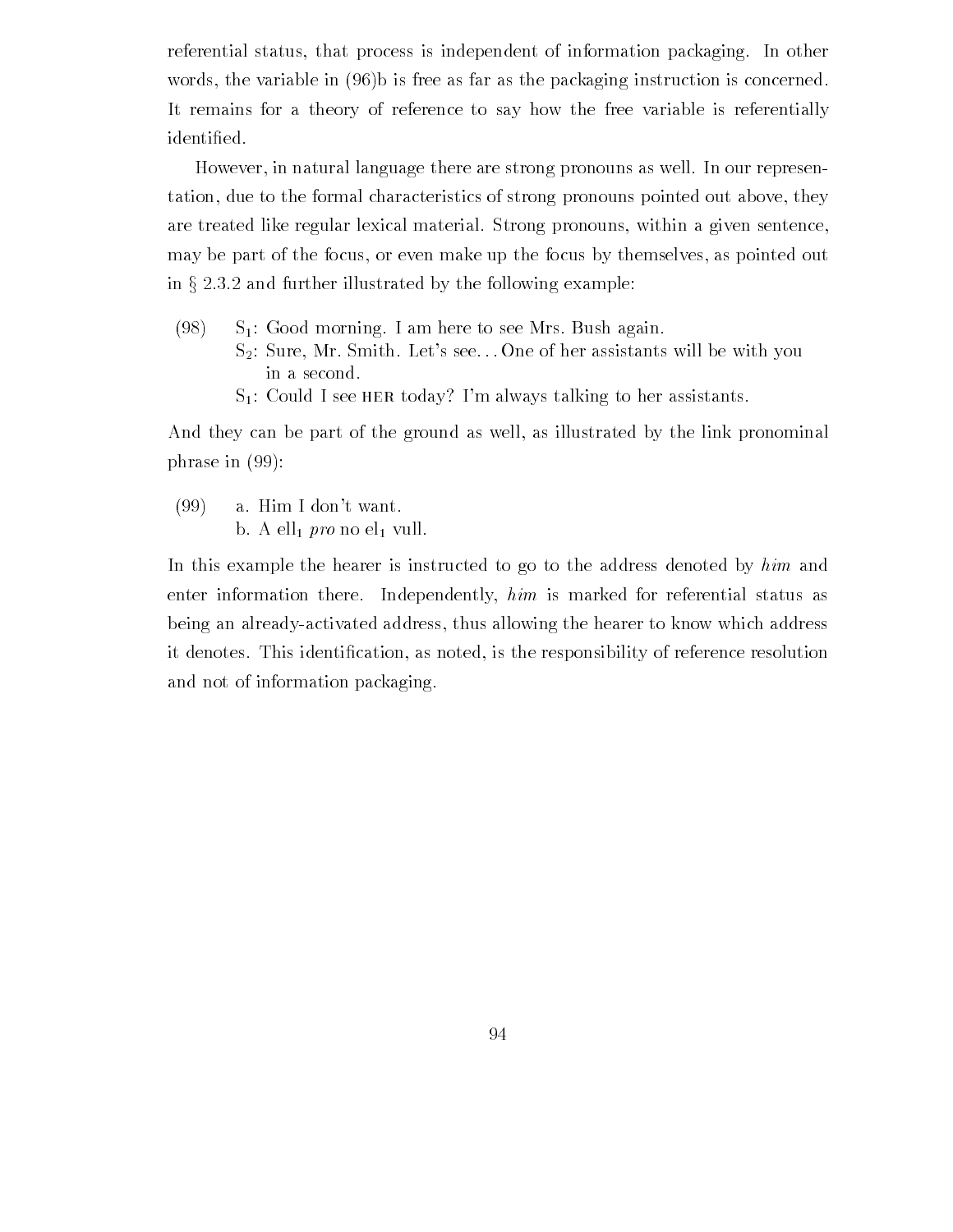referential status, that process is independent of information packaging. In other words, the variable in  $(96)$  is free as far as the packaging instruction is concerned. It remains for a theory of reference to say how the free variable is referentially

However, in natural language there are strong pronouns as well. In our representation, due to the formal characteristics of strong pronouns pointed out above, they are treated like regular lexical material. Strong pronouns, within a given sentence, may be part of the focus or even make up the focus by themselves as pointed out in  $\S 2.3.2$  and further illustrated by the following example:

- $(98)$  $S_1$ : Good morning. I am here to see Mrs. Bush again.
	- $S_2$ : Sure, Mr. Smith. Let's see... One of her assistants will be with you in a second
	- $S_1$ : Could I see HER today? I'm always talking to her assistants.

And they can be part of the ground as well, as illustrated by the link pronominal phrase in  $(99)$ :

 $(99)$  a. Him I don't want. b. A ell $_1$  pro no el $_1$  vull.

In this example the hearer is instructed to go to the address denoted by him and enter information there. Independently, him is marked for referential status as being an already-activated address, thus allowing the hearer to know which address it denotes This identi-cation as noted is the responsibility of reference resolution and not of information packaging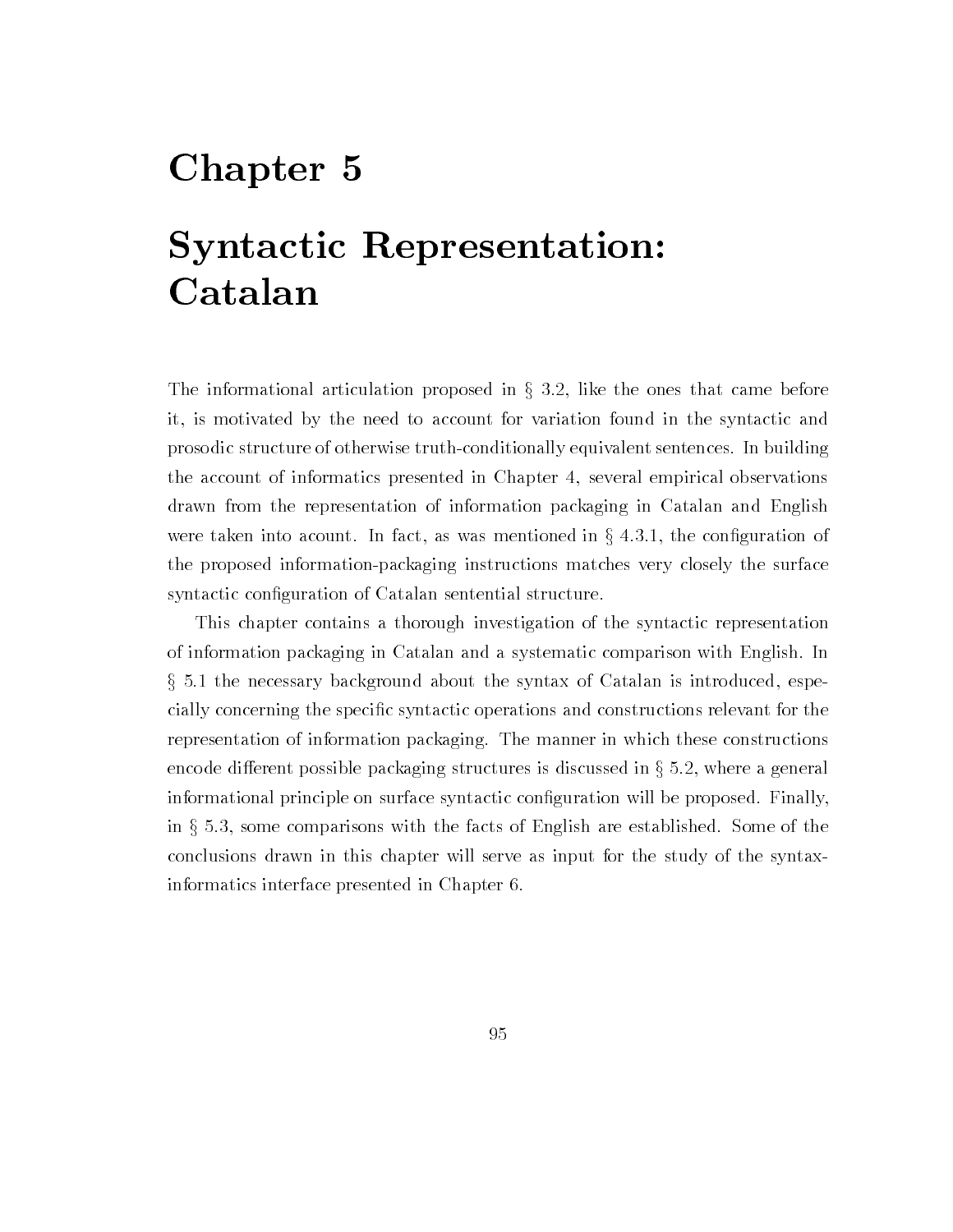## Chapter 5

## Syntactic Representation Catalan

The informational articulation proposed in  $\S$  3.2, like the ones that came before it is motivated by the need to account for variation found in the syntactic and prosodic structure of otherwise truth-conditionally equivalent sentences. In building the account of informatics presented in Chapter 4, several empirical observations drawn from the representation of information packaging in Catalan and English were taken into acount. In fact, as was mentioned in  $\S 4.3.1$ , the configuration of the proposed information-packaging instructions matches very closely the surface symmetric con- and contractic constructure structure structure structure structure structure structure structur

This chapter contains a thorough investigation of the syntactic representation of information packaging in Catalan and a systematic comparison with English In the necessary background about the syntax of Catalan is introduced espe cially concerning the specific specific operations and constructions relevant for the constructions relevant f representation of information packaging. The manner in which these constructions encode different possible packaging structures is discussed in  $\S 5.2$ , where a general informational principle on surface syntactic con-guration will be proposed Finally in  $\S 5.3$ , some comparisons with the facts of English are established. Some of the conclusions drawn in this chapter will serve as input for the study of the syntax informatics interface presented in Chapter 6.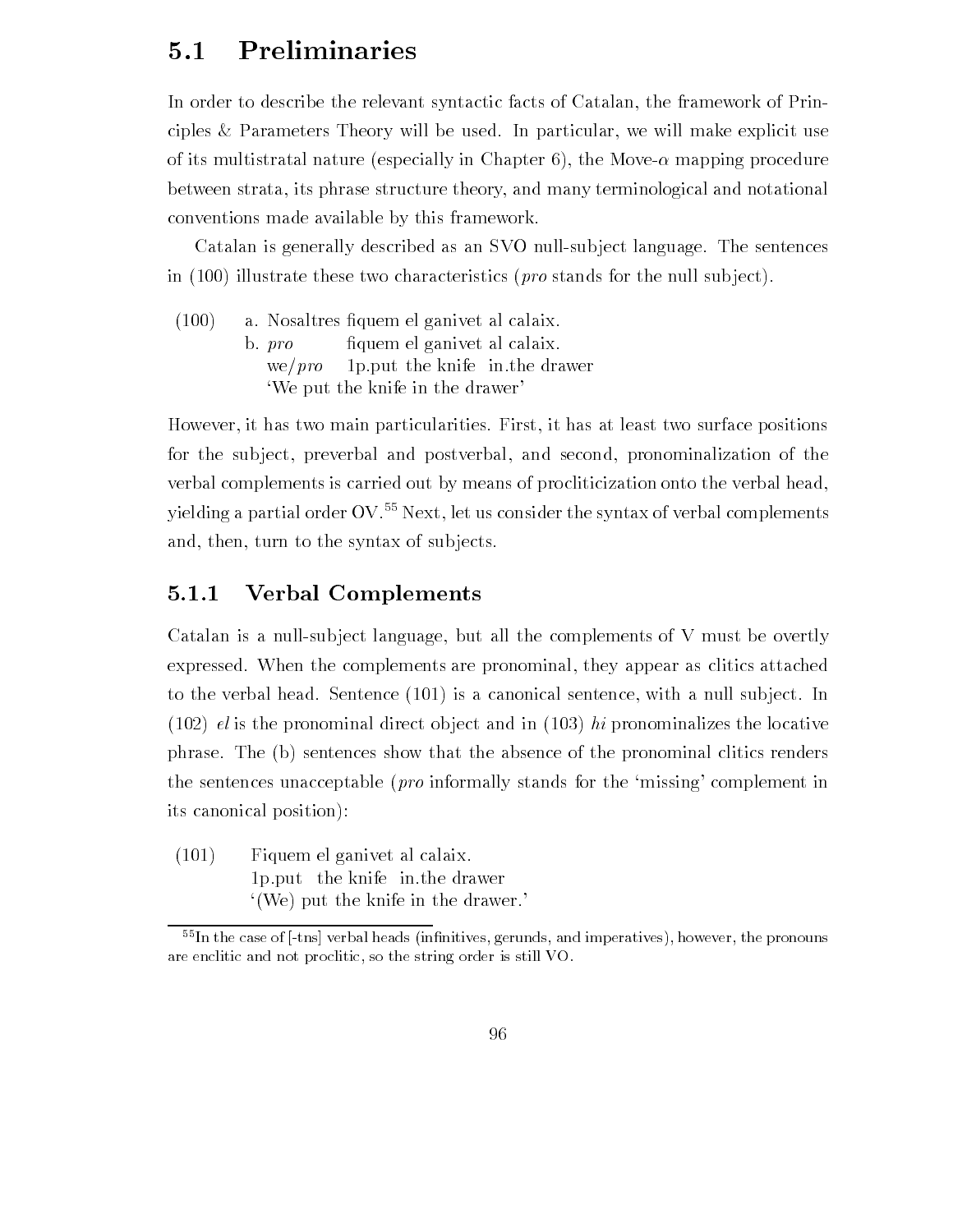#### $5.1$ Preliminaries

In order to describe the relevant syntactic facts of Catalan, the framework of Principles & Parameters Theory will be used. In particular, we will make explicit use of its multistrations multistrate ( ) in Chapter ( ) in Chapter ( ) in Chapter and Movement ( ) in Chapter ( ) between strata its phrase structure theory and many terminological and notational conventions made available by this framework

Catalan is generally described as an SVO null-subject language. The sentences in  $(100)$  illustrate these two characteristics (*pro* stands for the null subject).

 $(100)$  a Nosaltres -quem el ganivet al calaix  $b. pro$ fiquem el ganivet al calaix. we/ $pro$  1p. put the knife in the drawer We put the knife in the drawer

However, it has two main particularities. First, it has at least two surface positions for the subject, preverbal and postverbal, and second, pronominalization of the verbal complements is carried out by means of procliticization onto the verbal head yielding a partial order  $\text{OV}$ <sup>55</sup> Next, let us consider the syntax of verbal complements and, then, turn to the syntax of subjects.

#### $5.1.1$ Verbal Complements

Catalan is a null-subject language, but all the complements of V must be overtly expressed. When the complements are pronominal, they appear as clitics attached to the verbal head. Sentence  $(101)$  is a canonical sentence, with a null subject. In (102) el is the pronominal direct object and in  $(103)$  hi pronominalizes the locative phrase. The (b) sentences show that the absence of the pronominal clitics renders the sentences unacceptable (*pro* informally stands for the 'missing' complement in its canonical position

 Fiquem el ganivet al calaix 1p. put the knife in the drawer  $(We)$  put the knife in the drawer.

 ${}^{55}$ In the case of [-tns] verbal heads (infinitives, gerunds, and imperatives), however, the pronouns are enclitic and not proclitic, so the string order is still VO.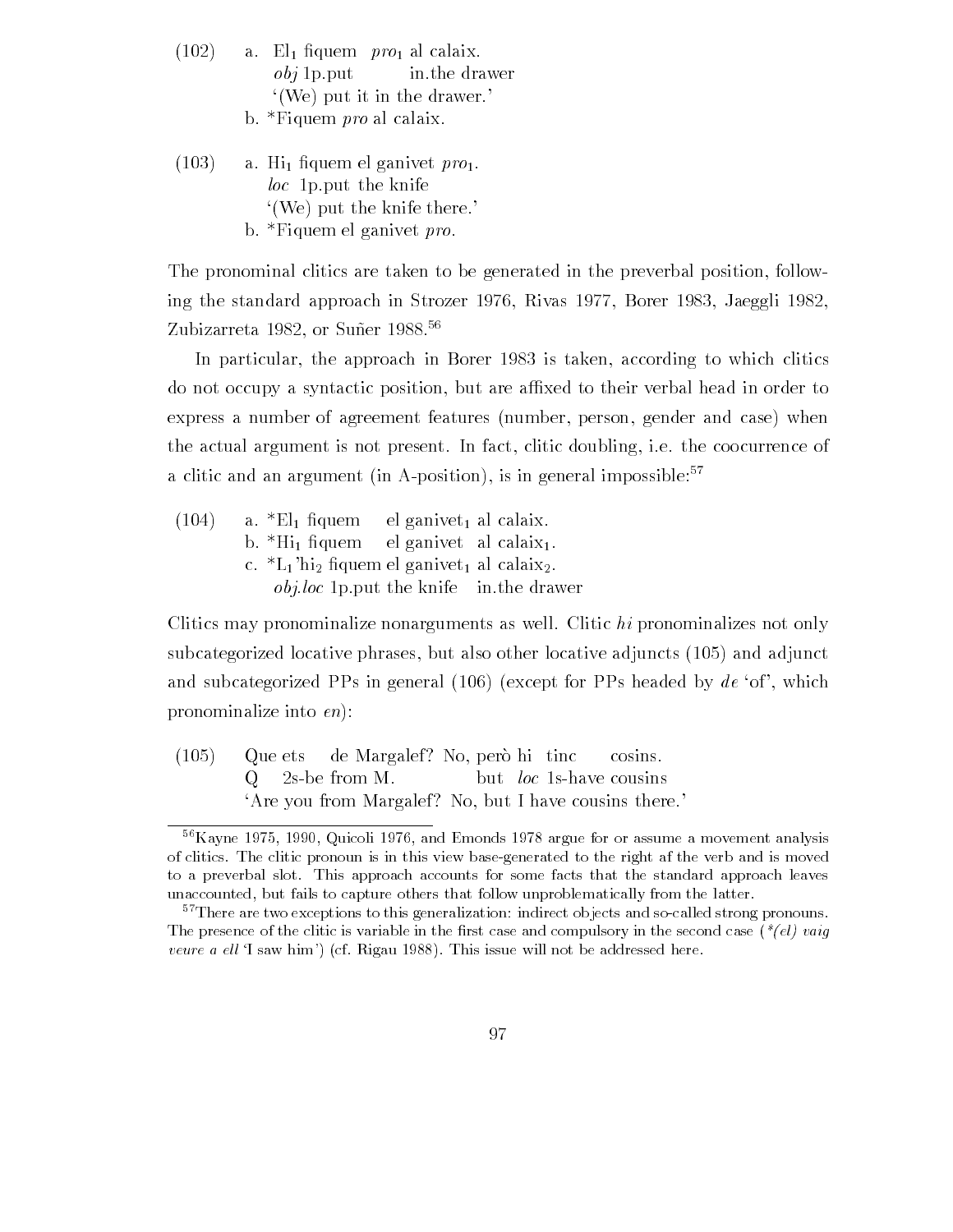|       | $(102)$ a. El <sub>1</sub> fiquem <i>pro</i> <sub>1</sub> al calaix. |
|-------|----------------------------------------------------------------------|
|       | $obj 1p.put$ in the drawer                                           |
|       | $^{\circ}$ (We) put it in the drawer.                                |
|       | b. *Fiquem $pro$ al calaix.                                          |
|       |                                                                      |
| (103) | a. H <sub>11</sub> fiquem el ganivet $pro_1$ .                       |
|       | <i>loc</i> 1p.put the knife                                          |
|       | $'(We)$ put the knife there.'                                        |
|       | b. *Fiquem el ganivet $pro.$                                         |

The pronominal clitics are taken to be generated in the preverbal position, following the standard approach in Strozer 1976, Rivas  $1977$ , Borer 1983, Jaeggli 1982, Zubizarreta 1982, or Suñer 1988.<sup>56</sup>

In particular, the approach in Borer 1983 is taken, according to which clitics do not occupy a syntactic position, but are affixed to their verbal head in order to express a number of agreement features (number, person, gender and case) when the actual argument is not present. In fact, clitic doubling, i.e. the coocurrence of a clitic and an argument (in A-position), is in general impossible: $57$ 

 $(104)$  a. \*El<sub>1</sub> fiquem el ganivet<sub>1</sub> al calaix. b.  $*$ Hi<sub>1</sub> fiquem el ganivet al calaix $_1$ . c &Lhi -quem el ganivet al calaix  $obj.$  loc 1p. put the knife in the drawer

Clitics may pronominalize nonarguments as well. Clitic hi pronominalizes not only subcategorized is the complete and addressed also other locative adjunctive products and adjunctive and subcategorized PPs in general  $(106)$  (except for PPs headed by de 'of', which pronominalize into  $en$ :

 $\sim$   $(105)$  Que ets de Margalef? No, però hi tinc cosins.  $Q$  2s-be from M. but *loc* 1s-have cousins 'Are you from Margalef? No, but I have cousins there.'

 $\sim$  Kayne 1919, 1990, Quicon 1910, and Emonds 1910 argue for or assume a movement analysis of clitics The clitic pronoun is in this view basegenerated to the right af the verb and is moved to a preverbal slot. This approach accounts for some facts that the standard approach leaves unaccounted, but fails to capture others that follow unproblematically from the latter.

 $57$  There are two exceptions to this generalization: indirect objects and so-called strong pronouns. The presence of the clitic is variable in the rst case and compulsory in the second case -el vaig veure a el l I saw him- cf Rigau This issue will not be addressed here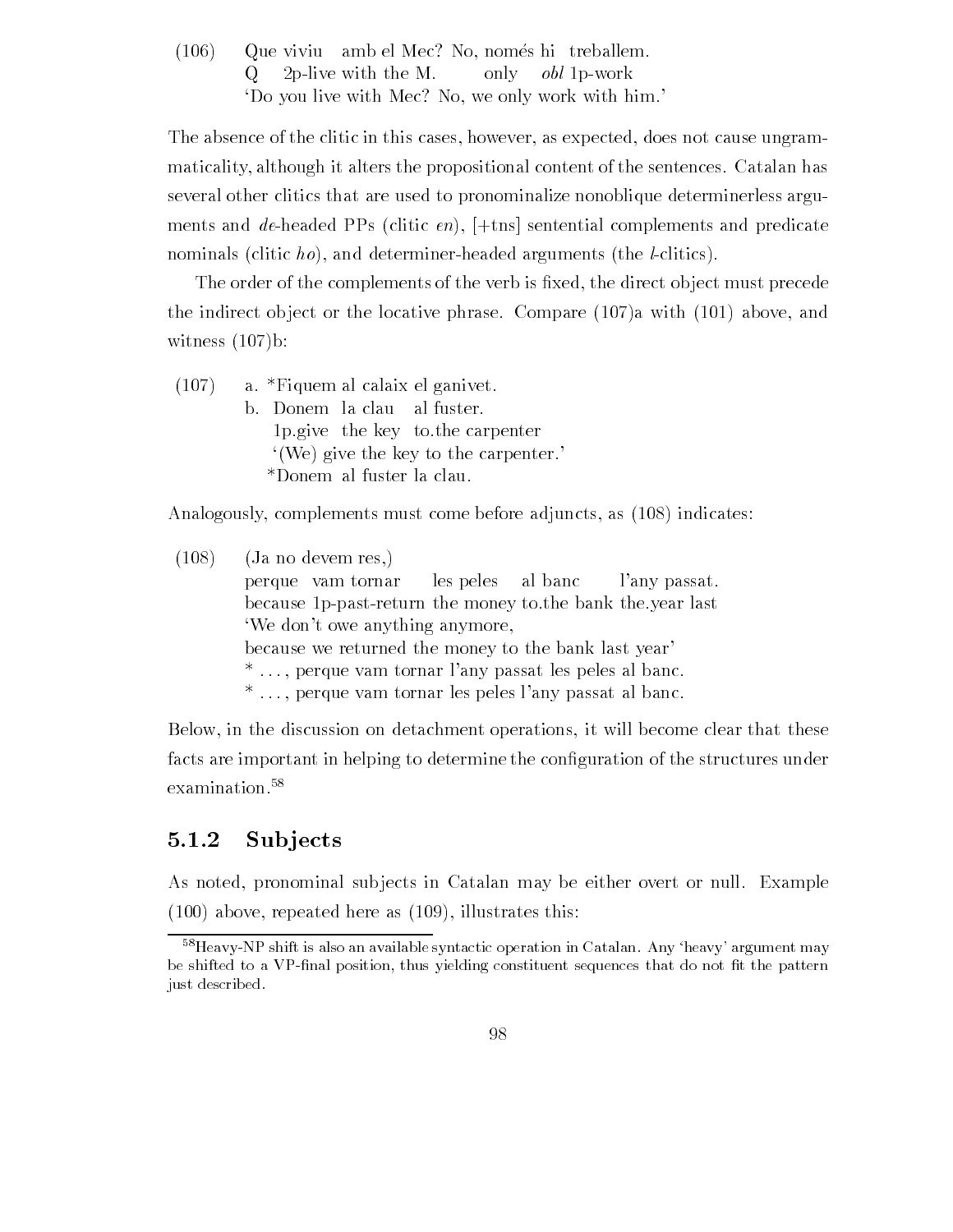$(106)$  Que viviu amb el Mec? No, només hi treballem.  $Q = 2p$ -live with the M. only *obl* 1p-work 'Do you live with Mec? No, we only work with him.'

The absence of the clitic in this cases, however, as expected, does not cause ungrammaticality although it alters the propositional content of the sentences Catalan has several other clitics that are used to pronominalize nonoblique determinerless argu ments and de-headed PPs (clitic  $\epsilon n$ ),  $[+$ tns sentential complements and predicate nominals (clitic ho), and determiner-headed arguments (the *l*-clitics).

The order of the complements of the verb is -xed the direct ob ject must precede the indirect object or the locative phrase. Compare  $(107)a$  with  $(101)$  above, and witness  $(107)$ b:

 $(107)$  a. \*Figuem al calaix el ganivet. b. Donem la clau al fuster. pgive the key tothe carpenter  $'(We)$  give the key to the carpenter.

Analogously, complements must come before adjuncts, as (108) indicates:

 $(108)$  (Ja no devem res.) perque vam tornar les peles al banc l'any passat. because 1 p-past-return the money to the bank the year last 'We don't owe anything anymore, because we returned the money to the bank last year  $*$ ..., perque vam tornar l'any passat les peles al banc.  $*$ ..., perque vam tornar les peles l'any passat al banc.

Below in the discussion on detachment operations it will become clear that these facts are important in helping to determine the con-guration of the structures under examination.<sup>58</sup>

#### 5.1.2 Sub jects

As noted, pronominal subjects in Catalan may be either overt or null. Example  $(100)$  above, repeated here as  $(109)$ , illustrates this:

 $\sim$  Heavy-ivp shift is also an available syntactic operation in Catalan. Any -neavy-argument may  $\sim$ be shifted to a VP-final position, thus yielding constituent sequences that do not fit the pattern just described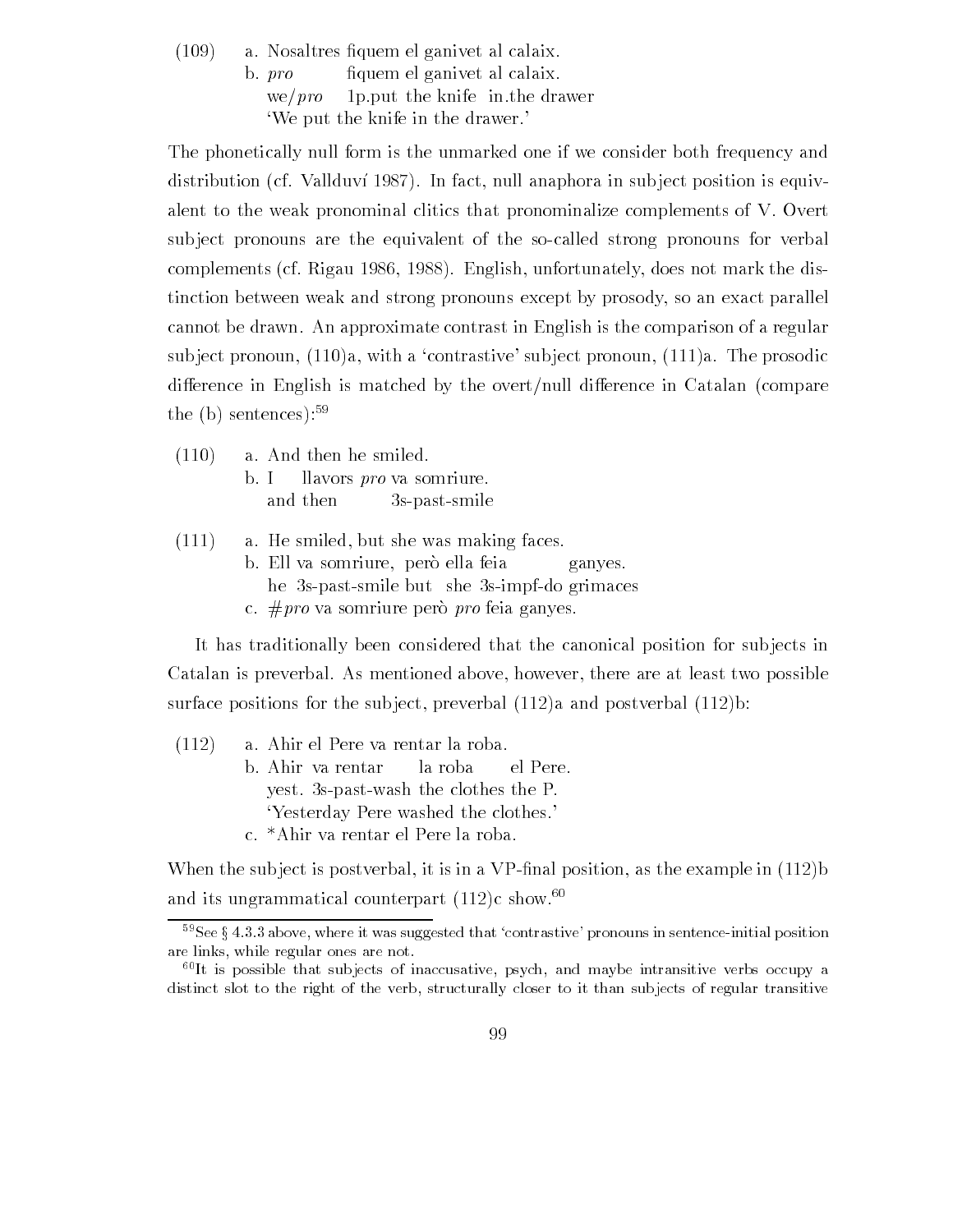a Nosaltres -quem el ganivet al calaix  $b. pro$ fiquem el ganivet al calaix. we/ $pro$  1p. put the knife in the drawer We put the knife in the drawer

The phonetically null form is the unmarked one if we consider both frequency and distribution (cf. Vallduví 1987). In fact, null anaphora in subject position is equivalent to the weak pronominal clitics that pronominalize complements of V. Overt sub ject pronouns are the equivalent of the socalled strong pronouns for verbal complements (cf. Rigau 1986, 1988). English, unfortunately, does not mark the distinction between weak and strong pronouns except by prosody so an exact parallel cannot be drawn An approximate contrast in English is the comparison of a regular subject pronoun,  $(110)a$ , with a 'contrastive' subject pronoun,  $(111)a$ . The prosodic difference in English is matched by the overt/null difference in Catalan (compare the  $(b)$  sentences): $59$ 

- $(110)$  a. And then he smiled. b. I llavors *pro* va somriure. and then 3s-past-smile
- $(111)$  a. He smiled, but she was making faces.
	- b. Ell va somriure, però ella feia ganyes. he 3s-past-smile but she 3s-impf-do grimaces c.  $\# pro$  va somriure però pro feia ganyes.

It has traditionally been considered that the canonical position for subjects in Catalan is preverbal. As mentioned above, however, there are at least two possible surface positions for the subject, preverbal  $(112)a$  and postverbal  $(112)b$ :

 $(112)$  a. Ahir el Pere va rentar la roba. b Ahir va rentar la roba el Pere yest. 3s-past-wash the clothes the  $P$ . Yesterday Pere washed the clothes c. \*Ahir va rentar el Pere la roba.

When the sub ject is postverbal it is in a VP-nal position as the example in b and its ungrammatical counterpart  $(112)c$  show.<sup>60</sup>

 $\degree$  see  $_3$  4.3.3 above, where it was suggested that contrastive-pronouns in sentence-initial position  $\degree$ are links, while regular ones are not.

 ${}^{60}$ It is possible that subjects of inaccusative, psych, and maybe intransitive verbs occupy a distinct slot to the right of the verb, structurally closer to it than subjects of regular transitive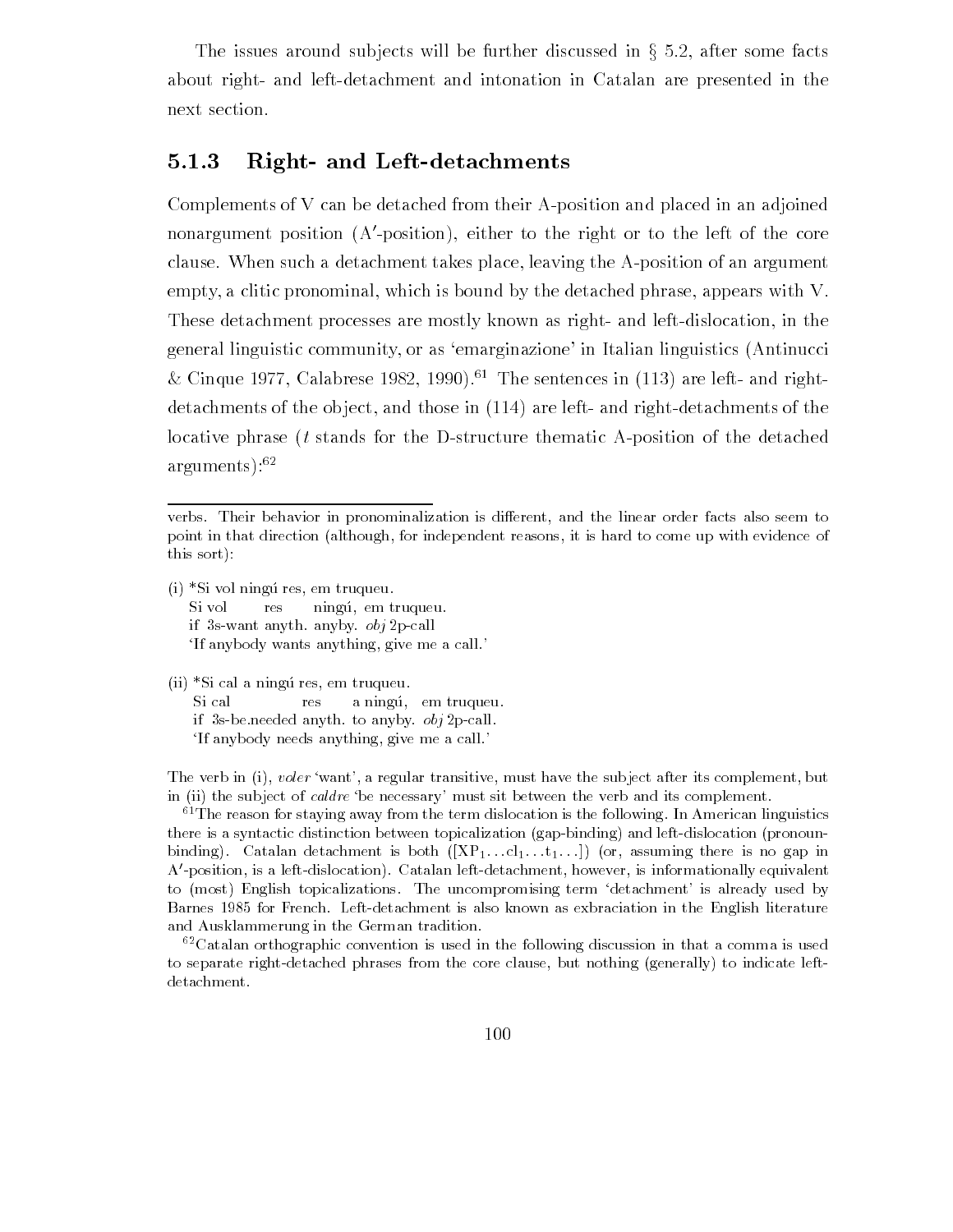The issues around subjects will be further discussed in  $\S$  5.2, after some facts about right- and left-detachment and intonation in Catalan are presented in the next section

#### 5.1.3 Right- and Left-detachments

Complements of V can be detached from their A-position and placed in an adjoined nonargument position A-position either to the right or to the left of the core clause. When such a detachment takes place, leaving the A-position of an argument empty, a clitic pronominal, which is bound by the detached phrase, appears with V. These detachment processes are mostly known as right- and left-dislocation, in the general linguistic community, or as 'emarginazione' in Italian linguistics (Antinucci & Cinque 1977, Calabrese 1982, 1990).<sup>61</sup> The sentences in  $(113)$  are left- and rightdetachments of the object, and those in  $(114)$  are left- and right-detachments of the locative phrase  $(t \times t)$  stands for the D-structure thematic A-position of the detached  $arguments$ ):  $62$ 

 $(i)$  \*Si vol ningú res, em truqueu. Si vol res ningú, em truqueu. if 3s-want anyth. anyby.  $obj 2p-call$ If anybody wants anything, give me a call.

 $(ii)$  \*Si cal a ningú res, em truqueu. Si cal res a ningu, em truqueu. if 3s-beneeded anyth to anyby  $obj 2p-call$ . If anybody needs anything, give me a call.

. The verb in it, we want a regular transitive must have the subject after the subject after  $\alpha$ in ii the subject of caldre be necessary- must sit between the verb and its complement

 ${}^{61}$ The reason for staying away from the term dislocation is the following. In American linguistics there is a syntactic distinction between topicalization  $(gap\text{-}binding)$  and left-dislocation (pronounbinding). Catalan detachment is both  $([XP_1...cl_1...l_1...])$  (or, assuming there is no gap in  $A'$ -position, is a left-dislocation). Catalan left-detachment, however, is informationally equivalent to most English topicalizations The uncompromising term detachment- is already used by Barnes for French Leftdetachment is also known as exbraciation in the English literature and Ausklammerung in the German tradition

 ${}^{62}$ Catalan orthographic convention is used in the following discussion in that a comma is used to separate right-detached phrases from the core clause, but nothing (generally) to indicate leftdetachment

verbs. Their behavior in pronominalization is different, and the linear order facts also seem to point in that direction (although, for independent reasons, it is hard to come up with evidence of this sort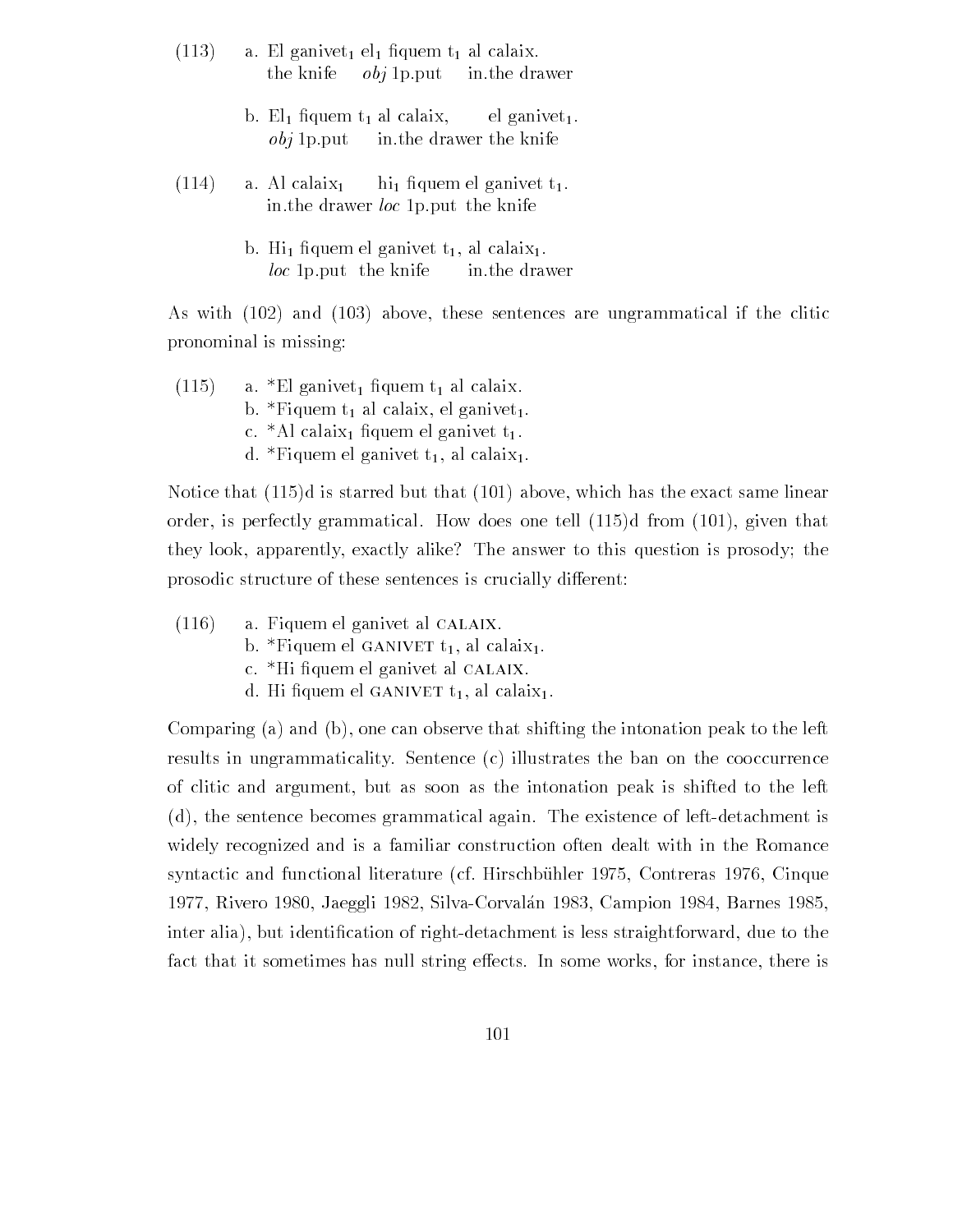- a  $\begin{array}{ccc} \text{a} & \text{b} & \text{c} & \text{c} & \text{d} & \text{c} & \text{c} & \text{c} \end{array}$ the knife  $obj 1p.put$  in the drawer
	- $\mathbf{1}$  al  $\mathbf{1}$  al calaix el  $\mathbf{1}$  $obj$  1p. put in the drawer the knife
- $(114)$  a. Al calaix<sub>1</sub> hi<sub>1</sub> figuem el ganivet  $t_1$ . in the drawer *loc* 1p put the knife
	- b Hi -quem el ganivet t al calaix  $loc$  1p put the knife in the drawer

As with  $(102)$  and  $(103)$  above, these sentences are ungrammatical if the clitic pronominal is missing

 $(115)$  $\alpha$  , and  $\alpha$  also also allowed the calaistics of the calaistic state  $\alpha$ b. \*Fiquem  $t_1$  al calaix, el ganivet<sub>1</sub>. c el calaix - l'animent de Guerre el clip d. \*Fiquem el ganivet  $t_1$ , al calaix<sub>1</sub>.

 $\Lambda$  is starred but that is starred but that is starred but that the exact same linear same linear same linear same linear same linear same linear same linear same linear same linear same linear same linear same linear sa order is perfectly grammatical How does one tell d from given that they look, apparently, exactly alike? The answer to this question is prosody; the prosodic structure of these sentences is crucially different:

- $(116)$  a. Fiquem el ganivet al CALAIX.
	- b. \*Fiquem el GANIVET  $t_1$ , al calaix<sub>1</sub>.
	- e. Hi ngacin el ganivet al chinimi
	- $\alpha$ . Hi hquem el ganu ver  $\alpha_1$ , al calain $\alpha_1$ .

Comparing (a) and (b), one can observe that shifting the intonation peak to the left results in ungrammaticality. Sentence (c) illustrates the ban on the cooccurrence of clitic and argument but as soon as the intonation peak is shifted to the left  $(d)$ , the sentence becomes grammatical again. The existence of left-detachment is widely recognized and is a familiar construction often dealt with in the Romance syntactic and functional literature cf Hirschb uhler Contreras Cinque rivers and the silvation of the corresponding to the corresponding the corresponding  $\sim$  . The corresponding to the corresponding to the corresponding to the corresponding to the corresponding to the corresponding to the inter alia but identifies the cation of right detachment is less straightforward due to the to the cation of  $\alpha$ fact that it sometimes has null string effects. In some works, for instance, there is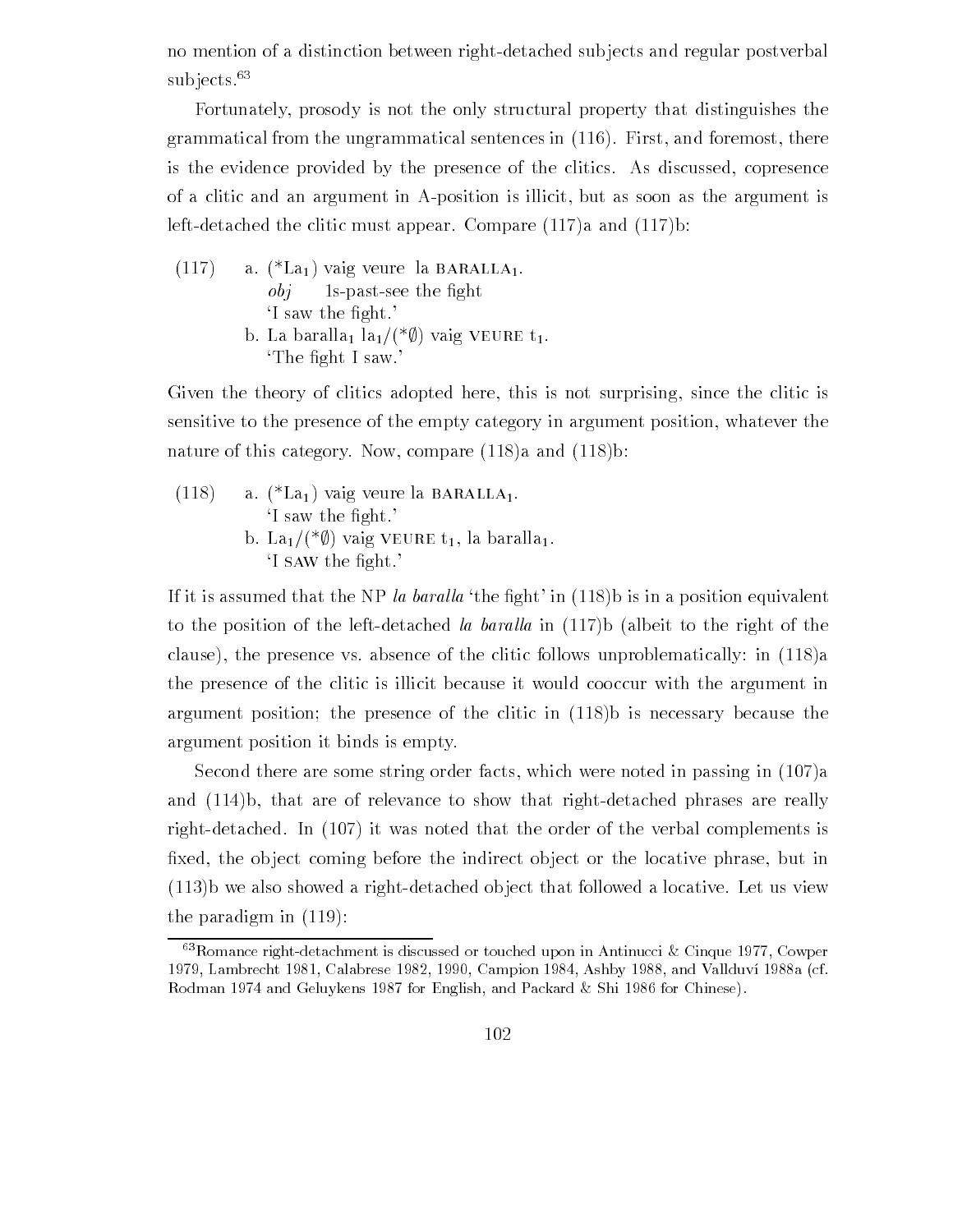no mention of a distinction between right-detached subjects and regular postverbal subjects.<sup>63</sup>

Fortunately, prosody is not the only structural property that distinguishes the grammatical from the ungrammatical sentences in  $(116)$ . First, and foremost, there is the evidence provided by the presence of the clitics. As discussed, copresence of a clitic and an argument in Aposition is illicit but as soon as the argument is left-detached the clitic must appear. Compare  $(117)a$  and  $(117)b$ :

 $(117)$  a.  $(*La<sub>1</sub>)$  vaig veure la BARALLA<sub>1</sub>. object to the set of the set of the set of the set of the set of the set of the set of the set of the set of t I saw the -ght b. La baralla<sub>1</sub> la<sub>1</sub>/(\* $\emptyset$ ) vaig VEURE t<sub>1</sub>. The -ght I saw

Given the theory of clitics adopted here, this is not surprising, since the clitic is sensitive to the presence of the empty category in argument position whatever the nature of this category. Now, compare  $(118)a$  and  $(118)b$ :

 $(118)$  a.  $(*La<sub>1</sub>)$  vaig veure la BARALLA<sub>1</sub>. If say the expected in the  $\mathcal{L}(\mathcal{N})$ b. La<sub>1</sub>/(\* $\emptyset$ ) vaig VEURE t<sub>1</sub>, la baralla<sub>1</sub>. I site of the second second second second second second second second second second second second second second second second second second second second second second second second second second second second second secon

If it is assumed that the NP la baral la baral la baral la baral la the  $\mathbf i$ to the position of the left-detached la baralla in  $(117)$ b (albeit to the right of the clause), the presence vs. absence of the clitic follows unproblematically: in  $(118)a$ the presence of the clitic is illicit because it would cooccur with the argument in argument position; the presence of the clitic in  $(118)$  is necessary because the argument position it binds is empty

Second there are some string order facts, which were noted in passing in  $(107)a$ and  $(114)$ b, that are of relevance to show that right-detached phrases are really right-detached. In  $(107)$  it was noted that the order of the verbal complements is -xed the ob ject coming before the indirect ob ject or the locative phrase but in  $(113)$  we also showed a right-detached object that followed a locative. Let us view the paradigm in  $(119)$ :

 $\sim$ Komance right-detachment is discussed or touched upon in Antinucci  $\propto$  Unque 1977, Cowper  $\sim$  Lambrecht Calabrese Campion  Ashby and Vallduv" a cf Rodman  and Geluykens for English and Packard Shi for Chinese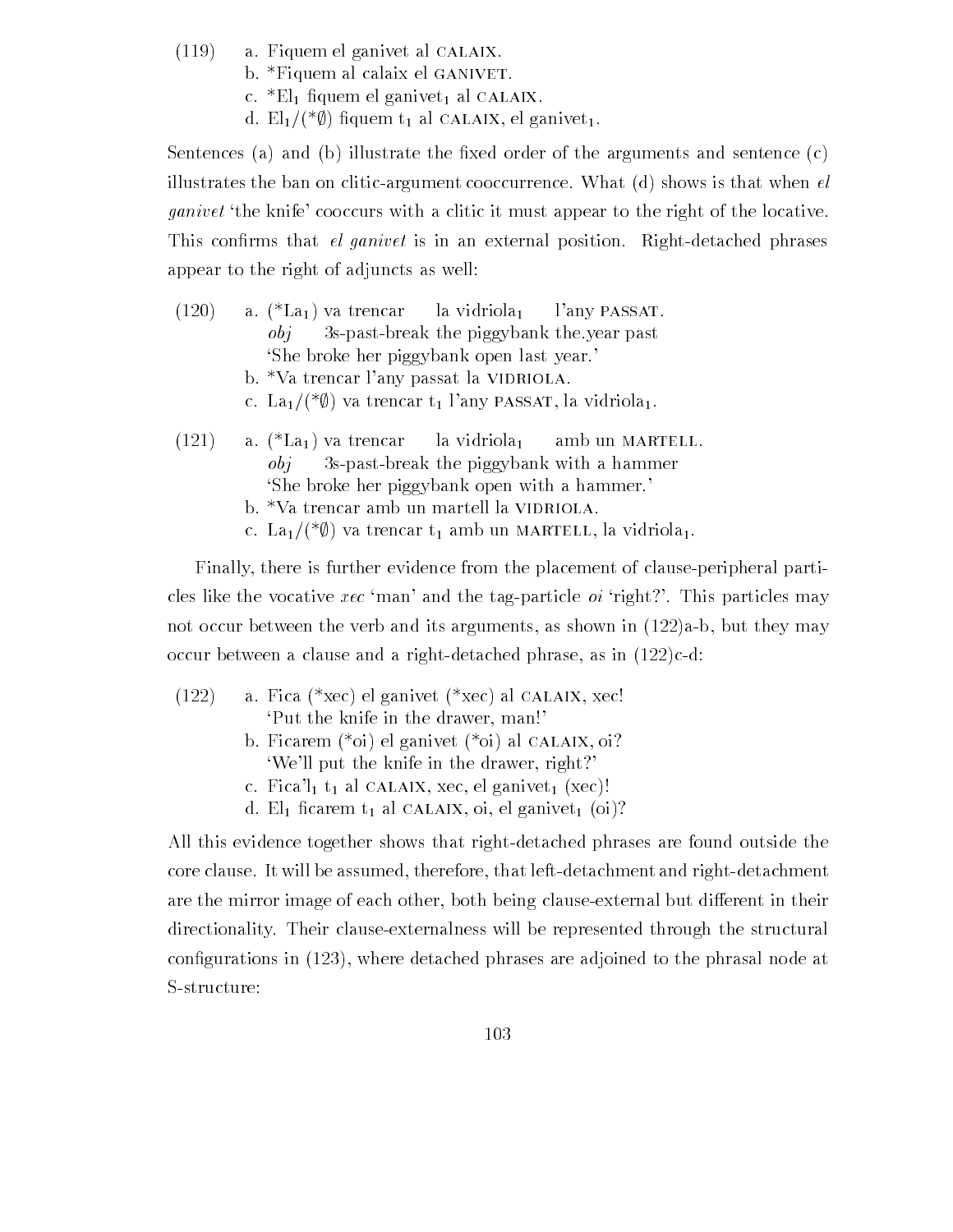- $(119)$  a. Fiquem el ganivet al CALAIX.
	- b. \*Fiquem al calaix el GANIVET.
	- $\mathcal{C}$ .  $\mathcal{L}$ <sub>1</sub> in quem el ganivet al calaimn.
	- d. El<sub>1</sub>/(\* $\emptyset$ ) fiquem t<sub>1</sub> al CALAIX, el ganivet<sub>1</sub>.

sentences and being the production of the sentence control in and sentence complete and sentence arguments and illustrates the ban on clitic-argument cooccurrence. What  $(d)$  shows is that when  $el$ *ganivet* the knife cooccurs with a clitic it must appear to the right of the locative. This con-rms that el ganivet is in an external position Rightdetached phrases appear to the right of adjuncts as well

- $(120)$  a.  $(*La<sub>1</sub>)$  va trencar la vidriola<sub>1</sub> l'any passat.  $obj$  Ss-past-break the piggybank the year past She broke her piggybank open last year b. \*Va trencar l'any passat la VIDRIOLA. c. La<sub>1</sub>/(\* $\emptyset$ ) va trencar t<sub>1</sub> l'any PASSAT, la vidriola<sub>1</sub>.  $(121)$  a.  $(*La<sub>1</sub>)$  va trencar la vidriola<sub>1</sub> amb un MARTELL.  $obj = 3s$ -past-break the piggybank with a hammer She broke her piggybank open with a hammer b.  $*$ Va trencar amb un martell la VIDRIOLA.
	- c. La<sub>1</sub>/(\* $\emptyset$ ) va trencar t<sub>1</sub> amb un MARTELL, la vidriola<sub>1</sub>.

Finally, there is further evidence from the placement of clause-peripheral particles like the vocative xec 'man' and the tag-particle  $oi$  'right?'. This particles may not occur between the verb and its arguments, as shown in  $(122)a-b$ , but they may occur between a clause and a right-detached phrase, as in  $(122)c-d$ :

- $(122)$  a. Fica (\*xec) el ganivet (\*xec) al CALAIX, xec! Put the knife in the drawer, man!' b. Ficarem  $(*oi)$  el ganivet  $(*oi)$  al CALAIX, oi? We'll put the knife in the drawer, right?' c. Fica'l<sub>1</sub> t<sub>1</sub> al CALAIX, xec, el ganivet<sub>1</sub> (xec)!
	- $\alpha$ . Eq now on  $\alpha_1$  are channing on  $\alpha_2$  and  $\alpha_3$ .

All this evidence together shows that right-detached phrases are found outside the core clause. It will be assumed, therefore, that left-detachment and right-detachment are the mirror image of each other, both being clause-external but different in their directionality. Their clause-externalness will be represented through the structural con-gurations in where detached phrases are adjoined to the phrasal node at S-structure: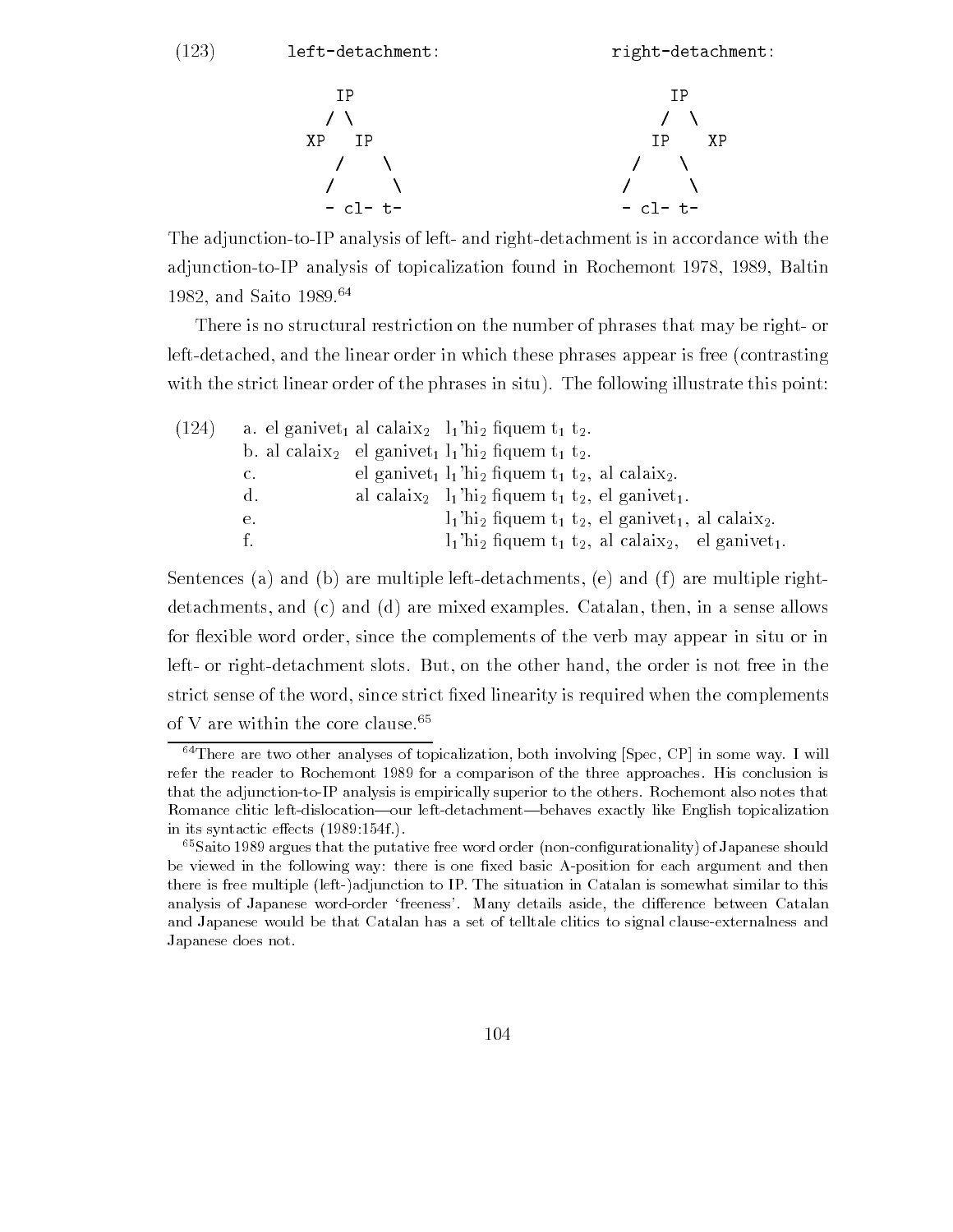(123) left-detachment: right-detachment:

- - - - - -

The adjunction-to-IP analysis of left- and right-detachment is in accordance with the adjunction-to-IP analysis of topicalization found in Rochemont 1978, 1989, Baltin 1982, and Saito 1989.<sup>64</sup>

There is no structural restriction on the number of phrases that may be right or left-detached, and the linear order in which these phrases appear is free (contrasting with the strict linear order of the phrases in situ). The following illustrate this point:

| (124) | a. el ganivet <sub>1</sub> al calaix <sub>2</sub> $l_1$ 'hi <sub>2</sub> fiquem t <sub>1</sub> t <sub>2</sub> . |  |  |                                                                                                                  |
|-------|-----------------------------------------------------------------------------------------------------------------|--|--|------------------------------------------------------------------------------------------------------------------|
|       | b. al calaix <sub>2</sub> el ganivet <sub>1</sub> $l_1$ 'hi <sub>2</sub> fiquem t <sub>1</sub> t <sub>2</sub> . |  |  |                                                                                                                  |
|       | C.                                                                                                              |  |  | el ganivet <sub>1</sub> $l_1$ 'hi <sub>2</sub> fiquem $t_1$ , $t_2$ , al calaix <sub>2</sub> .                   |
|       | $d_{\infty}$                                                                                                    |  |  | al calaix <sub>2</sub> $l_1$ 'hi <sub>2</sub> fiquem $t_1$ , $t_2$ , el ganivet <sub>1</sub> .                   |
|       | е.                                                                                                              |  |  | $l_1$ 'hi <sub>2</sub> fiquem t <sub>1</sub> t <sub>2</sub> , el ganivet <sub>1</sub> , al calaix <sub>2</sub> . |
|       | f.                                                                                                              |  |  | $l_1$ 'hi <sub>2</sub> fiquem t <sub>1</sub> t <sub>2</sub> , al calaix <sub>2</sub> , el ganivet <sub>1</sub> . |

Sentences (a) and (b) are multiple left-detachments, (e) and (f) are multiple rightdetachments, and (c) and (d) are mixed examples. Catalan, then, in a sense allows for flexible word order, since the complements of the verb may appear in situ or in left- or right-detachment slots. But, on the other hand, the order is not free in the strict sense of the word since strict -xed linearity is required when the complements of V are within the core clause.<sup>65</sup>

 $64$ There are two other analyses of topicalization, both involving [Spec, CP] in some way. I will refer the reader to Rochemont for a comparison of the three approaches His conclusion is that the adjunction-to-IP analysis is empirically superior to the others. Rochemont also notes that Romance clitic left-dislocation—our left-detachment—behaves exactly like English topicalization in its syntactic eects f

 $\sim$  Saito 1989 argues that the putative free word order (non-configurationality) of Japanese should  $\sim$ be viewed in the following way: there is one fixed basic A-position for each argument and then there is free multiple (left-)adjunction to IP. The situation in Catalan is somewhat similar to this analysis of Japanese wordorder freeness- Many details aside the dierence between Catalan and Japanese would be that Catalan has a set of telltale clitics to signal clause-externalness and Japanese does not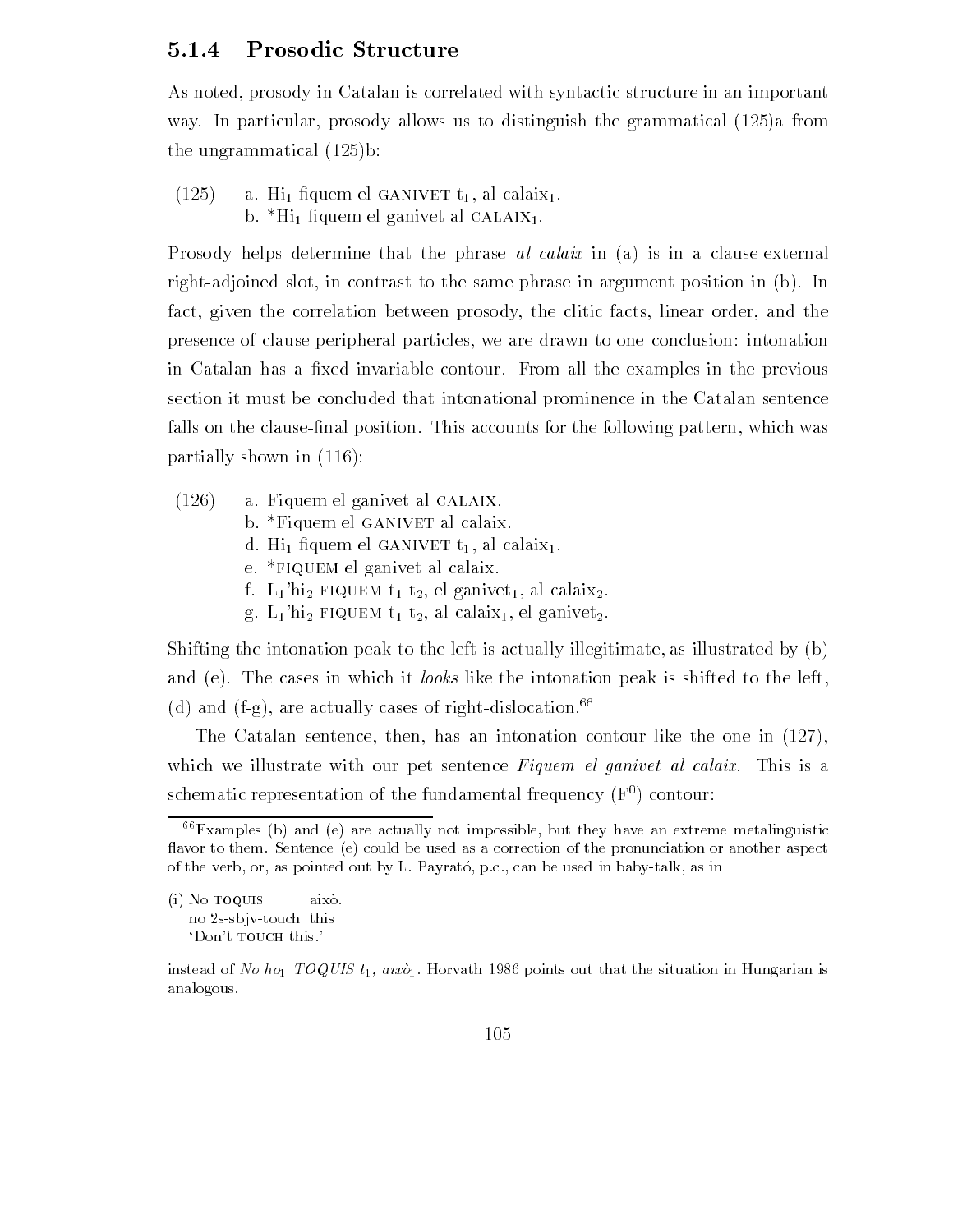## 5.1.4 Prosodic Structure

As noted, prosody in Catalan is correlated with syntactic structure in an important way I are particularly prosody allows us to distinguished the grammatical (see ), the second the ungrammatical b

 $(125)$  $\mu$  as  $\mathbf{m}_1$  here on  $\mathbf{m}_2$  and  $\mathbf{m}_3$  are calain.  $\beta$ .  $\text{H}_{1}$  hydric  $\alpha$  ganivet al calaining.

Prosody helps determine that the phrase *al calaix* in (a) is in a clause-external right-adjoined slot, in contrast to the same phrase in argument position in (b). In fact, given the correlation between prosody, the clitic facts, linear order, and the presence of clause-peripheral particles, we are drawn to one conclusion: intonation in Catalan has a -xed invariable contour From all the examples in the previous section it must be concluded that intonational prominence in the Catalan sentence falls on the clause-nal position This accounts for the following pattern which was partially shown in

- $(126)$  a. Fiquem el ganivet al CALAIX.
	- b.  $*$ Fiquem el GANIVET al calaix.
	- $\alpha$ . Hi  $\alpha$  den el gant  $\alpha$  i  $\alpha$  al calair.
	- e. \*FIQUEM el ganivet al calaix.
	- f.  $L_1$ 'hi<sub>2</sub> FIQUEM t<sub>1</sub> t<sub>2</sub>, el ganivet<sub>1</sub>, al calaix<sub>2</sub>.
	- g.  $L_1$ 'hi<sub>2</sub> FIQUEM  $t_1$ ,  $t_2$ , al calaix<sub>1</sub>, el ganivet<sub>2</sub>.

Shifting the intonation peak to the left is actually illegitimate, as illustrated by (b) and (e). The cases in which it *looks* like the intonation peak is shifted to the left. (d) and (f-g), are actually cases of right-dislocation.<sup>66</sup>

The Catalan sentence, then, has an intonation contour like the one in  $(127)$ , which we illustrate with our pet sentence  $Figure$  *n* el ganivet al calaix. This is a schematic representation of the fundamental frequency  $(F<sup>0</sup>)$  contour:

 $(i)$  No  $\overline{100}$  UIS això. no 2s-sbjv-touch this 'Don't TOUCH this.'

 $66$  Examples (b) and (e) are actually not impossible, but they have an extreme metalinguistic flavor to them. Sentence (e) could be used as a correction of the pronunciation or another aspect of the verb, or, as pointed out by L. Payrato, p.c., can be used in baby-talk, as in

instead of No ho TOQUIS t aixo Horvath points out that the situation in Hungarian is analogous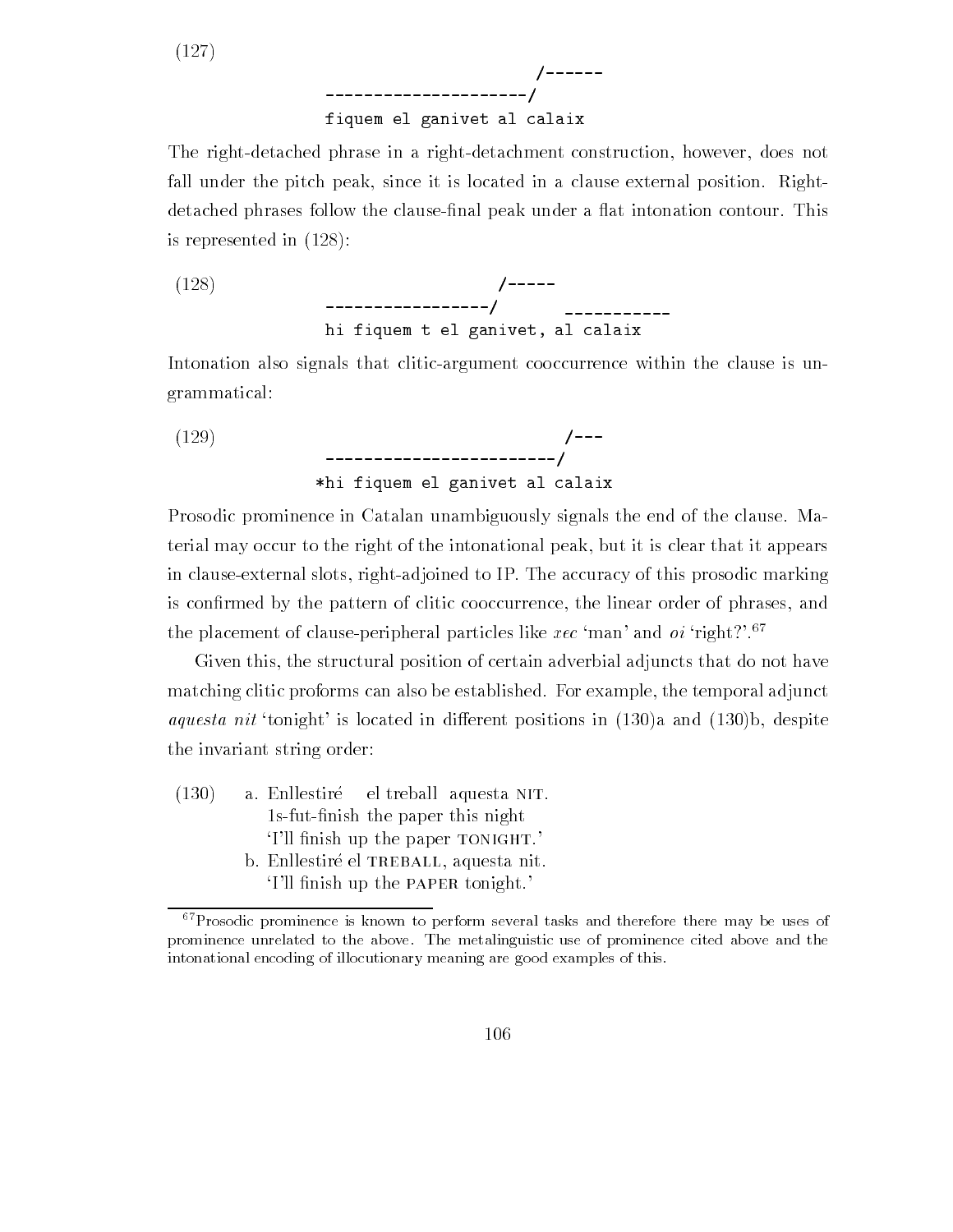$(127)$ 

## fiquem el ganivet al calaix

experimental control of the control of the control of the control of the control of the control of the control of the control of the control of the control of the control of the control of the control of the control of the

The right-detached phrase in a right-detachment construction, however, does not fall under the pitch peak, since it is located in a clause external position. Rightdetached phrases follow the clause-nal peak under a 
at intonation contour This is represented in 

-

(128) 
$$
--------------/
$$
 
$$
hi~figurem~t~el~ganivet,~al~calax
$$

Intonation also signals that clitic-argument cooccurrence within the clause is ungrammatical

(129) 
$$
\begin{array}{c}\n(---\n\\ \n\text{+}i\text{ +}i\text{ +}j\text{ +}j\text{ +}k\text{ +}k\text{ +}k\text{ +}k\text{ +}k\text{ +}k\text{ +}k\text{ +}k\text{ +}k\text{ +}k\text{ +}k\text{ +}k\text{ +}k\text{ +}k\text{ +}k\text{ +}k\text{ +}k\text{ +}k\text{ +}k\text{ +}k\text{ +}k\text{ +}k\text{ +}k\text{ +}k\text{ +}k\text{ +}k\text{ +}k\text{ +}k\text{ +}k\text{ +}k\text{ +}k\text{ +}k\text{ +}k\text{ +}k\text{ +}k\text{ +}k\text{ +}k\text{ +}k\text{ +}k\text{ +}k\text{ +}k\text{ +}k\text{ +}k\text{ +}k\text{ +}k\text{ +}k\text{ +}k\text{ +}k\text{ +}k\text{ +}k\text{ +}k\text{ +}k\text{ +}k\text{ +}k\text{ +}k\text{ +}k\text{ +}k\text{ +}k\text{ +}k\text{ +}k\text{ +}k\text{ +}k\text{ +}k\text{ +}k\text{ +}k\text{ +}k\text{ +}k\text{ +}k\text{ +}k\text{ +}k\text{ +}k\text{ +}k\text{ +}k\text{ +}k\text{ +}k\text{ +}k\text{ +}k\text{ +}k\text{ +}k\text{ +}k\text{ +}k\text{ +}k\text{ +}k\text{ +}k\text{ +}k\text{ +}k\text{ +}k\text{ +}k\text{ +}k\text{ +}k\text{ +}k\text{ +}k\text{ +}k\text{ +}k\text{ +}k\text{ +}k\text{ +}k\text{ +}k\text{ +}k\text{ +}k\text{ +}k\text{ +}k\text{ +}k\text{ +}k\text{ +}k\text{ +}k\text{ +}k\text{ +}k\text{ +}k\text{ +}k\text{ +}k\text{ +}k\text{ +}k\text{ +}k\text{ +}k\text{ +}k\text{ +}k\text{ +}k\text{ +}k\text
$$

Prosodic prominence in Catalan unambiguously signals the end of the clause Ma terial may occur to the right of the intonational peak, but it is clear that it appears in clause-external slots, right-adjoined to IP. The accuracy of this prosodic marking is con-rmed by the pattern of clitic cooccurrence the linear order of phrases and the placement of clause-peripheral particles like  $\text{rec}'$  man' and  $oi'$  right?'.<sup>67</sup>

Given this, the structural position of certain adverbial adjuncts that do not have matching clitic proforms can also be established. For example, the temporal adjunct *aquesta nit* 'tonight' is located in different positions in  $(130)a$  and  $(130)b$ , despite the invariant string order

 $(130)$  a. Enllestiré el treball aquesta NIT. s sections and the paper the paper the paper that the paper of the paper of the paper of the paper of the paper of the section of the section of the section of the section of the section of the section of the section of th I is mind a concept to construct the paper of the paper of the set of the set of the set of the set of the set b. Enllestiré el TREBALL, aquesta nit. I is minon up the rin mit compare.

 $67$  Prosodic prominence is known to perform several tasks and therefore there may be uses of prominence unrelated to the above The metalinguistic use of prominence cited above and the intonational encoding of illocutionary meaning are good examples of this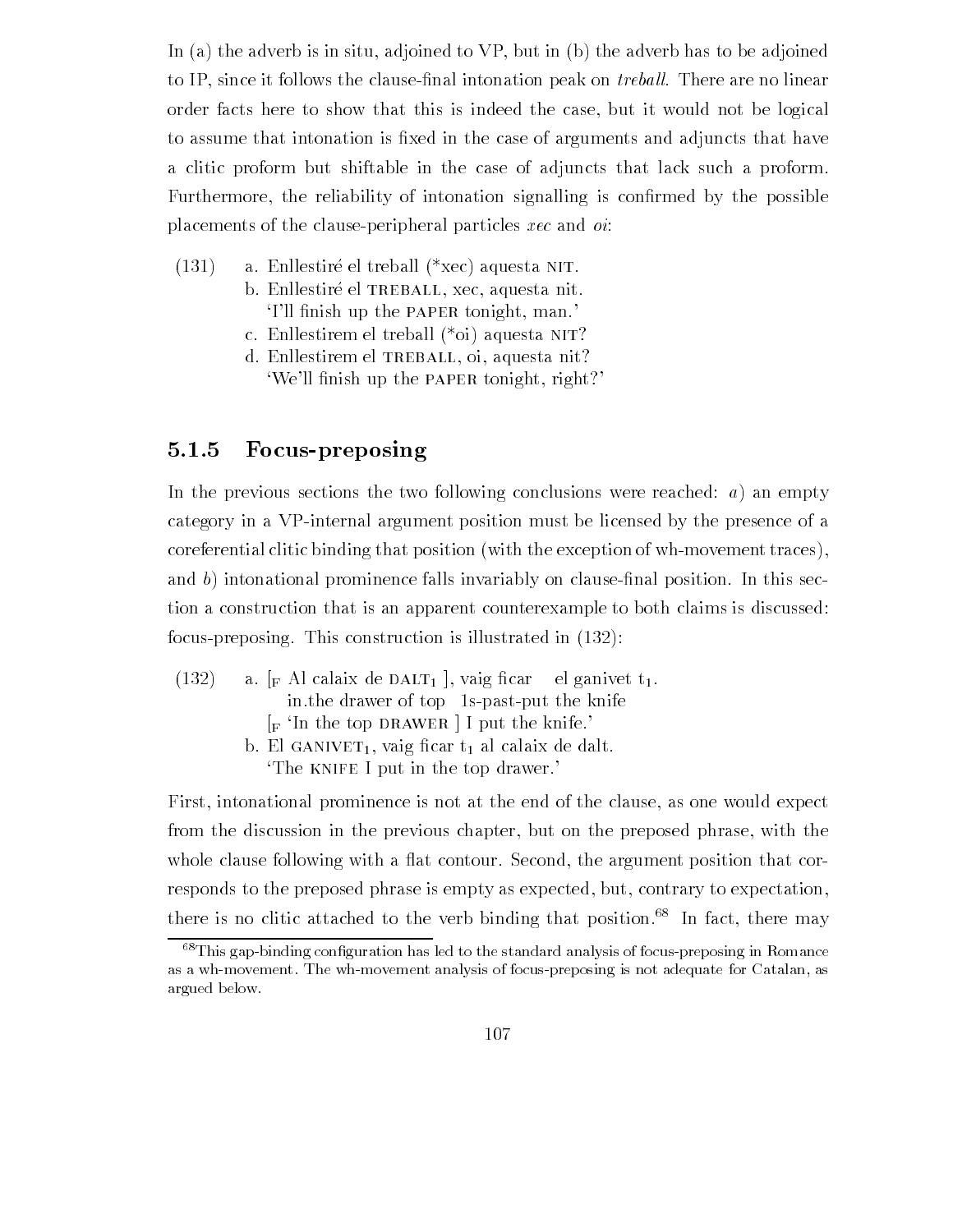In (a) the adverb is in situ, adjoined to  $VP$ , but in (b) the adverb has to be adjoined to IP since it follows the clause-nal intonation peak on trebal l There are no linear order facts here to show that this is indeed the case but it would not be logical to assume that into assume that into a set arguments and adjunction is  $\mathcal{M}$ a clitic proform but shiftable in the case of adjuncts that lack such a proform Furthermore the reliability of intonation signalling into  $\mathcal{F}(\mathbf{A})$  is considered by the possible possible possible possible possible possible possible possible possible possible possible possible possible possible p placements of the clause-peripheral particles  $\textit{rec}$  and  $\textit{oi}$ :

- $(131)$  a. Enllestiré el treball  $(*xec)$  aquesta NIT. b. Enllestiré el TREBALL, xec, aquesta nit. I is minish up the rish mate company, manni
	- c. Enllestirem el treball  $(*oi)$  aquesta NIT?
	- d. Enllestirem el TREBALL, oi, aquesta nit? which is a million and which repairs to the paper of the paper of the paper of the paper of the paper of the p

# 5.1.5 Focus-preposing

In the previous sections the two following conclusions were reached:  $a)$  an empty category in a VPinternal argument position must be licensed by the presence of a  $\alpha$  coreferential clitic binding that position (with the exception of wh-movement traces), and b into into into prominent in this invariable in this section position in this section is the section in t tion a construction that is an apparent counterexample to both claims is discussed focus-preposing. This construction is illustrated in  $(132)$ :

 $(132)$  a. [F Al calaix de DALT<sub>1</sub>], vaig ficar el ganivet  $t_1$ . in the drawer of top 1s-past-put the knife  $\lceil_{\mathsf{F}}$  In the top DRAWER | I put the knife.  $\beta$ . En ganver  $\Gamma$ , was not  $\Gamma$  as calain de dalt. The KNIFE I put in the top drawer.'

First, intonational prominence is not at the end of the clause, as one would expect from the discussion in the previous chapter, but on the preposed phrase, with the whole clause following with a flat contour. Second, the argument position that corresponds to the preposed phrase is empty as expected, but, contrary to expectation, there is no clitic attached to the verb binding that position.<sup>68</sup> In fact, there may

 ${}^{68}$ This gap-binding configuration has led to the standard analysis of focus-preposing in Romance as a wh-movement. The wh-movement analysis of focus-preposing is not adequate for Catalan, as argued below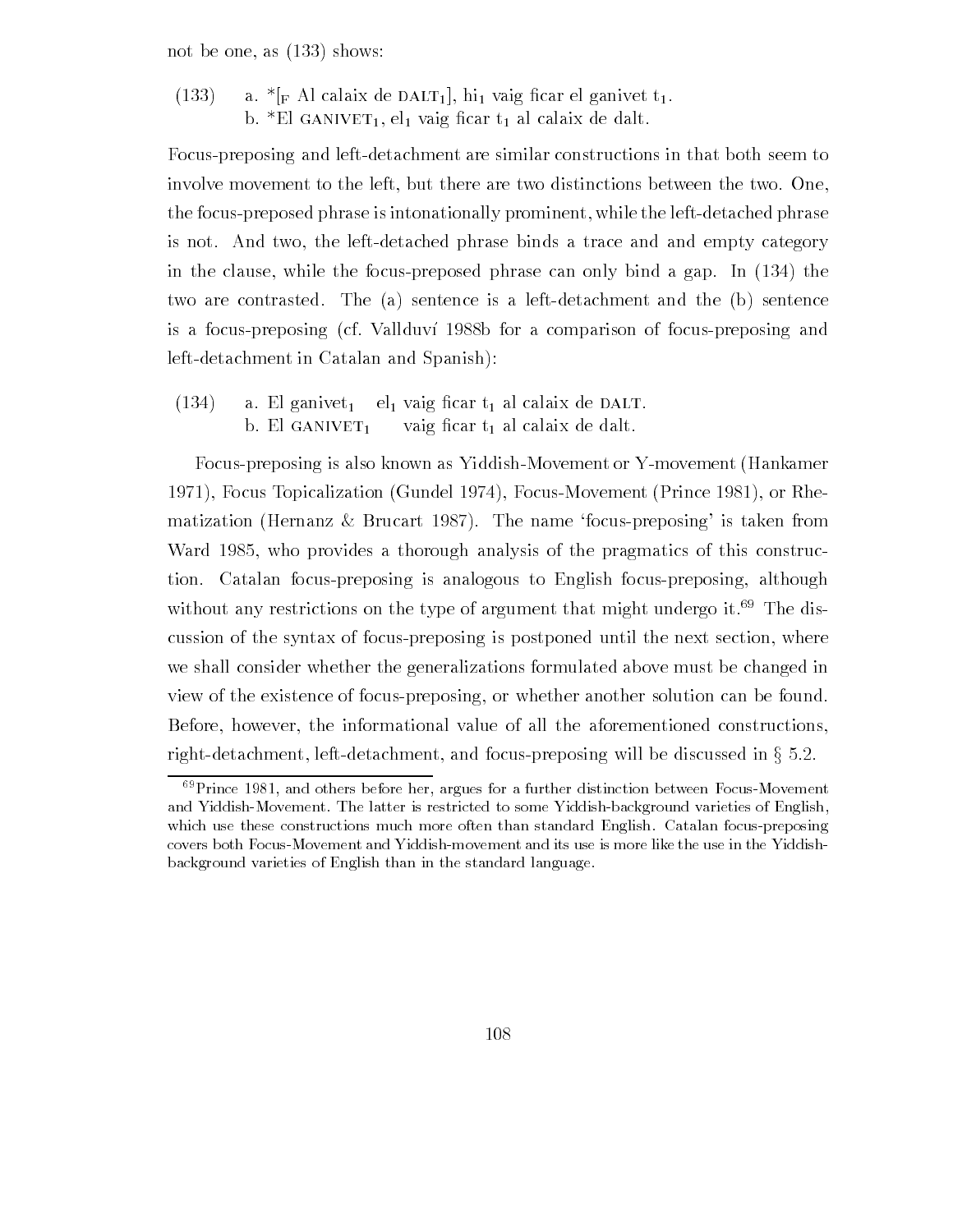not be one, as  $(133)$  shows:

 $\frac{1}{2}$  a.  $\frac{1}{2}$  and  $\frac{1}{2}$  are detected to  $\frac{1}{2}$ .  $\beta$ . El ganivet el vaig nom  $\gamma$  al calaix de dalt.

Focus-preposing and left-detachment are similar constructions in that both seem to involve movement to the left, but there are two distinctions between the two. One, the focus-preposed phrase is intonationally prominent, while the left-detached phrase is not. And two, the left-detached phrase binds a trace and and empty category in the clause, while the focus-preposed phrase can only bind a gap. In  $(134)$  the two are contrasted. The  $(a)$  sentence is a left-detachment and the  $(b)$  sentence is a focus-preposing (cf. Vallduví 1988b for a comparison of focus-preposing and left-detachment in Catalan and Spanish):

 $\frac{1}{2}$  a. El gan $\frac{1}{2}$   $\frac{1}{2}$   $\frac{1}{2}$   $\frac{1}{2}$   $\frac{1}{2}$   $\frac{1}{2}$   $\frac{1}{2}$   $\frac{1}{2}$   $\frac{1}{2}$  $\mathcal{L}$  . Exercise  $\mathcal{L}$  -  $\mathcal{L}$  and  $\mathcal{L}$  are defined and  $\mathcal{L}$ 

Focus-preposing is also known as Yiddish-Movement or Y-movement (Hankamer 1971), Focus Topicalization (Gundel 1974), Focus-Movement (Prince 1981), or Rhematization (Hernanz & Brucart 1987). The name 'focus-preposing' is taken from who provides a through a through analysis of the pragmatics of the construction of the provides of the provides tion Catalan focuspreposing is analogous to English focuspreposing although without any restrictions on the type of argument that might undergo it.<sup>69</sup> The discussion of the syntax of focus-preposing is postponed until the next section, where we shall consider whether the generalizations formulated above must be changed in view of the existence of focus-preposing, or whether another solution can be found. Before, however, the informational value of all the aforementioned constructions, right-detachment, left-detachment, and focus-preposing will be discussed in  $\S 5.2$ .

 $\degree$  Prince 1981, and others before her, argues for a further distinction between Focus-Movement  $\degree$ and Yiddish-Movement. The latter is restricted to some Yiddish-background varieties of English, which use these constructions much more often than standard English. Catalan focus-preposing covers both Focus-Movement and Yiddish-movement and its use is more like the use in the Yiddishbackground varieties of English than in the standard language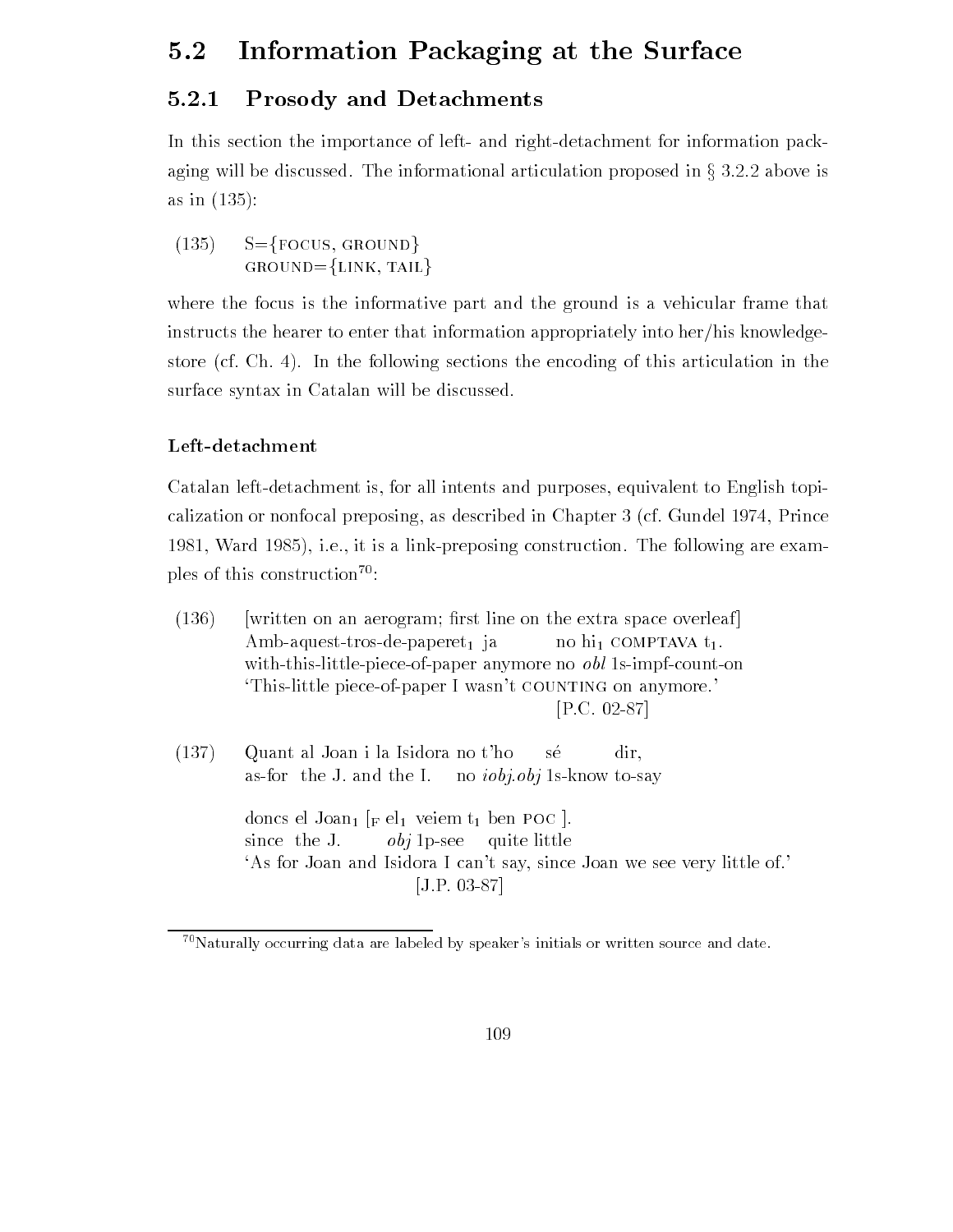#### Information Packaging at the Surface  $5.2$

# 5.2.1 Prosody and Detachments

In this section the importance of left- and right-detachment for information packaging will be discussed. The informational articulation proposed in  $\S 3.2.2$  above is as in

 $\sim$   $(135)$   $S = {Focus, GROW}$ GROUND= $\{LINK, TAIL\}$ 

where the focus is the informative part and the ground is a vehicular frame that instructs the hearer to enter that information appropriately into her/his knowledgestore (cf. Ch. 4). In the following sections the encoding of this articulation in the surface syntax in Catalan will be discussed

## Left-detachment

Catalan left-detachment is, for all intents and purposes, equivalent to English topicalization or nonfocal preposing, as described in Chapter  $3$  (cf. Gundel 1974, Prince where  $\alpha$  is a link preparation of  $\alpha$  is a link preposing are exampled to form  $\alpha$  are exampled to form  $\alpha$ ples of this construction<sup>70</sup>:

- $(136)$ rst line on the extra space of the extra space over the extra space of the extra space of the extra space over Amb-aquest-tros-de-paperet<sub>1</sub> ja no hi<sub>1</sub> COMPTAVA t<sub>1</sub>. with-this-little-piece-of-paper anymore no  $\textit{obl}$  1s-impf-count-on This-little piece-of-paper I wasn't COUNTING on anymore.  $[P.C. 02-87]$
- $(137)$  Quant al Joan i la Isidora no t'ho sé dir, as-for the J. and the I. no  $iobj.obj$  1s-know to-say doncs el Joan<sub>1</sub>  $\lbrack$ <sub>F</sub> el<sub>1</sub> veiem t<sub>1</sub> ben POC  $\lbrack$ . since the J.  $obj$  1p-see quite little 'As for Joan and Isidora I can't say, since Joan we see very little of.'  $[J.P. 03-87]$

 $\cdot$  Naturally occurring data are labeled by speaker-s initials or written source and date.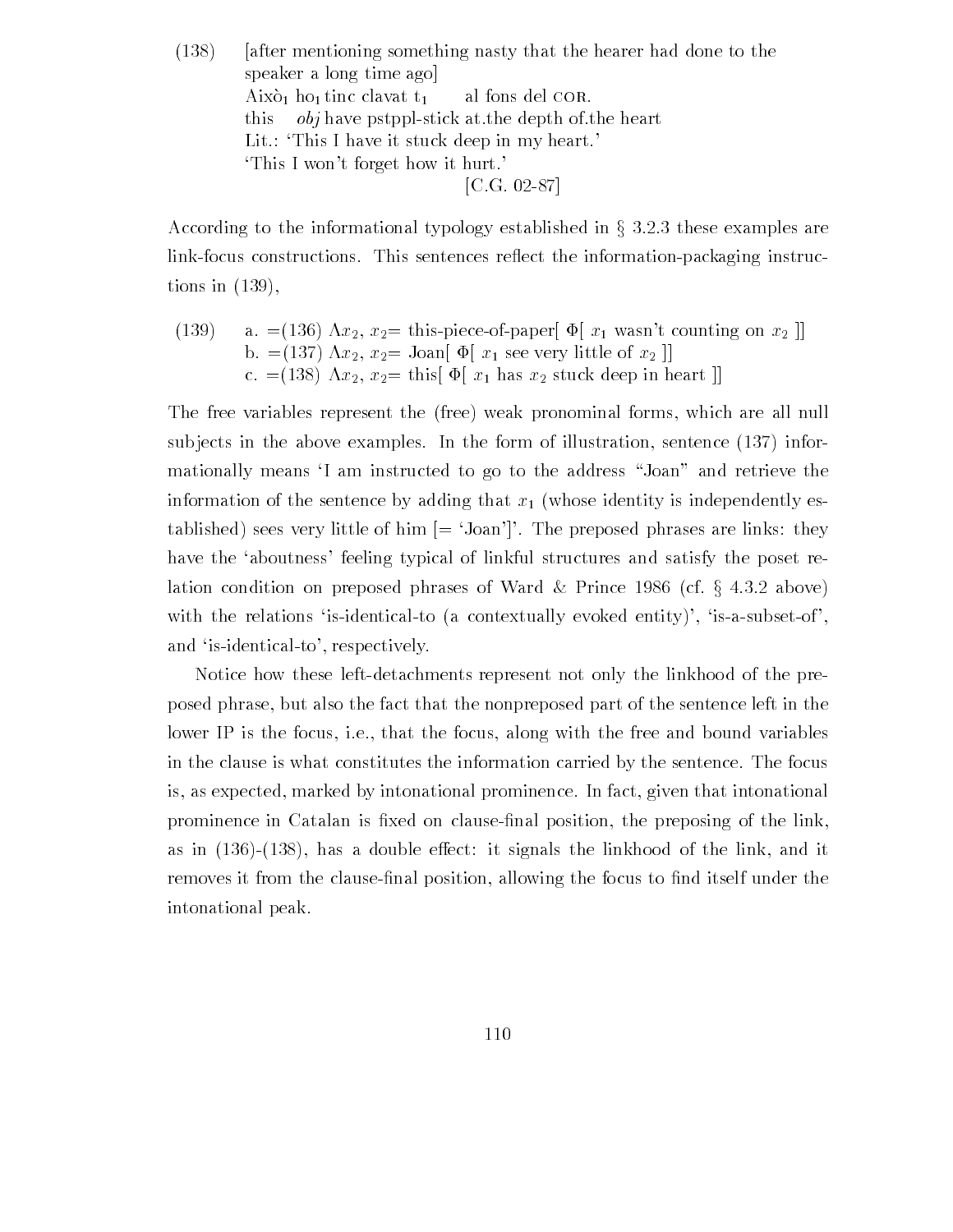$(138)$  [after mentioning something nasty that the hearer had done to the speaker a long time ago Això<sub>1</sub> ho<sub>1</sub> tinc clavat t<sub>1</sub> al fons del COR. this  $obj$  have pstppl-stick at the depth of the heart Lit.: This I have it stuck deep in my heart. This I won't forget how it hurt. [C.G. 02-87]

According to the informational typology established in  $\S 3.2.3$  these examples are link-focus constructions. This sentences reflect the information-packaging instructions in  $(139)$ ,

(139) a.  $=(136)$   $\Lambda x_2$ ,  $x_2$  = this-piece-of-paper  $\Phi[x_1]$  wasn't counting on  $x_2$ b.  $=(137) \ \Lambda x_2, \ x_2 =$  Joan  $\left[\Phi\left(x_1\right)$  see very little of  $x_2$   $\right]$ c.  $=(138)$   $\Lambda x_2$ ,  $x_2$  this  $\Phi[x_1]$  has  $x_2$  stuck deep in heart  $\mu$ 

The free variables represent the (free) weak pronominal forms, which are all null subjects in the above examples. In the form of illustration, sentence  $(137)$  informationally means I am instructed to go to the address "Joan" and retrieve the information of the sentence by adding that  $x_1$  (whose identity is independently established) sees very little of him  $[ = 'Joan']'.$  The preposed phrases are links: they have the 'aboutness' feeling typical of linkful structures and satisfy the poset relation condition on preposed phrases of Ward & Prince 1986 (cf.  $\S$  4.3.2 above) with the relations 'is-identical-to (a contextually evoked entity)', 'is-a-subset-of', and 'is-identical-to', respectively.

Notice how these left-detachments represent not only the linkhood of the preposed phrase but also the fact that the nonpreposed part of the sentence left in the lower IP is the focus, i.e., that the focus, along with the free and bound variables in the clause is what constitutes the information carried by the sentence The focus is, as expected, marked by intonational prominence. In fact, given that intonational prominence in Catalan is -xed on clause-nal position the preposing of the link as in  $(136)-(138)$ , has a double effect: it signals the linkhood of the link, and it removes it from the clause-nal position allowing the focus to -nd itself under the intonational peak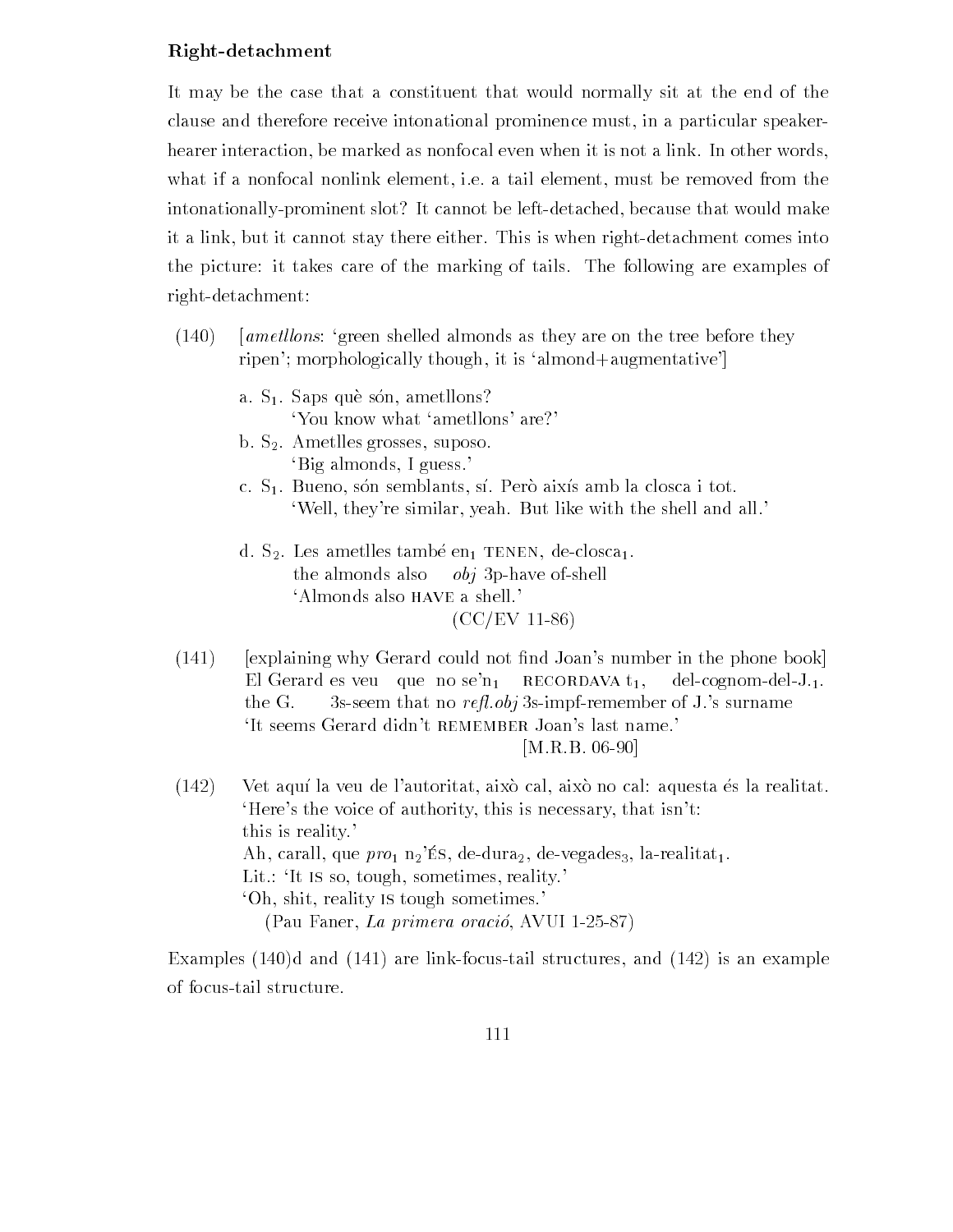### Right-detachment

It may be the case that a constituent that would normally sit at the end of the clause and therefore receive intonational prominence must in a particular speaker hearer interaction, be marked as nonfocal even when it is not a link. In other words, what if a nonfocal nonlink element, i.e. a tail element, must be removed from the intonationally-prominent slot? It cannot be left-detached, because that would make it a link, but it cannot stay there either. This is when right-detachment comes into the picture: it takes care of the marking of tails. The following are examples of right-detachment:

- $(140)$ [*ametllons*: 'green shelled almonds as they are on the tree before they ripen'; morphologically though, it is 'almond+augmentative'
	- a.  $S_1$ . Saps què són, ametllons? 'You know what 'ametllons' are?'
	- b.  $S_2$ . Ametlles grosses, suposo. Big almonds, I guess.
	- c.  $S_1$ . Bueno, són semblants, sí. Però aixís amb la closca i tot. 'Well, they're similar, yeah. But like with the shell and all.'
	- d.  $S_2$ . Les ametlles també en TENEN, de-closca<sub>1</sub>. the almonds also  $obj$  3p-have of-shell 'Almonds also HAVE a shell.'  $(CC/EV 11-86)$
- "explaining why Gerard could not -nd Joans number in the phone book# El Gerard es veu que no se'n<sub>1</sub> RECORDAVA  $t_1$ , del-cognom-del-J.<sub>1</sub>. the G. Ss-seem that no refl. obj 3s-impf-remember of J.'s surname 'It seems Gerard didn't REMEMBER Joan's last name.'  $[M.R.B. 06-90]$
- $(142)$  Vet aquí la veu de l'autoritat, això cal, això no cal: aquesta és la realitat. Here's the voice of authority, this is necessary, that isn't: this is reality  $\alpha$ in, caran, que pro $_1$  n $_2$  no, ae aura $_2$ , ae vegados, na reamac $_1.$ Lit  $\colon$  It is so, tough, sometimes, reality. 'Oh, shit, reality is tough sometimes.'

Examples  $(140)$ d and  $(141)$  are link-focus-tail structures, and  $(142)$  is an example of focustail structure

, e erectaere, men primera oracione, e e recepto avut p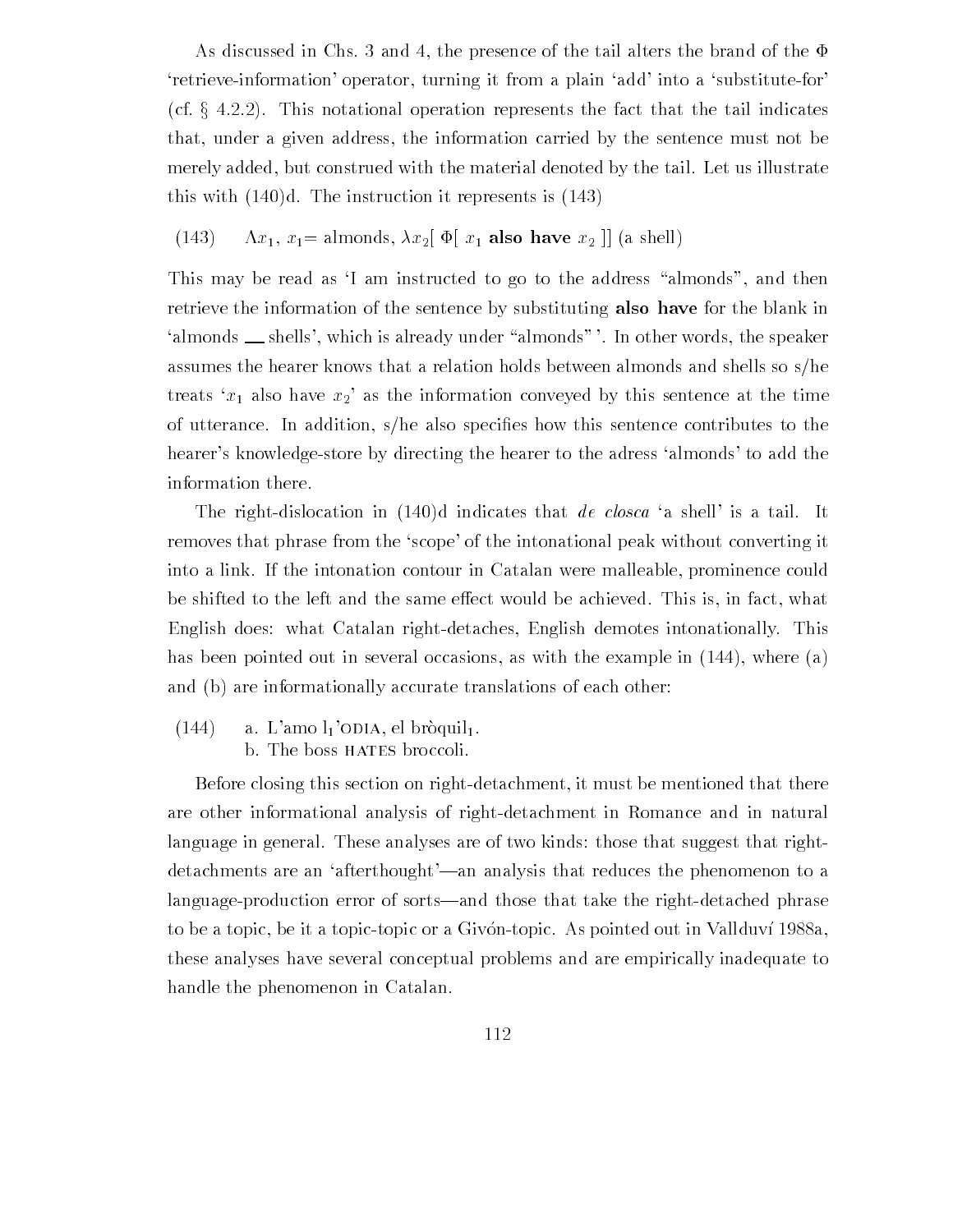As discussed in Chs. 3 and 4, the presence of the tail alters the brand of the  $\Phi$ 'retrieve-information' operator, turning it from a plain 'add' into a 'substitute-for' (cf.  $\S$  4.2.2). This notational operation represents the fact that the tail indicates that, under a given address, the information carried by the sentence must not be merely added, but construed with the material denoted by the tail. Let us illustrate this with  $(140)d$ . The instruction it represents is  $(143)$ 

(143)  $\Lambda x_1, x_1 = \text{almost, } \lambda x_2 [\Phi(x_1 \text{ also have } x_2]] \text{ (a shell)}$ 

This may be read as 'I am instructed to go to the address "almonds", and then retrieve the information of the sentence by substituting also have for the blank in 'almonds \_\_ shells', which is already under "almonds" '. In other words, the speaker assumes the hearer knows that a relation holds between almonds and shells so  $s/h$ e treats ' $x_1$  also have  $x_2$ ' as the information conveyed by this sentence at the time of utterance In addition she also speci-es how this sentence contributes to the hearer's knowledge-store by directing the hearer to the adress 'almonds' to add the information there

The right-dislocation in  $(140)$ d indicates that *de closca* 'a shell' is a tail. It removes that phrase from the 'scope' of the intonational peak without converting it into a link. If the intonation contour in Catalan were malleable, prominence could be shifted to the left and the same effect would be achieved. This is, in fact, what English does: what Catalan right-detaches, English demotes intonationally. This has been pointed out in several occasions, as with the example in  $(144)$ , where  $(a)$ and (b) are informationally accurate translations of each other:

 $(144)$  a. L'amo  $l_1$ 'ODIA, el bròquil<sub>1</sub>. b. The boss HATES broccoli.

Before closing this section on right-detachment, it must be mentioned that there are other informational analysis of right-detachment in Romance and in natural language in general. These analyses are of two kinds: those that suggest that rightdetachments are an 'afterthought'—an analysis that reduces the phenomenon to a language-production error of sorts—and those that take the right-detached phrase to be a topic, be it a topic-topic or a Givón-topic. As pointed out in Vallduví 1988a, these analyses have several conceptual problems and are empirically inadequate to handle the phenomenon in Catalan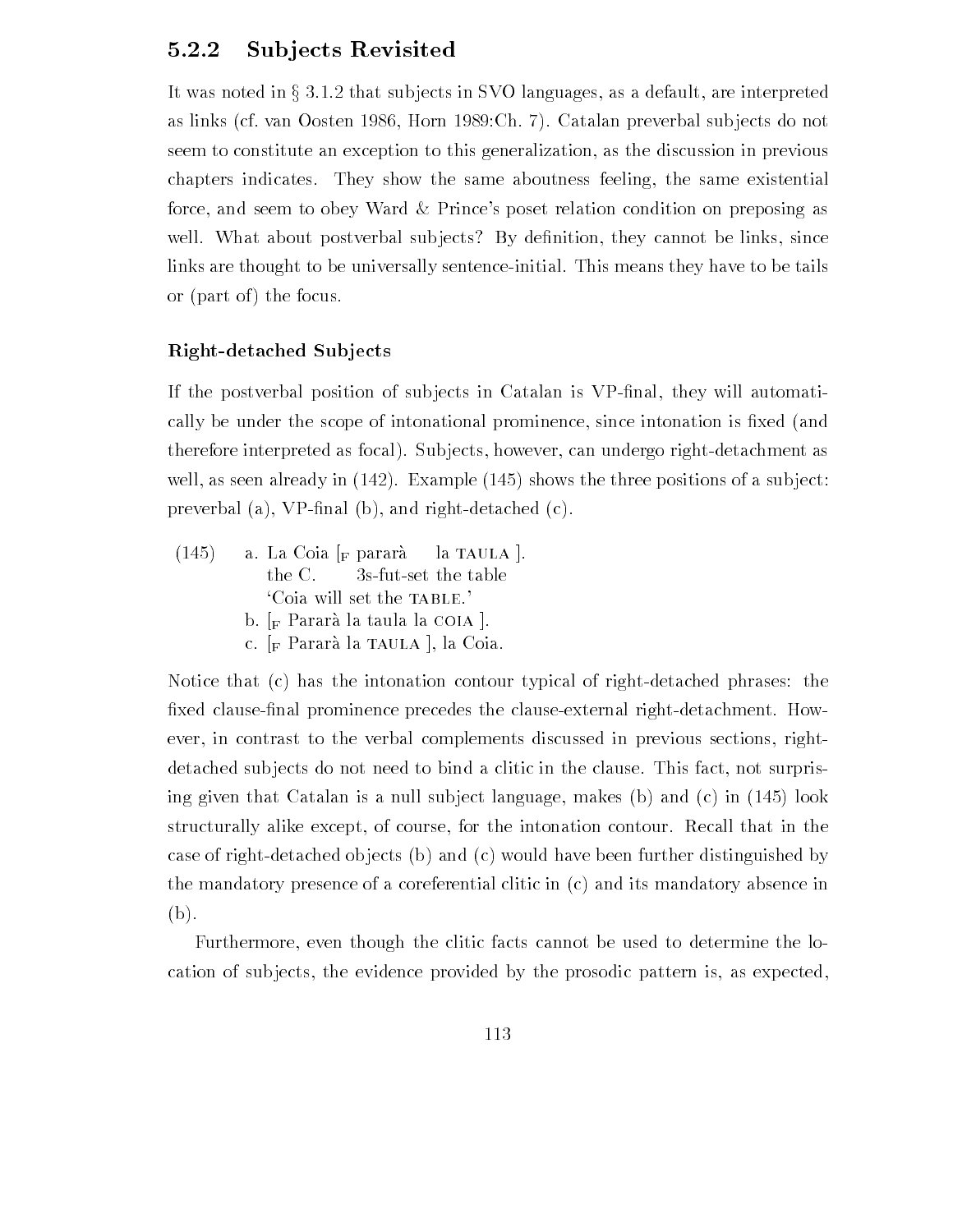## 5.2.2 Subjects Revisited

It was noted in  $\S 3.1.2$  that subjects in SVO languages, as a default, are interpreted as links (cf. van Oosten 1986, Horn 1989: Ch. 7). Catalan preverbal subjects do not seem to constitute an exception to this generalization as the discussion in previous chapters indicates. They show the same aboutness feeling, the same existential force, and seem to obey Ward & Prince's poset relation condition on preposing as well what about posterior substitute By delinks are thought to be universally sentence-initial. This means they have to be tails or (part of) the focus.

### Right-detached Subjects

If the postverbal position of sub jects in Catalan is VP-nal they will automati cally be under the scope of intonational prominence since intonation is -xed and therefore interpreted as focal). Subjects, however, can undergo right-detachment as well as seen already in the three positions of a substitute of a substitute of a substitute of a substitute of  $\mathbf{p}$  - nal b and right detached control and right details are controlled controlled controlled controlled controlled controlled controlled controlled controlled controlled controlled controlled controlled controlled c

 $(145)$ a. La Coia  $|F|$  pararà la TAULA. the C.  $\qquad$  3s-fut-set the table Coia will set the TABLE.' b.  $\lceil_{\mathrm{F}}$  Pararà la taula la COIA  $\lceil$ . c.  $\lceil_{\text{F}}$  Pararà la TAULA |, la Coia.

Notice that  $(c)$  has the intonation contour typical of right-detached phrases: the -xed clause-nal prominence precedes the clauseexternal rightdetachment How ever, in contrast to the verbal complements discussed in previous sections, rightdetached subjects do not need to bind a clitic in the clause. This fact, not surprising given that continues is a number of its comparing that is a number of  $\mathcal{L}$  and  $\mathcal{L}$  is a continuous structurally alike except, of course, for the intonation contour. Recall that in the case of right-detached objects (b) and  $(c)$  would have been further distinguished by the mandatory presence of a coreferential clitic in  $(c)$  and its mandatory absence in  $(b).$ 

Furthermore, even though the clitic facts cannot be used to determine the location of subjects, the evidence provided by the prosodic pattern is, as expected,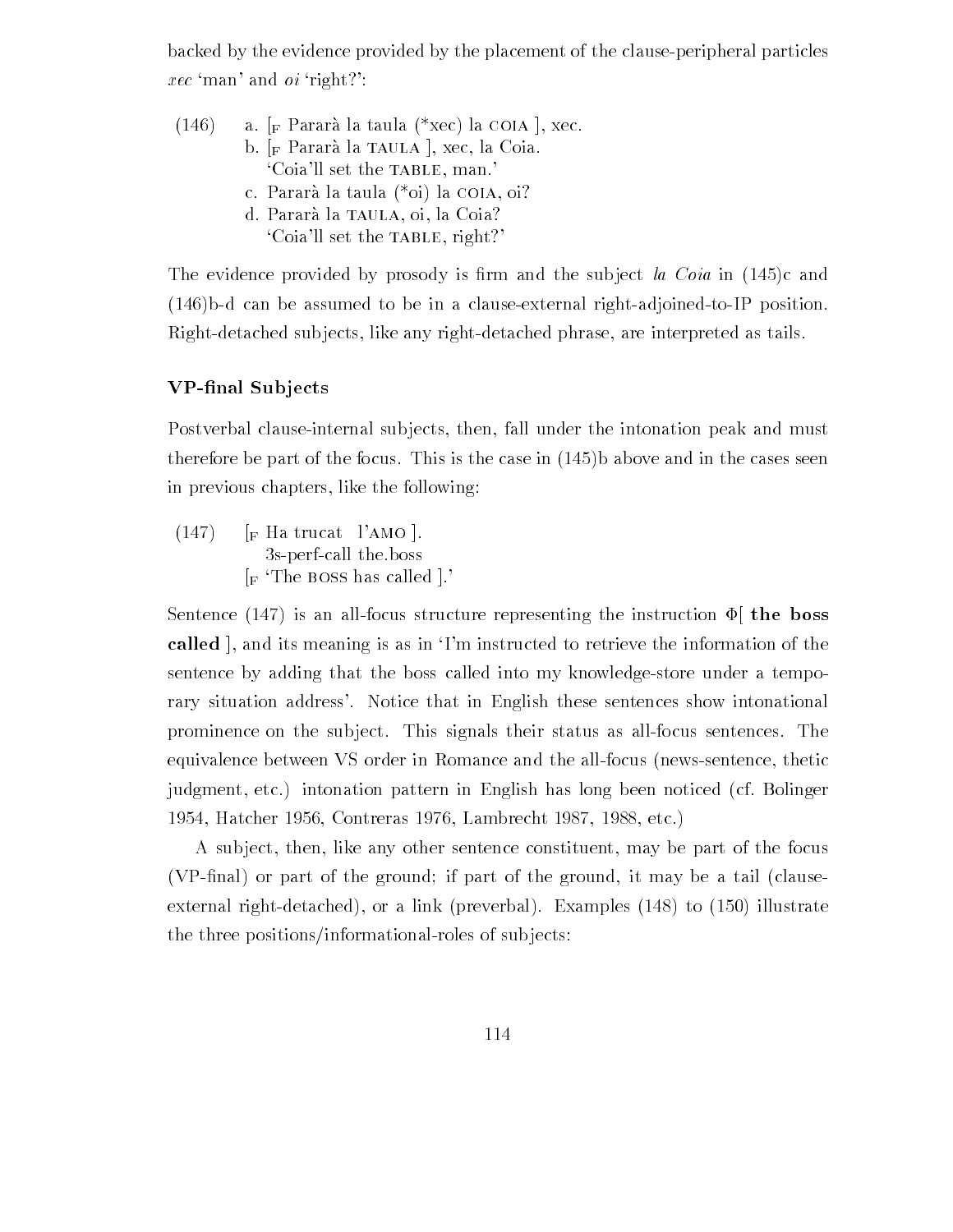backed by the evidence provided by the placement of the clause-peripheral particles  $\textit{rec}$  'man' and  $\textit{oi}$  'right?':

| (146) | a. $_F$ Pararà la taula (*xec) la COIA , xec. |  |  |  |  |
|-------|-----------------------------------------------|--|--|--|--|
|       | b. [F Pararà la TAULA], xec, la Coia.         |  |  |  |  |
|       | 'Coia'll set the TABLE, man.'                 |  |  |  |  |
|       | c. Pararà la taula (*oi) la COIA, oi?         |  |  |  |  |
|       | d. Pararà la TAULA, oi, la Coia?              |  |  |  |  |
|       | 'Coia'll set the TABLE, right?'               |  |  |  |  |

The evidence provided by provided by provided by provided by provided by provided by  $\mathcal{A}$  $(146)$ b-d can be assumed to be in a clause-external right-adjoined-to-IP position. Right-detached subjects, like any right-detached phrase, are interpreted as tails.

### VP-final Subjects

Postverbal clause-internal subjects, then, fall under the intonation peak and must therefore a part of the focus This is the focus This is the case in the case in the cases and in the cases in previous chapters, like the following:

 $(147)$  [F Ha trucat l'AMO ]. 3s-perf-call the boss  $\lceil_{\mathbf{F}}$  The BOSS has called  $\lceil$ .

Sentence (147) is an all-focus structure representing the instruction  $\Phi$  the boss called , and its meaning is as in Tm instructed to retrieve the information of the sentence by adding that the boss called into my knowledge-store under a temporary situation address'. Notice that in English these sentences show intonational prominence on the subject. This signals their status as all-focus sentences. The equivalence between VS order in Romance and the all-focus (news-sentence, thetic judgment, etc.) intonation pattern in English has long been noticed (cf. Bolinger Hatcher Contreras Lambrecht etc

A subject, then, like any other sentence constituent, may be part of the focus  $N$  -clause or part of the ground if  $N$  -clause or part of the ground it may be a tail clause of the ground it may be a tail clause of the ground it may be a tail clause of the ground it may be a tail clause of the groun external rightdetached or a link preverbal Examples to illustrate the three positions/informational-roles of subjects: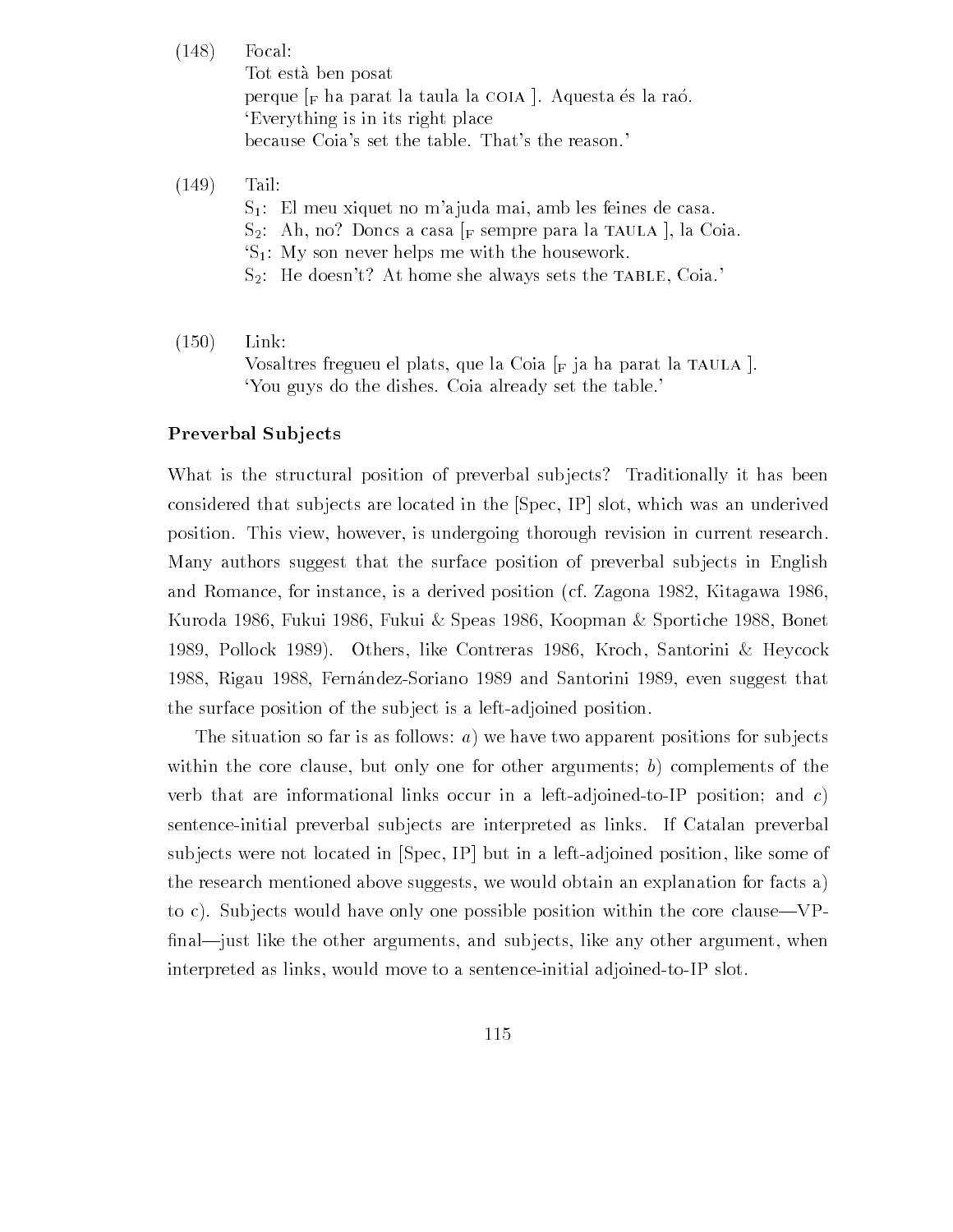$(148)$  Focal:

Tot esta ben posat perque  $\vert_F$  ha parat la taula la COIA  $\vert$ . Aquesta és la raó. Everything is in its right place because Coia's set the table. That's the reason.'

 $(149)$  Tail:

 $S_1$ : El meu xiquet no m'ajuda mai, amb les feines de casa.  $S_2$ : Ah, no? Doncs a casa [F sempre para la TAULA], la Coia.  $S_1$ : My son never helps me with the housework.  $S_2$ : He doesn't? At home she always sets the TABLE, Coia.'

 $(150)$  Link Vosaltres fregueu el plats, que la Coia  $\lceil_{\text{F}}\rceil$  ja ha parat la TAULA  $\lceil$ . You guys do the dishes Coia already set the table

#### Preverbal Subjects

What is the structural position of preverbal subjects? Traditionally it has been considered that subjects are located in the  $[Spec, IP]$  slot, which was an underived position. This view, however, is undergoing thorough revision in current research. Many authors suggest that the surface position of preverbal subjects in English and Romance, for instance, is a derived position (cf. Zagona  $1982$ , Kitagawa  $1986$ , Kuroda 1986, Fukui 1986, Fukui & Speas 1986, Koopman & Sportiche 1988, Bonet 1989, Pollock 1989). Others, like Contreras 1986, Kroch, Santorini & Heycock 1988, Rigau 1988, Fernández-Soriano 1989 and Santorini 1989, even suggest that the surface position of the subject is a left-adjoined position.

The situation so far is as follows: a) we have two apparent positions for subjects within the core clause, but only one for other arguments; b) complements of the verb that are informational links occur in a left-adjoined-to-IP position; and  $c$ ) sentenceinitial preverbal sub jects are interpreted as links If Catalan preverbal subjects were not located in  $[Spec, IP]$  but in a left-adjoined position, like some of the research mentioned above suggests we would obtain an explanation for facts a to c). Subjects would have only one possible position within the core clause—VP--naljust like the other arguments and sub jects like any other argument when interpreted as links, would move to a sentence-initial adjoined-to-IP slot.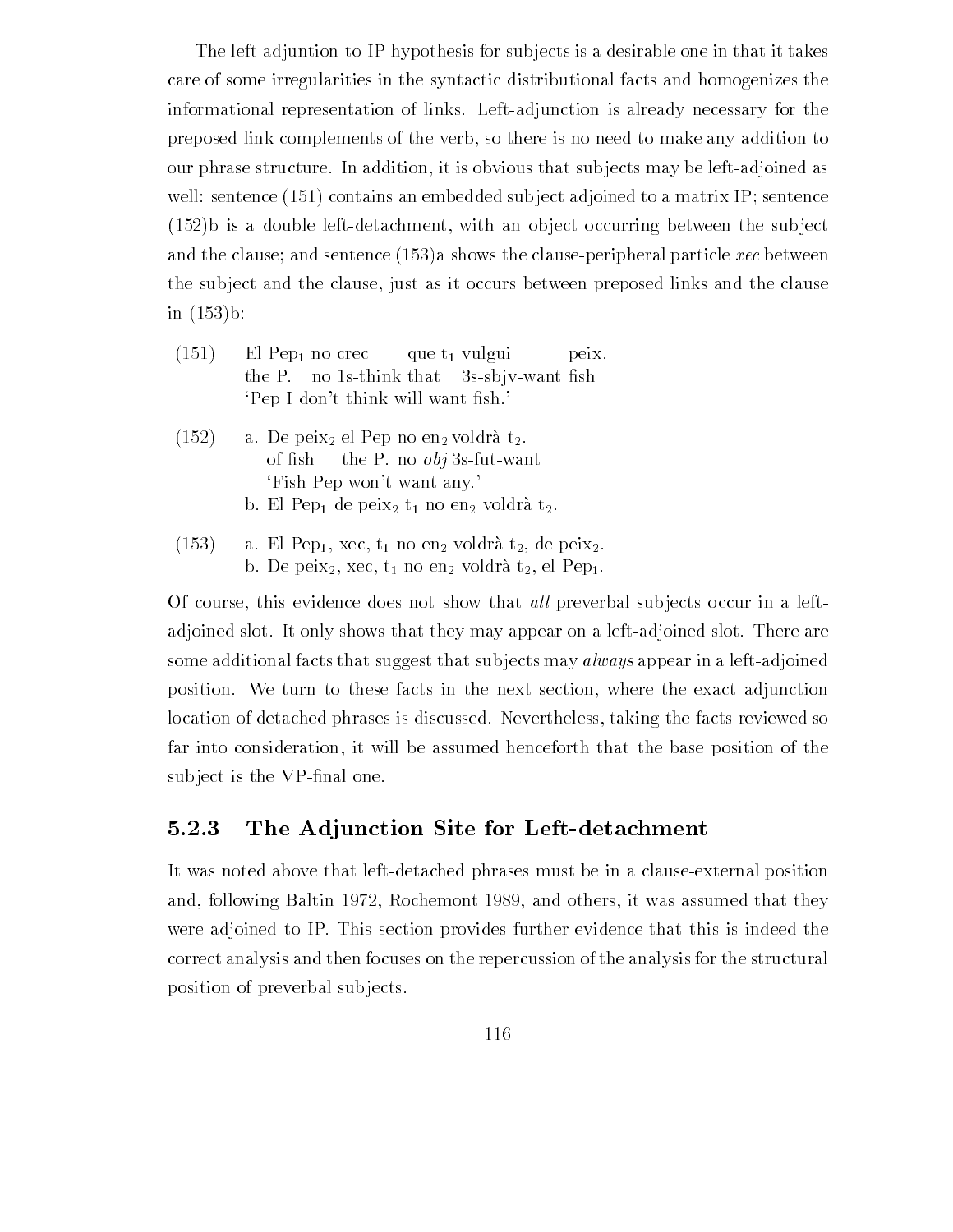The left-adjuntion-to-IP hypothesis for subjects is a desirable one in that it takes care of some irregularities in the syntactic distributional facts and homogenizes the informational representation of links Leftadjunction is already necessary for the preposed link complements of the verb so there is no need to make any addition to our phrase structure. In addition, it is obvious that subjects may be left-adjoined as well sentence and an embedded substitute and an embedded substitute adjoined to a matrix IP sentence adjoined t b is a double leftdetachment with an ob ject occurring between the sub ject and the clause of distributions of the clause the clause peripheral particle xec between the clause the sub ject and the clause just as it occurs between preposed links and the clause in b

- $(151)$ El Pep<sub>1</sub> no crec que  $t_1$  vulgui peix. the P. no 1s-think that 3s-sbjv-want fish Pep I dont think will want the share will want the share will want the share will want the share will want the
- $(152)$ a. De peix<sub>2</sub> el Pep no en<sub>2</sub> voldrà t<sub>2</sub>. of fish the P. no  $obj$  3s-fut-want Fish Pep won't want any.
	- b. El Pep<sub>1</sub> de peix<sub>2</sub>  $t_1$  no en<sub>2</sub> voldrà  $t_2$ .
- $(153)$ a. El Pep<sub>1</sub>, xec,  $t_1$  no en<sub>2</sub> voldrà  $t_2$ , de peix<sub>2</sub>. b. De peix<sub>2</sub>, xec,  $t_1$  no en<sub>2</sub> voldrà  $t_2$ , el Pep<sub>1</sub>.

Of course, this evidence does not show that *all* preverbal subjects occur in a leftadjoined slot. It only shows that they may appear on a left-adjoined slot. There are some additional facts that suggest that subjects may *always* appear in a left-adjoined position. We turn to these facts in the next section, where the exact adjunction location of detached phrases is discussed. Nevertheless, taking the facts reviewed so far into consideration it will be assumed henceforth that the base position of the sub ject is the vertex of the vertex of  $\sim$ 

#### 5.2.3 The Adjunction Site for Left-detachment

It was noted above that left-detached phrases must be in a clause-external position and, following Baltin 1972, Rochemont 1989, and others, it was assumed that they were adjoined to IP. This section provides further evidence that this is indeed the correct analysis and then focuses on the repercussion of the analysis for the structural position of preverbal subjects.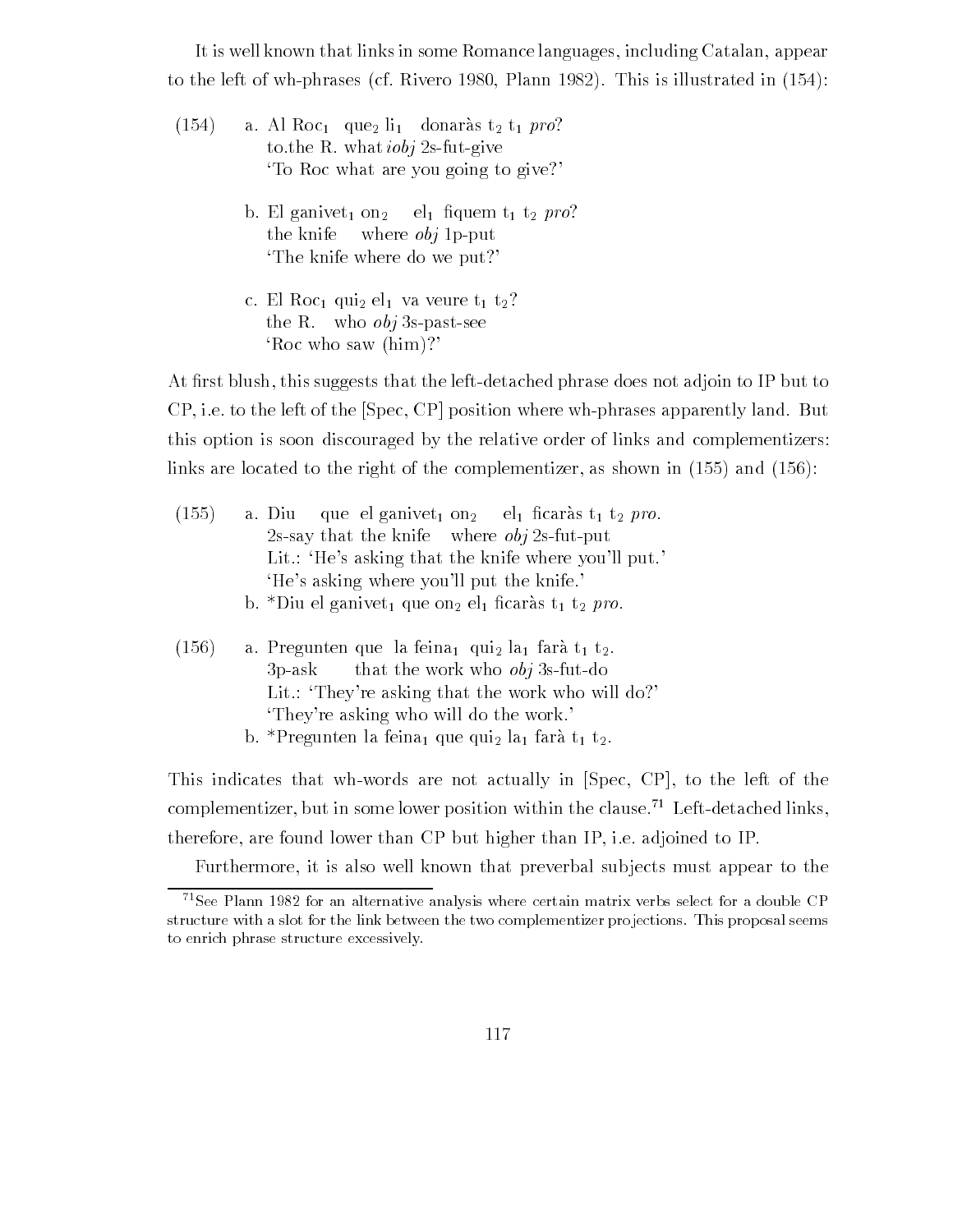It is well known that links in some Romance languages including Catalan appear to the left of which is interesting of  $\mathbb R$  . In this is interesting in this interest in this is illustrated in

- $(154)$ a. Al Roc<sub>1</sub> que li<sub>1</sub> donaràs t<sub>2</sub> t<sub>1</sub> pro? to the R, what  $iobi$  2s-fut-give To Roc what are you going to give? between  $\alpha$  and  $\alpha$  are the state of the property of the property of  $\alpha$  and  $\alpha$  are the property of the property of the property of the property of the property of the property of the property of the property of the the knife where  $obj$  1p-put The knife where do we put?
	- c. El Roc<sub>1</sub> qui<sub>2</sub> el<sub>1</sub> va veure  $t_1$   $t_2$ ? the R. who  $obj$  3s-past-see Roc who saw  $(him)$ ?

At -rst blush this suggests that the leftdetached phrase does not adjoin to IP but to  $CP$ , i.e. to the left of the  $[Spec, CP]$  position where wh-phrases apparently land. But this option is soon discouraged by the relative order of links and complementizers links are located to the right of the complementizer as shown in and

| (155) | a. Diu que el ganivet <sub>1</sub> on <sub>2</sub> el <sub>1</sub> ficaràs t <sub>1</sub> t <sub>2</sub> pro.  |  |  |  |  |
|-------|----------------------------------------------------------------------------------------------------------------|--|--|--|--|
|       | 2s-say that the knife where $obj$ 2s-fut-put                                                                   |  |  |  |  |
|       | Lit.: 'He's asking that the knife where you'll put.'                                                           |  |  |  |  |
|       | 'He's asking where you'll put the knife.'                                                                      |  |  |  |  |
|       | b. *Diu el ganivet <sub>1</sub> que on <sub>2</sub> el <sub>1</sub> ficaràs t <sub>1</sub> t <sub>2</sub> pro. |  |  |  |  |
|       |                                                                                                                |  |  |  |  |
| (156) | a. Pregunten que la feina <sub>l</sub> qui <sub>2</sub> la <sub>1</sub> farà $t_1$ $t_2$ .                     |  |  |  |  |
|       | $3n$ -ask that the work who <i>ohi</i> 3s-fut-do                                                               |  |  |  |  |

- op and a control that worker when they on the most Lit.: 'They're asking that the work who will do?' They're asking who will do the work.
	- b. \*Pregunten la feina, que qui la farà t<sub>1</sub> t<sub>2</sub>.

This indicates that wh-words are not actually in  $[Spec, CP]$ , to the left of the complementizer, but in some lower position within the clause.<sup>71</sup> Left-detached links, therefore, are found lower than CP but higher than IP, i.e. adjoined to IP.

Furthermore, it is also well known that preverbal subjects must appear to the

 $\tau$ see Plann 1982 for an alternative analysis where certain matrix verbs select for a double CP  $\tau$ structure with a slot for the link between the two complementizer projections. This proposal seems to enrich phrase structure excessively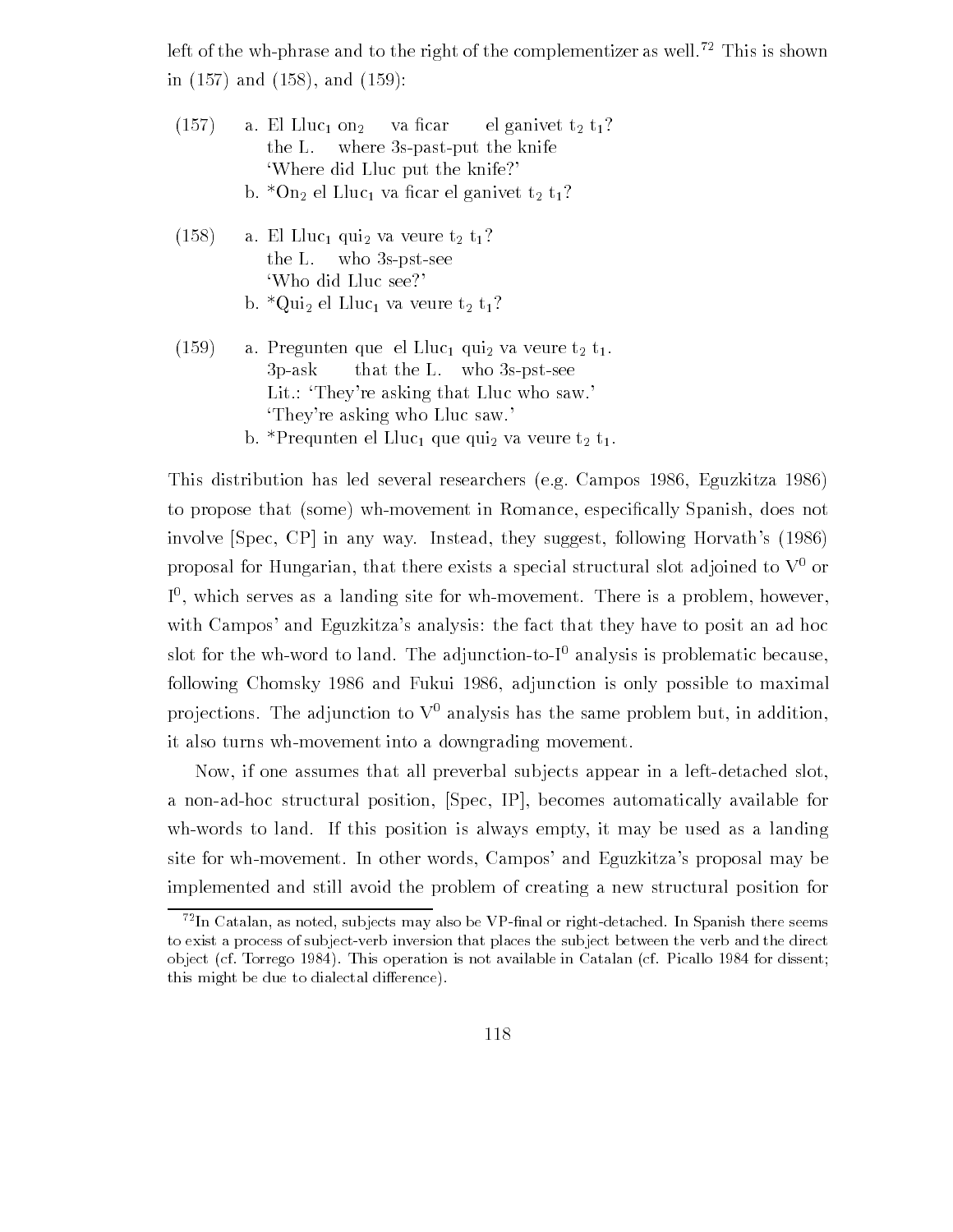left of the wh-phrase and to the right of the complementizer as well.<sup>72</sup> This is shown in the contract of the contract of the contract of the contract of the contract of the contract of the contract of the contract of the contract of the contract of the contract of the contract of the contract of the contra

|       | $(157)$ a. El Lluc <sub>1</sub> on <sub>2</sub> va ficar el ganivet t <sub>2</sub> t <sub>1</sub> ?<br>the L. where 3s-past-put the knife<br>'Where did Lluc put the knife?'                       |  |
|-------|----------------------------------------------------------------------------------------------------------------------------------------------------------------------------------------------------|--|
|       | b. *On <sub>2</sub> el Lluc <sub>1</sub> va ficar el ganivet $t_2$ $t_1$ ?                                                                                                                         |  |
| (158) | a. El Lluc <sub>1</sub> qui <sub>2</sub> va veure $t_2$ $t_1$ ?<br>the L. who $3s$ -pst-see<br>'Who did Lluc see?'                                                                                 |  |
|       | b. *Qui <sub>2</sub> el Lluc <sub>1</sub> va veure $t_2$ $t_1$ ?                                                                                                                                   |  |
| (159) | a. Pregunten que el Lluc <sub>1</sub> qui <sub>2</sub> va veure $t_2$ $t_1$ .<br>$3p-ask$ that the L. who 3s-pst-see<br>Lit.: 'They're asking that Lluc who saw.'<br>They're asking who Lluc saw.' |  |

b. \*Prequnten el Lluc<sub>1</sub> que qui<sub>2</sub> va veure  $t_2$   $t_1$ .

This distribution has led several researchers (e.g. Campos 1986, Eguzkitza 1986) to propose that some whmovement in Romance especi-cally Spanish does not involve  $[Spec, CP]$  in any way. Instead, they suggest, following Horvath's  $(1986)$ proposal for Hungarian, that there exists a special structural slot adjoined to  $V^0$  or  $\Gamma$ , which serves as a landing site for wh-movement. There is a problem, nowever, with Campos' and Eguzkitza's analysis: the fact that they have to posit an ad hoc slot for the wh-word to land. The adjunction-to- $I^0$  analysis is problematic because, following Chomsky 1986 and Fukui 1986, adjunction is only possible to maximal projections. The adjunction to  $V^0$  analysis has the same problem but, in addition, it also turns wh-movement into a downgrading movement.

Now, if one assumes that all preverbal subjects appear in a left-detached slot. a non-ad-hoc structural position, [Spec, IP], becomes automatically available for wh-words to land. If this position is always empty, it may be used as a landing site for wh-movement. In other words, Campos' and Eguzkitza's proposal may be implemented and still avoid the problem of creating a new structural position for

 $^{72}$ In Catalan, as noted, subjects may also be VP-final or right-detached. In Spanish there seems to exist a process of subject-verb inversion that places the subject between the verb and the direct object jest steelige strapt saam operations in Alt Attachment in Catalana jest steedhed steel available i this might be due to dialectal difference.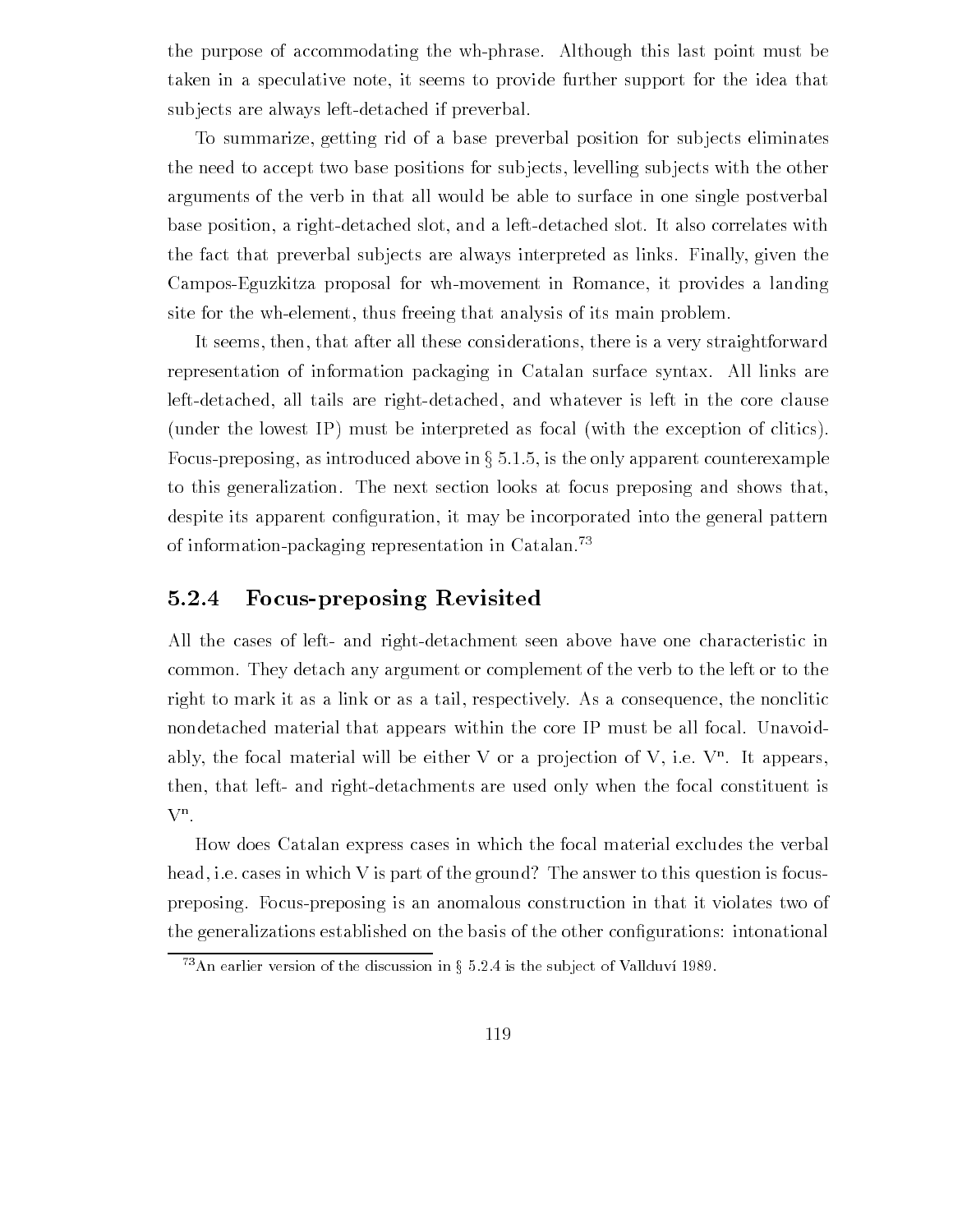the purpose of accommodating the wh-phrase. Although this last point must be taken in a speculative note it seems to provide further support for the idea that subjects are always left-detached if preverbal.

To summarize getting rid of a base preverbal position for sub jects eliminates the need to accept two base positions for subjects, levelling subjects with the other arguments of the verb in that all would be able to surface in one single postverbal base position, a right-detached slot, and a left-detached slot. It also correlates with the fact that preverbal subjects are always interpreted as links. Finally, given the Campos-Eguzkitza proposal for wh-movement in Romance, it provides a landing site for the wh-element, thus freeing that analysis of its main problem.

It seems, then, that after all these considerations, there is a very straightforward representation of information packaging in Catalan surface syntax All links are left-detached, all tails are right-detached, and whatever is left in the core clause (under the lowest IP) must be interpreted as focal (with the exception of clitics). Focus-preposing, as introduced above in  $\S 5.1.5$ , is the only apparent counterexample to this generalization. The next section looks at focus preposing and shows that, despite its approximation it may be into the general pattern into  $\alpha$  into the general patterns in of information-packaging representation in Catalan.<sup>73</sup>

## 5.2.4 Focus-preposing Revisited

All the cases of left- and right-detachment seen above have one characteristic in common. They detach any argument or complement of the verb to the left or to the right to mark it as a link or as a tail, respectively. As a consequence, the nonclitic nondetached material that appears within the core IP must be all focal. Unavoidably, the focal material will be either V or a projection of V, i.e. V". It appears, then, that left- and right-detachments are used only when the focal constituent is Vn

How does Catalan express cases in which the focal material excludes the verbal head, i.e. cases in which V is part of the ground? The answer to this question is focuspreposing Focuspreposing is an anomalous construction in that it violates two of  $\mathbf{f}$ 

 $\pm$  An earlier version of the discussion in  $\frac{1}{3}$  D.2.4 is the subject of Validuvi 1989.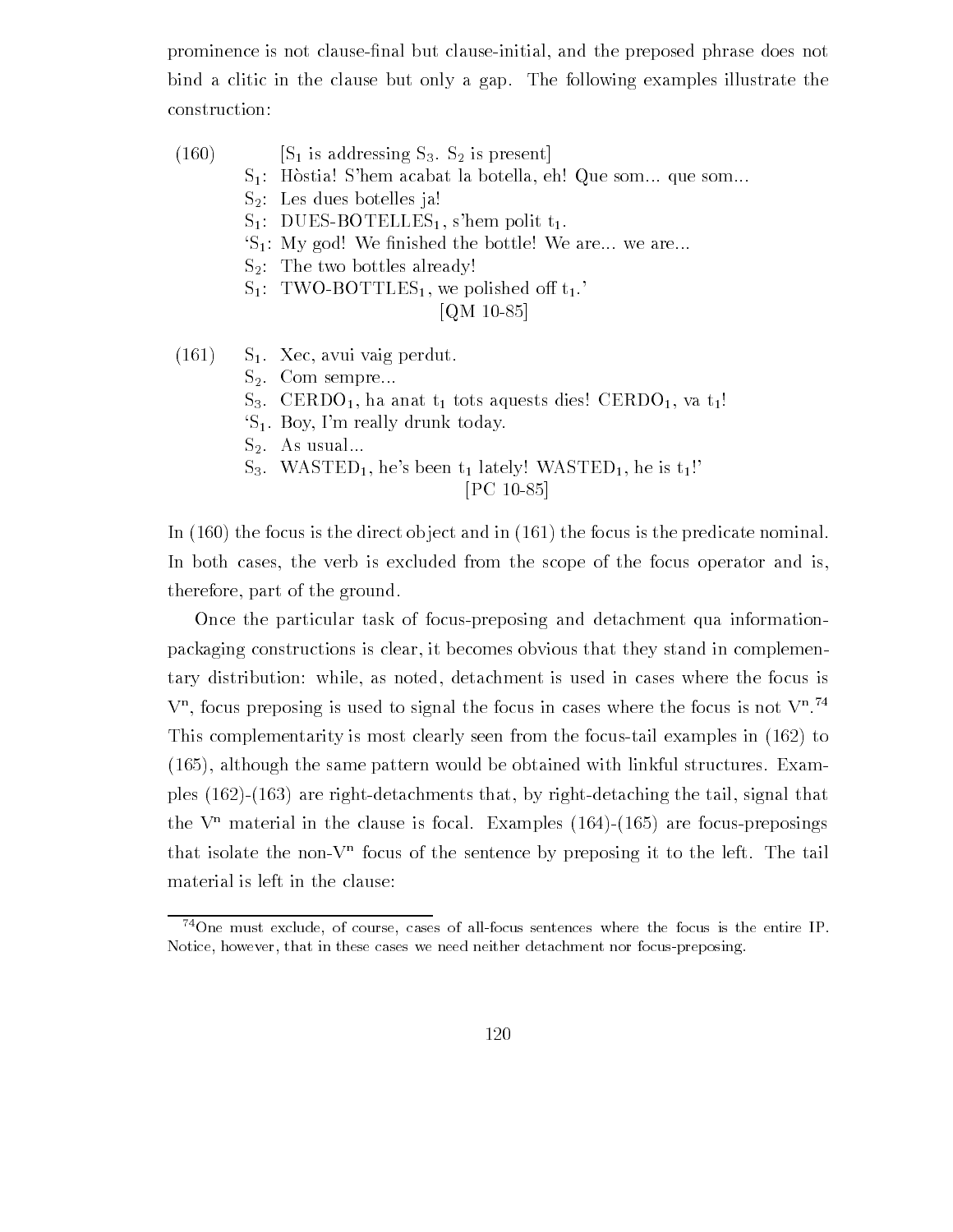prominence is not clause-nal but clauseinitial and the preposed phrase does not bind a clitic in the clause but only a gap The following examples illustrate the construction

- $\begin{array}{ccc} \cdot & \cdot & \cdot & \cdot \end{array}$ 
	- $S_1$ : Hòstia! S'hem acabat la botella, eh! Que som que som ...
	- $S_2$ : Les dues botelles ja!
	- $S_1$ : DUES-BOTELLES<sub>1</sub>, s'hem polit t<sub>1</sub>.
	- s and the bottle three measures we are we are we are we are we are we
	- $S_2$ : The two bottles already!
	- $S_1$ : TWO-BOTTLES<sub>1</sub>, we polished off  $t_1$ .

### $\blacksquare$   $\blacksquare$   $\blacksquare$   $\blacksquare$   $\blacksquare$   $\blacksquare$   $\blacksquare$   $\blacksquare$   $\blacksquare$   $\blacksquare$   $\blacksquare$   $\blacksquare$   $\blacksquare$   $\blacksquare$   $\blacksquare$   $\blacksquare$   $\blacksquare$   $\blacksquare$   $\blacksquare$   $\blacksquare$   $\blacksquare$   $\blacksquare$   $\blacksquare$   $\blacksquare$   $\blacksquare$   $\blacksquare$   $\blacksquare$   $\blacksquare$   $\blacksquare$   $\blacksquare$   $\blacksquare$   $\blacks$

- $(161)$  S<sub>1</sub>. Xec, avui vaig perdut.
	- $S_2$ . Com sempre...
	- S- CERDO ha anat t tots aquests dies% CERDO va t%
	- $S_1$ . Boy, I'm really drunk today.
	- $S_2$ . As usual...
	- SASTED HES BEEN THE STATE HES BEEN TO A STATED HE IS THE ISLAMING WASTED HE IS TO A LITTLE WAS ARRESTED FOR A LITTLE

 $\blacksquare$  . The contract of the contract of the contract of the contract of the contract of the contract of the contract of the contract of the contract of the contract of the contract of the contract of the contract of the

In  $(160)$  the focus is the direct object and in  $(161)$  the focus is the predicate nominal. In both cases, the verb is excluded from the scope of the focus operator and is, therefore, part of the ground.

Once the particular task of focus-preposing and detachment qua informationpackaging constructions is clear it becomes obvious that they stand in complemen tary distribution: while, as noted, detachment is used in cases where the focus is  $V$ , focus preposing is used to signal the focus in cases where the focus is not  $V$ . This complementarity is most clearly seen from the focus-tail examples in  $(162)$  to although the same part is samed with linking with linking be obtained with link full structures Examined With ples  $(162)-(163)$  are right-detachments that, by right-detaching the tail, signal that the  $\bar{v}$  -material in the clause is focal. Examples (104)–(105) are focus-preposings that isolate the non- $V^+$  focus of the sentence by preposing it to the left. The tail material is left in the clause

 $^{74}$ One must exclude, of course, cases of all-focus sentences where the focus is the entire IP. Notice, however, that in these cases we need neither detachment nor focus-preposing.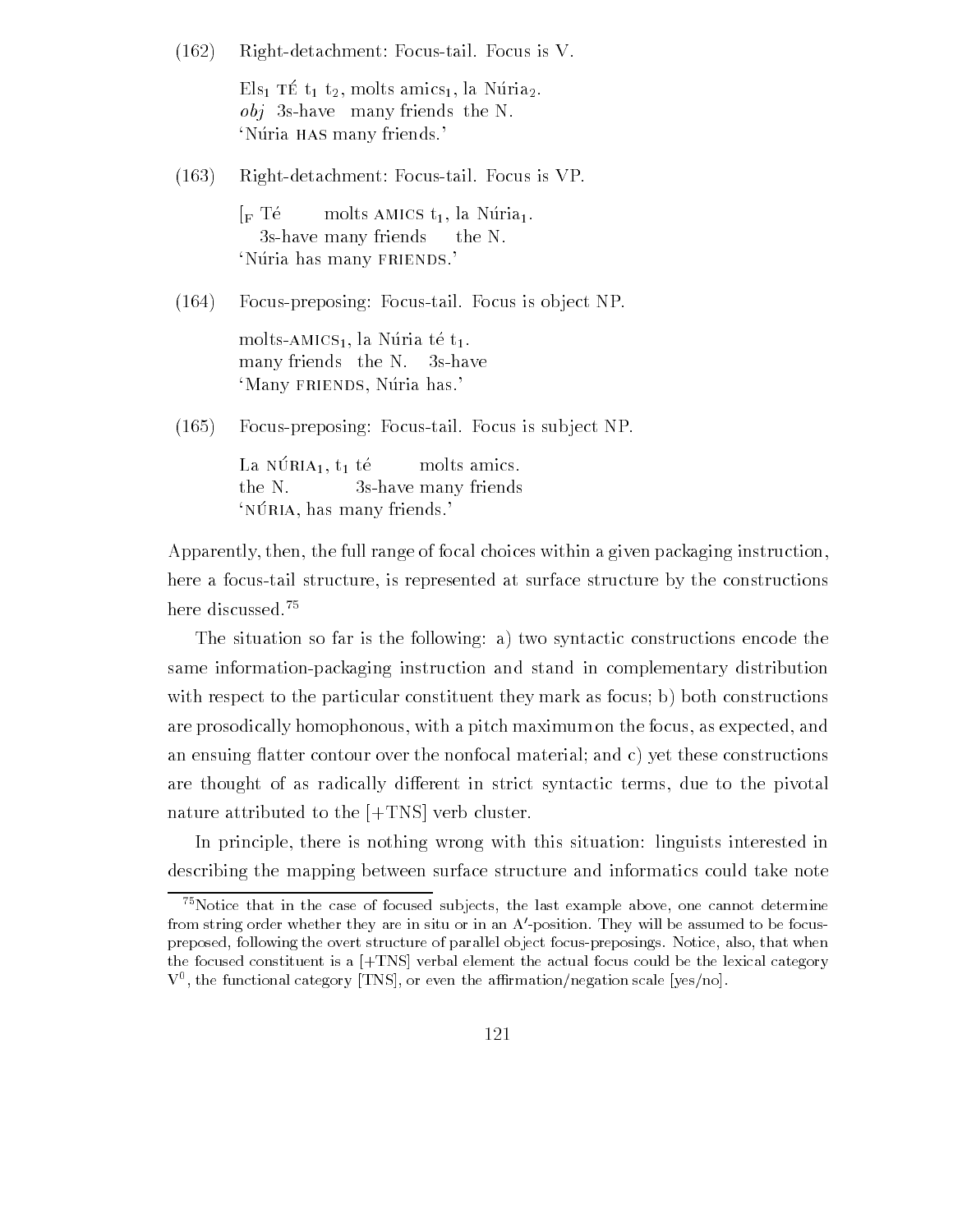$(162)$  Right-detachment: Focus-tail. Focus is V.

 $\text{E}_{\text{no}}$  to  $\text{v}_1$   $\text{v}_2$ , more amics  $\text{I}, \text{no}$  refluz.  $obj$  3s-have many friends the N. 'Núria has many friends.'

 $(163)$ Right-detachment: Focus-tail. Focus is VP.

> $\Gamma$ F Té molts AMICS t<sub>1</sub>, la Núria<sub>1</sub>. 3s-have many friends the N. 'Núria has many FRIENDS.'

 $(164)$  Focus-preposing: Focus-tail. Focus is object NP.

molts-AMICS<sub>1</sub>, la Núria té t<sub>1</sub>. many friends  $the N.$ 3s-have 'Many FRIENDS, Núria has.'

 $(165)$ Focus-preposing: Focus-tail. Focus is subject NP.

> La reliefe di molts amics. the N.  $3s$ -have many friends nonia, nas many friends.

Apparently, then, the full range of focal choices within a given packaging instruction, here a focus-tail structure, is represented at surface structure by the constructions here discussed.<sup>75</sup>

The situation so far is the following: a) two syntactic constructions encode the same information-packaging instruction and stand in complementary distribution with respect to the particular constituent they mark as focus; b) both constructions are prosodically homophonous, with a pitch maximum on the focus, as expected, and an ensuing flatter contour over the nonfocal material; and  $c$ ) yet these constructions are thought of as radically different in strict syntactic terms, due to the pivotal nature attributed to the  $[+TNS]$  verb cluster.

In principle, there is nothing wrong with this situation: linguists interested in describing the mapping between surface structure and informatics could take note

 $^{75}$  Notice that in the case of focused subjects, the last example above, one cannot determine from string order whether they are in situ or in an A'-position. They will be assumed to be focuspreposed, following the overt structure of parallel object focus-preposings. Notice, also, that when the focused constituent is a  $[+TNS]$  verbal element the actual focus could be the lexical category  $V$ , the functional category  $|1NS|$ , or even the animitation/hegation scale  $|yes/nO|$ .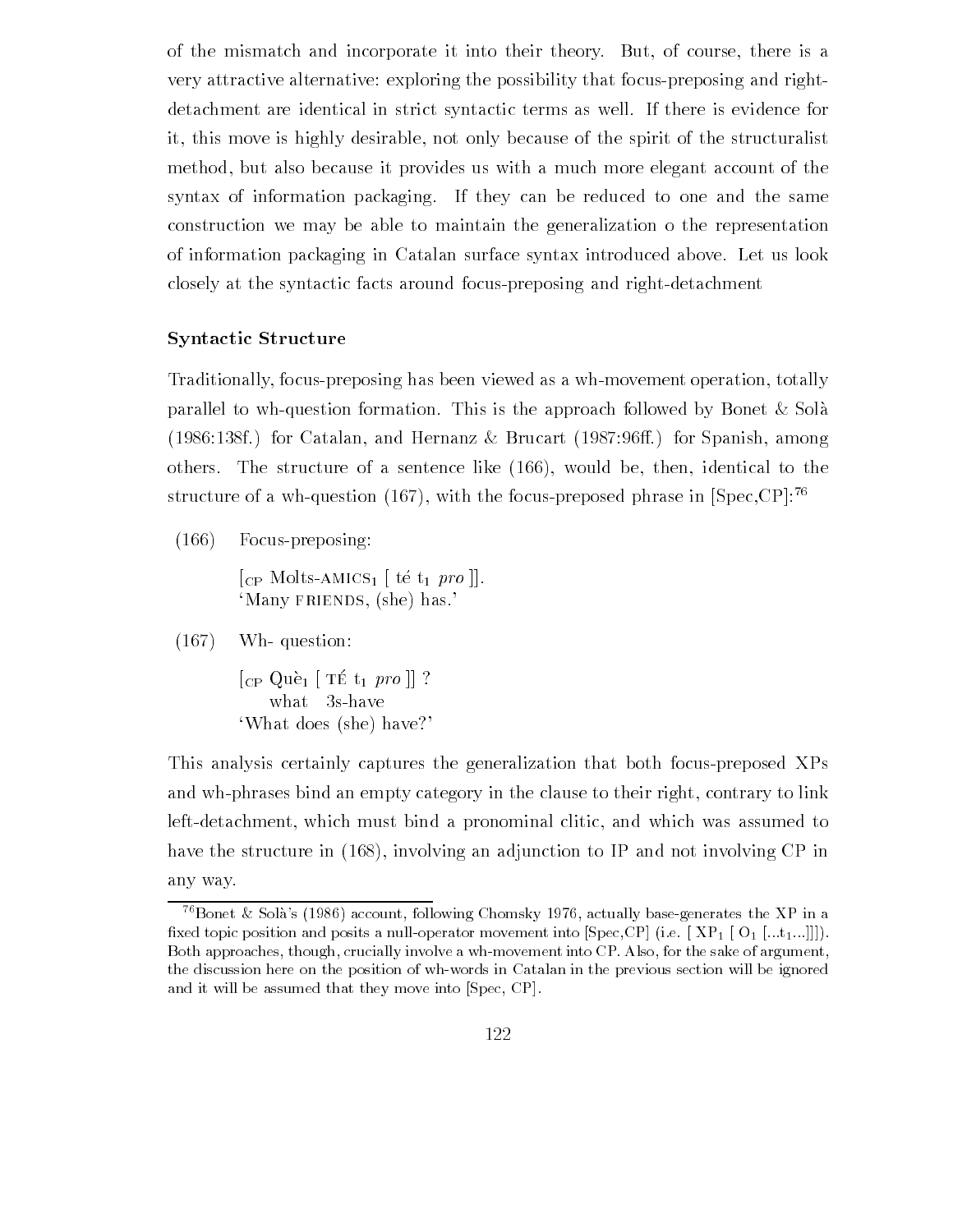of the mismatch and incorporate it into their theory. But, of course, there is a very attractive alternative: exploring the possibility that focus-preposing and rightdetachment are identical in strict syntactic terms as well If there is evidence for it, this move is highly desirable, not only because of the spirit of the structuralist method, but also because it provides us with a much more elegant account of the syntax of information packaging. If they can be reduced to one and the same construction we may be able to maintain the generalization o the representation of information packaging in Catalan surface syntax introduced above Let us look closely at the syntactic facts around focus-preposing and right-detachment

### Syntactic Structure

Traditionally, focus-preposing has been viewed as a wh-movement operation, totally parallel to wh-question formation. This is the approach followed by Bonet  $\&$  Solà (1986:138f.) for Catalan, and Hernanz & Brucart  $(1987:96ff.)$  for Spanish, among others. The structure of a sentence like  $(166)$ , would be, then, identical to the structure of a wh-question (167), with the focus-preposed phrase in  $\text{[Spec, CP]}$ <sup>76</sup>

 $(166)$  Focus-preposing:

 $[CP$  Molts-AMICS<sub>1</sub> [ té t<sub>1</sub> pro ]]. 'Many FRIENDS, (she) has.'

 $(167)$  Wh-question:

 $|CF$   $Q$ ue  $| + 1$  to  $| + 1$  pro  $| + 1$ what 3s-have 'What does (she) have?'

This analysis certainly captures the generalization that both focuspreposed XPs and wh-phrases bind an empty category in the clause to their right, contrary to link left-detachment, which must bind a pronominal clitic, and which was assumed to have the structure in  $(168)$ , involving an adjunction to IP and not involving CP in any way

 $\degree$  Bonet  $\alpha$  sola s (1980) account, following Chomsky 1970, actually base-generates the XP in a fixed topic position and posits a null-operator movement into  $\left[Spec, CP\right]$  (i.e.  $\left[XP_1 \right]$  [O<sub>1</sub> [...t<sub>1</sub>...]]]). Both approaches, though, crucially involve a wh-movement into CP. Also, for the sake of argument, the discussion here on the position of whwords in Catalan in the previous section will be ignored and it will be assumed that they move into [Spec, CP].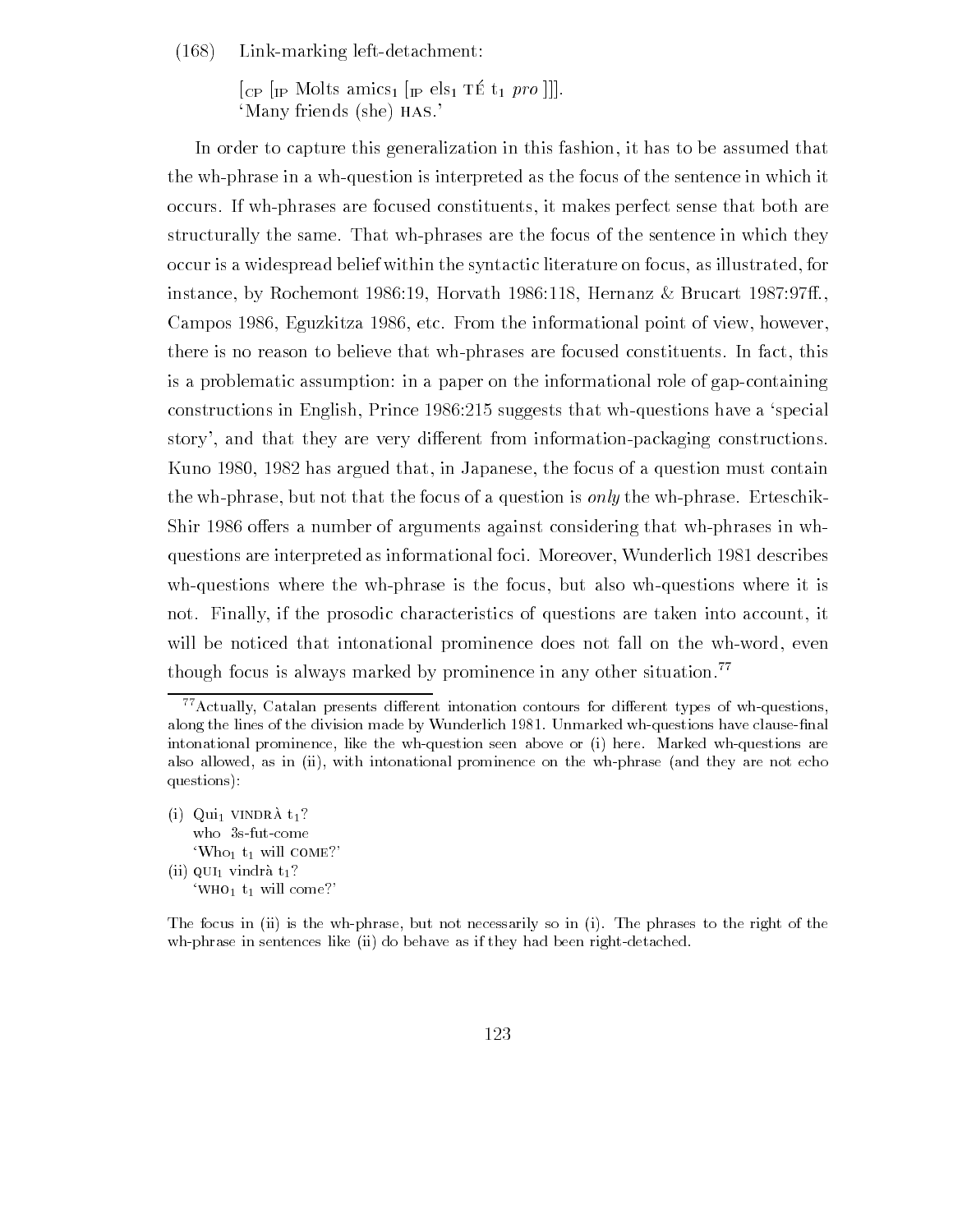$(168)$  Link-marking left-detachment:

 $\mathbb{E}[\mathbf{C}^P \mid \mathbf{I}^P]$  and  $\mathbf{C}$  and  $\mathbf{C}$  are  $\mathbf{I}$  are  $\mathbf{I}$  are  $\mathbf{C}$  and  $\mathbf{C}$  are  $\mathbf{C}$  and  $\mathbf{C}$  are  $\mathbf{C}$  and  $\mathbf{C}$  are  $\mathbf{C}$  and  $\mathbf{C}$  are  $\mathbf{C}$  and  $\mathbf{C}$  are  $\mathbf{C}$ 'Many friends (she) HAS.'

In order to capture this generalization in this fashion it has to be assumed that the wh-phrase in a wh-question is interpreted as the focus of the sentence in which it occurs. If wh-phrases are focused constituents, it makes perfect sense that both are structurally the same. That wh-phrases are the focus of the sentence in which they occur is a widespread belief within the syntactic literature on focus, as illustrated, for instance, by Rochemont 1986:19, Horvath  $1986:118$ , Hernanz & Brucart  $1987:97ff$ . Campos 1986, Eguzkitza 1986, etc. From the informational point of view, however, there is no reason to believe that wh-phrases are focused constituents. In fact, this is a problematic assumption: in a paper on the informational role of gap-containing  $\alpha$  suggests that which  $\alpha$  suggests that which we specialize the specializer  $\alpha$  specializer  $\alpha$ story', and that they are very different from information-packaging constructions. Kuno 1980, 1982 has argued that, in Japanese, the focus of a question must contain the wh-phrase, but not that the focus of a question is *only* the wh-phrase. Erteschik-Shir 1986 offers a number of arguments against considering that wh-phrases in whquestions are interpreted as informational foci. Moreover, Wunderlich 1981 describes  $wh\text{-}questions$  where the wh-phrase is the focus, but also wh-questions where it is not. Finally, if the prosodic characteristics of questions are taken into account, it will be noticed that intonational prominence does not fall on the wh-word, even though focus is always marked by prominence in any other situation.<sup>77</sup>

(i)  $\text{Qui}_1$  vINDRA  $t_1$ ? who 3s-fut-come 'Who<sub>1</sub>  $t_1$  will COME?' (ii)  $qU_1$  vindrà  $t_1$ ? 'WHO<sub>1</sub>  $t_1$  will come?'

The focus in (ii) is the wh-phrase, but not necessarily so in (i). The phrases to the right of the wh-phrase in sentences like (ii) do behave as if they had been right-detached.

 $^{77}$  Actually, Catalan presents different intonation contours for different types of wh-questions, along the division matrix of the division matrix  $U$  whose clausenal clausenal clausenal clausenal clausenal clausenal control of the division of the division of the division of the division of the division of the divisio intonational prominence, like the wh-question seen above or (i) here. Marked wh-questions are also allowed, as in (ii), with intonational prominence on the wh-phrase (and they are not echo questions):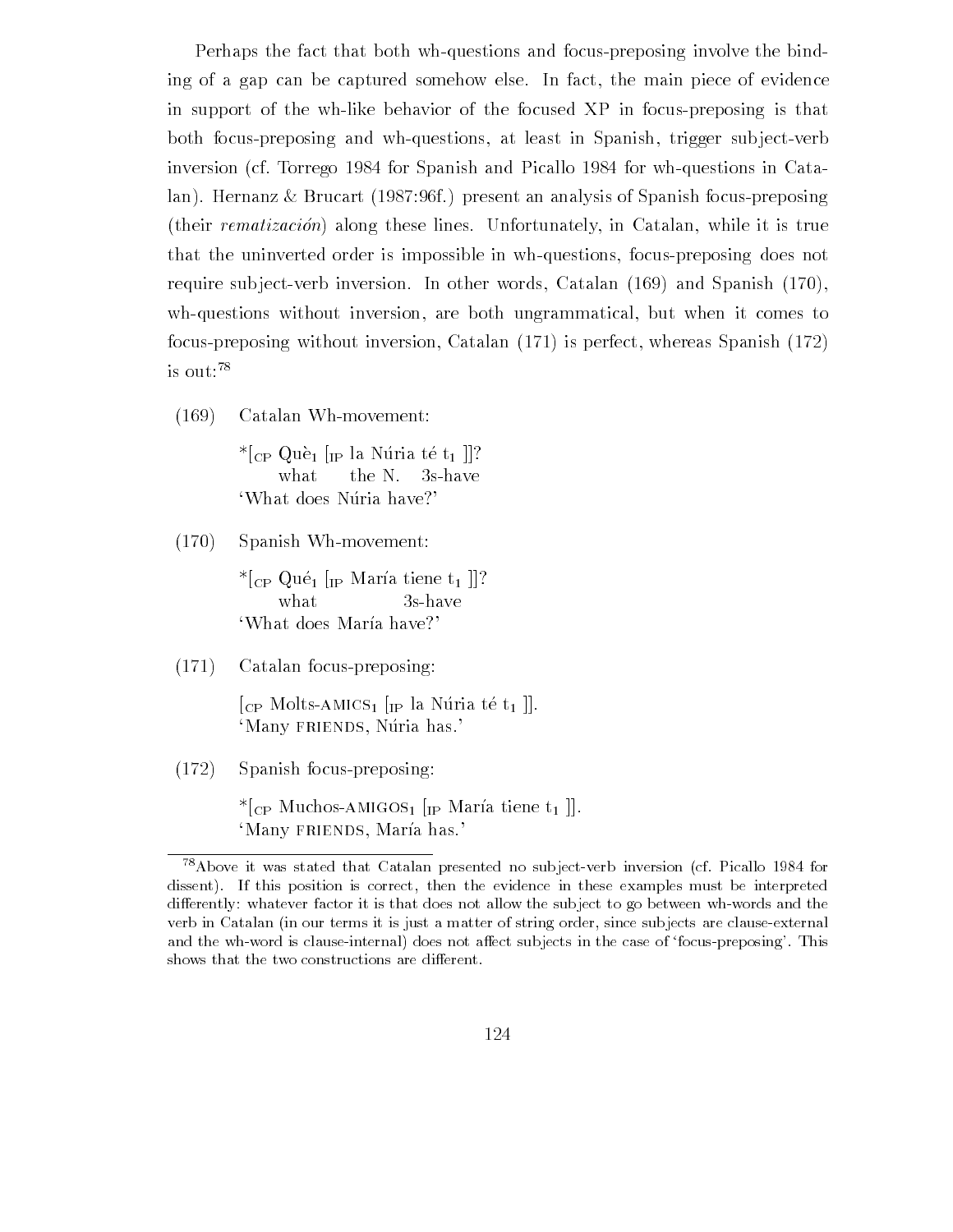Perhaps the fact that both wh-questions and focus-preposing involve the binding of a gap can be captured somehow else. In fact, the main piece of evidence in support of the wh-like behavior of the focused XP in focus-preposing is that both focus-preposing and wh-questions, at least in Spanish, trigger subject-verb inversion (cf. Torrego  $1984$  for Spanish and Picallo  $1984$  for wh-questions in Catalan). Hernanz & Brucart (1987.96f.) present an analysis of Spanish focus-preposing  $($ their *rematización* $)$  along these lines. Unfortunately, in Catalan, while it is true that the uninverted order is impossible in wh-questions, focus-preposing does not require subject-verb inversion. In other words, Catalan  $(169)$  and Spanish  $(170)$ , wh-questions without inversion, are both ungrammatical, but when it comes to focus-preposing without inversion, Catalan  $(171)$  is perfect, whereas Spanish  $(172)$ is out

 $(169)$  Catalan Wh-movement:

 $*_{\text{CP}}$  Què<sub>1</sub> [<sub>IP</sub> la Núria té t<sub>1</sub> ]]? what the N.  $3s$ -have 'What does Núria have?'

 $(170)$  Spanish Wh-movement:

 $\mathbf{I} \cup \mathbf{I}$  is a set of  $\mathbf{I} \cup \mathbf{I}$  in the set of  $\mathbf{I} \cup \mathbf{I}$ 'What does María have?'

 $(171)$  Catalan focus-preposing:

 $\lceil_{\text{CP}}$  Molts-AMICS<sub>1</sub>  $\lceil_{\text{IP}}$  la Núria té t<sub>1</sub>  $\lceil$ . 'Many FRIENDS, Núria has.'

 $(172)$  Spanish focus-preposing:

 $*_{\text{CP}}$  Muchos-AMIGOS<sub>1</sub> [<sub>IP</sub> María tiene t<sub>1</sub>]. 'Many FRIENDS, María has.'

<sup>.</sup> Above it was stated that Catalan presented no subject-verb inversion (cf. Picallo 1984 for  $\,$ dissent). If this position is correct, then the evidence in these examples must be interpreted differently: whatever factor it is that does not allow the subject to go between wh-words and the verb in Catalan (in our terms it is just a matter of string order, since subjects are clause-external and the who who is clause in this case of focus in the case of focus in the case of focus preposingshows that the two constructions are different.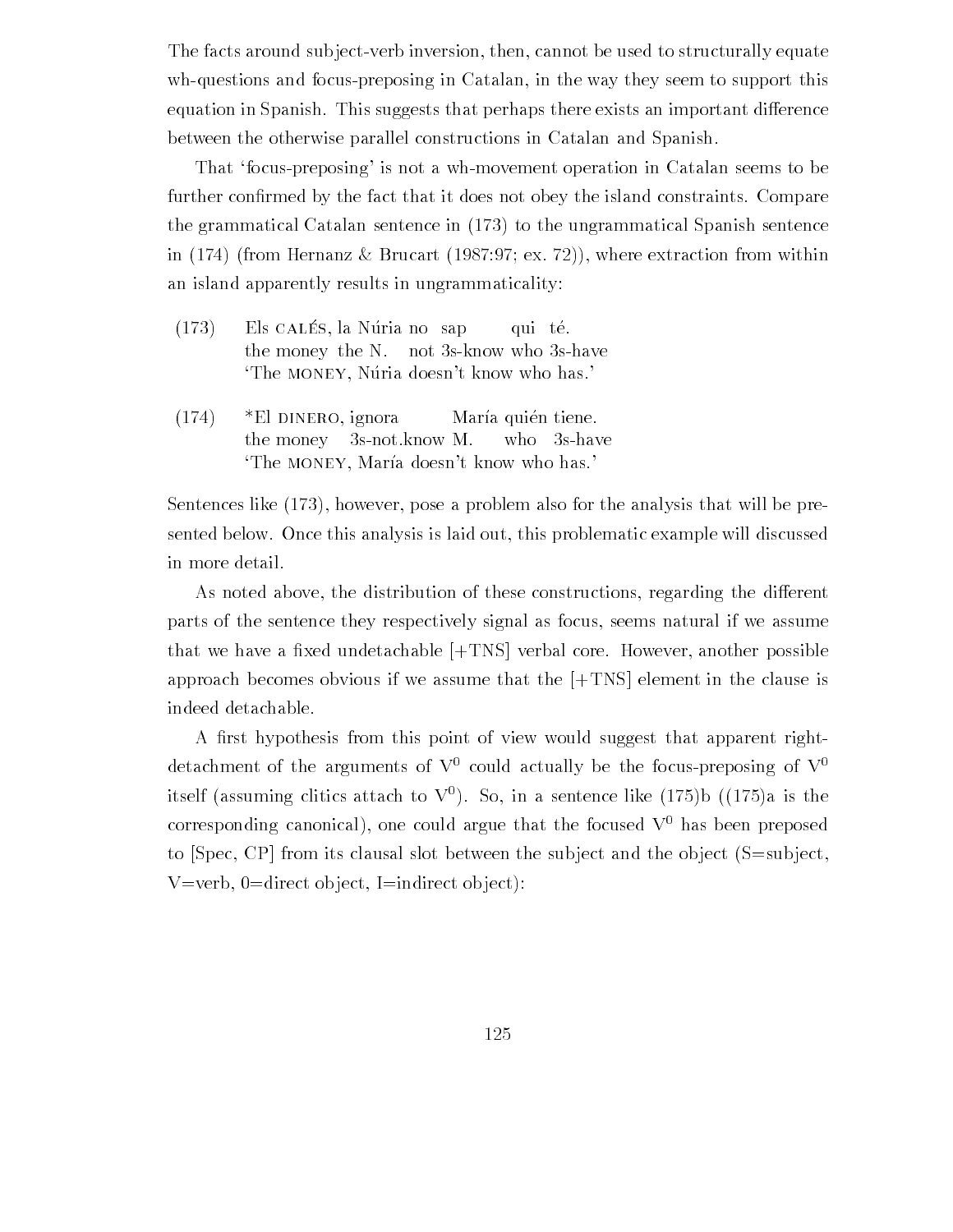The facts around subject-verb inversion, then, cannot be used to structurally equate wh-questions and focus-preposing in Catalan, in the way they seem to support this equation in Spanish. This suggests that perhaps there exists an important difference between the otherwise parallel constructions in Catalan and Spanish

That 'focus-preposing' is not a wh-movement operation in Catalan seems to be further con-rmed by the fact that it does not obey the island constraints Compare the grammatical Catalan sentence in  $(173)$  to the ungrammatical Spanish sentence in  $(174)$  (from Hernanz & Brucart  $(1987.97; \text{ex. } 72)$ ), where extraction from within an island apparently results in ungrammaticality

- $(10)$  Els CALES, Revolute to sap qui tel the money the N. not 3s-know who 3s-have The MONEY, Núria doesn't know who has.
- $(174)$  \*El DINERO, ignora María quién tiene. the money  $3s$ -notknow M. who  $3s$ -have 'The MONEY, María doesn't know who has.'

Sentences like  $(173)$ , however, pose a problem also for the analysis that will be presented below. Once this analysis is laid out, this problematic example will discussed in more detail

As noted above, the distribution of these constructions, regarding the different parts of the sentence they respectively signal as focus, seems natural if we assume that we have a -xed undetachable ".TNS# verbal core However another possible approach becomes obvious if we assume that the  $[+TNS]$  element in the clause is indeed detachable

 $\mathcal{N}$  -from this point of view would suggest that apparent right that apparent right view would suggest that apparent right view  $\mathcal{N}$ detachment of the arguments of  $V^0$  could actually be the focus-preposing of  $V^0$ itself (assuming chuics attach to V $\cdot$ ). So, in a sentence like (175) $p$  ((175)a is the corresponding canonical), one could argue that the focused  $V^0$  has been preposed to  $[Spec, CP]$  from its clausal slot between the subject and the object  $(S=subject,$ V=verb,  $0 =$ direct object, I=indirect object):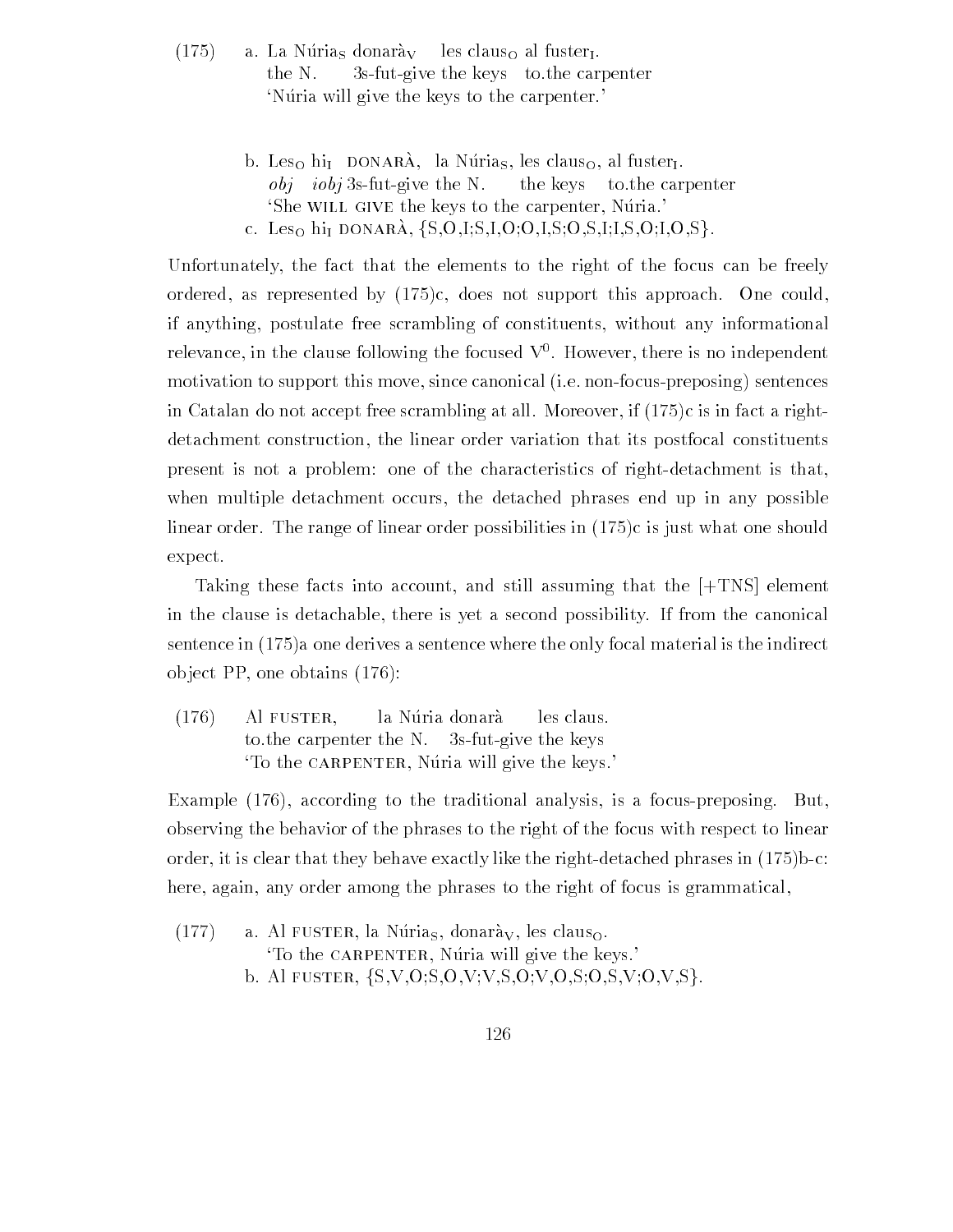- $(175)$ a. La Núrias donarày les claus<sub>O</sub> al fuster<sub>I</sub>. the N.  $3s$ -fut-give the keys to the carpenter 'Núria will give the keys to the carpenter.'
	- b. Les<sub>O</sub> hi<sub>I</sub> DONARÀ, la Núria<sub>S</sub>, les claus<sub>O</sub>, al fuster<sub>I</sub>.  $obj \; iobj$  3s-fut-give the N. the keys to the carpenter 'She WILL GIVE the keys to the carpenter, Nuria.' c. Les<sub>O</sub> hi<sub>I</sub> DONARÀ,  $\{S, O, I; S, I, O, O, I, S; O, S, I; I, S, O, I, O, S\}$ .

Unfortunately the fact that the elements to the right of the focus can be freely cordered as ordered as represented by the support this approach of the county of if anything postulate free scrambling of constituents without any informational relevance, in the clause following the focused **v** . However, there is no independent motivation to support this move, since canonical (i.e. non-focus-preposing) sentences in Catalan do not accept free scrape if  $\alpha$  is in fact at all  $\alpha$  right free scrape if  $\alpha$ detachment construction, the linear order variation that its postfocal constituents present is not a problem: one of the characteristics of right-detachment is that, when multiple detachment occurs, the detached phrases end up in any possible linear order The range of linear order possibilities in  $\mathcal{N}$  and  $\mathcal{N}$  and  $\mathcal{N}$  and  $\mathcal{N}$  and  $\mathcal{N}$ expect

Taking these facts into account, and still assuming that the  $[+TNS]$  element in the clause is detachable, there is yet a second possibility. If from the canonical sentence in  $\{ \cdots \}$  a sentence where the only focal material is the indirection is the indirection object PP, one obtains  $(176)$ :

 $(176)$  Al FUSTER, la Núria donarà les claus. to the carpenter the N.  $3s$ -fut-give the keys To the CARPENTER, Nuria will give the keys.'

Example  $(176)$ , according to the traditional analysis, is a focus-preposing. But, observing the behavior of the phrases to the right of the focus with respect to linear order it is clear that the process is clear to prove the right. Before the right of the right of here, again, any order among the phrases to the right of focus is grammatical,

 $(177)$  a. Al FUSTER, la Núrias, donarày, les clauso. To the CARPENTER, Núria will give the keys. b. Al FUSTER,  $\{S.V.O.S.O.V.V.S.O.V.O.S.O.S.V.O.V.S\}$ .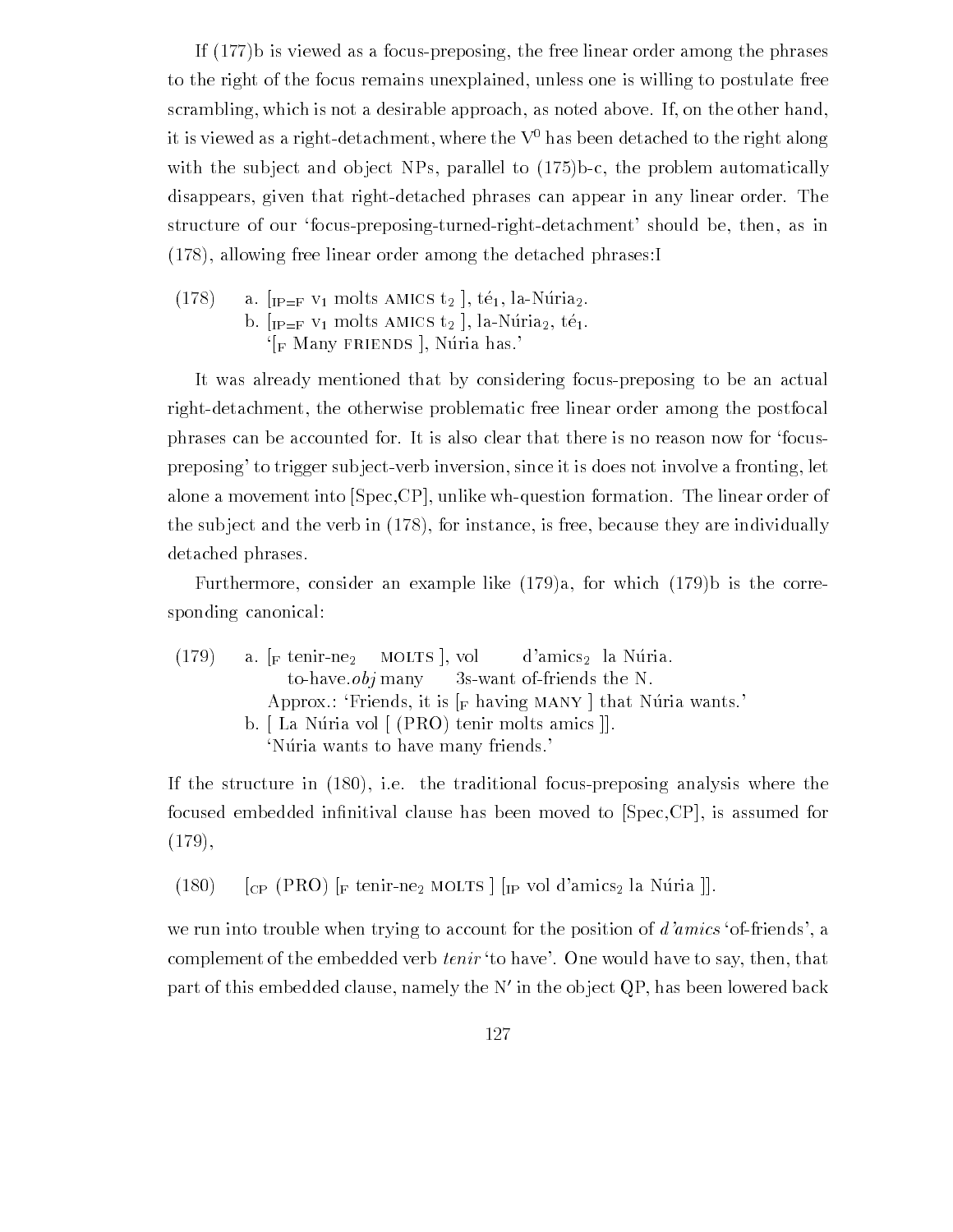If  $(177)$  is viewed as a focus-preposing, the free linear order among the phrases to the right of the focus remains unexplained, unless one is willing to postulate free scrambling, which is not a desirable approach, as noted above. If, on the other hand, it is viewed as a right-detachment, where the  $V<sup>0</sup>$  has been detached to the right along with the substitution of the substitution observed to the problem and observed to the problem automatically in disappears, given that right-detached phrases can appear in any linear order. The structure of our 'focus-preposing-turned-right-detachment' should be then, as in  $(178)$ , allowing free linear order among the detached phrases:

(178) a. 
$$
[IP=F V_1 \text{ molts AMICS } t_2]
$$
,  $t\acute{e}_1$ , la-Núria<sub>2</sub>. b.  $[IP=F V_1 \text{ molts AMICS } t_2]$ , la-Núria<sub>2</sub>,  $t\acute{e}_1$ .  $[F \text{ Many FRIENDS }]$ , Núria has.

It was already mentioned that by considering focuspreposing to be an actual right-detachment, the otherwise problematic free linear order among the postfocal phrases can be accounted for It is also clear that there is no reason now for focus preposing' to trigger subject-verb inversion, since it is does not involve a fronting, let alone a movement into  $[Spec, CP]$ , unlike wh-question formation. The linear order of the subject and the verb in  $(178)$ , for instance, is free, because they are individually detached phrases

Furthermore, consider an example like  $(179)a$ , for which  $(179)b$  is the corresponding canonical

 $(179)$  a  $\left[\text{F} \text{ tenir-ne}_2 \right]$  MOLTS , vol d'amics<sub>2</sub> la Núria. to-have  $obj$  many 3s-want of-friends the N. Approx.: 'Friends, it is  $\lceil_F \text{ having } \text{MANY} \rceil$  that Nuria wants.' b. [La Núria vol [ (PRO) tenir molts amics ]. 'Núria wants to have many friends.

If the structure in  $(180)$ , i.e. the traditional focus-preposing analysis where the focused embedded in-nitival clause has been moved to "SpecCP# is assumed for  $(179),$ 

(180)  $\Gamma$  [CP (PRO)  $\Gamma$  tenir-ne<sub>2</sub> MOLTS  $\Gamma$  [<sub>IP</sub> vol d'amics<sub>2</sub> la Núria  $\Gamma$ ].

we run into trouble when trying to account for the position of  $d'amics$  of-friends', a complement of the embedded verb *tenir* 'to have'. One would have to say, then, that part of this embedded clause namely the N- in the ob ject QP has been lowered back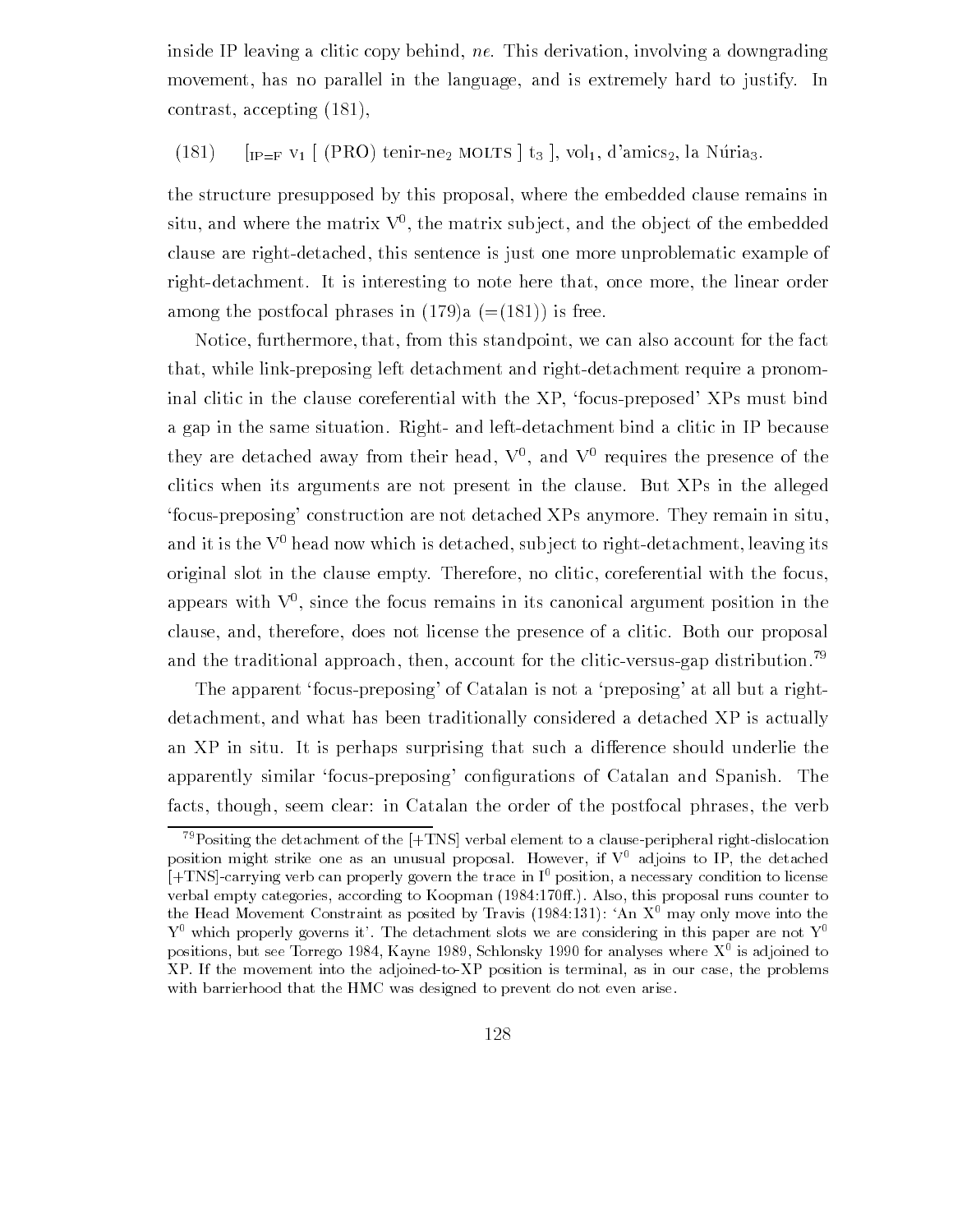inside IP leaving a clitic copy behind, ne. This derivation, involving a downgrading movement, has no parallel in the language, and is extremely hard to justify. In  $contrast, accepting (181),$ 

 $\frac{1}{1}$   $\frac{1}{1}$   $\frac{1}{1}$   $\frac{1}{1}$   $\frac{1}{1}$   $\frac{1}{1}$   $\frac{1}{1}$   $\frac{1}{1}$   $\frac{1}{1}$   $\frac{1}{1}$   $\frac{1}{1}$   $\frac{1}{1}$   $\frac{1}{1}$   $\frac{1}{1}$   $\frac{1}{1}$   $\frac{1}{1}$   $\frac{1}{1}$   $\frac{1}{1}$   $\frac{1}{1}$   $\frac{1}{1}$   $\frac{1}{1}$   $\frac{1}{1}$ 

the structure presupposed by this proposal, where the embedded clause remains in  $\sin u$  and where the matrix  $\bf{v}$  , the matrix subject, and the object of the embedded  $\bf{v}$ clause are right-detached, this sentence is just one more unproblematic example of right-detachment. It is interesting to note here that, once more, the linear order among the postfocal phrases in  $(179)a (= (181))$  is free.

Notice, furthermore, that, from this standpoint, we can also account for the fact that, while link-preposing left detachment and right-detachment require a pronominal clitic in the clause coreferential with the  $XP$ , 'focus-preposed'  $XPs$  must bind a gap in the same situation. Right- and left-detachment bind a clitic in IP because they are detached away from their head,  $V$  , and  $V$  requires the presence of the  $\overline{a}$ clitics when its arguments are not present in the clause But XPs in the alleged focus-preposing' construction are not detached XPs anymore. They remain in situ, and it is the  $V^0$  head now which is detached, subject to right-detachment, leaving its original slot in the clause empty. Therefore, no clitic, coreferential with the focus, appears with V since the focus remains in its canonical argument position in the clause, and, therefore, does not license the presence of a clitic. Both our proposal and the traditional approach, then, account for the clitic-versus-gap distribution.<sup>79</sup>

The apparent 'focus-preposing' of Catalan is not a 'preposing' at all but a rightdetachment, and what has been traditionally considered a detached XP is actually an XP in situ. It is perhaps surprising that such a difference should underlie the apparently similar focus preposing con-questions of constructions of primeric restors of  $\mathbb{R}^n$ facts, though, seem clear; in Catalan the order of the postfocal phrases, the verb

 $^{79}$ Positing the detachment of the  $[+TNS]$  verbal element to a clause-peripheral right-dislocation position might strike one as an unusual proposal. However, if  $V^0$  adjoins to IP, the detached  $[+TNS]$ -carrying verb can properly govern the trace in  $I^0$  position, a necessary condition to license verbal empty categories, according to Also plannel , also the land , this proposal runs counter to the fread movement Constraint as posited by Travis (1984.151). An  $\Lambda^*$  may only move into the Y which properly governs it. The detachment slots we are considering in this paper are not Y positions, but see Torrego 1984, Kayne 1989, Schlonsky 1990 for analyses where  $X^*$  is adjoined to  $XP.$  If the movement into the adjoined-to- $XP$  position is terminal, as in our case, the problems with barrierhood that the HMC was designed to prevent do not even arise.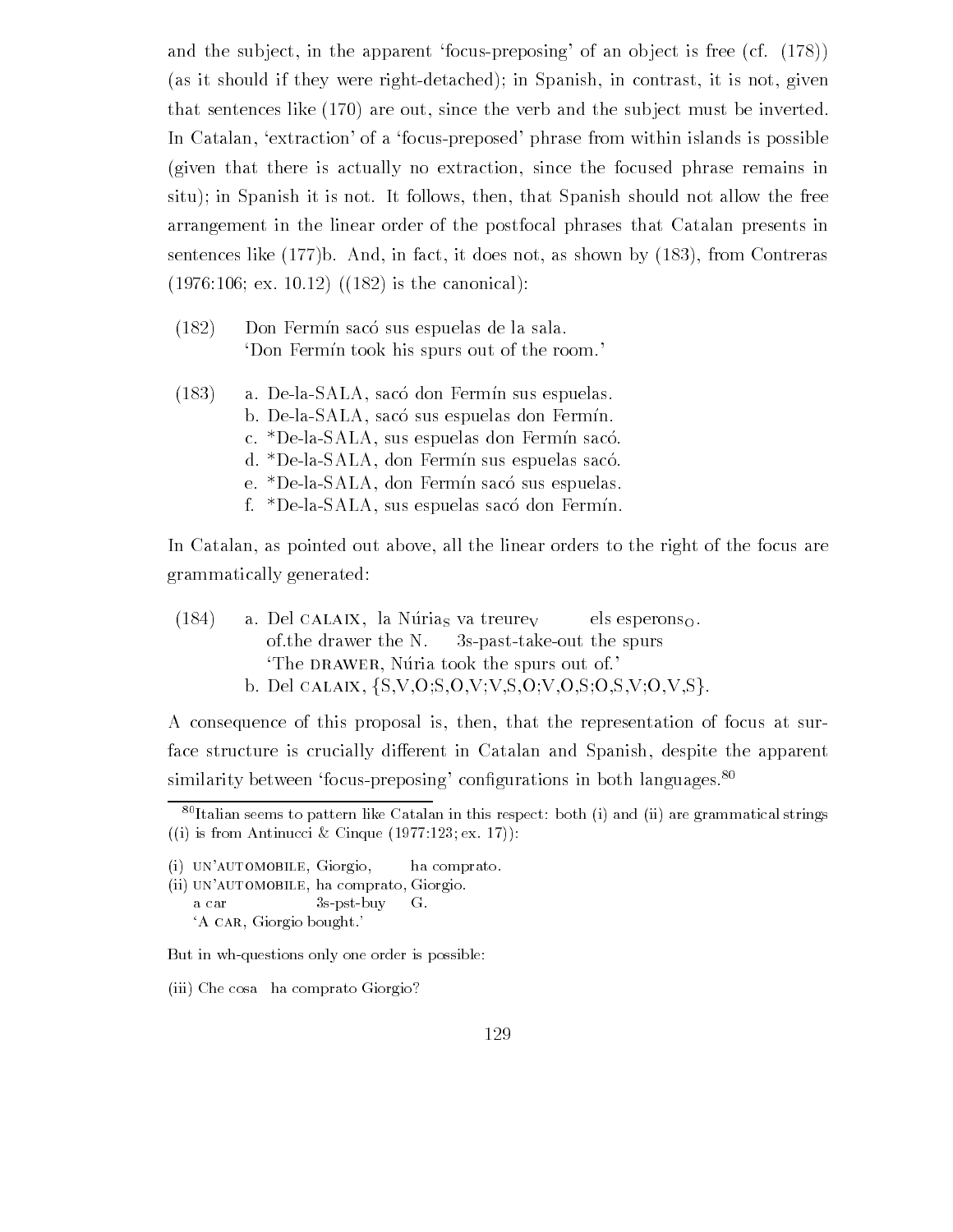and the subject, in the apparent 'focus-preposing' of an object is free  $(cf. (178))$ (as it should if they were right-detached); in Spanish, in contrast, it is not, given that sentences like  $(170)$  are out, since the verb and the subject must be inverted. In Catalan, 'extraction' of a 'focus-preposed' phrase from within islands is possible (given that there is actually no extraction, since the focused phrase remains in situ); in Spanish it is not. It follows, then, that Spanish should not allow the free arrangement in the linear order of the postfocal phrases that Catalan presents in sentences like  $(177)$ b. And, in fact, it does not, as shown by  $(183)$ , from Contreras  $(1976:106; e x. 10.12)$   $((182)$  is the canonical):

- $(182)$  Don Fermín sacó sus espuelas de la sala. 'Don Fermin took his spurs out of the room.'
- $(183)$  a. De-la-SALA, sacó don Fermín sus espuelas. b. De-la-SALA, sacó sus espuelas don Fermín. c. \*De-la-SALA, sus espuelas don Fermín sacó. d. \*De-la-SALA, don Fermín sus espuelas sacó. e. \*De-la-SALA, don Fermín sacó sus espuelas. f. \*De-la-SALA, sus espuelas sacó don Fermín.

In Catalan, as pointed out above, all the linear orders to the right of the focus are grammatically generated

(184) a. Del CALAIX, la Núrias va treurey els esperons<sub>O</sub>. of the drawer the N.  $3s$ -past-take-out the spurs The DRAWER, Nuria took the spurs out of b. Del calaix,  $\{S, V, O, S, O, V, V, S, O, V, O, S, O, S, V, O, V, S\}$ .

A consequence of this proposal is then that the representation of focus at sur face structure is crucially different in Catalan and Spanish, despite the apparent similiarity between Tocus-preposing configurations in both languages. The

in its from Antinucci and Antinucci and Antinucci and Antinucci and Antinucci and Antinucci and Antinucci and A

(ii) UN'AUTOMOBILE, ha comprato, Giorgio. a car  $3s$ -pst-buy G. 'A CAR, Giorgio bought.'

But in wh-questions only one order is possible:

(iii) Che cosa ha comprato Giorgio?

 $\overline{{}^{80}\text{Italian}}$  seems to pattern like Catalan in this respect: both (i) and (ii) are grammatical strings

 $(i)$  UN'AUTOMOBILE, Giorgio, ha comprato.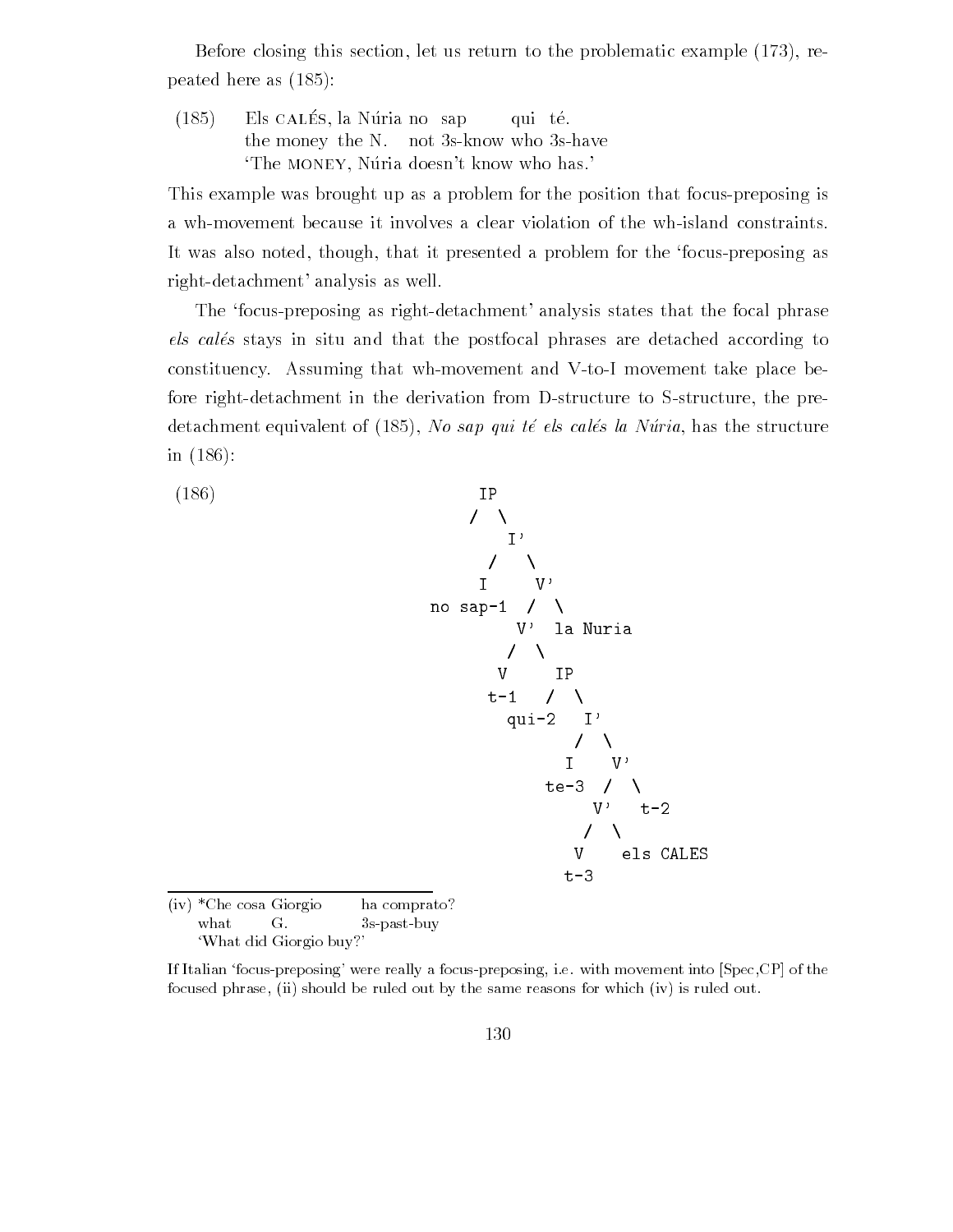Before closing this section, let us return to the problematic example  $(173)$ , repeated here as a set of  $\mathcal{N}$ 

 $(185)$ f Els cause, he reduced bup qui es. the money the N. not 3s-know who 3s-have The MONEY, Núria doesn't know who has.

This example was brought up as a problem for the position that focus-preposing is a wh-movement because it involves a clear violation of the wh-island constraints. It was also noted, though, that it presented a problem for the 'focus-preposing as right-detachment' analysis as well.

The 'focus-preposing as right-detachment' analysis states that the focal phrase els calés stays in situ and that the postfocal phrases are detached according to constituency. Assuming that wh-movement and V-to-I movement take place before right-detachment in the derivation from D-structure to S-structure, the predetachment equivalent of  $N$  same  $N$  and  $N$  same the structure  $N$  same the structure  $N$ in  $(186)$ :



'What did Giorgio buy?'

If Italian focuspreposing- were really a focuspreposing ie with movement into SpecCP of the focused phrase, (ii) should be ruled out by the same reasons for which (iv) is ruled out.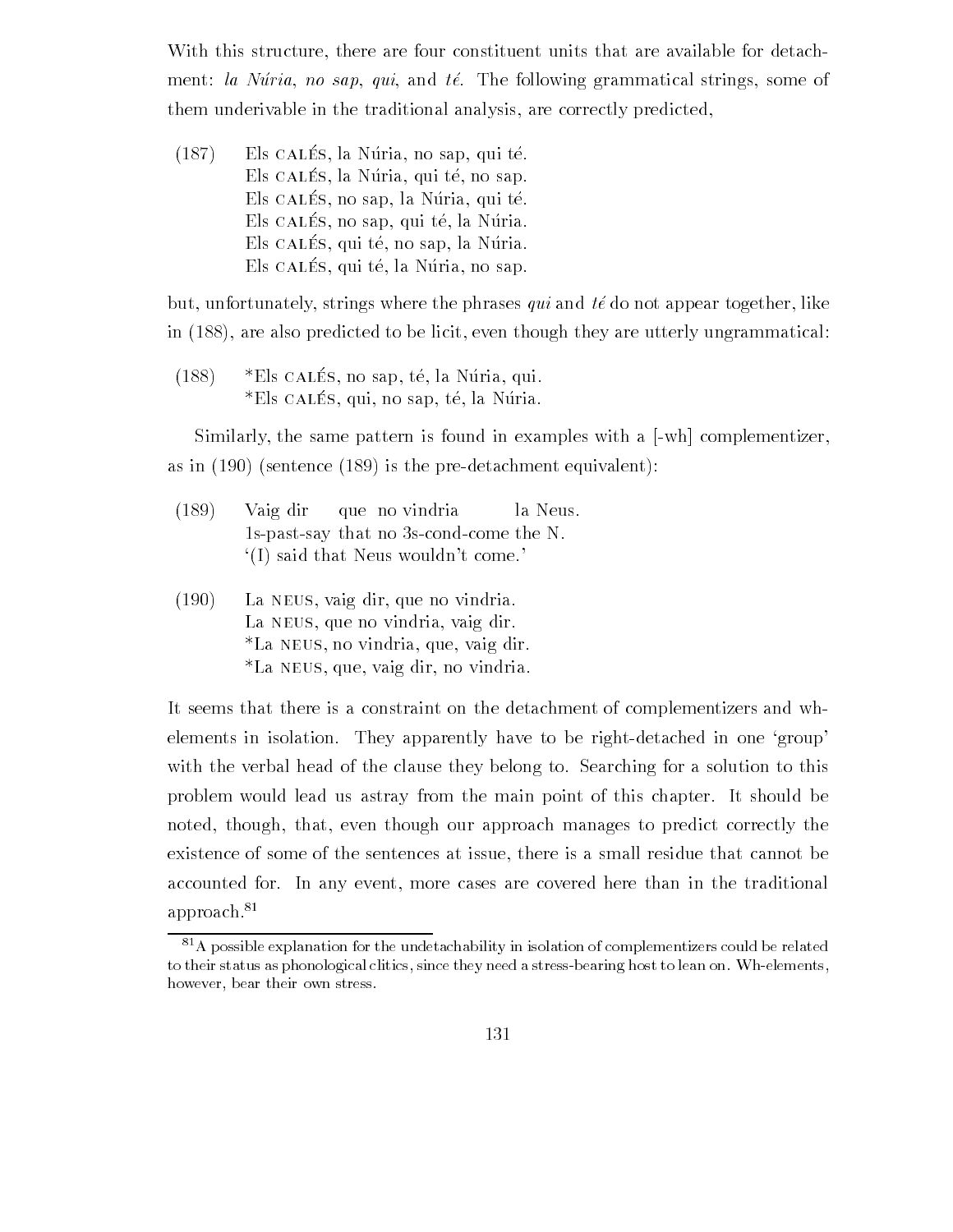With this structure, there are four constituent units that are available for detachment: la Núria, no sap, qui, and té. The following grammatical strings, some of them underivable in the traditional analysis, are correctly predicted,

 $(101)$  Elb Calles, in France, in sap, qui te. Ens calles, in France, qui te, no sap. Els calles, ho sap, ha Nuria, qui te. Ens calles, no sup, qui te, na ruina. Els cal-es qui te no sap la Nuria En valle, qui te, la riulia, liv sap.

but, unfortunately, strings where the phrases qui and  $t\acute{e}$  do not appear together, like in  $(188)$ , are also predicted to be licit, even though they are utterly ungrammatical:

 $(100)$  Elio Califo, ito sup, to, it is rulia, qui es called , yet, no sap, te, la redita.

Similarly, the same pattern is found in examples with a  $[-wh]$  complementizer, as in  $(190)$  (sentence  $(189)$  is the pre-detachment equivalent):

- Vaig dir que no vindria la Neus  $1s$ -past-say that no 3s-cond-come the N.  $I(I)$  said that Neus wouldn't come.
- $(190)$  La NEUS, vaig dir, que no vindria. La NEUS, que no vindria, vaig dir. \*La NEUS, no vindria, que, vaig dir. \*La NEUS, que, vaig dir, no vindria.

It seems that there is a constraint on the detachment of complementizers and wh elements in isolation. They apparently have to be right-detached in one 'group' with the verbal head of the clause they belong to. Searching for a solution to this problem would lead us astray from the main point of this chapter. It should be noted, though, that, even though our approach manages to predict correctly the existence of some of the sentences at issue there is a small residue that cannot be accounted for. In any event, more cases are covered here than in the traditional approach.<sup>81</sup>

 $81A$  possible explanation for the undetachability in isolation of complementizers could be related to their status as phonological clitics, since they need a stress-bearing host to lean on. Wh-elements, however, bear their own stress.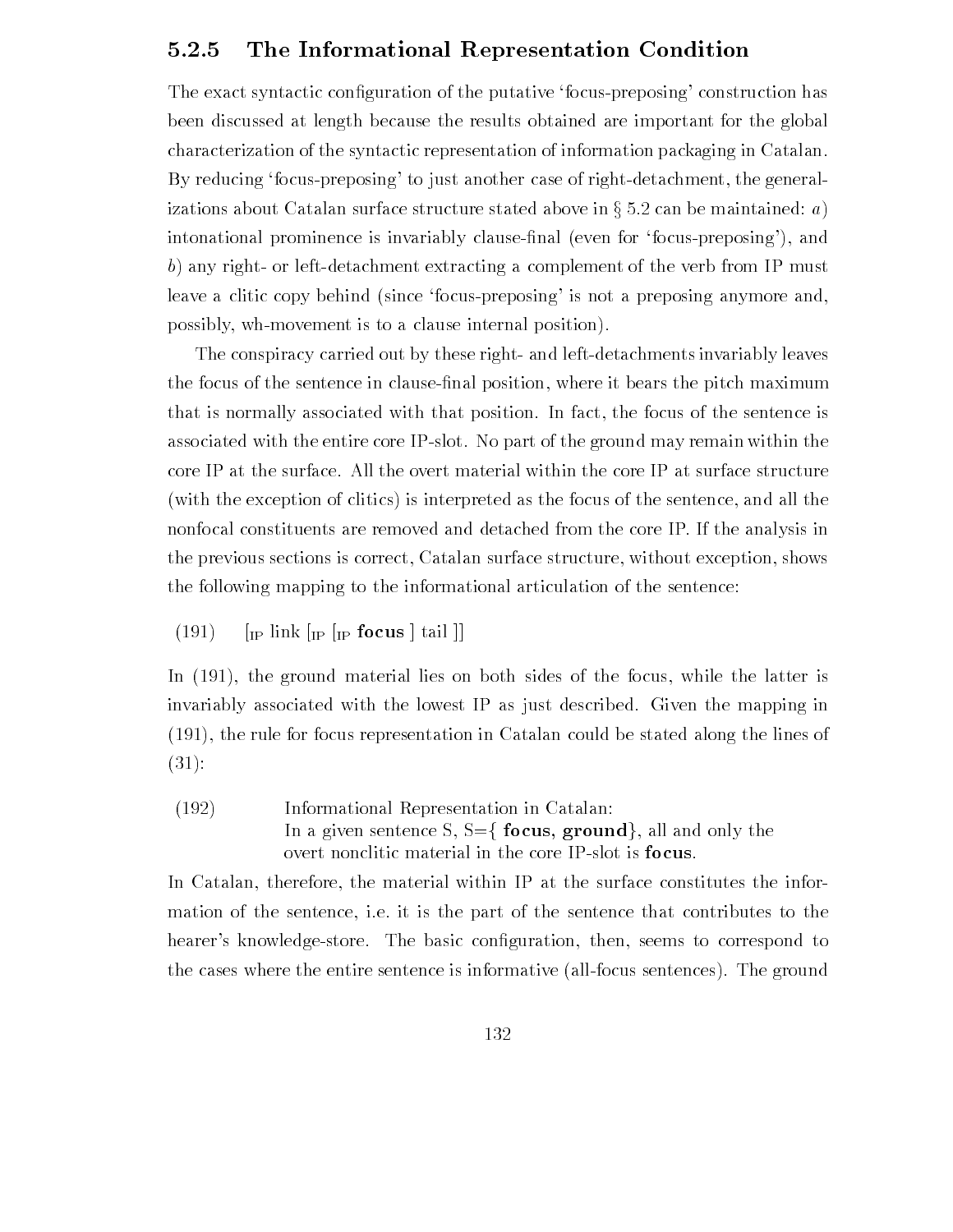## The Informational Representation Condition

The exact syntactic con-guration of the putative focuspreposing construction has been discussed at length because the results obtained are important for the global characterization of the syntactic representation of information packaging in Catalan By reducing 'focus-preposing' to just another case of right-detachment, the generalizations about Catalan surface structure stated above in  $\S~5.2$  can be maintained: a) intonational prominence is invariably clause-nal even for focuspreposing and b) any right- or left-detachment extracting a complement of the verb from IP must leave a clitic copy behind (since focus-preposing' is not a preposing anymore and, possibly, wh-movement is to a clause internal position).

The conspiracy carried out by these right- and left-detachments invariably leaves the focus of the sentence in clause-nal position where it bears the pitch maximum that is normally associated with that position. In fact, the focus of the sentence is associated with the entire core IP-slot. No part of the ground may remain within the core IP at the surface All the overt material within the core IP at surface structure with the exception of clitics is interpreted as the focus of the sentence and all the nonfocal constituents are removed and detached from the core IP If the analysis in the previous sections is correct, Catalan surface structure, without exception, shows the following mapping to the informational articulation of the sentence

 $(191)$ IP FOCUS # TAIL # IP # TAIL # TAIL # TAIL # TAIL # TAIL # TAIL # TAIL # TAIL # TAIL # TAIL # TAIL # TAIL # TAIL

In  $(191)$ , the ground material lies on both sides of the focus, while the latter is invariably associated with the lowest  $IP$  as just described. Given the mapping in  $(191)$ , the rule for focus representation in Catalan could be stated along the lines of  $(31):$ 

 Informational Representation in Catalan In a given sentence S,  $S=\{$  focus, ground, all and only the overt nonclitic material in the core IP-slot is focus.

In Catalan, therefore, the material within IP at the surface constitutes the information of the sentence, i.e. it is the part of the sentence that contributes to the hearers knowledgestore The basic con-guration then seems to correspond to the cases where the entire sentence is informative (all-focus sentences). The ground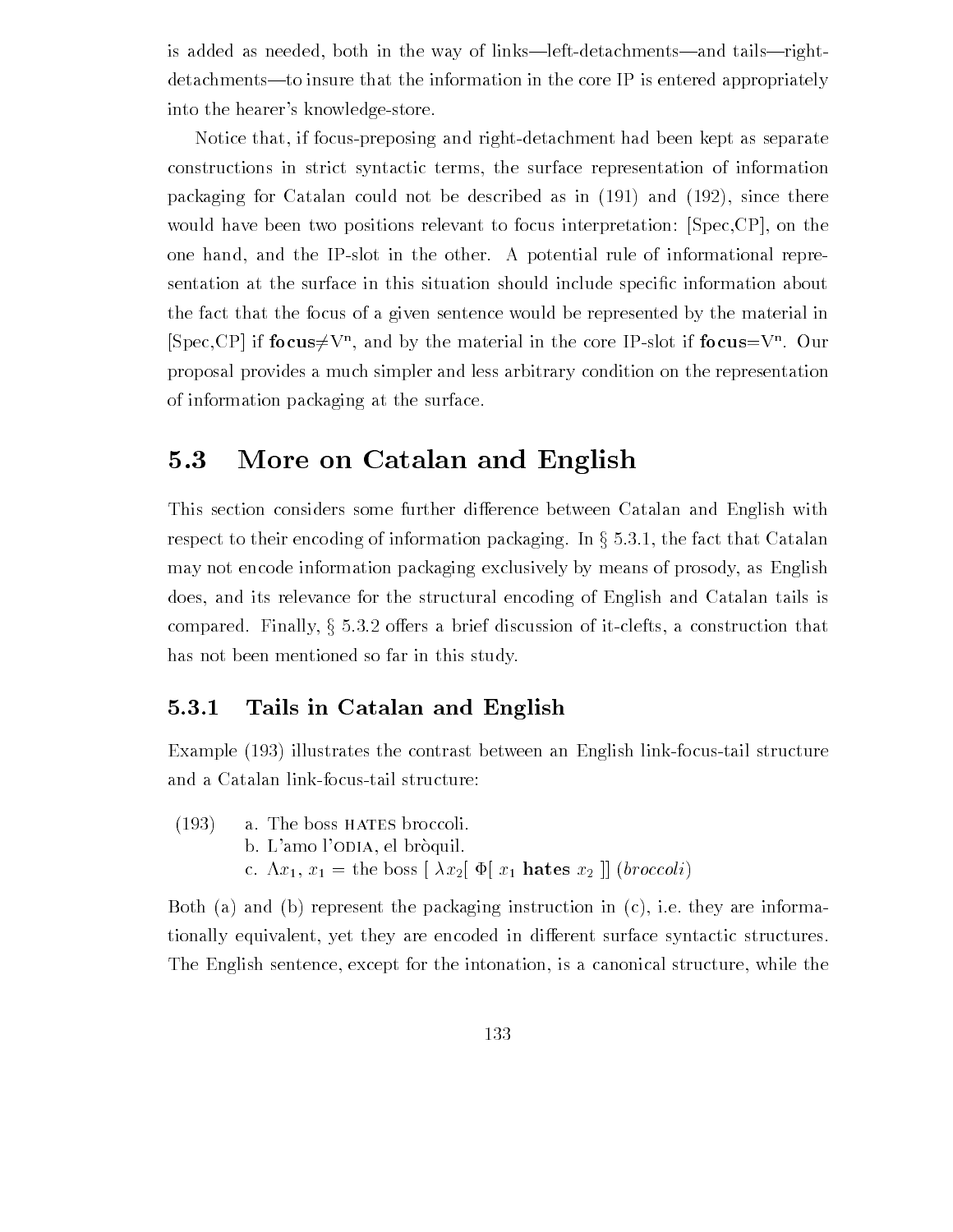is added as needed, both in the way of links—left-detachments—and tails—rightdetachments—to insure that the information in the core IP is entered appropriately into the hearer's knowledge-store.

Notice that, if focus-preposing and right-detachment had been kept as separate constructions in strict syntactic terms the surface representation of information packaging for Catalan could not be described as in  $(191)$  and  $(192)$ , since there would have been two positions relevant to focus interpretation:  $[Spec, CP]$ , on the one hand, and the IP-slot in the other. A potential rule of informational representation at the surface in this situation should include specific include specification specific interthe fact that the focus of a given sentence would be represented by the material in [Spec, CP] if focus $\neq V^n$ , and by the material in the core IP-slot if focus =  $V^n$ . Our proposal provides a much simpler and less arbitrary condition on the representation of information packaging at the surface

# 5.3 More on Catalan and English

This section considers some further difference between Catalan and English with respect to their encoding of information packaging. In  $\S 5.3.1$ , the fact that Catalan may not encode information packaging exclusively by means of prosody as English does, and its relevance for the structural encoding of English and Catalan tails is compared. Finally,  $\S 5.3.2$  offers a brief discussion of it-clefts, a construction that has not been mentioned so far in this study

#### 5.3.1 Tails in Catalan and English

Example (193) illustrates the contrast between an English link-focus-tail structure and a Catalan link-focus-tail structure:

 $(193)$  a. The boss HATES broccoli. b. L'amo l'ODIA, el bròquil. c.  $\Lambda x_1, x_1 =$  the boss  $\left[ \lambda x_2 \right] \Phi \left[ x_1 \text{ hates } x_2 \right] \left[ \text{ (*broccoli*)} \right]$ 

Both (a) and (b) represent the packaging instruction in  $(c)$ , i.e. they are informationally equivalent, yet they are encoded in different surface syntactic structures. The English sentence, except for the intonation, is a canonical structure, while the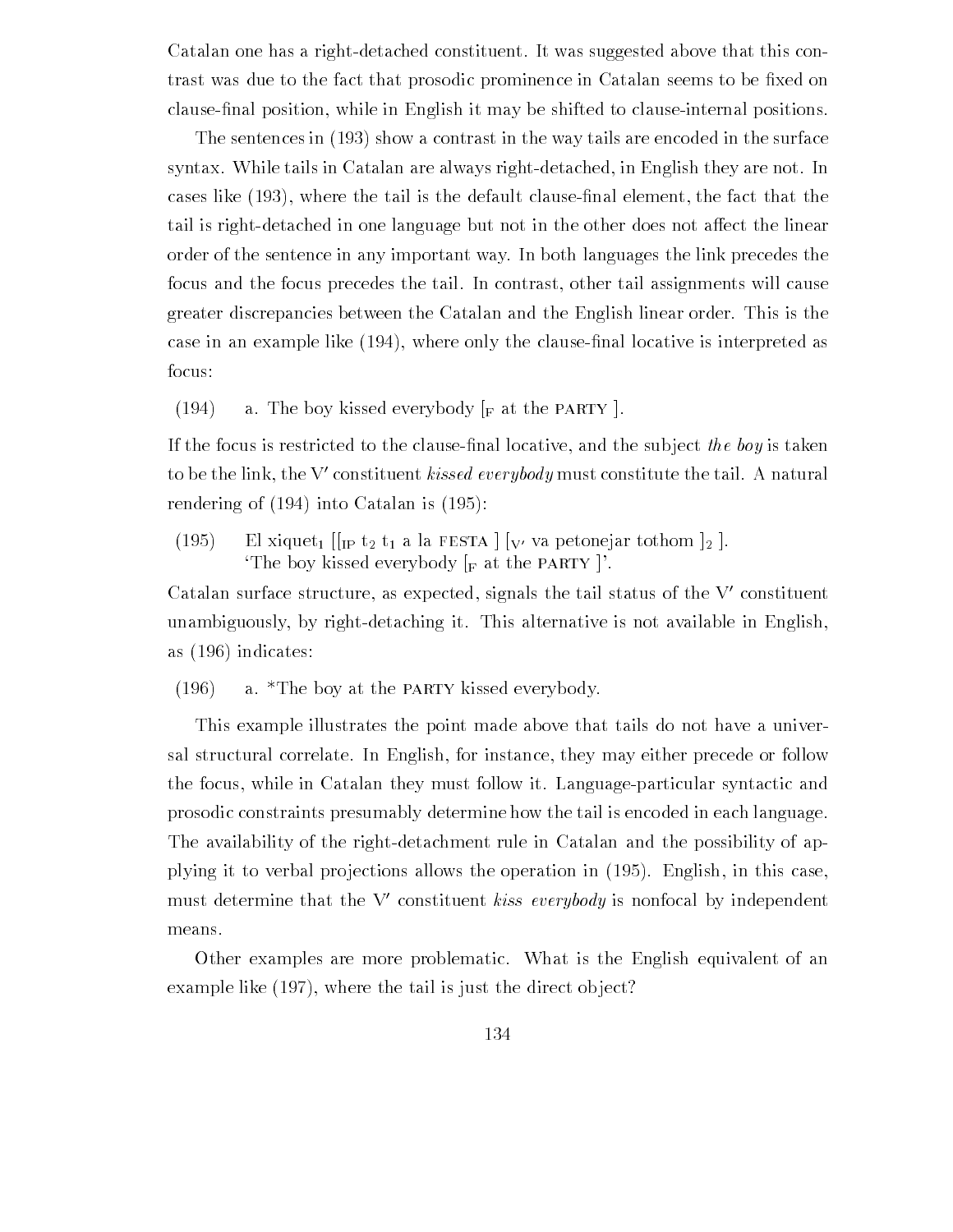Catalan one has a right-detached constituent. It was suggested above that this contrast was due to the fact that prosodic prominence in Catalan seems to be -xed on clause-nal position while in English it may be shifted to clauseinternal positions

The sentences in  $(193)$  show a contrast in the way tails are encoded in the surface syntax. While tails in Catalan are always right-detached, in English they are not. In cases like where the tail is the default clause-nal element the fact that the tail is right-detached in one language but not in the other does not affect the linear order of the sentence in any important way In both languages the link precedes the focus and the focus precedes the tail In contrast other tail assignments will cause greater discrepancies between the Catalan and the English linear order This is the case in an example in an example is interpreted as an example is interpreted as a strongly for the contract of focus

(194) a. The boy kissed everybody  $\lbrack_F$  at the PARTY  $\rbrack$ .

If the focus is restricted to the clause-nal locative and the sub ject the boy is taken to be the link, the V-constituent *kissed everybody* must constitute the tail. A natural  $\overline{\phantom{a}}$ rendering of  $\alpha$  into  $\alpha$  into  $\alpha$  into  $\alpha$  into  $\alpha$  into  $\alpha$  into  $\alpha$  into  $\alpha$ 

 $(195)$ El xiquet<sub>1</sub> [[<sub>IP</sub> t<sub>2</sub> t<sub>1</sub> a la FESTA  $|_{V'}$  va petonejar tothom  $|_2$ ]. The boy kissed everybody  $\lceil_{\text{F}} \text{ at the PARTY} \rceil$ .

Catalan surface structure, as expected, signals the tail status of the  $V$ -constituent  $\sim$ unambiguously, by right-detaching it. This alternative is not available in English, as  $(196)$  indicates:

 $(196)$  a. \*The boy at the PARTY kissed everybody.

This example illustrates the point made above that tails do not have a univer sal structural correlate. In English, for instance, they may either precede or follow the focus, while in Catalan they must follow it. Language-particular syntactic and prosodic constraints presumably determine how the tail is encoded in each language The availability of the right-detachment rule in Catalan and the possibility of approperty it to verbal productions allows the operations all products  $\mathcal{L}$  in this case  $\mathcal{L}$  $_{\rm{inust}}$  determine that the v-constituent *kiss everybody* is nonfocal by independent  $_{\rm{out}}$ means

Other examples are more problematic What is the English equivalent of an example like  $(197)$ , where the tail is just the direct object?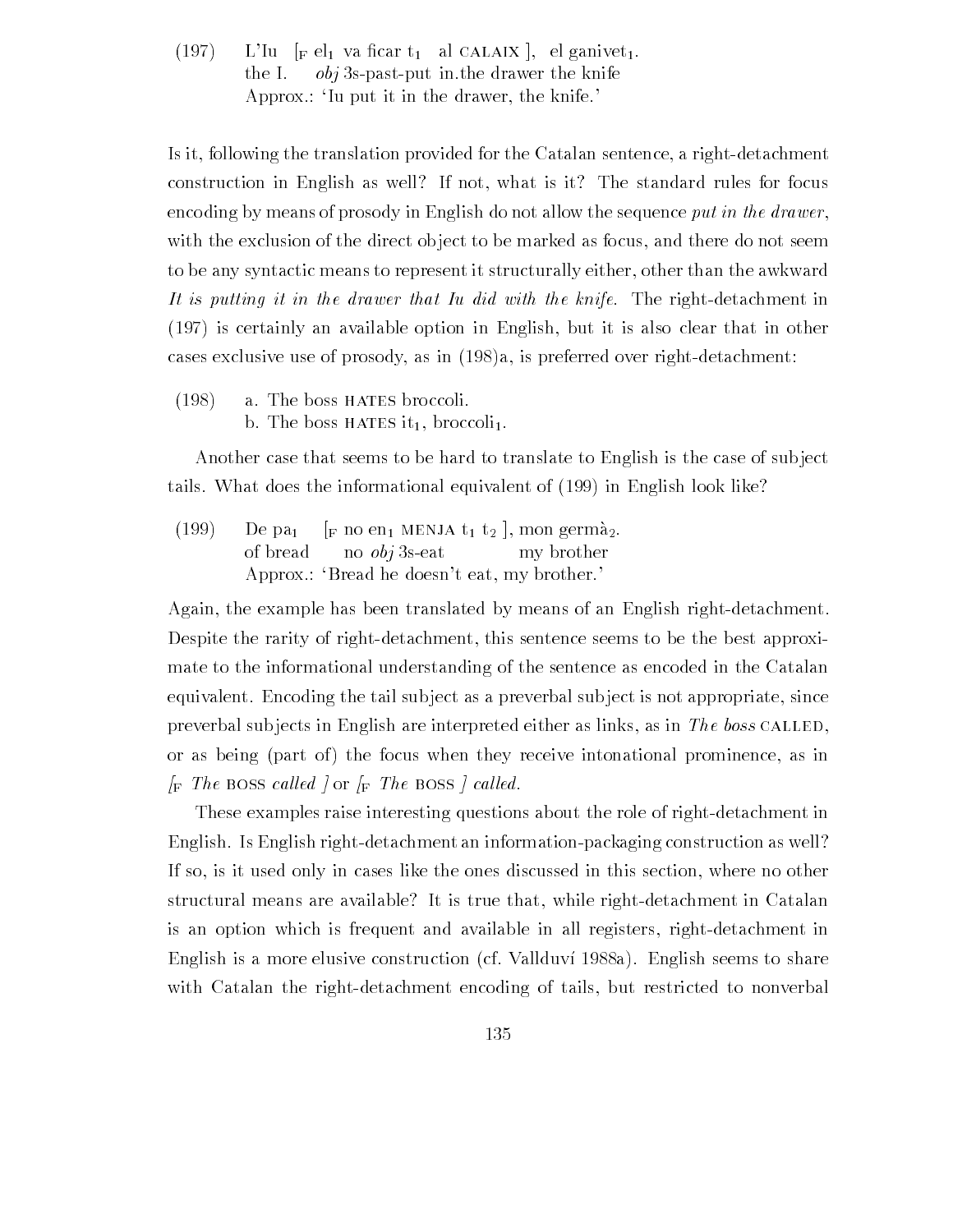$\mathbb{R}^n$  is the  $\mathbb{R}^n$  value of  $\mathbb{R}^n$  and  $\mathbb{R}^n$  are continuous  $\mathbb{R}^n$ the I.  $obj$  3s-past-put in the drawer the knife Approx.: Tu put it in the drawer, the knife.

Is it, following the translation provided for the Catalan sentence, a right-detachment construction in English as well? If not, what is it? The standard rules for focus encoding by means of prosody in English do not allow the sequence put in the drawer, with the exclusion of the direct object to be marked as focus, and there do not seem to be any syntactic means to represent it structurally either, other than the awkward It is putting it in the drawer that Iu did with the knife. The right-detachment in  $(197)$  is certainly an available option in English, but it is also clear that in other cases exclusive use of prosody, as in  $(198)a$ , is preferred over right-detachment:

 $(198)$  a. The boss HATES broccoli. b. The boss HATES it<sub>1</sub>, broccoli<sub>1</sub>.

Another case that seems to be hard to translate to English is the case of sub ject tails. What does the informational equivalent of  $(199)$  in English look like?

(199) De pa<sub>1</sub> [F no en MENJA t<sub>1</sub> t<sub>2</sub>], mon germà<sub>2</sub>. of bread no  $\omega b$  i 3s-eat my brother Approx  $\therefore$  'Bread he doesn't eat, my brother.'

Again, the example has been translated by means of an English right-detachment. Despite the rarity of right-detachment, this sentence seems to be the best approximate to the informational understanding of the sentence as encoded in the Catalan equivalent. Encoding the tail subject as a preverbal subject is not appropriate, since preverbal subjects in English are interpreted either as links, as in The boss CALLED, or as being (part of) the focus when they receive intonational prominence, as in  $\Gamma$  first boss called  $\Gamma$  or  $\Gamma$  first boss  $\Gamma$  called  $\Gamma$ 

These examples raise interesting questions about the role of right-detachment in English. Is English right-detachment an information-packaging construction as well? If so, is it used only in cases like the ones discussed in this section, where no other structural means are available? It is true that, while right-detachment in Catalan is an option which is frequent and available in all registers, right-detachment in English is a more elusive construction (cf. Vallduví 1988a). English seems to share with Catalan the right-detachment encoding of tails, but restricted to nonverbal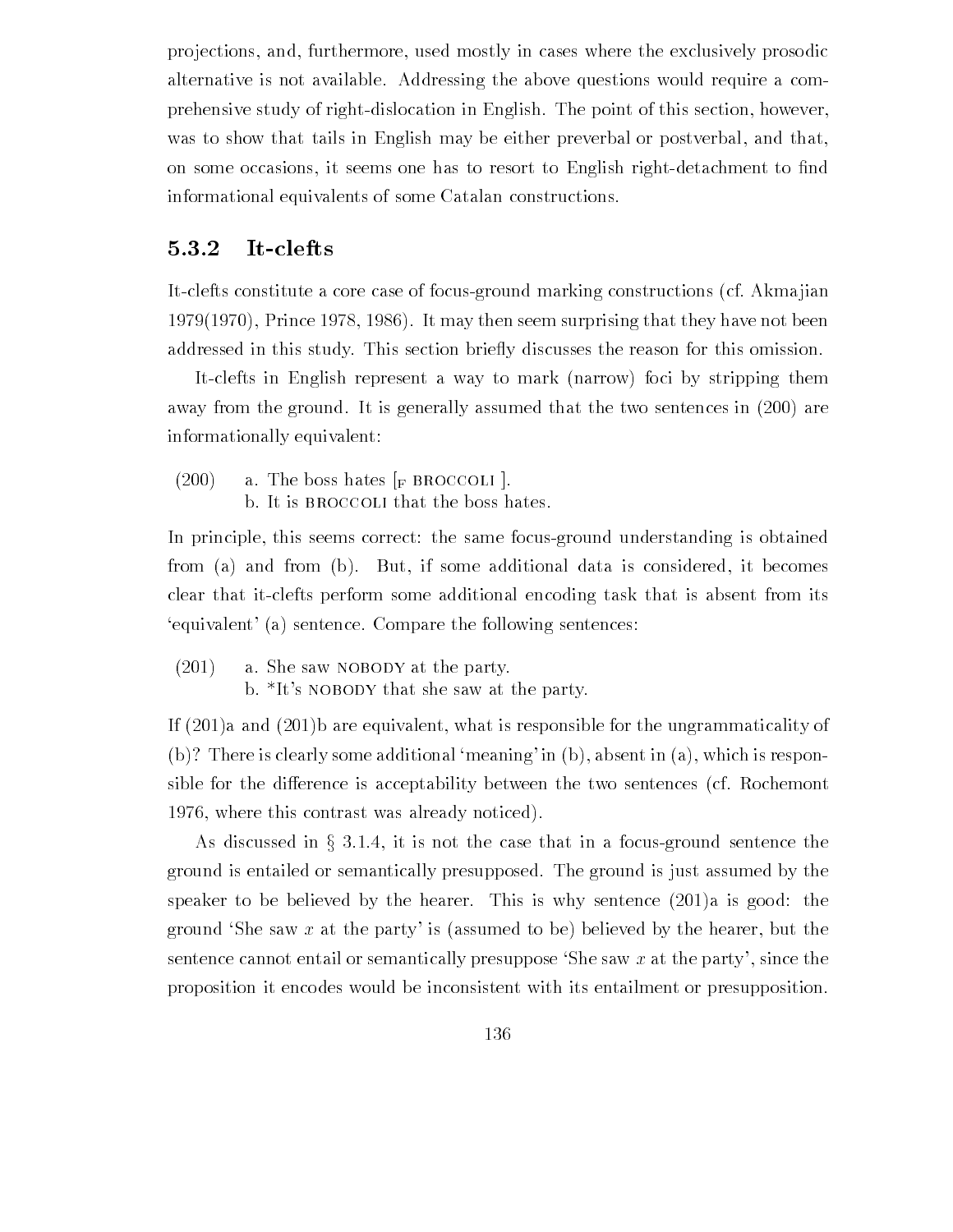projections, and, furthermore, used mostly in cases where the exclusively prosodic alternative is not available Addressing the above questions would require a com prehensive study of right-dislocation in English. The point of this section, however, was to show that tails in English may be either preverbal or postverbal, and that, on some occasions it seems one has to resort to English rightdetachment to -nd informational equivalents of some Catalan constructions

### 5.3.2 It-clefts

It-clefts constitute a core case of focus-ground marking constructions (cf. Akma jian  $1979(1970)$ , Prince 1978, 1986). It may then seem surprising that they have not been addressed in this study. This section briefly discusses the reason for this omission.

It-clefts in English represent a way to mark (narrow) foci by stripping them away from the ground. It is generally assumed that the two sentences in  $(200)$  are informationally equivalent

 $(200)$  a. The boss hates  $\lceil_{\text{F}}$  BROCCOLI  $\lceil$ . b. It is BROCCOLI that the boss hates.

In principle, this seems correct: the same focus-ground understanding is obtained from (a) and from (b). But, if some additional data is considered, it becomes clear that itclefts perform some additional encoding task that is absent from its 'equivalent' (a) sentence. Compare the following sentences:

 $(201)$  a. She saw NOBODY at the party. b.  $*$ It's NOBODY that she saw at the party.

If  $(201)a$  and  $(201)b$  are equivalent, what is responsible for the ungrammaticality of (b)? There is clearly some additional 'meaning' in (b), absent in (a), which is responsible for the difference is acceptability between the two sentences (cf. Rochemont 1976, where this contrast was already noticed).

As discussed in  $\S 3.1.4$ , it is not the case that in a focus-ground sentence the ground is entailed or semantically presupposed The ground is just assumed by the speaker to be believed by the hearer. This is why sentence  $(201)a$  is good: the ground 'She saw x at the party' is (assumed to be) believed by the hearer, but the sentence cannot entail or semantically presuppose 'She saw  $x$  at the party', since the proposition it encodes would be inconsistent with its entailment or presupposition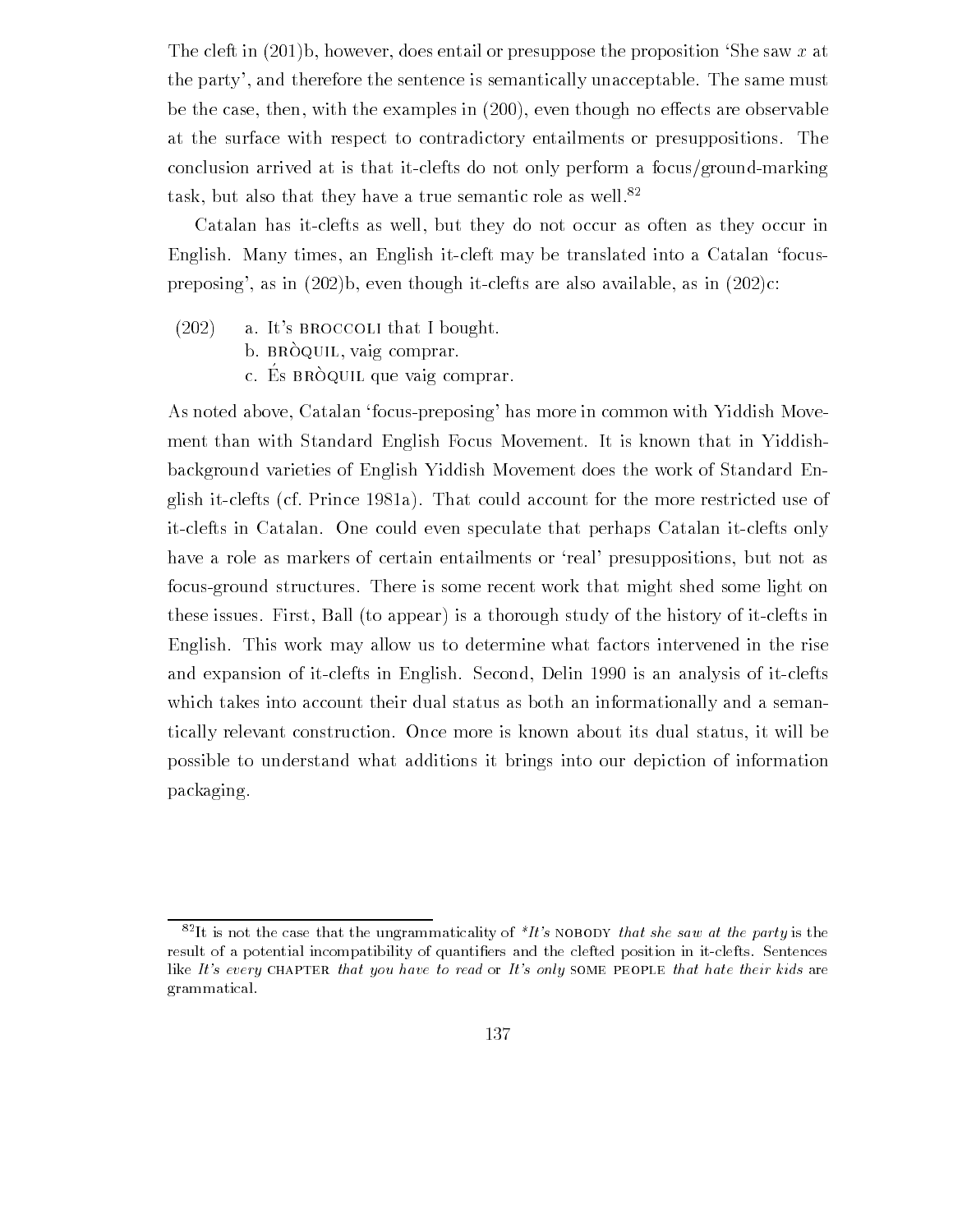The cleft in  $(201)$ b, however, does entail or presuppose the proposition 'She saw x at the party', and therefore the sentence is semantically unacceptable. The same must be the case, then, with the examples in  $(200)$ , even though no effects are observable at the surface with respect to contradictory entailments or presuppositions The conclusion arrived at is that it-clefts do not only perform a focus/ground-marking task, but also that they have a true semantic role as well. $82$ 

Catalan has it-clefts as well, but they do not occur as often as they occur in English. Many times, an English it-cleft may be translated into a Catalan 'focuspreposing', as in  $(202)$ b, even though it-clefts are also available, as in  $(202)$ c:

- $(202)$  a. It's BROCCOLI that I bought.
	- b. BRÒQUIL, vaig comprar.
	- c. Es BRÒQUIL que vaig comprar.

As noted above, Catalan 'focus-preposing' has more in common with Yiddish Movement than with Standard English Focus Movement. It is known that in Yiddishbackground varieties of English Yiddish Movement does the work of Standard En glish it-clefts (cf. Prince 1981a). That could account for the more restricted use of itclefts in Catalan One could even speculate that perhaps Catalan itclefts only have a role as markers of certain entailments or 'real' presuppositions, but not as focus-ground structures. There is some recent work that might shed some light on these issues. First, Ball (to appear) is a thorough study of the history of it-clefts in English. This work may allow us to determine what factors intervened in the rise and expansion of it-clefts in English. Second, Delin 1990 is an analysis of it-clefts which takes into account their dual status as both an informationally and a seman tically relevant construction Once more is known about its dual status it will be possible to understand what additions it brings into our depiction of information packaging

 $\sim$  1t is not the case that the ungrammaticality of  $\tau t$  s NOBODY that she saw at the party is the result of a potential incompatibility of quantifiers and the clefted position in it-clefts. Sentences like It's every CHAPTER that you have to read or It's only SOME PEOPLE that hate their kids are grammatical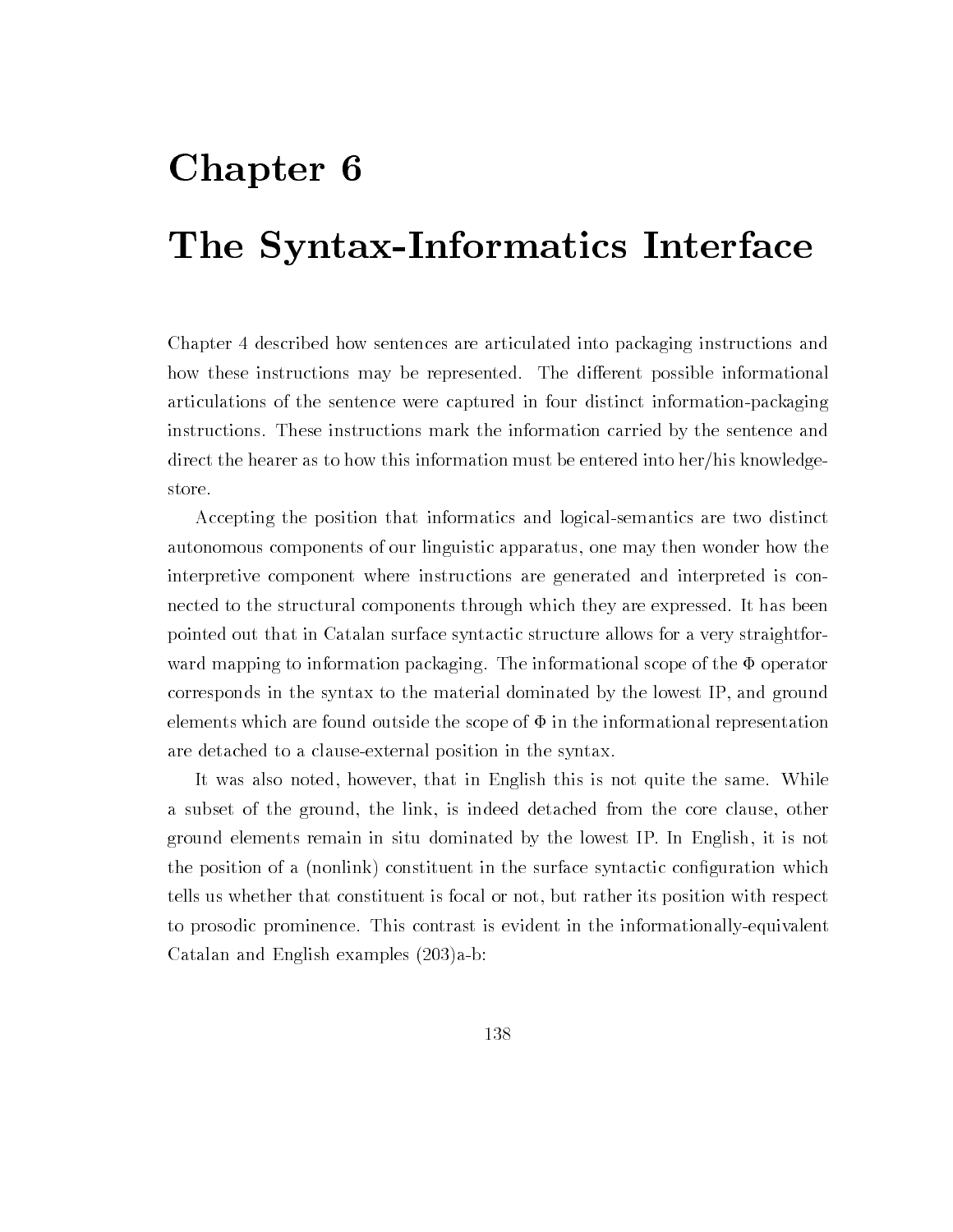# Chapter 6

# The Syntax-Informatics Interface

Chapter described how sentences are articulated into packaging instructions and how these instructions may be represented. The different possible informational articulations of the sentence were captured in four distinct informationpackaging instructions These instructions mark the information carried by the sentence and direct the hearer as to how this information must be entered into her/his knowledgestore

Accepting the position that informatics and logicalsemantics are two distinct autonomous components of our linguistic apparatus one may then wonder how the interpretive component where instructions are generated and interpreted is con nected to the structural components through which they are expressed. It has been pointed out that in Catalan surface syntactic structure allows for a very straightfor ward mapping to information packaging. The informational scope of the  $\Phi$  operator corresponds in the syntax to the material dominated by the lowest IP, and ground elements which are found outside the scope of  $\Phi$  in the informational representation are detached to a clause-external position in the syntax.

It was also noted, however, that in English this is not quite the same. While a subset of the ground, the link, is indeed detached from the core clause, other ground elements remain in situ dominated by the lowest IP In English it is not the position of a nonline constituent in the surface syntactic constituent in the surface syntactic contells us whether that constituent is focal or not, but rather its position with respect to prosodic prominence. This contrast is evident in the informationally-equivalent Catalan and English examples  $(203)a-b$ :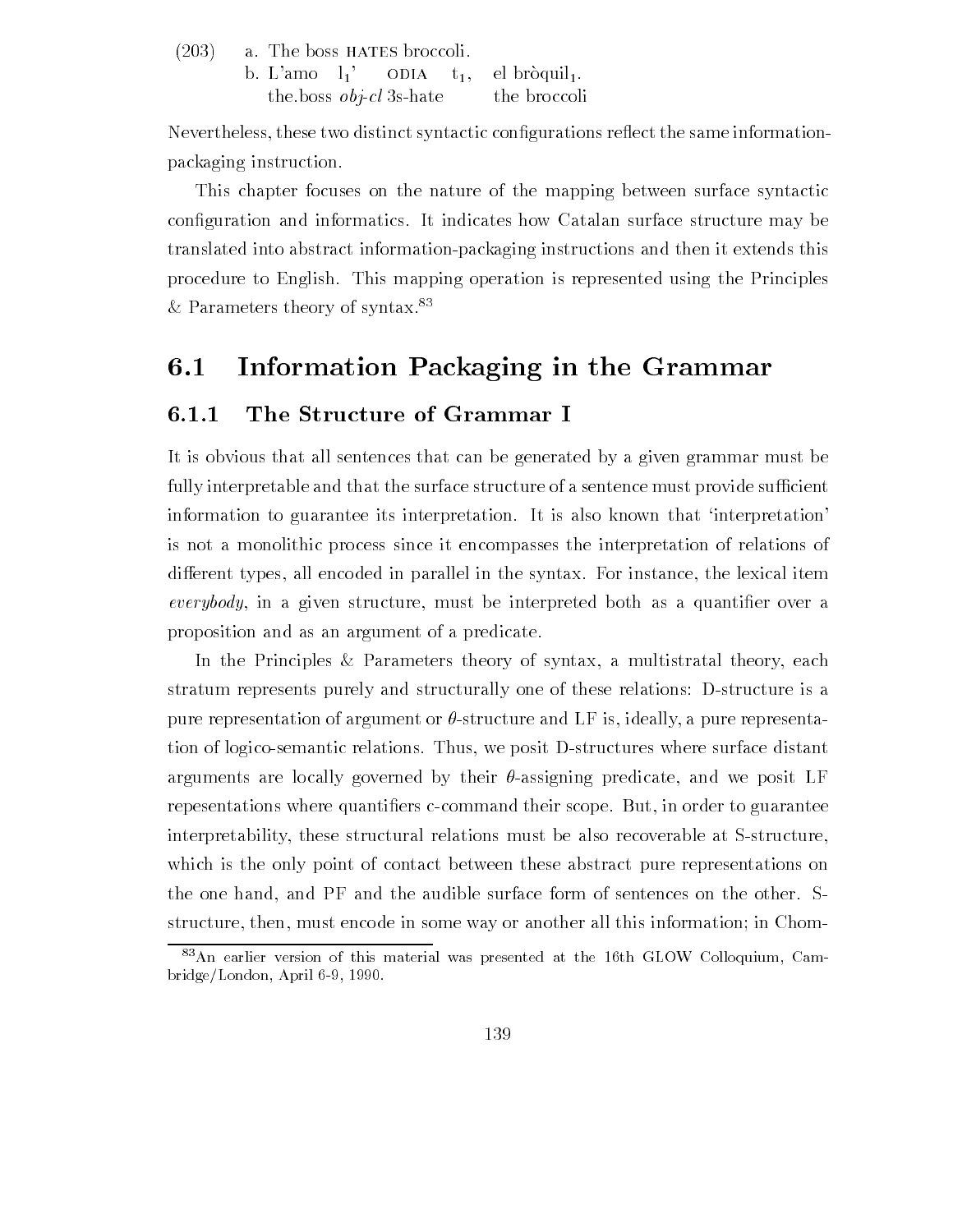|  | $(203)$ a. The boss HATES broccoli. |  |  |                                                         |  |
|--|-------------------------------------|--|--|---------------------------------------------------------|--|
|  |                                     |  |  | b. L'amo $l_1$ ' ODIA $t_1$ , el bròquil <sub>1</sub> . |  |
|  |                                     |  |  | the boss <i>obj-cl</i> 3s-hate the broccoli             |  |

Nevertheless these two distinct syntactic con-gurations re
ect the same information packaging instruction

This chapter focuses on the nature of the mapping between surface syntactic con-guration and informatics It indicates how Catalan surface structure may be translated into abstract informationpackaging instructions and then it extends this procedure to English. This mapping operation is represented using the Principles & Parameters theory of syntax.<sup>83</sup>

# 6.1 Information Packaging in the Grammar

## 6.1.1 The Structure of Grammar I

It is obvious that all sentences that can be generated by a given grammar must be fully interpretable and that the surface structure of a sentence must provide sufficient information to guarantee its interpretation. It is also known that 'interpretation' is not a monolithic process since it encompasses the interpretation of relations of different types, all encoded in parallel in the syntax. For instance, the lexical item everybody in a given structure must be interpreted both as a quanti-er over a proposition and as an argument of a predicate

In the Principles & Parameters theory of syntax, a multistratal theory, each stratum represents purely and structurally one of these relations: D-structure is a pure representation of argument or  $\theta$ -structure and LF is, ideally, a pure representation of logico-semantic relations. Thus, we posit D-structures where surface distant arguments are locally governed by their  $\theta$ -assigning predicate, and we posit LF repesentations where quanti-ers ccommand their scope But in order to guarantee interpretability, these structural relations must be also recoverable at S-structure, which is the only point of contact between these abstract pure representations on the one hand, and PF and the audible surface form of sentences on the other. Sstructure, then, must encode in some way or another all this information; in Chom-

<sup>-</sup> An earlier version of this material was presented at the foth GLOW Colloquium, Cambridge, bridge and a represent a resident and a resolution of the contract of the contract of the contract of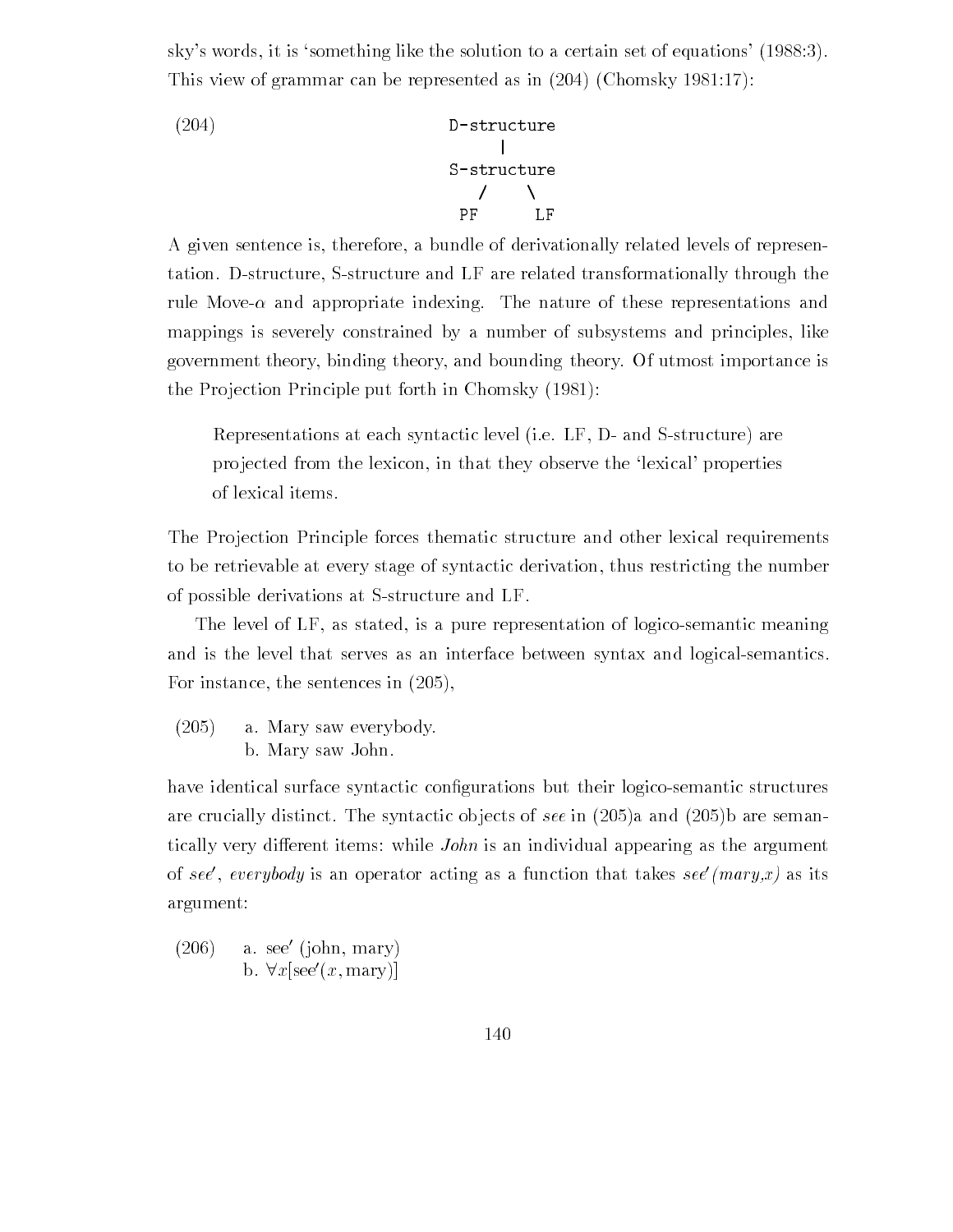sky's words, it is 'something like the solution to a certain set of equations' (1988:3). This view of grammar can be represented as in  $(204)$  (Chomsky 1981:17):

(204)  
D-structure  

$$
\begin{array}{c}\n1 \\
S-structure \\
\end{array}
$$
  
PF LF

A given sentence is therefore a bundle of derivationally related levels of represen tation. D-structure, S-structure and LF are related transformationally through the rule and appropriate index the nature  $\Delta$  and the nature of the nature of the nature of the nature of the natu mappings is severely constrained by a number of subsystems and principles, like government theory binding theory and bounding theory Of utmost importance is the Projection Principle put forth in Chomsky  $(1981)$ :

Representations at each syntactic level (i.e. LF, D- and S-structure) are projected from the lexicon, in that they observe the 'lexical' properties of lexical items

The Projection Principle forces thematic structure and other lexical requirements to be retrievable at every stage of syntactic derivation thus restricting the number of possible derivations at S-structure and LF.

The level of LF, as stated, is a pure representation of logico-semantic meaning and is the level that serves as an interface between syntax and logical-semantics. For instance the sentences in

 $(205)$ a. Mary saw everybody. b. Mary saw John.

have identical surface syntactic con-gurations but their logicosemantic structures are crucially distinct The synthesis of jects of see in the synthesis (The synthesis) and see in the second tically very different items: while *John* is an individual appearing as the argument of see, everybody is an operator acting as a function that takes see *(mary,x)* as its argument

(200) a. see (john, mary) ( b.  $\forall x$ [see'(x, mary)]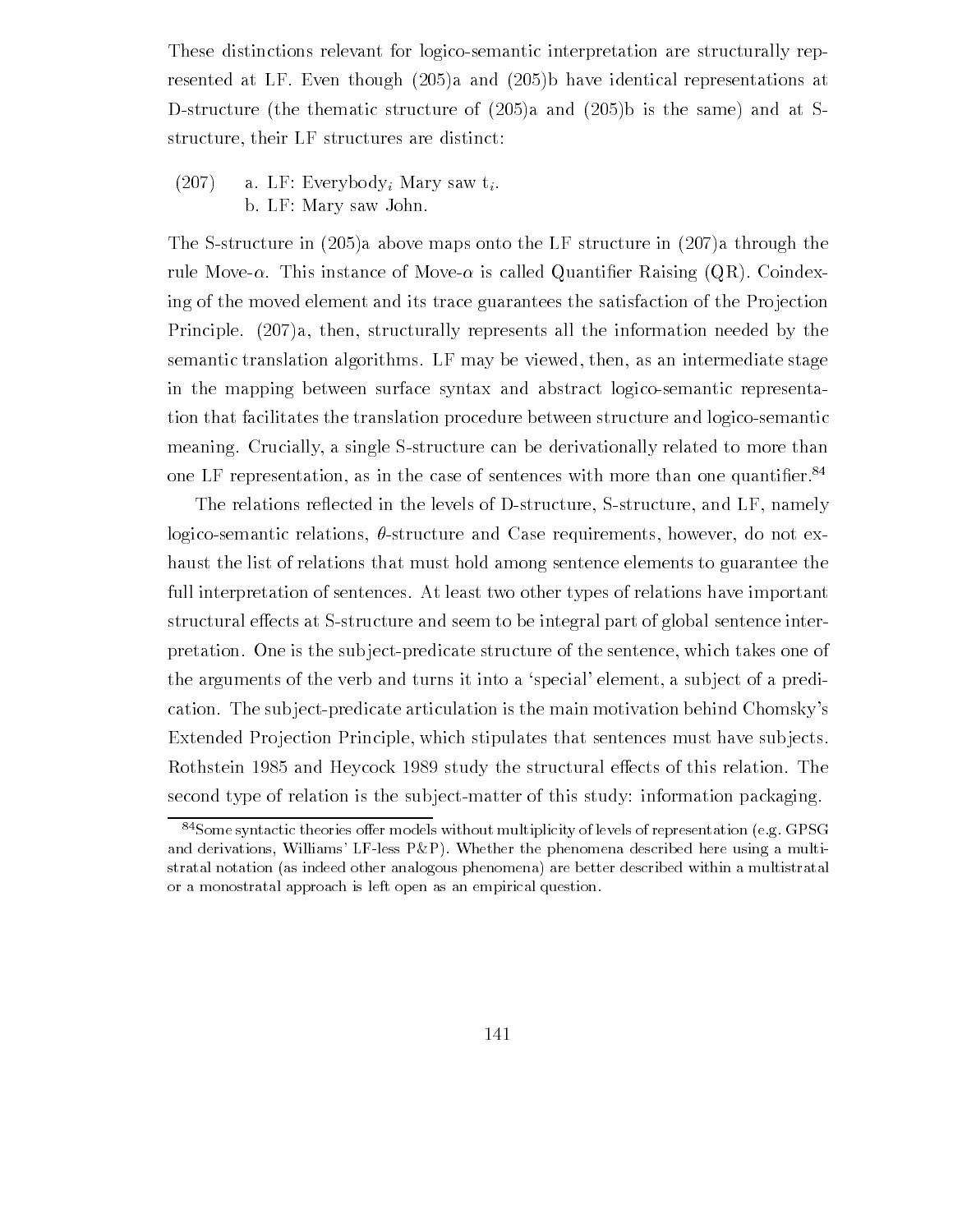These distinctions relevant for logico-semantic interpretation are structurally rep- $\mathbf{A}$  and  $\mathbf{A}$  and  $\mathbf{A}$  and  $\mathbf{A}$  representations at  $\mathbf{A}$  $\mathbf{A}$  and at  $\mathbf{A}$  and at Same and at Same and at Same and at Same and at Same and at Same and at Same and at Same and at Same and at Same and at Same and at Same and at Same and at Same and at Same and at Same and structure, their LF structures are distinct:

 $(207)$  a. LF: Everybody; Mary saw t<sub>i</sub>. b. LF: Mary saw John.

 $\mathbf{S}$  structure in a structure in a through the LF structure in a through the LF structure in a through the LF structure in a through the LF structure in a through the LF structure in a through the LF structure in a th rule and the movement of Movement and Movement of Movement and Coindex and Quantiing of the moved element and its trace guarantees the satisfaction of the Projection Principle.  $(207)a$ , then, structurally represents all the information needed by the semantic translation algorithms. LF may be viewed, then, as an intermediate stage in the mapping between surface syntax and abstract logico-semantic representation that facilitates the translation procedure between structure and logicosemantic meaning. Crucially, a single S-structure can be derivationally related to more than one LF representation, as in the case of sentences with more than one quantifier.

The relations reflected in the levels of D-structure, S-structure, and LF, namely logico-semantic relations,  $\theta$ -structure and Case requirements, however, do not exhaust the list of relations that must hold among sentence elements to guarantee the full interpretation of sentences At least two other types of relations have important structural effects at S-structure and seem to be integral part of global sentence interpretation. One is the subject-predicate structure of the sentence, which takes one of the arguments of the verb and turns it into a 'special' element, a subject of a predication. The subject-predicate articulation is the main motivation behind Chomsky's Extended Projection Principle, which stipulates that sentences must have subjects. Rothstein so our ment stry them structurally the structure interests in the structural structural e second type of relation is the subject-matter of this study: information packaging.

 $84$ Some syntactic theories offer models without multiplicity of levels of representation (e.g. GPSG) and difflessions will consider the phenomena described here is a multiple of the phenomena described and multip stratal notation (as indeed other analogous phenomena) are better described within a multistratal or a monostratal approach is left open as an empirical question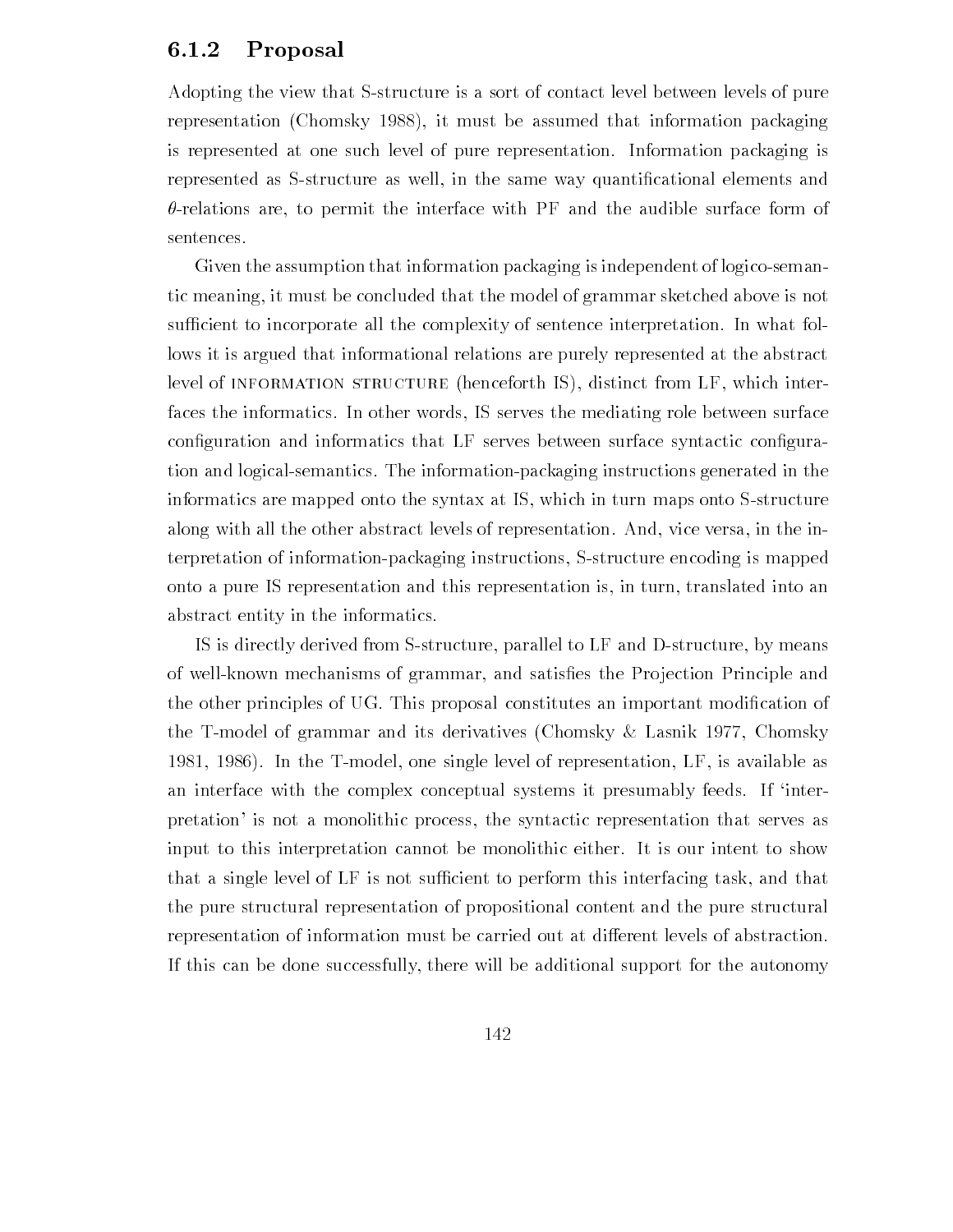## 6.1.2 Proposal

Adopting the view that S-structure is a sort of contact level between levels of pure representation (Chomsky 1988), it must be assumed that information packaging is represented at one such level of pure representation Information packaging is represented as Sstructure as well in the same way quanti-cational elements and  $\theta$ -relations are, to permit the interface with PF and the audible surface form of sentences

Given the assumption that information packaging is independent of logico-semantic meaning it must be concluded that the model of grammar sketched above is not sufficient to incorporate all the complexity of sentence interpretation. In what follows it is argued that informational relations are purely represented at the abstract level of INFORMATION STRUCTURE (henceforth IS), distinct from LF, which interfaces the informatics In other words IS serves the mediating role between surface con-quration and information information serves between surface synthesis con-quration tion and logical-semantics. The information-packaging instructions generated in the informatics are mapped onto the syntax at IS, which in turn maps onto S-structure along with all the other abstract levels of representation. And, vice versa, in the interpretation of information-packaging instructions, S-structure encoding is mapped onto a pure IS representation and this representation is in turn translated into an abstract entity in the informatics

IS is directly derived from S-structure, parallel to LF and D-structure, by means of wellknown mechanisms of grammar and satis-es the Pro jection Principle and the other principles of UG This proposal constitutes an important modi-cation of the T-model of grammar and its derivatives (Chomsky  $\&$  Lasnik 1977, Chomsky 1981, 1986). In the T-model, one single level of representation,  $LF$ , is available as an interface with the complex conceptual systems it presumably feeds. If 'interpretation' is not a monolithic process, the syntactic representation that serves as input to this interpretation cannot be monolithic either It is our intent to show that a single level of LF is not sufficient to perform this interfacing task, and that the pure structural representation of propositional content and the pure structural representation of information must be carried out at different levels of abstraction. If this can be done successfully there will be additional support for the autonomy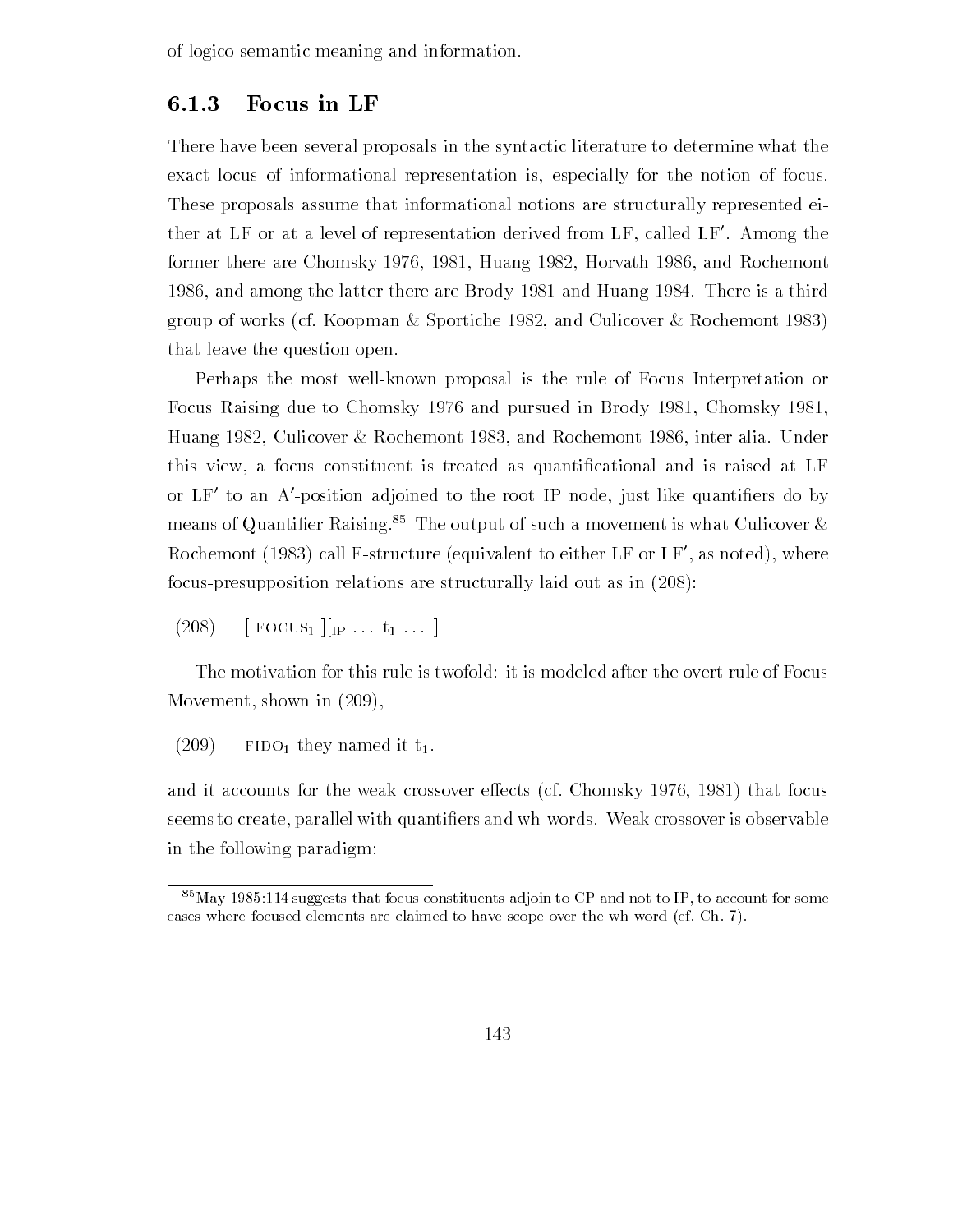of logicosemantic meaning and information

### 6.1.3 Focus in LF

There have been several proposals in the syntactic literature to determine what the exact locus of informational representation is especially for the notion of focus These proposals assume that informational notions are structurally represented ei ther at LF or at a level of representation derived from LF called LF- Among the former there are Chomsky 1976, 1981, Huang 1982, Horvath 1986, and Rochemont 1986, and among the latter there are Brody 1981 and Huang 1984. There is a third group of works (cf. Koopman & Sportiche 1982, and Culicover & Rochemont 1983) that leave the question open

Perhaps the most wellknown proposal is the rule of Focus Interpretation or Focus Raising due to Chomsky 1976 and pursued in Brody 1981, Chomsky 1981, Huang 1982, Culicover & Rochemont 1983, and Rochemont 1986, inter alia. Under this view a focus constituent is treated as quanti-cational and is raised at LF or LF-to an A-position adjoined to the root IP node, just like quantiners do by the original conditional condi means of Quantifier Kaising. The output of such a movement is what Culicover  $\alpha$  $\rm K\rm ocn$ emont (1983) call F-structure (equivalent to either LF or LF-, as noted), where focus-presupposition relations are structurally laid out as in  $(208)$ :

 $(208)$  [FOCUS<sub>1</sub>][<sub>IP</sub> ...  $t_1$  ...]

The motivation for this rule is twofold: it is modeled after the overt rule of Focus Movement, shown in  $(209)$ ,

 $(209)$  FIDO<sub>1</sub> they named it t<sub>1</sub>.

and it accounts for the weak crossover effects (cf. Chomsky  $1976, 1981$ ) that focus ers and we consider with the whole parallel with the whole who with and when the second consideration of the s in the following paradigm

 $\sim$  May 1989.114 suggests that focus constituents adjoin to CP and not to IP, to account for some cases where focused elements are claimed to have scope over the wh-word (cf. Ch.  $7$ ).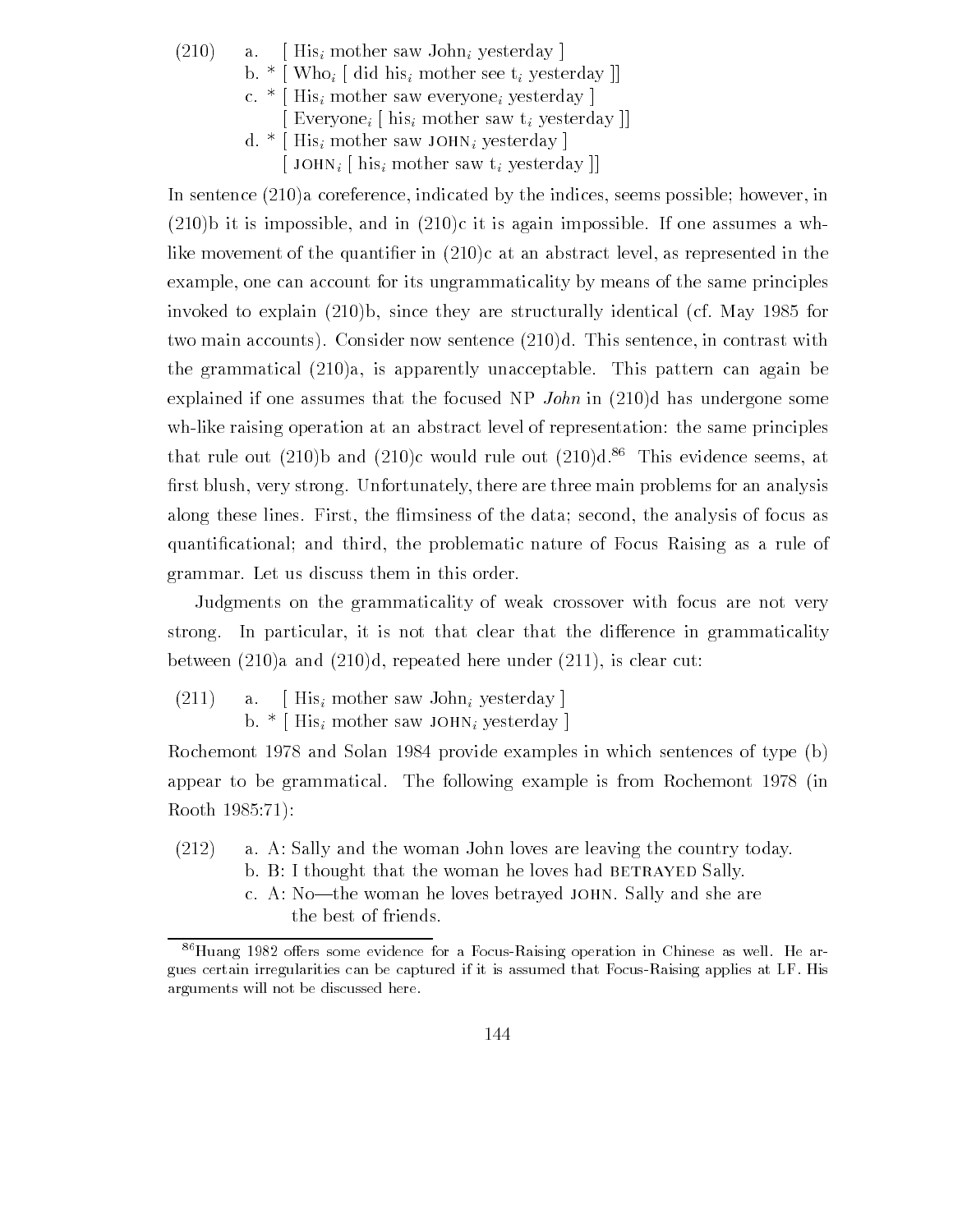$(210)$  a. [His<sub>i</sub> mother saw John<sub>i</sub> yesterday] b.  $*$  [Who<sub>i</sub> [did his<sub>i</sub> mother see t<sub>i</sub> yesterday]] c.  $*$  [His<sub>i</sub> mother saw everyone<sub>i</sub> yesterday] Everyone<sub>i</sub> [ his<sub>i</sub> mother saw  $t_i$  yesterday ]] d.  $*$  His<sub>i</sub> mother saw JOHN<sub>i</sub> yesterday  $\left[$  JOHN<sub>i</sub>  $\left[$  his<sub>i</sub> mother saw t<sub>i</sub> yesterday  $\left[$ 

In sentence  $(210)a$  coreference, indicated by the indices, seems possible; however, in  $(210)$ b it is impossible, and in  $(210)$ c it is again impossible. If one assumes a wher in contract of the quantizer in  $\{ - - \alpha \}$  , and the contract in the separate in the contract of example, one can account for its ungrammaticality by means of the same principles invoked to explain b since they are structured the May are structured the structural change of May 1 two main accounts). Consider now sentence  $(210)d$ . This sentence, in contrast with the grammatical  $(210)a$ , is apparently unacceptable. This pattern can again be explained if one assumes that the focused NP John in  $(210)$ d has undergone some wh-like raising operation at an abstract level of representation: the same principles that rule out (210)b and (210)c would rule out (210)d.<sup>86</sup> This evidence seems, at -rst blush very strong Unfortunately there are three main problems for an analysis along these lines. First, the flimsiness of the data; second, the analysis of focus as quanti-cation cation, which there is a rule problematic continued as a rule of  $\alpha$  and  $\alpha$  rule of  $\alpha$ grammar. Let us discuss them in this order.

Judgments on the grammaticality of weak crossover with focus are not very strong. In particular, it is not that clear that the difference in grammaticality between  $(210)a$  and  $(210)d$ , repeated here under  $(211)$ , is clear cut:

 $(211)$  a. [His<sub>i</sub> mother saw John<sub>i</sub> yesterday] b.  $*$  [His<sub>i</sub> mother saw JOHN<sub>i</sub> yesterday]

Rochemont 1978 and Solan 1984 provide examples in which sentences of type  $(b)$ appear to be grammatical. The following example is from Rochemont 1978 (in Rooth 

- $(212)$  a. A: Sally and the woman John loves are leaving the country today.
	- b. B: I thought that the woman he loves had BETRAYED Sally.
	- c. A: No-the woman he loves betrayed JOHN. Sally and she are the best of friends

 $\degree$  Huang 1982 oners some evidence for a Focus-Kaising operation in Chinese as well. He argues certain irregularities can be captured if it is assumed that Focus-Raising applies at LF. His arguments will not be discussed here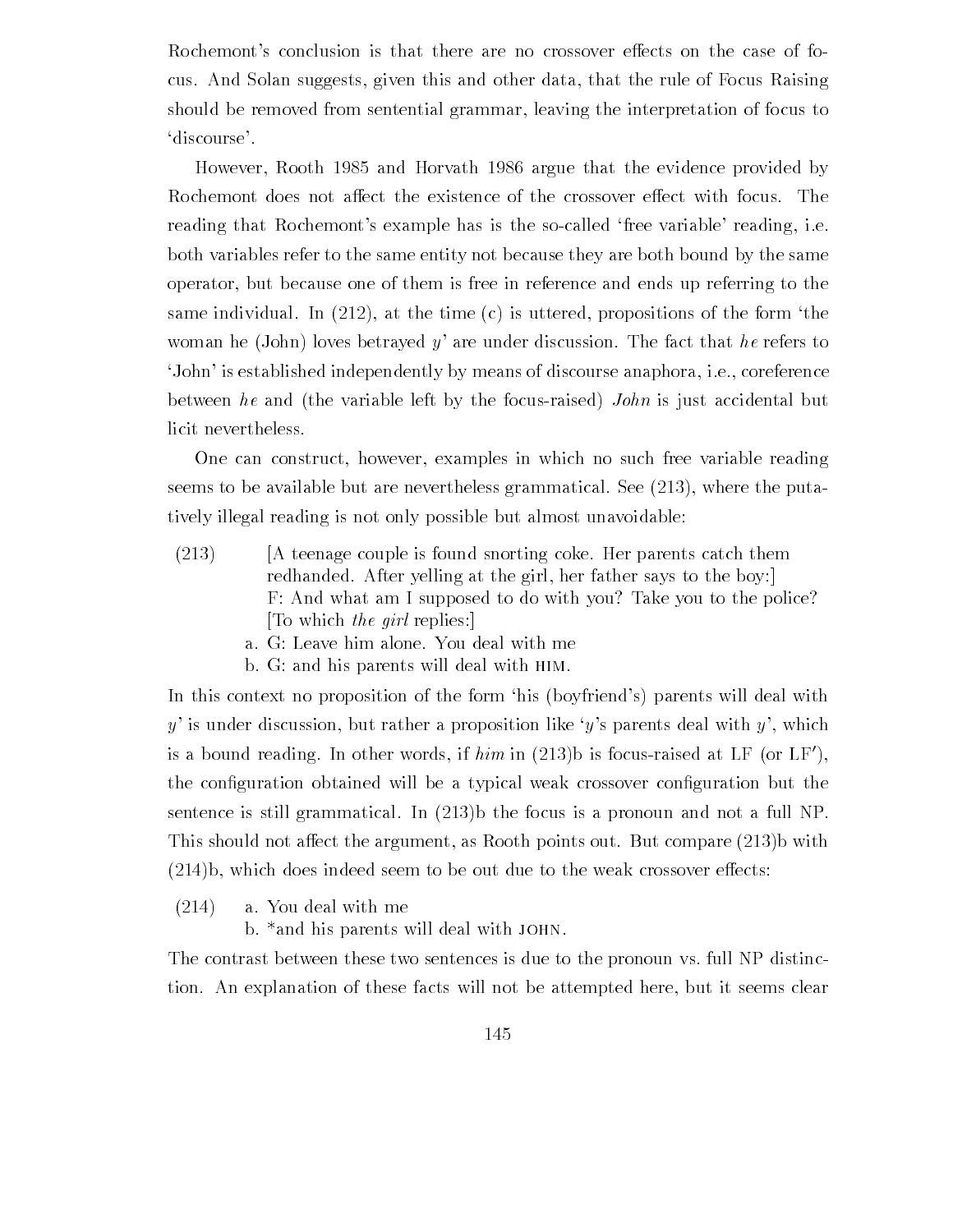Rochemont's conclusion is that there are no crossover effects on the case of focus And Solan suggests given this and other data that the rule of Focus Raising should be removed from sentential grammar, leaving the interpretation of focus to discourse'.

 $H$  and Horvath  $\mathbb R$  argue that the evidence provided by  $\mathbb R$  argue that the evidence provided by  $\mathbb R$ Rochemont does not affect the existence of the crossover effect with focus. The reading that Rochemont's example has is the so-called free variable reading, i.e. both variables refer to the same entity not because they are both bound by the same operator but because one of them is free in reference and ends up referring to the same individual. In  $(212)$ , at the time (c) is uttered, propositions of the form 'the woman he (John) loves betrayed y' are under discussion. The fact that he refers to John' is established independently by means of discourse anaphora, i.e., coreference between he and (the variable left by the focus-raised) John is just accidental but licit nevertheless

One can construct, however, examples in which no such free variable reading seems to be available but are nevertheless grammatical. See  $(213)$ , where the putatively illegal reading is not only possible but almost unavoidable

- $(213)$  [A teenage couple is found snorting coke. Her parents catch them redhanded. After yelling at the girl, her father says to the boy: F: And what am I supposed to do with you? Take you to the police? To which the girl replies:
	- a. G: Leave him alone. You deal with me
	- b. G: and his parents will deal with HIM.

In this context no proposition of the form 'his (boyfriend's) parents will deal with y' is under discussion, but rather a proposition like 'y's parents deal with y', which is a bound reading. In other words, if  $nim$  in (215)b is focus-raised at LF (or LF), the con-guration obtained will be a typical weak crossover con-guration but the sentence is still grammatical. In  $(213)$ b the focus is a pronoun and not a full NP. This should not affect the argument, as Rooth points out. But compare  $(213)$  with  $(214)$ b, which does indeed seem to be out due to the weak crossover effects:

 $(214)$  a. You deal with me

b. \*and his parents will deal with JOHN.

The contrast between these two sentences is due to the pronoun vs full NP distinc tion An explanation of these facts will not be attempted here but it seems clear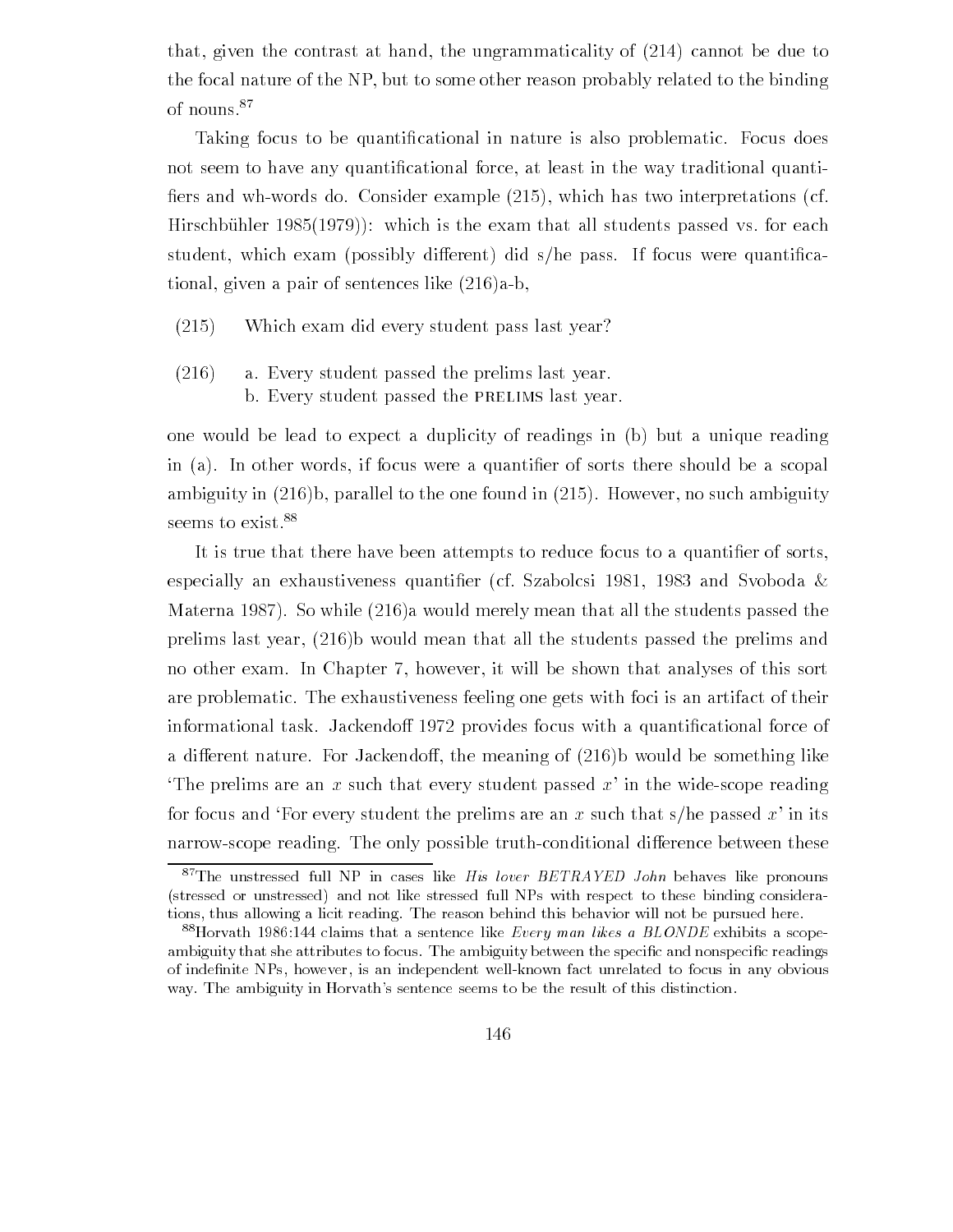that, given the contrast at hand, the ungrammaticality of  $(214)$  cannot be due to the focal nature of the NP, but to some other reason probably related to the binding of nouns

Taking focus to be quanti-cational in nature is also problematic Focus does not seem to have any quanti-cational force at least in the way traditional quanti -ers and whwords do Consider example which has two interpretations cf hirsche under the example is the examined variable variable students passed vs for the college student which exam possibly dierent did she pass If focus were quanti-ca tional, given a pair of sentences like  $(216)a-b$ .

- $(215)$ Which exam did every student pass last year?
- $(216)$ a. Every student passed the prelims last year. b. Every student passed the PRELIMS last year.

one would be lead to expect a duplicity of readings in (b) but a unique reading in a In other words if focus were a quanti-er of sorts there should be a scopal ambiguity in b parallel to the one found in However no such ambiguity seems to exist.<sup>88</sup>

It is true that there have been attempts to reduce focus to a quanti-er of sorts especially and Svoboda in exhaustiveness quanti-series of Szabolcsi and Svoboda in the Svoboda in the Svoboda i Materna 1987). So while  $(216)$ a would merely mean that all the students passed the prelims last year,  $(216)$  would mean that all the students passed the prelims and no other exam. In Chapter 7, however, it will be shown that analyses of this sort are problematic The exhaustiveness feeling one gets with foci is an artifact of their informational task Jackendo provides focus with a quanti-cational force of a different nature. For Jackendoff, the meaning of  $(216)$  would be something like The prelims are an x such that every student passed  $x'$  in the wide-scope reading for focus and For every student the prelims are an x such that  $s/h$ e passed x' in its narrow-scope reading. The only possible truth-conditional difference between these

 $87$ The unstressed full NP in cases like His lover BETRAYED John behaves like pronouns (stressed or unstressed) and not like stressed full NPs with respect to these binding considerations, thus allowing a licit reading. The reason behind this behavior will not be pursued here.

 $\degree$  horvath 1980.144 claims that a sentence like *Every man likes a BLONDE* exhibits a scopeambiguity that she attributes to focus. The ambiguity between the specific and nonspecific readings of indefinite NPs, however, is an independent well-known fact unrelated to focus in any obvious way The ambiguity in Horvath- sentence seems to be the result of this distinction of this distinction of this distinction of this distinction of this distinction of this distinction of this distinction of this distinction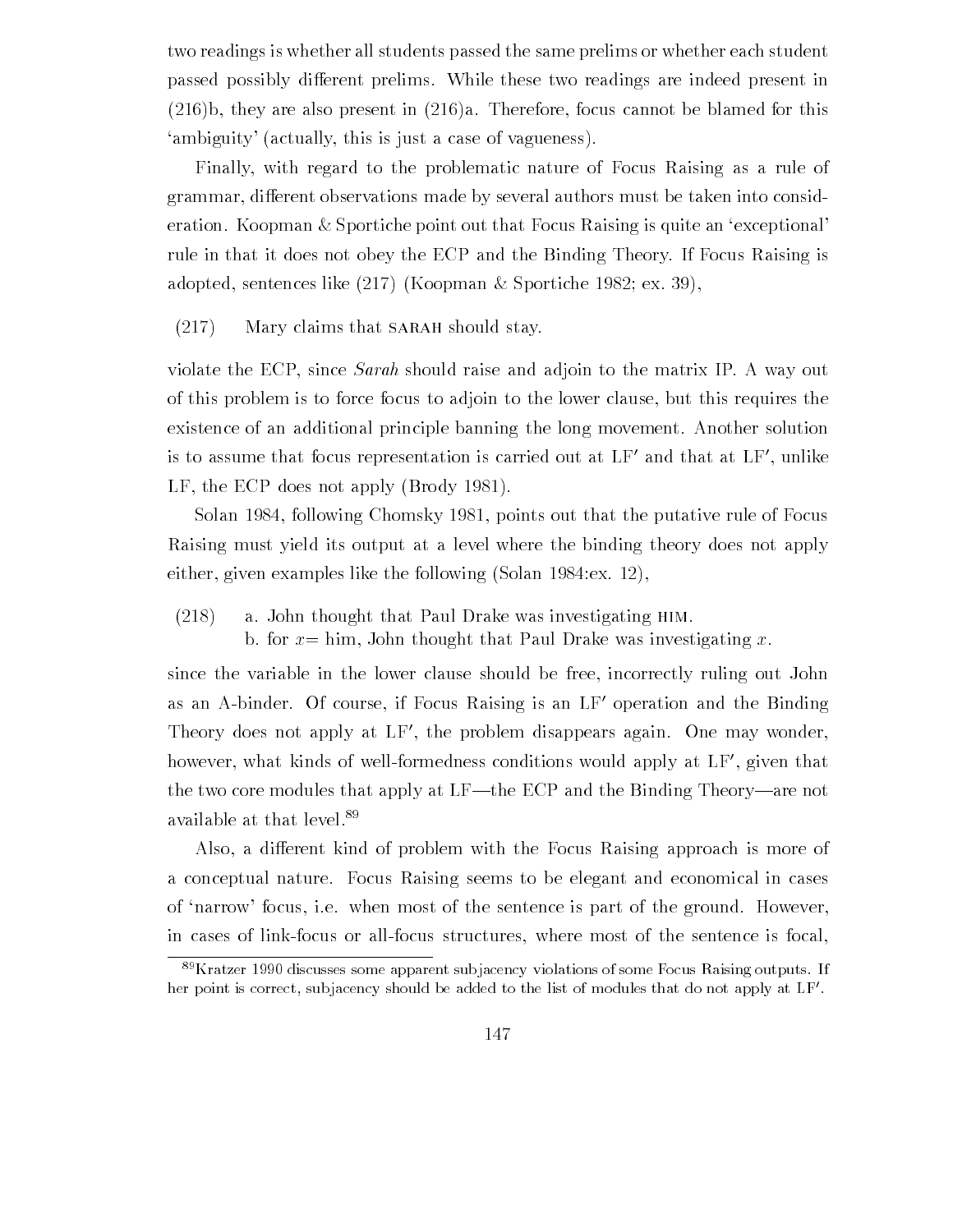two readings is whether all students passed the same prelims or whether each student passed possibly different prelims. While these two readings are indeed present in  $(216)$ b, they are also present in  $(216)a$ . Therefore, focus cannot be blamed for this 'ambiguity' (actually, this is just a case of vagueness).

Finally with regard to the problematic nature of Focus Raising as a rule of grammar, different observations made by several authors must be taken into consideration. Koopman & Sportiche point out that Focus Raising is quite an 'exceptional' rule in that it does not obey the ECP and the Binding Theory If Focus Raising is adopted, sentences like  $(217)$  (Koopman & Sportiche 1982; ex. 39).

 $(217)$  Mary claims that SARAH should stay.

violate the ECP, since *Sarah* should raise and adjoin to the matrix IP. A way out of this problem is to force focus to adjoin to the lower clause but this requires the existence of an additional principle banning the long movement. Another solution is to assume that focus representation is carried out at LF- and that at LF- unlike LF, the ECP does not apply  $(Brody 1981)$ .

Solan 1984, following Chomsky 1981, points out that the putative rule of Focus Raising must yield its output at a level where the binding theory does not apply either, given examples like the following  $(Solan 1984:ex. 12)$ ,

 $(218)$  a. John thought that Paul Drake was investigating HIM.

b. for  $x = \text{him}$ , John thought that Paul Drake was investigating x.

since the variable in the lower clause should be free, incorrectly ruling out John as an A-binder. Of course, if focus Raising is an LF-operation and the Binding Theory does not apply at LF, the problem disappears again. One may wonder, however, what kinds of well-formedifiess conditions would apply at LF-, given that the two core modules that apply at LF—the ECP and the Binding Theory—are not available at that level

Also, a different kind of problem with the Focus Raising approach is more of a conceptual nature Focus Raising seems to be elegant and economical in cases of 'narrow' focus, i.e. when most of the sentence is part of the ground. However, in cases of link-focus or all-focus structures, where most of the sentence is focal.

 $\sim$  Kratzer 1990 discusses some apparent subjacency violations of some Focus Kaising outputs. If her point is correct, subjacency should be added to the list of modules that do not apply at LF'.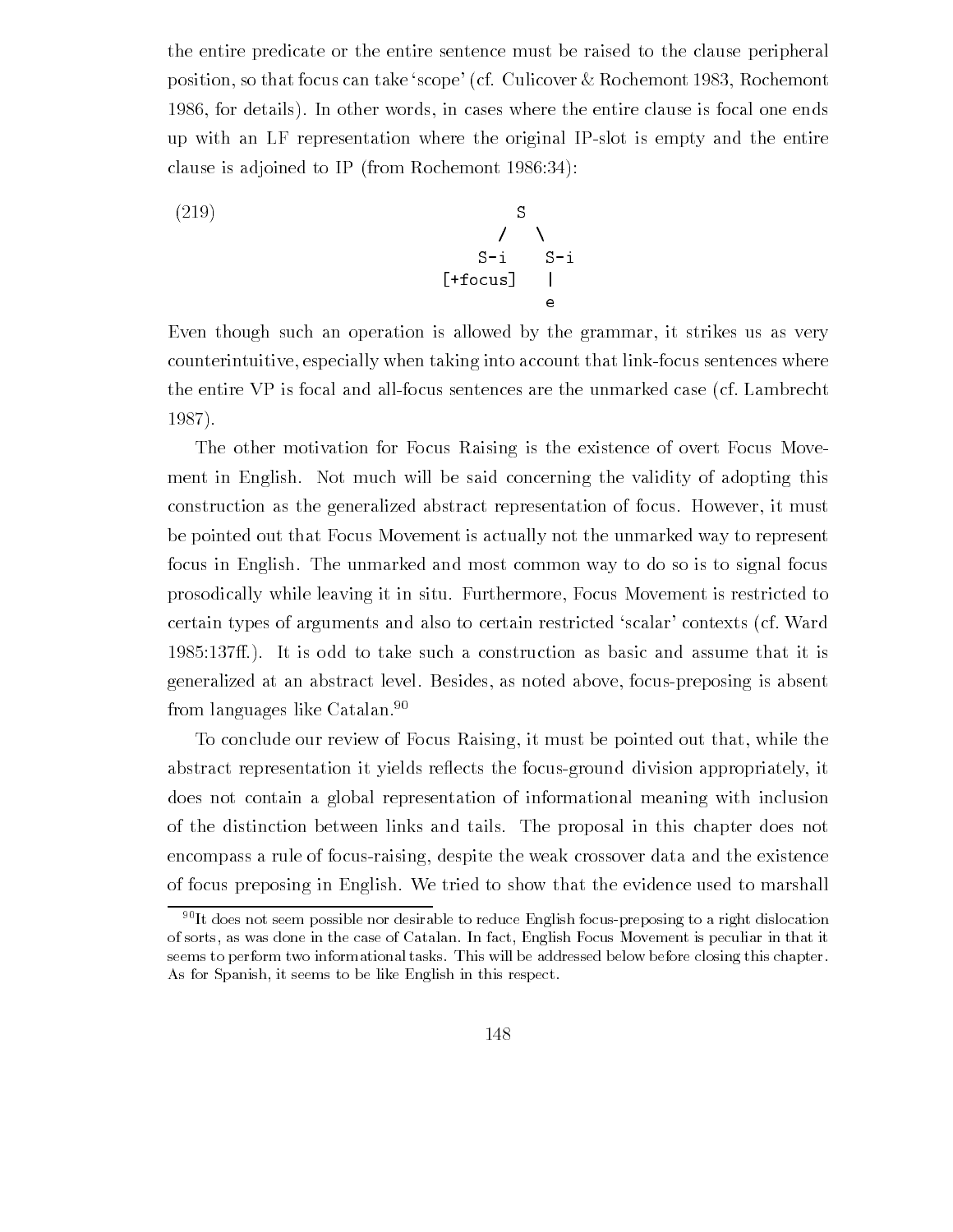the entire predicate or the entire sentence must be raised to the clause peripheral position, so that focus can take 'scope' (cf. Culicover & Rochemont 1983, Rochemont 1986, for details). In other words, in cases where the entire clause is focal one ends up with an LF representation where the original IPslot is empty and the entire clause is adjoined to IP (from Rochemont 1986:34):

$$
\begin{array}{ccccc}\n(219) & & & S & & \\
& & \nearrow & \searrow & & \\
& & S-i & S-i & \\
\text{[+focus]} & & | & \\
& & & e & \\
\end{array}
$$

Even though such an operation is allowed by the grammar it strikes us as very counterintuitive, especially when taking into account that link-focus sentences where the entire VP is focal and all-focus sentences are the unmarked case (cf. Lambrecht 1987).

The other motivation for Focus Raising is the existence of overt Focus Move ment in English. Not much will be said concerning the validity of adopting this construction as the generalized abstract representation of focus. However, it must be pointed out that Focus Movement is actually not the unmarked way to represent focus in English. The unmarked and most common way to do so is to signal focus prosodically while leaving it in situ Furthermore Focus Movement is restricted to certain types of arguments and also to certain restricted 'scalar' contexts (cf. Ward It is odd to take such a construction as basic and assume that it is generalized at an abstract level Besides as noted above focuspreposing is absent from languages like Catalan 

To conclude our review of Focus Raising it must be pointed out that while the abstract representation it yields reflects the focus-ground division appropriately, it does not contain a global representation of informational meaning with inclusion of the distinction between links and tails The proposal in this chapter does not encompass a rule of focus-raising, despite the weak crossover data and the existence of focus preposing in English. We tried to show that the evidence used to marshall

 $10^{90}$  It does not seem possible nor desirable to reduce English focus-preposing to a right dislocation of sorts, as was done in the case of Catalan. In fact, English Focus Movement is peculiar in that it seems to perform two informational tasks. This will be addressed below before closing this chapter. As for Spanish, it seems to be like English in this respect.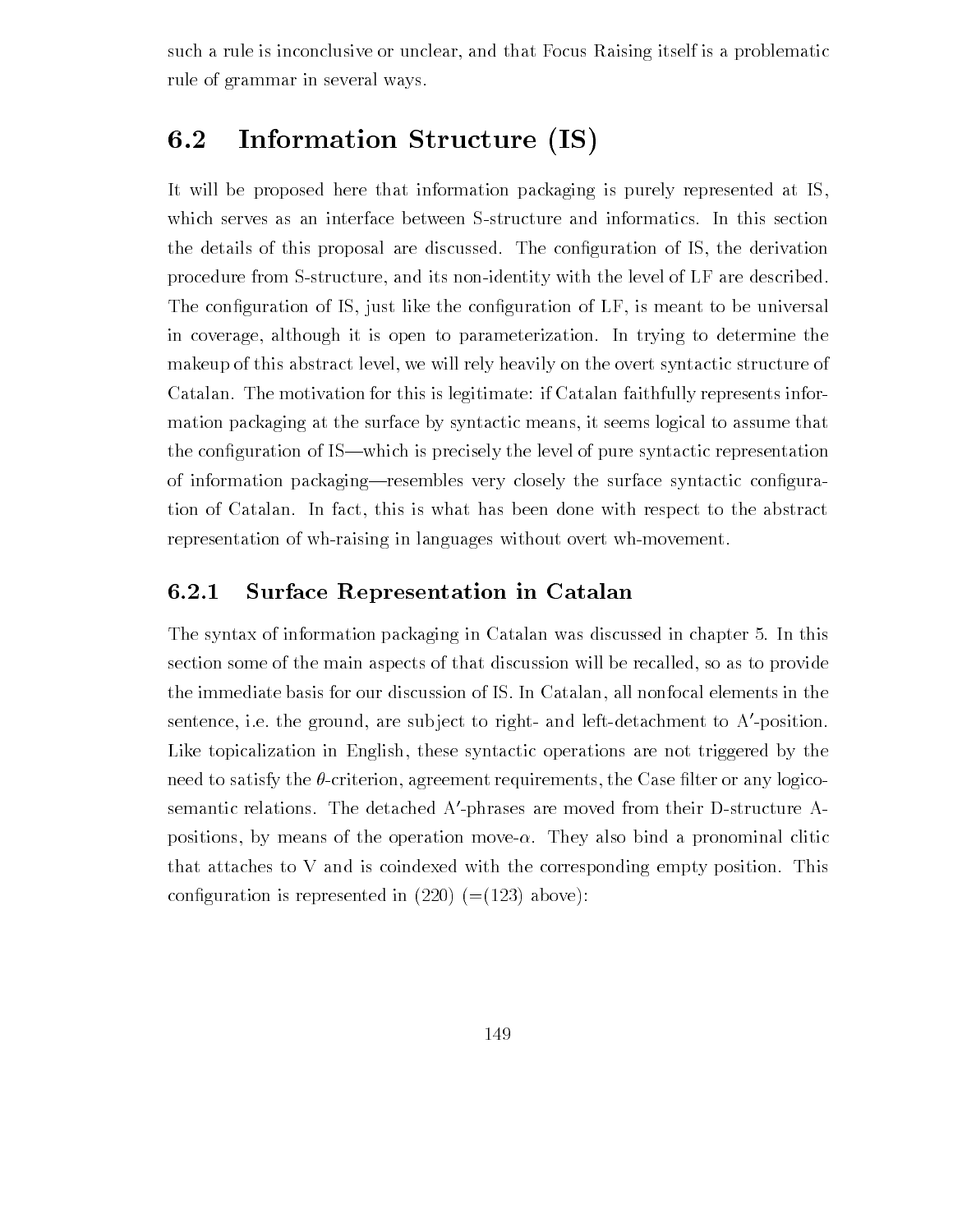such a rule is inconclusive or unclear, and that Focus Raising itself is a problematic rule of grammar in several ways

## 6.2 Information Structure (IS)

It will be proposed here that information packaging is purely represented at IS which serves as an interface between S-structure and informatics. In this section the details of this proposal are discussed The con- $\alpha$ procedure from S-structure, and its non-identity with the level of LF are described.  $\mathcal{L}$ in coverage, although it is open to parameterization. In trying to determine the makeup of this abstract level, we will rely heavily on the overt syntactic structure of Catalan. The motivation for this is legitimate: if Catalan faithfully represents information packaging at the surface by syntactic means it seems logical to assume that the con-guration of ISwhich is precisely the level of pure syntactic representation of information packagingresembles very closely the surface syntactic con-gura tion of Catalan. In fact, this is what has been done with respect to the abstract representation of wh-raising in languages without overt wh-movement.

# 6.2.1 Surface Representation in Catalan

The syntax of information packaging in  $\mathcal{U}$  in  $\mathcal{U}$  and  $\mathcal{U}$  in chapter in chapter in chapter in chapter in chapter in chapter in chapter in chapter in chapter in chapter in chapter in chapter in chapter in ch section some of the main aspects of that discussion will be recalled, so as to provide the immediate basis for our discussion of IS. In Catalan, all nonfocal elements in the sentence, i.e. the ground, are subject to right- and left-detachment to A-position. Like topicalization in English, these syntactic operations are not triggered by the need to satisfy the criterion agreement requirements the Case -lter or any logico semantic relations. The detached A-phrases are moved from their D-structure A- $\,$ positions by means of the operations moved and a proportion movement of production and a proportion that attaches to V and is coindexed with the corresponding empty position This confluences is represented in  $\mathcal{C} = \{ \pm 1, \ldots, \pm 1, \ldots, \pm 1, \ldots, \pm 1, \ldots, \pm 1, \ldots, \pm 1, \ldots, \pm 1, \ldots, \pm 1, \ldots, \pm 1, \ldots, \pm 1, \ldots, \pm 1, \ldots, \pm 1, \ldots, \pm 1, \ldots, \pm 1, \ldots, \pm 1, \ldots, \pm 1, \ldots, \pm 1, \ldots, \pm 1, \ldots, \pm 1, \ldots, \pm 1, \ldots, \pm$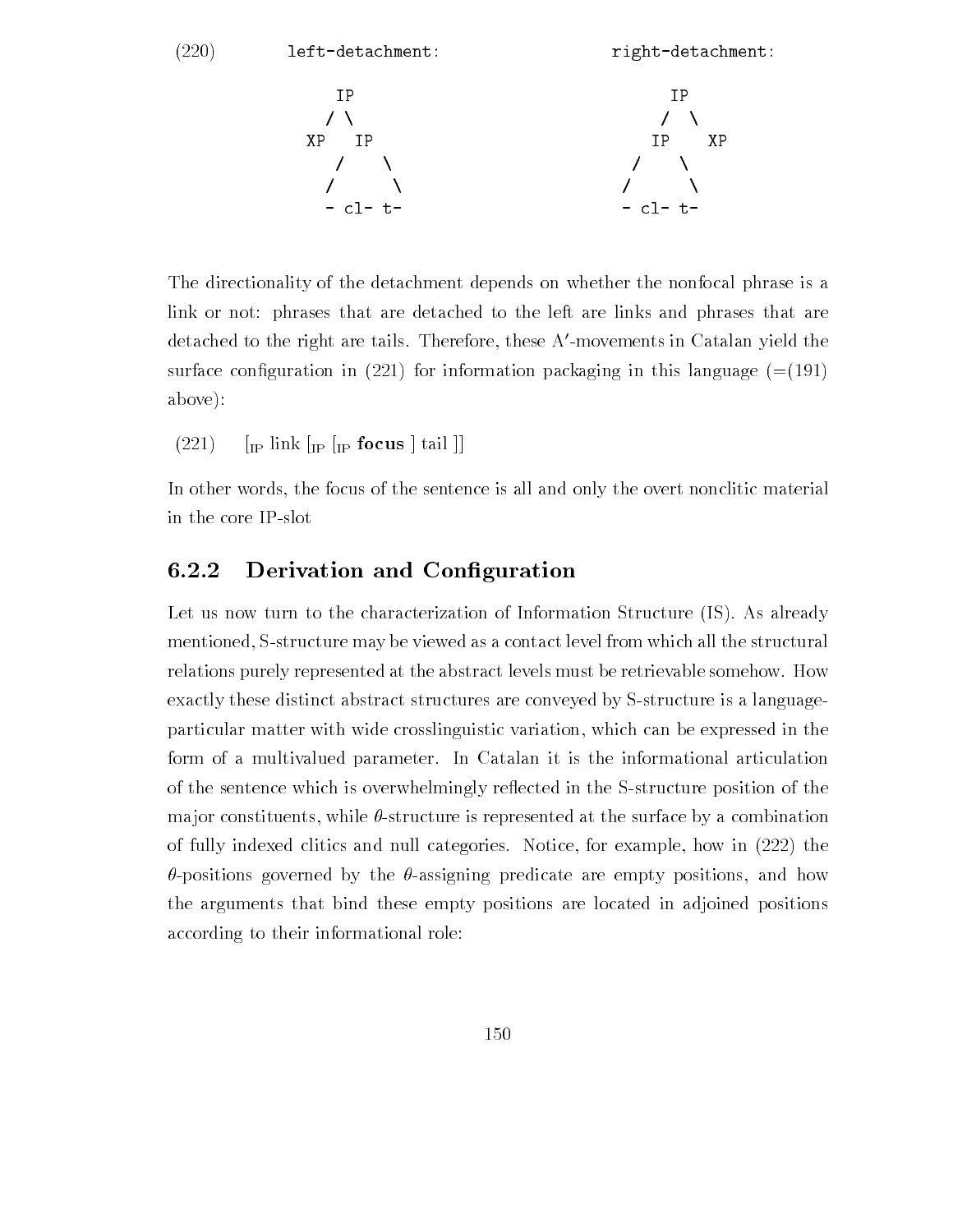$(220)$  left-detachment: right-detachment:

- - - - - -

The directionality of the detachment depends on whether the nonfocal phrase is a link or not: phrases that are detached to the left are links and phrases that are detached to the right are tails. Therefore, these A -movements in Catalan yield the surface con-guration in for information packaging in this language above

 $(221)$  [IP link  $\left[\text{IP} \left( \text{IP} \right) \right]$  [IP focus  $\left[ \text{tail} \right]$ ]

In other words, the focus of the sentence is all and only the overt nonclitic material in the core IPslot

### $6.2.2$ Derivation and Configuration

Let us now turn to the characterization of Information Structure (IS). As already mentioned, S-structure may be viewed as a contact level from which all the structural relations purely represented at the abstract levels must be retrievable somehow. How exactly these distinct abstract structures are conveyed by S-structure is a languageparticular matter with wide crosslinguistic variation which can be expressed in the form of a multivalued parameter. In Catalan it is the informational articulation of the sentence which is overwhelmingly reflected in the S-structure position of the major constituents, while  $\theta$ -structure is represented at the surface by a combination of fully indexed clitics and null categories. Notice, for example, how in  $(222)$  the  $\theta$ -positions governed by the  $\theta$ -assigning predicate are empty positions, and how the arguments that bind these empty positions are located in adjoined positions according to their informational role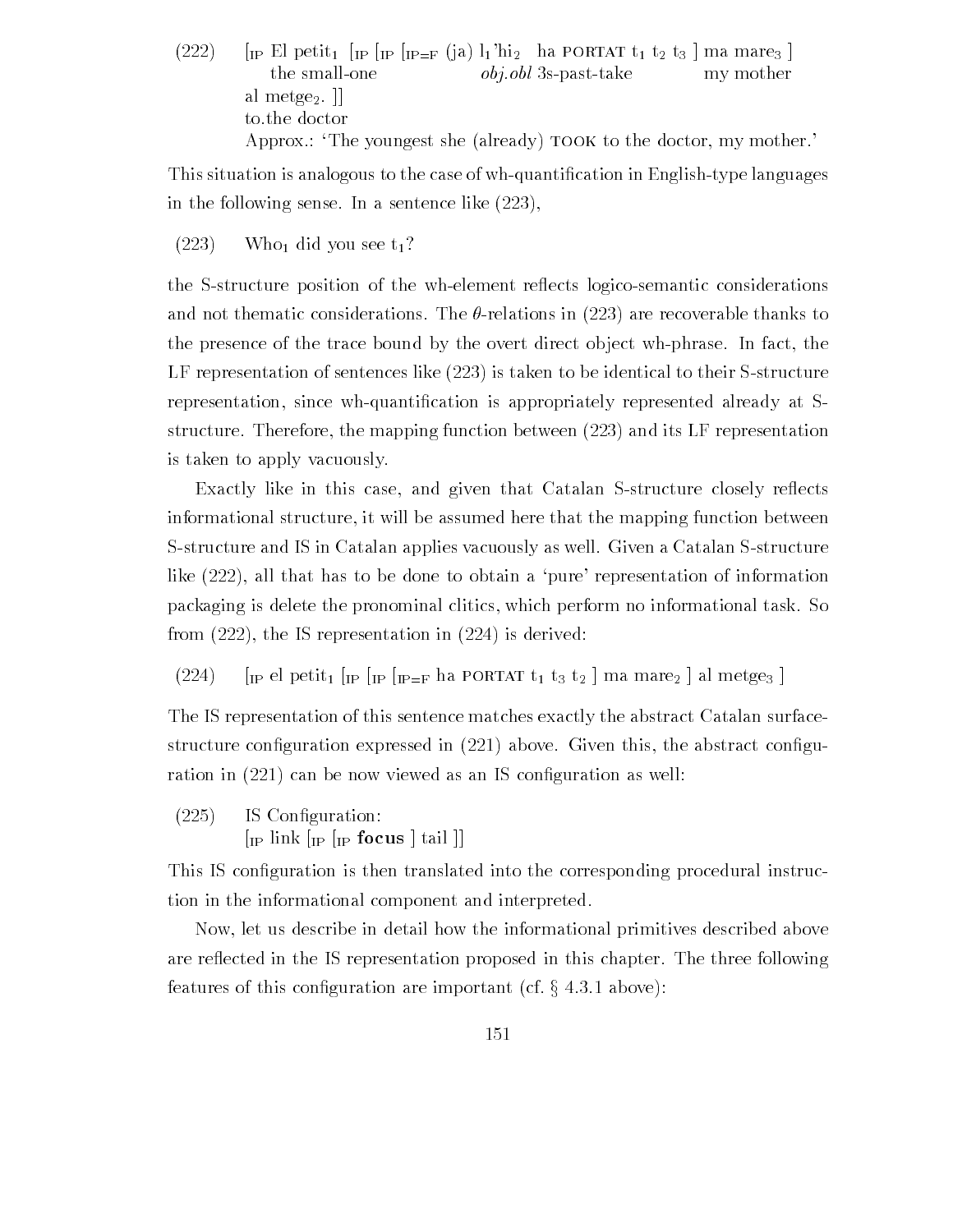$\frac{1}{1}$  ip expected in interpreted that  $\frac{1}{1}$  interpreted the positive  $\frac{1}{2}$  is the marrial # the small-one  $obj.obl$  3s-past-take my mother al metge $_2$ .  $\parallel$ to the doctor Approx  $\therefore$  The youngest she (already)  $\text{TOOK}$  to the doctor, my mother.

This situation is analogous to the case of whquanti-cation in Englishtype languages in the following sense. In a sentence like  $(223)$ ,

 $(223)$  Who<sub>1</sub> did you see t<sub>1</sub>?

the S-structure position of the wh-element reflects logico-semantic considerations and not thematic considerations. The  $\theta$ -relations in (223) are recoverable thanks to the presence of the trace bound by the overt direct object wh-phrase. In fact, the LF representation of sentences like  $(223)$  is taken to be identical to their S-structure representation since whquanti-cation is appropriately represented already at S structure. Therefore, the mapping function between  $(223)$  and its LF representation is taken to apply vacuously

Exactly like in this case, and given that Catalan S-structure closely reflects informational structure, it will be assumed here that the mapping function between S-structure and IS in Catalan applies vacuously as well. Given a Catalan S-structure like  $(222)$ , all that has to be done to obtain a 'pure' representation of information packaging is delete the pronominal clitics which perform no informational task So from  $(222)$ , the IS representation in  $(224)$  is derived:

 $(224)$ IL at  $\lambda$  portal III III III  $\equiv$  the reservation of  $\lambda$  also interested that  $\lambda$ #

The IS representation of this sentence matches exactly the abstract Catalan surface structure con-quration in above Given the above Given the above Given the abstract con-qu ration in can be now viewed as an IS construction as well as an IS construction as well as a series of the se

 $(225)$  $\mathcal{I}$  is constructed as  $\mathcal{I}$  is a set of  $\mathcal{I}$ 

IP FOCUS # TAIL # IP FOCUS # TAIL # TAIL # TAIL # TAIL # TAIL # TAIL # TAIL # TAIL # TAIL # TAIL # TAIL # TAIL

This IS con-guration is then translated into the corresponding procedural instruc tion in the informational component and interpreted

Now let us describe in detail how the informational primitives described above are reflected in the IS representation proposed in this chapter. The three following features of this configuration are important (cf.  $\S 4.3.1$  above):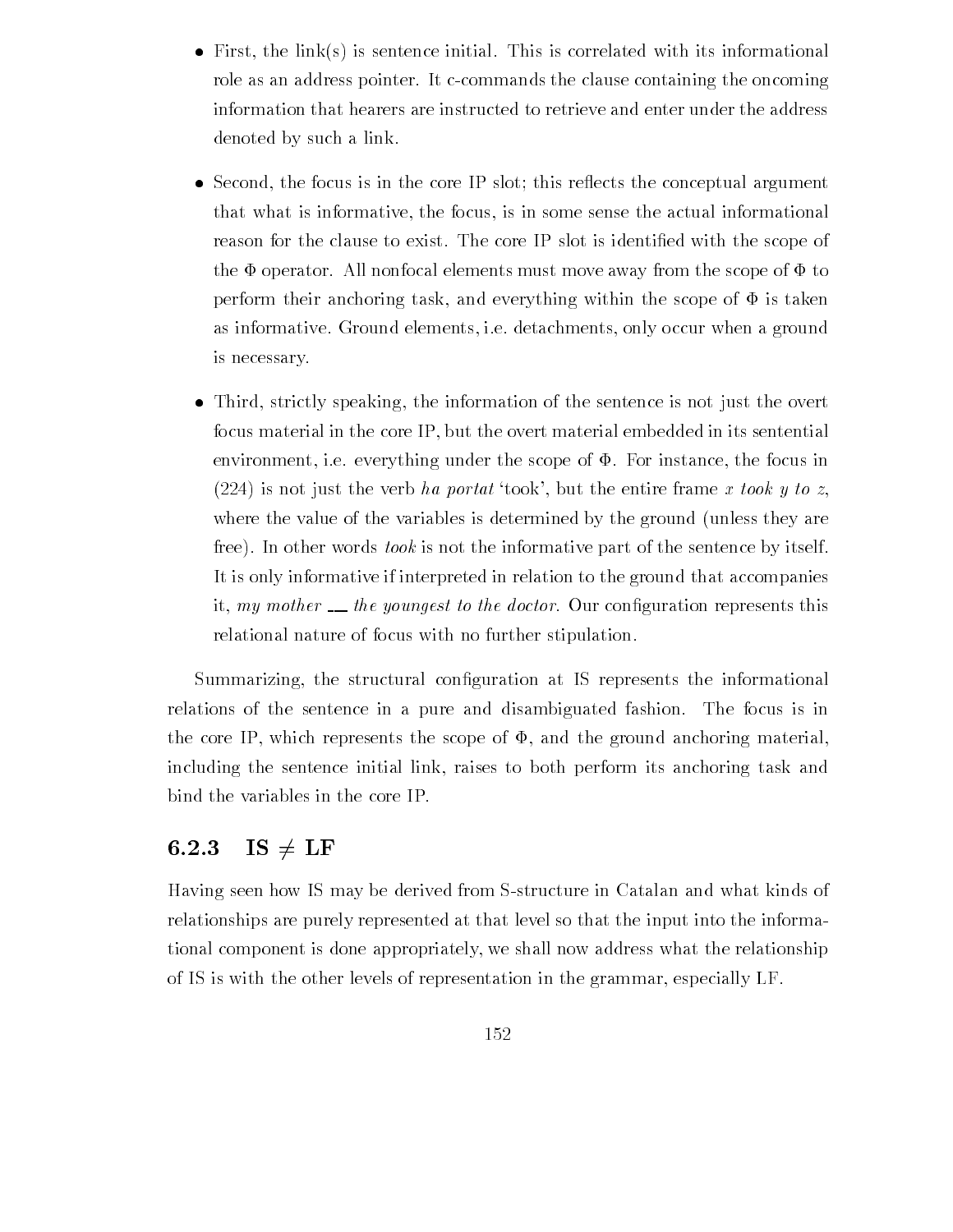- First the links is sentence in its initial This is correlated with its initial This is correlated with its information  $\mathbf{I}$ role as an address pointer. It c-commands the clause containing the oncoming information that hearers are instructed to retrieve and enter under the address denoted by such a link
- Second the focus is in the core IP slot this re
ects the conceptual argument that what is informative, the focus, is in some sense the actual informational reason for the clause to exist The core IP slot is identi-ed with the scope of the  $\Phi$  operator. All nonfocal elements must move away from the scope of  $\Phi$  to perform their anchoring task, and everything within the scope of  $\Phi$  is taken as informative. Ground elements, i.e. detachments, only occur when a ground is necessary
- Third strictly speaking the information of the sentence is not just the overt focus material in the core IP but the overt material embedded in its sentential environment, i.e. everything under the scope of  $\Phi$ . For instance, the focus in (224) is not just the verb ha portat 'took', but the entire frame x took y to z. where the value of the variables is determined by the ground (unless they are free). In other words took is not the informative part of the sentence by itself. It is only informative if interpreted in relation to the ground that accompanies it my mother the  $y$  to the doctor  $\alpha$  our conrelational nature of focus with no further stipulation

Summarizing the structural con-guration at IS represents the informational relations of the sentence in a pure and disambiguated fashion. The focus is in the core IP, which represents the scope of  $\Phi$ , and the ground anchoring material, including the sentence initial link raises to both perform its anchoring task and bind the variables in the core IP

### 6.2.3  $IS \neq LF$

Having seen how IS may be derived from Sstructure in Catalan and what kinds of relationships are purely represented at that level so that the input into the informa tional component is done appropriately we shall now address what the relationship of IS is with the other levels of representation in the grammar, especially LF.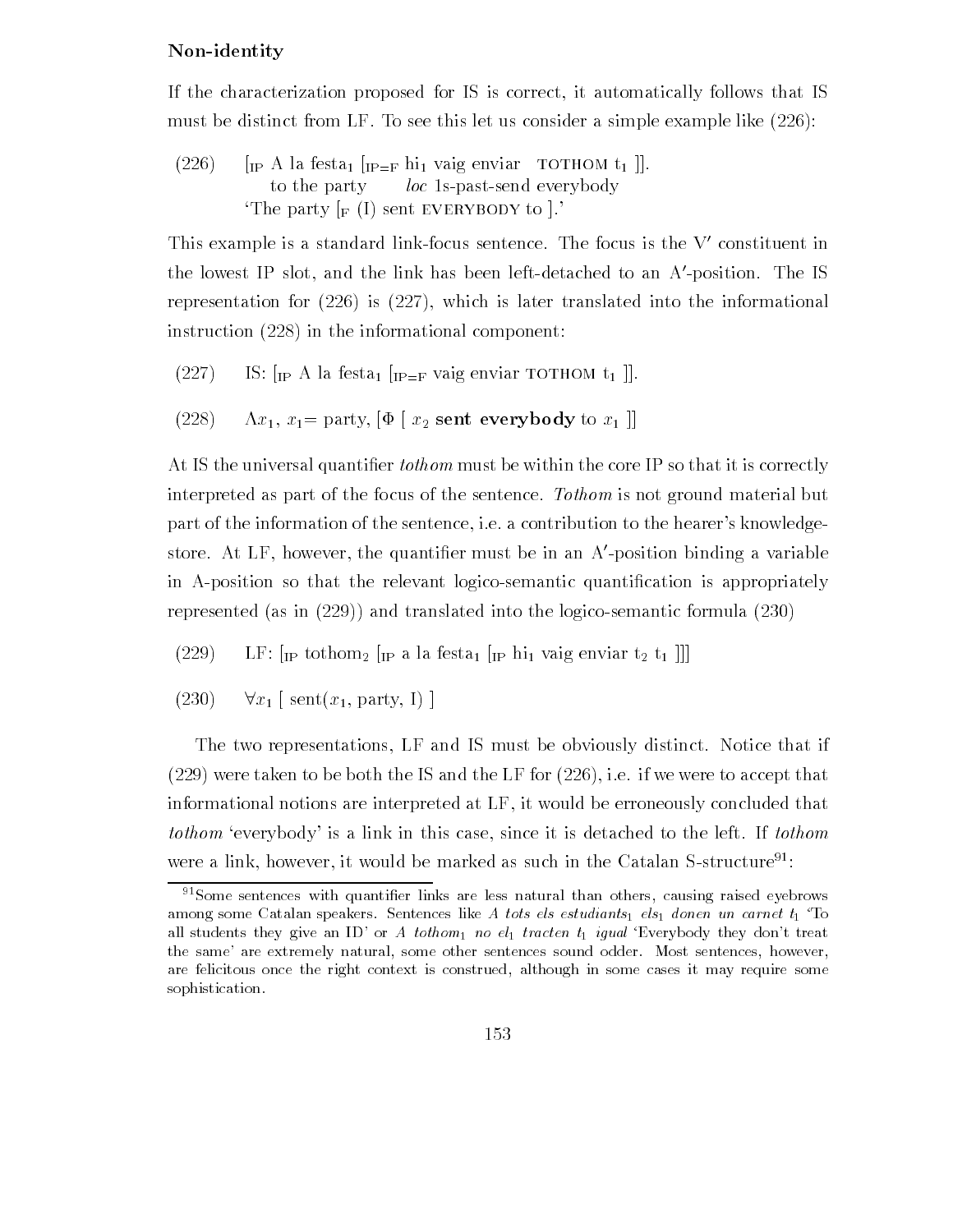## Non-identity

If the characterization proposed for IS is correct it automatically follows that IS must be distinct from LF. To see this let us consider a simple example like  $(226)$ :

(226)  $\left[$  [IP A la festa<sub>1</sub>  $\left[$  [IP=F hi<sub>1</sub> vaig enviar to THOM t<sub>1</sub> ]]. to the party  $\qquad$  loc 1s-past-send everybody The party  $\lbrack_F(I)$  sent EVERYBODY to  $\rbrack$ .

This example is a standard link-focus sentence. The focus is the V-constituent in the lowest IF slot, and the link has been left-detached to an A-position. The IS representation for  $(226)$  is  $(227)$ , which is later translated into the informational instruction  $(228)$  in the informational component:

(227) IS: 
$$
[IP A]
$$
 has  $[IP = F$   $[P \rightarrow F]$   $[I \rightarrow F]$ 

(228) 
$$
\Lambda x_1
$$
,  $x_1$  = party, [ $\Phi$  [ $x_2$  sent everybody to  $x_1$ ]]

at the the universal quantizers it correctly the correctly the correctly the core it is correctly the correctly interpreted as part of the focus of the sentence. Tothom is not ground material but part of the information of the sentence, i.e. a contribution to the hearer's knowledgestore. At Lr , nowever, the quantiner must be in an A-position binding a variable in Aposition so that the relevant logicosemantic quanti-cation is appropriately represented (as in  $(229)$ ) and translated into the logico-semantic formula  $(230)$ 

 $(229)$  LF:  $\left[\text{IP tothom}_2\right]$   $\left[\text{IP at leasta}_1\right]$   $\left[\text{IP th}_1\right]$  vaig enviar  $t_2$   $t_1$ 

 $(230)$   $\forall x_1$  [sent $(x_1,$  party, I)]

The two representations, LF and IS must be obviously distinct. Notice that if  $(229)$  were taken to be both the IS and the LF for  $(226)$ , i.e. if we were to accept that informational notions are interpreted at LF it would be erroneously concluded that tothom 'everybody' is a link in this case, since it is detached to the left. If tothom were a link, however, it would be marked as such in the Catalan S-structure<sup>91</sup>:

 $S<sup>91</sup>$ Some sentences with quantifier links are less natural than others, causing raised eyebrows among some Catalan speakers. Sentences like A tots els estudiants els donen un carnet  $t_1$  To all students they are an ID-discovered they are an ID-discovered they done they done they are also also and the the same- are extremely natural some other sentences sound odder Most sentences however are felicitous once the right context is construed, although in some cases it may require some sophistication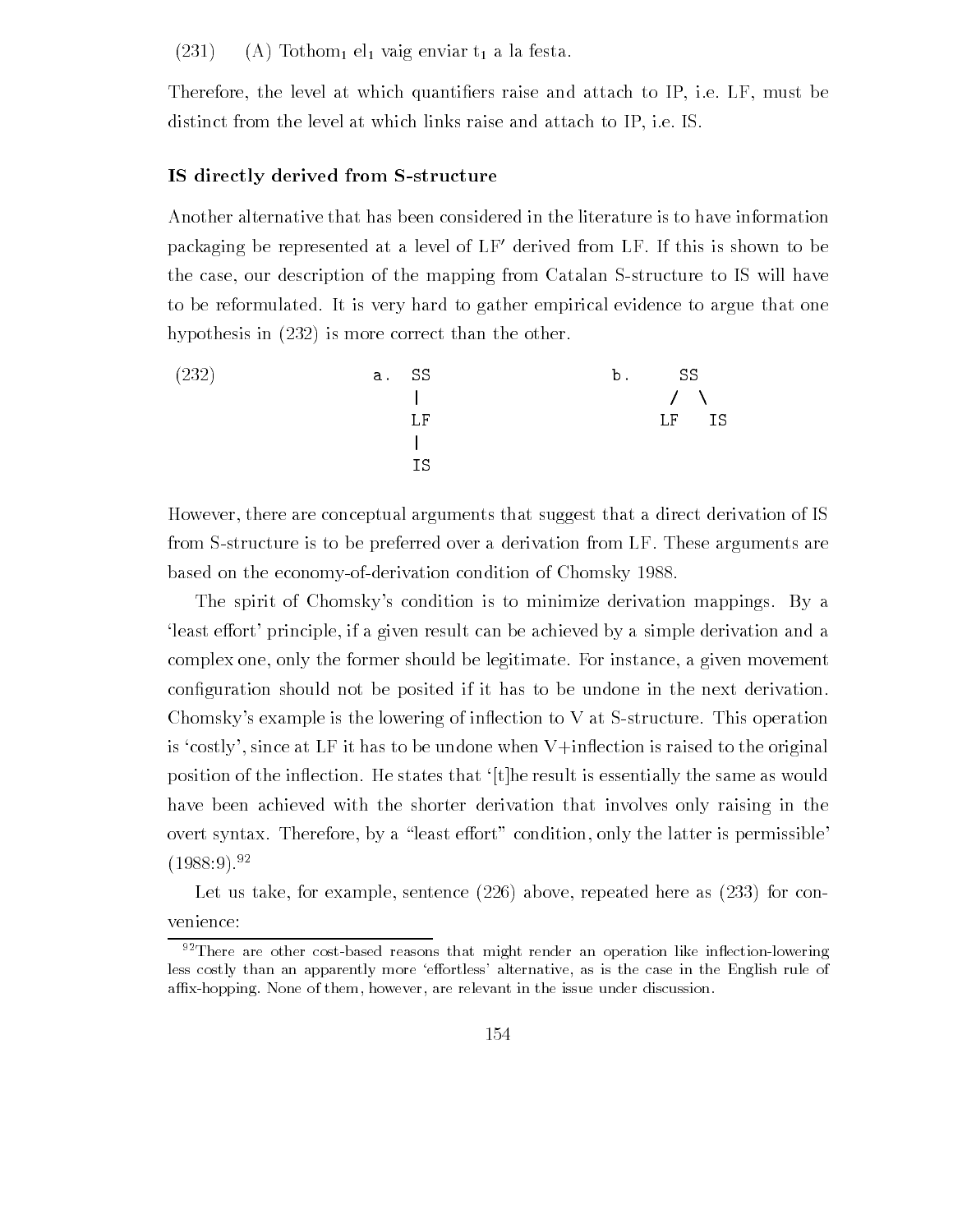$(231)$  (A) Tothom<sub>1</sub> el<sub>1</sub> vaig enviar t<sub>1</sub> a la festa.

Therefore the level at which quanti-ers raise and attach to IP ie LF must be distinct from the level at which links raise and attach to IP, i.e. IS.

## IS directly derived from S-structure

Another alternative that has been considered in the literature is to have information packaging be represented at a level of LF- derived from LF If this is shown to be the case, our description of the mapping from Catalan S-structure to IS will have to be reformulated. It is very hard to gather empirical evidence to argue that one hypothesis in  $(232)$  is more correct than the other.



However, there are conceptual arguments that suggest that a direct derivation of IS from Sstructure is to be preferred over a derivation from LF These arguments are based on the economy-of-derivation condition of Chomsky 1988.

The spirit of Chomsky's condition is to minimize derivation mappings. By a least effort' principle, if a given result can be achieved by a simple derivation and a complex one, only the former should be legitimate. For instance, a given movement con-guration should not be posited if it has to be undone in the next derivation Chomsky's example is the lowering of inflection to  $V$  at S-structure. This operation is 'costly', since at LF it has to be undone when  $V$ +inflection is raised to the original position of the inflection. He states that '[t] he result is essentially the same as would have been achieved with the shorter derivation that involves only raising in the overt syntax. Therefore, by a "least effort" condition, only the latter is permissible  $(1988:9).^{92}$ 

Let us take, for example, sentence  $(226)$  above, repeated here as  $(233)$  for convenience

 $92$ There are other cost-based reasons that might render an operation like inflection-lowering less costly than an apparently more eortless- alternative as is the case in the English rule of affix-hopping. None of them, however, are relevant in the issue under discussion.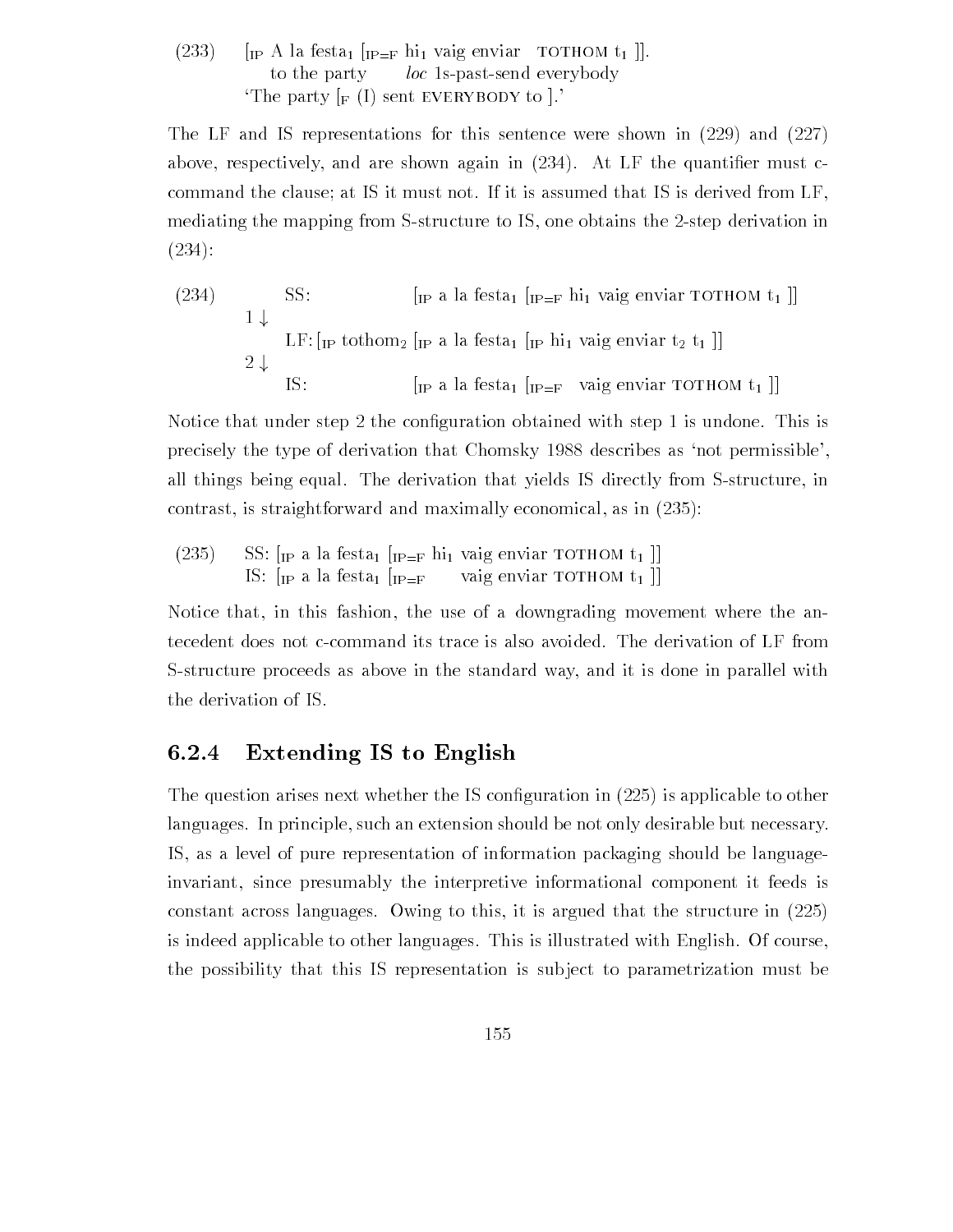## (233) [IP A la festa  $\left[$ IP=F hi vaig enviar TOTHOM t<sub>1</sub> ]]. to the party loc 1s-past-send everybody The party  $\lceil_F(I) \rceil$  sent EVERYBODY to  $\lceil$ .

The LF and IS representations for this sentence were shown in  $(229)$  and  $(227)$ above respectively and are shown as a shown again in  $\mathcal{A}$  the quanti-dimensional in  $\mathcal{A}$ command the clause; at IS it must not. If it is assumed that IS is derived from LF, mediating the mapping from S-structure to IS, one obtains the 2-step derivation in  $(234):$ 

 SS "IP a la festa "IPF hi vaig enviar tothom t ## LF "IP tothom " IP a la festa " IP hi vaig enviar t t ## IS "IP a la festa "IPF vaig enviar tothom t ##

Notice that under step the con-guration obtained with step is undone This is precisely the type of derivation that Chomsky 1988 describes as 'not permissible', all things being equal. The derivation that yields IS directly from S-structure, in contrast is straightforward and maximally economical as in

 $(235)$ SS:  $\left[\text{IP a} \text{ la festa}_1 \right]$   $\left[\text{IP=F} \text{ hi}_1 \text{ vaig enviar TOTHOM } t_1 \right]$ IS:  $\left[\mathbf{I}_P \text{ a} \text{ a } \text{festa}_1 \right] \left[\mathbf{I}_{P=F} \text{ value } \text{vais } \text{ } \text{Feyl} \right]$ 

Notice that, in this fashion, the use of a downgrading movement where the antecedent does not ccommand its trace is also avoided The derivation of LF from Sstructure proceeds as above in the standard way and it is done in parallel with the derivation of IS

# Extending IS to English

The question arises next whether the IS con-guration in is applicable to other languages. In principle, such an extension should be not only desirable but necessary. IS as a level of pure representation of information packaging should be language invariant, since presumably the interpretive informational component it feeds is constant across languages Owing to this it is argued that the structure in is indeed applicable to other languages. This is illustrated with English. Of course, the possibility that this IS representation is sub ject to parametrization must be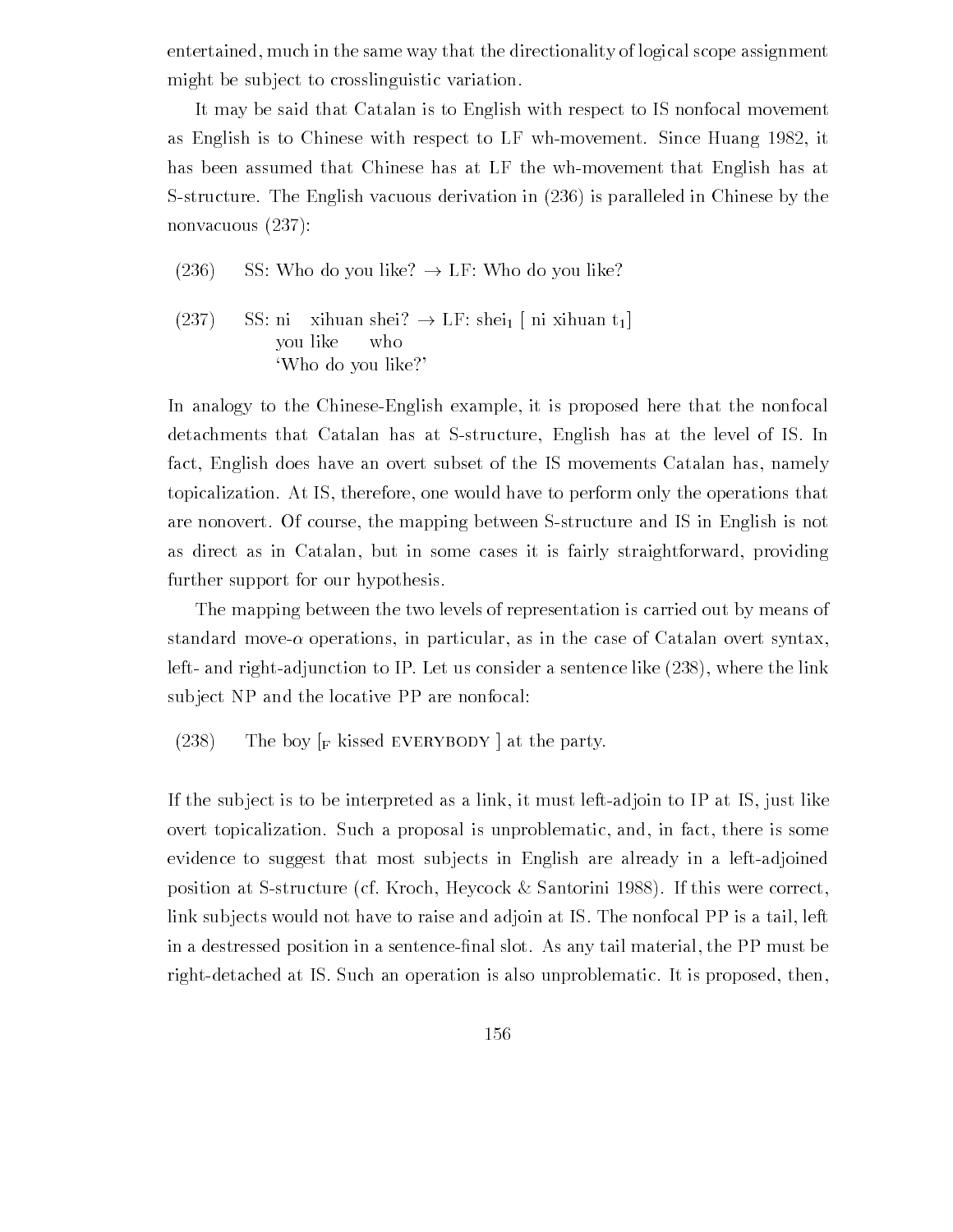entertained, much in the same way that the directionality of logical scope assignment might be subject to crosslinguistic variation.

It may be said that Catalan is to English with respect to IS nonfocal movement as English is to Chinese with respect to LF wh-movement. Since Huang  $1982$ , it has been assumed that Chinese has at LF the wh-movement that English has at S-structure. The English vacuous derivation in (236) is paralleled in Chinese by the nonvacuous (237):

- $(236)$  SS: Who do you like?  $\rightarrow$  LF: Who do you like?
- (237) SS: ni xihuan shei?  $\rightarrow$  LF: shei [ni xihuan t<sub>1</sub>] you like who Who do you like

In analogy to the Chinese-English example, it is proposed here that the nonfocal detachments that Catalan has at S-structure, English has at the level of IS. In fact, English does have an overt subset of the IS movements Catalan has, namely topicalization. At IS, therefore, one would have to perform only the operations that are nonovert. Of course, the mapping between S-structure and IS in English is not as direct as in Catalan, but in some cases it is fairly straightforward, providing further support for our hypothesis

The mapping between the two levels of representation is carried out by means of standard move- operations in particular as in the case of Catalan overt syntax left- and right-adjunction to IP. Let us consider a sentence like  $(238)$ , where the link subject NP and the locative PP are nonfocal:

(238) The boy  $\lceil_{\text{F}} \rceil$  kissed EVERYBODY at the party.

If the subject is to be interpreted as a link, it must left-adjoin to IP at IS, just like overt topicalization. Such a proposal is unproblematic, and, in fact, there is some evidence to suggest that most subjects in English are already in a left-adjoined position at S-structure (cf. Kroch, Heycock & Santorini 1988). If this were correct, link subjects would not have to raise and adjoin at IS. The nonfocal PP is a tail, left in a destressed position in a sentence-nal slot As any tail material the PP must be right-detached at IS. Such an operation is also unproblematic. It is proposed, then,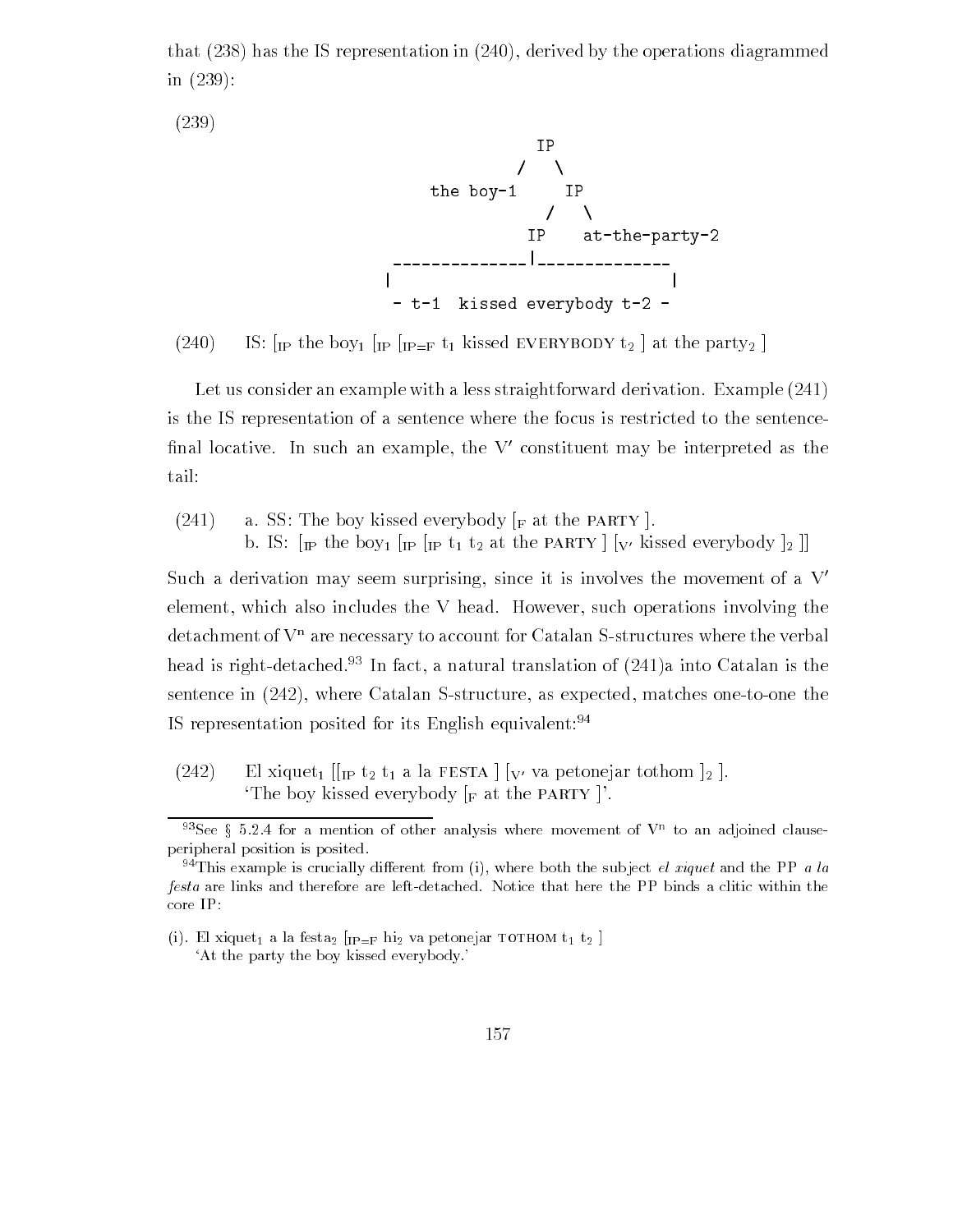that  $(238)$  has the IS representation in  $(240)$ , derived by the operations diagrammed in  $(239)$ :

 $(239)$ 



 $\sum_{i=1}^{\infty}$  is integral in the  $\sum_{i=1}^{\infty}$  integrated the party  $\sum_{i=1}^{\infty}$ 

Let us consider an example with a less straightforward derivation. Example (241) is the IS representation of a sentence where the focus is restricted to the sentence -nal locative In such an example the V- constituent may be interpreted as the tail

 $(241)$  a. SS: The boy kissed everybody  $\lbrack_F$  at the PARTY  $\rbrack$ . b. IS:  $\lceil \mathbf{p} \rceil$  the boy  $\lceil \mathbf{p} \rceil$   $\lceil \mathbf{p} \rceil$  t<sub>1</sub> t<sub>2</sub> at the PARTY  $\lceil \lceil \mathbf{v'} \rceil$  kissed everybody  $\lceil \frac{1}{2} \rceil$ 

Such a derivation may seem surprising, since it is involves the movement of a  $V'$ element, which also includes the V head. However, such operations involving the  $\det$  detachment of  $V<sup>n</sup>$  are necessary to account for Catalan S-structures where the verbal  ${\rm mean}$  is right-detached. The fact, a natural translation of (241)a filto Catalan is the sentence in  $(242)$ , where Catalan S-structure, as expected, matches one-to-one the IS representation posited for its English equivalent:<sup>94</sup>

 $(242)$  El xiquet<sub>1</sub> [[<sub>IP</sub> t<sub>2</sub> t<sub>1</sub> a la FESTA | [<sub>V'</sub> va petonejar tothom  $\vert_2$ ]. The boy kissed everybody  $\lceil_{\mathbf{F}} \rceil$  at the PARTY  $\lceil$ .

 $\sim$  see g 5.2.4 for a mention of other analysis where movement of V  $\sim$  to an adjoined clauseperipheral position is posited

 $94$ This example is crucially different from (i), where both the subject el xiquet and the PP a la festa are links and therefore are left-detached. Notice that here the PP binds a clitic within the core IP

 $\mu$ , er maart a la festa  $\mu$ i – $\mu$  m2 (a petembar to file it to the  $\mu$ At the party the boy kissed everybody-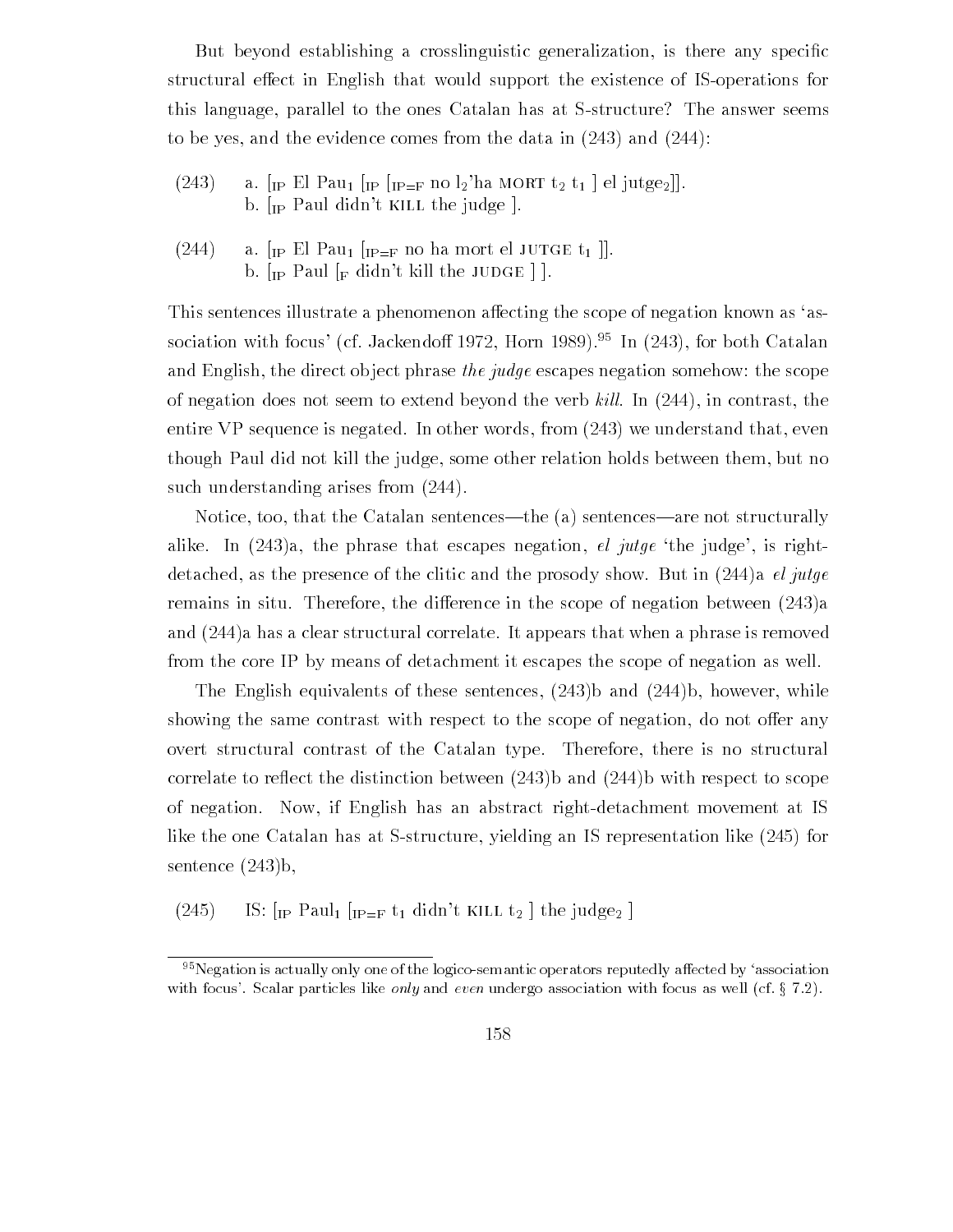$B = \{A, \ldots, A\}$ structural effect in English that would support the existence of IS-operations for this language, parallel to the ones Catalan has at S-structure? The answer seems to be yes, and the evidence comes from the data in  $(243)$  and  $(244)$ :

- (243) a.  $\lceil_{IP}$  El Pau<sub>1</sub>  $\lceil_{IP}$   $\lceil_{IP=F}$  no  $l_2$ 'ha MORT  $t_2$   $t_1$   $\lceil$  el jutge<sub>2</sub> $\rceil$ . b.  $[p$  Paul didn't KILL the judge  $]$ .
- (244) a.  $\left[\text{IP El Pau}_{1}\right]\left[\text{IP=F} \text{ no ha mort el JUTGE } t_{1}\right]$ . b.  $\lceil \text{IP Paul } \rceil_F$  didn't kill the JUDGE  $\lceil \cdot \rceil$ .

This sentences illustrate a phenomenon affecting the scope of negation known as 'association with focus' (cf. Jackendoff 1972, Horn 1989).<sup>95</sup> In (243), for both Catalan and English, the direct object phrase the judge escapes negation somehow: the scope of negation does not seem to extend beyond the verb kill. In  $(244)$ , in contrast, the entire VP sequence is negated. In other words, from  $(243)$  we understand that, even though Paul did not kill the judge, some other relation holds between them, but no such understanding arises from  $(244)$ .

Notice, too, that the Catalan sentences—the  $(a)$  sentences—are not structurally alike. In  $(243)a$ , the phrase that escapes negation, el jutge the judge, is rightdetached, as the presence of the clitic and the prosody show. But in  $(244)$  a el jutge remains in situ. Therefore, the difference in the scope of negation between  $(243)a$ and  $(244)$  a has a clear structural correlate. It appears that when a phrase is removed from the core IP by means of detachment it escapes the scope of negation as well

The English equivalents of these sentences,  $(243)$ b and  $(244)$ b, however, while showing the same contrast with respect to the scope of negation, do not offer any overt structural contrast of the Catalan type. Therefore, there is no structural correlate to reflect the distinction between  $(243)$ b and  $(244)$ b with respect to scope of negation. Now, if English has an abstract right-detachment movement at IS like the one Catalan has at Sstructure yielding an IS representation like for sentence  $(243)$ b,

 $(245)$  $\frac{1}{2}$  is the integral  $\frac{1}{2}$  in  $\frac{1}{2}$  integral  $\frac{1}{2}$  integral integral integral integral integral integral integral integral integral integral integral integral integral integral integral integral integral

 $95$  Negation is actually only one of the logico-semantic operators reputedly affected by 'association with focus- scalar particles in  $j$  and even under  $\mathcal{A}_i$  and even under with focus as well constants  $\mathcal{A}_i$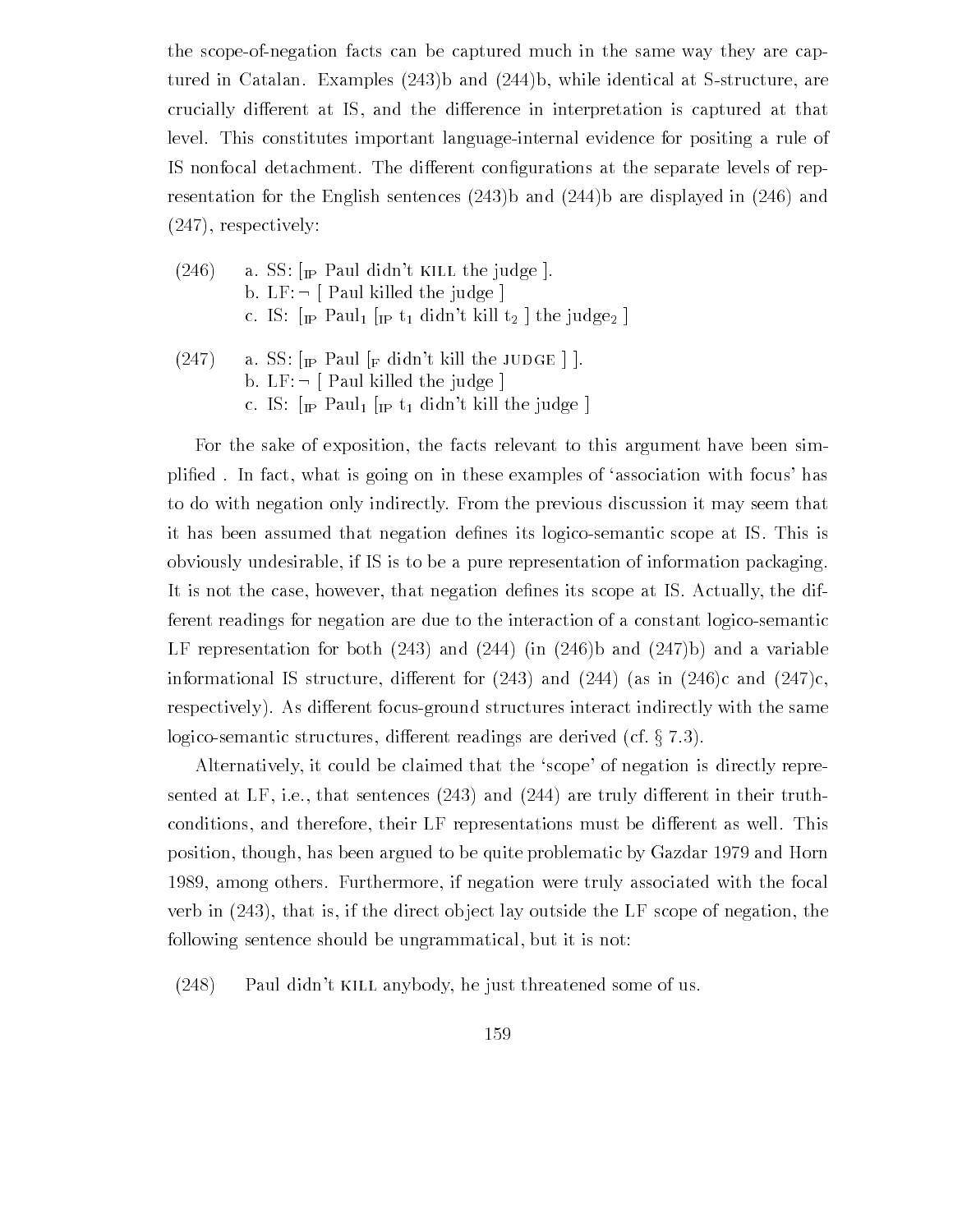the scope-of-negation facts can be captured much in the same way they are captured in Catalan. Examples  $(243)$  and  $(244)$ b, while identical at S-structure, are crucially different at IS, and the difference in interpretation is captured at that level. This constitutes important language-internal evidence for positing a rule of IS nonfocal detachment The dierent con-gurations at the separate levels of rep resentation for the English sentences  $(243)$ b and  $(244)$ b are displayed in  $(246)$  and  $(247)$ , respectively:

- $(246)$  a. SS:  $[$ I<sub>IP</sub> Paul didn't KILL the judge  $]$ . b.  $LF: \neg$  [ Paul killed the judge ] c IS "IP" THE TAUL "IP" THE FILL THE LATER AND TAKEN A THE LATER AND TALL THE LATER AND TALL THE LATER AND TAL
- (247) a. SS:  $\lceil_{\text{IP}}$  Paul  $\lceil_{\text{F}}$  didn't kill the JUDGE  $\rceil$ . b.  $LF: \neg$  Paul killed the judge c. IS:  $\lceil$   $\lceil$  Paul<sub>1</sub>  $\lceil$   $\lceil$   $\lceil$   $\lceil$   $\lceil$   $\lceil$   $\lceil$   $\lceil$   $\lceil$   $\lceil$   $\lceil$   $\lceil$   $\lceil$   $\lceil$   $\lceil$   $\lceil$   $\lceil$   $\lceil$   $\lceil$   $\lceil$   $\lceil$   $\lceil$   $\lceil$   $\lceil$   $\lceil$   $\lceil$   $\lceil$   $\lceil$   $\lceil$   $\lceil$   $\lceil$   $\lceil$   $\$

For the sake of exposition, the facts relevant to this argument have been simplies is a fact which is going the interest consequent of association with focus has been to do with negation only indirectly From the previous discussion it may seem that it die nes its die die that the negation de-that its logicost conditions its logic scope at IS This is the sec obviously undesirable if IS is to be a pure representation of information packaging It is not the case however that negation de-nes its scope at IS Actually the dif ferent readings for negation are due to the interaction of a constant logicosemantic LF representation for both  $(243)$  and  $(244)$  (in  $(246)$ b and  $(247)$ b) and a variable informational IS structure, different for  $(243)$  and  $(244)$  (as in  $(246)c$  and  $(247)c$ , respectively). As different focus-ground structures interact indirectly with the same logico-semantic structures, different readings are derived (cf.  $\S$  7.3).

Alternatively, it could be claimed that the 'scope' of negation is directly represented at LF, i.e., that sentences  $(243)$  and  $(244)$  are truly different in their truthconditions, and therefore, their LF representations must be different as well. This position, though, has been argued to be quite problematic by Gazdar 1979 and Horn 1989, among others. Furthermore, if negation were truly associated with the focal verb in  $(243)$ , that is, if the direct object lay outside the LF scope of negation, the following sentence should be ungrammatical, but it is not:

 $(248)$  Paul didn't KILL anybody, he just threatened some of us.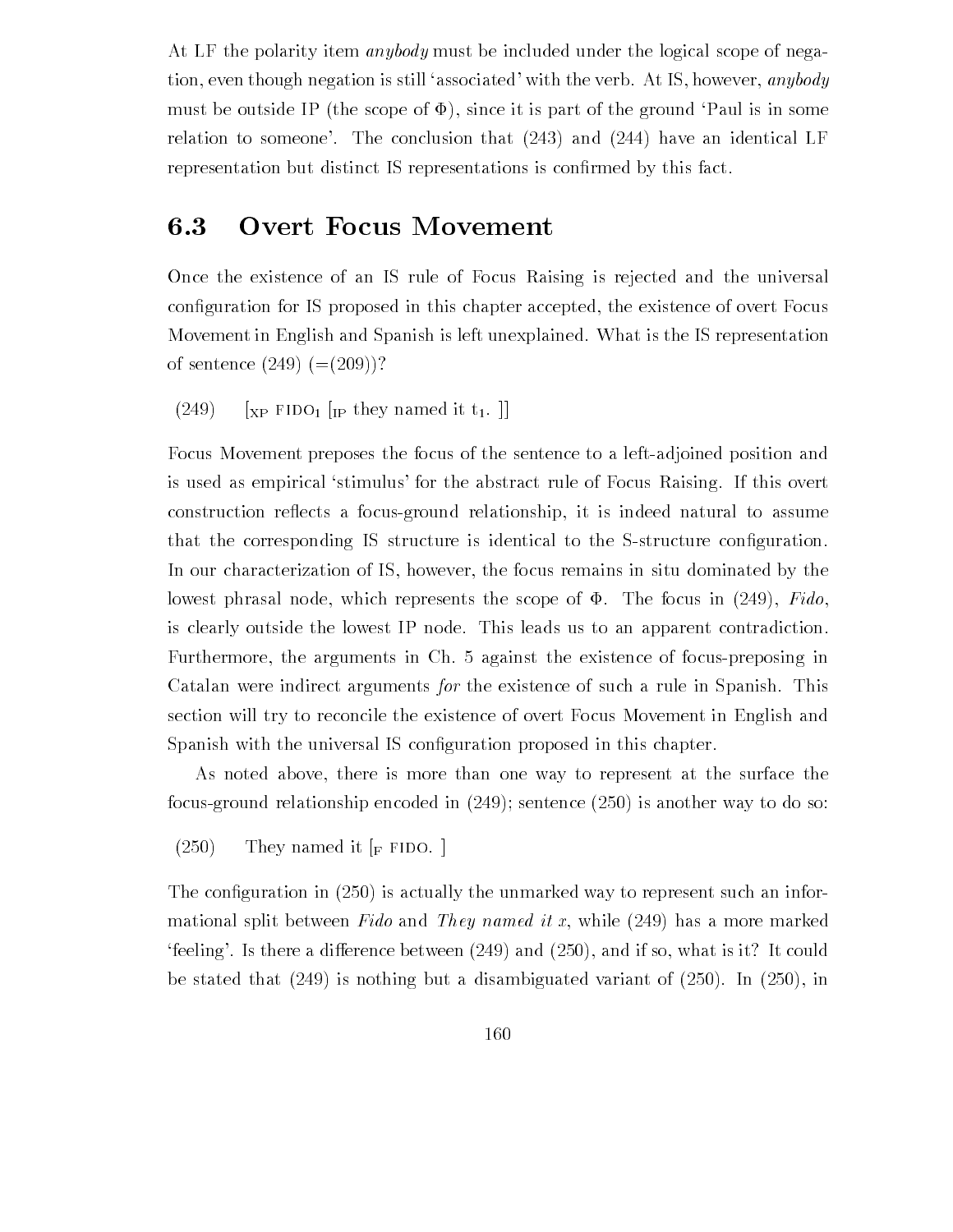At LF the polarity item *anybody* must be included under the logical scope of negation, even though negation is still 'associated' with the verb. At IS, however, *anybody* must be outside IP (the scope of  $\Phi$ ), since it is part of the ground Paul is in some relation to someone'. The conclusion that  $(243)$  and  $(244)$  have an identical LF representation but distinct IS representations is con-rmed by this fact

# 6.3 Overt Focus Movement

Once the existence of an IS rule of Focus Raising is rejected and the universal con-guration for IS proposed in this chapter accepted the existence of overt Focus Movement in English and Spanish is left unexplained What is the IS representation of sentence  $(249)$   $(=(209))$ ?

 $(249)$  [<sub>XP</sub> FIDO<sub>1</sub> [<sub>IP</sub> they named it t<sub>1</sub>.]]

Focus Movement preposes the focus of the sentence to a left-adjoined position and is used as empirical 'stimulus' for the abstract rule of Focus Raising. If this overt construction reflects a focus-ground relationship, it is indeed natural to assume  $\mathbf{I}$  structure is identical to the SSS structure is identical to the SSS structure con-In our characterization of IS, however, the focus remains in situ dominated by the lowest phrasal node, which represents the scope of  $\Phi$ . The focus in (249), Fido, is clearly outside the lowest IP node. This leads us to an apparent contradiction. Furthermore the arguments in Ch against the existence of focuspreposing in Catalan were indirect arguments for the existence of such a rule in Spanish. This section will try to reconcile the existence of overt Focus Movement in English and spanished with the universal IS control is considered in the universal IS considered in the chapter of the cha

As noted above, there is more than one way to represent at the surface the focusground relationship encoded in sentence is another way to do so

 $(250)$ They named it  $_F$  FIDO.

 $\mathbf{r}$  is actually the unmarked way to represent such an informarked way to represent such an informarked way to represent such an informarked way to represent such an informarked way to represent such an informarked wa mational split between Fido and They named it x, while  $(249)$  has a more marked feeling Is there a dierence between and and if so what is it It could  $\mathbf{1}$  is nothing but a disambiguated variant of  $\mathbf{1}$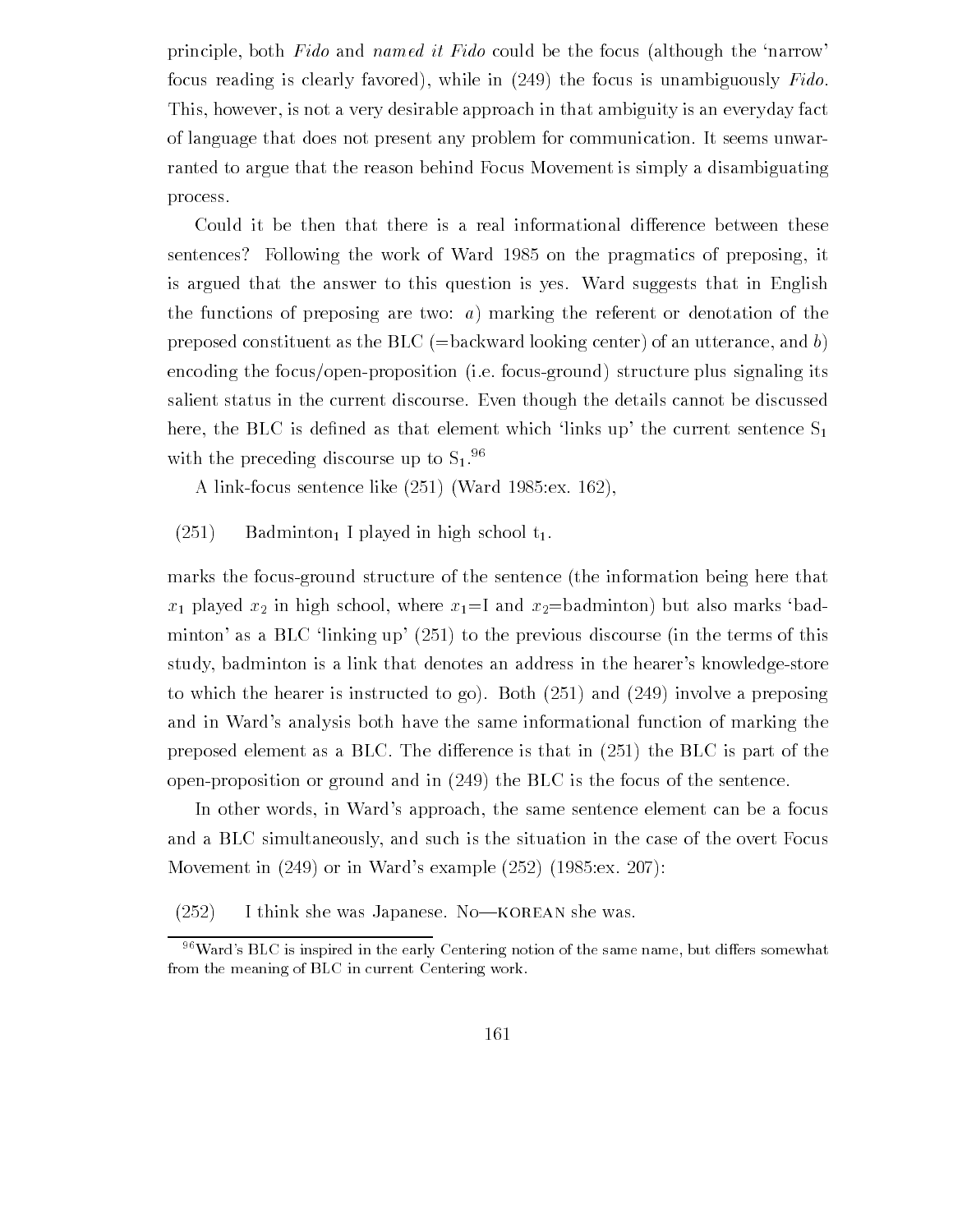principle, both Fido and named it Fido could be the focus (although the 'narrow' focus reading is clearly favored), while in  $(249)$  the focus is unambiguously Fido. This, however, is not a very desirable approach in that ambiguity is an everyday fact of language that does not present any problem for communication It seems unwar ranted to argue that the reason behind Focus Movement is simply a disambiguating process

Could it be then that there is a real informational difference between these sentences Following the work of Ward Following the progressive of preposing it. is argued that the answer to this question is yes Ward suggests that in English the functions of preposing are two:  $a)$  marking the referent or denotation of the preposed constituent as the BLC (=backward looking center) of an utterance, and b) encoding the focus/open-proposition (i.e. focus-ground) structure plus signaling its salient status in the current discourse Even though the details cannot be discussed here the BLC is de-ned as that element which links up the current sentence S with the preceding discourse up to  $S_1$ .<sup>96</sup>

a link for the contract of the sentence of the contract of the sentence of the sentence of the sentence of the

#### $(251)$ Badminton, I played in high school  $t_1$ .

marks the focus-ground structure of the sentence (the information being here that  $x_1$  played  $x_2$  in high school, where  $x_1 = I$  and  $x_2 =$  badminton) but also marks 'badminton as a BLC linking up to the previous discourse in the terms of this term of this term of this term of this term study, badminton is a link that denotes an address in the hearer's knowledge-store to which the hearer is instructed to go Both  $\mu$  and involve a preposing a preposing a preposing a preposing a preposing a preposing a preposing a preposing a preposing a preposing a preposing a preposing a preposing a p and in Ward's analysis both have the same informational function of marking the preposed element as a BLC The dierence is that in the BLC is part of the open-proposition or ground and in  $(249)$  the BLC is the focus of the sentence.

In other words, in Ward's approach, the same sentence element can be a focus and a BLC simultaneously, and such is the situation in the case of the overt Focus Movement in or in Wards example ex

 $(252)$ I think she was Japanese. No-KOREAN she was.

 $\gamma$  ward-s BLC is inspired in the early Centering notion of the same name, but differs somewhat  $\gamma$ from the meaning of BLC in current Centering work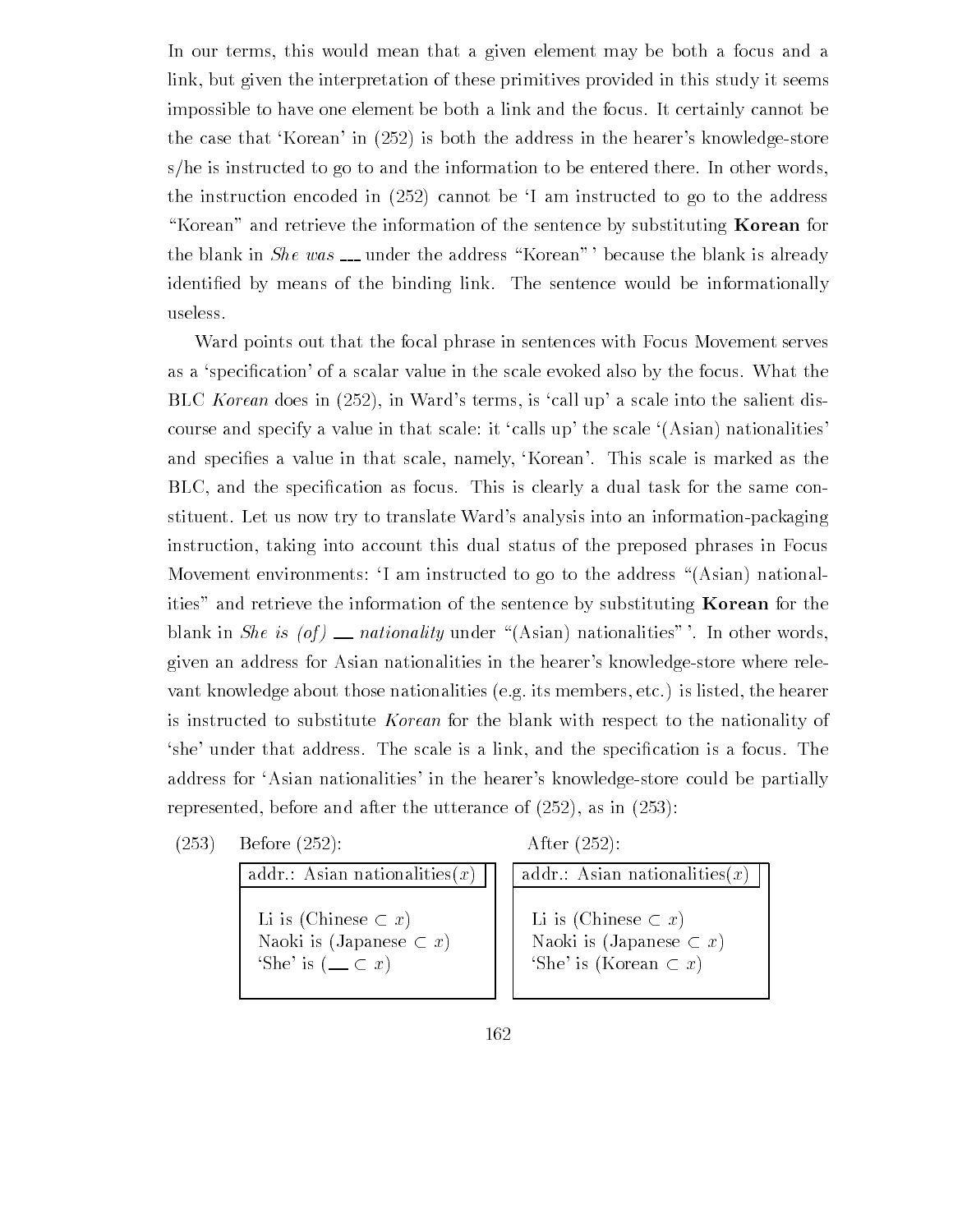In our terms, this would mean that a given element may be both a focus and a link but given the interpretation of these primitives provided in this study it seems impossible to have one element be both a link and the focus It certainly cannot be the case that Korean in is both the address in the hearers knowledgestore s/he is instructed to go to and the information to be entered there. In other words,  $\mathbf{f}$ "Korean" and retrieve the information of the sentence by substituting **Korean** for the blank in She was  $\equiv$  under the address "Korean" ' because the blank is already ed by means of the binding link the sentence would be information to the sentence would be informationally ass useless

Ward points out that the focal phrase in sentences with Focus Movement serves as a specification of a scale intervalue in the scale evolution which is possible that the focus what the focu  $\mathbf{I}$  in Wards terms is called into the salient distribution of the salient distribution  $\mathbf{I}$ course and specify a value in that scale: it 'calls up' the scale  $(Asian)$  nationalities' and specification in the scale in the scale is matter in the scale is made as the scale in the scale is made t cation as focus the specification as focus to the same control this is control that the same control to the sa stituent. Let us now try to translate Ward's analysis into an information-packaging instruction, taking into account this dual status of the preposed phrases in Focus Movement environments: I am instructed to go to the address "(Asian) nationalities" and retrieve the information of the sentence by substituting **Korean** for the blank in She is  $(of)$  \_\_ nationality under "(Asian) nationalities" '. In other words, given an address for Asian nationalities in the hearer's knowledge-store where relevant knowledge about those nationalities (e.g. its members, etc.) is listed, the hearer is instructed to substitute Korean for the blank with respect to the nationality of she under that a link as the special is a line is and the special and the special is a focus Theory address for 'Asian nationalities' in the hearer's knowledge-store could be partially represented before and and and after the utterance of  $\{1,2,3,4,5\}$  , we see  $\{2,3,4,5\}$ 

 $(253)$ Before  $(252)$ :

After the contract of the contract of the contract of the contract of the contract of the contract of the contract of the contract of the contract of the contract of the contract of the contract of the contract of the cont

addr.: Asian nationalities $(x)$ Li is (Chinese  $\subset x$ ) Naoki is (Japanese  $\subset x$ ) 'She' is  $(\_\_ \subset x)$ 

addr.: Asian nationalities $(x)$ Li is (Chinese  $\subset x$ ) Naoki is (Japanese  $\sub{x}$ ) 'She' is (Korean  $\subset x$ )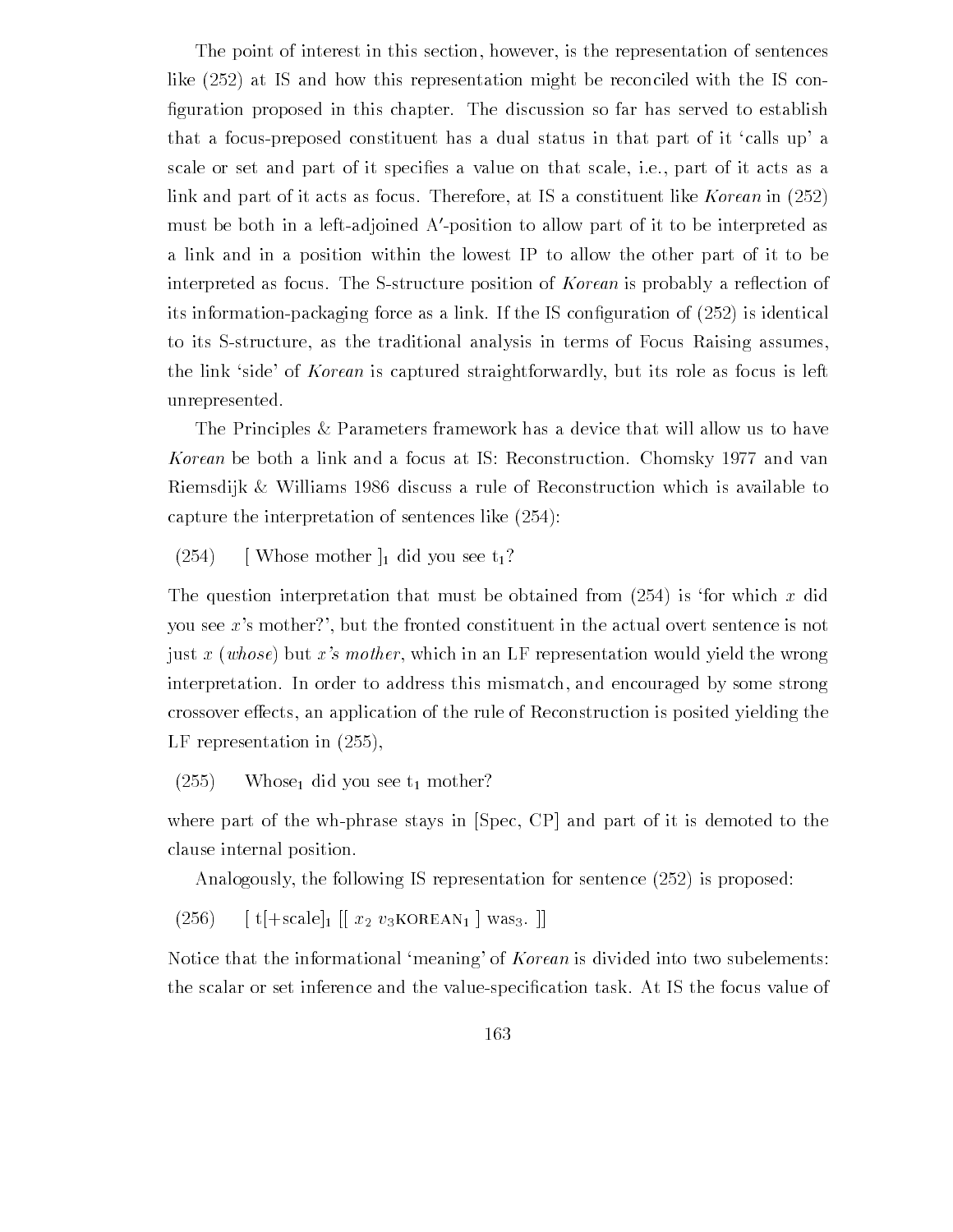The point of interest in this section, however, is the representation of sentences  $\mathcal{N}$  at IS and how this representation might be reconciled with the IS conciled with the IS conciled with the IS conciled with the IS conciled with the IS conciled with the IS conciled with the IS conciled with the IS -guration proposed in this chapter The discussion so far has served to establish that a focus-preposed constituent has a dual status in that part of it 'calls up' a scale or set and part of it speci-es a value on that scale ie part of it acts as a link and part of it acts as focus Therefore at IS a constituent like Korean in must be both in a leftadjoined A-position to allow part of it to be interpreted as a link and in a position within the lowest IP to allow the other part of it to be interpreted as focus. The S-structure position of *Korean* is probably a reflection of its information packaging force as a link is fine If the IS constant  $\mathbf{r}$  and  $\mathbf{r}$ to its S-structure, as the traditional analysis in terms of Focus Raising assumes, the link 'side' of *Korean* is captured straightforwardly, but its role as focus is left unrepresented

The Principles & Parameters framework has a device that will allow us to have Korean be both a link and a focus at IS: Reconstruction. Chomsky 1977 and van Riemsdijk  $\&$  Williams 1986 discuss a rule of Reconstruction which is available to capture the interpretation of sentences in the interpretation of  $\mathbf{r}$ 

#### $(254)$ [Whose mother  $\vert_1$  did you see  $t_1$ ?

The question interpretation that must be obtained from is for which <sup>x</sup> did you see x's mother?', but the fronted constituent in the actual overt sentence is not just x (whose) but x's mother, which in an LF representation would yield the wrong interpretation. In order to address this mismatch, and encouraged by some strong crossover effects, an application of the rule of Reconstruction is posited yielding the LF representation in

#### the contract of the contract of the contract of the contract of the contract of the contract of the contract of Whose<sub>1</sub> did you see  $t_1$  mother?

where part of the wh-phrase stays in  $[Spec, CP]$  and part of it is demoted to the clause internal position

Analogously the following IS representation for sentence is proposed

 $(256)$  $\sigma$ ,  $\eta$ ,  $\sigma$   $\sigma$ ,  $\sigma$   $\sigma$ ,  $\sigma$ ,  $\sigma$ ,  $\sigma$ ,  $\sigma$ ,  $\sigma$ ,  $\sigma$ ,  $\sigma$ ,  $\sigma$ ,  $\sigma$ ,  $\sigma$ ,  $\sigma$ ,  $\sigma$ ,  $\sigma$ ,  $\sigma$ ,  $\sigma$ ,  $\sigma$ ,  $\sigma$ ,  $\sigma$ ,  $\sigma$ ,  $\sigma$ ,  $\sigma$ ,  $\sigma$ ,  $\sigma$ ,  $\sigma$ ,  $\sigma$ ,  $\sigma$ ,  $\sigma$ ,  $\sigma$ ,  $\sigma$ ,  $\sigma$ ,  $\sigma$ ,

Notice that the informational 'meaning' of  $Korean$  is divided into two subelements: the scalar or set inference and the valuespeci-cation task At IS the focus value of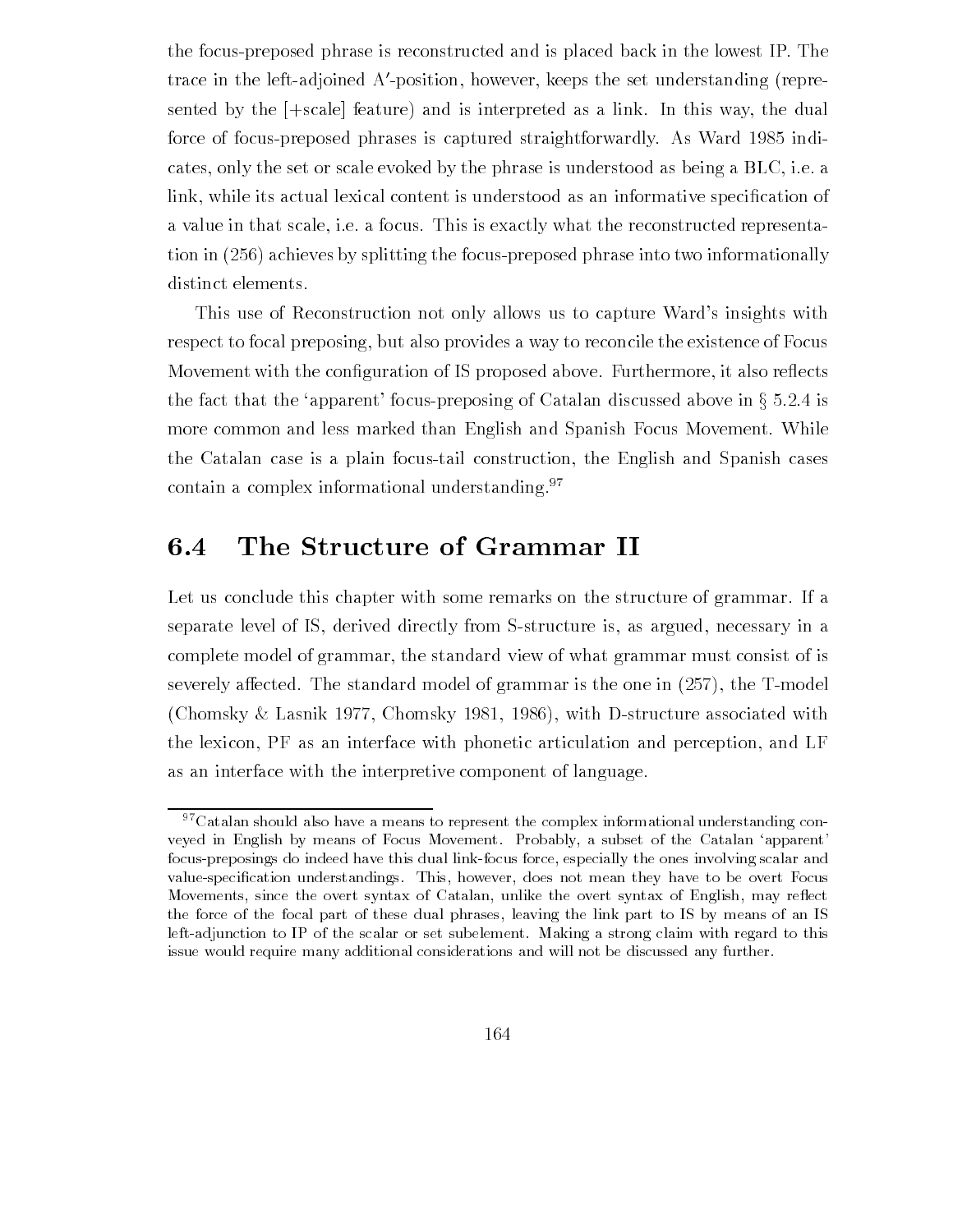the focuspreposed phrase is reconstructed and is placed back in the lowest IP The trace in the leftadjoined A-position however keeps the set understanding repre sented by the  $[+scale]$  feature) and is interpreted as a link. In this way, the dual for force of focus presents in the focus prepared straightforwardly  $\mathcal{N}$  Ward  $\mathcal{N}$  Ward  $\mathcal{N}$ cates, only the set or scale evoked by the phrase is understood as being a  $BLC$ , i.e. a link while its actual lexical content is understood as an informative speci-cation of a value in that scale, i.e. a focus. This is exactly what the reconstructed representation in the focus the focus of the focus of the focus present the focus of the focus of the focus of the focus distinct elements.

This use of Reconstruction not only allows us to capture Ward's insights with respect to focal preposing, but also provides a way to reconcile the existence of Focus movement with the consequences is the proposed above Furthermore, as well as  $\sim$ the fact that the 'apparent' focus-preposing of Catalan discussed above in  $\S 5.2.4$  is more common and less marked than English and Spanish Focus Movement. While the Catalan case is a plain focustail construction the English and Spanish cases contain a complex informational understanding.<sup>97</sup>

# The Structure of Grammar II

Let us conclude this chapter with some remarks on the structure of grammar If a separate level of IS, derived directly from S-structure is, as argued, necessary in a complete model of grammar the standard view of what grammar must consist of is severe, and the state that model of the state  $\alpha$  is grammar is the state  $\alpha$  in  $\beta$  , the  $\alpha$  is the one in (Chomsky & Lasnik 1977, Chomsky 1981, 1986), with D-structure associated with the lexicon, PF as an interface with phonetic articulation and perception, and LF as an interface with the interpretive component of language

 $27$ Catalan should also have a means to represent the complex informational understanding conveyed in English by means of Focus Movement. Probably, a subset of the Catalan 'apparent' focus-preposings do indeed have this dual link-focus force, especially the ones involving scalar and value-specification understandings. This, however, does not mean they have to be overt Focus Movements, since the overt syntax of Catalan, unlike the overt syntax of English, may reflect the force of the focal part of these dual phrases leaving the link part to IS by means of an IS left-adjunction to IP of the scalar or set subelement. Making a strong claim with regard to this issue would require many additional considerations and will not be discussed any further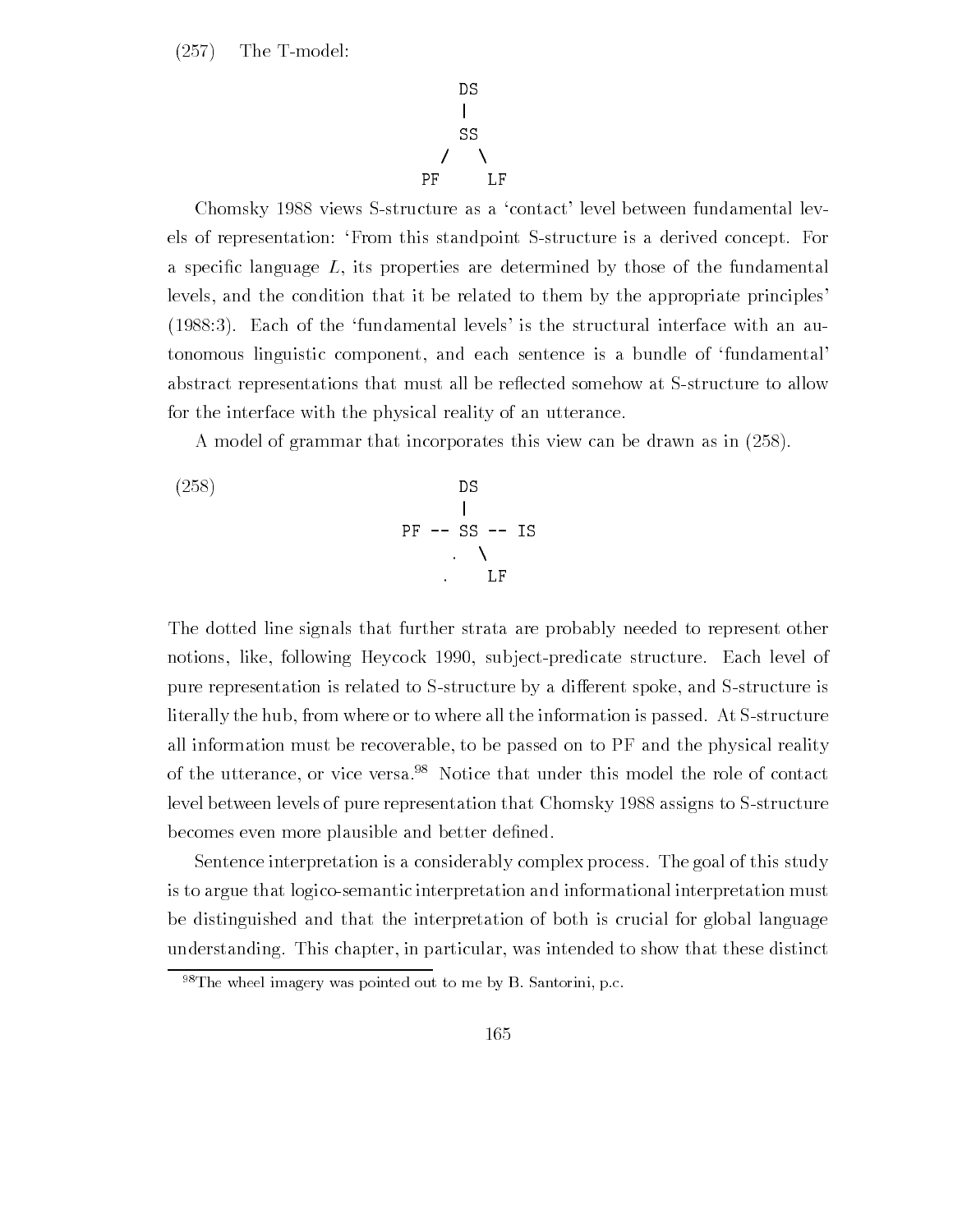$(257)$ The T-model:

$$
\begin{array}{c}\nDS \\
| \\
SS \\
\prime\n\end{array}
$$

Chomsky 1988 views S-structure as a 'contact' level between fundamental levels of representation: 'From this standpoint S-structure is a derived concept. For a specific interpreted by the properties are determined by the fundamental construction of levels, and the condition that it be related to them by the appropriate principles  $(1988:3)$ . Each of the 'fundamental levels' is the structural interface with an autonomous linguistic component, and each sentence is a bundle of 'fundamental' abstract representations that must all be reflected somehow at S-structure to allow for the interface with the physical reality of an utterance

A model of grammar that incorporates this view can be drawn as in 

(258)   
DS  

$$
\begin{array}{ccc}\n & & \text{DS} \\
 & & \text{PF} & -- & \text{SS} & -- & \text{IS} \\
 & & \ddots & & \ddots & \text{LF}\n\end{array}
$$

The dotted line signals that further strata are probably needed to represent other notions, like, following Heycock 1990, subject-predicate structure. Each level of pure representation is related to S-structure by a different spoke, and S-structure is literally the hub, from where or to where all the information is passed. At S-structure all information must be recoverable, to be passed on to PF and the physical reality of the utterance, or vice versa.<sup>98</sup> Notice that under this model the role of contact level between levels of pure representation that Chomsky 1988 assigns to S-structure becomes even more plausible and better de-ned

Sentence interpretation is a considerably complex process. The goal of this study is to argue that logicosemantic interpretation and informational interpretation must be distinguished and that the interpretation of both is crucial for global language understanding. This chapter, in particular, was intended to show that these distinct

 $98$ The wheel imagery was pointed out to me by B. Santorini, p.c.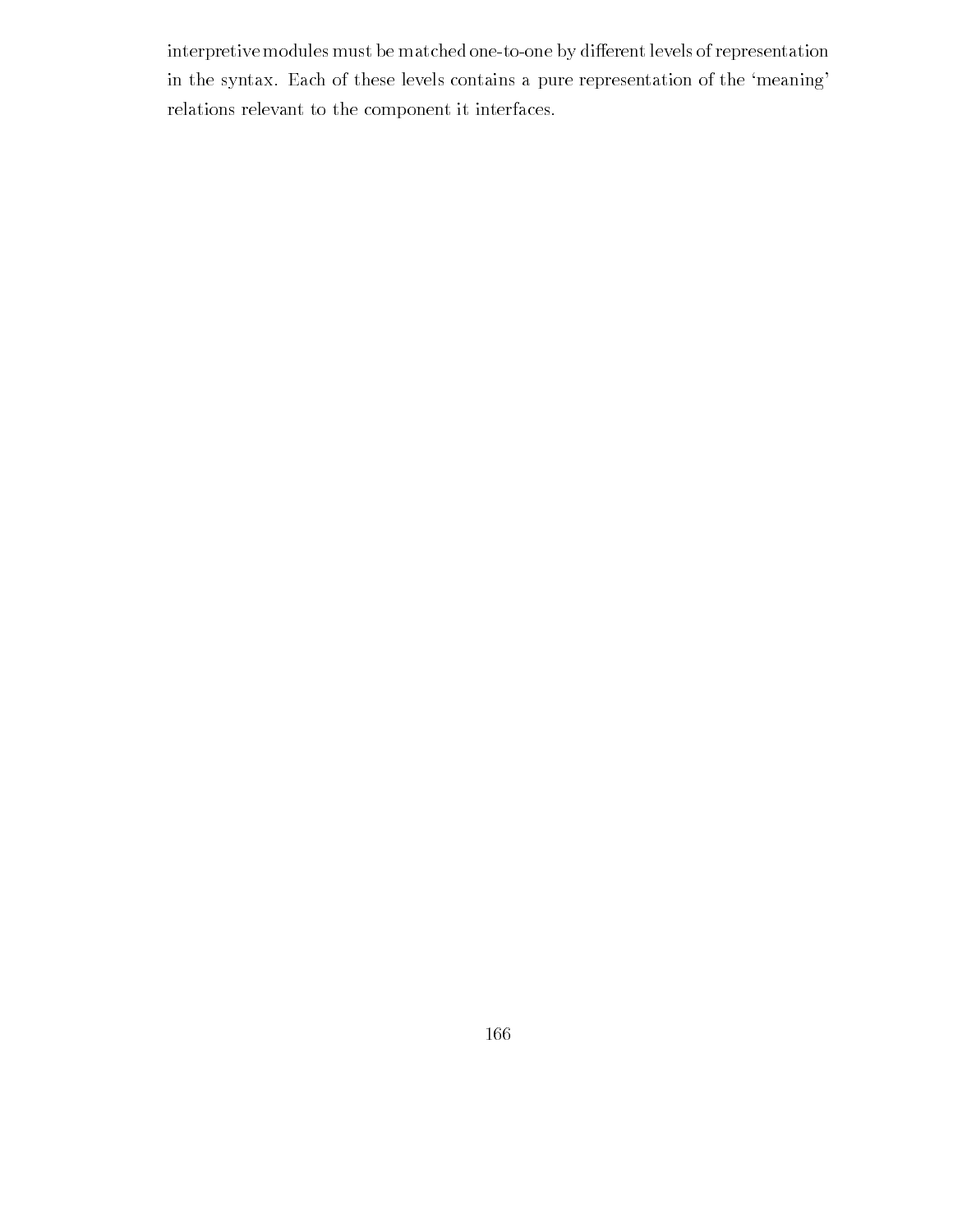interpretive modules must be matched one-to-one by different levels of representation in the syntax. Each of these levels contains a pure representation of the 'meaning' relations relevant to the component it interfaces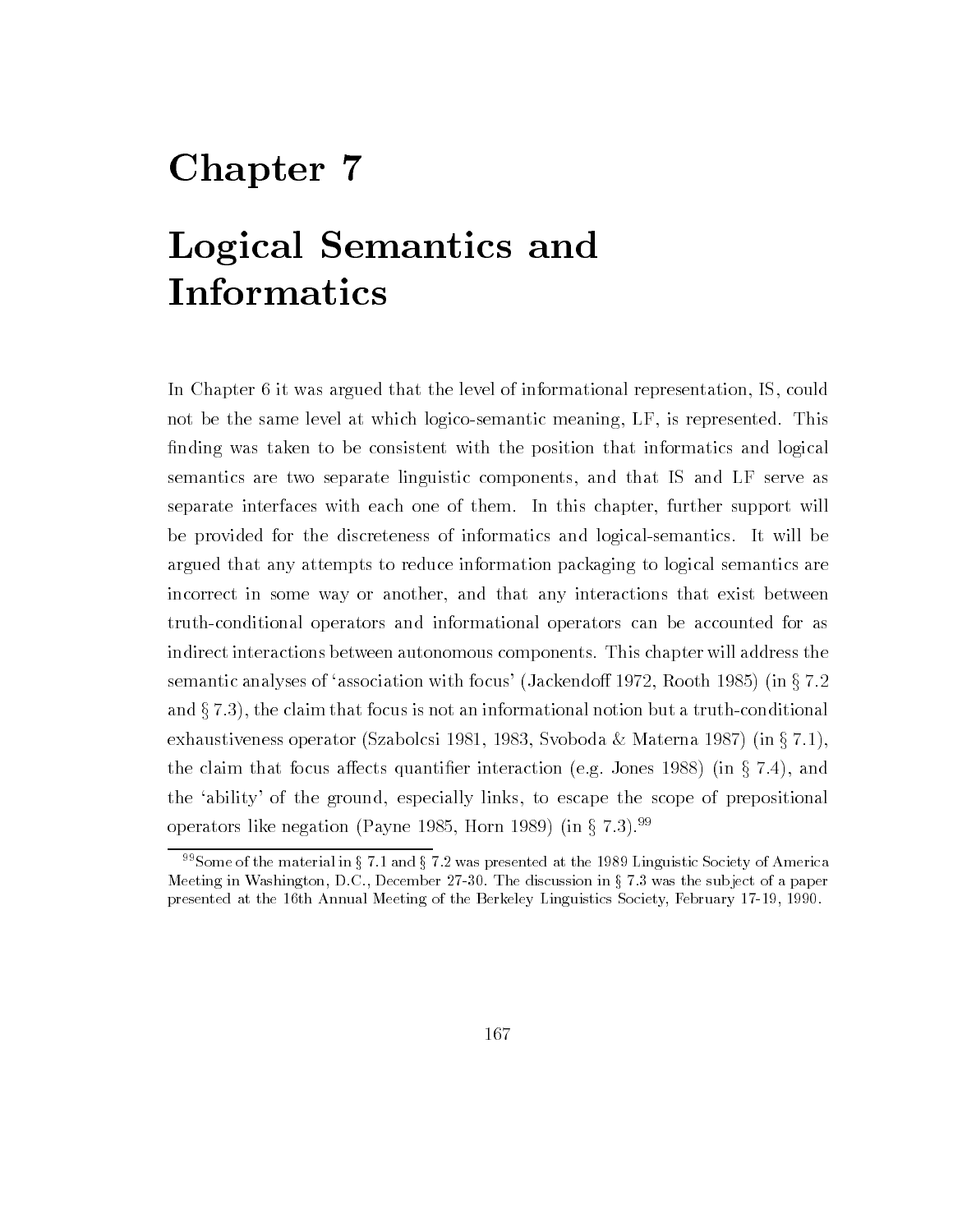# Chapter 7

# Logical Semantics and Informatics

In Chapter 6 it was argued that the level of informational representation, IS, could not be the same level at which logico-semantic meaning, LF, is represented. This nding was taken to be consistent with the position to be consistent with the position that information that in semantics are two separate linguistic components and that IS and LF serve as separate interfaces with each one of them. In this chapter, further support will be provided for the discreteness of informatics and logicalsemantics It will be argued that any attempts to reduce information packaging to logical semantics are incorrect in some way or another, and that any interactions that exist between truthconditional operators and informational operators can be accounted for as indirect interactions between autonomous components This chapter will address the semantic analyses of 'association with focus' (Jackendoff 1972, Rooth 1985) (in  $\S 7.2$ and  $\S 7.3$ , the claim that focus is not an informational notion but a truth-conditional exhaustiveness operator (Szabolcsi 1981, 1983, Svoboda & Materna 1987) (in  $\S 7.1$ ), the claim that focus affects quantifier interaction (e.g. Jones 1988) (in  $\S 7.4$ ), and the 'ability' of the ground, especially links, to escape the scope of prepositional operators like negation (Payne 1985, Horn 1989) (in  $\S 7.3$ ). <sup>99</sup>

 $\sim$  Some of the material in  $\frac{1}{3}$  ( .1 and  $\frac{1}{3}$  ( .2 was presented at the 1989 Linguistic Society of America Meeting in Washington, D.C., December 27-30. The discussion in  $\S 7.3$  was the subject of a paper presented at the th Annual Meeting of the Berkeley Linguistics Society February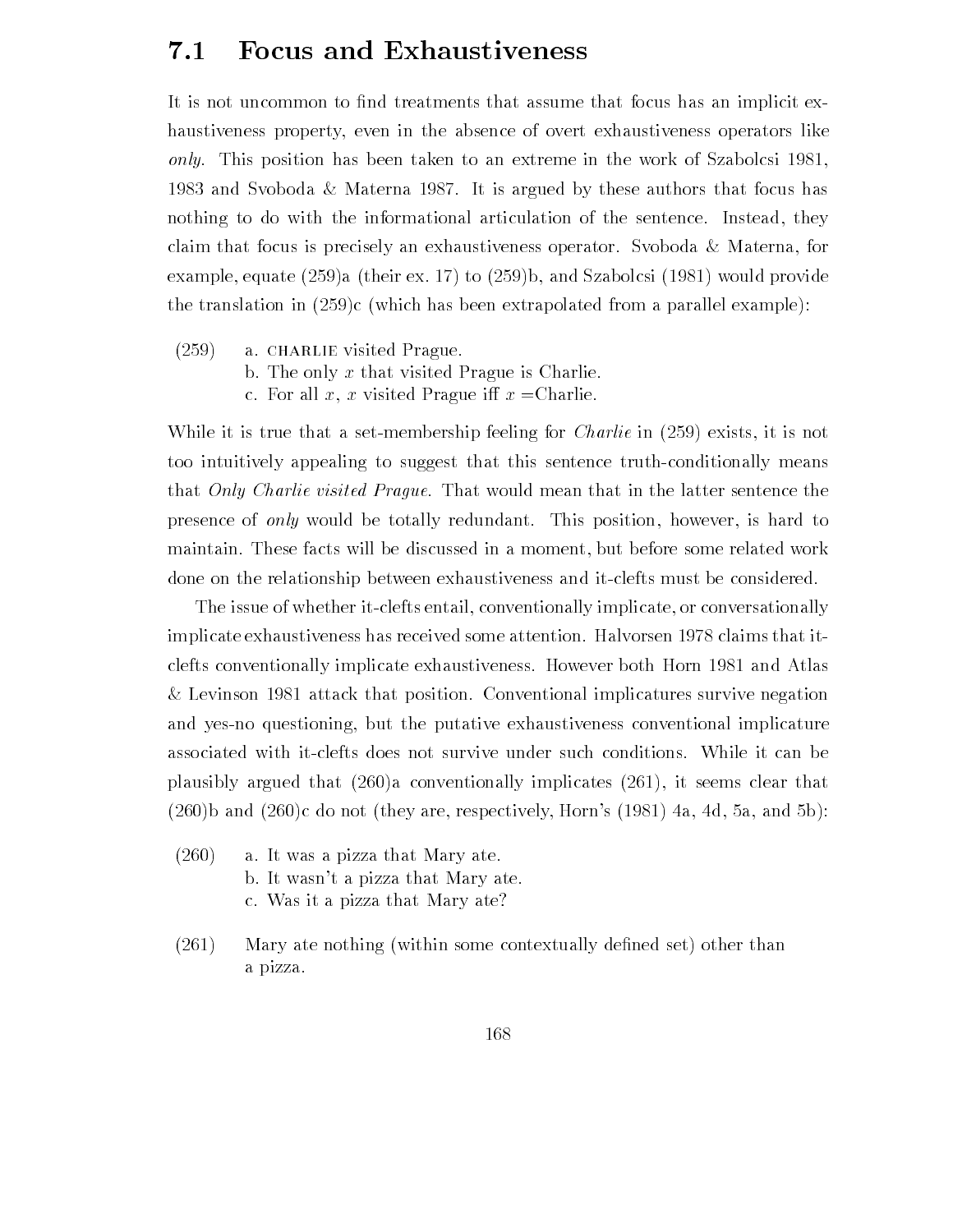## **Focus and Exhaustiveness**  $7.1$

It is not uncommon to -nd treatments that assume that focus has an implicit ex haustiveness property, even in the absence of overt exhaustiveness operators like  $only.$  This position has been taken to an extreme in the work of Szabolcsi 1981, 1983 and Svoboda & Materna 1987. It is argued by these authors that focus has nothing to do with the informational articulation of the sentence. Instead, they claim that focus is precisely an exhaustiveness operator. Svoboda  $\&$  Materna, for example experience to the state of the state of the state of the state of the state of the state of the state o the translation in c which has been extrapolated from a parallel example

- $(259)$ a. CHARLIE visited Prague.
	- b. The only  $x$  that visited Prague is Charlie.
	- c. For all x, x visited Prague iff  $x =$ Charlie.

while it is true that a set measure feeling for Charlie in the function  $\mathcal{E}$  is not in the set of too intuitively appealing to suggest that this sentence truth-conditionally means that Only Charlie visited Prague. That would mean that in the latter sentence the presence of *only* would be totally redundant. This position, however, is hard to maintain. These facts will be discussed in a moment, but before some related work done on the relationship between exhaustiveness and it-clefts must be considered.

The issue of whether it-clefts entail, conventionally implicate, or conversationally implicate exhaustiveness has received some attention. Halvorsen 1978 claims that itclefts conventionally implicate exhaustiveness. However both Horn 1981 and Atlas & Levinson 1981 attack that position. Conventional implicatures survive negation and yes-no questioning, but the putative exhaustiveness conventional implicature associated with it-clefts does not survive under such conditions. While it can be plausibly argued that  $(260)a$  conventionally implicates  $(261)$ , it seems clear that b and a constant of the constant of the constant of the constant of the constant of the constant of the constant of

- $(260)$  a. It was a pizza that Mary ate. b. It wasn't a pizza that Mary ate. c Was it a pizza that Mary ate
- Mary ate nothing within some contextually de-ned set other than a pizza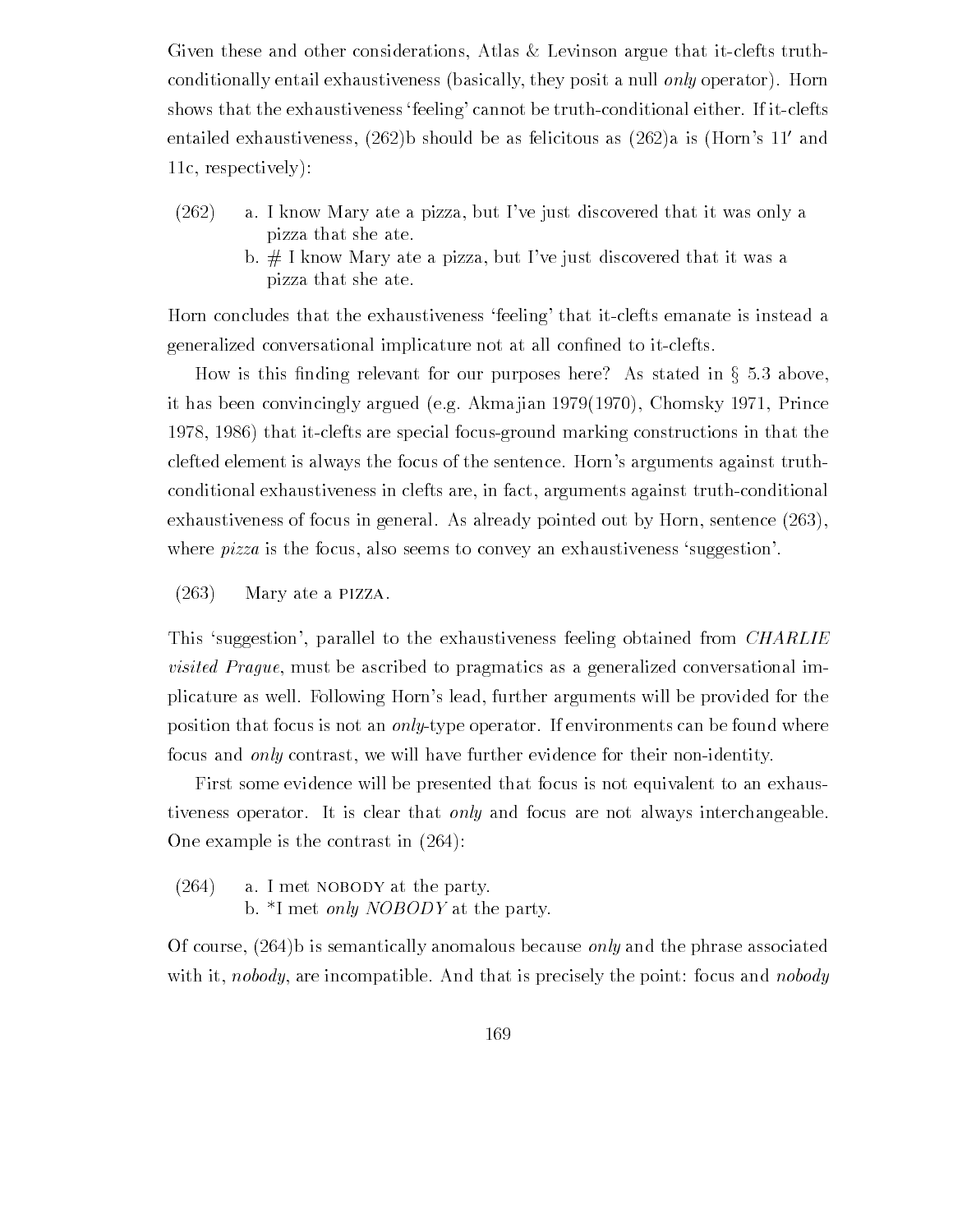Given these and other considerations, Atlas  $&$  Levinson argue that it-clefts truthconditionally entail exhaustiveness (basically, they posit a null only operator). Horn shows that the exhaustiveness 'feeling' cannot be truth-conditional either. If it-clefts entailed exhaustiveness, (202) b should be as felicitous as  $(202)$ a is (from  $s$  II and 11c, respectively):

- $(262)$  a. I know Mary ate a pizza, but I've just discovered that it was only a pizza that she ate
	- b.  $\#$  I know Mary ate a pizza, but I've just discovered that it was a pizza that she ate

Horn concludes that the exhaustiveness 'feeling' that it-clefts emanate is instead a generalized conversation in the conversation in the construction of the construction of the contract of the co

How is this finding relevant for our purposes here? As stated in  $\S 5.3$  above, it has been convincingly argued (e.g. Akma jian  $1979(1970)$ , Chomsky 1971, Prince 1978, 1986) that it-clefts are special focus-ground marking constructions in that the clefted element is always the focus of the sentence. Horn's arguments against truthconditional exhaustiveness in clefts are, in fact, arguments against truth-conditional exhaustiveness of focus in general. As already pointed out by Horn, sentence  $(263)$ , where  $pizza$  is the focus, also seems to convey an exhaustiveness 'suggestion'.

 $(263)$  Mary ate a PIZZA.

This 'suggestion', parallel to the exhaustiveness feeling obtained from *CHARLIE* visited Prague, must be ascribed to pragmatics as a generalized conversational implicature as well. Following Horn's lead, further arguments will be provided for the position that focus is not an *only*-type operator. If environments can be found where focus and *only* contrast, we will have further evidence for their non-identity.

First some evidence will be presented that focus is not equivalent to an exhaus tiveness operator. It is clear that only and focus are not always interchangeable. One example is the contrast in  $(264)$ :

 $(264)$  a. I met NOBODY at the party. b.  $*$ I met *only NOBODY* at the party.

Of course,  $(264)$  is semantically anomalous because *only* and the phrase associated with it, nobody, are incompatible. And that is precisely the point: focus and nobody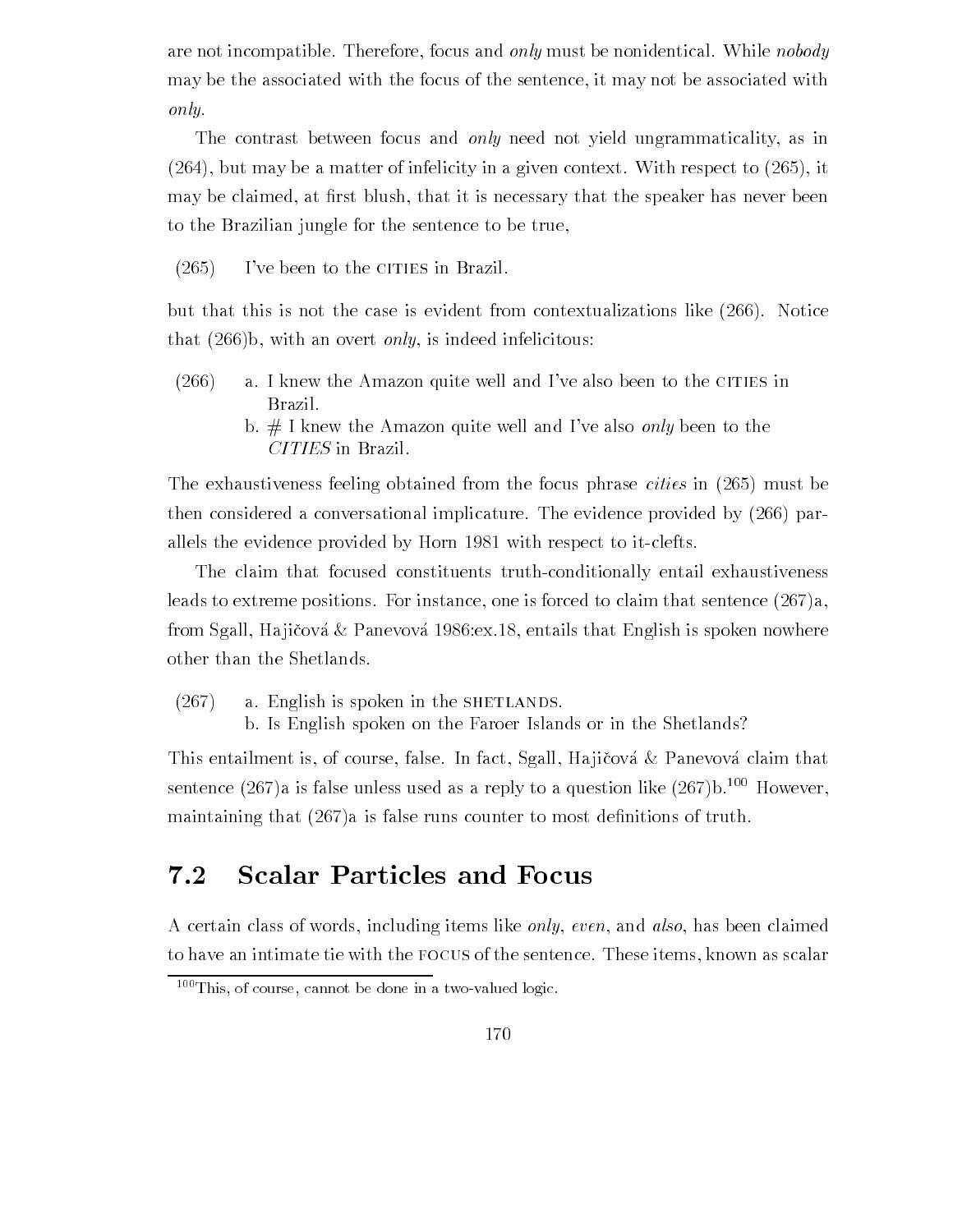are not incompatible. Therefore, focus and only must be nonidentical. While nobody may be the associated with the focus of the sentence it may not be associated with only

The contrast between focus and *only* need not yield ungrammaticality, as in but may be a matter of infelicity in a given context With respect to it may be claimed at -rst blush that it is necessary that the speaker has never been to the Brazilian jungle for the sentence to be true

 $(265)$ I've been to the CITIES in Brazil.

but that this is not the case is evident from contextualizations like  $(266)$ . Notice that  $(266)$ b, with an overt *only*, is indeed infelicitous:

- $(266)$  a. I knew the Amazon quite well and I've also been to the CITIES in Brazil
	- b.  $#$  I knew the Amazon quite well and I've also *only* been to the CITIES in Brazil

The exhaustiveness feeling obtained from the focus phrase cities in  $\mathcal{N}$  , and  $\mathcal{N}$  is in  $\mathcal{N}$ then considered a conversational implicature. The evidence provided by  $(266)$  parallels the evidence provided by Horn 1981 with respect to it-clefts.

The claim that focused constituents truth-conditionally entail exhaustiveness leads to extreme positions. For instance, one is forced to claim that sentence  $(267)a$ , from Sgall, Hajičová & Panevová 1986: ex. 18, entails that English is spoken nowhere other than the Shetlands

- $(267)$  a. English is spoken in the SHETLANDS.
	- b. Is English spoken on the Faroer Islands or in the Shetlands?

This entailment is, of course, false. In fact, Sgall, Hajičová  $\&$  Panevová claim that sentence  $(267)a$  is false unless used as a reply to a question like  $(267)b$ .<sup>100</sup> However, matrix that a is false runs counter to most definition  $\mathbf{r}$ 

#### 7.2 Scalar Particles and Focus

A certain class of words, including items like *only, even*, and *also*, has been claimed to have an intimate tie with the focus of the sentence These items known as scalar

 $100$  This, of course, cannot be done in a two-valued logic.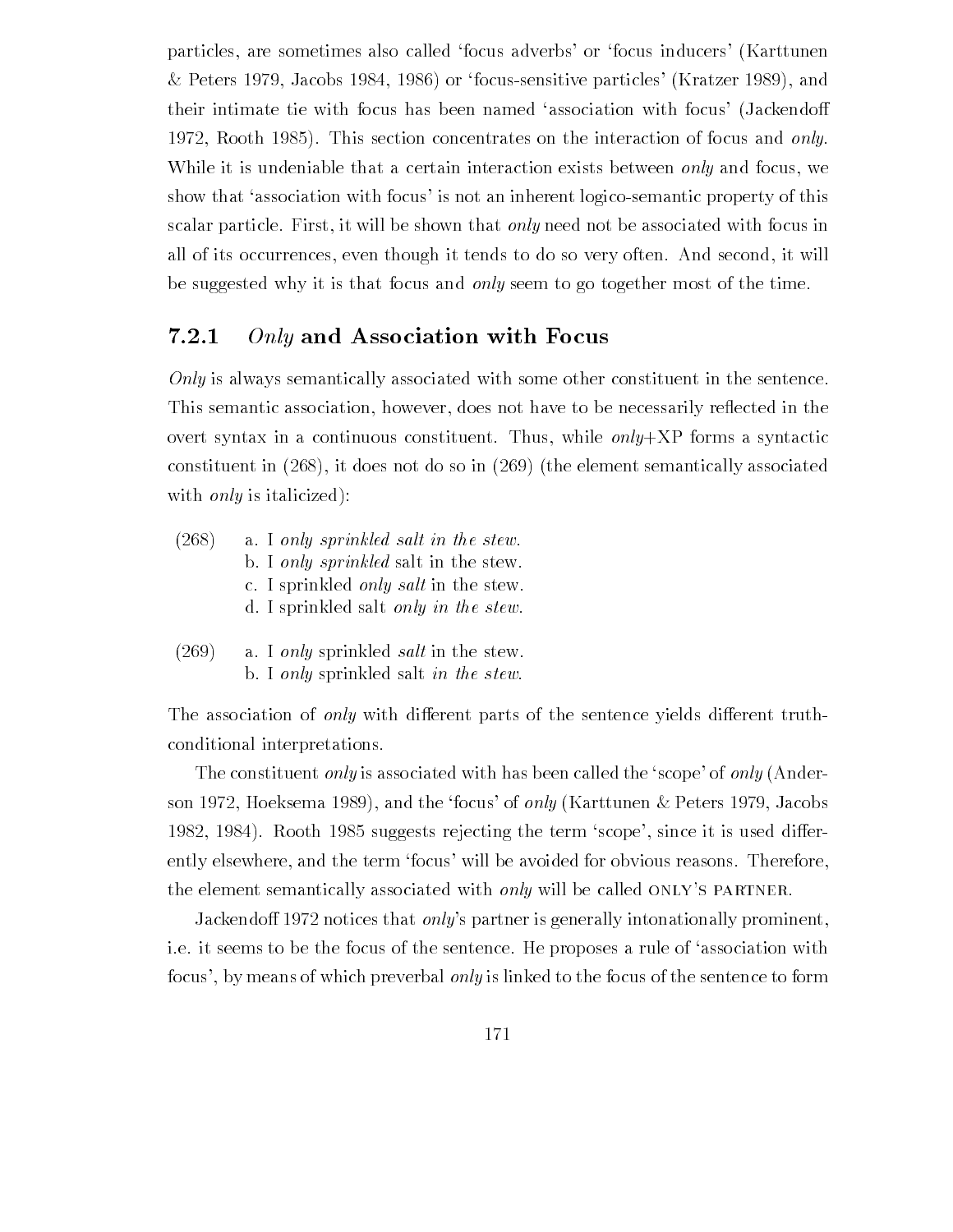particles, are sometimes also called 'focus adverbs' or 'focus inducers' (Karttunen & Peters 1979, Jacobs 1984, 1986) or 'focus-sensitive particles' (Kratzer 1989), and their intimate tie with focus has been named 'association with focus' (Jackendoff Rooth This section concentrates on the interaction of focus and only While it is undeniable that a certain interaction exists between *only* and focus, we show that 'association with focus' is not an inherent logico-semantic property of this scalar particle. First, it will be shown that *only* need not be associated with focus in all of its occurrences even though it tends to do so very often And second it will be suggested why it is that focus and only seem to go together most of the time.

#### 7.2.1 Only and Association with Focus

Only is always semantically associated with some other constituent in the sentence. This semantic association, however, does not have to be necessarily reflected in the overt syntax in a continuous constituent. Thus, while  $only+XP$  forms a syntactic constituent in  $(268)$ , it does not do so in  $(269)$  (the element semantically associated with *only* is italicized):

| (268) | a. I only sprinkled salt in the stew.         |
|-------|-----------------------------------------------|
|       | b. I only sprinkled salt in the stew.         |
|       | c. I sprinkled <i>only salt</i> in the stew.  |
|       | d. I sprinkled salt <i>only in the stew</i> . |
|       |                                               |

 $(269)$  a. I only sprinkled salt in the stew. b. I only sprinkled salt in the stew.

The association of *only* with different parts of the sentence yields different truthconditional interpretations

The constituent only is associated with has been called the 'scope' of only  $(A<sub>n</sub>de<sub>r</sub>)$ son 1972, Hoeksema 1989), and the 'focus' of *only* (Karttunen & Peters 1979, Jacobs rooth and the term suggests rejecting the term since it is used to the term  $\sim$ ently elsewhere, and the term 'focus' will be avoided for obvious reasons. Therefore, the element semantically associated with *only* will be called ONLY'S PARTNER.

Jackendoff 1972 notices that *only*'s partner is generally intonationally prominent, i.e. it seems to be the focus of the sentence. He proposes a rule of 'association with focus', by means of which preverbal *only* is linked to the focus of the sentence to form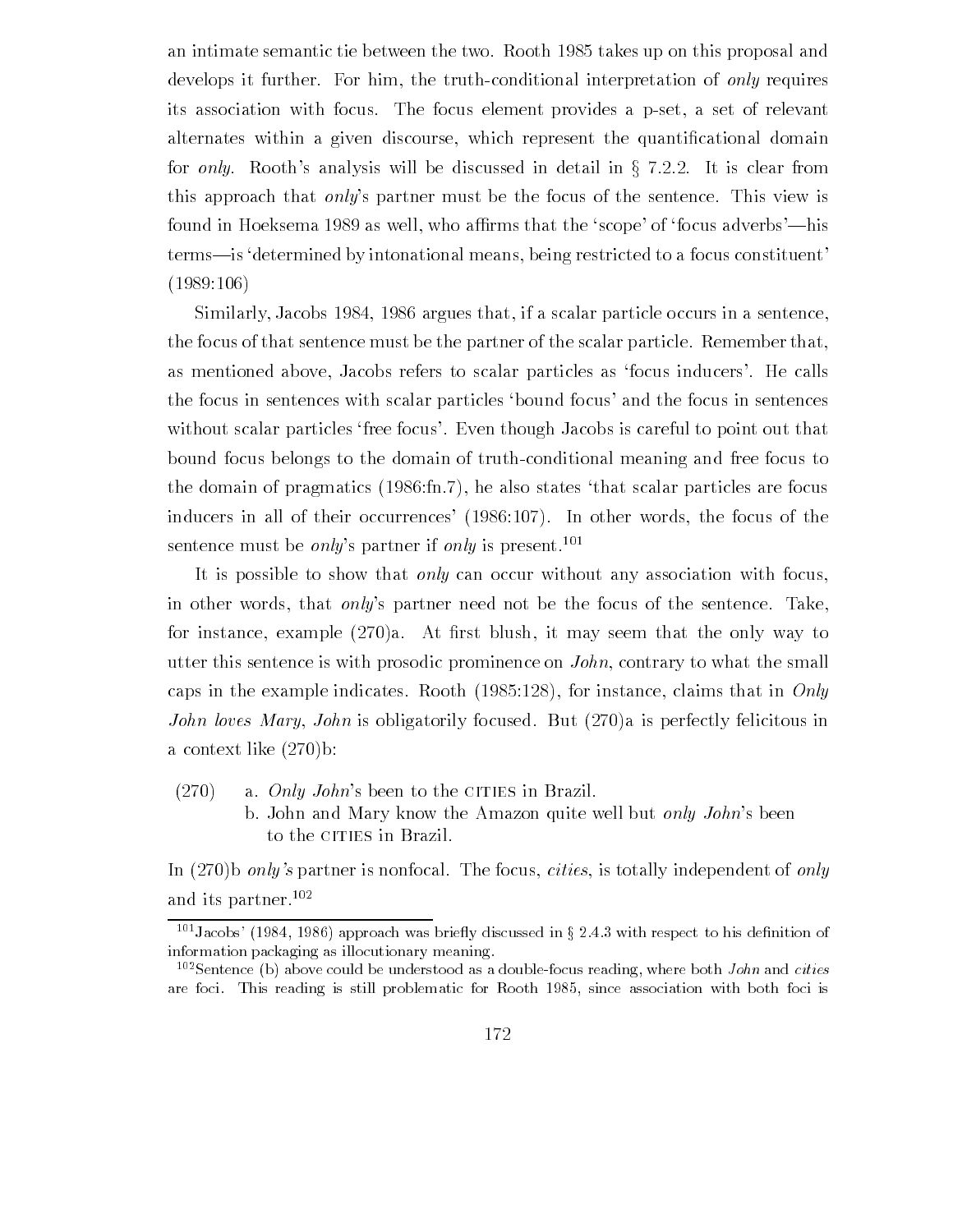an intimate semantic tie between the two Rooth takes up on this proposal and develops it further. For him, the truth-conditional interpretation of only requires its association with focus. The focus element provides a p-set, a set of relevant alternates within a given discourse which represent the quanti-cational domain for only. Rooth's analysis will be discussed in detail in  $\S$  7.2.2. It is clear from this approach that *only*'s partner must be the focus of the sentence. This view is found in Hoeksema 1989 as well, who affirms that the 'scope' of 'focus adverbs'—his terms—is determined by intonational means, being restricted to a focus constituent  $(1989:106)$ 

Similarly, Jacobs 1984, 1986 argues that, if a scalar particle occurs in a sentence, the focus of that sentence must be the partner of the scalar particle. Remember that, as mentioned above, Jacobs refers to scalar particles as 'focus inducers'. He calls the focus in sentences with scalar particles 'bound focus' and the focus in sentences without scalar particles free focus'. Even though Jacobs is careful to point out that bound focus belongs to the domain of truth-conditional meaning and free focus to the domain of pragmatics  $(1986:fn.7)$ , he also states that scalar particles are focus inducers in all of their occurrences  $(1986:107)$ . In other words, the focus of the sentence must be *only*'s partner if *only* is present.<sup>101</sup>

It is possible to show that *only* can occur without any association with focus, in other words, that *only*'s partner need not be the focus of the sentence. Take, for instance example a At -rst blush it may seem that the only way to utter this sentence is with prosodic prominence on John contrary to what the small caps in the example indicates Rooth indicates Rooth indicates Rooth in Only 1. In Only 1. In Only 1. In Only 1 John loves Mary, John is obligatorily focused. But  $(270)$ a is perfectly felicitous in a context like  $(270)b$ :

 $(270)$  a. *Only John's* been to the CITIES in Brazil. b. John and Mary know the Amazon quite well but only John's been to the CITIES in Brazil.

In  $(270)$ b only's partner is nonfocal. The focus, cities, is totally independent of only and its partner.<sup>102</sup>

 $\tilde{\ }$ -Jacobs- (1984, 1980) approach was brieny discussed in  $\frac{9}{2}$  2.4.5 with respect to his definition of information packaging as illocutionary meaning

 $102$ Sentence (b) above could be understood as a double-focus reading, where both *John* and cities are focus This reading is still problematic for  $\mathbb R$  association with both focus is still problematic for  $\mathbb R$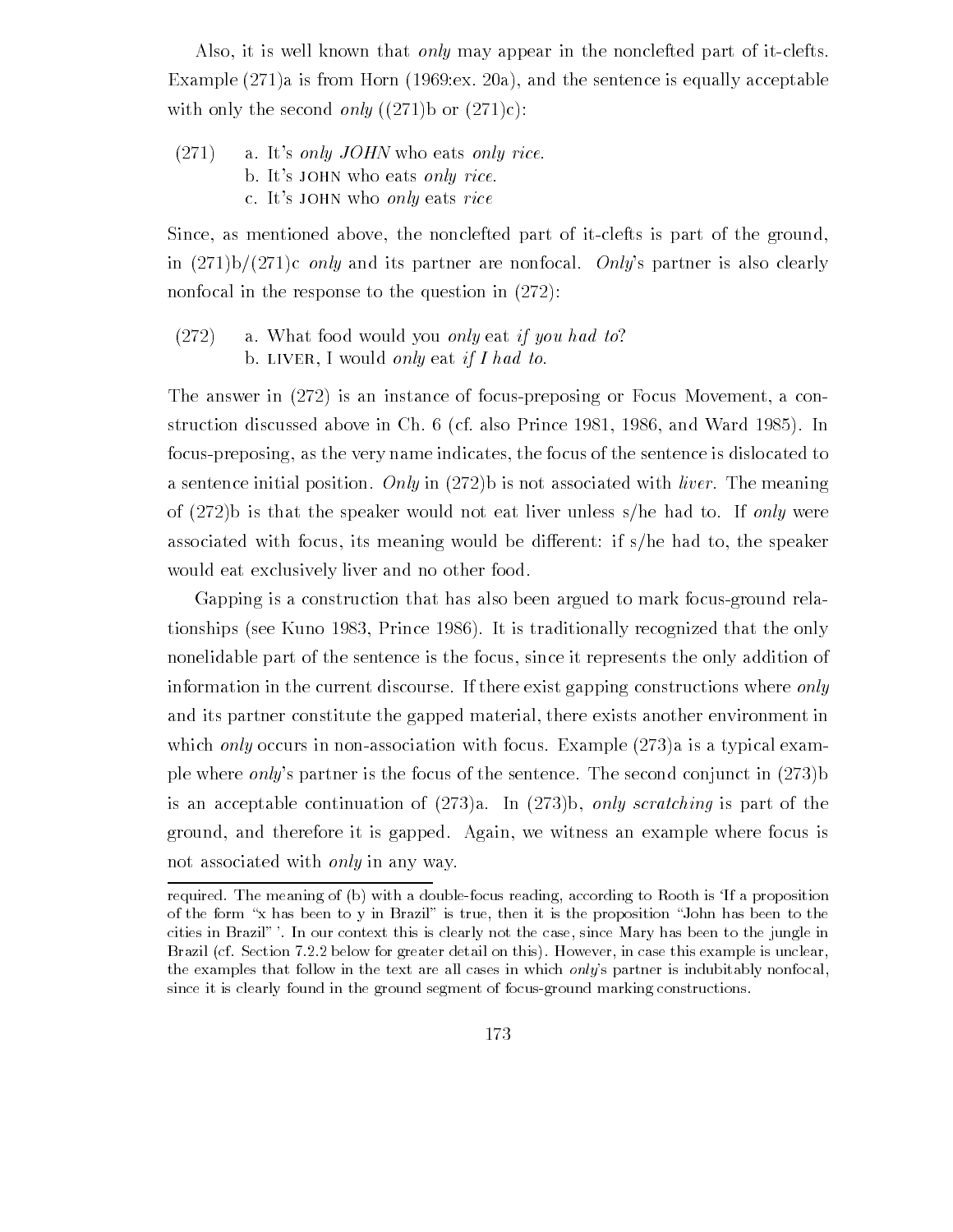Also, it is well known that *only* may appear in the nonclefted part of it-clefts. Example  $(271)a$  is from Horn  $(1969 \text{.}ex. 20a)$ , and the sentence is equally acceptable with only the second only  $((271)b$  or  $(271)c)$ :

 $(271)$  a. It's only JOHN who eats only rice. b. It's JOHN who eats only rice. c. It's JOHN who only eats rice

Since, as mentioned above, the nonclefted part of it-clefts is part of the ground, in  $(271)b/(271)c$  only and its partner are nonfocal. Only's partner is also clearly nonfocal in the response to the question in  $(272)$ :

 $(272)$  a. What food would you only eat if you had to? b. LIVER, I would only eat if I had to.

The answer in  $(272)$  is an instance of focus-preposing or Focus Movement, a constructure in  $\mathcal{N}$  and  $\mathcal{N}$  and  $\mathcal{N}$  and  $\mathcal{N}$  and  $\mathcal{N}$  and  $\mathcal{N}$  and  $\mathcal{N}$  and  $\mathcal{N}$ focus-preposing, as the very name indicates, the focus of the sentence is dislocated to a sentence initial position. Only in  $(272)$  is not associated with *liver*. The meaning of  $(272)$ b is that the speaker would not eat liver unless s/he had to. If only were associated with focus, its meaning would be different: if  $s/h$ e had to, the speaker would eat exclusively liver and no other food

Gapping is a construction that has also been argued to mark focus-ground relationships (see Kuno 1983, Prince 1986). It is traditionally recognized that the only nonelidable part of the sentence is the focus, since it represents the only addition of information in the current discourse If there exist gapping constructions where only and its partner constitute the gapped material, there exists another environment in which only occurs in non-association with focus. Example  $(273)$  a is a typical example where *only*'s partner is the focus of the sentence. The second conjunct in  $(273)$ is an acceptable continuation of  $(273)a$ . In  $(273)b$ , only scratching is part of the ground, and therefore it is gapped. Again, we witness an example where focus is not associated with *only* in any way.

required. The meaning of (b) with a double-focus reading, according to Rooth is 'If a proposition of the form "x has been to y in Brazil" is true, then it is the proposition "John has been to the cities in Brazil" '. In our context this is clearly not the case, since Mary has been to the jungle in Brazil (cf. Section 7.2.2 below for greater detail on this). However, in case this example is unclear, the examples that follow in the text are all cases in which only-s partner is indubitably nonfocal since it is clearly found in the ground segment of focus-ground marking constructions.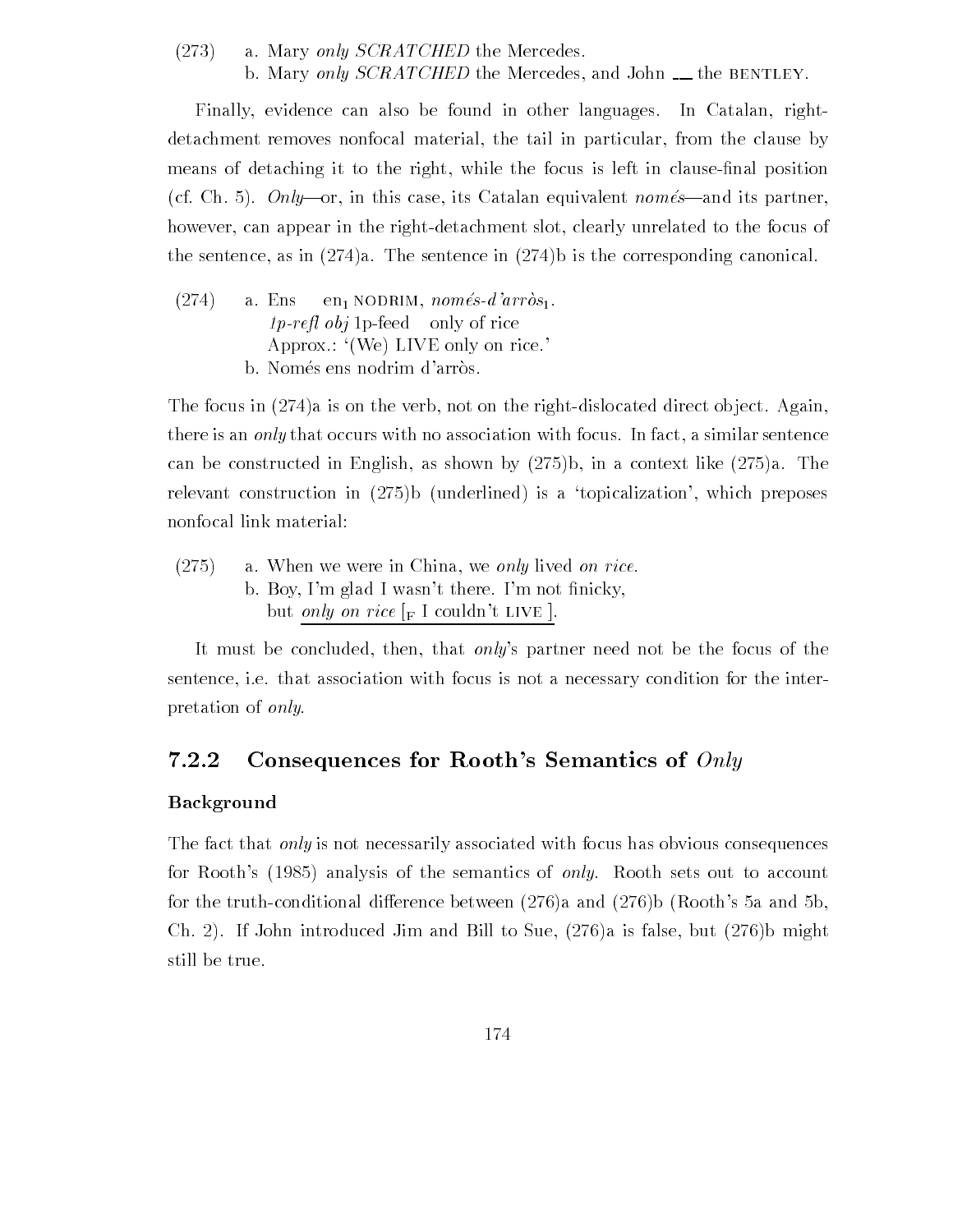$(273)$  a. Mary only SCRATCHED the Mercedes. b. Mary only  $SCRATCHED$  the Mercedes, and John  $\_\_$  the BENTLEY.

Finally, evidence can also be found in other languages. In Catalan, rightdetachment removes nonfocal material, the tail in particular, from the clause by  $\mathcal{N}$  and the focus is left in clause is left in clause is left in clause is left in clause  $\mathcal{N}$ cf Ch Onlyor in this case its Catalan equivalent nomesand its partner however, can appear in the right-detachment slot, clearly unrelated to the focus of the sentence, as in  $(274)a$ . The sentence in  $(274)b$  is the corresponding canonical.

 $(274)$  a. Ens en NODRIM, només-d'arròs<sub>1</sub>.  $1p$ -refl obj 1p-feed only of rice Approx.:  $(We)$  LIVE only on rice. b. Només ens nodrim d'arròs.

The focus in  $(274)a$  is on the verb, not on the right-dislocated direct object. Again, there is an *only* that occurs with no association with focus. In fact, a similar sentence  $\mathbf{A}$  be constructed in English as shown by in a context like  $\mathbf{A}$  as shown by in a context like  $\mathbf{A}$ relevant construction in b underlined is a topicalization which preposes nonfocal link material

 $(275)$ a. When we were in China, we only lived on rice. b Boy Im glad I was not - in the Im not - in the Im not - in the Im not - in the Im not - in the Im not - in t but *only on rice*  $\lbrack_F \rbrack$  couldn't LIVE  $\lbrack$ .

It must be concluded, then, that only's partner need not be the focus of the sentence, i.e. that association with focus is not a necessary condition for the interpretation of only

#### $7.2.2$ Consequences for Rooth's Semantics of  $Only$

## Background

The fact that *only* is not necessarily associated with focus has obvious consequences for Rooths analysis of the semantics of only Rooth sets out to account for the truthconditional dierence between a and b Rooths a and b Ch. 2). If John introduced Jim and Bill to Sue,  $(276)a$  is false, but  $(276)b$  might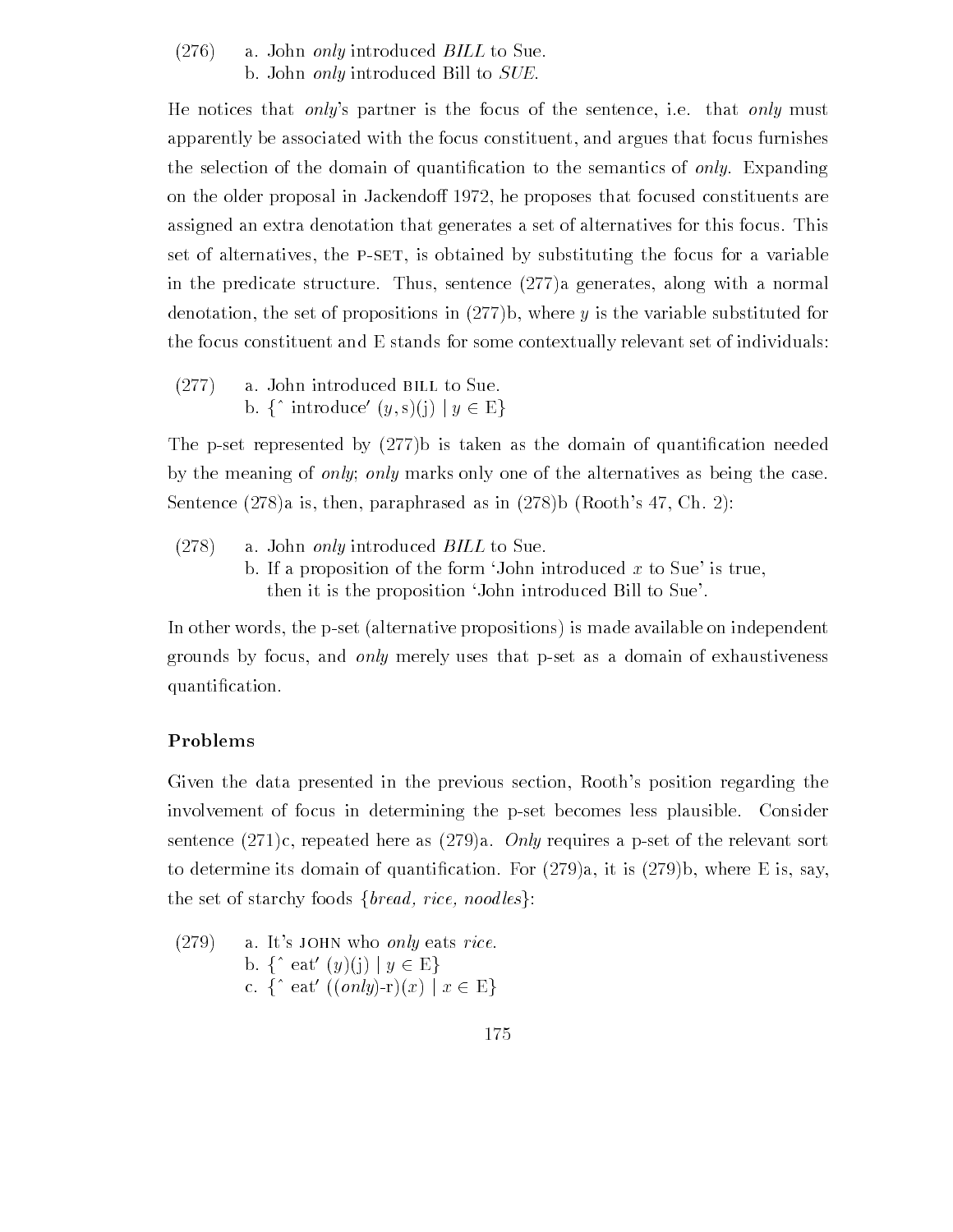$(276)$  a. John only introduced BILL to Sue. b. John *only* introduced Bill to *SUE*.

He notices that only's partner is the focus of the sentence, i.e. that only must apparently be associated with the focus constituent and argues that focus furnishes the selection of the domain of  $\mathbf{A}$ on the older proposal in Jackendoff 1972, he proposes that focused constituents are assigned an extra denotation that generates a set of alternatives for this focus This set of alternatives, the P-SET, is obtained by substituting the focus for a variable in the predicate structure. Thus, sentence  $(277)a$  generates, along with a normal denotation, the set of propositions in  $(277)b$ , where y is the variable substituted for the focus constituent and E stands for some contextually relevant set of individuals

 $(277)$  a. John introduced BILL to Sue. b.  $\{\hat{\ }$  introduce'  $(y,s)(i) | y \in E\}$ 

The pset represented by b is taken as the domain of quanti-cation needed by the meaning of *only*; *only* marks only one of the alternatives as being the case. Sentence  $(278)a$  is, then, paraphrased as in  $(278)b$  (Rooth's 47, Ch. 2):

 $(278)$  a. John only introduced BILL to Sue. b. If a proposition of the form 'John introduced x to Sue' is true, then it is the proposition 'John introduced Bill to Sue'.

In other words, the p-set (alternative propositions) is made available on independent grounds by focus, and only merely uses that p-set as a domain of exhaustiveness quanti-cation in the cation of the cation of the cation of the cation of the cation of the cation of the cation

## Problems

Given the data presented in the previous section. Rooth's position regarding the involvement of focus in determining the p-set becomes less plausible. Consider sentence  $(271)c$ , repeated here as  $(279)a$ . *Only* requires a p-set of the relevant sort to determine its domain of  $\mathbf{F}$  is dominated its domain of  $\mathbf{F}$  and  $\mathbf{F}$ the set of starchy foods  ${break, rice,$  noodles $}$ :

(279) a. It's JOHN who only eats rice.  
b. 
$$
\{\hat{ }
$$
 eat' (y)(j) |  $y \in E\}$   
c.  $\{\hat{ }$  eat' ((only)-r)(x) |  $x \in E\}$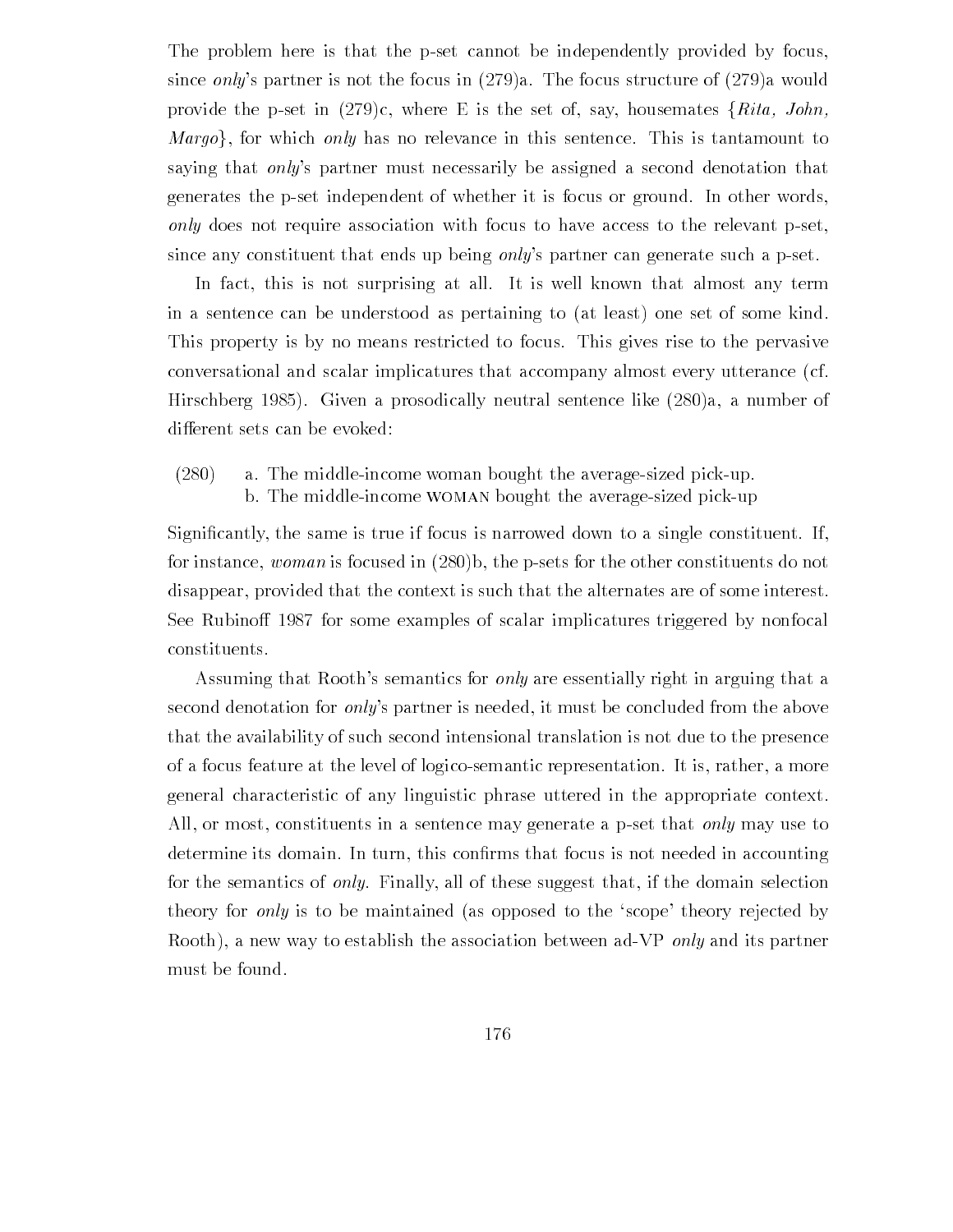The problem here is that the p-set cannot be independently provided by focus, since only's partner is not the focus in  $(279)a$ . The focus structure of  $(279)a$  would provide the p-set in  $(279)c$ , where E is the set of, say, housemates  $\{Rita, John,$ *Margo*, for which only has no relevance in this sentence. This is tantamount to saying that *only*'s partner must necessarily be assigned a second denotation that generates the p-set independent of whether it is focus or ground. In other words, only does not require association with focus to have access to the relevant p-set. since any constituent that ends up being *only*'s partner can generate such a p-set.

In fact, this is not surprising at all. It is well known that almost any term in a sentence can be understood as pertaining to (at least) one set of some kind. This property is by no means restricted to focus. This gives rise to the pervasive conversational and scalar implicatures that accompany almost every utterance (cf.  $H_1$  and  $H_2$  prosons a prosodically neutral sentence like  $H_1$  and  $H_2$  a number of  $H_1$ different sets can be evoked:

 $(280)$ a. The middle-income woman bought the average-sized pick-up. b. The middle-income WOMAN bought the average-sized pick-up

cantriculum is the same if focus is narrowed down to a single if the single constituent If  $\alpha$ for instance, *woman* is focused in  $(280)$ , the p-sets for the other constituents do not disappear, provided that the context is such that the alternates are of some interest. See Rubinoff 1987 for some examples of scalar implicatures triggered by nonfocal constituents

Assuming that Rooth's semantics for *only* are essentially right in arguing that a second denotation for *only*'s partner is needed, it must be concluded from the above that the availability of such second intensional translation is not due to the presence of a focus feature at the level of logicosemantic representation It is rather a more general characteristic of any linguistic phrase uttered in the appropriate context All, or most, constituents in a sentence may generate a p-set that *only* may use to determine its domain In turn this con-rms that focus is not needed in accounting for the semantics of *only*. Finally, all of these suggest that, if the domain selection theory for *only* is to be maintained (as opposed to the 'scope' theory rejected by Rooth), a new way to establish the association between ad-VP *only* and its partner must be found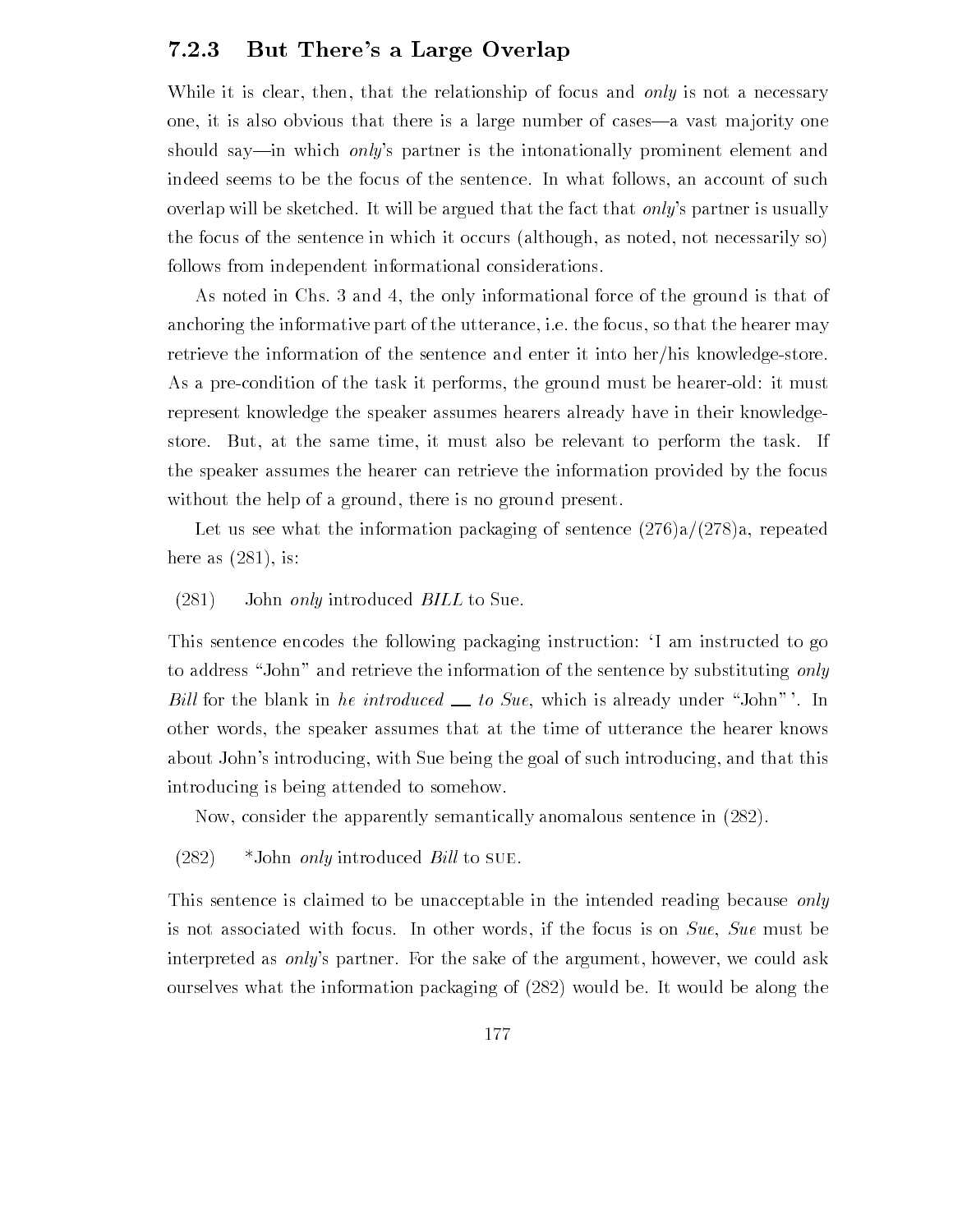## But There's a Large Overlap

While it is clear, then, that the relationship of focus and only is not a necessary one, it is also obvious that there is a large number of cases—a vast majority one should say—in which *only's* partner is the intonationally prominent element and indeed seems to be the focus of the sentence In what follows an account of such overlap will be sketched. It will be argued that the fact that *only's* partner is usually the focus of the sentence in which it occurs (although, as noted, not necessarily so) follows from independent informational considerations

As noted in Chs. 3 and 4, the only informational force of the ground is that of anchoring the informative part of the utterance, i.e. the focus, so that the hearer may retrieve the information of the sentence and enter it into her/his knowledge-store. As a pre-condition of the task it performs, the ground must be hearer-old: it must represent knowledge the speaker assumes hearers already have in their knowledge store. But, at the same time, it must also be relevant to perform the task. If the speaker assumes the hearer can retrieve the information provided by the focus without the help of a ground, there is no ground present.

Let us see what the information packaging of sentence  $(276)a/(278)a$ , repeated here as  $(281)$ , is:

#### $(281)$  John only introduced BILL to Sue.

This sentence encodes the following packaging instruction: I am instructed to go to address "John" and retrieve the information of the sentence by substituting only Bill for the blank in he introduced  $\equiv$  to Sue, which is already under "John" '. In other words the speaker assumes that at the time of utterance the hearer knows about John's introducing, with Sue being the goal of such introducing, and that this introducing is being attended to somehow

Now, consider the apparently semantically anomalous sentence in  $(282)$ .

 $(282)$  \*John *only* introduced *Bill* to SUE.

This sentence is claimed to be unacceptable in the intended reading because only is not associated with focus. In other words, if the focus is on  $Sue$ ,  $Sue$  must be interpreted as *only's* partner. For the sake of the argument, however, we could ask ourselves what the information packaging of  $(282)$  would be. It would be along the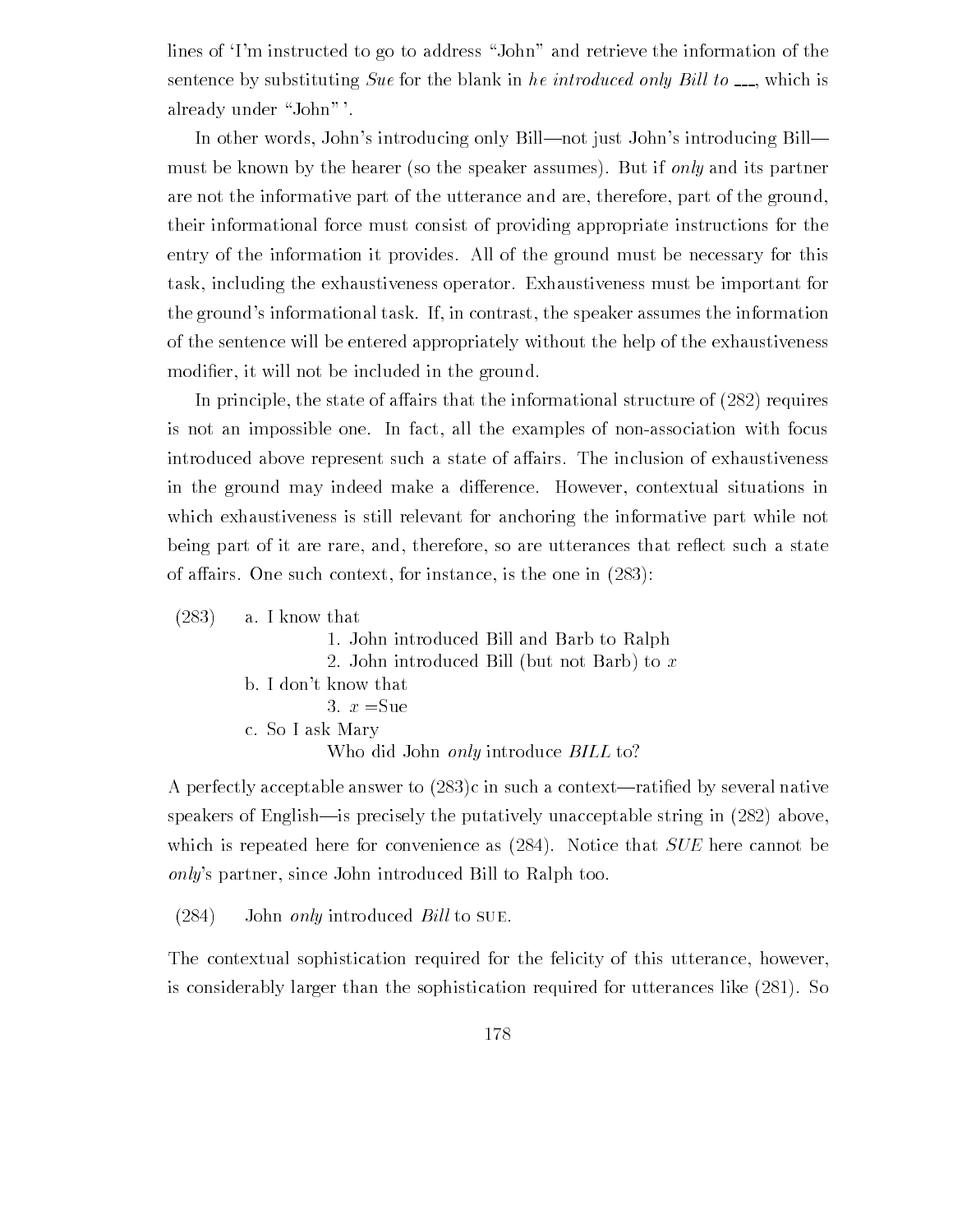lines of Tm instructed to go to address "John" and retrieve the information of the sentence by substituting Sue for the blank in he introduced only Bill to  $\Box$ , which is already under "John"'.

In other words, John's introducing only Bill—not just John's introducing Bill must be known by the hearer (so the speaker assumes). But if only and its partner are not the informative part of the utterance and are, therefore, part of the ground, their informational force must consist of providing appropriate instructions for the entry of the information it provides All of the ground must be necessary for this task including the exhaustiveness operator Exhaustiveness must be important for the ground's informational task. If, in contrast, the speaker assumes the information of the sentence will be entered appropriately without the help of the exhaustiveness er it will not be included in the ground in the contract of the ground in the ground in the ground in the ground of  $\mathcal{L}$ 

In principle, the state of affairs that the informational structure of  $(282)$  requires is not an impossible one. In fact, all the examples of non-association with focus introduced above represent such a state of affairs. The inclusion of exhaustiveness in the ground may indeed make a difference. However, contextual situations in which exhaustiveness is still relevant for anchoring the informative part while not being part of it are rare, and, therefore, so are utterances that reflect such a state of affairs. One such context, for instance, is the one in  $(283)$ :

| $(283)$ a. I know that                             |
|----------------------------------------------------|
| 1. John introduced Bill and Barb to Ralph          |
| 2. John introduced Bill (but not Barb) to $x$      |
| b. I don't know that                               |
| 3. $x = \text{Sue}$                                |
| c. So I ask Mary                                   |
| Who did John <i>only</i> introduce <i>BILL</i> to? |

A perfectly acceptable answer to c in such a contextrati-ed by several native speakers of English—is precisely the putatively unacceptable string in  $(282)$  above. which is repeated here for convenience as  $(284)$ . Notice that  $SUE$  here cannot be only's partner, since John introduced Bill to Ralph too.

who did a good only introduced but to a good to the second to the second second second to the second second seconduce  $\mathcal{L}_\mathbf{X}$ 

 $(284)$  John only introduced Bill to SUE.

The contextual sophistication required for the felicity of this utterance, however, is considerably larger than the sophistication required for utterances like  $(281)$ . So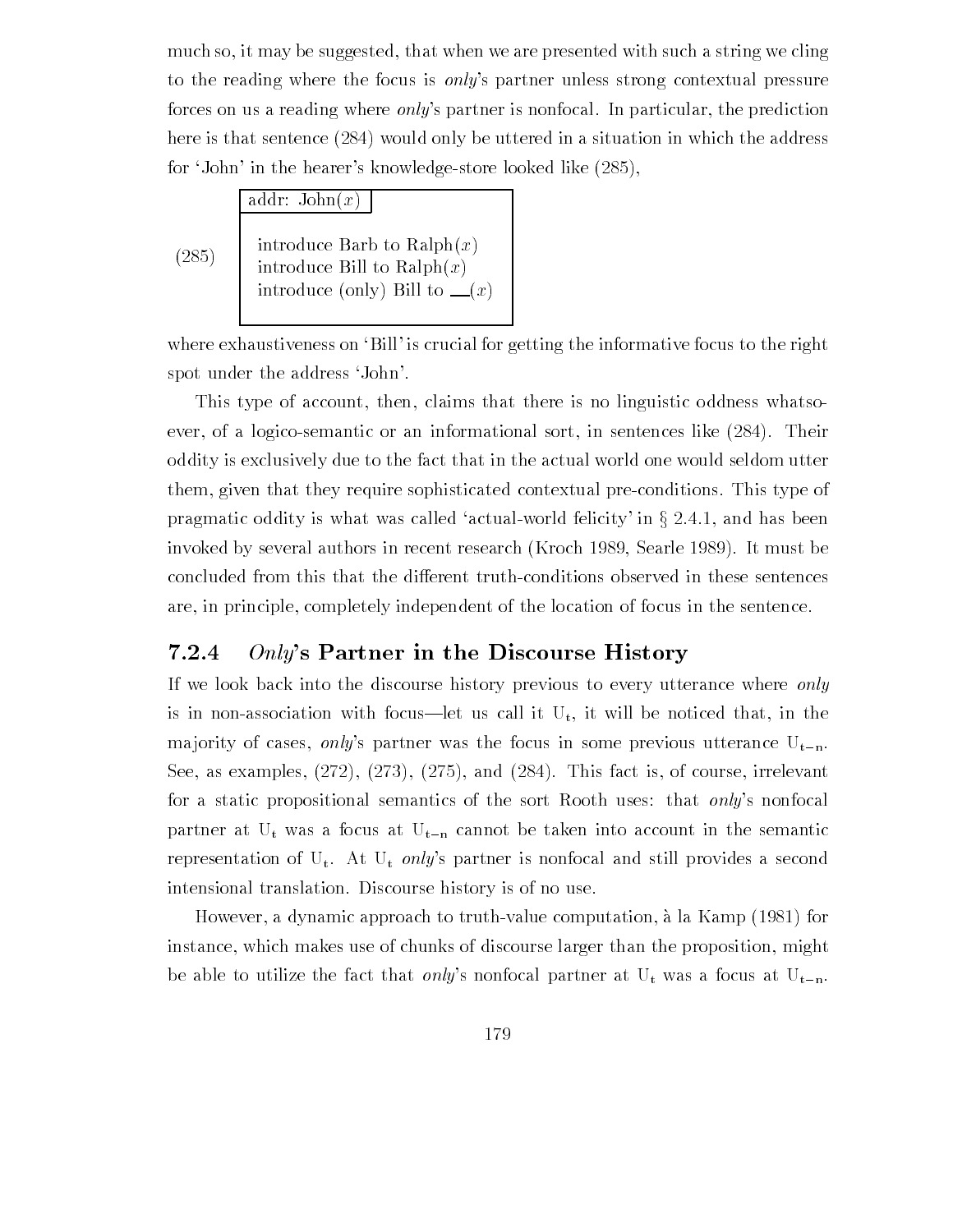much so, it may be suggested, that when we are presented with such a string we cling to the reading where the focus is *only*'s partner unless strong contextual pressure forces on us a reading where *only*'s partner is nonfocal. In particular, the prediction here is that sentence  $(284)$  would only be uttered in a situation in which the address for  $\mathbf{f}$  and the hearters knowledge store looked like  $\mathbf{f}$ 

|       | addr: $John(x)$                                                                                                |
|-------|----------------------------------------------------------------------------------------------------------------|
| (285) | introduce Barb to Ralph $(x)$<br>introduce Bill to Ralph $(x)$<br>introduce (only) Bill to $\lfloor x \rfloor$ |

where exhaustiveness on 'Bill' is crucial for getting the informative focus to the right spot under the address 'John'.

This type of account, then, claims that there is no linguistic oddness whatsoever, of a logico-semantic or an informational sort, in sentences like  $(284)$ . Their oddity is exclusively due to the fact that in the actual world one would seldom utter them, given that they require sophisticated contextual pre-conditions. This type of pragmatic oddity is what was called 'actual-world felicity' in  $\S 2.4.1$ , and has been invoked by several authors in recent research (Kroch 1989, Searle 1989). It must be concluded from this that the different truth-conditions observed in these sentences are, in principle, completely independent of the location of focus in the sentence.

#### 7.2.4  $Only's$  Partner in the Discourse History

If we look back into the discourse history previous to every utterance where only is in non-association with focus—let us call it  $U_t$ , it will be noticed that, in the majority of cases, only's partner was the focus in some previous utterance  $U_{t-n}$ .  $S$  . This fact is one in the set of course in the course is ordered to the course it is one in the course in for a static propositional semantics of the sort Rooth uses: that *only's* nonfocal partner at  $U_t$  was a focus at  $U_{t-n}$  cannot be taken into account in the semantic representation of  $U_t$ . At  $U_t$  only's partner is nonfocal and still provides a second intensional translation. Discourse history is of no use.

However, a dynamic approach to truth-value computation, à la Kamp  $(1981)$  for instance, which makes use of chunks of discourse larger than the proposition, might be able to utilize the fact that only's nonfocal partner at  $U_t$  was a focus at  $U_{t-n}$ .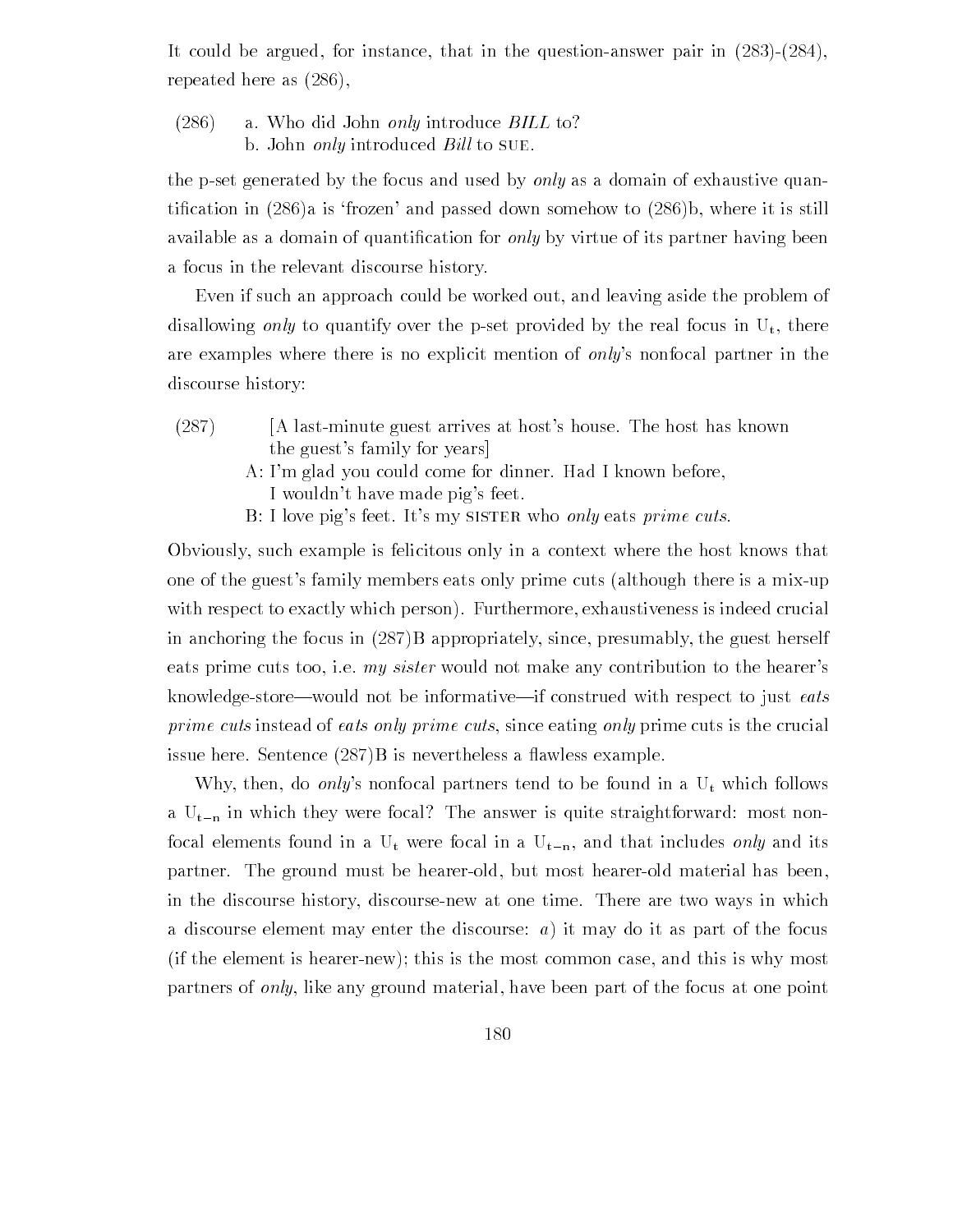It could be argued, for instance, that in the question-answer pair in  $(283)-(284)$ . repeated here as  $(286)$ ,

 $(286)$ a. Who did John *only* introduce *BILL* to? b. John *only* introduced *Bill* to SUE.

the p-set generated by the focus and used by only as a domain of exhaustive quantitive in the state of the cation in the still down to the complete  $\alpha$  is still to the still the still the st available as a domain of quanti-cation for only by virtue of its partner having been a focus in the relevant discourse history

Even if such an approach could be worked out, and leaving aside the problem of disallowing only to quantify over the p-set provided by the real focus in  $U_t$ , there are examples where there is no explicit mention of *only's* nonfocal partner in the discourse history:

- (287) [A last-minute guest arrives at host's house. The host has known the guest's family for years
	- A: I'm glad you could come for dinner. Had I known before, I wouldn't have made pig's feet.
	- B: I love pig's feet. It's my SISTER who only eats prime cuts.

Obviously such example is felicitous only in a context where the host knows that one of the guest's family members eats only prime cuts (although there is a mix-up with respect to exactly which person). Furthermore, exhaustiveness is indeed crucial in anchoring the focus in  $(287)B$  appropriately, since, presumably, the guest herself eats prime cuts too, i.e.  $my\;sister$  would not make any contribution to the hearer's knowledge-store—would not be informative—if construed with respect to just eats prime cuts instead of eats only prime cuts, since eating only prime cuts is the crucial issue here. Sentence  $(287)B$  is nevertheless a flawless example.

Why, then, do only's nonfocal partners tend to be found in a  $U_t$  which follows a  $U_{t-n}$  in which they were focal? The answer is quite straightforward: most nonfocal elements found in a U<sub>t</sub> were focal in a U<sub>t-n</sub>, and that includes *only* and its partner. The ground must be hearer-old, but most hearer-old material has been, in the discourse history, discourse-new at one time. There are two ways in which a discourse element may enter the discourse:  $a)$  it may do it as part of the focus  $(i$ f the element is hearer-new); this is the most common case, and this is why most partners of *only*, like any ground material, have been part of the focus at one point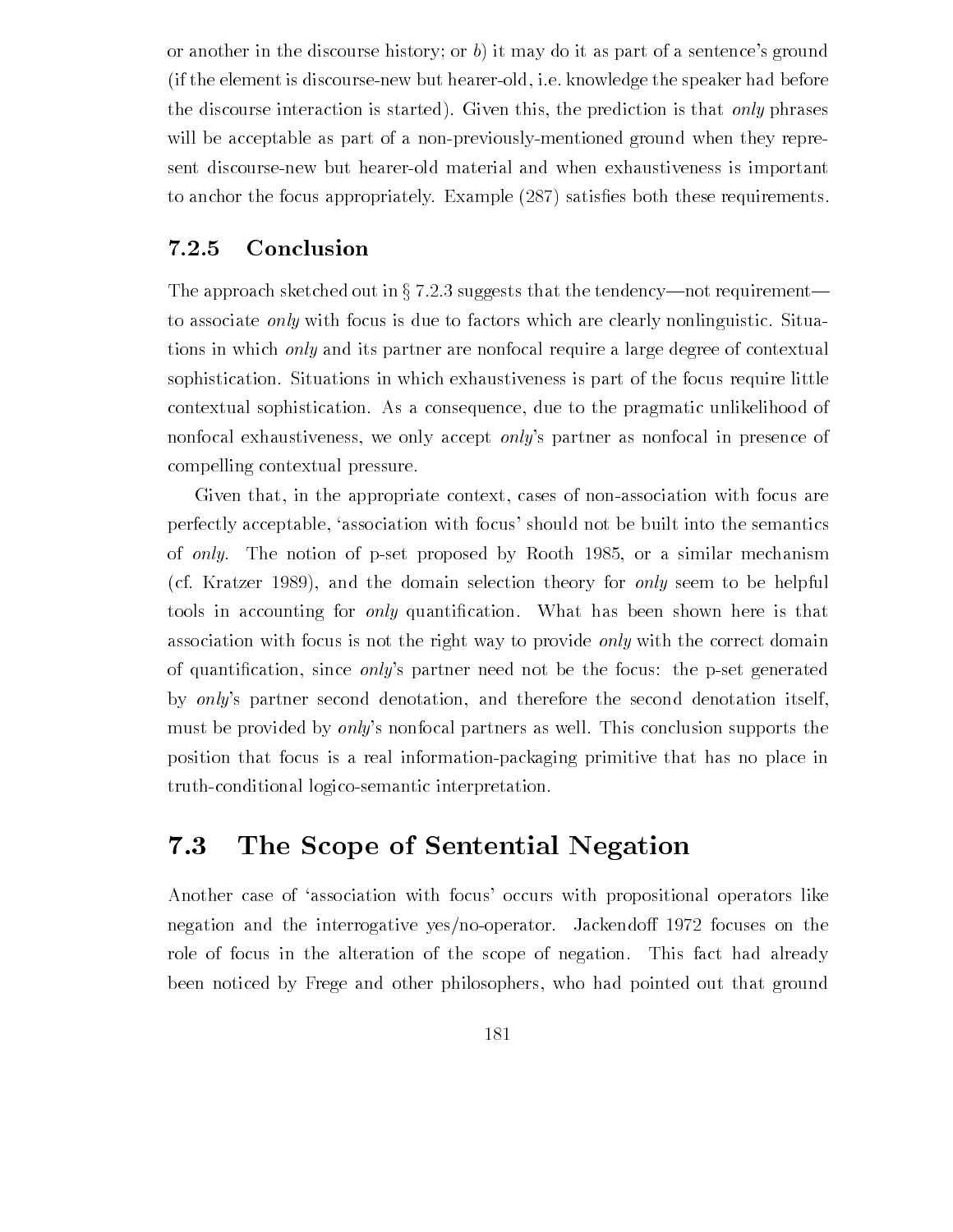or another in the discourse history; or  $b$ ) it may do it as part of a sentence's ground (if the element is discourse-new but hearer-old, i.e. knowledge the speaker had before the discourse interaction is started). Given this, the prediction is that only phrases will be acceptable as part of a non-previously-mentioned ground when they represent discourse-new but hearer-old material and when exhaustiveness is important to anchor the focus appropriately Example  $\Gamma$  satisfactor  $\Gamma$  satisfactor  $\Gamma$ 

#### 7.2.5 Conclusion

The approach sketched out in  $\S 7.2.3$  suggests that the tendency—not requirement to associate *only* with focus is due to factors which are clearly nonlinguistic. Situations in which only and its partner are nonfocal require a large degree of contextual sophistication. Situations in which exhaustiveness is part of the focus require little contextual sophistication As a consequence due to the pragmatic unlikelihood of nonfocal exhaustiveness, we only accept *only*'s partner as nonfocal in presence of compelling contextual pressure

Given that, in the appropriate context, cases of non-association with focus are perfectly acceptable, 'association with focus' should not be built into the semantics of only The notion of post proposed by Rooth Souls at Monthematic mechanism (cf. Kratzer 1989), and the domain selection theory for *only* seem to be helpful tools in accounting for only quanti-cation What has been shown here is that association with focus is not the right way to provide *only* with the correct domain of quanti-cation since onlys partner need not be the focus the pset generated by only's partner second denotation, and therefore the second denotation itself, must be provided by *only's* nonfocal partners as well. This conclusion supports the position that focus is a real information-packaging primitive that has no place in truth-conditional logico-semantic interpretation.

# The Scope of Sentential Negation

Another case of 'association with focus' occurs with propositional operators like negation and the interrogative yes/no-operator. Jackendoff 1972 focuses on the role of focus in the alteration of the scope of negation. This fact had already been noticed by Frege and other philosophers, who had pointed out that ground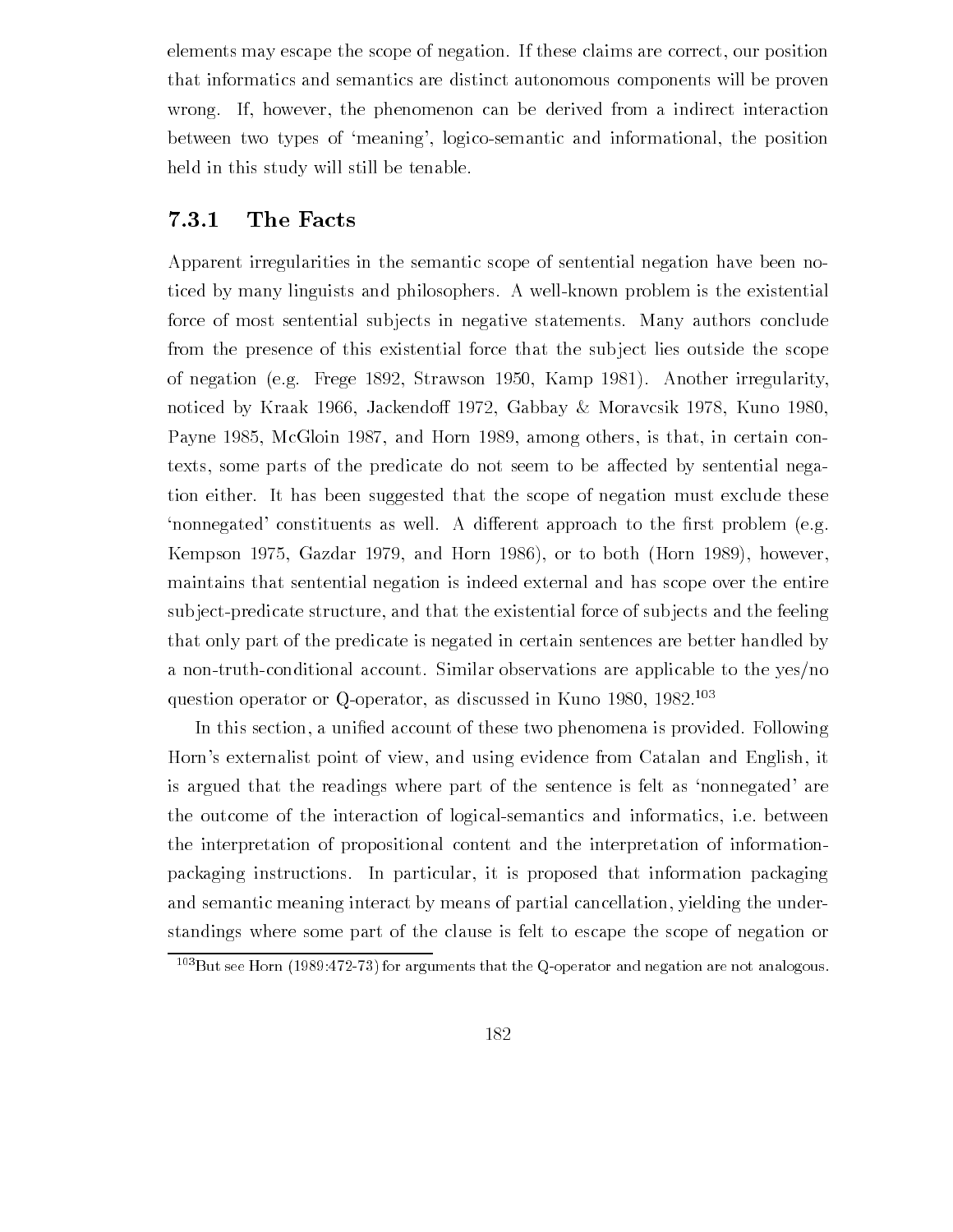elements may escape the scope of negation. If these claims are correct, our position that informatics and semantics are distinct autonomous components will be proven wrong. If, however, the phenomenon can be derived from a indirect interaction between two types of 'meaning', logico-semantic and informational, the position held in this study will still be tenable

## The Facts

Apparent irregularities in the semantic scope of sentential negation have been no ticed by many linguists and philosophers A wellknown problem is the existential force of most sentential sub jects in negative statements Many authors conclude from the presence of this existential force that the subject lies outside the scope of negative and the frequency of the straws of the straws of the straws of the straws of the straws of the str noticed by Kraak 1966, Jackendoff 1972, Gabbay  $\&$  Moravcsik 1978, Kuno 1980, Payne McGloin and Horn among others is that in certain con texts, some parts of the predicate do not seem to be affected by sentential negation either. It has been suggested that the scope of negation must exclude these nonnegated constituents as well A dierent approach to the -rst problem eg exampson ever a menue ever what was ever you as a construction of the same of  $\mathcal{A}$ maintains that sentential negation is indeed external and has scope over the entire subject-predicate structure, and that the existential force of subjects and the feeling that only part of the predicate is negated in certain sentences are better handled by a non-truth-conditional account. Similar observations are applicable to the yes/no question operator or Q-operator, as discussed in Kuno  $1980, 1982$ <sup>103</sup>

In this section a uni-ed account of these two phenomena is provided Following Horn's externalist point of view, and using evidence from Catalan and English, it is argued that the readings where part of the sentence is felt as 'nonnegated' are the outcome of the interaction of logical-semantics and informatics, i.e. between the interpretation of propositional content and the interpretation of information packaging instructions. In particular, it is proposed that information packaging and semantic meaning interact by means of partial cancellation, yielding the understandings where some part of the clause is felt to escape the scope of negation or

 $\sim$  But see Horn (1989.472-73) for arguments that the Q-operator and negation are not analogous.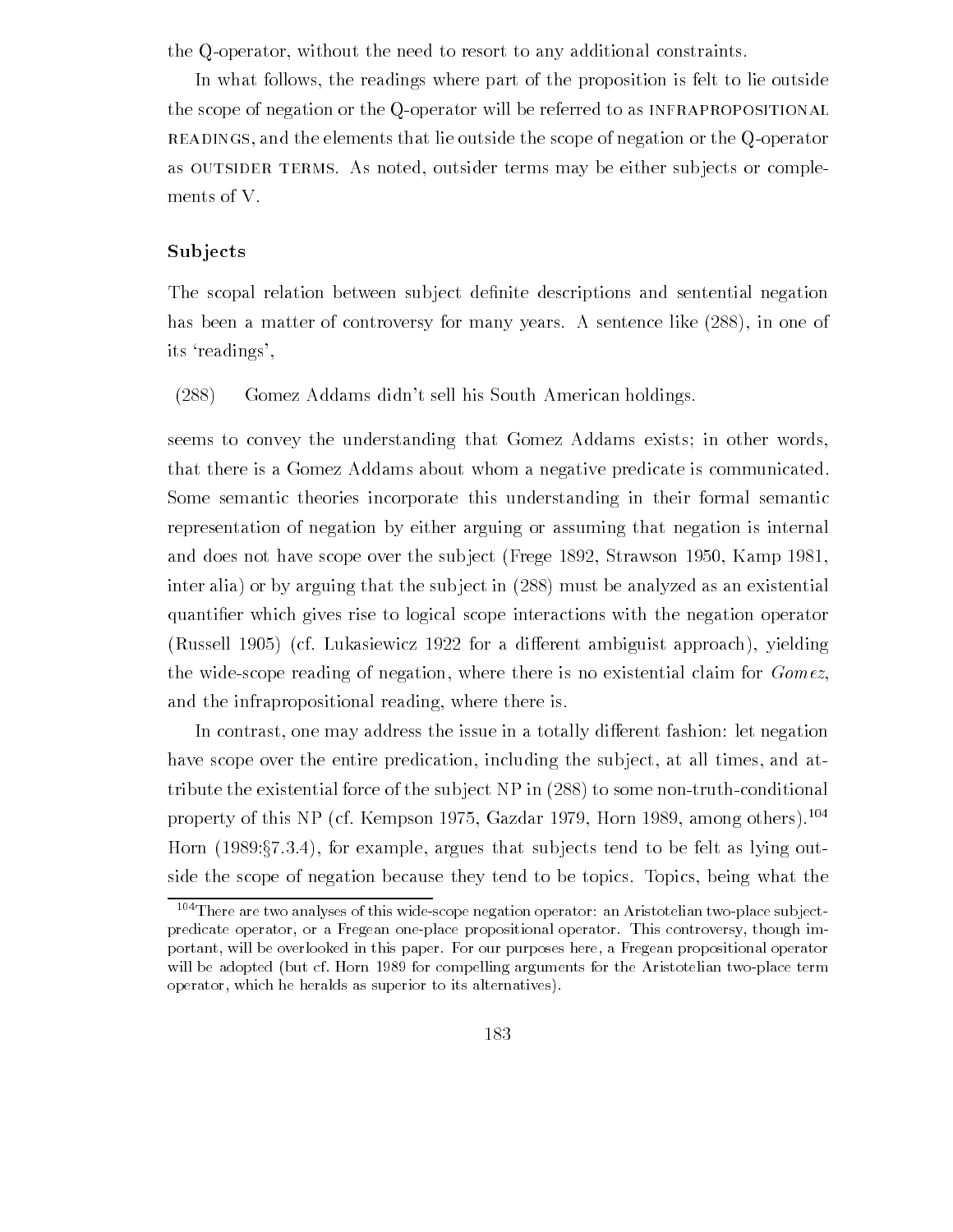the Q-operator, without the need to resort to any additional constraints.

In what follows the readings where part of the proposition is felt to lie outside the scope of negation or the Q-operator will be referred to as INFRAPROPOSITIONAL READINGS, and the elements that lie outside the scope of negation or the Q-operator as OUTSIDER TERMS. As noted, outsider terms may be either subjects or complements of V

## **Subjects**

The scopal relation between sub ject de-nite descriptions and sentential negation has been a matter of controversy for many years. A sentence like  $(288)$ , in one of its 'readings',

 $(288)$  Gomez Addams didn't sell his South American holdings.

seems to convey the understanding that Gomez Addams exists; in other words, that there is a Gomez Addams about whom a negative predicate is communicated Some semantic theories incorporate this understanding in their formal semantic representation of negation by either arguing or assuming that negation is internal and does not have subscribed and subscribed in the subscribed over the subscribed  $\sim$ inter alia) or by arguing that the subject in  $(288)$  must be analyzed as an existential quanti-er which gives rise to logical scope interactions with the negation operator russell accept that a dierent ambient and and an opposite and the processed the control of the control of the c the wide-scope reading of negation, where there is no existential claim for  $Gomez$ , and the infrapropositional reading, where there is.

In contrast, one may address the issue in a totally different fashion: let negation have scope over the entire predication, including the subject, at all times, and attribute the existential force of the subject  $NP$  in  $(288)$  to some non-truth-conditional property of this  $N_F$  (cf. Kempson 1975, Gazdar 1979, Horn 1989, among others). The property of the  $N_F$ Horn  $(1989.§7.3.4)$ , for example, argues that subjects tend to be felt as lying outside the scope of negation because they tend to be topics Topics being what the

 $104$  There are two analyses of this wide-scope negation operator: an Aristotelian two-place subjectpredicate operator, or a Fregean one-place propositional operator. This controversy, though important, will be overlooked in this paper. For our purposes here, a Fregean propositional operator will be adopted but cf Horn  $\mathcal{H} = \mathcal{H}$  to the Aristotelian two problems for the Aristotelian two problems for the Aristotelian two problems for the Aristotelian two problems for the Aristotelian two problems for the operator, which he heralds as superior to its alternatives).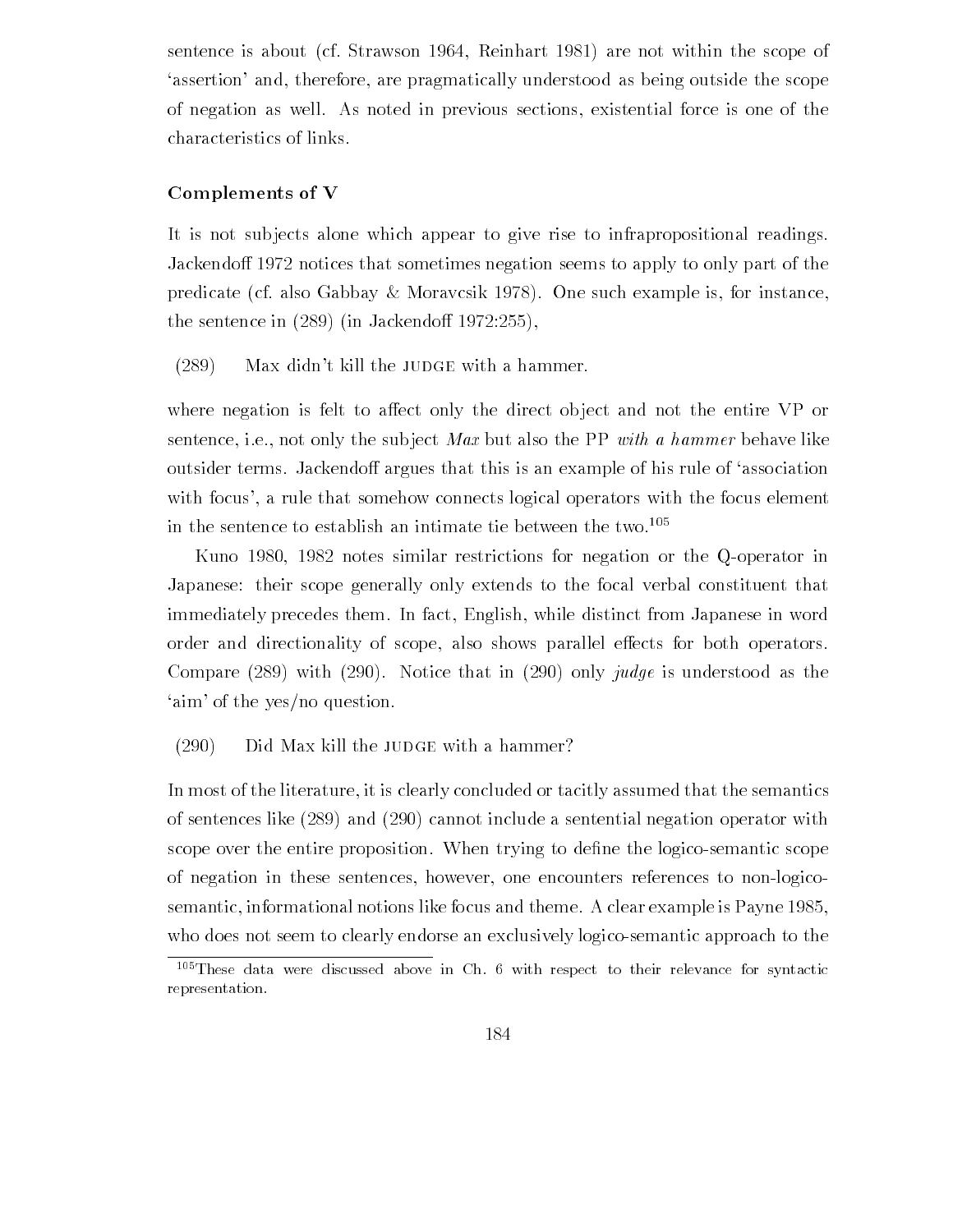sentence is about (cf. Strawson 1964, Reinhart 1981) are not within the scope of assertion and, therefore, are pragmatically understood as being outside the scope of negation as well As noted in previous sections existential force is one of the characteristics of links

## Complements of V

It is not subjects alone which appear to give rise to infrapropositional readings. Jackendoff 1972 notices that sometimes negation seems to apply to only part of the predicate (cf. also Gabbay & Moravcsik 1978). One such example is, for instance, the sentence in  $\mathcal{L}$  in  $\mathcal{L}$  in  $\mathcal{L}$  in  $\mathcal{L}$  in  $\mathcal{L}$  in  $\mathcal{L}$  in  $\mathcal{L}$  in  $\mathcal{L}$ 

 $(289)$  Max didn't kill the JUDGE with a hammer.

where negation is felt to affect only the direct object and not the entire VP or sentence, i.e., not only the subject Max but also the PP with a hammer behave like outsider terms. Jackendoff argues that this is an example of his rule of 'association with focus', a rule that somehow connects logical operators with the focus element in the sentence to establish an intimate tie between the two.<sup>105</sup>

Kuno 1980, 1982 notes similar restrictions for negation or the Q-operator in Japanese: their scope generally only extends to the focal verbal constituent that immediately precedes them. In fact, English, while distinct from Japanese in word order and directionality of scope, also shows parallel effects for both operators. Compare  $(289)$  with  $(290)$ . Notice that in  $(290)$  only *judge* is understood as the 'aim' of the yes/no question.

## $(290)$  Did Max kill the JUDGE with a hammer?

In most of the literature, it is clearly concluded or tacitly assumed that the semantics of sentences like  $(289)$  and  $(290)$  cannot include a sentential negation operator with scope over the entire proposition When trying to de-ne the logicosemantic scope of negation in these sentences, however, one encounters references to non-logicosemantic informational notions like focus and theme A clear example is Payne who does not seem to clearly endorse an exclusively logicosemantic approach to the

 $105$  These data were discussed above in Ch. 6 with respect to their relevance for syntactic representation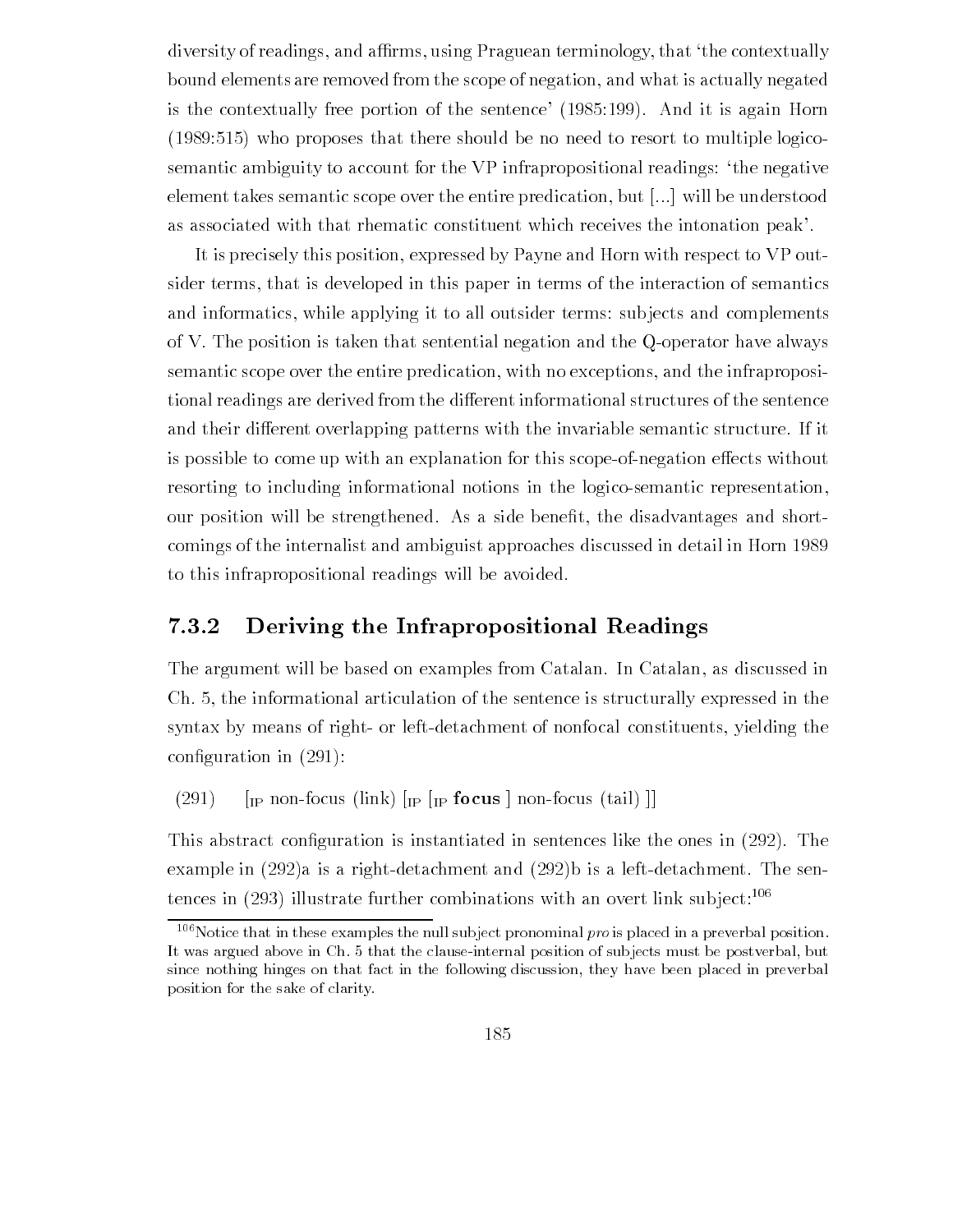diversity of readings, and affirms, using Praguean terminology, that 'the contextually bound elements are removed from the scope of negation and what is actually negated is the contextually free portion of the sentence  $\Lambda$ where  $\mathbf{r}$  is the no need to resort to  $\mathbf{r}$  there should be no need to  $\mathbf{r}$ semantic ambiguity to account for the VP infrapropositional readings: 'the negative element takes semantic scope over the entire predication, but  $[\dots]$  will be understood as associated with that rhematic constituent which receives the intonation peak

It is precisely this position, expressed by Payne and Horn with respect to VP outsider terms that is developed in this paper in terms of the interaction of semantics and informatics, while applying it to all outsider terms: subjects and complements of V. The position is taken that sentential negation and the  $Q$ -operator have always semantic scope over the entire predication, with no exceptions, and the infrapropositional readings are derived from the different informational structures of the sentence and their different overlapping patterns with the invariable semantic structure. If it is possible to come up with an explanation for this scope-of-negation effects without resorting to including informational notions in the logico-semantic representation, our position will be strengthened As a side bene-t the disadvantages and short comings of the internalist and ambiguist approaches discussed in detail in Horn to this infrapropositional readings will be avoided

## Deriving the Infrapropositional Readings

The argument will be based on examples from Catalan. In Catalan, as discussed in Ch the informational articulation of the sentence is structurally expressed in the syntax by means of right- or left-detachment of nonfocal constituents, yielding the con-guration in

" IP nonfocus link "IP "IP focus # nonfocus tail ##

 $\mathbf{q}$ example in  $(292)$ a is a right-detachment and  $(292)$ b is a left-detachment. The sentences in  $(293)$  illustrate further combinations with an overt link subject:<sup>106</sup>

 $106$  Notice that in these examples the null subject pronominal pro is placed in a preverbal position. It was argued above in Ch. 5 that the clause-internal position of subjects must be postverbal, but since nothing hinges on that fact in the following discussion, they have been placed in preverbal position for the sake of clarity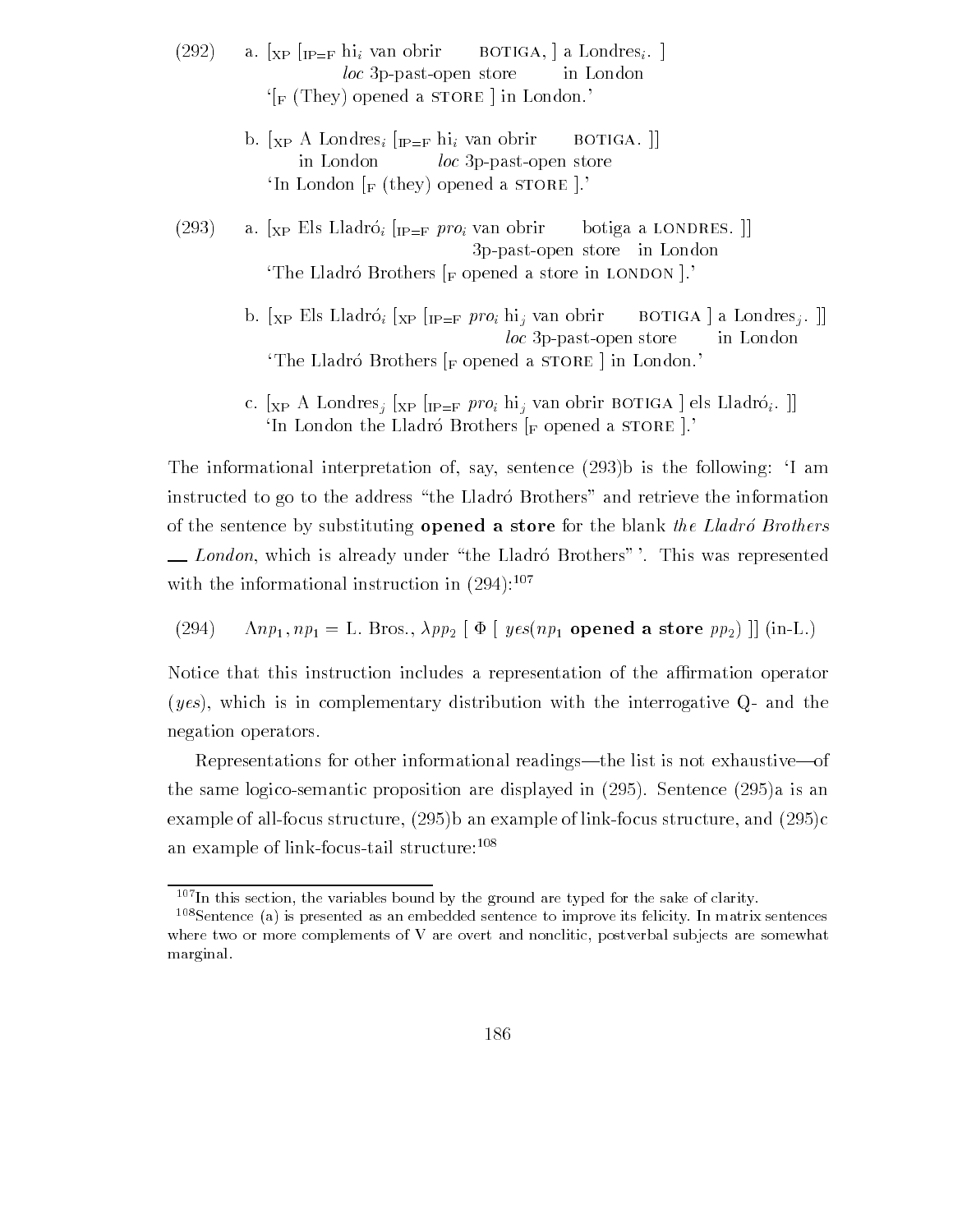- (292) a.  $\left[\chi_{\rm P}\right]_{\rm IP=F}$  hi<sub>i</sub> van obrir BOTIGA, a Londres<sub>i</sub>.  $loc$  3p-past-open store in London  $\sqrt{F}$  (They) opened a STORE in London.
	- b.  $\begin{bmatrix} x_P \end{bmatrix}$  Londres<sub>i</sub>  $\begin{bmatrix} IP = F \end{bmatrix}$  hi<sub>i</sub> van obrir botiga  $\begin{bmatrix} 1 \end{bmatrix}$ in London loc 3p-past-open store 'In London  $\vert_F$  (they) opened a STORE  $\vert$ .
- $\frac{1}{2}$   $\frac{1}{2}$   $\frac{1}{2}$   $\frac{1}{2}$   $\frac{1}{2}$   $\frac{1}{2}$   $\frac{1}{2}$   $\frac{1}{2}$   $\frac{1}{2}$   $\frac{1}{2}$   $\frac{1}{2}$   $\frac{1}{2}$   $\frac{1}{2}$   $\frac{1}{2}$   $\frac{1}{2}$   $\frac{1}{2}$   $\frac{1}{2}$   $\frac{1}{2}$   $\frac{1}{2}$   $\frac{1}{2}$   $\frac{1}{2}$   $\frac{1}{2}$  ppastopen store in London The Lladró Brothers  $\lbrack_{\rm F}$  opened a store in LONDON  $\lbrack$ .
	- b.  $\chi_P$  Els Lladró<sub>i</sub>  $\chi_P$   $\eta_{P=F}$  *proi* hi<sub>i</sub> van obrir BOTIGA | a Londres<sub>j</sub>. ||  $loc$  3p-past-open store in London The Lladró Brothers  $\lceil_{\mathbf{F}}\rceil$  opened a storal in London.
	- c.  $\lbrack_{\text{XP}}$  A Londres<sub>i</sub>  $\lbrack_{\text{XP}}$   $\lbrack_{\text{IP=F}}$  pro<sub>i</sub> hi<sub>j</sub> van obrir BOTIGA  $\lbrack$  els Lladró<sub>i</sub>.  $\rbrack$ In London the Lladró Brothers  $\lbrack_F$  opened a STORE  $\rbrack$ .

The informational interpretation of, say, sentence  $(293)$  is the following: I am instructed to go to the address "the Lladro Brothers" and retrieve the information of the sentence by substituting **opened a store** for the blank the Lladro Brothers London, which is already under "the Lladró Brothers" '. This was represented with the informational instruction in  $(294)$ :<sup>107</sup>

(294)  $\Lambda np_1, np_1 = \text{L}$ . Bros.,  $\lambda pp_2 \upharpoonright \Phi \upharpoonright yes(np_1 \text{ opened a store } pp_2) \upharpoonright (\text{in-L})$ .

Notice that this instruction includes a representation of the affirmation operator  $(yes)$ , which is in complementary distribution with the interrogative Q- and the negation operators

Representations for other informational readings—the list is not exhaustive—of the same logico structure proposition are displayed in the proposition  $\mathcal{S}$ example of allfocus structure b an example of linkfocus structure and c an example of link-focus-tail structure:<sup>108</sup>

 $107$ In this section, the variables bound by the ground are typed for the sake of clarity.

 $108$ Sentence (a) is presented as an embedded sentence to improve its felicity. In matrix sentences where two or more complements of V are overt and nonclitic, postverbal subjects are somewhat marginal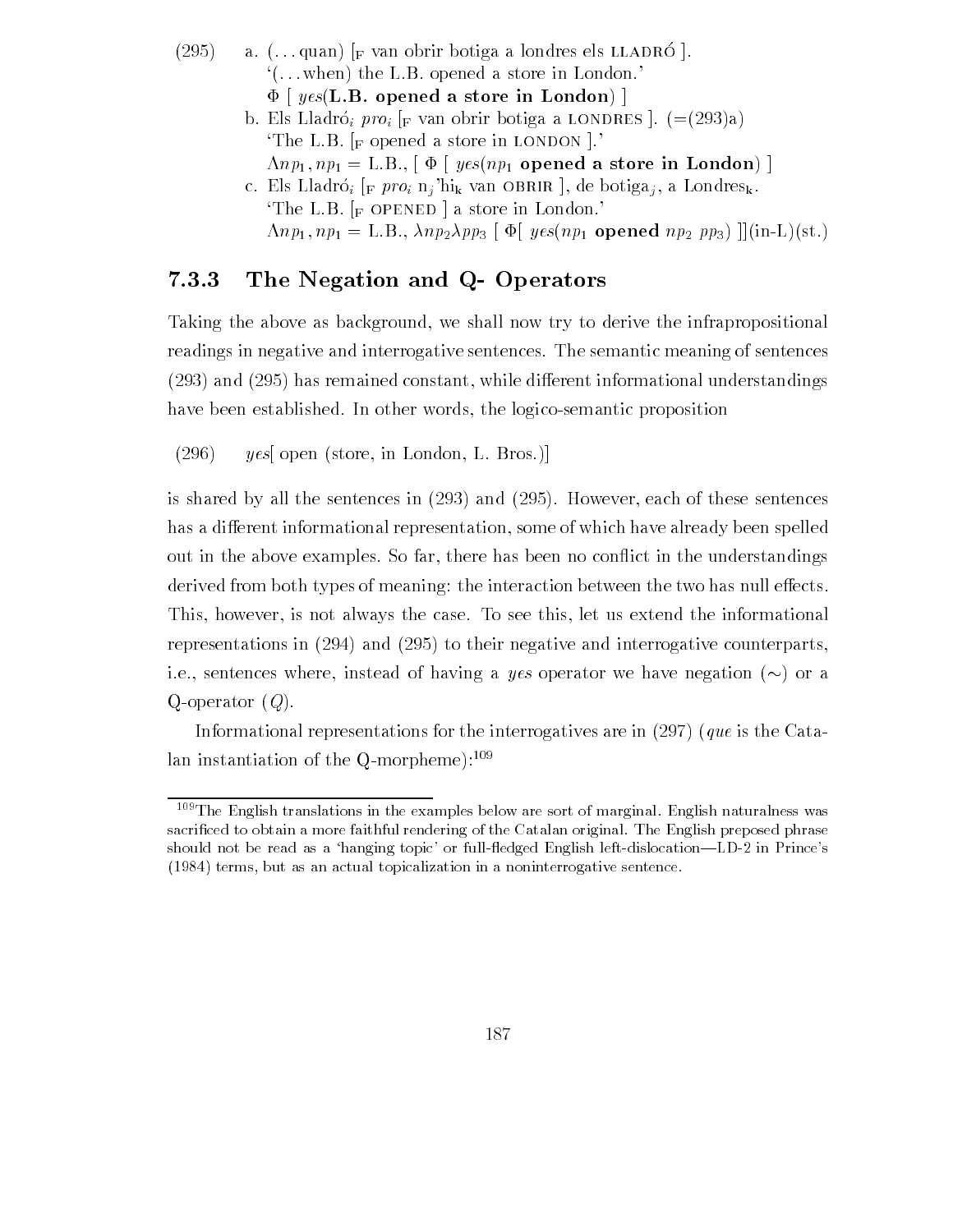- $(295)$  $\mu$  a.  $\mu$ .  $\alpha$  and  $\mu$  van obin botiga a londres els limitates  $\mu$ .  $($ ...when) the L.B. opened a store in London.  $\Phi$  [  $yes(\mathbf{L.B.}$  opened a store in London) ]
	- b. Els Lladró; proi  $\lbrack_{\rm F}$  van obrir botiga a LONDRES  $\lbrack$ .  $(=(293)a)$ The L.B.  $\lbrack$  F opened a store in LONDON  $\lbrack$ .  $\Lambda np_1, np_1 = \text{L.B.,} [\Phi \mid yes(np_1 \text{ opened a store in London})]$
	- c. Els Lladró<sub>i</sub> [<sub>F</sub> pro<sub>i</sub> n<sub>j</sub>'hi<sub>k</sub> van OBRIR], de botiga<sub>j</sub>, a Londres<sub>k</sub>. The L.B.  $\lbrack_{\rm F}$  OPENED a store in London. ,np np LB nppp- " +" yesnp opened np pp- ##inLst

## The Negation and Q- Operators

Taking the above as background, we shall now try to derive the infrapropositional readings in negative and interrogative sentences The semantic meaning of sentences  $\mathcal{A}$  remains  $\mathcal{A}$  remains the constant while distribution in formation  $\mathcal{A}$  . have been established. In other words, the logico-semantic proposition

```
(y296) yes open (store, in London, L. Bros.)
```
is shared by all the sentences in and However each of these sentences has a different informational representation, some of which have already been spelled out in the above examples. So far, there has been no conflict in the understandings derived from both types of meaning: the interaction between the two has null effects. This, however, is not always the case. To see this, let us extend the informational representations in and interrupted interrogative and interretations interretative counterparts in i.e., sentences where, instead of having a yes operator we have negation  $(\sim)$  or a Q-operator  $(Q)$ .

Informational representations for the interrogatives are in  $(297)$  (que is the Catalan instantiation of the Q-morpheme): $109$ 

 $109$  The English translations in the examples below are sort of marginal. English naturalness was sacrificed to obtain a more faithful rendering of the Catalan original. The English preposed phrase should not be read as a hanging topic- to function in prince the should be a function  terms but as an actual topicalization in a noninterrogative sentence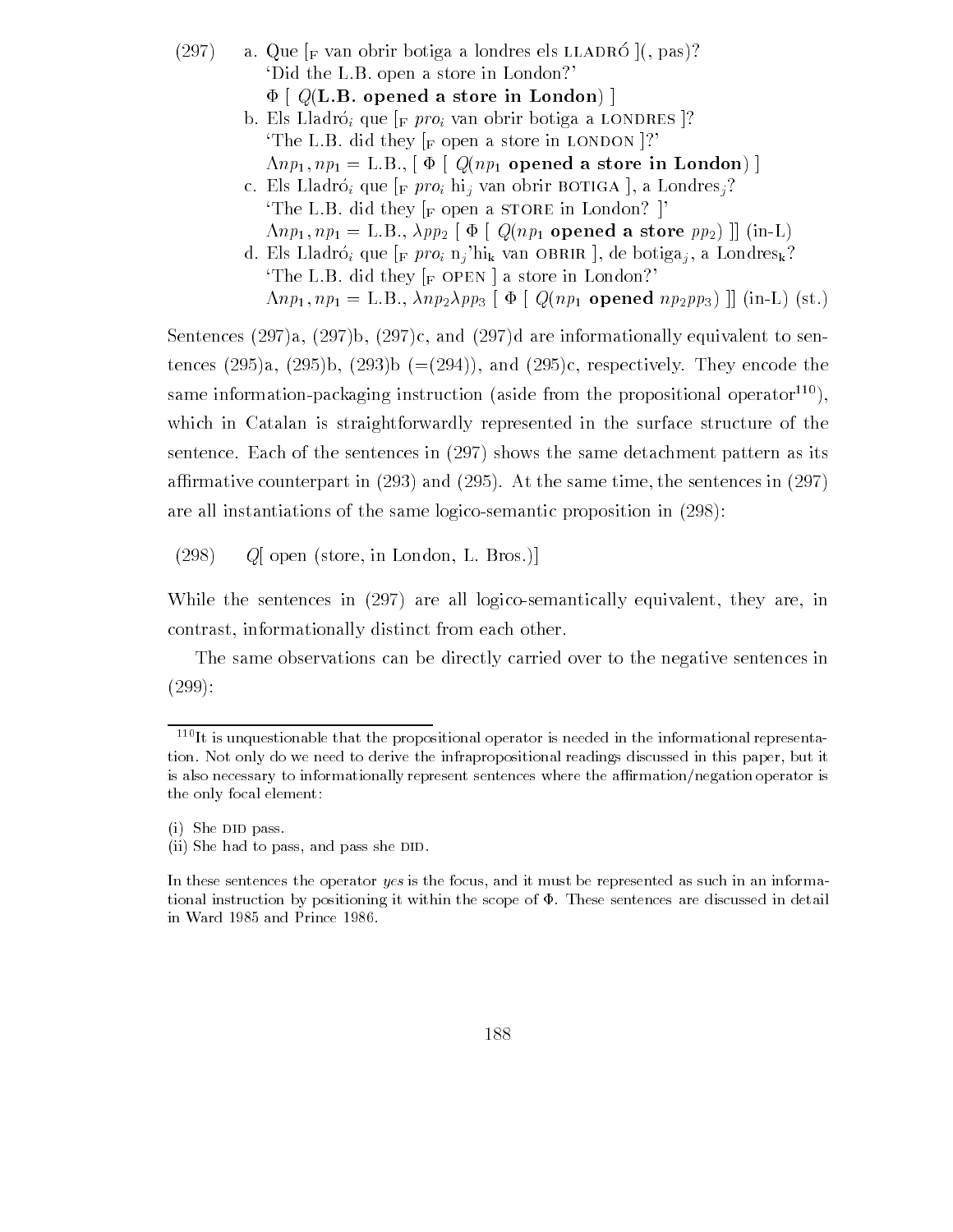$\alpha$  a  $\alpha$  as  $\alpha$  if van obtir botiga a folidies els littributes  $\alpha$ , passion 'Did the L.B. open a store in London?'  $\Phi$  [  $Q(L.B.$  opened a store in London) ] b. Els Lladró; que  $\vert_F pro_i$  van obrir botiga a LONDRES  $\vert$ ? The L.B. did they  $\lbrack_{\text{F}}$  open a store in LONDON  $\lbrack$ ?  $\Lambda np_1, np_1 = \text{L.B., } \left[ \Phi \mid Q(np_1 \text{ opened a store in London}) \right]$ c. Els Lladró; que  $_{\rm [F}$  pro<sub>i</sub> hi<sub>j</sub> van obrir BOTIGA ], a Londres<sub>j</sub>? The L.B. did they  $\lbrack_{\text{F}}$  open a store in London?  $\rbrack$  $\Lambda np_1, np_1 = \text{L.B., } \lambda pp_2 \upharpoonright \Phi \upharpoonright Q(np_1 \text{ opened a store } pp_2) \upharpoonright (\text{in-L})$ d. Els Lladró; que  $\lbrack_F pro_i n_j'hi_k$  van OBRIR  $\lbrack$ , de botiga<sub>j</sub>, a Londres<sub>k</sub>? The L.B. did they  $\lceil_{\text{F}} \text{OPEN} \rceil$  a store in London? ,np np LB nppp- "+" Qnp opened nppp- ## inL st

Sentences  $(297)a$ ,  $(297)b$ ,  $(297)c$ , and  $(297)d$  are informationally equivalent to sentences a b b and c respectively They encode the same information-packaging instruction (aside from the propositional operator $^{110}$ ), which in Catalan is straightforwardly represented in the surface structure of the sentence. Each of the sentences in  $(297)$  shows the same detachment pattern as its armative counterpart in and  $\sim$  , where  $\sim$  , and the same time time time the sentence in  $\sim$ are all instantiations of the same logico-semantic proposition in  $(298)$ :

 $(Q98)$  Q[ open (store, in London, L. Bros.)]

While the sentences in  $(297)$  are all logico-semantically equivalent, they are, in contrast, informationally distinct from each other.

The same observations can be directly carried over to the negative sentences in  $(299):$ 

 $110$ It is unquestionable that the propositional operator is needed in the informational representation. Not only do we need to derive the infrapropositional readings discussed in this paper, but it is also necessary to informationally represent sentences where the affirmation/negation operator is the only focal element

 $(i)$  She DID pass.

<sup>(</sup>ii) She had to pass, and pass she DID.

In these sentences the operator yes is the focus, and it must be represented as such in an informational instruction by positioning it within the scope of  $\Phi$ . These sentences are discussed in detail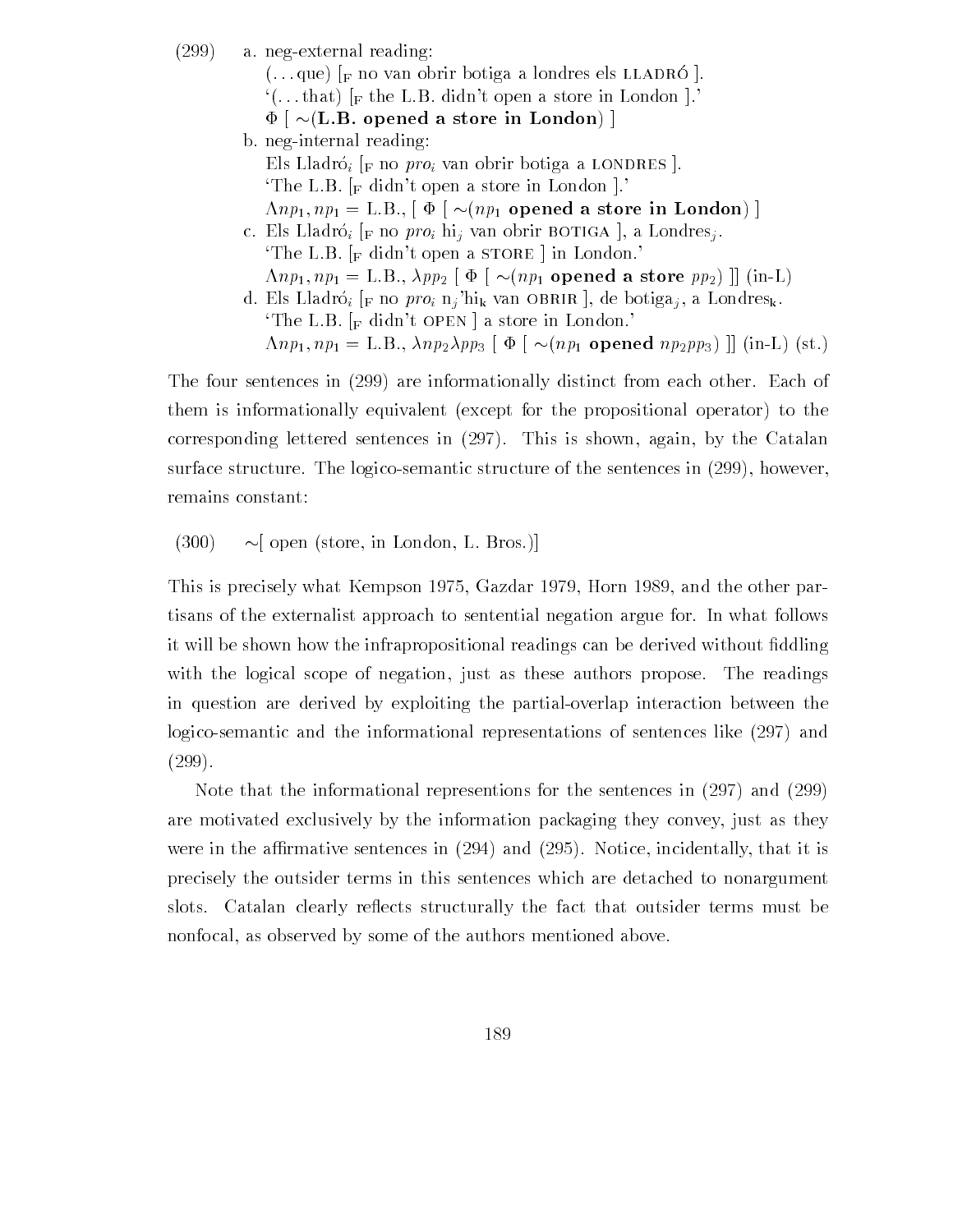$(299)$  a. neg-external reading:  $\left( \ldots \right)$  is the van obrir botiga a londres els limitates  $\left| \cdot \right|$  $\cdot$  (...that) [F the L.B. didn't open a store in London ].  $\Phi$   $\mid$   $\sim$ (L.B. opened a store in London)  $\mid$ b. neg-internal reading: Els Lladró;  $\lbrack$  F no proi van obrir botiga a LONDRES  $\lbrack$ . The L.B.  $\lbrack_{\text{F}}$  didn't open a store in London  $\lbrack$ .  $\Lambda np_1, np_1 = \text{L.B.,}$   $\phi \sim (np_1 \text{ opened a store in London})$ c. Els Lladró<sub>i</sub> [<sub>F</sub> no *pro*<sub>i</sub> hi<sub>j</sub> van obrir BOTIGA], a Londres<sub>j</sub>. The L.B.  $\lceil_{\mathsf{F}} \text{ didn't open a STORE} \rceil$  in London.  $\Lambda np_1, np_1 = \text{L.B., } \lambda pp_2 \upharpoonright \Phi \upharpoonright \sim (np_1 \text{ opened a store } pp_2) \upharpoonright (\text{in-L})$ d. Els Lladró<sub>i</sub> [F no pro<sub>i</sub> n<sub>j</sub>'hi<sub>k</sub> van OBRIR ], de botiga<sub>j</sub>, a Londres<sub>k</sub>. The L.B.  $\lceil_{\text{F}} \text{ didn't open} \rceil$  a store in London.  $\Lambda np_1, np_1 = \text{L.B.}, \, \lambda np_2 \lambda pp_3 \upharpoonright \Phi \upharpoonright \sim (np_1 \text{ opened } np_2 pp_3) \upharpoonright (\text{in-L}) \text{ (st.)}$ 

The four sentences in (299) are informationally distinct from each other. Each of them is informationally equivalent (except for the propositional operator) to the corresponding lettered sentences in  $(297)$ . This is shown, again, by the Catalan surface structure. The logico-semantic structure of the sentences in  $(299)$ , however, remains constant

 $(300)$  ~ [ open (store, in London, L. Bros.)]

. This is precisely when the the other part of the other part of the other part of the other part of the other tisans of the externalist approach to sentential negation argue for In what follows it will be shown with the infrarrows of the infrarrows can be derived with  $\alpha$  be derived without  $\Delta$ with the logical scope of negation, just as these authors propose. The readings in question are derived by exploiting the partial-overlap interaction between the logico-semantic and the informational representations of sentences like (297) and  $(299).$ 

Note that the informational representions for the sentences in  $(297)$  and  $(299)$ are motivated exclusively by the information packaging they convey just as they were in the armative sentences in the armative sentences in the and it is included that it is included that it is in precisely the outsider terms in this sentences which are detached to nonargument slots. Catalan clearly reflects structurally the fact that outsider terms must be nonfocal, as observed by some of the authors mentioned above.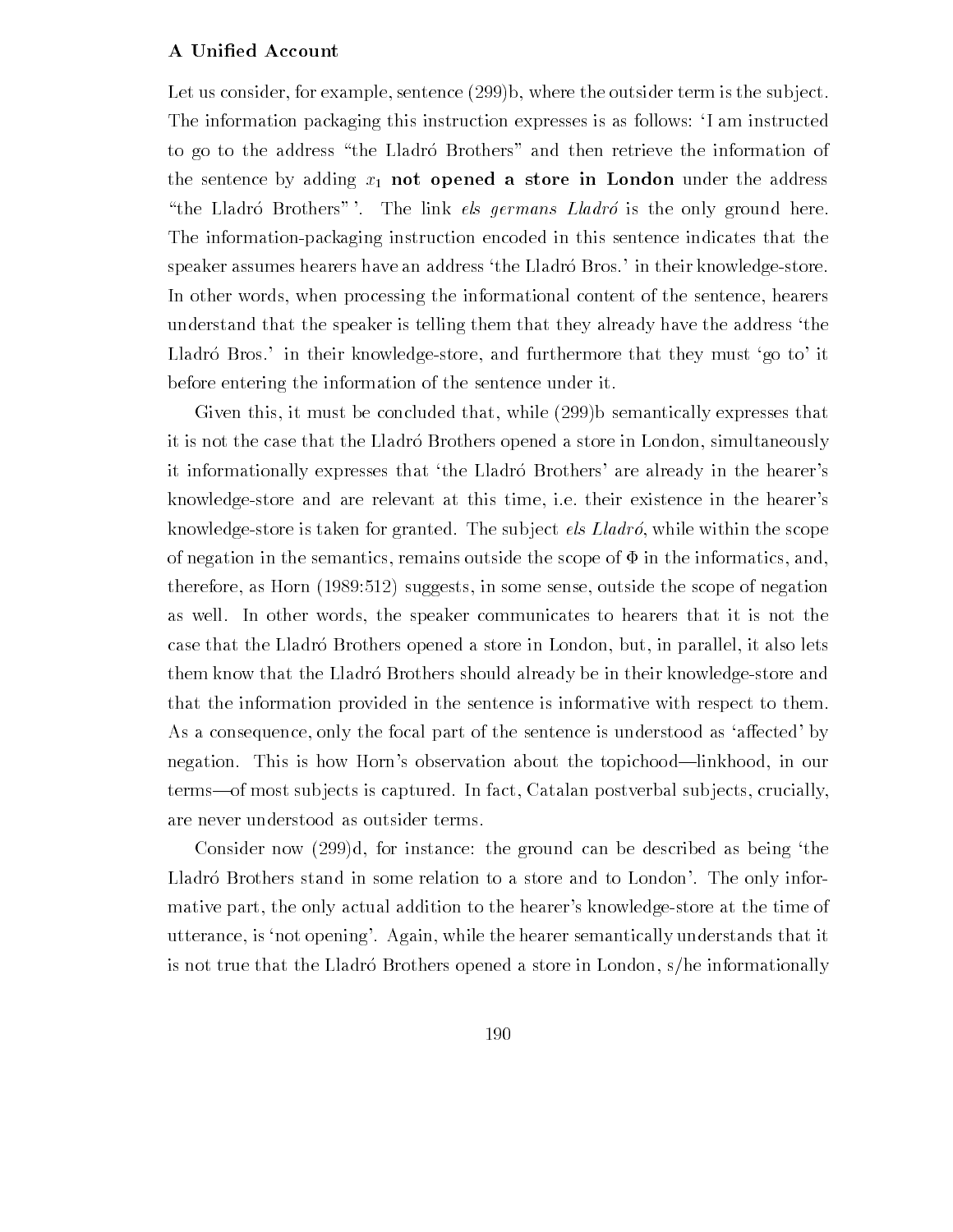#### A Unified Account

Let us consider, for example, sentence  $(299)b$ , where the outsider term is the subject. The information packaging this instruction expresses is as follows: 'I am instructed to go to the address "the Lladró Brothers" and then retrieve the information of the sentence by adding  $x_1$  not opened a store in London under the address "the Lladró Brothers". The link els germans  $L \cdot \textit{L}$  is the only ground here. The information-packaging instruction encoded in this sentence indicates that the speaker assumes hearers have an address 'the Lladró Bros ' in their knowledge-store. In other words, when processing the informational content of the sentence, hearers understand that the speaker is telling them that they already have the address the Lladró Bros.' in their knowledge-store, and furthermore that they must 'go to' it before entering the information of the sentence under it

Given this, it must be concluded that, while  $(299)$  semantically expresses that it is not the case that the Lladro Brothers opened a store in London, simultaneously it informationally expresses that 'the Lladró Brothers' are already in the hearer's knowledge-store and are relevant at this time, i.e. their existence in the hearer's knowledge-store is taken for granted. The subject *els Lladró*, while within the scope of negation in the semantics, remains outside the scope of  $\Phi$  in the informatics, and,  $\mathcal{L}$  . Therefore the suggests in some sense of negative order the sense of  $\mathcal{L}$  and  $\mathcal{L}$ as well. In other words, the speaker communicates to hearers that it is not the case that the Lladró Brothers opened a store in London, but, in parallel, it also lets them know that the Lladro Brothers should already be in their knowledge-store and that the information provided in the sentence is informative with respect to them As a consequence, only the focal part of the sentence is understood as 'affected' by negation. This is how Horn's observation about the topichood—linkhood, in our terms—of most subjects is captured. In fact, Catalan postverbal subjects, crucially, are never understood as outsider terms

Consider now  $(299)$ d, for instance: the ground can be described as being the Lladró Brothers stand in some relation to a store and to London'. The only informative part, the only actual addition to the hearer's knowledge-store at the time of utterance, is 'not opening'. Again, while the hearer semantically understands that it is not true that the Lladró Brothers opened a store in London,  $s/h$ e informationally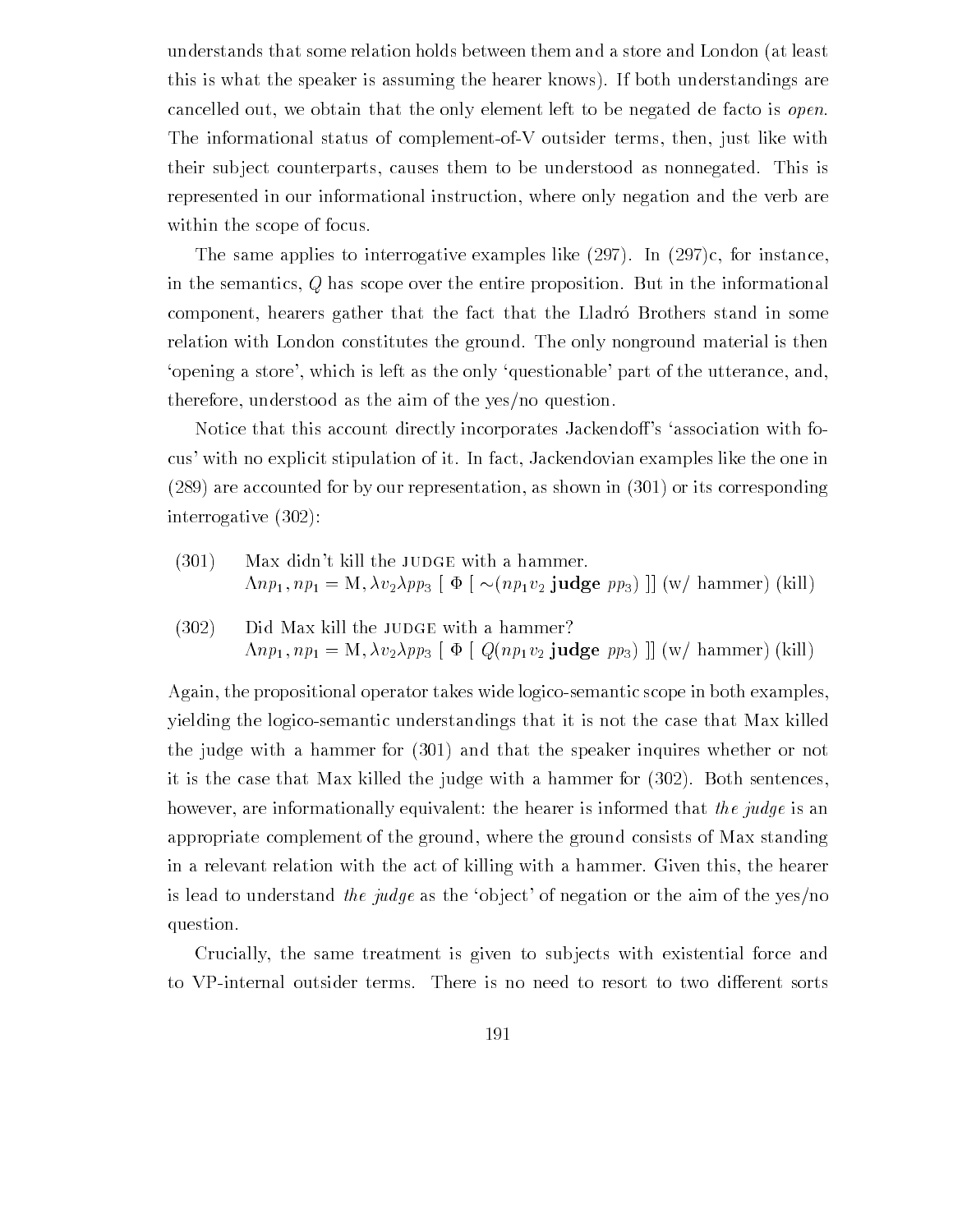understands that some relation holds between them and a store and London (at least this is what the speaker is assuming the hearer knows). If both understandings are cancelled out, we obtain that the only element left to be negated de facto is *open*. The informational status of complement-of-V outsider terms, then, just like with their subject counterparts, causes them to be understood as nonnegated. This is represented in our informational instruction, where only negation and the verb are within the scope of focus

The same applies to interrogative examples like  $(297)$ . In  $(297)c$ , for instance, in the semantics Q has scope over the entire proposition But in the informational component, hearers gather that the fact that the Lladró Brothers stand in some relation with London constitutes the ground The only nonground material is then 'opening a store', which is left as the only 'questionable' part of the utterance, and, therefore, understood as the aim of the yes/no question.

Notice that this account directly incorporates Jackendoff's 'association with focus' with no explicit stipulation of it. In fact, Jackendovian examples like the one in  $(289)$  are accounted for by our representation, as shown in  $(301)$  or its corresponding interrogative

- $(301)$  Max didn't kill the JUDGE with a hammer.  $\Lambda np_1, np_1 = M, \lambda v_2 \lambda pp_3$   $\phi \sim (np_1v_2 \text{ judge } pp_3)$  || (w/ hammer) (kill)
- $(302)$  Did Max kill the JUDGE with a hammer?  $\mathcal{L}$ .np  $\mathcal{L}$  ,  $\mathcal{L}$  is a support of  $\mathcal{L}$  is a support of  $\mathcal{L}$  in the summer support  $\mathcal{L}$

Again, the propositional operator takes wide logico-semantic scope in both examples, yielding the logicosemantic understandings that it is not the case that Max killed the judge with a hammer for  $(301)$  and that the speaker inquires whether or not it is the case that Max killed the judge with a hammer for  $(302)$ . Both sentences, however, are informationally equivalent: the hearer is informed that the judge is an appropriate complement of the ground where the ground consists of Max standing in a relevant relation with the act of killing with a hammer Given this the hearer is lead to understand the judge as the 'object' of negation or the aim of the yes/no question

Crucially, the same treatment is given to subjects with existential force and to VP-internal outsider terms. There is no need to resort to two different sorts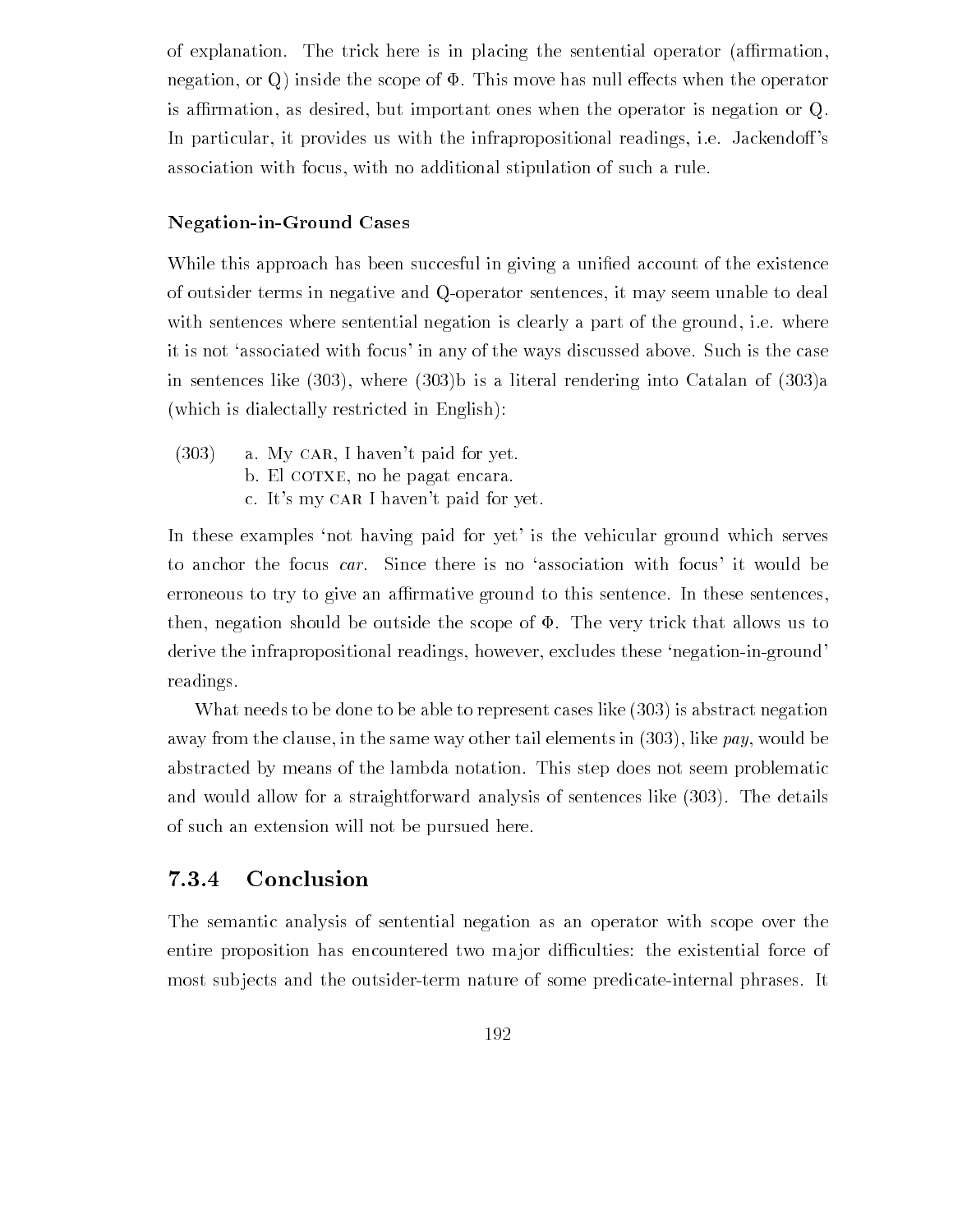of explanation. The trick here is in placing the sentential operator (affirmation, negation, or Q inside the scope of  $\Phi$ . This move has null effects when the operator is affirmation, as desired, but important ones when the operator is negation or  $Q$ . In particular, it provides us with the infrapropositional readings, i.e. Jackendoff's association with focus, with no additional stipulation of such a rule.

## Negation-in-Ground Cases

While this approach has been succesful in giving a uni-ed account of the existence of outsider terms in negative and Q-operator sentences, it may seem unable to deal with sentences where sentential negation is clearly a part of the ground, i.e. where it is not 'associated with focus' in any of the ways discussed above. Such is the case in sentences like  $(303)$ , where  $(303)b$  is a literal rendering into Catalan of  $(303)a$ which is dialectally restricted in English

 $(303)$  a. My CAR, I haven't paid for yet. b. El cotxe, no he pagat encara. c. It's my CAR I haven't paid for yet.

In these examples 'not having paid for yet' is the vehicular ground which serves to anchor the focus car. Since there is no 'association with focus' it would be erroneous to try to give an affirmative ground to this sentence. In these sentences, then, negation should be outside the scope of  $\Phi$ . The very trick that allows us to derive the infrapropositional readings, however, excludes these 'negation-in-ground' readings

What needs to be done to be able to represent cases like  $(303)$  is abstract negation away from the clause, in the same way other tail elements in  $(303)$ , like pay, would be abstracted by means of the lambda notation This step does not seem problematic and would allow for a straightforward analysis of sentences like  $(303)$ . The details of such an extension will not be pursued here

## Conclusion

The semantic analysis of sentential negation as an operator with scope over the entire proposition has encountered two major difficulties: the existential force of most subjects and the outsider-term nature of some predicate-internal phrases. It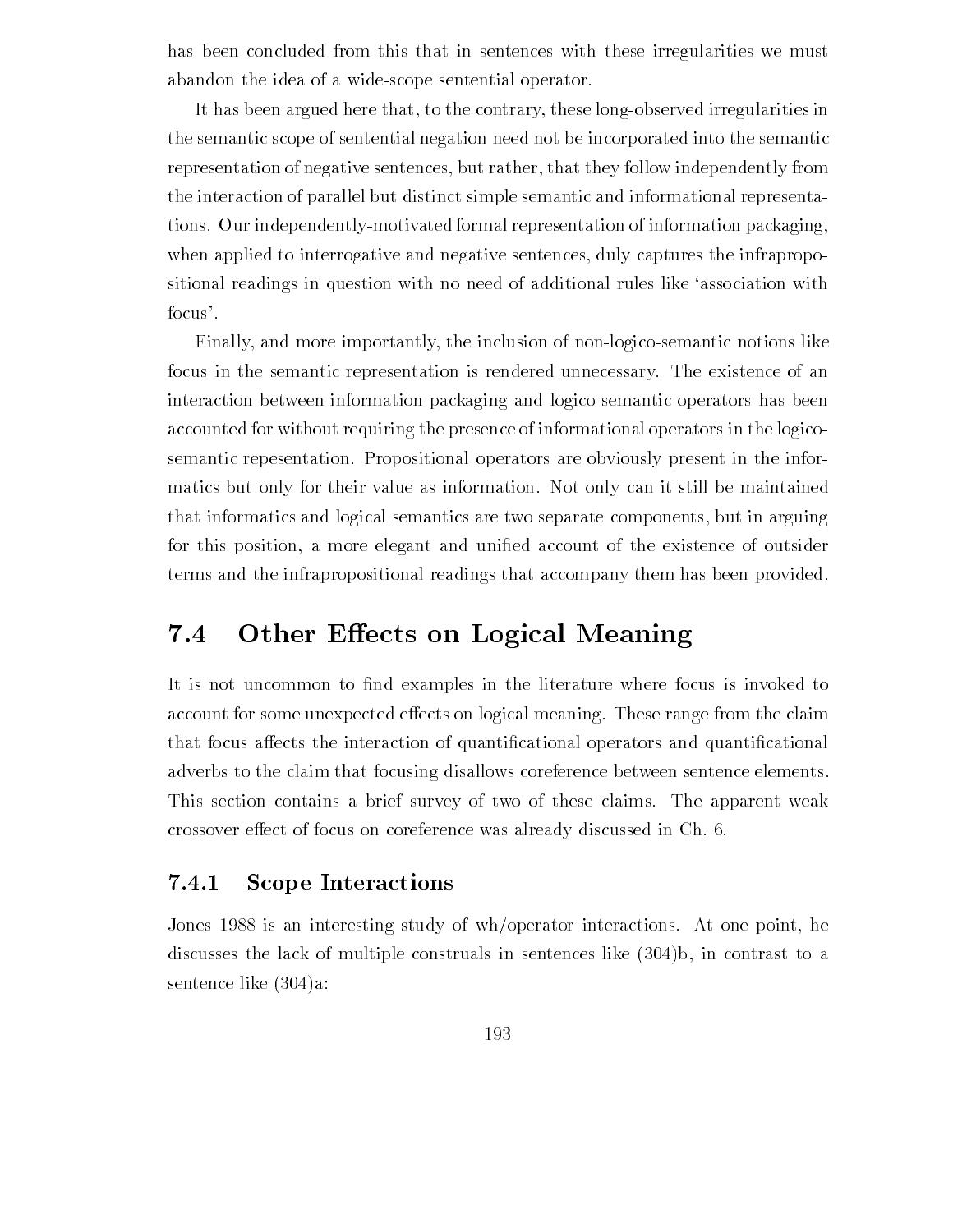has been concluded from this that in sentences with these irregularities we must abandon the idea of a wide-scope sentential operator.

It has been argued here that, to the contrary, these long-observed irregularities in the semantic scope of sentential negation need not be incorporated into the semantic representation of negative sentences, but rather, that they follow independently from the interaction of parallel but distinct simple semantic and informational representa tions. Our independently-motivated formal representation of information packaging, when applied to interrogative and negative sentences, duly captures the infrapropositional readings in question with no need of additional rules like 'association with focus'.

Finally, and more importantly, the inclusion of non-logico-semantic notions like focus in the semantic representation is rendered unnecessary The existence of an interaction between information packaging and logicosemantic operators has been accounted for without requiring the presence of informational operators in the logico semantic repesentation. Propositional operators are obviously present in the informatics but only for their value as information. Not only can it still be maintained that informatics and logical semantics are two separate components but in arguing for this position and universal  $\mathcal{E}$  the existence of  $\mathcal{E}$ terms and the infrapropositional readings that accompany them has been provided

#### $7.4$  Other E ects on Logical Meaning

. It is the common to international common the literature where  $\cdots$  is in the  $\cdots$  is invoked to account for some unexpected effects on logical meaning. These range from the claim that focus aects the interaction of quanti-cational operators and quanti-cational adverbs to the claim that focusing disallows coreference between sentence elements This section contains a brief survey of two of these claims. The apparent weak crossover effect of focus on coreference was already discussed in Ch. 6.

#### 7.4.1 Scope Interactions

Jones 1988 is an interesting study of wh/operator interactions. At one point, he discusses the lack of multiple construals in sentences like  $(304)$ , in contrast to a sentence like (304)a: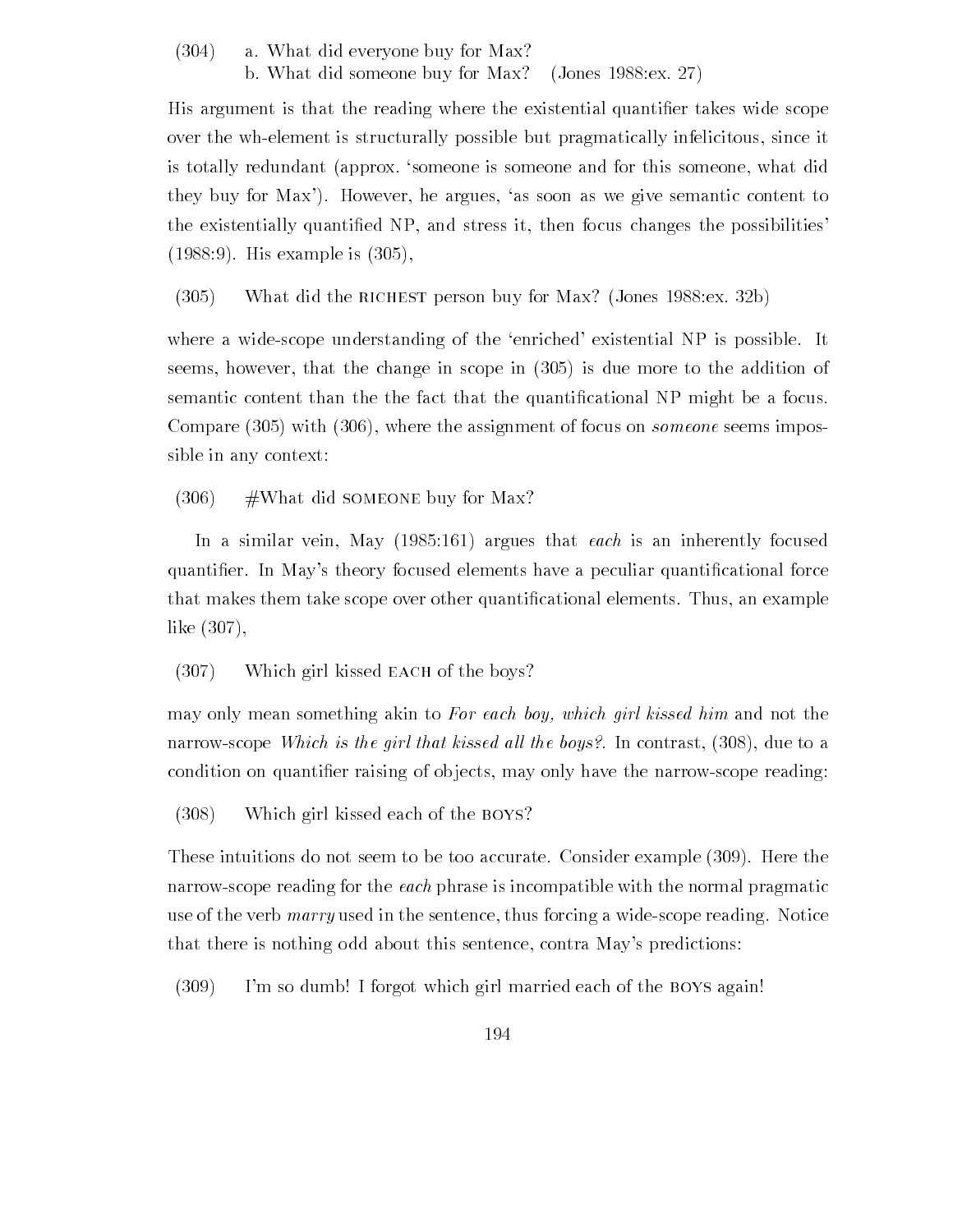$(304)$  a. What did everyone buy for Max?

b. What did someone buy for Max? (Jones  $1988$ : ex. 27)

His argument is that the reading where the existential quanti-er takes wide scope over the wh-element is structurally possible but pragmatically infelicitous, since it is totally redundant (approx. 'someone is someone and for this someone, what did they buy for Max'). However, he argues, 'as soon as we give semantic content to the existentially quanti-ed NP and stress it then focus changes the possibilities  $\mathcal{H}$  . The isolation of the interest  $\mathcal{H}$  is the set of  $\mathcal{H}$ 

 $(305)$ What did the RICHEST person buy for Max? (Jones  $1988$ : ex.  $32b$ )

where a wide-scope understanding of the 'enriched' existential NP is possible. It seems however that the change in scope in is due more to the addition of semantic content than the fact than the fact that that the fact that the  $\ell$  NP might be a focus of  $\ell$ Compare with where the assignment of focus on someone seems impos sible in any context

 $(306)$  #What did SOMEONE buy for Max?

In a similar vector  $\mathbf{M}$  , and in the each is an inherent left is an inherent left is an inherent left is an inherent left is an inherent left is an inherent left is an inherent left is an inherent left is an inherent quanti-er In Mays theory focused elements have a peculiar quanti-cational force that the matrix that the state state state scope of the state state over other and the state of the state of t like  $(307)$ ,

 $(307)$  Which girl kissed EACH of the boys?

may only mean something akin to For each boy- which girl kissed him and not the narrow-scope Which is the girl that kissed all the boys?. In contrast,  $(308)$ , due to a condition on quanti-er raising of ob jects may only have the narrowscope reading

 Which girl kissed each of the boys

These intuitions do not seem to be too accurate. Consider example (309). Here the narrowscope reading for the each phrase is incompatible with the normal pragmatic use of the verb  $marry$  used in the sentence, thus forcing a wide-scope reading. Notice that there is nothing odd about this sentence, contra May's predictions:

 $(309)$  I'm so dumb! I forgot which girl married each of the BOYS again!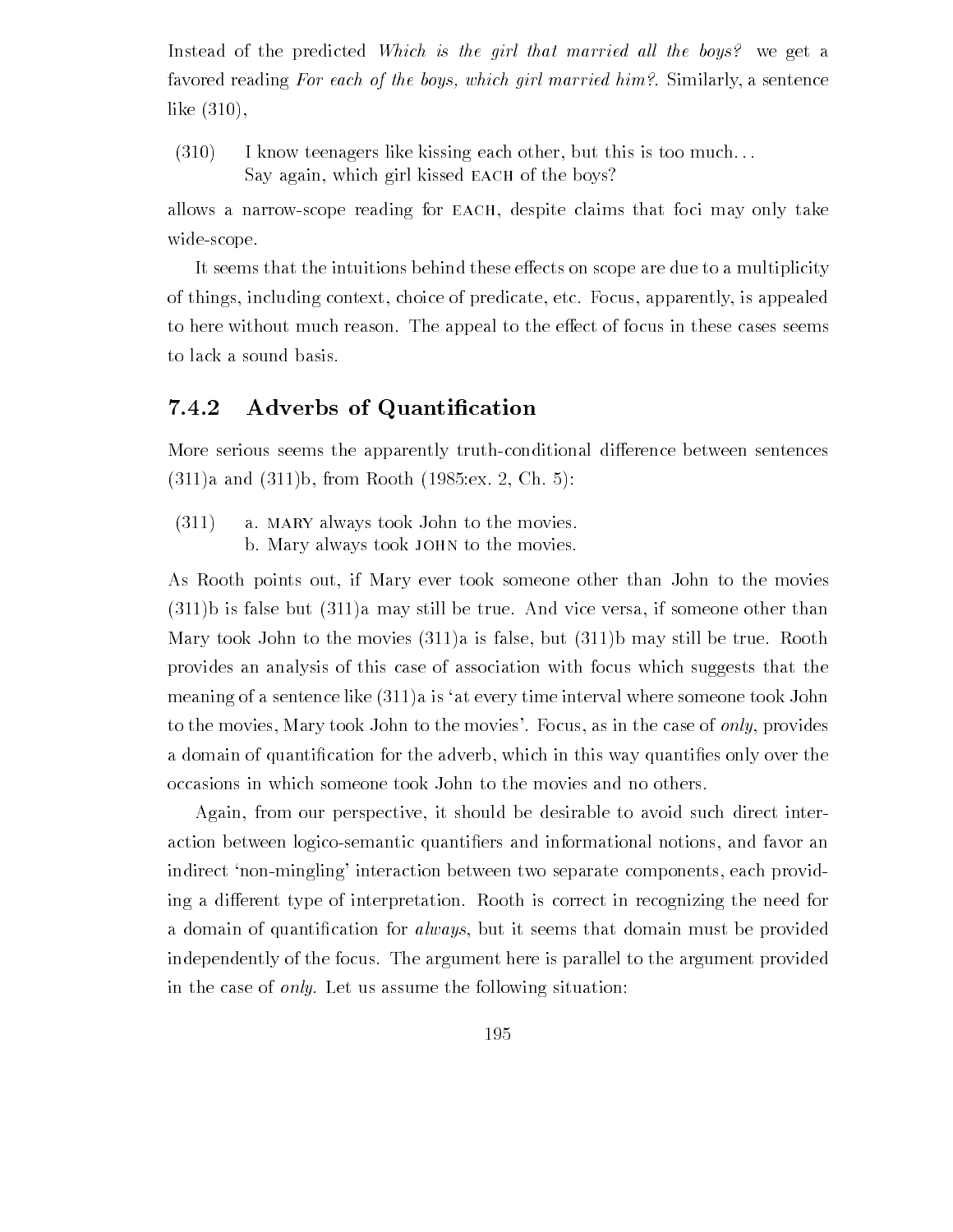Instead of the predicted Which is the girl that married all the boys? we get a favored reading For each of the boys- which girl married him Similarly a sentence like  $(310)$ ,

 $(310)$  I know teenagers like kissing each other, but this is too much... Say again, which girl kissed EACH of the boys?

allows a narrowscope reading for each despite claims that foci may only take widescope

It seems that the intuitions behind these effects on scope are due to a multiplicity of things, including context, choice of predicate, etc. Focus, apparently, is appealed to here without much reason. The appeal to the effect of focus in these cases seems to lack a sound basis

#### 7.4.2 Adverbs of Quantification

More serious seems the apparently truth-conditional difference between sentences a and b from Rooth and the from the front of the contract of  $\alpha$ 

 $(311)$  a. MARY always took John to the movies. b. Mary always took JOHN to the movies.

As Rooth points out if Mary ever took someone other than John to the movies  $(311)$ b is false but  $(311)$ a may still be true. And vice versa, if someone other than Mary took John to the movies  $(311)a$  is false, but  $(311)b$  may still be true. Rooth provides an analysis of this case of association with focus which suggests that the meaning of a sentence like  $(311)a$  is 'at every time interval where someone took John to the movies, Mary took John to the movies'. Focus, as in the case of only, provides a domain of quantization for the advertising which in this way the advertising quantization in the cater over occasions in which someone took John to the movies and no others

Again, from our perspective, it should be desirable to avoid such direct interaction between logicosemantic quanti-ers and informational notions and favor an indirect 'non-mingling' interaction between two separate components, each providing a different type of interpretation. Rooth is correct in recognizing the need for a domain of quanti-domain of  $\mathcal{A}$  always but it seems that domain must be provided to provide domain must be provided to provide domain must be provided to be provided to be provided to be provided to be provided to b independently of the focus. The argument here is parallel to the argument provided in the case of *only*. Let us assume the following situation: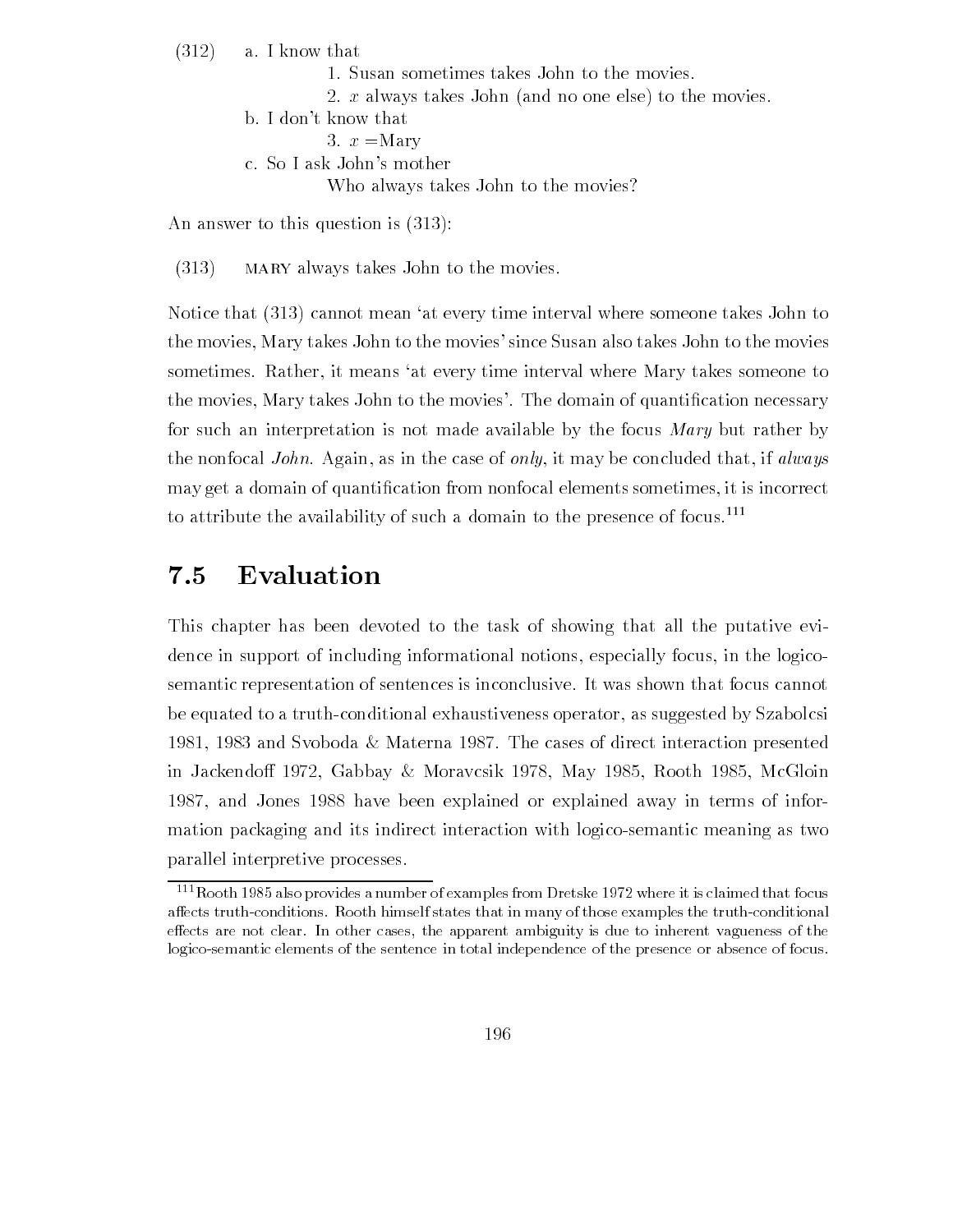$(312)$  a. I know that

- 1. Susan sometimes takes John to the movies.
- 2. x always takes John (and no one else) to the movies.
- b. I don't know that
	- 3.  $x =$ Mary
- c. So I ask John's mother

Who always takes John to the movies

An answer to this question is  $(313)$ :

 $(313)$  MARY always takes John to the movies.

Notice that  $(313)$  cannot mean 'at every time interval where someone takes John to the movies, Mary takes John to the movies' since Susan also takes John to the movies sometimes. Rather, it means 'at every time interval where Mary takes someone to the movies Mary takes John to the movies The domain of quanti-cation necessary for such an interpretation is not made available by the focus Mary but rather by the nonfocal *John*. Again, as in the case of *only*, it may be concluded that, if *always* may get a domain of  $\mathbf{r}$  and  $\mathbf{r}$  is incorrect sometimes it is incorrect sometimes it is incorrect some to attribute the availability of such a domain to the presence of focus

#### 7.5 Evaluation

This chapter has been devoted to the task of showing that all the putative evi dence in support of including informational notions, especially focus, in the logicosemantic representation of sentences is inconclusive It was shown that focus cannot be equated to a truth-conditional exhaustiveness operator, as suggested by Szabolcsi 1981, 1983 and Svoboda & Materna 1987. The cases of direct interaction presented in Jackendo Gabbay Moravcsik May 1989 Moravcsik May 1989 Moravcsik Moravcsik May 1989 Moravcsik May 1 1987, and Jones 1988 have been explained or explained away in terms of information packaging and its indirect interaction with logicosemantic meaning as two parallel interpretive processes

 $\lceil \cdot \rceil$  Kooth 1989 also provides a number of examples from Dretske 1972 where it is claimed that focus affects truth-conditions. Rooth himself states that in many of those examples the truth-conditional effects are not clear. In other cases, the apparent ambiguity is due to inherent vagueness of the logico-semantic elements of the sentence in total independence of the presence or absence of focus.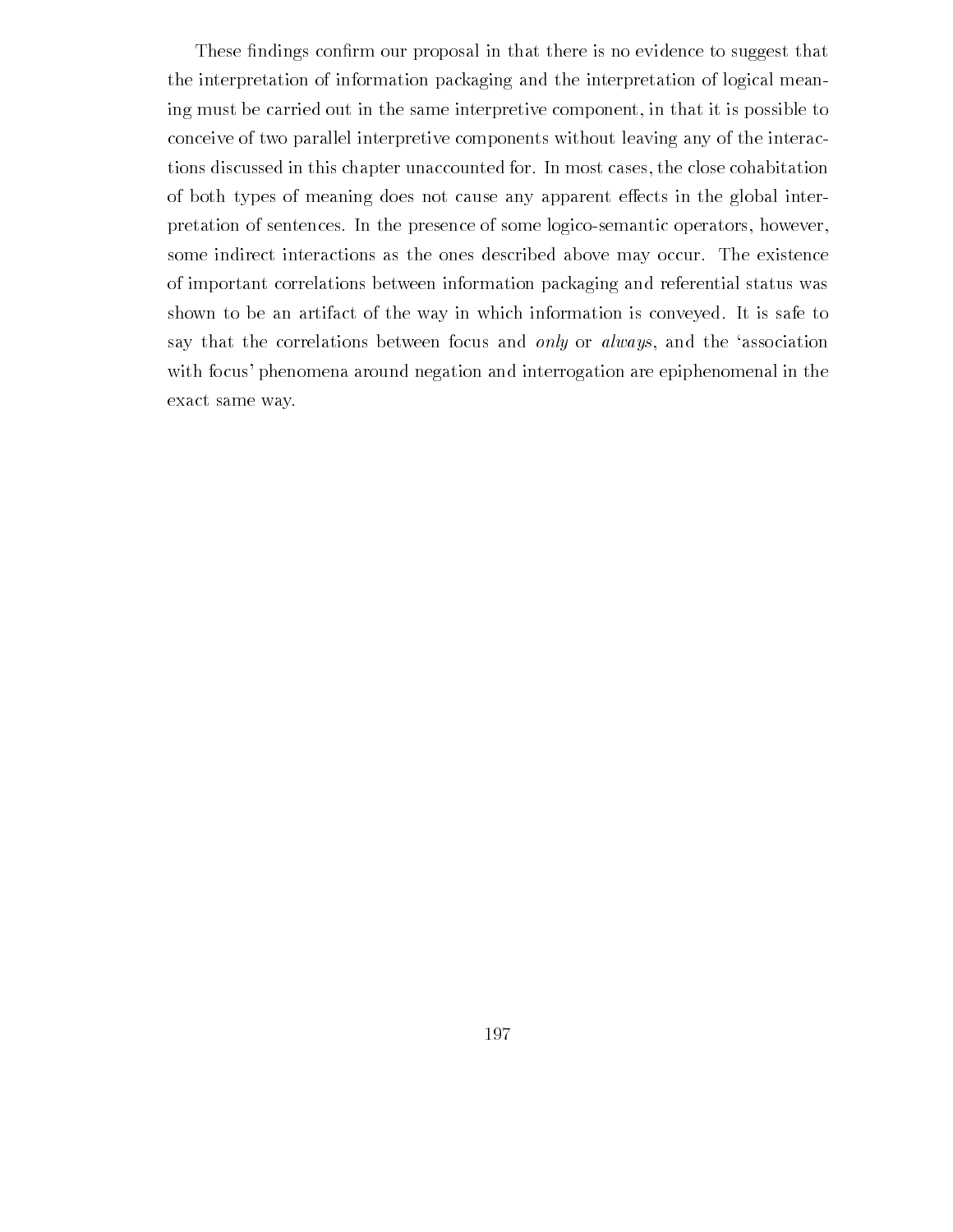These -ndings con-rm our proposal in that there is no evidence to suggest that the interpretation of information packaging and the interpretation of logical mean ing must be carried out in the same interpretive component, in that it is possible to conceive of two parallel interpretive components without leaving any of the interac tions discussed in this chapter unaccounted for In most cases the close cohabitation of both types of meaning does not cause any apparent effects in the global interpretation of sentences. In the presence of some logico-semantic operators, however, some indirect interactions as the ones described above may occur. The existence of important correlations between information packaging and referential status was shown to be an artifact of the way in which information is conveyed. It is safe to say that the correlations between focus and only or always, and the 'association with focus' phenomena around negation and interrogation are epiphenomenal in the exact same way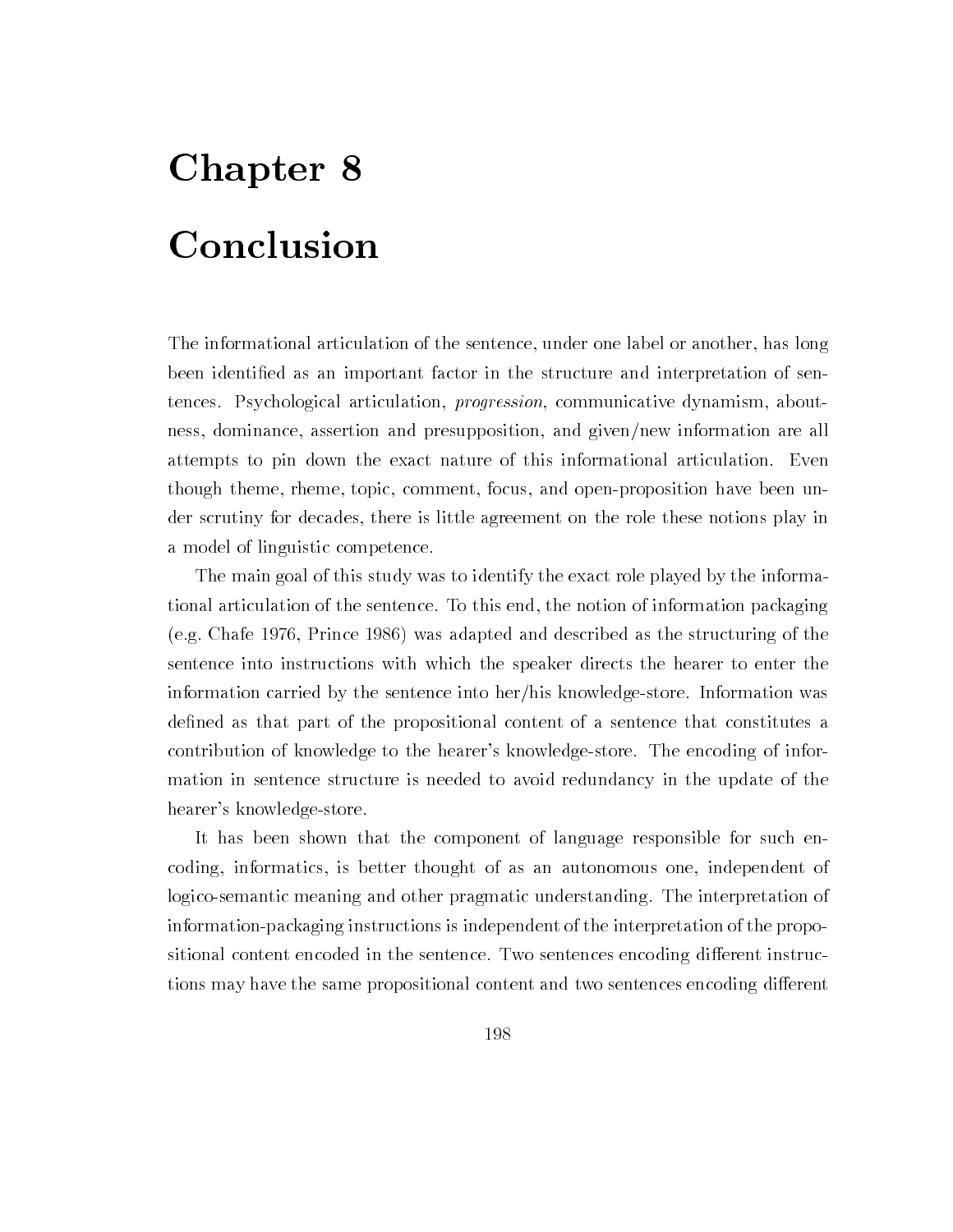# Chapter 8 Conclusion

The informational articulation of the sentence, under one label or another, has long been identi-ed as an important factor in the structure and interpretation of sen tences. Psychological articulation, *progression*, communicative dynamism, aboutness, dominance, assertion and presupposition, and given/new information are all attempts to pin down the exact nature of this informational articulation. Even though theme, rheme, topic, comment, focus, and open-proposition have been under scrutiny for decades, there is little agreement on the role these notions play in a model of linguistic competence

The main goal of this study was to identify the exact role played by the informa tional articulation of the sentence. To this end, the notion of information packaging (e.g. Chafe 1976, Prince 1986) was adapted and described as the structuring of the sentence into instructions with which the speaker directs the hearer to enter the information carried by the sentence into her/his knowledge-store. Information was de-ned as that part of the propositional content of a sentence that constitutes a contribution of knowledge to the hearer's knowledge-store. The encoding of information in sentence structure is needed to avoid redundancy in the update of the hearer's knowledge-store.

It has been shown that the component of language responsible for such en coding, informatics, is better thought of as an autonomous one, independent of logico-semantic meaning and other pragmatic understanding. The interpretation of information-packaging instructions is independent of the interpretation of the propositional content encoded in the sentence. Two sentences encoding different instructions may have the same propositional content and two sentences encoding different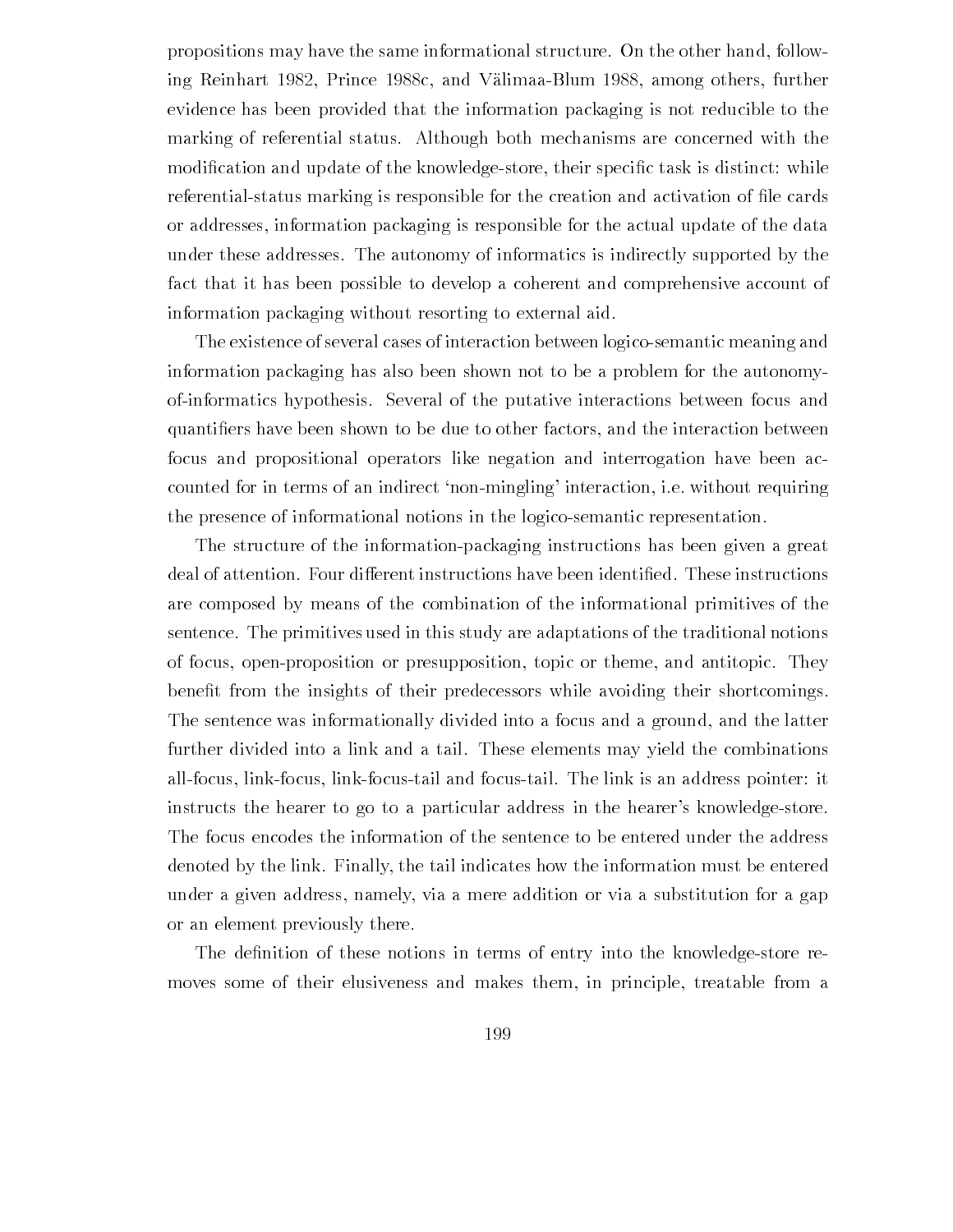propositions may have the same informational structure. On the other hand, following Reinhart 1982, Prince 1988c, and Välimaa-Blum 1988, among others, further evidence has been provided that the information packaging is not reducible to the marking of referential status Although both mechanisms are concerned with the modi-cation and update of the knowledge store that is distinct while  $\mathbb{R}^n$  $\mathbf{r}$  is referentially interesting in the creation and activation and activation and activation of or addresses information packaging is responsible for the actual update of the data under these addresses The autonomy of informatics is indirectly supported by the fact that it has been possible to develop a coherent and comprehensive account of information packaging without resorting to external aid

The existence of several cases of interaction between logicosemantic meaning and information packaging has also been shown not to be a problem for the autonomy ofinformatics hypothesis Several of the putative interactions between focus and quanti-control and to be due to be due to other factors and the interaction between the interaction between th focus and propositional operators like negation and interrogation have been ac counted for in terms of an indirect 'non-mingling' interaction, i.e. without requiring the presence of informational notions in the logico-semantic representation.

The structure of the information-packaging instructions has been given a great are composed by means of the combination of the informational primitives of the sentence The primitives used in this study are adaptations of the traditional notions of focus, open-proposition or presupposition, topic or theme, and antitopic. They  $\mathbf{f}$  from the insights of the insights of the insights of the insights of the insights of the instrumental their shortcomings of the instrumental theorem in the instrumental theorem in the instrumental theorem in the The sentence was informationally divided into a focus and a ground, and the latter further divided into a link and a tail These elements may yield the combinations all-focus, link-focus, link-focus-tail and focus-tail. The link is an address pointer: it instructs the hearer to go to a particular address in the hearer's knowledge-store. The focus encodes the information of the sentence to be entered under the address denoted by the link Finally the tail indicates how the information must be entered under a given address namely via a mere addition or via a substitution for a gap or an element previously there

The de-nition of these notions in terms of entry into the knowledgestore re moves some of their elusiveness and makes them, in principle, treatable from a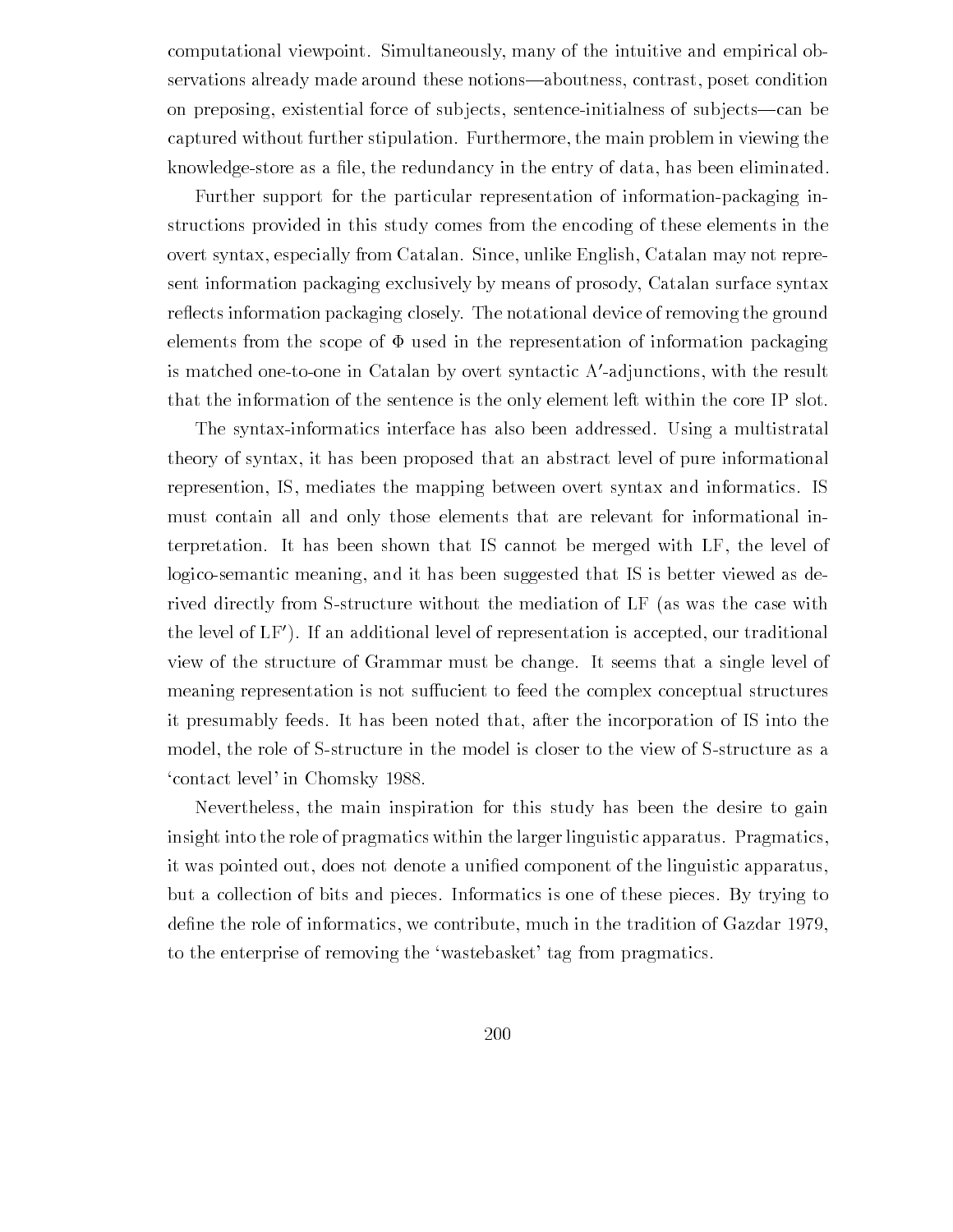computational viewpoint. Simultaneously, many of the intuitive and empirical observations already made around these notions—aboutness, contrast, poset condition on preposing, existential force of subjects, sentence-initialness of subjects—can be captured without further stipulation. Furthermore, the main problem in viewing the  $k$ nowledgestore as a -maximum in the entry of data has been eliminated by  $k$ 

Further support for the particular representation of information-packaging instructions provided in this study comes from the encoding of these elements in the overt syntax especially from Catalan Since unlike English Catalan may not repre sent information packaging exclusively by means of prosody Catalan surface syntax reflects information packaging closely. The notational device of removing the ground elements from the scope of  $\Phi$  used in the representation of information packaging is matched one-to-one in Catalan by overt syntactic A -adjunctions, with the result that the information of the sentence is the only element left within the core IP slot

The syntax-informatics interface has also been addressed. Using a multistratal theory of syntax it has been proposed that an abstract level of pure informational represention, IS, mediates the mapping between overt syntax and informatics. IS must contain all and only those elements that are relevant for informational in terpretation. It has been shown that IS cannot be merged with LF, the level of logico-semantic meaning, and it has been suggested that IS is better viewed as derived directly from S-structure without the mediation of LF (as was the case with the level of LF- If an additional level of representation is accepted our traditional view of the structure of Grammar must be change It seems that a single level of meaning representation is not suffucient to feed the complex conceptual structures it presumably feeds It has been noted that after the incorporation of IS into the model, the role of S-structure in the model is closer to the view of S-structure as a 'contact level' in Chomsky 1988.

Nevertheless the main inspiration for this study has been the desire to gain insight into the role of pragmatics within the larger linguistic apparatus. Pragmatics, it was pointed out does not denote a uni-ed component of the linguistic apparatus but a collection of bits and pieces Informatics is one of these pieces By trying to de-ne the role of informatics we contribute much intervention of Gazdar much in the tradition of Gazdar much i to the enterprise of removing the 'wastebasket' tag from pragmatics.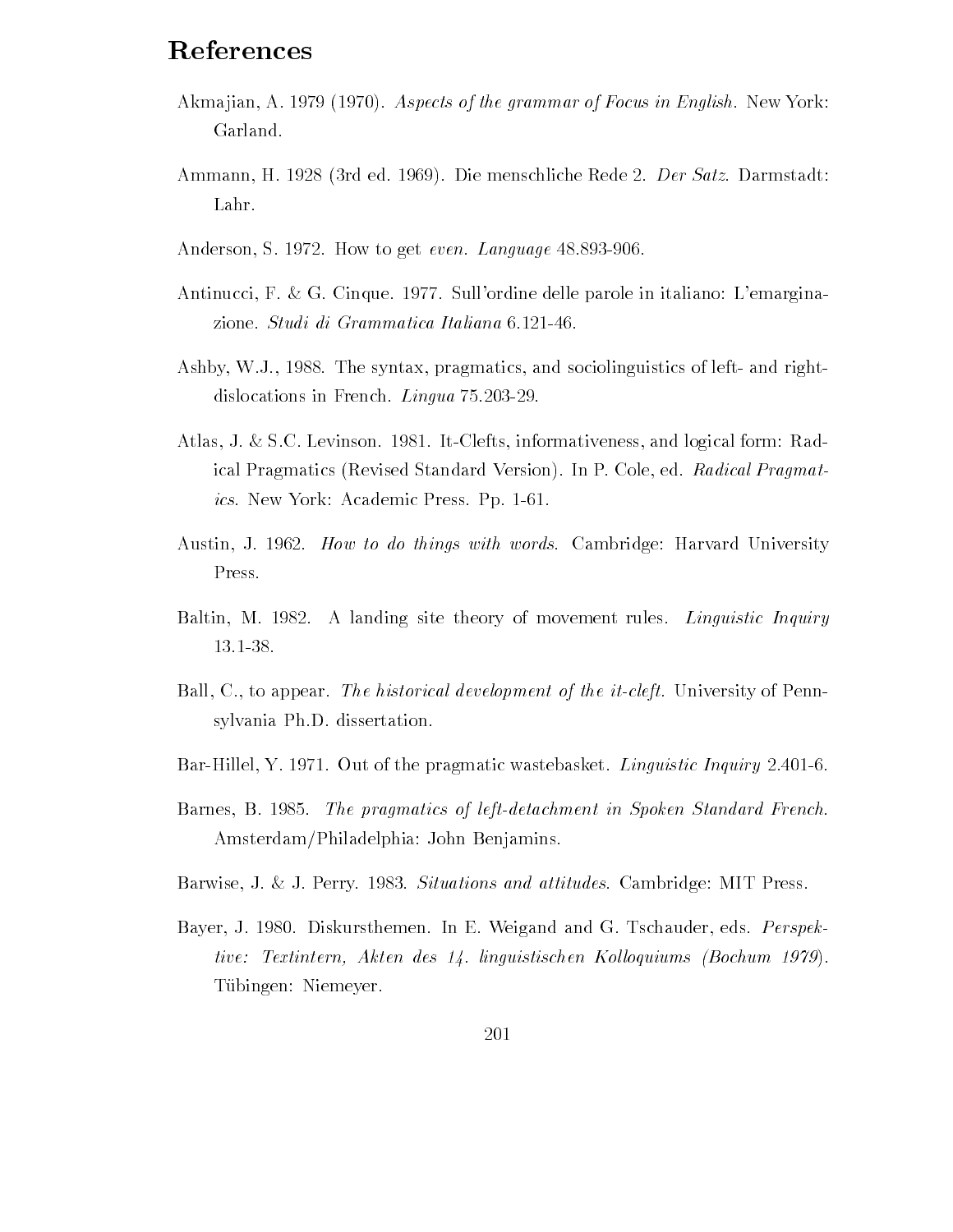# References

- Akmajian, A. 1979 (1970). Aspects of the grammar of Focus in English. New York: Garland
- Ammann, H. 1928 (3rd ed. 1969). Die menschliche Rede 2. Der Satz. Darmstadt: Lahr
- Anderson, S. 1972. How to get *even. Language* 48.893-906.
- Antinucci, F. & G. Cinque. 1977. Sull'ordine delle parole in italiano: L'emarginazione. Studi di Grammatica Italiana 6.121-46.
- Ashby, W.J., 1988. The syntax, pragmatics, and sociolinguistics of left- and rightdislocations in French Lingua and Lingua and Lingua and Lingua and Lingua and Lingua and Lingua and Lingua and
- Atlas, J. & S.C. Levinson. 1981. It-Clefts, informativeness, and logical form: Radical Pragmatics (Revised Standard Version). In P. Cole, ed. Radical Pragmat*ics*. New York: Academic Press. Pp. 1-61.
- Austin, J. 1962. How to do things with words. Cambridge: Harvard University Press
- Baltin, M. 1982. A landing site theory of movement rules. *Linguistic Inquiry* 13.1-38.
- Ball, C., to appear. The historical development of the it-cleft. University of Pennsylvania Ph.D. dissertation.
- Bar-Hillel, Y. 1971. Out of the pragmatic wastebasket. *Linguistic Inquiry* 2.401-6.
- Barnes B and the practice of left in Spoken Standard French Standard French Standard French Standard French St Amsterdam/Philadelphia: John Benjamins.
- Barwise, J. & J. Perry. 1983. Situations and attitudes. Cambridge: MIT Press.
- Bayer, J. 1980. Diskursthemen. In E. Weigand and G. Tschauder, eds. *Perspek*tive Textintern- Akten des linguistischen Kolloquiums 
Bochum Tübingen: Niemeyer.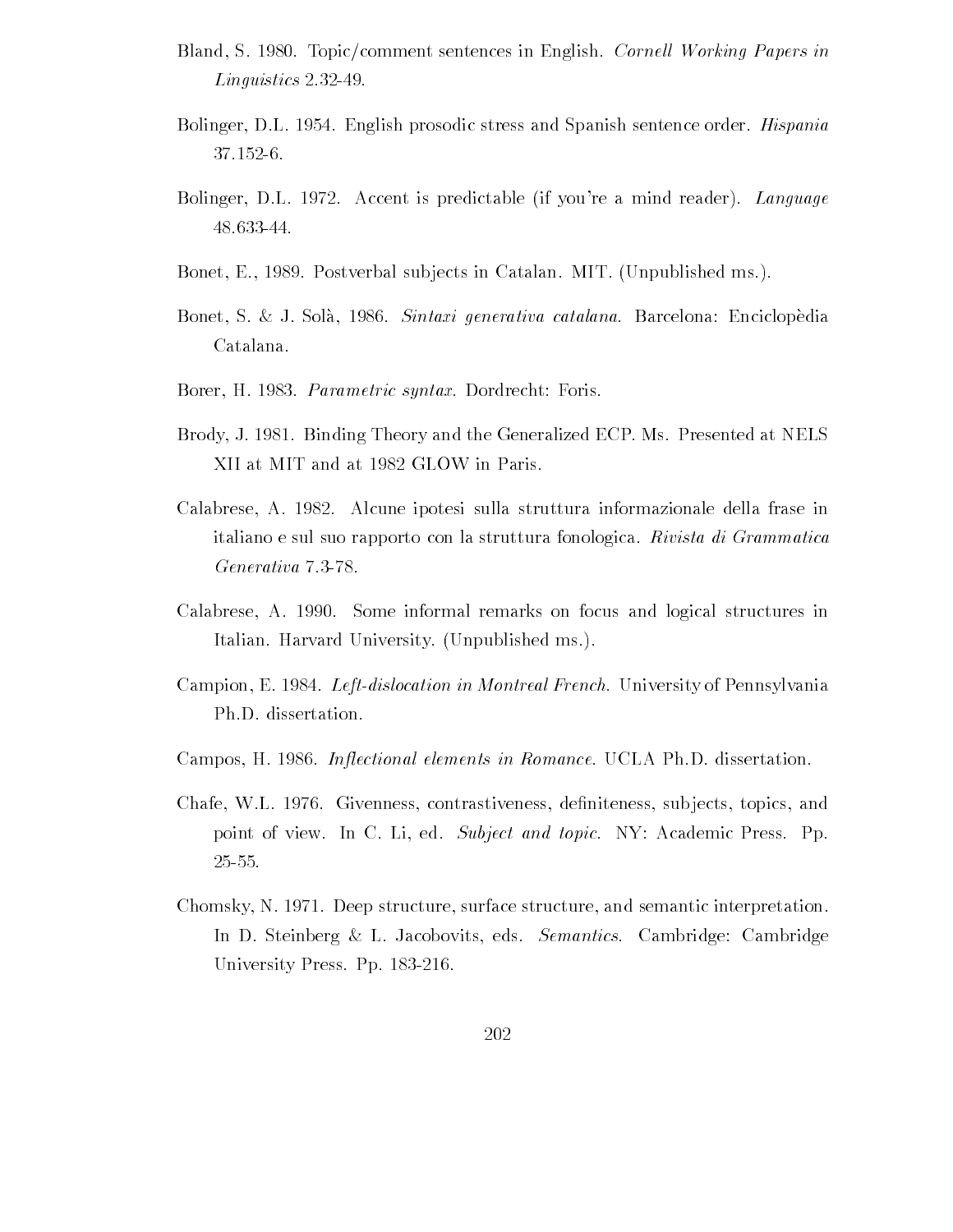- Bland, S. 1980. Topic/comment sentences in English. Cornell Working Papers in  $Linguistics$  2.32-49.
- Bolinger DL English prosodic stress and Spanish sentence order Hispania
- Bolinger, D.L. 1972. Accent is predictable (if you're a mind reader). Language 48.633-44.
- Bonet, E., 1989. Postverbal subjects in Catalan. MIT. (Unpublished ms.).
- Bonet, S. & J. Solà, 1986. *Sintaxi generativa catalana*. Barcelona: Enciclopèdia Catalana
- Borer, H. 1983. *Parametric syntax*. Dordrecht: Foris.
- Brody, J. 1981. Binding Theory and the Generalized ECP. Ms. Presented at NELS XII at MIT and at 1982 GLOW in Paris.
- Calabrese, A. 1982. Alcune ipotesi sulla struttura informazionale della frase in italiano e sul suo rapporto con la struttura fonologica. Rivista di Grammatica Generativa 7.3-78.
- Calabrese, A. 1990. Some informal remarks on focus and logical structures in Italian. Harvard University. (Unpublished ms.).
- Campion, E. 1984. Left-dislocation in Montreal French. University of Pennsylvania Ph.D. dissertation.
- Campos, H. 1986. Inflectional elements in Romance. UCLA Ph.D. dissertation.
- chaft William School and the charge of the contrastiveness of the contrastiveness of the contrastiveness of th point of view. In C. Li, ed. Subject and topic. NY: Academic Press. Pp.
- Chomsky, N. 1971. Deep structure, surface structure, and semantic interpretation. In D. Steinberg & L. Jacobovits, eds. Semantics. Cambridge: Cambridge University Press. Pp. 183-216.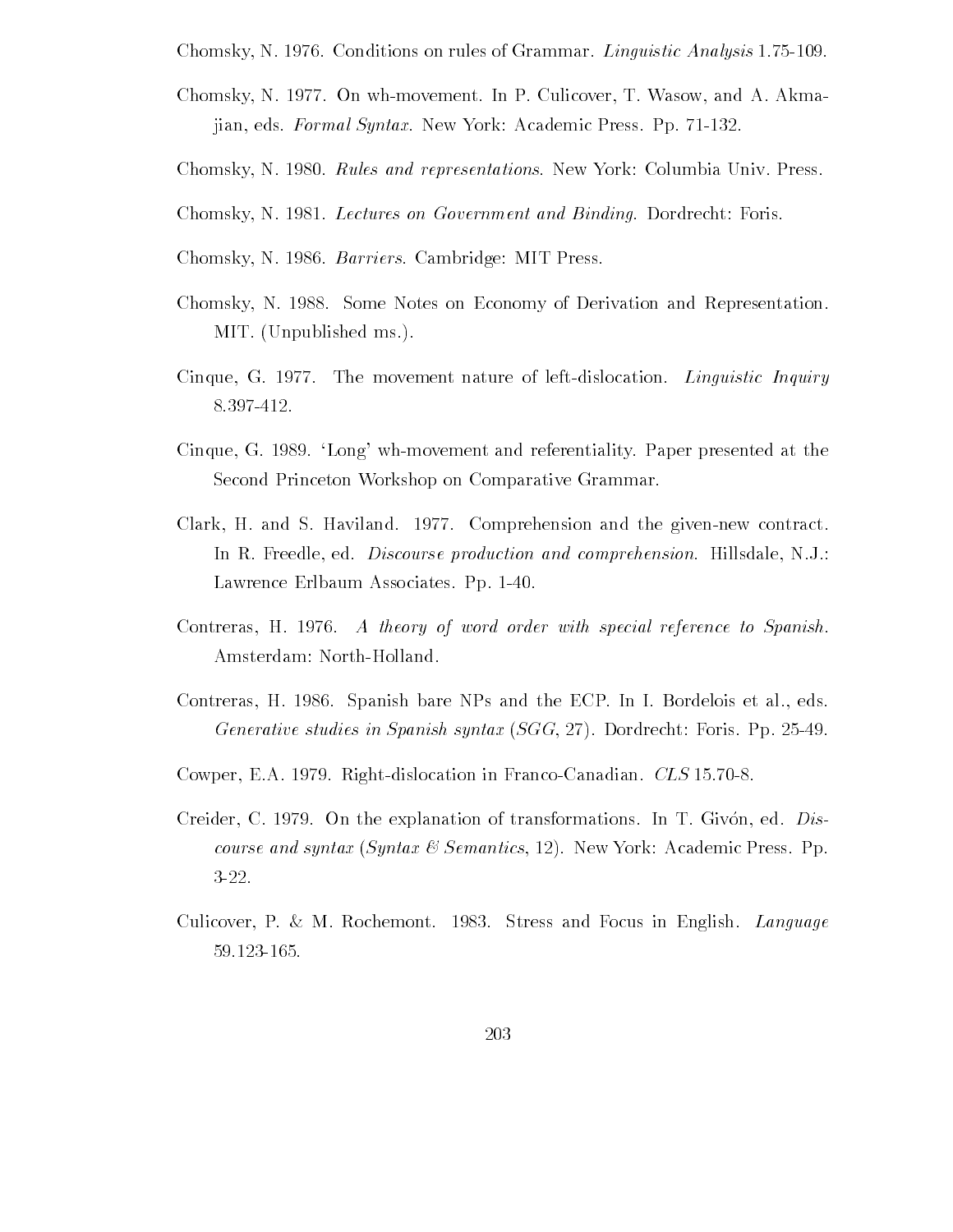Chomsky N Conditions on rules of Grammar Linguistic Analysis 

- Chomsky, N. 1977. On wh-movement. In P. Culicover, T. Wasow, and A. Akmajian, eds. Formal Syntax. New York: Academic Press. Pp. 71-132.
- Chomsky, N. 1980. Rules and representations. New York: Columbia Univ. Press.
- Chomsky, N. 1981. Lectures on Government and Binding. Dordrecht: Foris.
- Chomsky, N. 1986. Barriers. Cambridge: MIT Press.
- Chomsky, N. 1988. Some Notes on Economy of Derivation and Representation. MIT. (Unpublished ms.).
- Cinque, G. 1977. The movement nature of left-dislocation. *Linguistic Inquiry* 8.397-412.
- Cinque, G. 1989. 'Long' wh-movement and referentiality. Paper presented at the Second Princeton Workshop on Comparative Grammar
- Clark, H. and S. Haviland.  $1977$ . Comprehension and the given-new contract. In R. Freedle, ed. *Discourse production and comprehension*. Hillsdale, N.J.: Lawrence Erlbaum Associates. Pp. 1-40.
- Contreras,  $H_1$  1976. A theory of word order with special reference to Spanish. Amsterdam: North-Holland.
- Contreras, H. 1986. Spanish bare NPs and the ECP. In I. Bordelois et al., eds. Generative studies in Spanish syntax SGG Dordrecht Foris Pp
- compete East and Canadian in Francois in Francois and Canadian Competence in Francois
- Creider, C. 1979. On the explanation of transformations. In T. Givon, ed.  $Dis$ course and syntax (Syntax & Semantics, 12). New York: Academic Press. Pp.  $3-22.$
- Culicover, P. & M. Rochemont. 1983. Stress and Focus in English. Language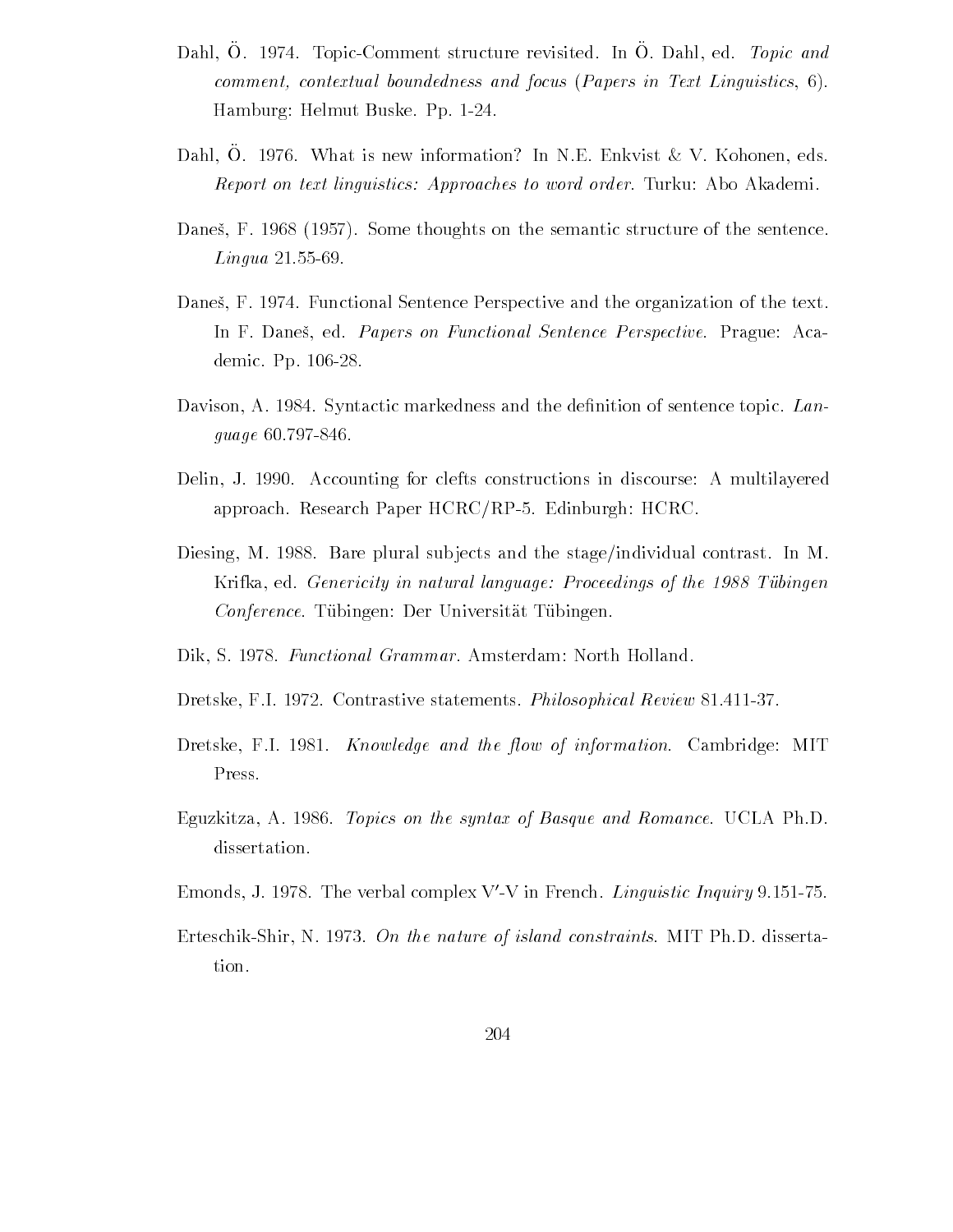- Dahl, O. 1974. Topic-Comment structure revisited. In O. Dahl, ed. Topic and comments actualized actual boundedness and focus Papers in Text Linguistics of A Hamburg: Helmut Buske. Pp. 1-24.
- Dahl, O. 1976. What is new information? In N.E. Enkvist  $\&\,V$ . Kohonen, eds. Report on text linguistics: Approaches to word order. Turku: Abo Akademi.
- dance the second that is the semantic structure of the sentence of the sentence of the sentence of the sentence Lingua
- Danes, F. 1974. Functional Sentence Perspective and the organization of the text. In F. Daneš, ed. *Papers on Functional Sentence Perspective*. Prague: Academic. Pp. 106-28.
- davison A syntactic markedness and the deguage 60.797-846.
- Delin, J. 1990. Accounting for clefts constructions in discourse: A multilayered approach and  $P$  is the Research Paper HCRCRP HCRCRPP HCRCRPP HCRCRPP HCRCRPP HCRCRPP HCRCRPP HCRCRPP HCRCRPP HCRCRPP HCRCRPP HCRCRPP HCRCRPP HCRCRPP HCRCRPP HCRCRPP HCRCRPP HCRCRPP HCRCRPP HCRCRPP HCRCRPP HCRCRPP HCRCRPP
- Diesing, M. 1988. Bare plural subjects and the stage/individual contrast. In M. Krifka, ed. *Genericity in natural language: Proceedings of the 1988 Tübingen* Conference. Tübingen: Der Universität Tübingen.
- Dik, S. 1978. Functional Grammar. Amsterdam: North Holland.
- Dretske, F.I. 1972. Contrastive statements. *Philosophical Review* 81.411-37.
- Dretske, F.I. 1981. Knowledge and the flow of information. Cambridge: MIT Press
- Eguzkitza, A. 1986. *Topics on the syntax of Basque and Romance*. UCLA Ph.D. dissertation.
- Emonds, J. 1978. The verbal complex  $V V$  in French *Linguistic Inquiry* 9.151–75.
- Erteschik-Shir, N. 1973. On the nature of island constraints. MIT Ph.D. dissertation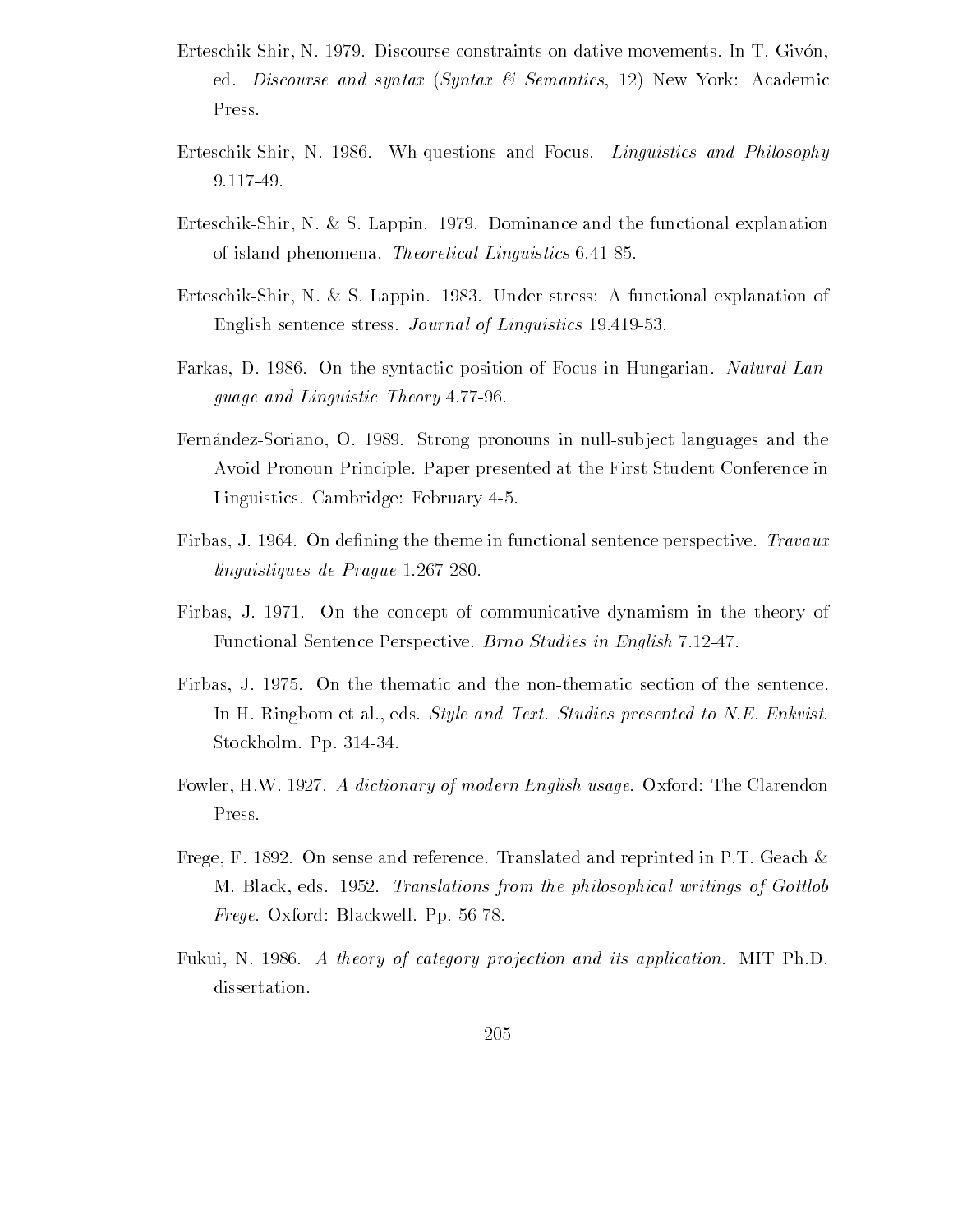- Erteschik-Shir, N. 1979. Discourse constraints on dative movements. In T. Givón, ed. Discourse and syntax  $(Syntax \& Semantics, 12)$  New York: Academic Press
- Erteschik-Shir, N. 1986. Wh-questions and Focus. Linguistics and Philosophy 9.117-49.
- Erteschik-Shir, N. & S. Lappin. 1979. Dominance and the functional explanation of islands performances to interest and the most performance  $\cup$  .
- Erteschik-Shir, N. & S. Lappin. 1983. Under stress: A functional explanation of English sentence stress Journal of Linguistics
- Farkas, D. 1986. On the syntactic position of Focus in Hungarian. Natural Language and Linguistic Theory
- Fernández-Soriano, O. 1989. Strong pronouns in null-subject languages and the Avoid Pronoun Principle Paper presented at the First Student Conference in Linguistics Cambridge February
- Firbas J On de-ning the theme in functional sentence perspective Travaux linguistiques de Prague 1.267-280.
- Firbas, J. 1971. On the concept of communicative dynamism in the theory of Functional Sentence Perspective. Brno Studies in English 7.12-47.
- Firbas J On the thematic and the nonthematic section of the sentence In H. Ringbom et al., eds. Style and Text. Studies presented to N.E. Enkvist. Stockholm. Pp. 314-34.
- Fowler, H.W. 1927. A dictionary of modern English usage. Oxford: The Clarendon Press
- Frege, F. 1892. On sense and reference. Translated and reprinted in P.T. Geach  $\&$ m black eds the philosophical writings of the philosophical writings of Gottlobe Frege Oxford Blackwell Pp
- Fukui, N. 1986. A theory of category projection and its application. MIT Ph.D. dissertation.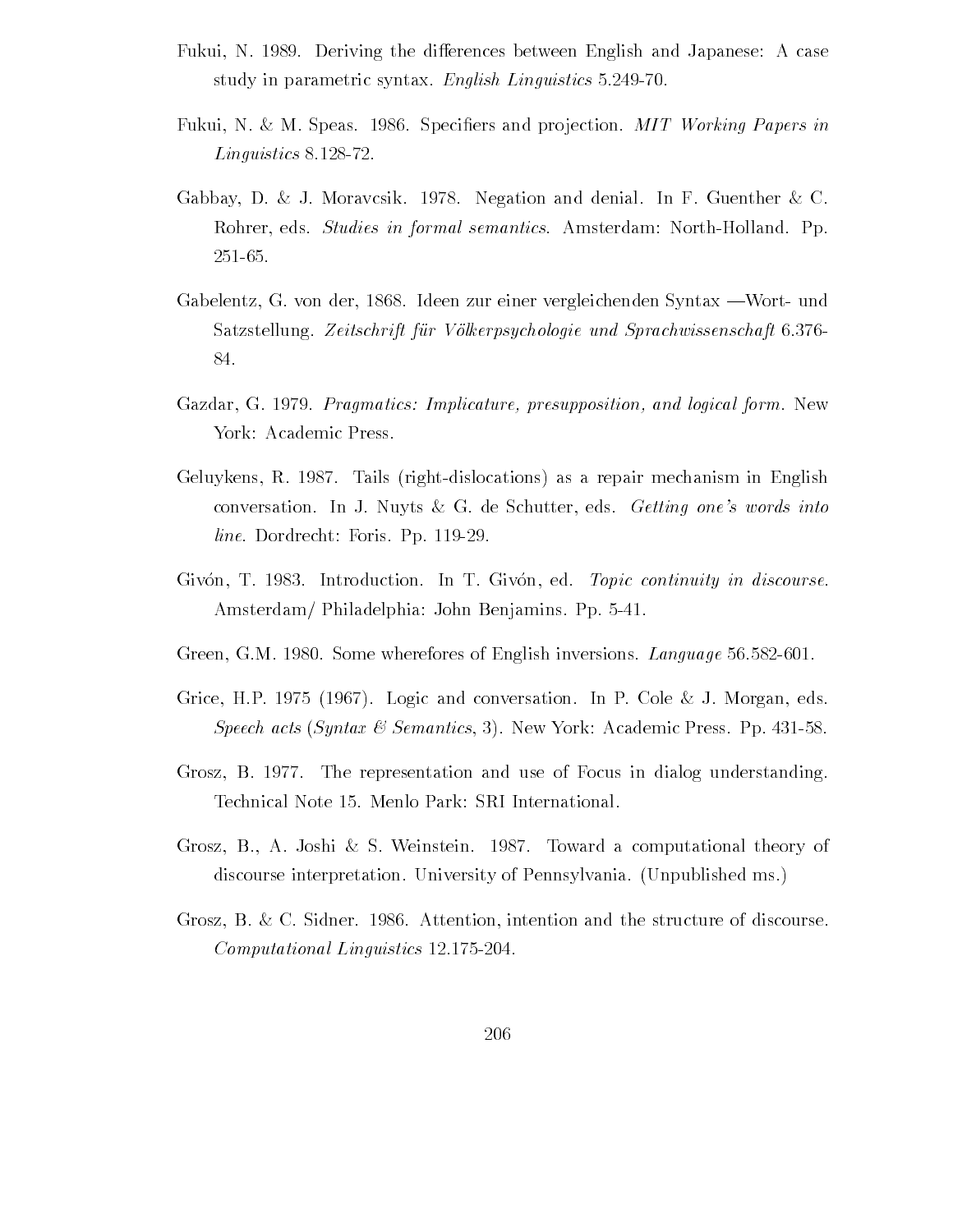- Fukui, N. 1989. Deriving the differences between English and Japanese: A case study in parametric syntax English Linguistics
- Fukui N M Speas Speci-ers and pro jection MIT Working Papers in  $Linguistics 8.128-72.$
- Gabbay, D. & J. Moravcsik. 1978. Negation and denial. In F. Guenther & C. Rohrer, eds. *Studies in formal semantics*. Amsterdam: North-Holland. Pp.
- Gabelentz, G. von der, 1868. Ideen zur einer vergleichenden Syntax Wort- und Satzstellung. Zeitschrift für Völkerpsychologie und Sprachwissenschaft 6.376-84.
- Gazadare gazar Gazadar Gazadar Shipticature- et presupposition in the status of the status of the status of the York: Academic Press.
- Geluykens, R. 1987. Tails (right-dislocations) as a repair mechanism in English conversation. In J. Nuyts & G. de Schutter, eds. Getting one's words into  $line.$  Dordrecht: Foris. Pp. 119-29.
- Givón, T. 1983. Introduction. In T. Givón, ed. Topic continuity in discourse. Amsterdam Philadelphia John Benjamins Pp
- Green, Green successive and Charles of English in Charles Company, Survey Company
- Grice Hotel and the conversation in Property and Coleman and Coleman and Coleman and Coleman and Coleman and C speech acts (wyntax o wenthereig y) clear concernantically press Pp Pack Academic
- Grosz, B. 1977. The representation and use of Focus in dialog understanding.
- Grosz, B., A. Joshi & S. Weinstein. 1987. Toward a computational theory of discourse interpretation. University of Pennsylvania. (Unpublished ms.)
- Grosz, B. & C. Sidner. 1986. Attention, intention and the structure of discourse. Computational Linguistics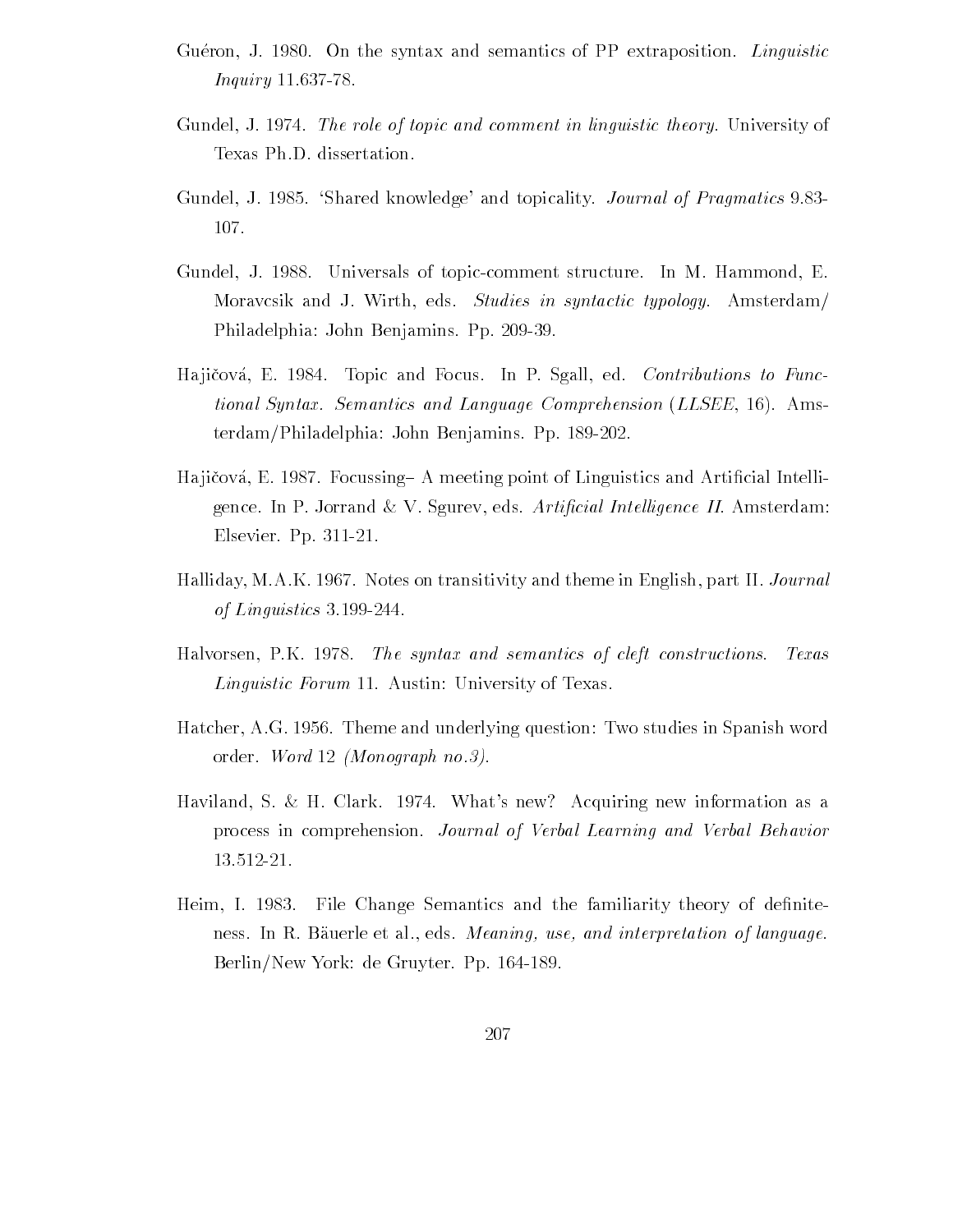- Gueron, J. 1980. On the syntax and semantics of PP extraposition. Linguistic *Inquiry* 11.637-78.
- Gundel, J. 1974. The role of topic and comment in linguistic theory. University of Texas Ph.D. dissertation.
- Gundel J . Shared Andrew Journal of Pragmatics Journal of Pragmatics Journal of Pragmatics Journal of Pragmatics 107.
- Gundel, J. 1988. Universals of topic-comment structure. In M. Hammond, E. Moravcsik and J. Wirth, eds. Studies in syntactic typology. Amsterdam/ Philadelphia: John Benjamins. Pp. 209-39.
- Hajičová, E. 1984. Topic and Focus. In P. Sgall, ed. Contributions to Functional Syntax. Semantics and Language Comprehension (LLSEE, 16). Amsterdam/Philadelphia: John Benjamins. Pp. 189-202.
- Ha ji!cova E Focussing/ A meeting point of Linguistics and Arti-cial Intelli gence. In P. Jorrand & V. Sgurev, eds. Artificial Intelligence II. Amsterdam: Elsevier. Pp. 311-21.
- Halliday, M.A.K. 1967. Notes on transitivity and theme in English, part II. *Journal* of Linguistics 3.199-244.
- Halvorsen, P.K. 1978. The syntax and semantics of cleft constructions. Texas  $Linguistic \; Forum \; 11. \; Austin: \; University \; of \; Texas.$
- Hatcher AG Theme and underlying question Two studies in Spanish word order. Word  $12$  (Monograph no.3).
- Haviland, S. & H. Clark. 1974. What's new? Acquiring new information as a process in comprehension Journal of Verbal Learning and Verbal Behavior
- Heim I File Change Semantics and the familiarity theory of de-nite ness In R B auerle et al eds Meaning-Broadcaster interpretation of language and interpretation of language and Berlin/New York: de Gruyter. Pp. 164-189.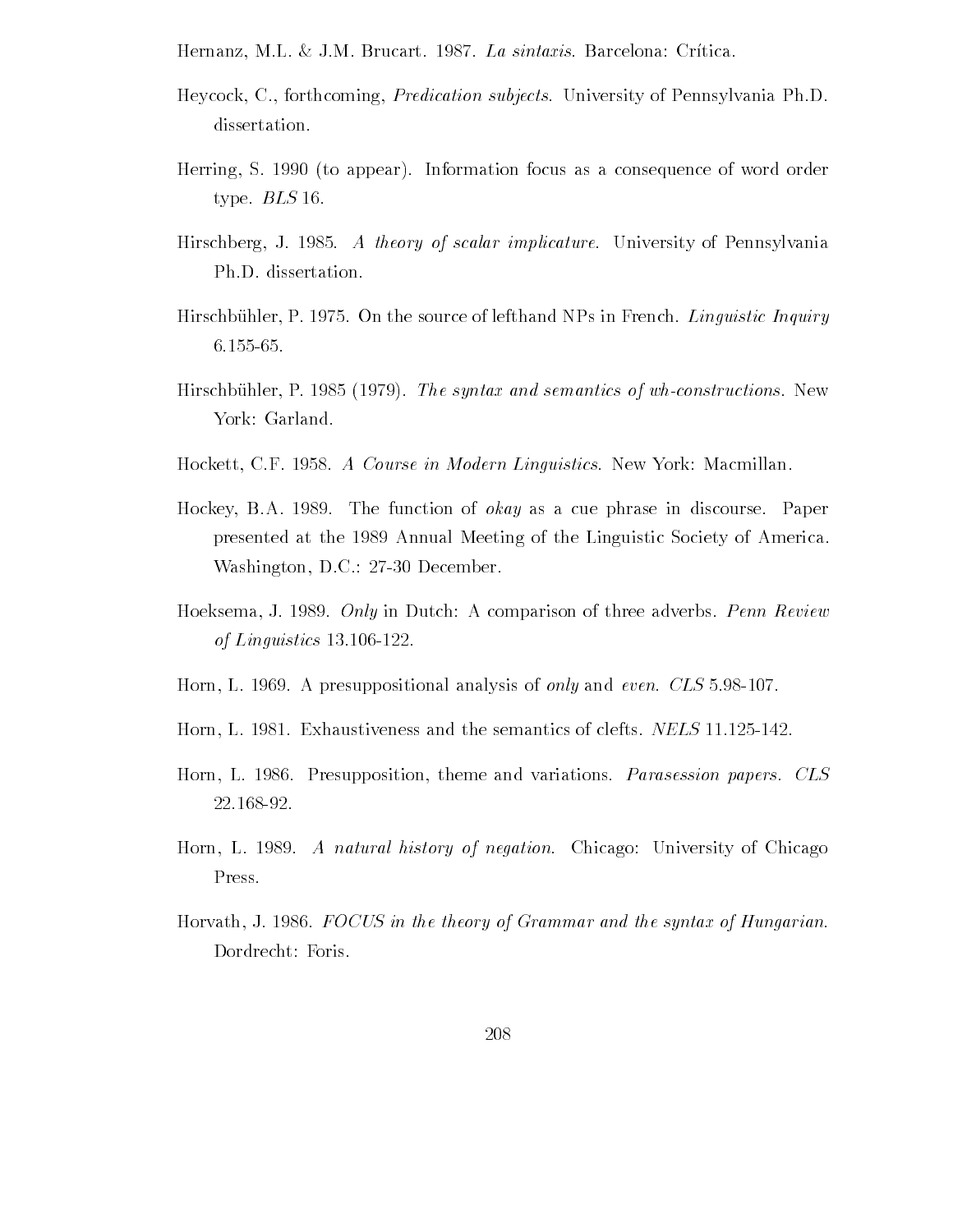Hernanz, M.L. & J.M. Brucart. 1987. La sintaxis. Barcelona: Crítica.

- Heycock, C., forthcoming, *Predication subjects*. University of Pennsylvania Ph.D. dissertation.
- Herring, S. 1990 (to appear). Information focus as a consequence of word order type.  $BLS$  16.
- Hirschberg J A theory of scalar implicature University of Pennsylvania Ph.D. dissertation.
- Hirschb uhler P On the source of lefthand NPs in French Linguistic Inquiry
- $\mathbf{H}$  , which use  $\mathbf{H}$  and semantics of which syntax and semantics of which semantics  $\mathbf{H}$ York: Garland.
- Hockett CF A Course in Modern Linguistics New York Macmillan
- Hockey, B.A. 1989. The function of  $okay$  as a cue phrase in discourse. Paper presented at the 1989 Annual Meeting of the Linguistic Society of America. Washington, D.C.: 27-30 December.
- Hoeksema, J. 1989. Only in Dutch: A comparison of three adverbs. Penn Review of Linguistics 13.106-122.
- Horn L A presuppositional analysis of only and even CLS
- Horn L Exhaustiveness and the semantics of clefts NELS
- Horn, L. 1986. Presupposition, theme and variations. Parasession papers. CLS 22.168-92.
- Horn, L. 1989. A natural history of negation. Chicago: University of Chicago Press
- Horvath, J. 1986. FOCUS in the theory of Grammar and the syntax of Hungarian. Dordrecht: Foris.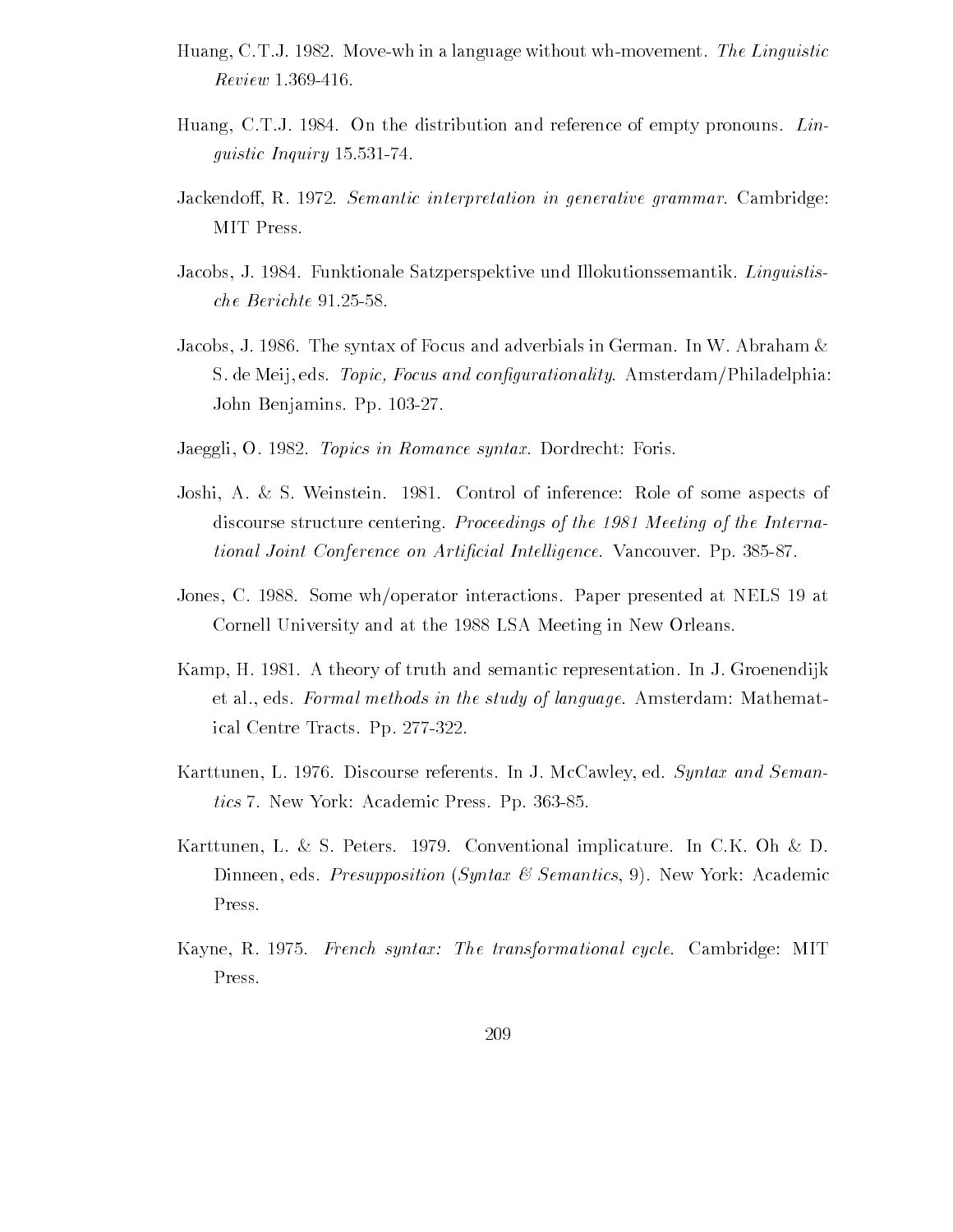- Huang, C.T.J. 1982. Move-wh in a language without wh-movement. The Linguistic Review 1.369-416.
- Huang, C.T.J. 1984. On the distribution and reference of empty pronouns. Lin- $\overline{\phantom{a}}$
- Jackendoff, R. 1972. Semantic interpretation in generative grammar. Cambridge: MIT Press
- Jacobs, J. 1984. Funktionale Satzperspektive und Illokutionssemantik. Linguistis-
- Jacobs, J. 1986. The syntax of Focus and adverbials in German. In W. Abraham  $\&$ s de meij en topic- and congurationality Amsterdam Philadelphia and congurational and conguration John Benjamins. Pp. 103-27.
- Jaeggli, O. 1982. *Topics in Romance syntax*. Dordrecht: Foris.
- Joshi, A. & S. Weinstein. 1981. Control of inference: Role of some aspects of discourse structure centering. Proceedings of the 1981 Meeting of the International Joint Conference on Articial Intelligence Vancouver Pp
- Jones, C. 1988. Some wh/operator interactions. Paper presented at NELS 19 at Cornell University and at the 1988 LSA Meeting in New Orleans.
- Kamp, H. 1981. A theory of truth and semantic representation. In J. Groenendijk et al., eds. Formal methods in the study of language. Amsterdam: Mathematical Centre Tracts. Pp. 277-322.
- Karttunen, L. 1976. Discourse referents. In J. McCawley, ed. Syntax and Semantics in the contract  $\mathbf{N}$  . The contract Academic Press Pp and  $\mathbf{N}$
- Karttunen, L. & S. Peters. 1979. Conventional implicature. In C.K. Oh & D. Dinneen, eds. *Presupposition (Syntax*  $\mathcal C$  *Semantics*, 9). New York: Academic Press
- Kayne R French syntax The transformational cycle Cambridge MIT Press.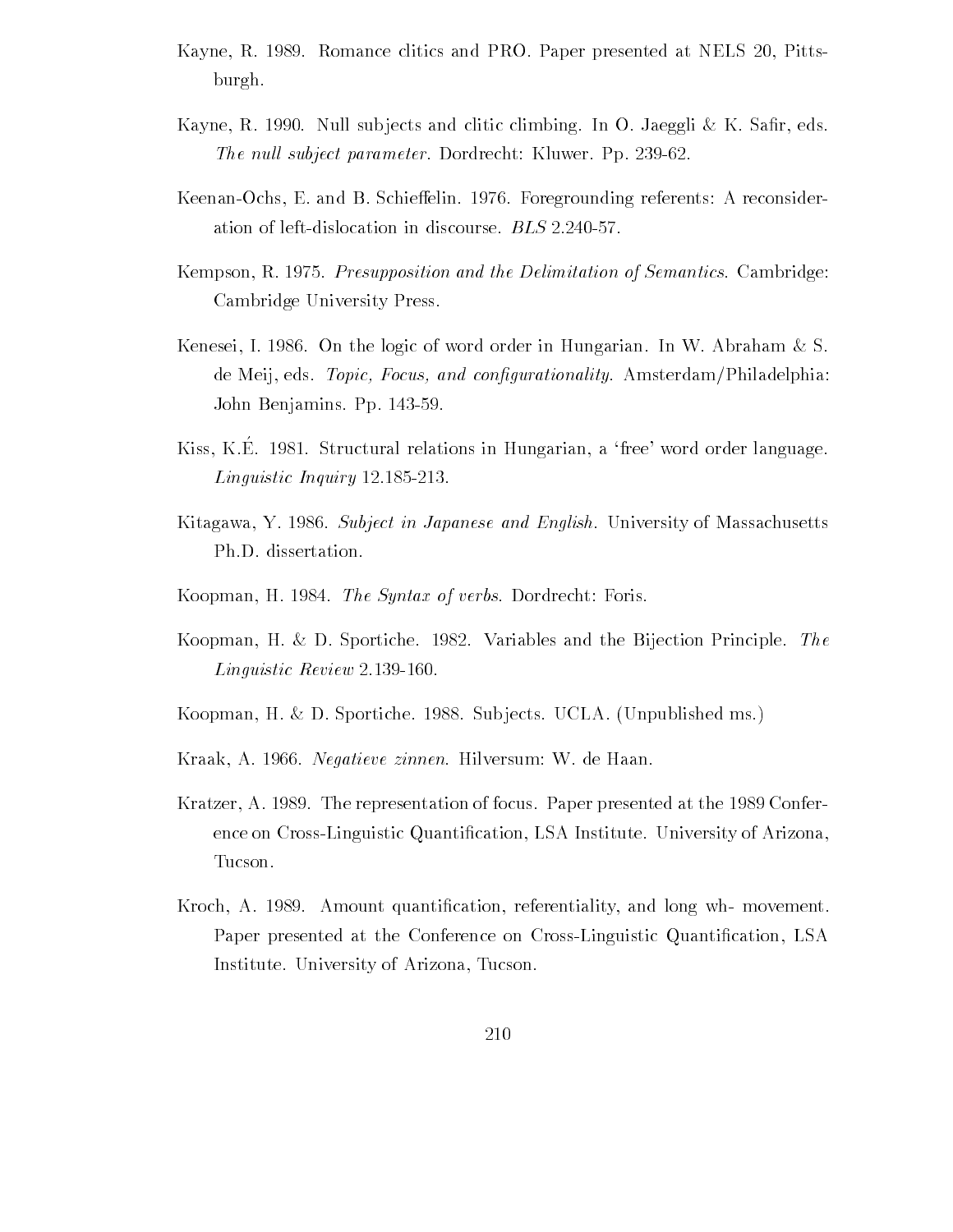- Kayne, R. 1989. Romance clitics and PRO. Paper presented at NELS 20, Pittsburgh
- $K$  is the result substitute and climbing In  $K$  and climbing In  $K$  Sa-  $K$  Sa-  $K$ The null subject parameter. Dordrecht: Kluwer. Pp. 239-62.
- Keenan-Ochs, E. and B. Schieffelin. 1976. Foregrounding referents: A reconsider-
- $\mathbf{P}$  results  $\mathbf{P}$  and the Delimitation of Semantics Cambridge  $\mathbf{P}$ Cambridge University Press
- Kenesei, I. 1986. On the logic of word order in Hungarian. In W. Abraham  $\&$  S. a focus - Topic-American Philadelphia and conguration and control and control and congress and congress and co John Benjamins Pp
- relation in the contractural relations in Hungarian, a free word order language. Linguistic Linguistic Line Computer in
- Kitagawa, Y. 1986. Subject in Japanese and English. University of Massachusetts Ph.D. dissertation.
- Koopman, H. 1984. *The Syntax of verbs*. Dordrecht: Foris.
- Koopman, H. & D. Sportiche. 1982. Variables and the Bijection Principle. The Linguistic Review 2.139-160.
- Koopman, H. & D. Sportiche. 1988. Subjects. UCLA. (Unpublished ms.)
- Kraak, A. 1966. *Negatieve zinnen*. Hilversum: W. de Haan.
- Kratzer, A. 1989. The representation of focus. Paper presented at the 1989 Conference on Cross Minguistic Quantizierini Ministration Cation Lines (Arizonal Ministration) Tucson
- kation referentiality and long-time cation referentiality and long which are the long where  $\alpha$ Paper presented at the Conference on CrossLinguistic Quanti-cation LSA Institute. University of Arizona, Tucson.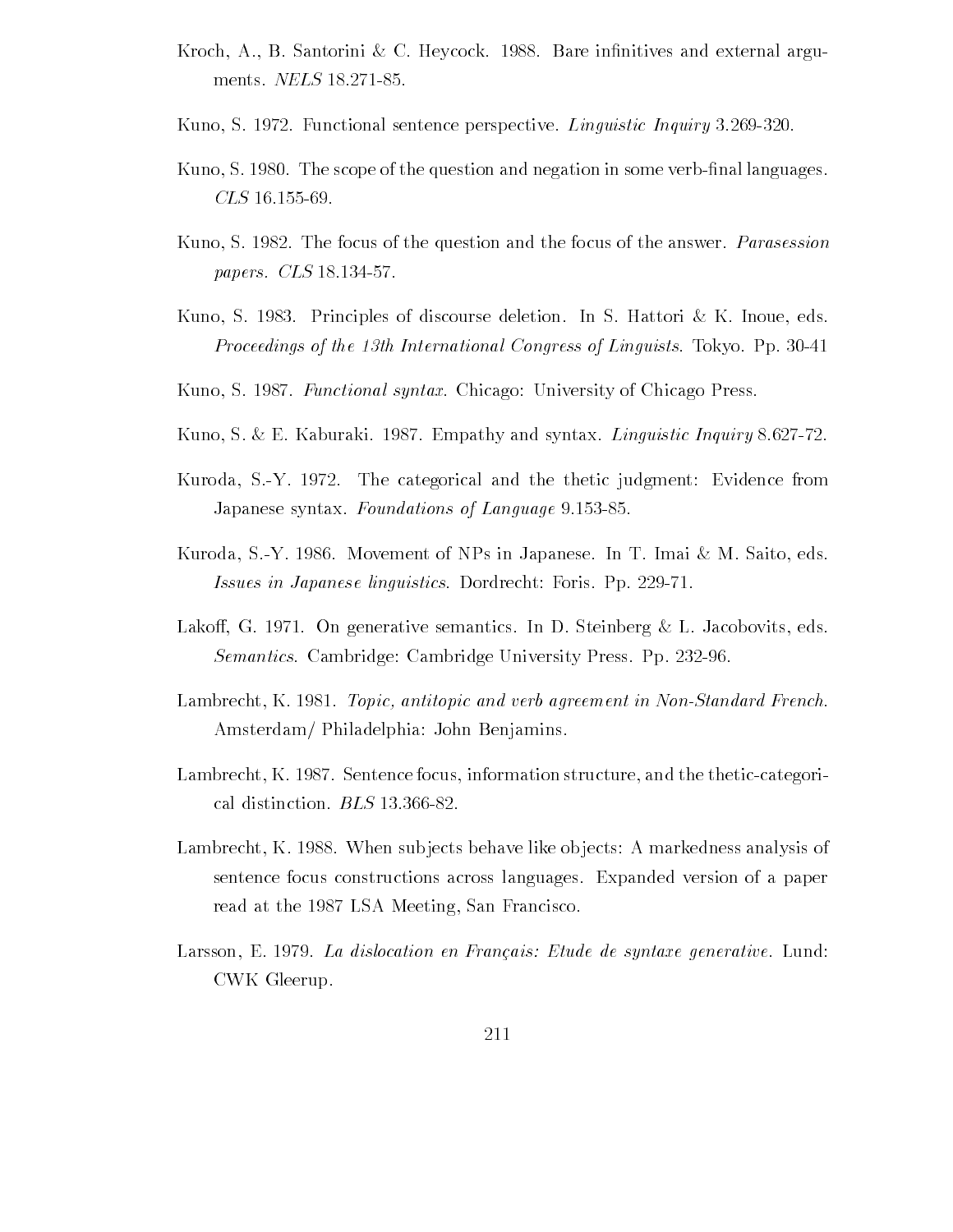- Kroch A B Santorini C Heycock Bare in-nitives and external argu
- Kuno, S. 1972. Functional sentence perspective. *Linguistic Inquiry* 3.269-320.
- $\mathbf{N}$  . The scope of the scope of the scope of the question in some verbers in some verbers in some verbers in some verbers in  $\mathbf{N}$
- Kuno, S. 1982. The focus of the question and the focus of the answer. *Parasession*  $p$
- Kuno, S. 1983. Principles of discourse deletion. In S. Hattori  $\&$  K. Inoue, eds. Proceedings of the 13th International Congress of Linguists. Tokyo. Pp. 30-41
- Kuno, S. 1987. *Functional syntax*. Chicago: University of Chicago Press.
- Kuno, S. & E. Kaburaki. 1987. Empathy and syntax. *Linguistic Inquiry* 8.627-72.
- Kuroda, S.-Y. 1972. The categorical and the thetic judgment: Evidence from Japanese syntax Foundations of Language
- Kuroda, S.-Y. 1986. Movement of NPs in Japanese. In T. Imai  $\&$  M. Saito, eds. Issues in Japanese linguistics. Dordrecht: Foris. Pp. 229-71.
- Lakoff, G. 1971. On generative semantics. In D. Steinberg & L. Jacobovits, eds. Semantics. Cambridge: Cambridge University Press. Pp. 232-96.
- Lambrecht K Topic- antitopic and verb agreement in NonStandard French Amsterdam/ Philadelphia: John Benjamins.
- Lambrecht, K. 1987. Sentence focus, information structure, and the thetic-categorical distinction. BLS 13.366-82.
- Lambrecht, K. 1988. When subjects behave like objects: A markedness analysis of sentence focus constructions across languages Expanded version of a paper read at the 1987 LSA Meeting, San Francisco.
- Larsson, E. 1979. La dislocation en Français: Etude de syntaxe generative. Lund: CWK Gleerup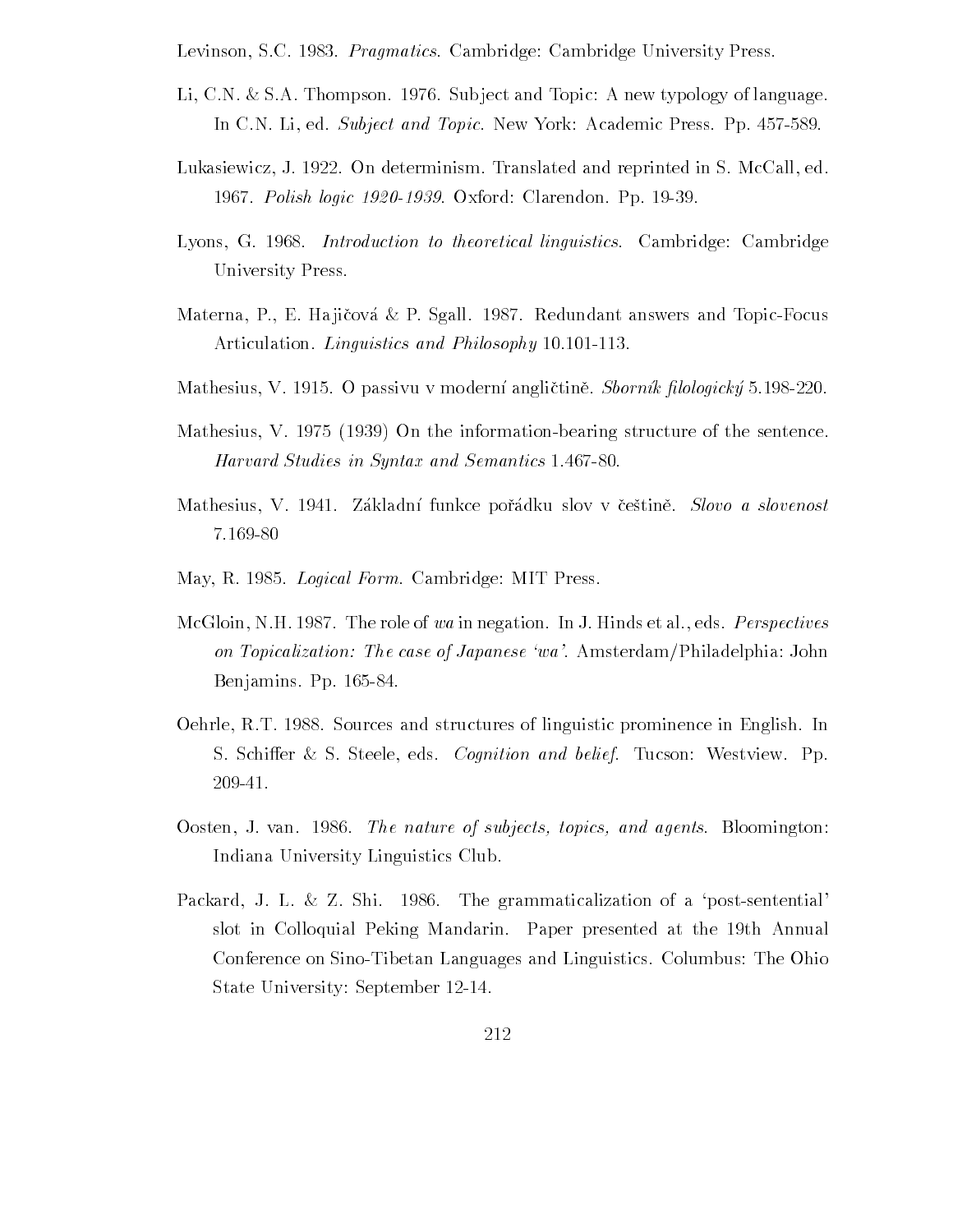Levinson, S.C. 1983. *Pragmatics*. Cambridge: Cambridge University Press.

- Li, C.N. & S.A. Thompson. 1976. Subject and Topic: A new typology of language. In CN Li ed Subject and Topic New York Academic Press Pp
- Lukasiewicz, J. 1922. On determinism. Translated and reprinted in S. McCall, ed. 1967. Polish logic 1920-1939. Oxford: Clarendon. Pp. 19-39.
- Lyons, G. 1968. *Introduction to theoretical linguistics*. Cambridge: Cambridge University Press
- Materna, P., E. Hajičová & P. Sgall. 1987. Redundant answers and Topic-Focus Articulation. *Linguistics and Philosophy* 10.101-113.
- mathesius V acare a passivus valendari chiquettining pirang viavo mavi.
- $\mathcal{M}$  . The information  $\mathcal{M}$ Harvard Studies in Syntax and Semantics
- Mathesius, V. 1941. Základní funkce pořádku slov v češtině. *Slovo a slovenost* 7.169-80
- many rays account any result and controlled manager and a district of the second control of the second control
- McGloin, N.H. 1987. The role of wa in negation. In J. Hinds et al., eds. *Perspectives* on Topicalization: The case of Japanese 'wa'. Amsterdam/Philadelphia: John Benjamins Pp
- Oehrle, R.T. 1988. Sources and structures of linguistic prominence in English. In S. Schiffer & S. Steele, eds. *Cognition and belief.* Tucson: Westview. Pp. 209-41.
- O second Orange Start The nature of subjects, represented by subjection of the substantial contracts of Indiana University Linguistics Club
- Packard, J. L. & Z. Shi. 1986. The grammaticalization of a 'post-sentential' slot in Colloquial Peking Mandarin. Paper presented at the 19th Annual Conference on Sino-Tibetan Languages and Linguistics. Columbus: The Ohio State University: September 12-14.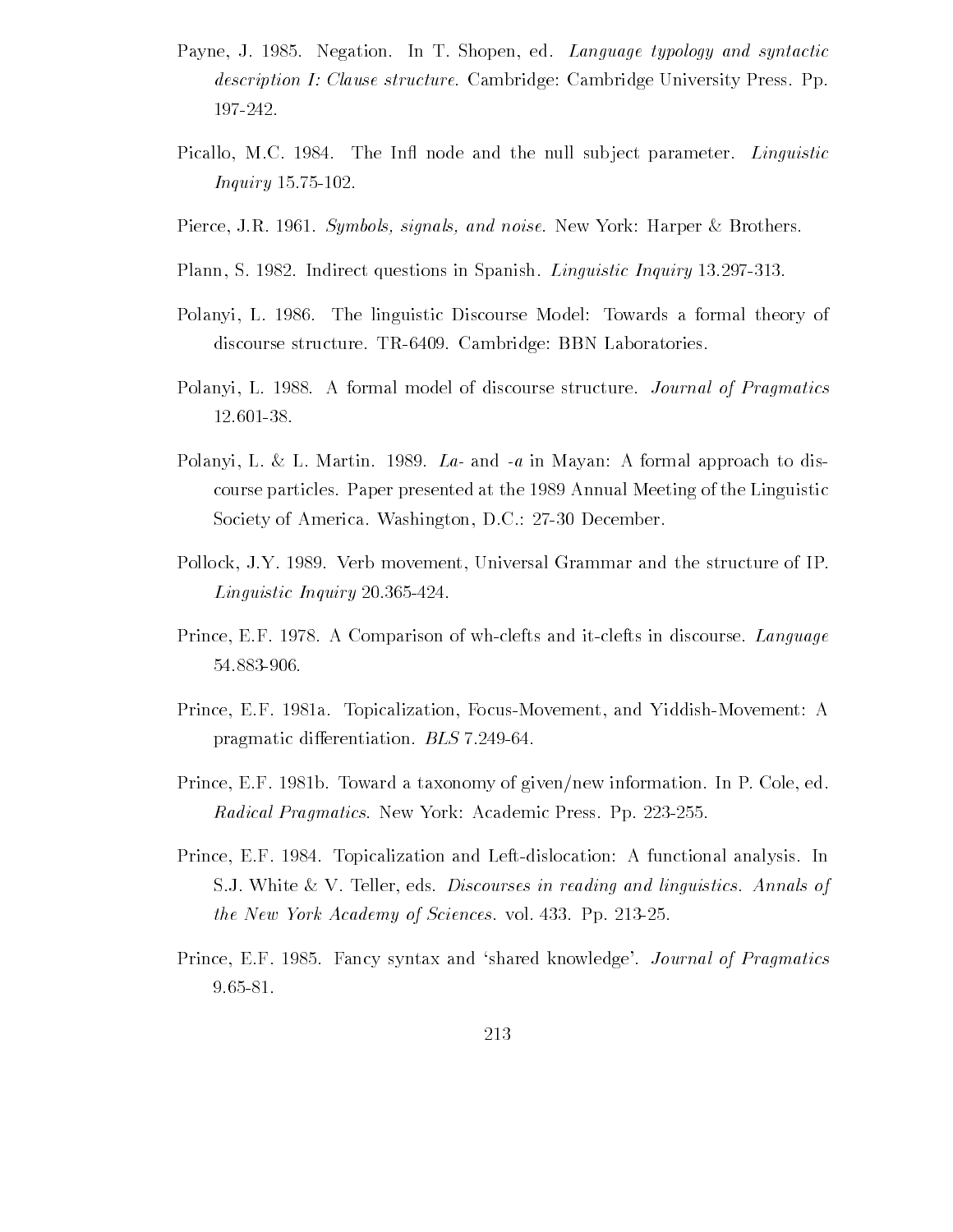- Payne J Negation In T Shopen ed Language typology and syntactic description I: Clause structure. Cambridge: Cambridge University Press. Pp. 197-242.
- Picallo, M.C. 1984. The Infl node and the null subject parameter. Linguistic Inquiry
- Pierce JR Symbols- signals- and noise New York Harper Brothers
- Plann, S. 1982. Indirect questions in Spanish. *Linguistic Inquiry* 13.297-313.
- Polanyi, L. 1986. The linguistic Discourse Model: Towards a formal theory of discourse structure. TR-6409. Cambridge: BBN Laboratories.
- Polanyi, L. 1988. A formal model of discourse structure. *Journal of Pragmatics* 12.601-38.
- Polanyi, L. & L. Martin. 1989. La- and -a in Mayan: A formal approach to discourse particles. Paper presented at the 1989 Annual Meeting of the Linguistic Society of America. Washington, D.C.: 27-30 December.
- Pollock, J.Y. 1989. Verb movement, Universal Grammar and the structure of IP.  $\mathcal{L}$  . The interval is the inquiry of the inquiry of the inquiry of the inquiry of the inquiry of the inquiry of the inquiry of the inquiry of the inquiry of the inquiry of the inquiry of the inquiry of the inquiry of
- Prince, E.F. 1978. A Comparison of wh-clefts and it-clefts in discourse. Language
- Prince, E.F. 1981a. Topicalization, Focus-Movement, and Yiddish-Movement: A pragmatic differentiation. BLS 7.249-64.
- Prince, E.F. 1981b. Toward a taxonomy of given/new information. In P. Cole, ed. Radical Pragmatics New York Academic Press Pp
- Prince, E.F. 1984. Topicalization and Left-dislocation: A functional analysis. In S.J. White  $\&\,V$ . Teller, eds. *Discourses in reading and linguistics. Annals of* the New York Academy of Sciences vol Pp
- Prince EF Fancy syntax and shared knowledge Journal of Pragmatics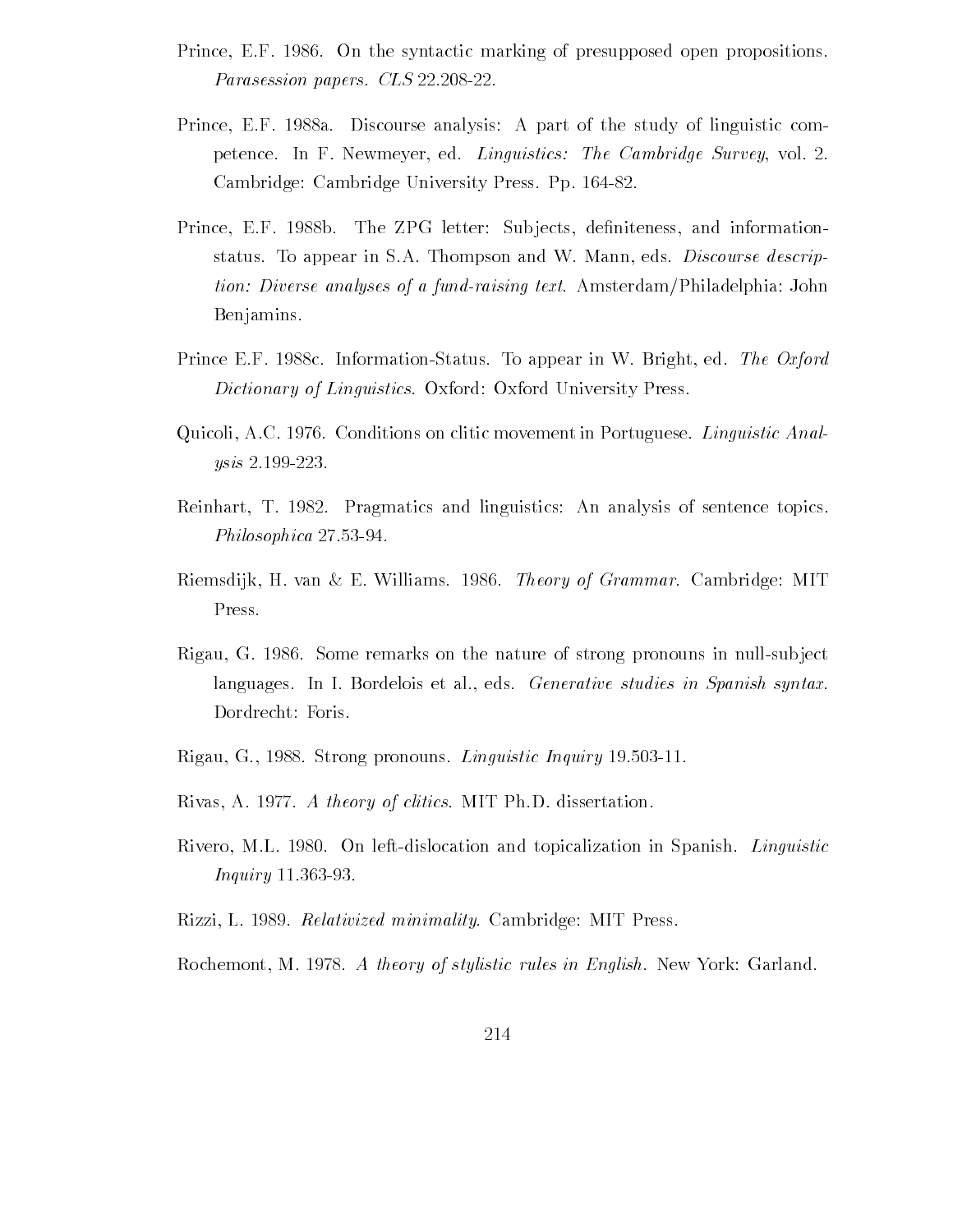- Prince, E.F. 1986. On the syntactic marking of presupposed open propositions. Parasession papers. CLS 22.208-22.
- Prince, E.F. 1988a. Discourse analysis: A part of the study of linguistic competence. In F. Newmeyer, ed. Linguistics: The Cambridge Survey, vol. 2. Cambridge: Cambridge University Press. Pp. 164-82.
- Prince EF b The ZPG letter Sub jects de-niteness and information status. To appear in S.A. Thompson and W. Mann, eds. *Discourse descrip*tion: Diverse analyses of a fund-raising text. Amsterdam/Philadelphia: John Benjamins
- Prince E.F. 1988c. Information-Status. To appear in W. Bright, ed. The Oxford Dictionary of Linguistics. Oxford: Oxford University Press.
- Quicoli, A.C. 1976. Conditions on clitic movement in Portuguese. *Linguistic Anal*ysis 2.199-223.
- Reinhart, T. 1982. Pragmatics and linguistics: An analysis of sentence topics. Philosophica
- Riemsdijk, H. van & E. Williams. 1986. *Theory of Grammar*. Cambridge: MIT Press
- Rigau, G. 1986. Some remarks on the nature of strong pronouns in null-subject languages. In I. Bordelois et al., eds. Generative studies in Spanish syntax. Dordrecht: Foris.
- Rigau G and Strong process and moving with the group of the strong strong and the strong and the strong strong of the strong strong strong and the strong strong strong strong strong strong strong strong strong strong stron
- Rivas, A. 1977. A theory of clitics. MIT Ph.D. dissertation.
- Rivero, M.L. 1980. On left-dislocation and topicalization in Spanish. Linguistic *Inquiry* 11.363-93.
- Rizzi, L. 1989. Relativized minimality. Cambridge: MIT Press.
- Rochemont, M. 1978. A theory of stylistic rules in English. New York: Garland.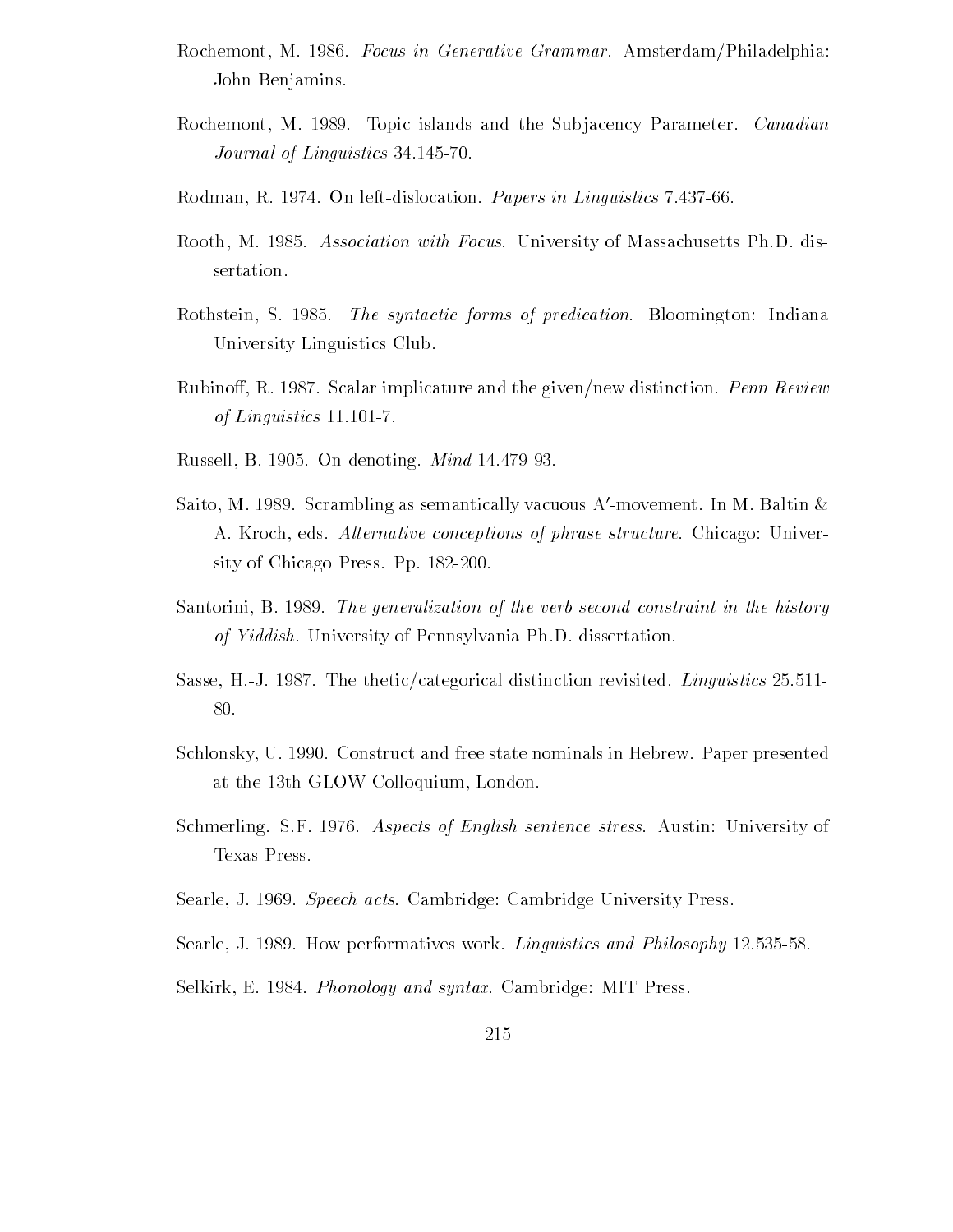- Rochemont, M. 1986. Focus in Generative Grammar. Amsterdam/Philadelphia: John Benjamins
- Rochemont, M. 1989. Topic islands and the Subjacency Parameter. *Canadian* Journal of Linguistics Journal of Linguistics
- Rodman, R. 1974. On left-dislocation. Papers in Linguistics  $7.437-66$ .
- Rooth M D B O D U LA STRIP WITH THE ROOT OF MASSACHUSETTS PRODUCED PARTIES PHD DISCOVERED AND DISCOVERED PHD D sertation
- Rothstein S The syntactic forms of predication Bloomington Indiana University Linguistics Club
- Rubinoff, R. 1987. Scalar implicature and the given/new distinction. Penn Review of Linguistics 11.101-7.
- Russell B On denoting Mind
- Saito, M. 1989. Scrambling as semantically vacuous  $A$ -movement. In M. Baltin  $\propto$ A. Kroch, eds. Alternative conceptions of phrase structure. Chicago: University of Chicago Press. Pp. 182-200.
- Santorini, B. 1989. The generalization of the verb-second constraint in the history of Yiddish. University of Pennsylvania Ph.D. dissertation.
- sasse, S. Tour. The theory and Although the theory and the theory and the Theory is a strong the complete Linguistics 80.
- Schlonsky, U. 1990. Construct and free state nominals in Hebrew. Paper presented at the 13th GLOW Colloquium, London.
- Schmerling. S.F. 1976. Aspects of English sentence stress. Austin: University of Texas Press
- Searle, J. 1969. Speech acts. Cambridge: Cambridge University Press.

searly J . How performance is and Philosophy work and Philosophy and Philosophy and Philosophy and Philosophy

Selkirk, E. 1984. *Phonology and syntax*. Cambridge: MIT Press.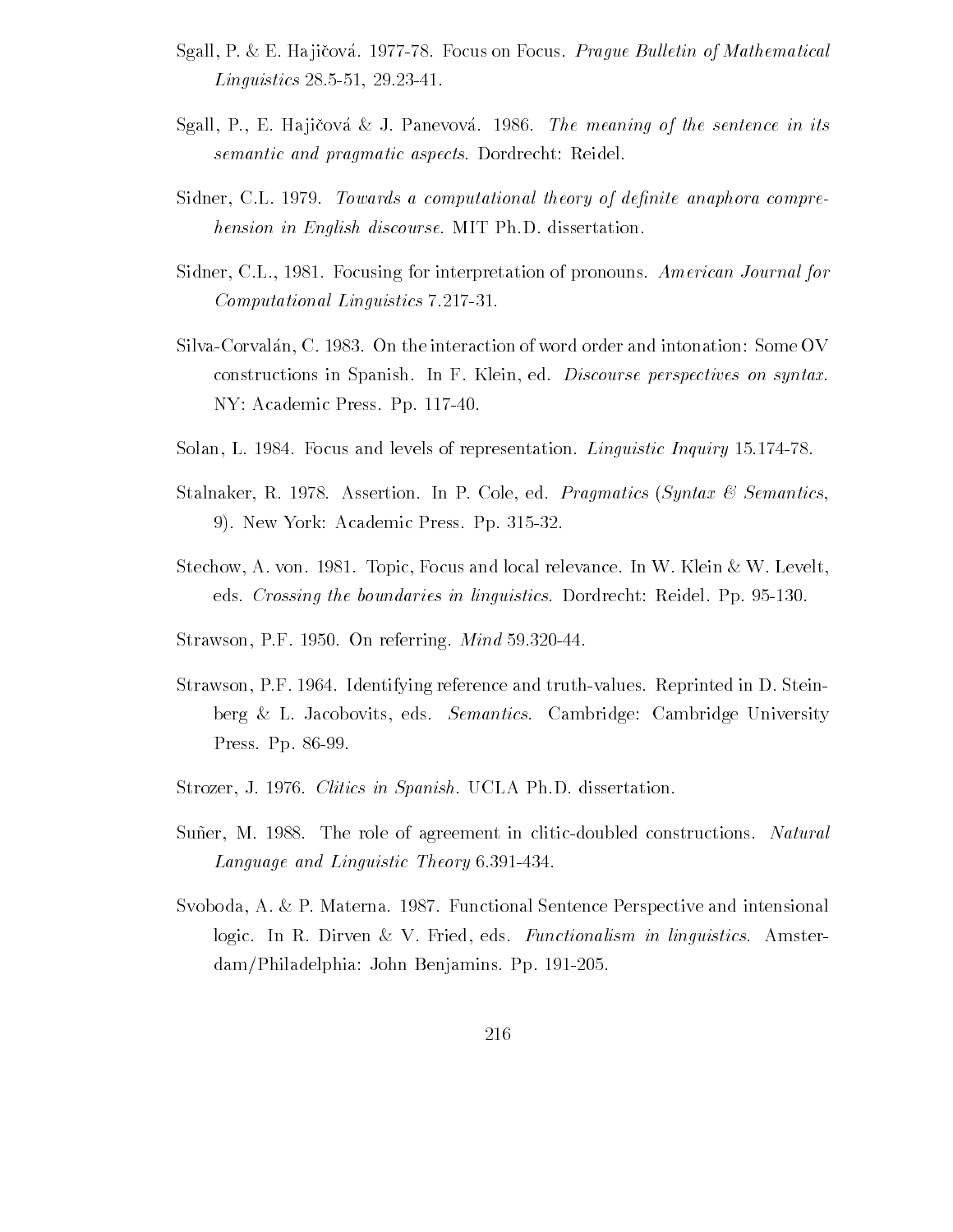- Sgall, P. & E. Hajičová. 1977-78. Focus on Focus. Prague Bulletin of Mathematical Linguistics and the contract of the contract of the contract of the contract of the contract of the contract of
- Sgall, P., E. Hajičová & J. Panevová. 1986. *The meaning of the sentence in its* semantic and pragmatic aspects. Dordrecht: Reidel.
- Sidner, C.L. 1979. Towards a computational theory of definite anaphora comprehension in English discourse. MIT Ph.D. dissertation.
- Sidner, C.L., 1981. Focusing for interpretation of pronouns. American Journal for Computational Linguistics 7.217-31.
- Silva-Corvalán, C. 1983. On the interaction of word order and intonation: Some OV constructions in Spanish. In F. Klein, ed. Discourse perspectives on syntax. NY: Academic Press. Pp. 117-40.
- Solan L Bottom Linguistic Inquiry and levels of representation Linguistic Inquiry and Linguistic Inquiry and Li
- Stalnaker, R. 1978. Assertion. In P. Cole, ed. *Pragmatics (Syntax & Semantics*, New York Academic Press Pp
- Stechow, A. von. 1981. Topic, Focus and local relevance. In W. Klein  $\&$  W. Levelt, eds Crossing the boundaries in linguistics Dordrecht Reidel Pp
- straws and the contract of the straight and contract of the straight  $\sim$
- Strawson, P.F. 1964. Identifying reference and truth-values. Reprinted in D. Steinberg & L. Jacobovits, eds. Semantics. Cambridge: Cambridge University Press. Pp. 86-99.
- Strozer, J. 1976. Clitics in Spanish. UCLA Ph.D. dissertation.
- Suner, M. 1988. The role of agreement in clitic-doubled constructions. Natural Language and Linguistic Theory 6.391-434.
- Svoboda, A. & P. Materna. 1987. Functional Sentence Perspective and intensional logic. In R. Dirven & V. Fried, eds. Functionalism in linguistics. Amsterdamphiladelphia John Benjamins Ppilar Benjamins P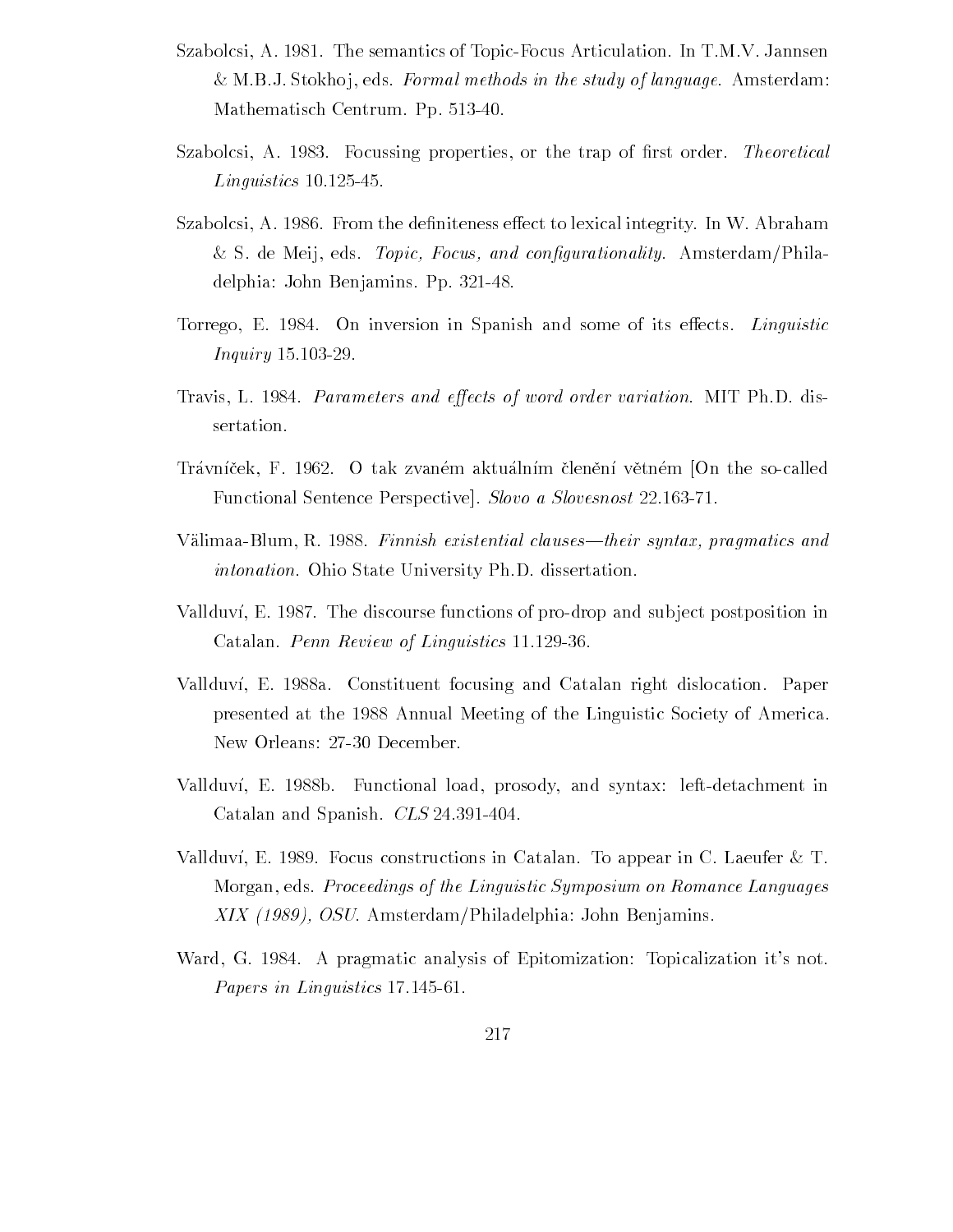- Szabolcsi, A. 1981. The semantics of Topic-Focus Articulation. In T.M.V. Jannsen & M.B.J. Stokhoj, eds. Formal methods in the study of language. Amsterdam: Mathematisch Centrum Pp
- sabolisi A Dan A Sabolisi A Romania properties or the transfer transfer and the transfer theoretical \_\_\_\_\_\_\_\_\_\_\_\_\_\_\_\_\_\_\_\_
- stabolcsi A a algo to lexical integrity integrity integrity integrity integrity integrity integrity integrity s de Meij en Topic Amsterdam Philadelphia (1999), and congurational products and congu delphia: John Benjamins. Pp. 321-48.
- Torrego, E. 1984. On inversion in Spanish and some of its effects. *Linguistic* In the set of  $\mathcal{I}$  and  $\mathcal{I}$  are the set of  $\mathcal{I}$
- Travis, L. 1984. Parameters and effects of word order variation. MIT Ph.D. dissertation
- Trávníček, F. 1962. O tak zvaném aktuálním členění větném [On the so-called Functional Sentence Perspective. Slovo a Slovesnost 22.163-71.
- v alimaatics and the clausestheir syntax-distribution in the clausestheir syntax-distribution in the clausestheir syntaxintonation. Ohio State University Ph.D. dissertation.
- Vallduví, E. 1987. The discourse functions of pro-drop and subject postposition in Catalan. Penn Review of Linguistics 11.129-36.
- Vallduví, E. 1988a. Constituent focusing and Catalan right dislocation. Paper presented at the 1988 Annual Meeting of the Linguistic Society of America. New Orleans: 27-30 December.
- Vallduví, E. 1988b. Functional load, prosody, and syntax: left-detachment in Catalan and Spanish.  $CLS$  24.391-404.
- Vallduví, E. 1989. Focus constructions in Catalan. To appear in C. Laeufer  $\&$  T. Morgan, eds. Proceedings of the Linguistic Symposium on Romance Languages XIX 
- OSU AmsterdamPhiladelphia John Benjamins
- Ward, G. 1984. A pragmatic analysis of Epitomization: Topicalization it's not. Papers in Linguistics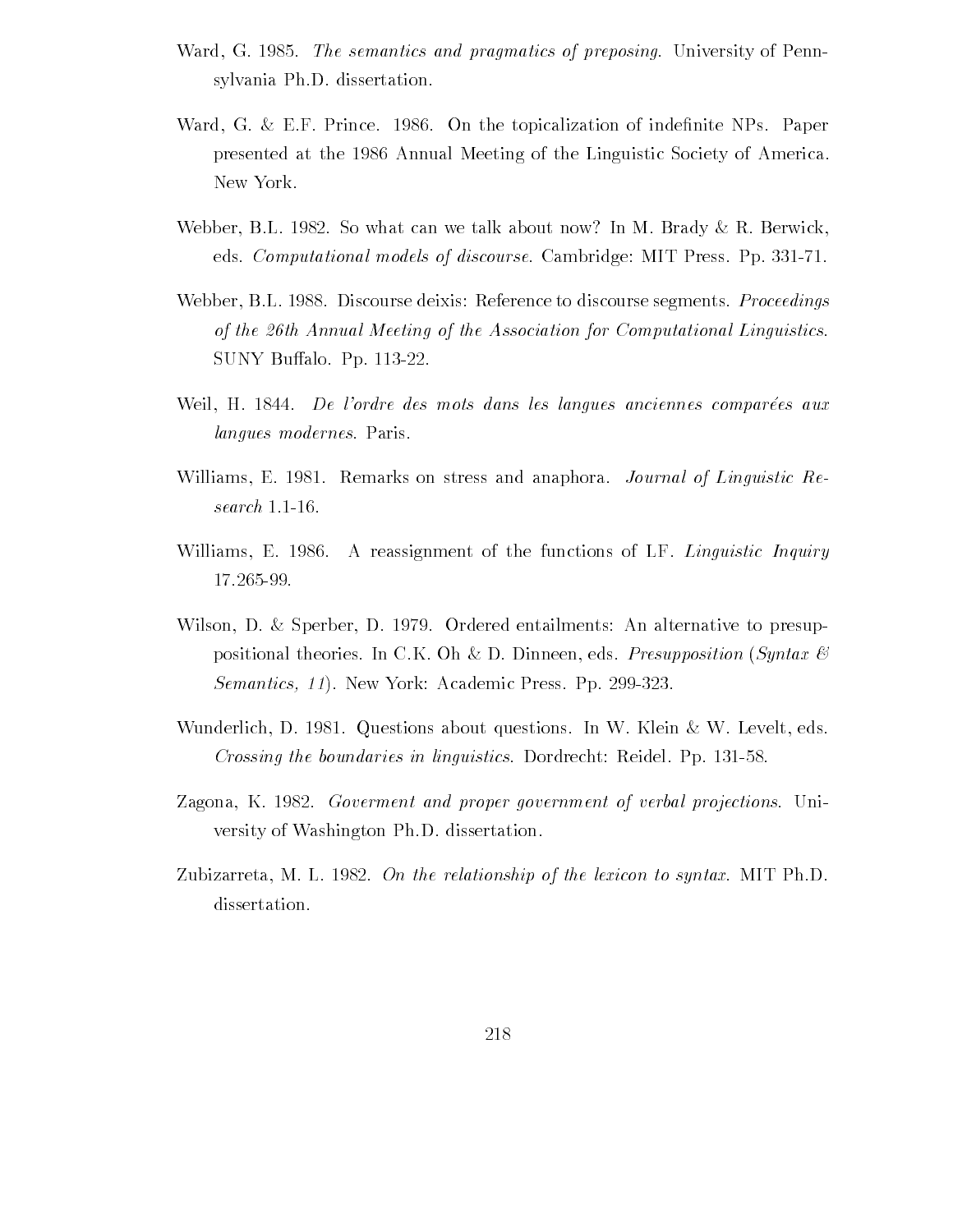- We see a semantic semantics and probability of probability of preposing University of Pennsylvania  $\mathcal{A}$ sylvania Ph.D. dissertation.
- ward G EF Prince  $\mathbb{R}$  . The topicalization of independent of independent of independent of independent of presented at the 1986 Annual Meeting of the Linguistic Society of America. New York
- Webber, B.L. 1982. So what can we talk about now? In M. Brady  $\&$  R. Berwick, eds. Computational models of discourse. Cambridge: MIT Press. Pp. 331-71.
- Webber, B.L. 1988. Discourse deixis: Reference to discourse segments. *Proceedings* of the 26th Annual Meeting of the Association for Computational Linguistics. SUNY Buffalo. Pp. 113-22.
- Weil, H. 1844. De l'ordre des mots dans les langues anciennes comparées aux langues modernes. Paris.
- Williams, E. 1981. Remarks on stress and anaphora. Journal of Linguistic Re $search$  1.1-16.
- Williams, E. 1986. A reassignment of the functions of LF. Linguistic Inquiry
- Wilson, D. & Sperber, D. 1979. Ordered entailments: An alternative to presuppositional theories. In C.K. Oh & D. Dinneen, eds. Presupposition (Syntax  $\mathcal C$ ) semantics- experiment continuous control experiment activities
- Wunderlich, D. 1981. Questions about questions. In W. Klein  $\&$  W. Levelt, eds. Crossing the boundaries in linguistics Dordrecht Reidel Pp
- Zagona, K. 1982. Goverment and proper government of verbal projections. University of Washington Ph.D. dissertation.
- Zubizarreta, M. L. 1982. On the relationship of the lexicon to syntax. MIT Ph.D. dissertation.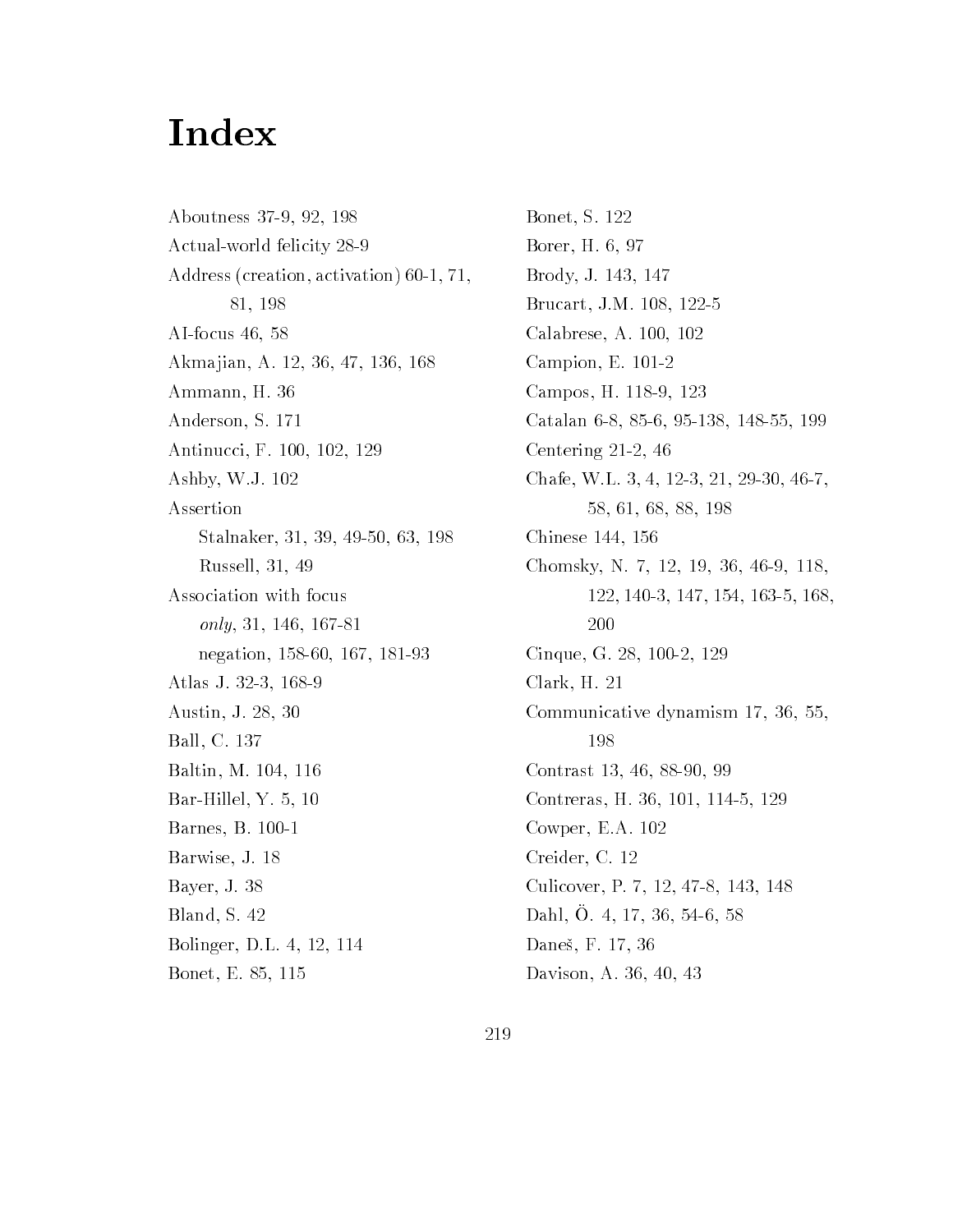## Index

Aboutness 37-9, 92, 198 Actual-world felicity 28-9 Address (creation, activation) 60-1, 71, 81, 198 AIfocus Akmajian, A. 12, 36, 47, 136, 168 Ammann, H. 36 Anderson, S. 171 Antinucci, F. 100, 102, 129 Ashby, W.J. 102 Assertion Stalina in die 19de jaar van die 19de eeu n.C. Soos van die 19de eeu n.C. Soos en gewone gewone gewone gewone Russell Association with focus  $only, 31, 146, 167-81$ negation and a contract of the contract of the contract of the contract of the contract of the contract of the Atlas J. 32-3, 168-9 Austin, J. 28, 30 Ball, C. 137 Baltin, M. 104, 116 Barbara Hillel Yangi dan kacamatan ing Kabupatèn Kabupatèn Kabupatèn Kabupatèn Kabupatèn Kabupatèn Kabupatèn K Barnes, B. 100-1 Barwise, J. 18 Bayer, J. 38 Bland, S. 42 Bolinger, D.L. 4, 12, 114

— -----, —- - - - - - - -

Bonet, S. 122 Borer, H. 6, 97 Brody, J. 143, 147 Brucart, J.M. 108, 122-5 Calabrese, A. 100, 102 Campion, E.  $101-2$ Campos, H. 118-9, 123 Catalana Catalana Catalana Catalana Catalana Catalana Catalana Catalana Catalana Catalana Catalana Catalana Ca Centering 21-2, 46 Chafe, W.L. 3, 4, 12-3, 21, 29-30, 46-7, Chinese Chinese Chinese Chinese Chinese Chinese Chinese Chinese Chinese Chinese Chinese Chinese Chinese Chinese Chomsky, N. 7, 12, 19, 36, 46-9, 118, 200 Cinque, G. 28, 100-2, 129  $Clark, H. 21$ communicative dynamical communicative design and communication of the communication of the communication of the communication of the communication of the communication of the communication of the communication of the commu 198 Contrast 13, 46, 88-90, 99 Contreras H  Cowper, E.A.  $102$ Creider, C. 12 Culicover, P. 7, 12, 47-8, 143, 148  $D$  all  $D$ .  $\pm$ ,  $\pm$ ,  $\pm$ ,  $\pm$ ,  $\pm$ ,  $\pm$ ,  $\pm$ ,  $\pm$ ,  $\pm$ ,  $\pm$ ,  $\pm$ ,  $\pm$ ,  $\pm$ ,  $\pm$ ,  $\pm$ ,  $\pm$ ,  $\pm$ ,  $\pm$ ,  $\pm$ ,  $\pm$ ,  $\pm$ ,  $\pm$ ,  $\pm$ ,  $\pm$ ,  $\pm$ ,  $\pm$ ,  $\pm$ ,  $\pm$ ,  $\pm$ ,  $\pm$ ,  $\pm$ ,  $\pm$ ,  $\pm$ ,  $\pm$ ,  $\pm$ Daneš, F. 17, 36 Davison, A. 36, 40, 43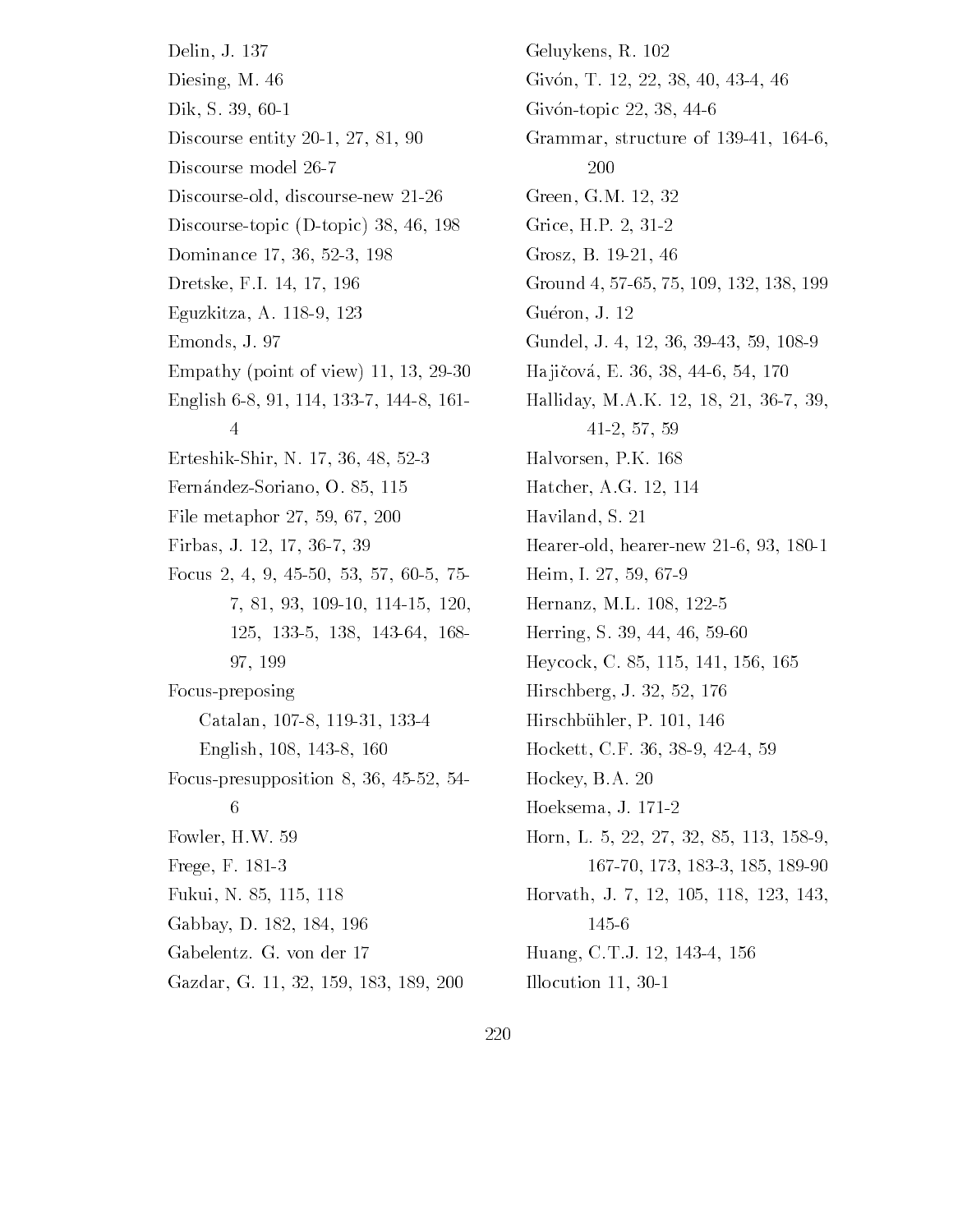Delin, J. 137 Diesing, M.  $46$ Dik, S. 39, 60-1 Discourse entity 20-1, 27, 81, 90 Discourse model  Discourse-old, discourse-new 21-26 Discourse-topic  $(D{\text -}topic)$  38, 46, 198 Dominance  Dretske, F.I. 14, 17, 196 Eguzkitza, A. 118-9, 123 Emonds, J. 97 Empathy (point of view)  $11, 13, 29-30$ English 6-8, 91, 114, 133-7, 144-8, 161- $\overline{4}$ ErteshikShir N  FernandezSoriano O File metaphor Firbas, J. 12, 17, 36-7, 39 Focus in the contract of the contract of the contract of the contract of the contract of the contract of the c 97, 199 Focus-preposing Catalan, 107-8, 119-31, 133-4 English, 108, 143-8, 160 Focuspresupposition   6 Fowler HW Frege, F. 181-3 Fukui Nama kalendari katika katika katika katika katika katika katika katika katika katika katika katika katik Gabbay, D. 182, 184, 196 Gabelentz. G. von der 17 Gazdar Gazdar Gazdar Gazdar Gazdar Gazdar Gazdar Gazdar Gazdar Gazdar Gazdar Gazdar Gazdar Gazdar Gazdar Gazda Geluykens, R. 102 Givón, T. 12, 22, 38, 40, 43-4, 46 Givón-topic  $22, 38, 44-6$ Grammar, structure of 139-41, 164-6, 200 Green, G.M. 12, 32 Grice, H.P. 2, 31-2 Grosz, B. 19-21, 46 Group and the contract and increased and contract of the contract of the contract of the contract of the contract of the contract of the contract of the contract of the contract of the contract of the contract of the contr Guéron, J. 12 Gundel Julian State College Louis and Gundel College College College College College College College College C Ha ji!cova E  Halliday, M.A.K. 12, 18, 21, 36-7, 39, Halvorsen, P.K. 168 Hatcher, A.G. 12, 114 Haviland, S. 21 Hearer-old, hearer-new 21-6, 93, 180-1 Heim Institute and the control of the control of the control of the control of the control of the control of t Hernanz, M.L. 108, 122-5 Herrich States and the States of the States and the States of the States and States and States and States and Heycock Constitution and the constitution of the constitution of the constitution of the constitution of the c Hirschell and the state of the state of the state of the state of the state of the state of the state of the s Hirschbühler, P. 101, 146 Hockett CF   Hockey, B.A. 20 Hoeksema, J. 171-2 Horn L  Horvath J Huang Communication of the communication of the communication of the communication of the communication of the Illocution 11, 30-1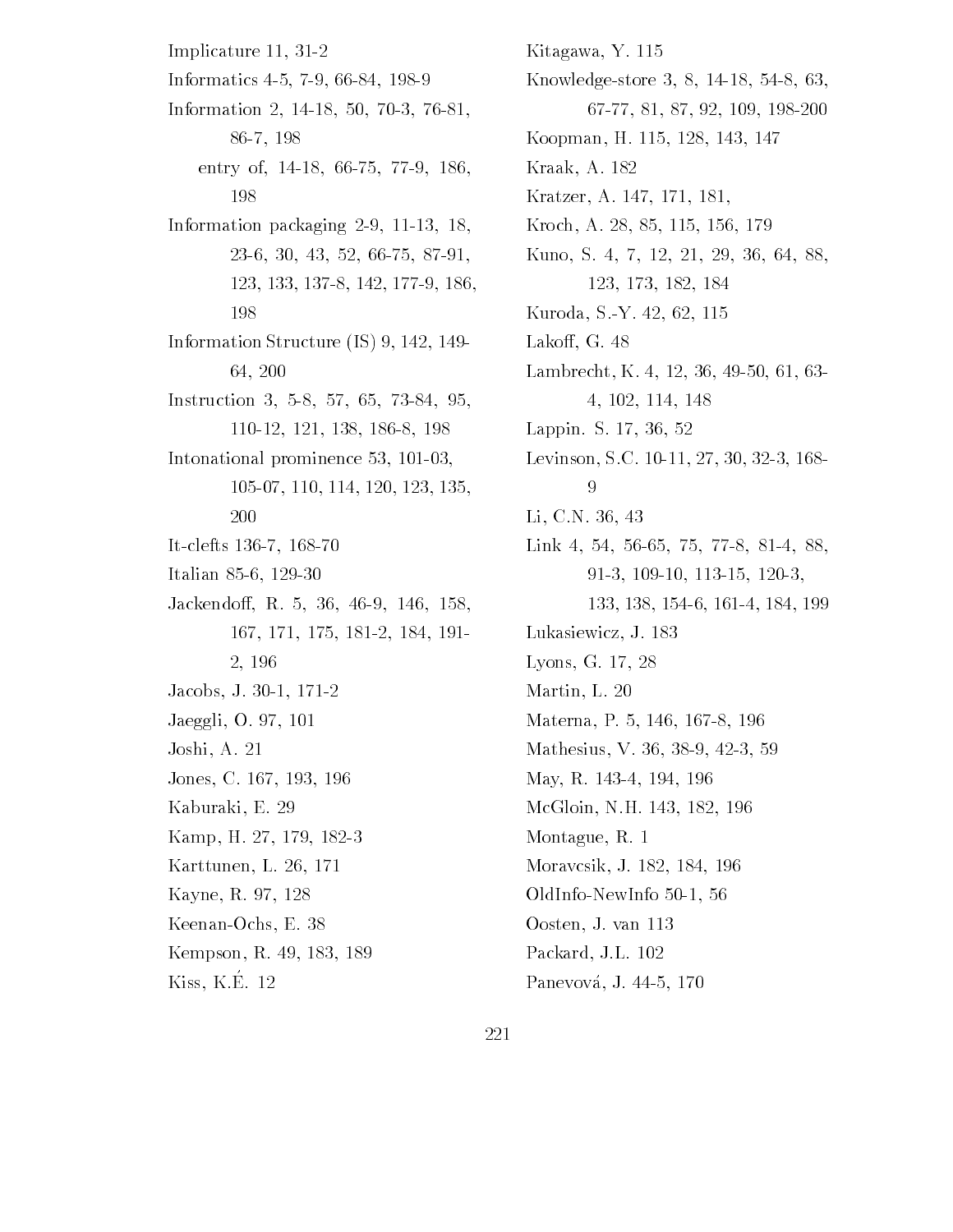Implicature 11, 31-2 Information of the control of the control of the control of the control of the control of the control of the control of the control of the control of the control of the control of the control of the control of the control Information and the contract of the contract of the contract of the contract of the contract of the contract of 86-7, 198 entry of the control of the control of the control of the control of the control of the control of the control of the control of the control of the control of the control of the control of the control of the control of the 198 Information packaging 2-9, 11-13, 18, 123, 133, 137-8, 142, 177-9, 186, 198 Information Structure  $(IS)$  9, 142, 149-64.200 Instruction of the control of the control of the control of the control of the control of the control of the c 110-12, 121, 138, 186-8, 198 Intonational prominence  It-clefts 136-7, 168-70 Italian sebagai kecamatan di kecamatan di kecamatan di kecamatan di kecamatan di kecamatan di kecamatan di kec Jackendo R  2, 196 Jacobs, J. 30-1, 171-2 Jaeggli, O. 97, 101 Joshi, A. 21 Jones, C. 167, 193, 196 Kaburaki, E. 29 Kamp, H. 27, 179, 182-3 Karttunen, L. 26, 171 Kayne, R. 97, 128 Keenan-Ochs, E. 38 Kempson, R. 49, 183, 189  $Kiss, K.E. 12$ 

Kitagawa, Y. 115  $\mathcal{N}$  and  $\mathcal{N}$  and  $\mathcal{N}$  and  $\mathcal{N}$  and  $\mathcal{N}$  and  $\mathcal{N}$  and  $\mathcal{N}$  and  $\mathcal{N}$  and  $\mathcal{N}$  and  $\mathcal{N}$  and  $\mathcal{N}$  and  $\mathcal{N}$  and  $\mathcal{N}$  and  $\mathcal{N}$  and  $\mathcal{N}$  and  $\mathcal{N}$  and  $\mathcal{N}$  and 67-77, 81, 87, 92, 109, 198-200 Koopman Harvard (1989) is a strong strong strong product to the strong strong strong strong strong strong strong Kraak, A. 182 Kratzer, A. 147, 171, 181, Kroch A Kuno, S. 4, 7, 12, 21, 29, 36, 64, 88, 123, 173, 182, 184 Kuroda, S.-Y. 42, 62, 115 Lakoff, G. 48 Lambrecht K   4, 102, 114, 148 Lappin S Levinson, S.C. 10-11, 27, 30, 32-3, 168-Li, C.N. 36, 43 Links and the control of the control of the control of the control of the control of the control of the control of . . . . . . . . . . . . . Lukasiewicz, J. 183 Lyons, G. 17, 28 Martin, L. 20 materna province province and the property of the contract of the contract of the contract of the contract of mathesius Vitalianus VIII valitteluvus valitteluvus valitteluvus valitteluvus valitteluvus valitteluvus valitt May, R. 143-4, 194, 196 McGloin, N.H. 143, 182, 196 Montague, R. 1 Moravcsik, J. 182, 184, 196 response to the contract of the contract of the contract of the contract of the contract of the contract of the Oosten, J. van 113 Packard, J.L. 102

Panevova Japonica Japonica Japonica Japonica Japonica Japonica Japonica Japonica Japonica Japonica Japonica Ja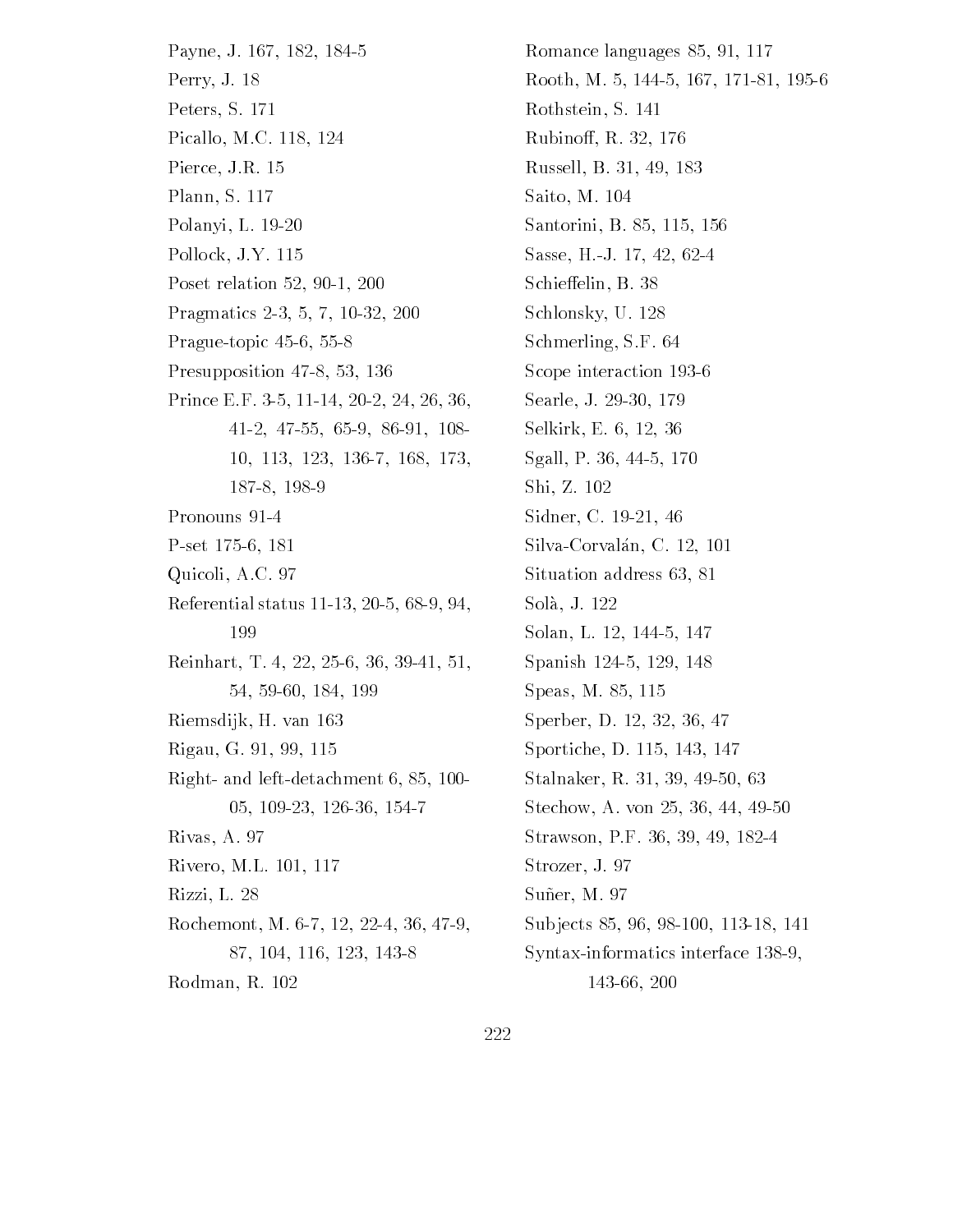Payne, J. 167, 182, 184-5 Perry, J. 18 Peters, S. 171 Picallo, M.C. 118, 124 Pierce, J.R. 15 Plann, S. 117 Polanyi, L. 19-20 Pollock, J.Y. 115 Poset relation   $P = P$  , and  $P = P$  , and  $P = P$  , and  $P = P$  , and  $P = P$  , and  $P = P$  , and  $P = P$  , and  $P = P$  , and  $P = P$  , and  $P = P$  , and  $P = P$  , and  $P = P$  , and  $P = P$  , and  $P = P$  , and  $P = P$  , and  $P = P$  , and  $P = P$  , and  $P = P$  , and  $P = P$ **Prague in provincial contracts** Presupposition  Prince EFFECTIVE CONTINUES IN THE EFFECTIVE CONTINUES IN THE EFFECTIVE CONTINUES IN THE EFFECTIVE CONTINUES IN 10, 113, 123, 136-7, 168, 173, 187-8, 198-9 Pronouns 91-4 per set and the set of the set of the set of the set of the set of the set of the set of the set of the set of Quicoli, A.C. 97 Referential status    199 Reinhart The Communication of the Communication of the Communication of the Communication of the Communication Riemsdijk, H. van 163 Rigau, G. 91, 99, 115 right and detachment and left and details are a Rivas, A. 97 Rivero, M.L. 101, 117 Rizzi, L. 28 Rochemont, M. 6-7, 12, 22-4, 36, 47-9, 87, 104, 116, 123, 143-8 Rodman, R. 102

romance languages in the control of the control of the control of the control of the control of the control of rooth Maria Maria Maria Maria Maria Maria Maria Maria Maria Maria Maria Maria Maria Maria Maria Maria Maria Ma Rothstein, S. 141 Rubinoff, R. 32, 176 Russell, B. 31, 49, 183 Saito, M. 104 santorini Barrieri Barrieri Sasse, H.-J. 17, 42, 62-4 Schieffelin, B. 38 Schlonsky, U. 128 Schmerling, S.F. 64 Scope interaction 193-6 Searle, J. 29-30, 179 Selkirk, E. 6, 12, 36 s Annel Prince Prince Prince Prince Prince Prince Prince Prince Prince Prince Prince Prince Prince Prince Prin Shi, Z. 102 Sidner, C. 19-21, 46 Silva-Corvalán, C. 12, 101 Situation address 63, 81 Solà, J. 122 Solan Lands and Lands and Lands and Lands and Lands and Lands and Lands and Lands and Lands and Lands and Land Spanish and the spanish of the spanish of the spanish of the spanish of the spanish of the spanish of the spanish of the spanish of the spanish of the spanish of the spanish of the spanish of the spanish of the spanish of  $\sim$  speaking and the speaking of the speaking of the speaking of the speaking  $\sim$ Sperber, D. 12, 32, 36, 47 sportification and the property of the Denis and the Denis and the Denis and the Denis and the Denis and the D Stalnaker R  steam a von de von de von de von de von de von de von de von de von de von de von de von de von de von de von Strawson, P.F. 36, 39, 49, 182-4 Strozer, J. 97 Suñer, M. 97 Sub jects   Syntax-informatics interface 138-9, 143-66, 200